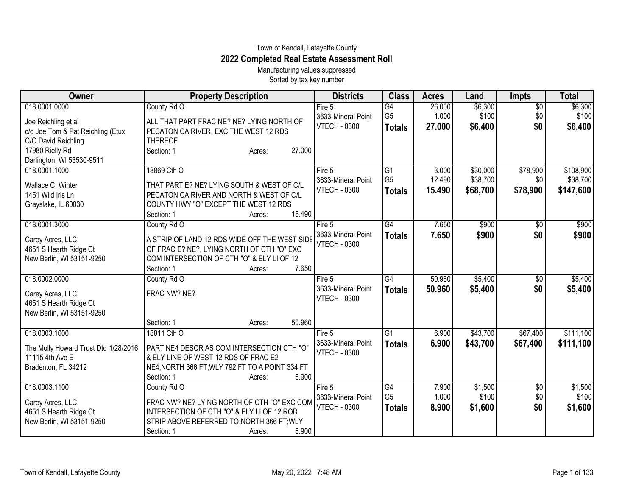## Town of Kendall, Lafayette County **2022 Completed Real Estate Assessment Roll**

Manufacturing values suppressed Sorted by tax key number

| Owner                                  | <b>Property Description</b>                                                            | <b>Districts</b>    | <b>Class</b>                      | <b>Acres</b> | Land     | <b>Impts</b>    | <b>Total</b> |
|----------------------------------------|----------------------------------------------------------------------------------------|---------------------|-----------------------------------|--------------|----------|-----------------|--------------|
| 018.0001.0000                          | County Rd O                                                                            | Fire $5$            | $\overline{G4}$                   | 26.000       | \$6,300  | $\overline{$0}$ | \$6,300      |
| Joe Reichling et al                    | ALL THAT PART FRAC NE? NE? LYING NORTH OF                                              | 3633-Mineral Point  | G <sub>5</sub>                    | 1.000        | \$100    | \$0             | \$100        |
| c/o Joe, Tom & Pat Reichling (Etux     | PECATONICA RIVER, EXC THE WEST 12 RDS                                                  | <b>VTECH - 0300</b> | <b>Totals</b>                     | 27,000       | \$6,400  | \$0             | \$6,400      |
| C/O David Reichling                    | <b>THEREOF</b>                                                                         |                     |                                   |              |          |                 |              |
| 17980 Rielly Rd                        | 27.000<br>Section: 1<br>Acres:                                                         |                     |                                   |              |          |                 |              |
| Darlington, WI 53530-9511              |                                                                                        |                     |                                   |              |          |                 |              |
| 018.0001.1000                          | 18869 Cth O                                                                            | Fire 5              | $\overline{G1}$                   | 3.000        | \$30,000 | \$78,900        | \$108,900    |
|                                        |                                                                                        | 3633-Mineral Point  | G <sub>5</sub>                    | 12.490       | \$38,700 | \$0             | \$38,700     |
| Wallace C. Winter<br>1451 Wild Iris Ln | THAT PART E? NE? LYING SOUTH & WEST OF C/L<br>PECATONICA RIVER AND NORTH & WEST OF C/L | <b>VTECH - 0300</b> | <b>Totals</b>                     | 15.490       | \$68,700 | \$78,900        | \$147,600    |
|                                        | COUNTY HWY "O" EXCEPT THE WEST 12 RDS                                                  |                     |                                   |              |          |                 |              |
| Grayslake, IL 60030                    | 15.490<br>Section: 1<br>Acres:                                                         |                     |                                   |              |          |                 |              |
| 018.0001.3000                          | County Rd O                                                                            | Fire 5              | G4                                | 7.650        | \$900    | $\overline{50}$ | \$900        |
|                                        |                                                                                        | 3633-Mineral Point  |                                   | 7.650        | \$900    | \$0             | \$900        |
| Carey Acres, LLC                       | A STRIP OF LAND 12 RDS WIDE OFF THE WEST SIDE                                          | <b>VTECH - 0300</b> | <b>Totals</b>                     |              |          |                 |              |
| 4651 S Hearth Ridge Ct                 | OF FRAC E? NE?, LYING NORTH OF CTH "O" EXC                                             |                     |                                   |              |          |                 |              |
| New Berlin, WI 53151-9250              | COM INTERSECTION OF CTH "O" & ELY LI OF 12                                             |                     |                                   |              |          |                 |              |
|                                        | 7.650<br>Section: 1<br>Acres:                                                          |                     |                                   |              |          |                 |              |
| 018.0002.0000                          | County Rd O                                                                            | Fire 5              | $\overline{G4}$                   | 50.960       | \$5,400  | \$0             | \$5,400      |
| Carey Acres, LLC                       | FRAC NW? NE?                                                                           | 3633-Mineral Point  | <b>Totals</b>                     | 50.960       | \$5,400  | \$0             | \$5,400      |
| 4651 S Hearth Ridge Ct                 |                                                                                        | <b>VTECH - 0300</b> |                                   |              |          |                 |              |
| New Berlin, WI 53151-9250              |                                                                                        |                     |                                   |              |          |                 |              |
|                                        | Section: 1<br>50.960<br>Acres:                                                         |                     |                                   |              |          |                 |              |
| 018.0003.1000                          | 18811 Cth O                                                                            | Fire 5              | G1                                | 6.900        | \$43,700 | \$67,400        | \$111,100    |
|                                        |                                                                                        | 3633-Mineral Point  | <b>Totals</b>                     | 6.900        | \$43,700 | \$67,400        | \$111,100    |
| The Molly Howard Trust Dtd 1/28/2016   | PART NE4 DESCR AS COM INTERSECTION CTH "O"                                             | <b>VTECH - 0300</b> |                                   |              |          |                 |              |
| 11115 4th Ave E                        | & ELY LINE OF WEST 12 RDS OF FRAC E2                                                   |                     |                                   |              |          |                 |              |
| Bradenton, FL 34212                    | NE4; NORTH 366 FT; WLY 792 FT TO A POINT 334 FT                                        |                     |                                   |              |          |                 |              |
|                                        | Section: 1<br>6.900<br>Acres:                                                          |                     |                                   |              |          |                 |              |
| 018.0003.1100                          | County Rd O                                                                            | Fire 5              | $\overline{G4}$<br>G <sub>5</sub> | 7.900        | \$1,500  | \$0             | \$1,500      |
| Carey Acres, LLC                       | FRAC NW? NE? LYING NORTH OF CTH "O" EXC COM                                            | 3633-Mineral Point  |                                   | 1.000        | \$100    | \$0             | \$100        |
| 4651 S Hearth Ridge Ct                 | INTERSECTION OF CTH "O" & ELY LI OF 12 ROD                                             | <b>VTECH - 0300</b> | <b>Totals</b>                     | 8.900        | \$1,600  | \$0             | \$1,600      |
| New Berlin, WI 53151-9250              | STRIP ABOVE REFERRED TO; NORTH 366 FT; WLY                                             |                     |                                   |              |          |                 |              |
|                                        | 8.900<br>Section: 1<br>Acres:                                                          |                     |                                   |              |          |                 |              |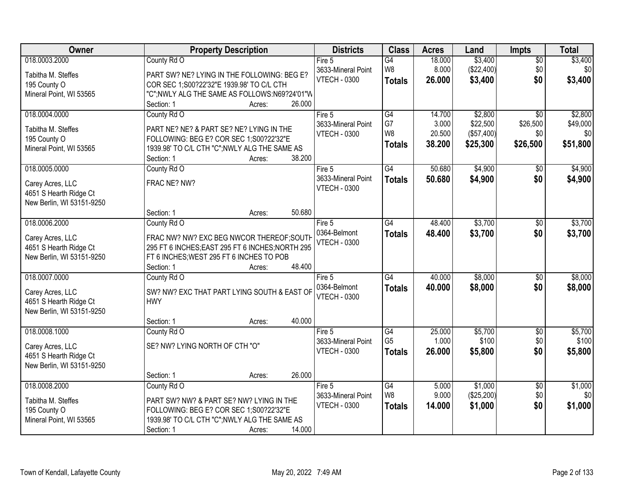| Owner                     | <b>Property Description</b>                                          | <b>Districts</b>    | <b>Class</b>    | <b>Acres</b> | Land       | <b>Impts</b>    | <b>Total</b> |
|---------------------------|----------------------------------------------------------------------|---------------------|-----------------|--------------|------------|-----------------|--------------|
| 018.0003.2000             | County Rd O                                                          | Fire 5              | G4              | 18.000       | \$3,400    | $\overline{50}$ | \$3,400      |
| Tabitha M. Steffes        | PART SW? NE? LYING IN THE FOLLOWING: BEG E?                          | 3633-Mineral Point  | W <sub>8</sub>  | 8.000        | (\$22,400) | \$0             | \$0          |
| 195 County O              | COR SEC 1;S00?22'32"E 1939.98' TO C/L CTH                            | <b>VTECH - 0300</b> | <b>Totals</b>   | 26,000       | \$3,400    | \$0             | \$3,400      |
| Mineral Point, WI 53565   | "C";NWLY ALG THE SAME AS FOLLOWS:N69?24'01"W                         |                     |                 |              |            |                 |              |
|                           | 26.000<br>Section: 1<br>Acres:                                       |                     |                 |              |            |                 |              |
| 018.0004.0000             | County Rd O                                                          | Fire $5$            | $\overline{G4}$ | 14.700       | \$2,800    | $\overline{30}$ | \$2,800      |
| Tabitha M. Steffes        | PART NE? NE? & PART SE? NE? LYING IN THE                             | 3633-Mineral Point  | G7              | 3.000        | \$22,500   | \$26,500        | \$49,000     |
| 195 County O              | FOLLOWING: BEG E? COR SEC 1;S00?22'32"E                              | <b>VTECH - 0300</b> | W <sub>8</sub>  | 20.500       | (\$57,400) | \$0             | \$0          |
| Mineral Point, WI 53565   | 1939.98' TO C/L CTH "C";NWLY ALG THE SAME AS                         |                     | <b>Totals</b>   | 38.200       | \$25,300   | \$26,500        | \$51,800     |
|                           | 38.200<br>Section: 1<br>Acres:                                       |                     |                 |              |            |                 |              |
| 018.0005.0000             | County Rd O                                                          | Fire 5              | $\overline{G4}$ | 50.680       | \$4,900    | \$0             | \$4,900      |
|                           |                                                                      | 3633-Mineral Point  | <b>Totals</b>   | 50.680       | \$4,900    | \$0             | \$4,900      |
| Carey Acres, LLC          | FRAC NE? NW?                                                         | <b>VTECH - 0300</b> |                 |              |            |                 |              |
| 4651 S Hearth Ridge Ct    |                                                                      |                     |                 |              |            |                 |              |
| New Berlin, WI 53151-9250 | 50.680<br>Section: 1<br>Acres:                                       |                     |                 |              |            |                 |              |
| 018.0006.2000             | County Rd O                                                          | Fire 5              | G4              | 48.400       | \$3,700    | $\sqrt[6]{}$    | \$3,700      |
|                           |                                                                      | 0364-Belmont        |                 | 48.400       | \$3,700    | \$0             | \$3,700      |
| Carey Acres, LLC          | FRAC NW? NW? EXC BEG NWCOR THEREOF; SOUTH                            | <b>VTECH - 0300</b> | <b>Totals</b>   |              |            |                 |              |
| 4651 S Hearth Ridge Ct    | 295 FT 6 INCHES; EAST 295 FT 6 INCHES; NORTH 295                     |                     |                 |              |            |                 |              |
| New Berlin, WI 53151-9250 | FT 6 INCHES; WEST 295 FT 6 INCHES TO POB                             |                     |                 |              |            |                 |              |
|                           | 48.400<br>Section: 1<br>Acres:                                       |                     |                 |              |            |                 |              |
| 018.0007.0000             | County Rd O                                                          | Fire $5$            | $\overline{G4}$ | 40.000       | \$8,000    | \$0             | \$8,000      |
| Carey Acres, LLC          | SW? NW? EXC THAT PART LYING SOUTH & EAST OF                          | 0364-Belmont        | <b>Totals</b>   | 40.000       | \$8,000    | \$0             | \$8,000      |
| 4651 S Hearth Ridge Ct    | <b>HWY</b>                                                           | <b>VTECH - 0300</b> |                 |              |            |                 |              |
| New Berlin, WI 53151-9250 |                                                                      |                     |                 |              |            |                 |              |
|                           | 40.000<br>Section: 1<br>Acres:                                       |                     |                 |              |            |                 |              |
| 018.0008.1000             | County Rd O                                                          | Fire 5              | $\overline{G4}$ | 25.000       | \$5,700    | $\sqrt{$0}$     | \$5,700      |
| Carey Acres, LLC          | SE? NW? LYING NORTH OF CTH "O"                                       | 3633-Mineral Point  | G <sub>5</sub>  | 1.000        | \$100      | \$0             | \$100        |
| 4651 S Hearth Ridge Ct    |                                                                      | <b>VTECH - 0300</b> | <b>Totals</b>   | 26.000       | \$5,800    | \$0             | \$5,800      |
| New Berlin, WI 53151-9250 |                                                                      |                     |                 |              |            |                 |              |
|                           | 26.000<br>Section: 1<br>Acres:                                       |                     |                 |              |            |                 |              |
| 018.0008.2000             | County Rd O                                                          | Fire $5$            | G4              | 5.000        | \$1,000    | $\overline{50}$ | \$1,000      |
|                           |                                                                      | 3633-Mineral Point  | W8              | 9.000        | (\$25,200) | \$0             | \$0          |
| Tabitha M. Steffes        | PART SW? NW? & PART SE? NW? LYING IN THE                             | <b>VTECH - 0300</b> | <b>Totals</b>   | 14.000       | \$1,000    | \$0             | \$1,000      |
| 195 County O              | FOLLOWING: BEG E? COR SEC 1;S00?22'32"E                              |                     |                 |              |            |                 |              |
| Mineral Point, WI 53565   | 1939.98' TO C/L CTH "C";NWLY ALG THE SAME AS<br>14.000<br>Section: 1 |                     |                 |              |            |                 |              |
|                           | Acres:                                                               |                     |                 |              |            |                 |              |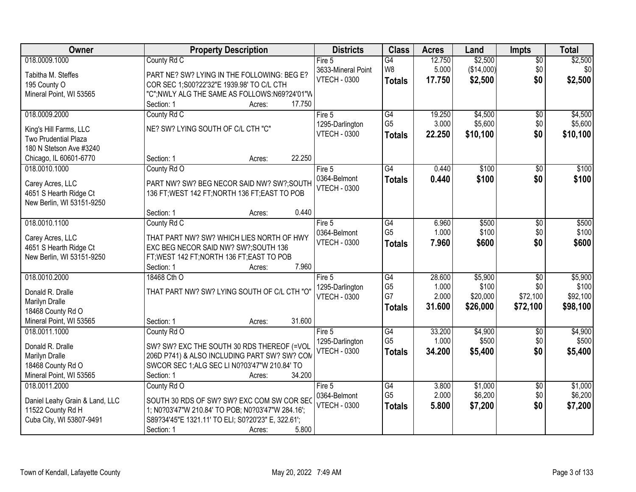| \$2,500<br>018.0009.1000<br>12.750<br>\$2,500<br>County Rd C<br>$\overline{G4}$<br>\$0<br>Fire 5<br>W8<br>5.000<br>(\$14,000)<br>\$0<br>\$0<br>3633-Mineral Point<br>Tabitha M. Steffes<br>PART NE? SW? LYING IN THE FOLLOWING: BEG E?<br><b>VTECH - 0300</b><br>\$0<br>\$2,500<br>17.750<br>\$2,500<br><b>Totals</b><br>COR SEC 1;S00?22'32"E 1939.98' TO C/L CTH<br>195 County O<br>"C";NWLY ALG THE SAME AS FOLLOWS:N69?24'01"W<br>Mineral Point, WI 53565<br>17.750<br>Section: 1<br>Acres:<br>018.0009.2000<br>G4<br>19.250<br>\$4,500<br>County Rd C<br>Fire 5<br>\$0<br>G <sub>5</sub><br>3.000<br>\$5,600<br>\$0<br>1295-Darlington<br>NE? SW? LYING SOUTH OF C/L CTH "C"<br>King's Hill Farms, LLC<br>\$0<br><b>VTECH - 0300</b><br>22.250<br>\$10,100<br><b>Totals</b><br><b>Two Prudential Plaza</b><br>180 N Stetson Ave #3240<br>22.250<br>Chicago, IL 60601-6770<br>Section: 1<br>Acres:<br>018.0010.1000<br>$\overline{G4}$<br>0.440<br>\$100<br>County Rd O<br>\$0<br>Fire 5<br>0364-Belmont<br>\$0<br>0.440<br>\$100<br><b>Totals</b><br>Carey Acres, LLC<br>PART NW? SW? BEG NECOR SAID NW? SW?;SOUTH<br><b>VTECH - 0300</b><br>4651 S Hearth Ridge Ct<br>136 FT; WEST 142 FT; NORTH 136 FT; EAST TO POB<br>New Berlin, WI 53151-9250<br>0.440<br>Section: 1<br>Acres:<br>018.0010.1100<br>County Rd C<br>G4<br>6.960<br>\$500<br>Fire 5<br>$\sqrt[6]{3}$<br>G <sub>5</sub><br>1.000<br>\$100<br>\$0<br>0364-Belmont<br>THAT PART NW? SW? WHICH LIES NORTH OF HWY<br>Carey Acres, LLC<br><b>VTECH - 0300</b><br>7.960<br>\$600<br>\$0<br><b>Totals</b><br>4651 S Hearth Ridge Ct<br>EXC BEG NECOR SAID NW? SW?;SOUTH 136<br>New Berlin, WI 53151-9250<br>FT; WEST 142 FT; NORTH 136 FT; EAST TO POB<br>7.960<br>Section: 1<br>Acres:<br>\$5,900<br>018.0010.2000<br>$\overline{G4}$<br>28.600<br>$\overline{50}$<br>18468 Cth O<br>Fire $5$<br>G <sub>5</sub><br>1.000<br>\$100<br>\$0<br>1295-Darlington<br>THAT PART NW? SW? LYING SOUTH OF C/L CTH "O"<br>Donald R. Dralle<br>G7<br>2.000<br>\$72,100<br>\$20,000<br><b>VTECH - 0300</b><br>Marilyn Dralle<br>31.600<br>\$98,100<br>\$26,000<br>\$72,100<br><b>Totals</b><br>18468 County Rd O<br>31.600<br>Mineral Point, WI 53565<br>Section: 1<br>Acres:<br>G4<br>\$4,900<br>018.0011.1000<br>33.200<br>County Rd O<br>Fire 5<br>\$0<br>G <sub>5</sub><br>1.000<br>\$500<br>\$0<br>1295-Darlington<br>Donald R. Dralle<br>SW? SW? EXC THE SOUTH 30 RDS THEREOF (=VOL<br>34.200<br>\$0<br><b>VTECH - 0300</b><br>\$5,400<br>\$5,400<br><b>Totals</b><br>206D P741) & ALSO INCLUDING PART SW? SW? COM<br>Marilyn Dralle<br>SWCOR SEC 1; ALG SEC LI N0?03'47"W 210.84' TO<br>18468 County Rd O<br>Mineral Point, WI 53565<br>34.200<br>Section: 1<br>Acres:<br>\$1,000<br>018.0011.2000<br>County Rd O<br>Fire $5$<br>G4<br>3.800<br>$\overline{60}$<br>G <sub>5</sub><br>2.000<br>\$6,200<br>\$0<br>0364-Belmont<br>SOUTH 30 RDS OF SW? SW? EXC COM SW COR SEC<br>Daniel Leahy Grain & Land, LLC<br><b>VTECH - 0300</b><br>\$7,200<br>\$0<br>5.800<br>\$7,200<br><b>Totals</b><br>11522 County Rd H<br>1; N0?03'47"W 210.84' TO POB; N0?03'47"W 284.16';<br>Cuba City, WI 53807-9491<br>S89?34'45"E 1321.11' TO ELI; S0?20'23" E, 322.61'; | <b>Owner</b> | <b>Property Description</b>   | <b>Districts</b> | <b>Class</b> | <b>Acres</b> | Land | <b>Impts</b> | <b>Total</b> |
|------------------------------------------------------------------------------------------------------------------------------------------------------------------------------------------------------------------------------------------------------------------------------------------------------------------------------------------------------------------------------------------------------------------------------------------------------------------------------------------------------------------------------------------------------------------------------------------------------------------------------------------------------------------------------------------------------------------------------------------------------------------------------------------------------------------------------------------------------------------------------------------------------------------------------------------------------------------------------------------------------------------------------------------------------------------------------------------------------------------------------------------------------------------------------------------------------------------------------------------------------------------------------------------------------------------------------------------------------------------------------------------------------------------------------------------------------------------------------------------------------------------------------------------------------------------------------------------------------------------------------------------------------------------------------------------------------------------------------------------------------------------------------------------------------------------------------------------------------------------------------------------------------------------------------------------------------------------------------------------------------------------------------------------------------------------------------------------------------------------------------------------------------------------------------------------------------------------------------------------------------------------------------------------------------------------------------------------------------------------------------------------------------------------------------------------------------------------------------------------------------------------------------------------------------------------------------------------------------------------------------------------------------------------------------------------------------------------------------------------------------------------------------------------------------------------------------------------------------------------------------------------------------------------------------------------------------------------------------------------------------------------------------------------------------------------------------------------------------------------------------------------------------------------------------------------------------------------|--------------|-------------------------------|------------------|--------------|--------------|------|--------------|--------------|
|                                                                                                                                                                                                                                                                                                                                                                                                                                                                                                                                                                                                                                                                                                                                                                                                                                                                                                                                                                                                                                                                                                                                                                                                                                                                                                                                                                                                                                                                                                                                                                                                                                                                                                                                                                                                                                                                                                                                                                                                                                                                                                                                                                                                                                                                                                                                                                                                                                                                                                                                                                                                                                                                                                                                                                                                                                                                                                                                                                                                                                                                                                                                                                                                                  |              |                               |                  |              |              |      |              |              |
|                                                                                                                                                                                                                                                                                                                                                                                                                                                                                                                                                                                                                                                                                                                                                                                                                                                                                                                                                                                                                                                                                                                                                                                                                                                                                                                                                                                                                                                                                                                                                                                                                                                                                                                                                                                                                                                                                                                                                                                                                                                                                                                                                                                                                                                                                                                                                                                                                                                                                                                                                                                                                                                                                                                                                                                                                                                                                                                                                                                                                                                                                                                                                                                                                  |              |                               |                  |              |              |      |              |              |
|                                                                                                                                                                                                                                                                                                                                                                                                                                                                                                                                                                                                                                                                                                                                                                                                                                                                                                                                                                                                                                                                                                                                                                                                                                                                                                                                                                                                                                                                                                                                                                                                                                                                                                                                                                                                                                                                                                                                                                                                                                                                                                                                                                                                                                                                                                                                                                                                                                                                                                                                                                                                                                                                                                                                                                                                                                                                                                                                                                                                                                                                                                                                                                                                                  |              |                               |                  |              |              |      |              |              |
|                                                                                                                                                                                                                                                                                                                                                                                                                                                                                                                                                                                                                                                                                                                                                                                                                                                                                                                                                                                                                                                                                                                                                                                                                                                                                                                                                                                                                                                                                                                                                                                                                                                                                                                                                                                                                                                                                                                                                                                                                                                                                                                                                                                                                                                                                                                                                                                                                                                                                                                                                                                                                                                                                                                                                                                                                                                                                                                                                                                                                                                                                                                                                                                                                  |              |                               |                  |              |              |      |              |              |
|                                                                                                                                                                                                                                                                                                                                                                                                                                                                                                                                                                                                                                                                                                                                                                                                                                                                                                                                                                                                                                                                                                                                                                                                                                                                                                                                                                                                                                                                                                                                                                                                                                                                                                                                                                                                                                                                                                                                                                                                                                                                                                                                                                                                                                                                                                                                                                                                                                                                                                                                                                                                                                                                                                                                                                                                                                                                                                                                                                                                                                                                                                                                                                                                                  |              |                               |                  |              |              |      |              |              |
| \$5,600<br>\$10,100<br>\$100<br>\$100                                                                                                                                                                                                                                                                                                                                                                                                                                                                                                                                                                                                                                                                                                                                                                                                                                                                                                                                                                                                                                                                                                                                                                                                                                                                                                                                                                                                                                                                                                                                                                                                                                                                                                                                                                                                                                                                                                                                                                                                                                                                                                                                                                                                                                                                                                                                                                                                                                                                                                                                                                                                                                                                                                                                                                                                                                                                                                                                                                                                                                                                                                                                                                            |              |                               |                  |              |              |      |              | \$4,500      |
|                                                                                                                                                                                                                                                                                                                                                                                                                                                                                                                                                                                                                                                                                                                                                                                                                                                                                                                                                                                                                                                                                                                                                                                                                                                                                                                                                                                                                                                                                                                                                                                                                                                                                                                                                                                                                                                                                                                                                                                                                                                                                                                                                                                                                                                                                                                                                                                                                                                                                                                                                                                                                                                                                                                                                                                                                                                                                                                                                                                                                                                                                                                                                                                                                  |              |                               |                  |              |              |      |              |              |
|                                                                                                                                                                                                                                                                                                                                                                                                                                                                                                                                                                                                                                                                                                                                                                                                                                                                                                                                                                                                                                                                                                                                                                                                                                                                                                                                                                                                                                                                                                                                                                                                                                                                                                                                                                                                                                                                                                                                                                                                                                                                                                                                                                                                                                                                                                                                                                                                                                                                                                                                                                                                                                                                                                                                                                                                                                                                                                                                                                                                                                                                                                                                                                                                                  |              |                               |                  |              |              |      |              |              |
|                                                                                                                                                                                                                                                                                                                                                                                                                                                                                                                                                                                                                                                                                                                                                                                                                                                                                                                                                                                                                                                                                                                                                                                                                                                                                                                                                                                                                                                                                                                                                                                                                                                                                                                                                                                                                                                                                                                                                                                                                                                                                                                                                                                                                                                                                                                                                                                                                                                                                                                                                                                                                                                                                                                                                                                                                                                                                                                                                                                                                                                                                                                                                                                                                  |              |                               |                  |              |              |      |              |              |
|                                                                                                                                                                                                                                                                                                                                                                                                                                                                                                                                                                                                                                                                                                                                                                                                                                                                                                                                                                                                                                                                                                                                                                                                                                                                                                                                                                                                                                                                                                                                                                                                                                                                                                                                                                                                                                                                                                                                                                                                                                                                                                                                                                                                                                                                                                                                                                                                                                                                                                                                                                                                                                                                                                                                                                                                                                                                                                                                                                                                                                                                                                                                                                                                                  |              |                               |                  |              |              |      |              |              |
|                                                                                                                                                                                                                                                                                                                                                                                                                                                                                                                                                                                                                                                                                                                                                                                                                                                                                                                                                                                                                                                                                                                                                                                                                                                                                                                                                                                                                                                                                                                                                                                                                                                                                                                                                                                                                                                                                                                                                                                                                                                                                                                                                                                                                                                                                                                                                                                                                                                                                                                                                                                                                                                                                                                                                                                                                                                                                                                                                                                                                                                                                                                                                                                                                  |              |                               |                  |              |              |      |              |              |
| \$500<br>\$100<br>\$600<br>\$5,900<br>\$100<br>\$92,100<br>\$4,900<br>\$500<br>\$1,000<br>\$6,200                                                                                                                                                                                                                                                                                                                                                                                                                                                                                                                                                                                                                                                                                                                                                                                                                                                                                                                                                                                                                                                                                                                                                                                                                                                                                                                                                                                                                                                                                                                                                                                                                                                                                                                                                                                                                                                                                                                                                                                                                                                                                                                                                                                                                                                                                                                                                                                                                                                                                                                                                                                                                                                                                                                                                                                                                                                                                                                                                                                                                                                                                                                |              |                               |                  |              |              |      |              |              |
|                                                                                                                                                                                                                                                                                                                                                                                                                                                                                                                                                                                                                                                                                                                                                                                                                                                                                                                                                                                                                                                                                                                                                                                                                                                                                                                                                                                                                                                                                                                                                                                                                                                                                                                                                                                                                                                                                                                                                                                                                                                                                                                                                                                                                                                                                                                                                                                                                                                                                                                                                                                                                                                                                                                                                                                                                                                                                                                                                                                                                                                                                                                                                                                                                  |              |                               |                  |              |              |      |              |              |
|                                                                                                                                                                                                                                                                                                                                                                                                                                                                                                                                                                                                                                                                                                                                                                                                                                                                                                                                                                                                                                                                                                                                                                                                                                                                                                                                                                                                                                                                                                                                                                                                                                                                                                                                                                                                                                                                                                                                                                                                                                                                                                                                                                                                                                                                                                                                                                                                                                                                                                                                                                                                                                                                                                                                                                                                                                                                                                                                                                                                                                                                                                                                                                                                                  |              |                               |                  |              |              |      |              |              |
|                                                                                                                                                                                                                                                                                                                                                                                                                                                                                                                                                                                                                                                                                                                                                                                                                                                                                                                                                                                                                                                                                                                                                                                                                                                                                                                                                                                                                                                                                                                                                                                                                                                                                                                                                                                                                                                                                                                                                                                                                                                                                                                                                                                                                                                                                                                                                                                                                                                                                                                                                                                                                                                                                                                                                                                                                                                                                                                                                                                                                                                                                                                                                                                                                  |              |                               |                  |              |              |      |              |              |
|                                                                                                                                                                                                                                                                                                                                                                                                                                                                                                                                                                                                                                                                                                                                                                                                                                                                                                                                                                                                                                                                                                                                                                                                                                                                                                                                                                                                                                                                                                                                                                                                                                                                                                                                                                                                                                                                                                                                                                                                                                                                                                                                                                                                                                                                                                                                                                                                                                                                                                                                                                                                                                                                                                                                                                                                                                                                                                                                                                                                                                                                                                                                                                                                                  |              |                               |                  |              |              |      |              |              |
|                                                                                                                                                                                                                                                                                                                                                                                                                                                                                                                                                                                                                                                                                                                                                                                                                                                                                                                                                                                                                                                                                                                                                                                                                                                                                                                                                                                                                                                                                                                                                                                                                                                                                                                                                                                                                                                                                                                                                                                                                                                                                                                                                                                                                                                                                                                                                                                                                                                                                                                                                                                                                                                                                                                                                                                                                                                                                                                                                                                                                                                                                                                                                                                                                  |              |                               |                  |              |              |      |              |              |
|                                                                                                                                                                                                                                                                                                                                                                                                                                                                                                                                                                                                                                                                                                                                                                                                                                                                                                                                                                                                                                                                                                                                                                                                                                                                                                                                                                                                                                                                                                                                                                                                                                                                                                                                                                                                                                                                                                                                                                                                                                                                                                                                                                                                                                                                                                                                                                                                                                                                                                                                                                                                                                                                                                                                                                                                                                                                                                                                                                                                                                                                                                                                                                                                                  |              |                               |                  |              |              |      |              |              |
|                                                                                                                                                                                                                                                                                                                                                                                                                                                                                                                                                                                                                                                                                                                                                                                                                                                                                                                                                                                                                                                                                                                                                                                                                                                                                                                                                                                                                                                                                                                                                                                                                                                                                                                                                                                                                                                                                                                                                                                                                                                                                                                                                                                                                                                                                                                                                                                                                                                                                                                                                                                                                                                                                                                                                                                                                                                                                                                                                                                                                                                                                                                                                                                                                  |              |                               |                  |              |              |      |              |              |
|                                                                                                                                                                                                                                                                                                                                                                                                                                                                                                                                                                                                                                                                                                                                                                                                                                                                                                                                                                                                                                                                                                                                                                                                                                                                                                                                                                                                                                                                                                                                                                                                                                                                                                                                                                                                                                                                                                                                                                                                                                                                                                                                                                                                                                                                                                                                                                                                                                                                                                                                                                                                                                                                                                                                                                                                                                                                                                                                                                                                                                                                                                                                                                                                                  |              |                               |                  |              |              |      |              |              |
|                                                                                                                                                                                                                                                                                                                                                                                                                                                                                                                                                                                                                                                                                                                                                                                                                                                                                                                                                                                                                                                                                                                                                                                                                                                                                                                                                                                                                                                                                                                                                                                                                                                                                                                                                                                                                                                                                                                                                                                                                                                                                                                                                                                                                                                                                                                                                                                                                                                                                                                                                                                                                                                                                                                                                                                                                                                                                                                                                                                                                                                                                                                                                                                                                  |              |                               |                  |              |              |      |              |              |
|                                                                                                                                                                                                                                                                                                                                                                                                                                                                                                                                                                                                                                                                                                                                                                                                                                                                                                                                                                                                                                                                                                                                                                                                                                                                                                                                                                                                                                                                                                                                                                                                                                                                                                                                                                                                                                                                                                                                                                                                                                                                                                                                                                                                                                                                                                                                                                                                                                                                                                                                                                                                                                                                                                                                                                                                                                                                                                                                                                                                                                                                                                                                                                                                                  |              |                               |                  |              |              |      |              |              |
|                                                                                                                                                                                                                                                                                                                                                                                                                                                                                                                                                                                                                                                                                                                                                                                                                                                                                                                                                                                                                                                                                                                                                                                                                                                                                                                                                                                                                                                                                                                                                                                                                                                                                                                                                                                                                                                                                                                                                                                                                                                                                                                                                                                                                                                                                                                                                                                                                                                                                                                                                                                                                                                                                                                                                                                                                                                                                                                                                                                                                                                                                                                                                                                                                  |              |                               |                  |              |              |      |              |              |
|                                                                                                                                                                                                                                                                                                                                                                                                                                                                                                                                                                                                                                                                                                                                                                                                                                                                                                                                                                                                                                                                                                                                                                                                                                                                                                                                                                                                                                                                                                                                                                                                                                                                                                                                                                                                                                                                                                                                                                                                                                                                                                                                                                                                                                                                                                                                                                                                                                                                                                                                                                                                                                                                                                                                                                                                                                                                                                                                                                                                                                                                                                                                                                                                                  |              |                               |                  |              |              |      |              |              |
|                                                                                                                                                                                                                                                                                                                                                                                                                                                                                                                                                                                                                                                                                                                                                                                                                                                                                                                                                                                                                                                                                                                                                                                                                                                                                                                                                                                                                                                                                                                                                                                                                                                                                                                                                                                                                                                                                                                                                                                                                                                                                                                                                                                                                                                                                                                                                                                                                                                                                                                                                                                                                                                                                                                                                                                                                                                                                                                                                                                                                                                                                                                                                                                                                  |              |                               |                  |              |              |      |              |              |
|                                                                                                                                                                                                                                                                                                                                                                                                                                                                                                                                                                                                                                                                                                                                                                                                                                                                                                                                                                                                                                                                                                                                                                                                                                                                                                                                                                                                                                                                                                                                                                                                                                                                                                                                                                                                                                                                                                                                                                                                                                                                                                                                                                                                                                                                                                                                                                                                                                                                                                                                                                                                                                                                                                                                                                                                                                                                                                                                                                                                                                                                                                                                                                                                                  |              |                               |                  |              |              |      |              |              |
|                                                                                                                                                                                                                                                                                                                                                                                                                                                                                                                                                                                                                                                                                                                                                                                                                                                                                                                                                                                                                                                                                                                                                                                                                                                                                                                                                                                                                                                                                                                                                                                                                                                                                                                                                                                                                                                                                                                                                                                                                                                                                                                                                                                                                                                                                                                                                                                                                                                                                                                                                                                                                                                                                                                                                                                                                                                                                                                                                                                                                                                                                                                                                                                                                  |              |                               |                  |              |              |      |              |              |
|                                                                                                                                                                                                                                                                                                                                                                                                                                                                                                                                                                                                                                                                                                                                                                                                                                                                                                                                                                                                                                                                                                                                                                                                                                                                                                                                                                                                                                                                                                                                                                                                                                                                                                                                                                                                                                                                                                                                                                                                                                                                                                                                                                                                                                                                                                                                                                                                                                                                                                                                                                                                                                                                                                                                                                                                                                                                                                                                                                                                                                                                                                                                                                                                                  |              |                               |                  |              |              |      |              |              |
|                                                                                                                                                                                                                                                                                                                                                                                                                                                                                                                                                                                                                                                                                                                                                                                                                                                                                                                                                                                                                                                                                                                                                                                                                                                                                                                                                                                                                                                                                                                                                                                                                                                                                                                                                                                                                                                                                                                                                                                                                                                                                                                                                                                                                                                                                                                                                                                                                                                                                                                                                                                                                                                                                                                                                                                                                                                                                                                                                                                                                                                                                                                                                                                                                  |              |                               |                  |              |              |      |              |              |
|                                                                                                                                                                                                                                                                                                                                                                                                                                                                                                                                                                                                                                                                                                                                                                                                                                                                                                                                                                                                                                                                                                                                                                                                                                                                                                                                                                                                                                                                                                                                                                                                                                                                                                                                                                                                                                                                                                                                                                                                                                                                                                                                                                                                                                                                                                                                                                                                                                                                                                                                                                                                                                                                                                                                                                                                                                                                                                                                                                                                                                                                                                                                                                                                                  |              |                               |                  |              |              |      |              |              |
|                                                                                                                                                                                                                                                                                                                                                                                                                                                                                                                                                                                                                                                                                                                                                                                                                                                                                                                                                                                                                                                                                                                                                                                                                                                                                                                                                                                                                                                                                                                                                                                                                                                                                                                                                                                                                                                                                                                                                                                                                                                                                                                                                                                                                                                                                                                                                                                                                                                                                                                                                                                                                                                                                                                                                                                                                                                                                                                                                                                                                                                                                                                                                                                                                  |              |                               |                  |              |              |      |              |              |
|                                                                                                                                                                                                                                                                                                                                                                                                                                                                                                                                                                                                                                                                                                                                                                                                                                                                                                                                                                                                                                                                                                                                                                                                                                                                                                                                                                                                                                                                                                                                                                                                                                                                                                                                                                                                                                                                                                                                                                                                                                                                                                                                                                                                                                                                                                                                                                                                                                                                                                                                                                                                                                                                                                                                                                                                                                                                                                                                                                                                                                                                                                                                                                                                                  |              |                               |                  |              |              |      |              |              |
|                                                                                                                                                                                                                                                                                                                                                                                                                                                                                                                                                                                                                                                                                                                                                                                                                                                                                                                                                                                                                                                                                                                                                                                                                                                                                                                                                                                                                                                                                                                                                                                                                                                                                                                                                                                                                                                                                                                                                                                                                                                                                                                                                                                                                                                                                                                                                                                                                                                                                                                                                                                                                                                                                                                                                                                                                                                                                                                                                                                                                                                                                                                                                                                                                  |              |                               |                  |              |              |      |              |              |
|                                                                                                                                                                                                                                                                                                                                                                                                                                                                                                                                                                                                                                                                                                                                                                                                                                                                                                                                                                                                                                                                                                                                                                                                                                                                                                                                                                                                                                                                                                                                                                                                                                                                                                                                                                                                                                                                                                                                                                                                                                                                                                                                                                                                                                                                                                                                                                                                                                                                                                                                                                                                                                                                                                                                                                                                                                                                                                                                                                                                                                                                                                                                                                                                                  |              |                               |                  |              |              |      |              |              |
|                                                                                                                                                                                                                                                                                                                                                                                                                                                                                                                                                                                                                                                                                                                                                                                                                                                                                                                                                                                                                                                                                                                                                                                                                                                                                                                                                                                                                                                                                                                                                                                                                                                                                                                                                                                                                                                                                                                                                                                                                                                                                                                                                                                                                                                                                                                                                                                                                                                                                                                                                                                                                                                                                                                                                                                                                                                                                                                                                                                                                                                                                                                                                                                                                  |              |                               |                  |              |              |      |              |              |
|                                                                                                                                                                                                                                                                                                                                                                                                                                                                                                                                                                                                                                                                                                                                                                                                                                                                                                                                                                                                                                                                                                                                                                                                                                                                                                                                                                                                                                                                                                                                                                                                                                                                                                                                                                                                                                                                                                                                                                                                                                                                                                                                                                                                                                                                                                                                                                                                                                                                                                                                                                                                                                                                                                                                                                                                                                                                                                                                                                                                                                                                                                                                                                                                                  |              | 5.800<br>Section: 1<br>Acres: |                  |              |              |      |              |              |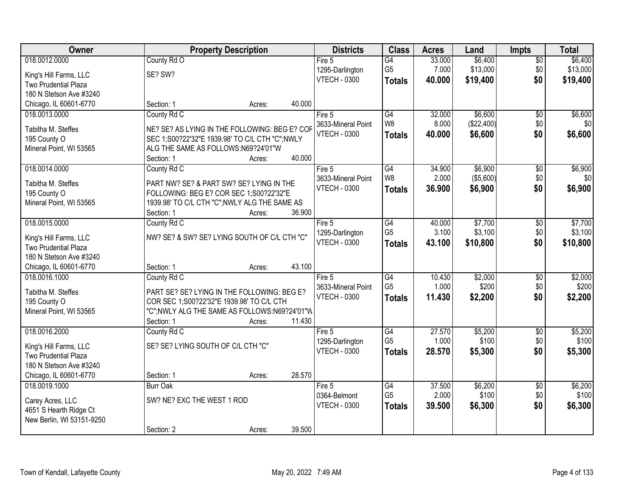| Owner                     |                                                | <b>Property Description</b> |        | <b>Districts</b>    | <b>Class</b>    | <b>Acres</b> | Land       | <b>Impts</b>    | <b>Total</b> |
|---------------------------|------------------------------------------------|-----------------------------|--------|---------------------|-----------------|--------------|------------|-----------------|--------------|
| 018.0012.0000             | County Rd O                                    |                             |        | Fire 5              | G4              | 33.000       | \$6,400    | $\overline{50}$ | \$6,400      |
| King's Hill Farms, LLC    | SE? SW?                                        |                             |        | 1295-Darlington     | G <sub>5</sub>  | 7.000        | \$13,000   | \$0             | \$13,000     |
| Two Prudential Plaza      |                                                |                             |        | <b>VTECH - 0300</b> | <b>Totals</b>   | 40.000       | \$19,400   | \$0             | \$19,400     |
| 180 N Stetson Ave #3240   |                                                |                             |        |                     |                 |              |            |                 |              |
| Chicago, IL 60601-6770    | Section: 1                                     | Acres:                      | 40.000 |                     |                 |              |            |                 |              |
| 018.0013.0000             | County Rd C                                    |                             |        | Fire $5$            | G4              | 32.000       | \$6,600    | $\overline{50}$ | \$6,600      |
| Tabitha M. Steffes        | NE? SE? AS LYING IN THE FOLLOWING: BEG E? COF  |                             |        | 3633-Mineral Point  | W8              | 8.000        | (\$22,400) | \$0             | \$0          |
| 195 County O              | SEC 1;S00?22'32"E 1939.98' TO C/L CTH "C";NWLY |                             |        | <b>VTECH - 0300</b> | <b>Totals</b>   | 40.000       | \$6,600    | \$0             | \$6,600      |
| Mineral Point, WI 53565   | ALG THE SAME AS FOLLOWS:N69?24'01"W            |                             |        |                     |                 |              |            |                 |              |
|                           | Section: 1                                     | Acres:                      | 40.000 |                     |                 |              |            |                 |              |
| 018.0014.0000             | County Rd C                                    |                             |        | Fire 5              | G4              | 34.900       | \$6,900    | \$0             | \$6,900      |
| Tabitha M. Steffes        | PART NW? SE? & PART SW? SE? LYING IN THE       |                             |        | 3633-Mineral Point  | W8              | 2.000        | (\$5,600)  | \$0             | \$0          |
| 195 County O              | FOLLOWING: BEG E? COR SEC 1;S00?22'32"E        |                             |        | <b>VTECH - 0300</b> | <b>Totals</b>   | 36.900       | \$6,900    | \$0             | \$6,900      |
| Mineral Point, WI 53565   | 1939.98' TO C/L CTH "C"; NWLY ALG THE SAME AS  |                             |        |                     |                 |              |            |                 |              |
|                           | Section: 1                                     | Acres:                      | 36.900 |                     |                 |              |            |                 |              |
| 018.0015.0000             | County Rd C                                    |                             |        | Fire 5              | G4              | 40.000       | \$7,700    | \$0             | \$7,700      |
| King's Hill Farms, LLC    | NW? SE? & SW? SE? LYING SOUTH OF C/L CTH "C"   |                             |        | 1295-Darlington     | G <sub>5</sub>  | 3.100        | \$3,100    | \$0             | \$3,100      |
| Two Prudential Plaza      |                                                |                             |        | <b>VTECH - 0300</b> | <b>Totals</b>   | 43.100       | \$10,800   | \$0             | \$10,800     |
| 180 N Stetson Ave #3240   |                                                |                             |        |                     |                 |              |            |                 |              |
| Chicago, IL 60601-6770    | Section: 1                                     | Acres:                      | 43.100 |                     |                 |              |            |                 |              |
| 018.0016.1000             | County Rd C                                    |                             |        | Fire 5              | $\overline{G4}$ | 10.430       | \$2,000    | $\overline{30}$ | \$2,000      |
| Tabitha M. Steffes        | PART SE? SE? LYING IN THE FOLLOWING: BEG E?    |                             |        | 3633-Mineral Point  | G <sub>5</sub>  | 1.000        | \$200      | \$0             | \$200        |
| 195 County O              | COR SEC 1:S00?22'32"E 1939.98' TO C/L CTH      |                             |        | <b>VTECH - 0300</b> | <b>Totals</b>   | 11.430       | \$2,200    | \$0             | \$2,200      |
| Mineral Point, WI 53565   | "C";NWLY ALG THE SAME AS FOLLOWS:N69?24'01"W   |                             |        |                     |                 |              |            |                 |              |
|                           | Section: 1                                     | Acres:                      | 11.430 |                     |                 |              |            |                 |              |
| 018.0016.2000             | County Rd C                                    |                             |        | Fire $5$            | $\overline{G4}$ | 27.570       | \$5,200    | $\overline{50}$ | \$5,200      |
| King's Hill Farms, LLC    | SE? SE? LYING SOUTH OF C/L CTH "C"             |                             |        | 1295-Darlington     | G <sub>5</sub>  | 1.000        | \$100      | \$0             | \$100        |
| Two Prudential Plaza      |                                                |                             |        | <b>VTECH - 0300</b> | <b>Totals</b>   | 28,570       | \$5,300    | \$0             | \$5,300      |
| 180 N Stetson Ave #3240   |                                                |                             |        |                     |                 |              |            |                 |              |
| Chicago, IL 60601-6770    | Section: 1                                     | Acres:                      | 28.570 |                     |                 |              |            |                 |              |
| 018.0019.1000             | <b>Burr Oak</b>                                |                             |        | Fire 5              | G4              | 37.500       | \$6,200    | $\overline{50}$ | \$6,200      |
| Carey Acres, LLC          | SW? NE? EXC THE WEST 1 ROD                     |                             |        | 0364-Belmont        | G <sub>5</sub>  | 2.000        | \$100      | \$0             | \$100        |
| 4651 S Hearth Ridge Ct    |                                                |                             |        | <b>VTECH - 0300</b> | <b>Totals</b>   | 39.500       | \$6,300    | \$0             | \$6,300      |
| New Berlin, WI 53151-9250 |                                                |                             |        |                     |                 |              |            |                 |              |
|                           | Section: 2                                     | Acres:                      | 39.500 |                     |                 |              |            |                 |              |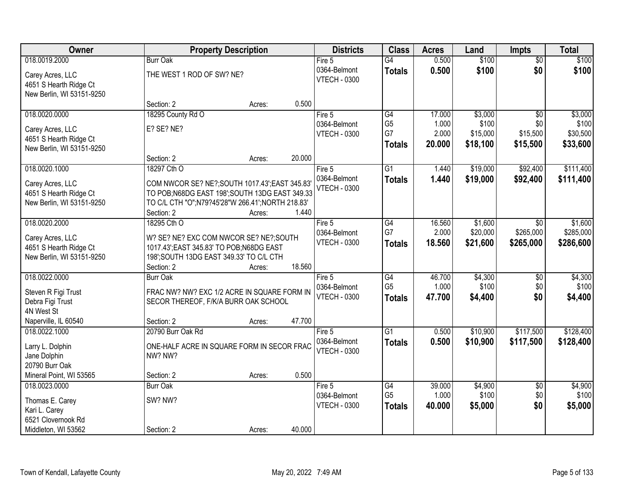| Owner                     | <b>Property Description</b>                                    |        |        | <b>Districts</b>    | <b>Class</b>    | <b>Acres</b> | Land     | <b>Impts</b>    | <b>Total</b> |
|---------------------------|----------------------------------------------------------------|--------|--------|---------------------|-----------------|--------------|----------|-----------------|--------------|
| 018.0019.2000             | <b>Burr Oak</b>                                                |        |        | Fire $5$            | $\overline{G4}$ | 0.500        | \$100    | $\overline{50}$ | \$100        |
| Carey Acres, LLC          | THE WEST 1 ROD OF SW? NE?                                      |        |        | 0364-Belmont        | <b>Totals</b>   | 0.500        | \$100    | \$0             | \$100        |
| 4651 S Hearth Ridge Ct    |                                                                |        |        | <b>VTECH - 0300</b> |                 |              |          |                 |              |
| New Berlin, WI 53151-9250 |                                                                |        |        |                     |                 |              |          |                 |              |
|                           | Section: 2                                                     | Acres: | 0.500  |                     |                 |              |          |                 |              |
| 018.0020.0000             | 18295 County Rd O                                              |        |        | Fire $5$            | G4              | 17.000       | \$3,000  | $\overline{50}$ | \$3,000      |
| Carey Acres, LLC          | E? SE? NE?                                                     |        |        | 0364-Belmont        | G <sub>5</sub>  | 1.000        | \$100    | \$0             | \$100        |
| 4651 S Hearth Ridge Ct    |                                                                |        |        | <b>VTECH - 0300</b> | G7              | 2.000        | \$15,000 | \$15,500        | \$30,500     |
| New Berlin, WI 53151-9250 |                                                                |        |        |                     | <b>Totals</b>   | 20.000       | \$18,100 | \$15,500        | \$33,600     |
|                           | Section: 2                                                     | Acres: | 20.000 |                     |                 |              |          |                 |              |
| 018.0020.1000             | 18297 Cth O                                                    |        |        | Fire 5              | $\overline{G1}$ | 1.440        | \$19,000 | \$92,400        | \$111,400    |
|                           |                                                                |        |        | 0364-Belmont        | <b>Totals</b>   | 1.440        | \$19,000 | \$92,400        | \$111,400    |
| Carey Acres, LLC          | COM NWCOR SE? NE?; SOUTH 1017.43'; EAST 345.83'                |        |        | <b>VTECH - 0300</b> |                 |              |          |                 |              |
| 4651 S Hearth Ridge Ct    | TO POB; N68DG EAST 198'; SOUTH 13DG EAST 349.33                |        |        |                     |                 |              |          |                 |              |
| New Berlin, WI 53151-9250 | TO C/L CTH "O";N79?45'28"W 266.41';NORTH 218.83'<br>Section: 2 |        | 1.440  |                     |                 |              |          |                 |              |
| 018.0020.2000             | 18295 Cth O                                                    | Acres: |        | Fire 5              | $\overline{G4}$ | 16.560       | \$1,600  | $\sqrt{6}$      | \$1,600      |
|                           |                                                                |        |        | 0364-Belmont        | G7              | 2.000        | \$20,000 | \$265,000       | \$285,000    |
| Carey Acres, LLC          | W? SE? NE? EXC COM NWCOR SE? NE?;SOUTH                         |        |        | <b>VTECH - 0300</b> |                 | 18.560       | \$21,600 | \$265,000       | \$286,600    |
| 4651 S Hearth Ridge Ct    | 1017.43'; EAST 345.83' TO POB; N68DG EAST                      |        |        |                     | <b>Totals</b>   |              |          |                 |              |
| New Berlin, WI 53151-9250 | 198'; SOUTH 13DG EAST 349.33' TO C/L CTH                       |        |        |                     |                 |              |          |                 |              |
|                           | Section: 2                                                     | Acres: | 18.560 |                     |                 |              |          |                 |              |
| 018.0022.0000             | <b>Burr Oak</b>                                                |        |        | Fire $5$            | $\overline{G4}$ | 46.700       | \$4,300  | \$0             | \$4,300      |
| Steven R Figi Trust       | FRAC NW? NW? EXC 1/2 ACRE IN SQUARE FORM IN                    |        |        | 0364-Belmont        | G <sub>5</sub>  | 1.000        | \$100    | \$0             | \$100        |
| Debra Figi Trust          | SECOR THEREOF, F/K/A BURR OAK SCHOOL                           |        |        | <b>VTECH - 0300</b> | <b>Totals</b>   | 47.700       | \$4,400  | \$0             | \$4,400      |
| 4N West St                |                                                                |        |        |                     |                 |              |          |                 |              |
| Naperville, IL 60540      | Section: 2                                                     | Acres: | 47.700 |                     |                 |              |          |                 |              |
| 018.0022.1000             | 20790 Burr Oak Rd                                              |        |        | Fire 5              | $\overline{G1}$ | 0.500        | \$10,900 | \$117,500       | \$128,400    |
| Larry L. Dolphin          | ONE-HALF ACRE IN SQUARE FORM IN SECOR FRAC                     |        |        | 0364-Belmont        | <b>Totals</b>   | 0.500        | \$10,900 | \$117,500       | \$128,400    |
| Jane Dolphin              | NW? NW?                                                        |        |        | <b>VTECH - 0300</b> |                 |              |          |                 |              |
| 20790 Burr Oak            |                                                                |        |        |                     |                 |              |          |                 |              |
| Mineral Point, WI 53565   | Section: 2                                                     | Acres: | 0.500  |                     |                 |              |          |                 |              |
| 018.0023.0000             | <b>Burr Oak</b>                                                |        |        | Fire 5              | $\overline{G4}$ | 39.000       | \$4,900  | $\overline{50}$ | \$4,900      |
|                           |                                                                |        |        | 0364-Belmont        | G <sub>5</sub>  | 1.000        | \$100    | \$0             | \$100        |
| Thomas E. Carey           | SW? NW?                                                        |        |        | <b>VTECH - 0300</b> | <b>Totals</b>   | 40.000       | \$5,000  | \$0             | \$5,000      |
| Kari L. Carey             |                                                                |        |        |                     |                 |              |          |                 |              |
| 6521 Clovernook Rd        |                                                                |        |        |                     |                 |              |          |                 |              |
| Middleton, WI 53562       | Section: 2                                                     | Acres: | 40.000 |                     |                 |              |          |                 |              |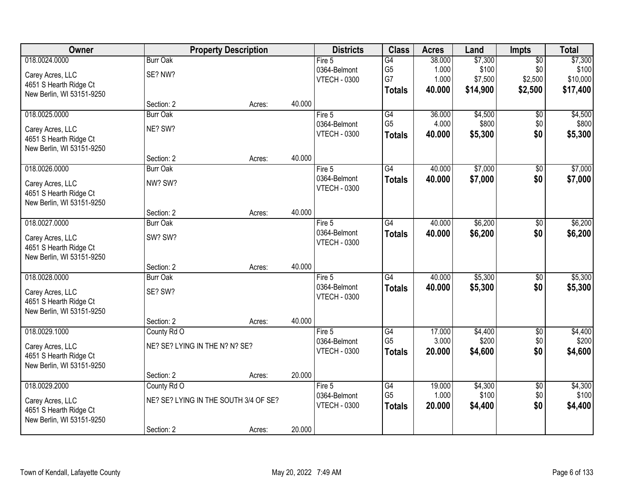| Owner                     |                                | <b>Property Description</b>           |        | <b>Districts</b>                    | <b>Class</b>                      | <b>Acres</b>    | Land             | <b>Impts</b>    | <b>Total</b>     |
|---------------------------|--------------------------------|---------------------------------------|--------|-------------------------------------|-----------------------------------|-----------------|------------------|-----------------|------------------|
| 018.0024.0000             | <b>Burr Oak</b>                |                                       |        | Fire $5$                            | $\overline{G4}$                   | 38.000          | \$7,300          | $\overline{50}$ | \$7,300          |
| Carey Acres, LLC          | SE? NW?                        |                                       |        | 0364-Belmont                        | G <sub>5</sub>                    | 1.000           | \$100            | \$0             | \$100            |
| 4651 S Hearth Ridge Ct    |                                |                                       |        | <b>VTECH - 0300</b>                 | G7                                | 1.000           | \$7,500          | \$2,500         | \$10,000         |
| New Berlin, WI 53151-9250 |                                |                                       |        |                                     | <b>Totals</b>                     | 40.000          | \$14,900         | \$2,500         | \$17,400         |
|                           | Section: 2                     | Acres:                                | 40.000 |                                     |                                   |                 |                  |                 |                  |
| 018.0025.0000             | <b>Burr Oak</b>                |                                       |        | Fire $5$                            | G4                                | 36.000          | \$4,500          | \$0             | \$4,500          |
| Carey Acres, LLC          | NE? SW?                        |                                       |        | 0364-Belmont                        | G <sub>5</sub>                    | 4.000           | \$800            | \$0             | \$800            |
| 4651 S Hearth Ridge Ct    |                                |                                       |        | <b>VTECH - 0300</b>                 | <b>Totals</b>                     | 40.000          | \$5,300          | \$0             | \$5,300          |
| New Berlin, WI 53151-9250 |                                |                                       |        |                                     |                                   |                 |                  |                 |                  |
|                           | Section: 2                     | Acres:                                | 40.000 |                                     |                                   |                 |                  |                 |                  |
| 018.0026.0000             | <b>Burr Oak</b>                |                                       |        | Fire 5                              | $\overline{G4}$                   | 40.000          | \$7,000          | \$0             | \$7,000          |
| Carey Acres, LLC          | NW? SW?                        |                                       |        | 0364-Belmont                        | <b>Totals</b>                     | 40.000          | \$7,000          | \$0             | \$7,000          |
| 4651 S Hearth Ridge Ct    |                                |                                       |        | <b>VTECH - 0300</b>                 |                                   |                 |                  |                 |                  |
| New Berlin, WI 53151-9250 |                                |                                       |        |                                     |                                   |                 |                  |                 |                  |
|                           | Section: 2                     | Acres:                                | 40.000 |                                     |                                   |                 |                  |                 |                  |
| 018.0027.0000             | <b>Burr Oak</b>                |                                       |        | Fire 5                              | $\overline{G4}$                   | 40.000          | \$6,200          | \$0             | \$6,200          |
| Carey Acres, LLC          | SW? SW?                        |                                       |        | 0364-Belmont                        | <b>Totals</b>                     | 40.000          | \$6,200          | \$0             | \$6,200          |
| 4651 S Hearth Ridge Ct    |                                |                                       |        | <b>VTECH - 0300</b>                 |                                   |                 |                  |                 |                  |
| New Berlin, WI 53151-9250 |                                |                                       |        |                                     |                                   |                 |                  |                 |                  |
|                           | Section: 2                     | Acres:                                | 40.000 |                                     |                                   |                 |                  |                 |                  |
| 018.0028.0000             | <b>Burr Oak</b>                |                                       |        | Fire 5                              | $\overline{G4}$                   | 40.000          | \$5,300          | \$0             | \$5,300          |
| Carey Acres, LLC          | SE? SW?                        |                                       |        | 0364-Belmont                        | <b>Totals</b>                     | 40.000          | \$5,300          | \$0             | \$5,300          |
| 4651 S Hearth Ridge Ct    |                                |                                       |        | <b>VTECH - 0300</b>                 |                                   |                 |                  |                 |                  |
| New Berlin, WI 53151-9250 |                                |                                       |        |                                     |                                   |                 |                  |                 |                  |
|                           | Section: 2                     | Acres:                                | 40.000 |                                     |                                   |                 |                  |                 |                  |
| 018.0029.1000             | County Rd O                    |                                       |        | Fire $5$                            | G4<br>G <sub>5</sub>              | 17.000          | \$4,400          | $\overline{60}$ | \$4,400          |
| Carey Acres, LLC          | NE? SE? LYING IN THE N? N? SE? |                                       |        | 0364-Belmont<br><b>VTECH - 0300</b> |                                   | 3.000<br>20,000 | \$200            | \$0<br>\$0      | \$200            |
| 4651 S Hearth Ridge Ct    |                                |                                       |        |                                     | <b>Totals</b>                     |                 | \$4,600          |                 | \$4,600          |
| New Berlin, WI 53151-9250 |                                |                                       |        |                                     |                                   |                 |                  |                 |                  |
|                           | Section: 2                     | Acres:                                | 20.000 |                                     |                                   |                 |                  |                 |                  |
| 018.0029.2000             | County Rd O                    |                                       |        | Fire 5                              | $\overline{G4}$<br>G <sub>5</sub> | 19.000<br>1.000 | \$4,300<br>\$100 | $\overline{30}$ | \$4,300<br>\$100 |
| Carey Acres, LLC          |                                | NE? SE? LYING IN THE SOUTH 3/4 OF SE? |        | 0364-Belmont<br><b>VTECH - 0300</b> |                                   | 20.000          | \$4,400          | \$0<br>\$0      | \$4,400          |
| 4651 S Hearth Ridge Ct    |                                |                                       |        |                                     | <b>Totals</b>                     |                 |                  |                 |                  |
| New Berlin, WI 53151-9250 |                                |                                       |        |                                     |                                   |                 |                  |                 |                  |
|                           | Section: 2                     | Acres:                                | 20.000 |                                     |                                   |                 |                  |                 |                  |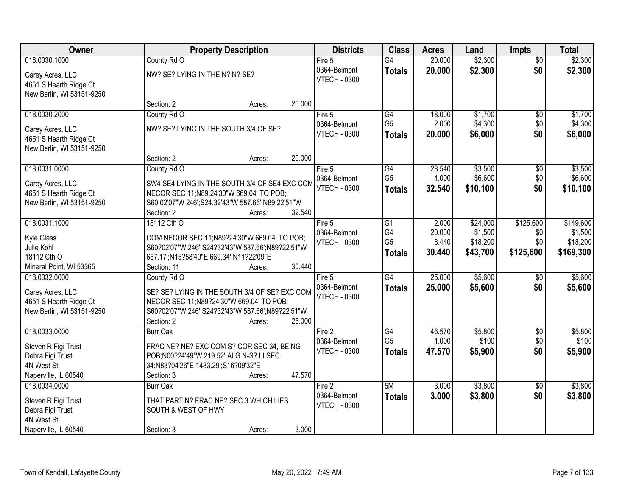| Owner                                                                                          | <b>Property Description</b>                                                                                                                                                                     | <b>Districts</b>                              | <b>Class</b>                                             | <b>Acres</b>                       | Land                                        | <b>Impts</b>                         | <b>Total</b>                                  |
|------------------------------------------------------------------------------------------------|-------------------------------------------------------------------------------------------------------------------------------------------------------------------------------------------------|-----------------------------------------------|----------------------------------------------------------|------------------------------------|---------------------------------------------|--------------------------------------|-----------------------------------------------|
| 018.0030.1000                                                                                  | County Rd O                                                                                                                                                                                     | Fire $5$                                      | $\overline{G4}$                                          | 20.000                             | \$2,300                                     | $\overline{50}$                      | \$2,300                                       |
| Carey Acres, LLC<br>4651 S Hearth Ridge Ct<br>New Berlin, WI 53151-9250                        | NW? SE? LYING IN THE N? N? SE?                                                                                                                                                                  | 0364-Belmont<br><b>VTECH - 0300</b>           | <b>Totals</b>                                            | 20.000                             | \$2,300                                     | \$0                                  | \$2,300                                       |
|                                                                                                | 20.000<br>Section: 2<br>Acres:                                                                                                                                                                  |                                               |                                                          |                                    |                                             |                                      |                                               |
| 018.0030.2000<br>Carey Acres, LLC<br>4651 S Hearth Ridge Ct<br>New Berlin, WI 53151-9250       | County Rd O<br>NW? SE? LYING IN THE SOUTH 3/4 OF SE?                                                                                                                                            | Fire 5<br>0364-Belmont<br><b>VTECH - 0300</b> | G4<br>G <sub>5</sub><br><b>Totals</b>                    | 18.000<br>2.000<br>20.000          | \$1,700<br>\$4,300<br>\$6,000               | \$0<br>\$0<br>\$0                    | \$1,700<br>\$4,300<br>\$6,000                 |
|                                                                                                | 20.000<br>Section: 2<br>Acres:                                                                                                                                                                  |                                               |                                                          |                                    |                                             |                                      |                                               |
| 018.0031.0000<br>Carey Acres, LLC<br>4651 S Hearth Ridge Ct<br>New Berlin, WI 53151-9250       | County Rd O<br>SW4 SE4 LYING IN THE SOUTH 3/4 OF SE4 EXC COM<br>NECOR SEC 11; N89.24'30"W 669.04' TO POB;<br>S60.02'07"W 246';S24.32'43"W 587.66';N89.22'51"W<br>32.540<br>Section: 2<br>Acres: | Fire 5<br>0364-Belmont<br><b>VTECH - 0300</b> | G4<br>G <sub>5</sub><br><b>Totals</b>                    | 28.540<br>4.000<br>32.540          | \$3,500<br>\$6,600<br>\$10,100              | \$0<br>\$0<br>\$0                    | \$3,500<br>\$6,600<br>\$10,100                |
| 018.0031.1000<br>Kyle Glass<br>Julie Kohl<br>18112 Cth O<br>Mineral Point, WI 53565            | 18112 Cth O<br>COM NECOR SEC 11;N89?24'30"W 669.04' TO POB;<br>S60?02'07"W 246';S24?32'43"W 587.66';N89?22'51"W<br>657.17';N15?58'40"E 669.34';N11?22'09"E<br>30.440<br>Section: 11<br>Acres:   | Fire 5<br>0364-Belmont<br><b>VTECH - 0300</b> | $\overline{G1}$<br>G4<br>G <sub>5</sub><br><b>Totals</b> | 2.000<br>20.000<br>8.440<br>30.440 | \$24,000<br>\$1,500<br>\$18,200<br>\$43,700 | \$125,600<br>\$0<br>\$0<br>\$125,600 | \$149,600<br>\$1,500<br>\$18,200<br>\$169,300 |
| 018.0032.0000<br>Carey Acres, LLC<br>4651 S Hearth Ridge Ct<br>New Berlin, WI 53151-9250       | County Rd O<br>SE? SE? LYING IN THE SOUTH 3/4 OF SE? EXC COM<br>NECOR SEC 11; N89?24'30"W 669.04' TO POB;<br>S60?02'07"W 246';S24?32'43"W 587.66';N89?22'51"W<br>Section: 2<br>25.000<br>Acres: | Fire 5<br>0364-Belmont<br><b>VTECH - 0300</b> | $\overline{G4}$<br><b>Totals</b>                         | 25.000<br>25,000                   | \$5,600<br>\$5,600                          | $\overline{50}$<br>\$0               | \$5,600<br>\$5,600                            |
| 018.0033.0000<br>Steven R Figi Trust<br>Debra Figi Trust<br>4N West St<br>Naperville, IL 60540 | <b>Burr Oak</b><br>FRAC NE? NE? EXC COM S? COR SEC 34, BEING<br>POB;N00?24'49"W 219.52' ALG N-S? LI SEC<br>34;N83?04'26"E 1483.29';S16?09'32"E<br>47.570<br>Section: 3<br>Acres:                | Fire 2<br>0364-Belmont<br><b>VTECH - 0300</b> | $\overline{G4}$<br>G <sub>5</sub><br><b>Totals</b>       | 46.570<br>1.000<br>47.570          | \$5,800<br>\$100<br>\$5,900                 | $\sqrt{$0}$<br>\$0<br>\$0            | \$5,800<br>\$100<br>\$5,900                   |
| 018.0034.0000<br>Steven R Figi Trust<br>Debra Figi Trust<br>4N West St<br>Naperville, IL 60540 | <b>Burr Oak</b><br>THAT PART N? FRAC NE? SEC 3 WHICH LIES<br>SOUTH & WEST OF HWY<br>3.000<br>Section: 3<br>Acres:                                                                               | Fire 2<br>0364-Belmont<br><b>VTECH - 0300</b> | 5M<br><b>Totals</b>                                      | 3.000<br>3.000                     | \$3,800<br>\$3,800                          | $\overline{50}$<br>\$0               | \$3,800<br>\$3,800                            |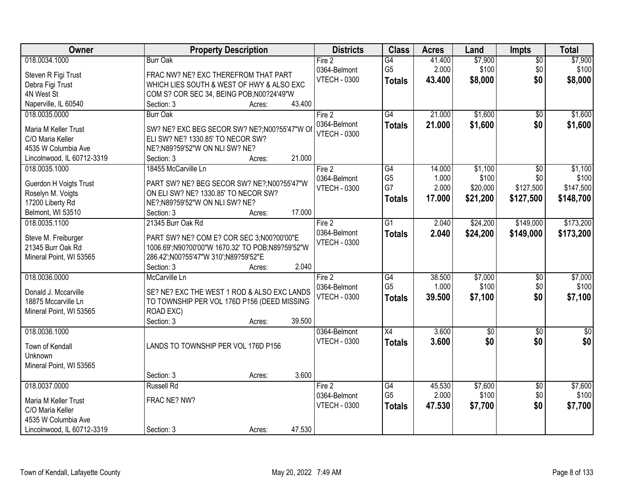| Owner                                   | <b>Property Description</b>                                                      | <b>Districts</b>    | <b>Class</b>    | <b>Acres</b> | Land            | <b>Impts</b>    | <b>Total</b> |
|-----------------------------------------|----------------------------------------------------------------------------------|---------------------|-----------------|--------------|-----------------|-----------------|--------------|
| 018.0034.1000                           | <b>Burr Oak</b>                                                                  | Fire 2              | G4              | 41.400       | \$7,900         | $\overline{50}$ | \$7,900      |
| Steven R Figi Trust                     | FRAC NW? NE? EXC THEREFROM THAT PART                                             | 0364-Belmont        | G <sub>5</sub>  | 2.000        | \$100           | \$0             | \$100        |
| Debra Figi Trust                        | WHICH LIES SOUTH & WEST OF HWY & ALSO EXC                                        | <b>VTECH - 0300</b> | <b>Totals</b>   | 43.400       | \$8,000         | \$0             | \$8,000      |
| 4N West St                              | COM S? COR SEC 34, BEING POB;N00?24'49"W                                         |                     |                 |              |                 |                 |              |
| Naperville, IL 60540                    | 43.400<br>Section: 3<br>Acres:                                                   |                     |                 |              |                 |                 |              |
| 018.0035.0000                           | <b>Burr Oak</b>                                                                  | Fire 2              | G4              | 21.000       | \$1,600         | $\overline{50}$ | \$1,600      |
|                                         |                                                                                  | 0364-Belmont        | <b>Totals</b>   | 21.000       | \$1,600         | \$0             | \$1,600      |
| Maria M Keller Trust                    | SW? NE? EXC BEG SECOR SW? NE?;N00?55'47"W O<br>ELI SW? NE? 1330.85' TO NECOR SW? | <b>VTECH - 0300</b> |                 |              |                 |                 |              |
| C/O Maria Keller<br>4535 W Columbia Ave | NE?: N89?59'52"W ON NLI SW? NE?                                                  |                     |                 |              |                 |                 |              |
| Lincolnwood, IL 60712-3319              | 21.000<br>Section: 3<br>Acres:                                                   |                     |                 |              |                 |                 |              |
| 018.0035.1000                           | 18455 McCarville Ln                                                              | Fire 2              | G4              | 14.000       | \$1,100         | \$0             | \$1,100      |
|                                         |                                                                                  | 0364-Belmont        | G <sub>5</sub>  | 1.000        | \$100           | \$0             | \$100        |
| Guerdon H Voigts Trust                  | PART SW? NE? BEG SECOR SW? NE?;N00?55'47"W                                       | <b>VTECH - 0300</b> | G7              | 2.000        | \$20,000        | \$127,500       | \$147,500    |
| Roselyn M. Voigts                       | ON ELI SW? NE? 1330.85' TO NECOR SW?                                             |                     | <b>Totals</b>   | 17.000       | \$21,200        | \$127,500       | \$148,700    |
| 17200 Liberty Rd                        | NE?;N89?59'52"W ON NLI SW? NE?                                                   |                     |                 |              |                 |                 |              |
| Belmont, WI 53510                       | 17.000<br>Section: 3<br>Acres:                                                   |                     |                 |              |                 |                 |              |
| 018.0035.1100                           | 21345 Burr Oak Rd                                                                | Fire 2              | $\overline{G1}$ | 2.040        | \$24,200        | \$149,000       | \$173,200    |
| Steve M. Freiburger                     | PART SW? NE? COM E? COR SEC 3;N00?00'00"E                                        | 0364-Belmont        | <b>Totals</b>   | 2.040        | \$24,200        | \$149,000       | \$173,200    |
| 21345 Burr Oak Rd                       | 1006.69';N90?00'00"W 1670.32' TO POB;N89?59'52"W                                 | <b>VTECH - 0300</b> |                 |              |                 |                 |              |
| Mineral Point, WI 53565                 | 286.42';N00?55'47"W 310';N89?59'52"E                                             |                     |                 |              |                 |                 |              |
|                                         | 2.040<br>Section: 3<br>Acres:                                                    |                     |                 |              |                 |                 |              |
| 018.0036.0000                           | McCarville Ln                                                                    | Fire 2              | G4              | 38.500       | \$7,000         | \$0             | \$7,000      |
|                                         |                                                                                  | 0364-Belmont        | G <sub>5</sub>  | 1.000        | \$100           | \$0             | \$100        |
| Donald J. Mccarville                    | SE? NE? EXC THE WEST 1 ROD & ALSO EXC LANDS                                      | <b>VTECH - 0300</b> | <b>Totals</b>   | 39.500       | \$7,100         | \$0             | \$7,100      |
| 18875 Mccarville Ln                     | TO TOWNSHIP PER VOL 176D P156 (DEED MISSING                                      |                     |                 |              |                 |                 |              |
| Mineral Point, WI 53565                 | ROAD EXC)                                                                        |                     |                 |              |                 |                 |              |
|                                         | 39.500<br>Section: 3<br>Acres:                                                   |                     |                 |              |                 |                 |              |
| 018.0036.1000                           |                                                                                  | 0364-Belmont        | $\overline{X4}$ | 3.600        | $\overline{60}$ | $\overline{60}$ | $\sqrt{50}$  |
| Town of Kendall                         | LANDS TO TOWNSHIP PER VOL 176D P156                                              | <b>VTECH - 0300</b> | <b>Totals</b>   | 3.600        | \$0             | \$0             | \$0          |
| Unknown                                 |                                                                                  |                     |                 |              |                 |                 |              |
| Mineral Point, WI 53565                 |                                                                                  |                     |                 |              |                 |                 |              |
|                                         | 3.600<br>Section: 3<br>Acres:                                                    |                     |                 |              |                 |                 |              |
| 018.0037.0000                           | <b>Russell Rd</b>                                                                | Fire 2              | $\overline{G4}$ | 45.530       | \$7,600         | $\overline{50}$ | \$7,600      |
| Maria M Keller Trust                    | FRAC NE? NW?                                                                     | 0364-Belmont        | G <sub>5</sub>  | 2.000        | \$100           | \$0             | \$100        |
| C/O Maria Keller                        |                                                                                  | <b>VTECH - 0300</b> | <b>Totals</b>   | 47.530       | \$7,700         | \$0             | \$7,700      |
| 4535 W Columbia Ave                     |                                                                                  |                     |                 |              |                 |                 |              |
| Lincolnwood, IL 60712-3319              | 47.530<br>Section: 3<br>Acres:                                                   |                     |                 |              |                 |                 |              |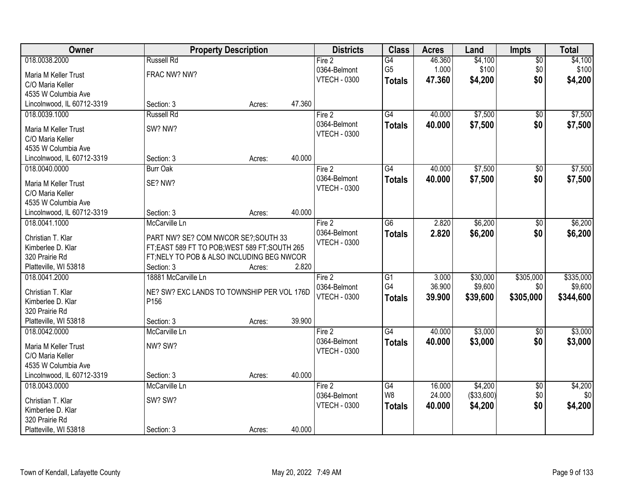| Owner                      |                                             | <b>Property Description</b> |        | <b>Districts</b>    | <b>Class</b>    | <b>Acres</b> | Land        | Impts           | <b>Total</b> |
|----------------------------|---------------------------------------------|-----------------------------|--------|---------------------|-----------------|--------------|-------------|-----------------|--------------|
| 018.0038.2000              | <b>Russell Rd</b>                           |                             |        | Fire 2              | G4              | 46.360       | \$4,100     | $\overline{50}$ | \$4,100      |
| Maria M Keller Trust       | FRAC NW? NW?                                |                             |        | 0364-Belmont        | G <sub>5</sub>  | 1.000        | \$100       | \$0             | \$100        |
| C/O Maria Keller           |                                             |                             |        | <b>VTECH - 0300</b> | <b>Totals</b>   | 47.360       | \$4,200     | \$0             | \$4,200      |
| 4535 W Columbia Ave        |                                             |                             |        |                     |                 |              |             |                 |              |
| Lincolnwood, IL 60712-3319 | Section: 3                                  | Acres:                      | 47.360 |                     |                 |              |             |                 |              |
| 018.0039.1000              | <b>Russell Rd</b>                           |                             |        | Fire 2              | G4              | 40.000       | \$7,500     | $\overline{50}$ | \$7,500      |
|                            |                                             |                             |        | 0364-Belmont        | <b>Totals</b>   | 40.000       | \$7,500     | \$0             | \$7,500      |
| Maria M Keller Trust       | SW? NW?                                     |                             |        | <b>VTECH - 0300</b> |                 |              |             |                 |              |
| C/O Maria Keller           |                                             |                             |        |                     |                 |              |             |                 |              |
| 4535 W Columbia Ave        |                                             |                             | 40.000 |                     |                 |              |             |                 |              |
| Lincolnwood, IL 60712-3319 | Section: 3                                  | Acres:                      |        |                     |                 |              |             |                 |              |
| 018.0040.0000              | <b>Burr Oak</b>                             |                             |        | Fire 2              | $\overline{G4}$ | 40.000       | \$7,500     | $\overline{50}$ | \$7,500      |
| Maria M Keller Trust       | SE? NW?                                     |                             |        | 0364-Belmont        | <b>Totals</b>   | 40.000       | \$7,500     | \$0             | \$7,500      |
| C/O Maria Keller           |                                             |                             |        | <b>VTECH - 0300</b> |                 |              |             |                 |              |
| 4535 W Columbia Ave        |                                             |                             |        |                     |                 |              |             |                 |              |
| Lincolnwood, IL 60712-3319 | Section: 3                                  | Acres:                      | 40.000 |                     |                 |              |             |                 |              |
| 018.0041.1000              | McCarville Ln                               |                             |        | Fire 2              | G <sub>6</sub>  | 2.820        | \$6,200     | \$0             | \$6,200      |
| Christian T. Klar          | PART NW? SE? COM NWCOR SE?; SOUTH 33        |                             |        | 0364-Belmont        | <b>Totals</b>   | 2.820        | \$6,200     | \$0             | \$6,200      |
| Kimberlee D. Klar          | FT;EAST 589 FT TO POB;WEST 589 FT;SOUTH 265 |                             |        | <b>VTECH - 0300</b> |                 |              |             |                 |              |
| 320 Prairie Rd             | FT; NELY TO POB & ALSO INCLUDING BEG NWCOR  |                             |        |                     |                 |              |             |                 |              |
| Platteville, WI 53818      | Section: 3                                  | Acres:                      | 2.820  |                     |                 |              |             |                 |              |
| 018.0041.2000              | 18881 McCarville Ln                         |                             |        | Fire 2              | $\overline{G1}$ | 3.000        | \$30,000    | \$305,000       | \$335,000    |
|                            |                                             |                             |        | 0364-Belmont        | G4              | 36.900       | \$9,600     | \$0             | \$9,600      |
| Christian T. Klar          | NE? SW? EXC LANDS TO TOWNSHIP PER VOL 176D  |                             |        | <b>VTECH - 0300</b> | <b>Totals</b>   | 39.900       | \$39,600    | \$305,000       | \$344,600    |
| Kimberlee D. Klar          | P156                                        |                             |        |                     |                 |              |             |                 |              |
| 320 Prairie Rd             |                                             |                             |        |                     |                 |              |             |                 |              |
| Platteville, WI 53818      | Section: 3                                  | Acres:                      | 39.900 |                     |                 |              |             |                 |              |
| 018.0042.0000              | McCarville Ln                               |                             |        | Fire 2              | $\overline{G4}$ | 40.000       | \$3,000     | $\overline{60}$ | \$3,000      |
| Maria M Keller Trust       | NW? SW?                                     |                             |        | 0364-Belmont        | <b>Totals</b>   | 40.000       | \$3,000     | \$0             | \$3,000      |
| C/O Maria Keller           |                                             |                             |        | <b>VTECH - 0300</b> |                 |              |             |                 |              |
| 4535 W Columbia Ave        |                                             |                             |        |                     |                 |              |             |                 |              |
| Lincolnwood, IL 60712-3319 | Section: 3                                  | Acres:                      | 40.000 |                     |                 |              |             |                 |              |
| 018.0043.0000              | McCarville Ln                               |                             |        | Fire 2              | G4              | 16.000       | \$4,200     | $\overline{50}$ | \$4,200      |
|                            |                                             |                             |        | 0364-Belmont        | W <sub>8</sub>  | 24.000       | ( \$33,600) | \$0             | \$0          |
| Christian T. Klar          | SW? SW?                                     |                             |        | <b>VTECH - 0300</b> | <b>Totals</b>   | 40.000       | \$4,200     | \$0             | \$4,200      |
| Kimberlee D. Klar          |                                             |                             |        |                     |                 |              |             |                 |              |
| 320 Prairie Rd             |                                             |                             |        |                     |                 |              |             |                 |              |
| Platteville, WI 53818      | Section: 3                                  | Acres:                      | 40.000 |                     |                 |              |             |                 |              |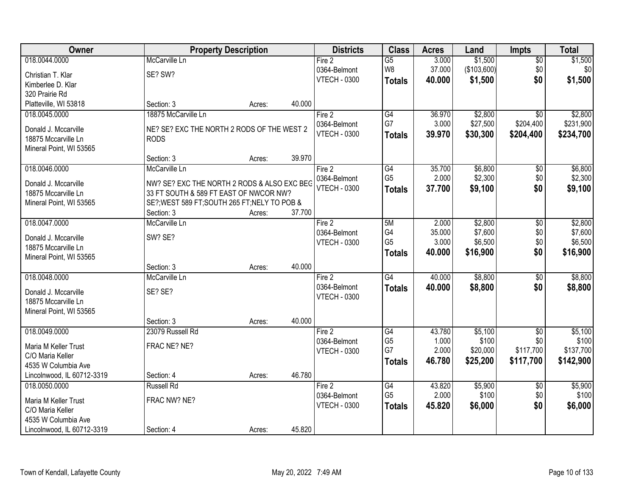| Owner                      |                                               | <b>Property Description</b> |        | <b>Districts</b>    | <b>Class</b>    | <b>Acres</b> | Land        | <b>Impts</b>    | <b>Total</b> |
|----------------------------|-----------------------------------------------|-----------------------------|--------|---------------------|-----------------|--------------|-------------|-----------------|--------------|
| 018.0044.0000              | McCarville Ln                                 |                             |        | Fire 2              | $\overline{G5}$ | 3.000        | \$1,500     | $\overline{50}$ | \$1,500      |
| Christian T. Klar          | SE? SW?                                       |                             |        | 0364-Belmont        | W8              | 37.000       | (\$103,600) | \$0             | \$0          |
| Kimberlee D. Klar          |                                               |                             |        | <b>VTECH - 0300</b> | <b>Totals</b>   | 40.000       | \$1,500     | \$0             | \$1,500      |
| 320 Prairie Rd             |                                               |                             |        |                     |                 |              |             |                 |              |
| Platteville, WI 53818      | Section: 3                                    | Acres:                      | 40.000 |                     |                 |              |             |                 |              |
| 018.0045.0000              | 18875 McCarville Ln                           |                             |        | Fire 2              | G4              | 36.970       | \$2,800     | $\overline{30}$ | \$2,800      |
| Donald J. Mccarville       | NE? SE? EXC THE NORTH 2 RODS OF THE WEST 2    |                             |        | 0364-Belmont        | G7              | 3.000        | \$27,500    | \$204,400       | \$231,900    |
| 18875 Mccarville Ln        | <b>RODS</b>                                   |                             |        | <b>VTECH - 0300</b> | <b>Totals</b>   | 39.970       | \$30,300    | \$204,400       | \$234,700    |
| Mineral Point, WI 53565    |                                               |                             |        |                     |                 |              |             |                 |              |
|                            | Section: 3                                    | Acres:                      | 39.970 |                     |                 |              |             |                 |              |
| 018.0046.0000              | McCarville Ln                                 |                             |        | Fire 2              | $\overline{G4}$ | 35.700       | \$6,800     | $\overline{50}$ | \$6,800      |
| Donald J. Mccarville       | NW? SE? EXC THE NORTH 2 RODS & ALSO EXC BEG   |                             |        | 0364-Belmont        | G <sub>5</sub>  | 2.000        | \$2,300     | \$0             | \$2,300      |
| 18875 Mccarville Ln        | 33 FT SOUTH & 589 FT EAST OF NWCOR NW?        |                             |        | <b>VTECH - 0300</b> | <b>Totals</b>   | 37.700       | \$9,100     | \$0             | \$9,100      |
| Mineral Point, WI 53565    | SE?; WEST 589 FT; SOUTH 265 FT; NELY TO POB & |                             |        |                     |                 |              |             |                 |              |
|                            | Section: 3                                    | Acres:                      | 37.700 |                     |                 |              |             |                 |              |
| 018.0047.0000              | McCarville Ln                                 |                             |        | Fire 2              | 5M              | 2.000        | \$2,800     | \$0             | \$2,800      |
| Donald J. Mccarville       | SW? SE?                                       |                             |        | 0364-Belmont        | G4              | 35.000       | \$7,600     | \$0             | \$7,600      |
| 18875 Mccarville Ln        |                                               |                             |        | <b>VTECH - 0300</b> | G <sub>5</sub>  | 3.000        | \$6,500     | \$0             | \$6,500      |
| Mineral Point, WI 53565    |                                               |                             |        |                     | <b>Totals</b>   | 40.000       | \$16,900    | \$0             | \$16,900     |
|                            | Section: 3                                    | Acres:                      | 40.000 |                     |                 |              |             |                 |              |
| 018.0048.0000              | McCarville Ln                                 |                             |        | Fire 2              | G4              | 40.000       | \$8,800     | $\overline{50}$ | \$8,800      |
| Donald J. Mccarville       | SE? SE?                                       |                             |        | 0364-Belmont        | <b>Totals</b>   | 40.000       | \$8,800     | \$0             | \$8,800      |
| 18875 Mccarville Ln        |                                               |                             |        | <b>VTECH - 0300</b> |                 |              |             |                 |              |
| Mineral Point, WI 53565    |                                               |                             |        |                     |                 |              |             |                 |              |
|                            | Section: 3                                    | Acres:                      | 40.000 |                     |                 |              |             |                 |              |
| 018.0049.0000              | 23079 Russell Rd                              |                             |        | Fire 2              | G4              | 43.780       | \$5,100     | $\sqrt{6}$      | \$5,100      |
| Maria M Keller Trust       | FRAC NE? NE?                                  |                             |        | 0364-Belmont        | G <sub>5</sub>  | 1.000        | \$100       | \$0             | \$100        |
| C/O Maria Keller           |                                               |                             |        | <b>VTECH - 0300</b> | G7              | 2.000        | \$20,000    | \$117,700       | \$137,700    |
| 4535 W Columbia Ave        |                                               |                             |        |                     | <b>Totals</b>   | 46.780       | \$25,200    | \$117,700       | \$142,900    |
| Lincolnwood, IL 60712-3319 | Section: 4                                    | Acres:                      | 46.780 |                     |                 |              |             |                 |              |
| 018.0050.0000              | <b>Russell Rd</b>                             |                             |        | Fire 2              | G4              | 43.820       | \$5,900     | $\overline{30}$ | \$5,900      |
| Maria M Keller Trust       | FRAC NW? NE?                                  |                             |        | 0364-Belmont        | G <sub>5</sub>  | 2.000        | \$100       | \$0             | \$100        |
| C/O Maria Keller           |                                               |                             |        | <b>VTECH - 0300</b> | <b>Totals</b>   | 45.820       | \$6,000     | \$0             | \$6,000      |
| 4535 W Columbia Ave        |                                               |                             |        |                     |                 |              |             |                 |              |
| Lincolnwood, IL 60712-3319 | Section: 4                                    | Acres:                      | 45.820 |                     |                 |              |             |                 |              |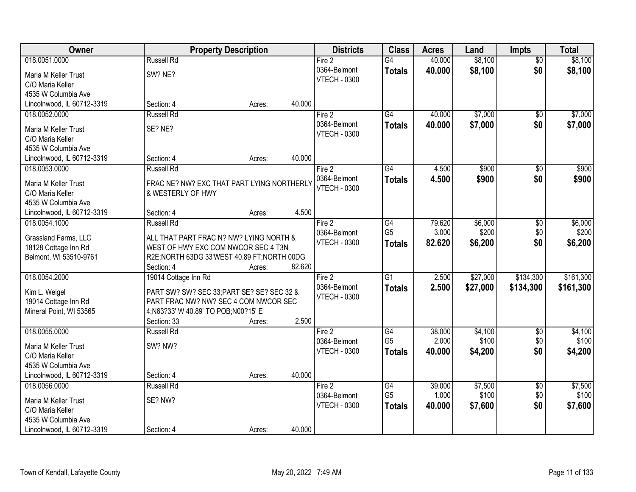| Owner                                           |                                                                              | <b>Property Description</b> |        |                     | <b>Class</b>    | <b>Acres</b> | Land     | <b>Impts</b>    | <b>Total</b> |
|-------------------------------------------------|------------------------------------------------------------------------------|-----------------------------|--------|---------------------|-----------------|--------------|----------|-----------------|--------------|
| 018.0051.0000                                   | <b>Russell Rd</b>                                                            |                             |        | Fire 2              | G4              | 40.000       | \$8,100  | $\overline{50}$ | \$8,100      |
| Maria M Keller Trust                            | SW? NE?                                                                      |                             |        | 0364-Belmont        | <b>Totals</b>   | 40.000       | \$8,100  | \$0             | \$8,100      |
| C/O Maria Keller                                |                                                                              |                             |        | <b>VTECH - 0300</b> |                 |              |          |                 |              |
| 4535 W Columbia Ave                             |                                                                              |                             |        |                     |                 |              |          |                 |              |
| Lincolnwood, IL 60712-3319                      | Section: 4                                                                   | Acres:                      | 40.000 |                     |                 |              |          |                 |              |
| 018.0052.0000                                   | <b>Russell Rd</b>                                                            |                             |        | Fire 2              | G4              | 40.000       | \$7,000  | $\overline{50}$ | \$7,000      |
|                                                 | SE? NE?                                                                      |                             |        | 0364-Belmont        | <b>Totals</b>   | 40.000       | \$7,000  | \$0             | \$7,000      |
| Maria M Keller Trust<br>C/O Maria Keller        |                                                                              |                             |        | <b>VTECH - 0300</b> |                 |              |          |                 |              |
| 4535 W Columbia Ave                             |                                                                              |                             |        |                     |                 |              |          |                 |              |
| Lincolnwood, IL 60712-3319                      | Section: 4                                                                   | Acres:                      | 40.000 |                     |                 |              |          |                 |              |
| 018.0053.0000                                   | <b>Russell Rd</b>                                                            |                             |        | Fire 2              | $\overline{G4}$ | 4.500        | \$900    | $\overline{50}$ | \$900        |
|                                                 |                                                                              |                             |        | 0364-Belmont        |                 | 4.500        | \$900    | \$0             | \$900        |
| Maria M Keller Trust                            | FRAC NE? NW? EXC THAT PART LYING NORTHERLY                                   |                             |        | <b>VTECH - 0300</b> | <b>Totals</b>   |              |          |                 |              |
| C/O Maria Keller                                | & WESTERLY OF HWY                                                            |                             |        |                     |                 |              |          |                 |              |
| 4535 W Columbia Ave                             |                                                                              |                             |        |                     |                 |              |          |                 |              |
| Lincolnwood, IL 60712-3319                      | Section: 4                                                                   | Acres:                      | 4.500  |                     |                 |              |          |                 |              |
| 018.0054.1000                                   | <b>Russell Rd</b>                                                            |                             |        | Fire 2              | $\overline{G4}$ | 79.620       | \$6,000  | \$0             | \$6,000      |
| Grassland Farms, LLC                            | ALL THAT PART FRAC N? NW? LYING NORTH &                                      |                             |        | 0364-Belmont        | G <sub>5</sub>  | 3.000        | \$200    | \$0             | \$200        |
| 18128 Cottage Inn Rd                            | WEST OF HWY EXC COM NWCOR SEC 4 T3N                                          |                             |        | <b>VTECH - 0300</b> | <b>Totals</b>   | 82.620       | \$6,200  | \$0             | \$6,200      |
| Belmont, WI 53510-9761                          | R2E; NORTH 63DG 33'WEST 40.89 FT; NORTH 00DG                                 |                             |        |                     |                 |              |          |                 |              |
|                                                 | Section: 4                                                                   | Acres:                      | 82.620 |                     |                 |              |          |                 |              |
| 018.0054.2000                                   | 19014 Cottage Inn Rd                                                         |                             |        | Fire 2              | $\overline{G1}$ | 2.500        | \$27,000 | \$134,300       | \$161,300    |
|                                                 |                                                                              |                             |        | 0364-Belmont        | <b>Totals</b>   | 2.500        | \$27,000 | \$134,300       | \$161,300    |
| Kim L. Weigel                                   | PART SW? SW? SEC 33; PART SE? SE? SEC 32 &                                   |                             |        | <b>VTECH - 0300</b> |                 |              |          |                 |              |
| 19014 Cottage Inn Rd<br>Mineral Point, WI 53565 | PART FRAC NW? NW? SEC 4 COM NWCOR SEC<br>4;N63?33' W 40.89' TO POB;N00?15' E |                             |        |                     |                 |              |          |                 |              |
|                                                 | Section: 33                                                                  | Acres:                      | 2.500  |                     |                 |              |          |                 |              |
| 018.0055.0000                                   | Russell Rd                                                                   |                             |        | Fire 2              | G4              | 38.000       | \$4,100  | $\sqrt{$0}$     | \$4,100      |
|                                                 |                                                                              |                             |        | 0364-Belmont        | G <sub>5</sub>  | 2.000        | \$100    | \$0             | \$100        |
| Maria M Keller Trust                            | SW? NW?                                                                      |                             |        | <b>VTECH - 0300</b> | <b>Totals</b>   | 40.000       | \$4,200  | \$0             | \$4,200      |
| C/O Maria Keller                                |                                                                              |                             |        |                     |                 |              |          |                 |              |
| 4535 W Columbia Ave                             |                                                                              |                             |        |                     |                 |              |          |                 |              |
| Lincolnwood, IL 60712-3319                      | Section: 4                                                                   | Acres:                      | 40.000 |                     |                 |              |          |                 |              |
| 018.0056.0000                                   | <b>Russell Rd</b>                                                            |                             |        | Fire 2              | $\overline{G4}$ | 39.000       | \$7,500  | $\overline{50}$ | \$7,500      |
| Maria M Keller Trust                            | SE? NW?                                                                      |                             |        | 0364-Belmont        | G <sub>5</sub>  | 1.000        | \$100    | \$0             | \$100        |
| C/O Maria Keller                                |                                                                              |                             |        | <b>VTECH - 0300</b> | <b>Totals</b>   | 40.000       | \$7,600  | \$0             | \$7,600      |
| 4535 W Columbia Ave                             |                                                                              |                             |        |                     |                 |              |          |                 |              |
| Lincolnwood, IL 60712-3319                      | Section: 4                                                                   | Acres:                      | 40.000 |                     |                 |              |          |                 |              |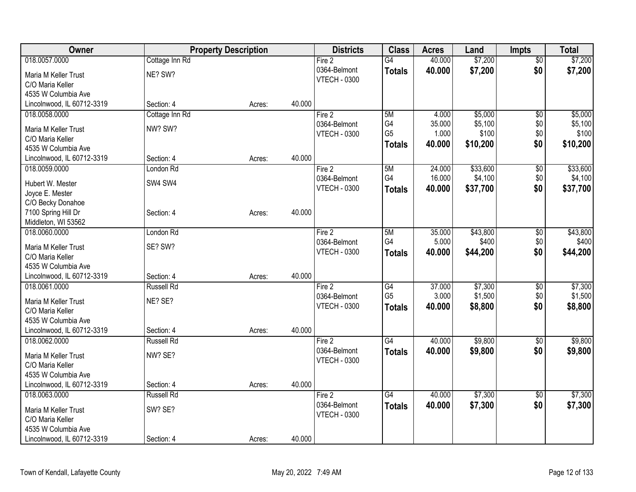| Owner                                    | <b>Property Description</b> |        | <b>Districts</b> | <b>Class</b>        | <b>Acres</b>    | Land   | <b>Impts</b> | <b>Total</b>    |          |
|------------------------------------------|-----------------------------|--------|------------------|---------------------|-----------------|--------|--------------|-----------------|----------|
| 018.0057.0000                            | Cottage Inn Rd              |        |                  | Fire 2              | $\overline{G4}$ | 40.000 | \$7,200      | $\overline{50}$ | \$7,200  |
| Maria M Keller Trust                     | NE? SW?                     |        |                  | 0364-Belmont        | <b>Totals</b>   | 40.000 | \$7,200      | \$0             | \$7,200  |
| C/O Maria Keller                         |                             |        |                  | <b>VTECH - 0300</b> |                 |        |              |                 |          |
| 4535 W Columbia Ave                      |                             |        |                  |                     |                 |        |              |                 |          |
| Lincolnwood, IL 60712-3319               | Section: 4                  | Acres: | 40.000           |                     |                 |        |              |                 |          |
| 018.0058.0000                            | Cottage Inn Rd              |        |                  | Fire 2              | 5M              | 4.000  | \$5,000      | \$0             | \$5,000  |
| Maria M Keller Trust                     | NW? SW?                     |        |                  | 0364-Belmont        | G4              | 35.000 | \$5,100      | \$0             | \$5,100  |
| C/O Maria Keller                         |                             |        |                  | <b>VTECH - 0300</b> | G <sub>5</sub>  | 1.000  | \$100        | \$0             | \$100    |
| 4535 W Columbia Ave                      |                             |        |                  |                     | <b>Totals</b>   | 40.000 | \$10,200     | \$0             | \$10,200 |
| Lincolnwood, IL 60712-3319               | Section: 4                  | Acres: | 40.000           |                     |                 |        |              |                 |          |
| 018.0059.0000                            | London Rd                   |        |                  | Fire 2              | 5M              | 24.000 | \$33,600     | \$0             | \$33,600 |
|                                          |                             |        |                  | 0364-Belmont        | G4              | 16.000 | \$4,100      | \$0             | \$4,100  |
| Hubert W. Mester                         | SW4 SW4                     |        |                  | <b>VTECH - 0300</b> | <b>Totals</b>   | 40.000 | \$37,700     | \$0             | \$37,700 |
| Joyce E. Mester                          |                             |        |                  |                     |                 |        |              |                 |          |
| C/O Becky Donahoe<br>7100 Spring Hill Dr | Section: 4                  | Acres: | 40.000           |                     |                 |        |              |                 |          |
| Middleton, WI 53562                      |                             |        |                  |                     |                 |        |              |                 |          |
| 018.0060.0000                            | London Rd                   |        |                  | Fire 2              | 5M              | 35.000 | \$43,800     | \$0             | \$43,800 |
|                                          |                             |        |                  | 0364-Belmont        | G4              | 5.000  | \$400        | \$0             | \$400    |
| Maria M Keller Trust                     | SE? SW?                     |        |                  | <b>VTECH - 0300</b> | <b>Totals</b>   | 40.000 | \$44,200     | \$0             | \$44,200 |
| C/O Maria Keller                         |                             |        |                  |                     |                 |        |              |                 |          |
| 4535 W Columbia Ave                      |                             |        |                  |                     |                 |        |              |                 |          |
| Lincolnwood, IL 60712-3319               | Section: 4                  | Acres: | 40.000           |                     |                 |        |              |                 |          |
| 018.0061.0000                            | <b>Russell Rd</b>           |        |                  | Fire 2              | G4              | 37.000 | \$7,300      | $\sqrt[6]{3}$   | \$7,300  |
| Maria M Keller Trust                     | NE? SE?                     |        |                  | 0364-Belmont        | G <sub>5</sub>  | 3.000  | \$1,500      | \$0             | \$1,500  |
| C/O Maria Keller                         |                             |        |                  | <b>VTECH - 0300</b> | <b>Totals</b>   | 40.000 | \$8,800      | \$0             | \$8,800  |
| 4535 W Columbia Ave                      |                             |        |                  |                     |                 |        |              |                 |          |
| Lincolnwood, IL 60712-3319               | Section: 4                  | Acres: | 40.000           |                     |                 |        |              |                 |          |
| 018.0062.0000                            | <b>Russell Rd</b>           |        |                  | Fire 2              | $\overline{G4}$ | 40.000 | \$9,800      | $\sqrt{6}$      | \$9,800  |
| Maria M Keller Trust                     | NW? SE?                     |        |                  | 0364-Belmont        | <b>Totals</b>   | 40.000 | \$9,800      | \$0             | \$9,800  |
| C/O Maria Keller                         |                             |        |                  | <b>VTECH - 0300</b> |                 |        |              |                 |          |
| 4535 W Columbia Ave                      |                             |        |                  |                     |                 |        |              |                 |          |
| Lincolnwood, IL 60712-3319               | Section: 4                  | Acres: | 40.000           |                     |                 |        |              |                 |          |
| 018.0063.0000                            | <b>Russell Rd</b>           |        |                  | Fire 2              | $\overline{G4}$ | 40.000 | \$7,300      | $\overline{30}$ | \$7,300  |
|                                          |                             |        |                  | 0364-Belmont        | <b>Totals</b>   | 40.000 | \$7,300      | \$0             | \$7,300  |
| Maria M Keller Trust                     | SW? SE?                     |        |                  | <b>VTECH - 0300</b> |                 |        |              |                 |          |
| C/O Maria Keller<br>4535 W Columbia Ave  |                             |        |                  |                     |                 |        |              |                 |          |
| Lincolnwood, IL 60712-3319               | Section: 4                  |        | 40.000           |                     |                 |        |              |                 |          |
|                                          |                             | Acres: |                  |                     |                 |        |              |                 |          |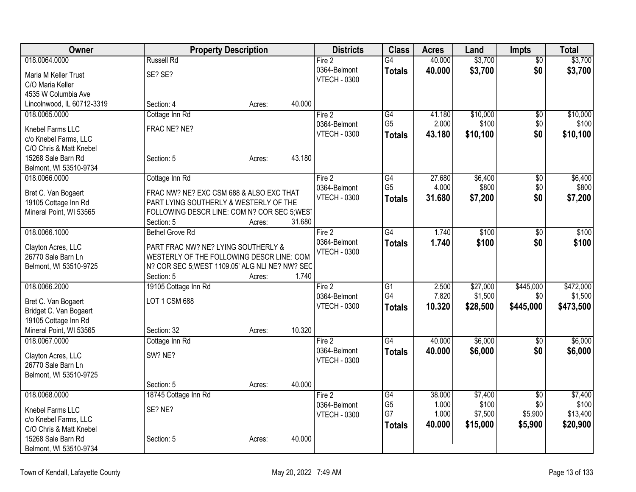| Owner                                           | <b>Property Description</b>                                                        |        |        | <b>Districts</b>    | <b>Class</b>    | <b>Acres</b> | Land     | <b>Impts</b>    | <b>Total</b> |
|-------------------------------------------------|------------------------------------------------------------------------------------|--------|--------|---------------------|-----------------|--------------|----------|-----------------|--------------|
| 018.0064.0000                                   | <b>Russell Rd</b>                                                                  |        |        | Fire 2              | $\overline{G4}$ | 40.000       | \$3,700  | $\overline{50}$ | \$3,700      |
| Maria M Keller Trust                            | SE? SE?                                                                            |        |        | 0364-Belmont        | <b>Totals</b>   | 40.000       | \$3,700  | \$0             | \$3,700      |
| C/O Maria Keller                                |                                                                                    |        |        | <b>VTECH - 0300</b> |                 |              |          |                 |              |
| 4535 W Columbia Ave                             |                                                                                    |        |        |                     |                 |              |          |                 |              |
| Lincolnwood, IL 60712-3319                      | Section: 4                                                                         | Acres: | 40.000 |                     |                 |              |          |                 |              |
| 018.0065.0000                                   | Cottage Inn Rd                                                                     |        |        | Fire 2              | G4              | 41.180       | \$10,000 | \$0             | \$10,000     |
| Knebel Farms LLC                                | FRAC NE? NE?                                                                       |        |        | 0364-Belmont        | G <sub>5</sub>  | 2.000        | \$100    | \$0             | \$100        |
| c/o Knebel Farms, LLC                           |                                                                                    |        |        | <b>VTECH - 0300</b> | Totals          | 43.180       | \$10,100 | \$0             | \$10,100     |
| C/O Chris & Matt Knebel                         |                                                                                    |        |        |                     |                 |              |          |                 |              |
| 15268 Sale Barn Rd                              | Section: 5                                                                         | Acres: | 43.180 |                     |                 |              |          |                 |              |
| Belmont, WI 53510-9734                          |                                                                                    |        |        |                     |                 |              |          |                 |              |
| 018.0066.0000                                   | Cottage Inn Rd                                                                     |        |        | Fire 2              | G4              | 27.680       | \$6,400  | $\overline{50}$ | \$6,400      |
|                                                 |                                                                                    |        |        | 0364-Belmont        | G <sub>5</sub>  | 4.000        | \$800    | \$0             | \$800        |
| Bret C. Van Bogaert                             | FRAC NW? NE? EXC CSM 688 & ALSO EXC THAT<br>PART LYING SOUTHERLY & WESTERLY OF THE |        |        | <b>VTECH - 0300</b> | <b>Totals</b>   | 31.680       | \$7,200  | \$0             | \$7,200      |
| 19105 Cottage Inn Rd<br>Mineral Point, WI 53565 | FOLLOWING DESCR LINE: COM N? COR SEC 5; WEST                                       |        |        |                     |                 |              |          |                 |              |
|                                                 | Section: 5                                                                         | Acres: | 31.680 |                     |                 |              |          |                 |              |
| 018.0066.1000                                   | <b>Bethel Grove Rd</b>                                                             |        |        | Fire 2              | $\overline{G4}$ | 1.740        | \$100    | \$0             | \$100        |
|                                                 |                                                                                    |        |        | 0364-Belmont        | <b>Totals</b>   | 1.740        | \$100    | \$0             | \$100        |
| Clayton Acres, LLC                              | PART FRAC NW? NE? LYING SOUTHERLY &                                                |        |        | <b>VTECH - 0300</b> |                 |              |          |                 |              |
| 26770 Sale Barn Ln                              | WESTERLY OF THE FOLLOWING DESCR LINE: COM                                          |        |        |                     |                 |              |          |                 |              |
| Belmont, WI 53510-9725                          | N? COR SEC 5; WEST 1109.05' ALG NLI NE? NW? SEC                                    |        |        |                     |                 |              |          |                 |              |
|                                                 | Section: 5                                                                         | Acres: | 1.740  |                     |                 |              |          |                 |              |
| 018.0066.2000                                   | 19105 Cottage Inn Rd                                                               |        |        | Fire 2              | G1              | 2.500        | \$27,000 | \$445,000       | \$472,000    |
| Bret C. Van Bogaert                             | LOT 1 CSM 688                                                                      |        |        | 0364-Belmont        | G4              | 7.820        | \$1,500  | \$0             | \$1,500      |
| Bridget C. Van Bogaert                          |                                                                                    |        |        | <b>VTECH - 0300</b> | <b>Totals</b>   | 10.320       | \$28,500 | \$445,000       | \$473,500    |
| 19105 Cottage Inn Rd                            |                                                                                    |        |        |                     |                 |              |          |                 |              |
| Mineral Point, WI 53565                         | Section: 32                                                                        | Acres: | 10.320 |                     |                 |              |          |                 |              |
| 018.0067.0000                                   | Cottage Inn Rd                                                                     |        |        | Fire 2              | G4              | 40.000       | \$6,000  | $\overline{50}$ | \$6,000      |
| Clayton Acres, LLC                              | SW? NE?                                                                            |        |        | 0364-Belmont        | <b>Totals</b>   | 40.000       | \$6,000  | \$0             | \$6,000      |
| 26770 Sale Barn Ln                              |                                                                                    |        |        | <b>VTECH - 0300</b> |                 |              |          |                 |              |
| Belmont, WI 53510-9725                          |                                                                                    |        |        |                     |                 |              |          |                 |              |
|                                                 | Section: 5                                                                         | Acres: | 40.000 |                     |                 |              |          |                 |              |
| 018.0068.0000                                   | 18745 Cottage Inn Rd                                                               |        |        | Fire 2              | $\overline{G4}$ | 38.000       | \$7,400  | $\overline{50}$ | \$7,400      |
|                                                 |                                                                                    |        |        | 0364-Belmont        | G <sub>5</sub>  | 1.000        | \$100    | \$0             | \$100        |
| Knebel Farms LLC                                | SE? NE?                                                                            |        |        | <b>VTECH - 0300</b> | G7              | 1.000        | \$7,500  | \$5,900         | \$13,400     |
| c/o Knebel Farms, LLC                           |                                                                                    |        |        |                     | <b>Totals</b>   | 40.000       | \$15,000 | \$5,900         | \$20,900     |
| C/O Chris & Matt Knebel                         |                                                                                    |        |        |                     |                 |              |          |                 |              |
| 15268 Sale Barn Rd                              | Section: 5                                                                         | Acres: | 40.000 |                     |                 |              |          |                 |              |
| Belmont, WI 53510-9734                          |                                                                                    |        |        |                     |                 |              |          |                 |              |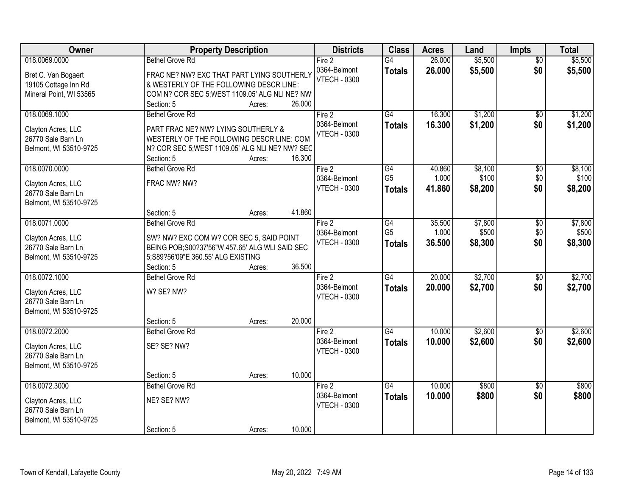| Owner                   | <b>Property Description</b>                     |        |        | <b>Districts</b>    | <b>Class</b>    | <b>Acres</b> | Land    | Impts           | <b>Total</b> |
|-------------------------|-------------------------------------------------|--------|--------|---------------------|-----------------|--------------|---------|-----------------|--------------|
| 018.0069.0000           | <b>Bethel Grove Rd</b>                          |        |        | Fire 2              | G4              | 26.000       | \$5,500 | $\overline{50}$ | \$5,500      |
| Bret C. Van Bogaert     | FRAC NE? NW? EXC THAT PART LYING SOUTHERLY      |        |        | 0364-Belmont        | <b>Totals</b>   | 26.000       | \$5,500 | \$0             | \$5,500      |
| 19105 Cottage Inn Rd    | & WESTERLY OF THE FOLLOWING DESCR LINE:         |        |        | <b>VTECH - 0300</b> |                 |              |         |                 |              |
| Mineral Point, WI 53565 | COM N? COR SEC 5; WEST 1109.05' ALG NLI NE? NW  |        |        |                     |                 |              |         |                 |              |
|                         | Section: 5                                      | Acres: | 26.000 |                     |                 |              |         |                 |              |
| 018.0069.1000           | <b>Bethel Grove Rd</b>                          |        |        | Fire 2              | $\overline{G4}$ | 16.300       | \$1,200 | \$0             | \$1,200      |
|                         |                                                 |        |        | 0364-Belmont        | <b>Totals</b>   | 16.300       | \$1,200 | \$0             | \$1,200      |
| Clayton Acres, LLC      | PART FRAC NE? NW? LYING SOUTHERLY &             |        |        | <b>VTECH - 0300</b> |                 |              |         |                 |              |
| 26770 Sale Barn Ln      | WESTERLY OF THE FOLLOWING DESCR LINE: COM       |        |        |                     |                 |              |         |                 |              |
| Belmont, WI 53510-9725  | N? COR SEC 5; WEST 1109.05' ALG NLI NE? NW? SEC |        |        |                     |                 |              |         |                 |              |
|                         | Section: 5                                      | Acres: | 16.300 |                     |                 |              |         |                 |              |
| 018.0070.0000           | <b>Bethel Grove Rd</b>                          |        |        | Fire 2              | $\overline{G4}$ | 40.860       | \$8,100 | $\overline{50}$ | \$8,100      |
| Clayton Acres, LLC      | FRAC NW? NW?                                    |        |        | 0364-Belmont        | G <sub>5</sub>  | 1.000        | \$100   | \$0             | \$100        |
| 26770 Sale Barn Ln      |                                                 |        |        | <b>VTECH - 0300</b> | <b>Totals</b>   | 41.860       | \$8,200 | \$0             | \$8,200      |
|                         |                                                 |        |        |                     |                 |              |         |                 |              |
| Belmont, WI 53510-9725  | Section: 5                                      |        | 41.860 |                     |                 |              |         |                 |              |
|                         | <b>Bethel Grove Rd</b>                          | Acres: |        |                     |                 |              |         |                 |              |
| 018.0071.0000           |                                                 |        |        | Fire 2              | G4              | 35.500       | \$7,800 | \$0             | \$7,800      |
| Clayton Acres, LLC      | SW? NW? EXC COM W? COR SEC 5, SAID POINT        |        |        | 0364-Belmont        | G <sub>5</sub>  | 1.000        | \$500   | \$0             | \$500        |
| 26770 Sale Barn Ln      | BEING POB; S00?37'56"W 457.65' ALG WLI SAID SEC |        |        | <b>VTECH - 0300</b> | <b>Totals</b>   | 36.500       | \$8,300 | \$0             | \$8,300      |
| Belmont, WI 53510-9725  | 5;S89?56'09"E 360.55' ALG EXISTING              |        |        |                     |                 |              |         |                 |              |
|                         | Section: 5                                      | Acres: | 36.500 |                     |                 |              |         |                 |              |
| 018.0072.1000           | <b>Bethel Grove Rd</b>                          |        |        | Fire 2              | $\overline{G4}$ | 20.000       | \$2,700 | $\overline{50}$ | \$2,700      |
|                         |                                                 |        |        | 0364-Belmont        | <b>Totals</b>   | 20.000       | \$2,700 | \$0             | \$2,700      |
| Clayton Acres, LLC      | W? SE? NW?                                      |        |        | <b>VTECH - 0300</b> |                 |              |         |                 |              |
| 26770 Sale Barn Ln      |                                                 |        |        |                     |                 |              |         |                 |              |
| Belmont, WI 53510-9725  |                                                 |        |        |                     |                 |              |         |                 |              |
|                         | Section: 5                                      | Acres: | 20.000 |                     |                 |              |         |                 |              |
| 018.0072.2000           | <b>Bethel Grove Rd</b>                          |        |        | Fire 2              | G4              | 10.000       | \$2,600 | $\sqrt{6}$      | \$2,600      |
| Clayton Acres, LLC      | SE? SE? NW?                                     |        |        | 0364-Belmont        | <b>Totals</b>   | 10.000       | \$2,600 | \$0             | \$2,600      |
| 26770 Sale Barn Ln      |                                                 |        |        | <b>VTECH - 0300</b> |                 |              |         |                 |              |
| Belmont, WI 53510-9725  |                                                 |        |        |                     |                 |              |         |                 |              |
|                         | Section: 5                                      | Acres: | 10.000 |                     |                 |              |         |                 |              |
| 018.0072.3000           | <b>Bethel Grove Rd</b>                          |        |        | Fire 2              | G4              | 10.000       | \$800   | $\overline{50}$ | \$800        |
|                         |                                                 |        |        | 0364-Belmont        |                 | 10.000       |         | \$0             | \$800        |
| Clayton Acres, LLC      | NE? SE? NW?                                     |        |        |                     | <b>Totals</b>   |              | \$800   |                 |              |
| 26770 Sale Barn Ln      |                                                 |        |        | <b>VTECH - 0300</b> |                 |              |         |                 |              |
| Belmont, WI 53510-9725  |                                                 |        |        |                     |                 |              |         |                 |              |
|                         | Section: 5                                      | Acres: | 10.000 |                     |                 |              |         |                 |              |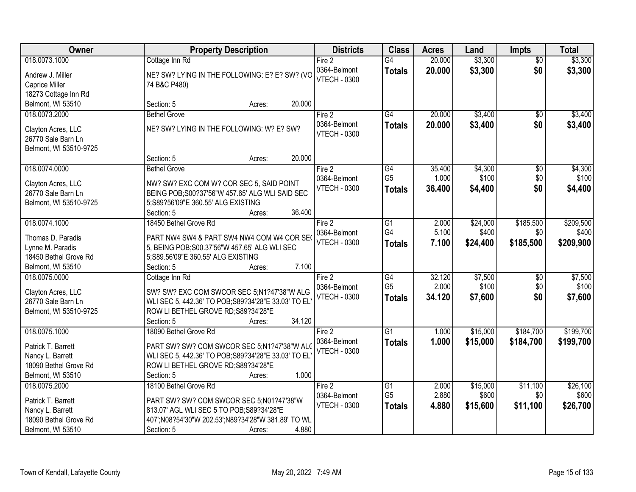| Owner                                     | <b>Property Description</b>                                                         | <b>Districts</b>                    | <b>Class</b>    | <b>Acres</b> | Land     | <b>Impts</b>    | <b>Total</b> |
|-------------------------------------------|-------------------------------------------------------------------------------------|-------------------------------------|-----------------|--------------|----------|-----------------|--------------|
| 018.0073.1000                             | Cottage Inn Rd                                                                      | Fire 2                              | G4              | 20.000       | \$3,300  | $\overline{50}$ | \$3,300      |
| Andrew J. Miller                          | NE? SW? LYING IN THE FOLLOWING: E? E? SW? (VO                                       | 0364-Belmont                        | <b>Totals</b>   | 20.000       | \$3,300  | \$0             | \$3,300      |
| Caprice Miller                            | 74 B&C P480)                                                                        | <b>VTECH - 0300</b>                 |                 |              |          |                 |              |
| 18273 Cottage Inn Rd                      |                                                                                     |                                     |                 |              |          |                 |              |
| Belmont, WI 53510                         | 20.000<br>Section: 5<br>Acres:                                                      |                                     |                 |              |          |                 |              |
| 018.0073.2000                             | <b>Bethel Grove</b>                                                                 | Fire 2                              | $\overline{G4}$ | 20.000       | \$3,400  | $\overline{50}$ | \$3,400      |
| Clayton Acres, LLC                        | NE? SW? LYING IN THE FOLLOWING: W? E? SW?                                           | 0364-Belmont                        | <b>Totals</b>   | 20.000       | \$3,400  | \$0             | \$3,400      |
| 26770 Sale Barn Ln                        |                                                                                     | <b>VTECH - 0300</b>                 |                 |              |          |                 |              |
| Belmont, WI 53510-9725                    |                                                                                     |                                     |                 |              |          |                 |              |
|                                           | 20.000<br>Section: 5<br>Acres:                                                      |                                     |                 |              |          |                 |              |
| 018.0074.0000                             | <b>Bethel Grove</b>                                                                 | Fire 2                              | $\overline{G4}$ | 35.400       | \$4,300  | $\overline{50}$ | \$4,300      |
| Clayton Acres, LLC                        | NW? SW? EXC COM W? COR SEC 5, SAID POINT                                            | 0364-Belmont                        | G <sub>5</sub>  | 1.000        | \$100    | \$0             | \$100        |
| 26770 Sale Barn Ln                        | BEING POB; S00?37'56"W 457.65' ALG WLI SAID SEC                                     | <b>VTECH - 0300</b>                 | <b>Totals</b>   | 36,400       | \$4,400  | \$0             | \$4,400      |
| Belmont, WI 53510-9725                    | 5;S89?56'09"E 360.55' ALG EXISTING                                                  |                                     |                 |              |          |                 |              |
|                                           | 36.400<br>Section: 5<br>Acres:                                                      |                                     |                 |              |          |                 |              |
| 018.0074.1000                             | 18450 Bethel Grove Rd                                                               | Fire 2                              | G1              | 2.000        | \$24,000 | \$185,500       | \$209,500    |
|                                           |                                                                                     | 0364-Belmont                        | G4              | 5.100        | \$400    | \$0             | \$400        |
| Thomas D. Paradis                         | PART NW4 SW4 & PART SW4 NW4 COM W4 COR SEO                                          | <b>VTECH - 0300</b>                 | <b>Totals</b>   | 7.100        | \$24,400 | \$185,500       | \$209,900    |
| Lynne M. Paradis<br>18450 Bethel Grove Rd | 5, BEING POB; S00.37'56"W 457.65' ALG WLI SEC<br>5;S89.56'09"E 360.55' ALG EXISTING |                                     |                 |              |          |                 |              |
| Belmont, WI 53510                         | 7.100<br>Section: 5<br>Acres:                                                       |                                     |                 |              |          |                 |              |
| 018.0075.0000                             | Cottage Inn Rd                                                                      | Fire 2                              | $\overline{G4}$ | 32.120       | \$7,500  | $\overline{50}$ | \$7,500      |
|                                           |                                                                                     | 0364-Belmont                        | G <sub>5</sub>  | 2.000        | \$100    | \$0             | \$100        |
| Clayton Acres, LLC                        | SW? SW? EXC COM SWCOR SEC 5;N1?47'38"W ALG                                          | <b>VTECH - 0300</b>                 | <b>Totals</b>   | 34.120       | \$7,600  | \$0             | \$7,600      |
| 26770 Sale Barn Ln                        | WLI SEC 5, 442.36' TO POB; S89?34'28" E 33.03' TO EL                                |                                     |                 |              |          |                 |              |
| Belmont, WI 53510-9725                    | ROW LI BETHEL GROVE RD; S89?34'28"E                                                 |                                     |                 |              |          |                 |              |
|                                           | 34.120<br>Section: 5<br>Acres:                                                      |                                     |                 |              |          |                 |              |
| 018.0075.1000                             | 18090 Bethel Grove Rd                                                               | Fire 2                              | $\overline{G1}$ | 1.000        | \$15,000 | \$184,700       | \$199,700    |
| Patrick T. Barrett                        | PART SW? SW? COM SWCOR SEC 5;N1?47'38"W ALG                                         | 0364-Belmont<br><b>VTECH - 0300</b> | <b>Totals</b>   | 1.000        | \$15,000 | \$184,700       | \$199,700    |
| Nancy L. Barrett                          | WLI SEC 5, 442.36' TO POB; S89?34'28"E 33.03' TO EL                                 |                                     |                 |              |          |                 |              |
| 18090 Bethel Grove Rd                     | ROW LI BETHEL GROVE RD; S89?34'28"E                                                 |                                     |                 |              |          |                 |              |
| Belmont, WI 53510                         | 1.000<br>Section: 5<br>Acres:                                                       |                                     |                 |              |          |                 |              |
| 018.0075.2000                             | 18100 Bethel Grove Rd                                                               | Fire 2                              | $\overline{G1}$ | 2.000        | \$15,000 | \$11,100        | \$26,100     |
| Patrick T. Barrett                        | PART SW? SW? COM SWCOR SEC 5;N01?47'38"W                                            | 0364-Belmont                        | G <sub>5</sub>  | 2.880        | \$600    | \$0             | \$600        |
| Nancy L. Barrett                          | 813.07' AGL WLI SEC 5 TO POB; S89?34'28"E                                           | <b>VTECH - 0300</b>                 | <b>Totals</b>   | 4.880        | \$15,600 | \$11,100        | \$26,700     |
| 18090 Bethel Grove Rd                     | 407';N08?54'30"W 202.53';N89?34'28"W 381.89' TO WL                                  |                                     |                 |              |          |                 |              |
| Belmont, WI 53510                         | 4.880<br>Section: 5<br>Acres:                                                       |                                     |                 |              |          |                 |              |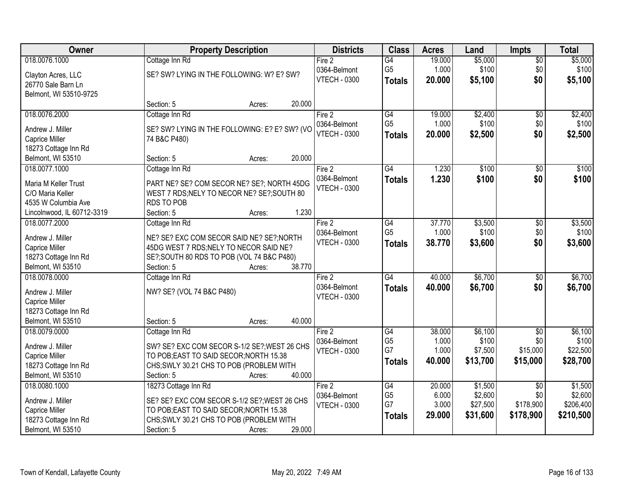| Owner                      |                                               | <b>Property Description</b> |        | <b>Districts</b>    | <b>Class</b>    | <b>Acres</b> | Land     | <b>Impts</b>    | <b>Total</b> |
|----------------------------|-----------------------------------------------|-----------------------------|--------|---------------------|-----------------|--------------|----------|-----------------|--------------|
| 018.0076.1000              | Cottage Inn Rd                                |                             |        | Fire 2              | $\overline{G4}$ | 19.000       | \$5,000  | $\sqrt{$0}$     | \$5,000      |
| Clayton Acres, LLC         | SE? SW? LYING IN THE FOLLOWING: W? E? SW?     |                             |        | 0364-Belmont        | G <sub>5</sub>  | 1.000        | \$100    | \$0             | \$100        |
| 26770 Sale Barn Ln         |                                               |                             |        | <b>VTECH - 0300</b> | <b>Totals</b>   | 20.000       | \$5,100  | \$0             | \$5,100      |
| Belmont, WI 53510-9725     |                                               |                             |        |                     |                 |              |          |                 |              |
|                            | Section: 5                                    | Acres:                      | 20.000 |                     |                 |              |          |                 |              |
| 018.0076.2000              | Cottage Inn Rd                                |                             |        | Fire 2              | G4              | 19.000       | \$2,400  | \$0             | \$2,400      |
| Andrew J. Miller           | SE? SW? LYING IN THE FOLLOWING: E? E? SW? (VO |                             |        | 0364-Belmont        | G <sub>5</sub>  | 1.000        | \$100    | \$0             | \$100        |
| Caprice Miller             | 74 B&C P480)                                  |                             |        | <b>VTECH - 0300</b> | <b>Totals</b>   | 20.000       | \$2,500  | \$0             | \$2,500      |
| 18273 Cottage Inn Rd       |                                               |                             |        |                     |                 |              |          |                 |              |
| Belmont, WI 53510          | Section: 5                                    | Acres:                      | 20.000 |                     |                 |              |          |                 |              |
| 018.0077.1000              | Cottage Inn Rd                                |                             |        | Fire 2              | $\overline{G4}$ | 1.230        | \$100    | \$0             | \$100        |
|                            |                                               |                             |        | 0364-Belmont        | <b>Totals</b>   | 1.230        | \$100    | \$0             | \$100        |
| Maria M Keller Trust       | PART NE? SE? COM SECOR NE? SE?; NORTH 45DG    |                             |        | <b>VTECH - 0300</b> |                 |              |          |                 |              |
| C/O Maria Keller           | WEST 7 RDS; NELY TO NECOR NE? SE?; SOUTH 80   |                             |        |                     |                 |              |          |                 |              |
| 4535 W Columbia Ave        | <b>RDS TO POB</b>                             |                             |        |                     |                 |              |          |                 |              |
| Lincolnwood, IL 60712-3319 | Section: 5                                    | Acres:                      | 1.230  |                     |                 |              |          |                 |              |
| 018.0077.2000              | Cottage Inn Rd                                |                             |        | Fire 2              | G4              | 37.770       | \$3,500  | $\sqrt[6]{3}$   | \$3,500      |
| Andrew J. Miller           | NE? SE? EXC COM SECOR SAID NE? SE?; NORTH     |                             |        | 0364-Belmont        | G <sub>5</sub>  | 1.000        | \$100    | \$0             | \$100        |
| Caprice Miller             | 45DG WEST 7 RDS; NELY TO NECOR SAID NE?       |                             |        | <b>VTECH - 0300</b> | <b>Totals</b>   | 38.770       | \$3,600  | \$0             | \$3,600      |
| 18273 Cottage Inn Rd       | SE?; SOUTH 80 RDS TO POB (VOL 74 B&C P480)    |                             |        |                     |                 |              |          |                 |              |
| Belmont, WI 53510          | Section: 5                                    | Acres:                      | 38.770 |                     |                 |              |          |                 |              |
| 018.0078.0000              | Cottage Inn Rd                                |                             |        | Fire 2              | $\overline{G4}$ | 40.000       | \$6,700  | $\overline{50}$ | \$6,700      |
| Andrew J. Miller           | NW? SE? (VOL 74 B&C P480)                     |                             |        | 0364-Belmont        | <b>Totals</b>   | 40.000       | \$6,700  | \$0             | \$6,700      |
| Caprice Miller             |                                               |                             |        | <b>VTECH - 0300</b> |                 |              |          |                 |              |
| 18273 Cottage Inn Rd       |                                               |                             |        |                     |                 |              |          |                 |              |
| Belmont, WI 53510          | Section: 5                                    | Acres:                      | 40.000 |                     |                 |              |          |                 |              |
| 018.0079.0000              | Cottage Inn Rd                                |                             |        | Fire 2              | G4              | 38.000       | \$6,100  | $\overline{50}$ | \$6,100      |
|                            |                                               |                             |        | 0364-Belmont        | G <sub>5</sub>  | 1.000        | \$100    | \$0             | \$100        |
| Andrew J. Miller           | SW? SE? EXC COM SECOR S-1/2 SE?; WEST 26 CHS  |                             |        | <b>VTECH - 0300</b> | G7              | 1.000        | \$7,500  | \$15,000        | \$22,500     |
| Caprice Miller             | TO POB; EAST TO SAID SECOR; NORTH 15.38       |                             |        |                     | <b>Totals</b>   | 40,000       | \$13,700 | \$15,000        | \$28,700     |
| 18273 Cottage Inn Rd       | CHS; SWLY 30.21 CHS TO POB (PROBLEM WITH      |                             |        |                     |                 |              |          |                 |              |
| Belmont, WI 53510          | Section: 5                                    | Acres:                      | 40.000 |                     |                 |              |          |                 |              |
| 018.0080.1000              | 18273 Cottage Inn Rd                          |                             |        | Fire 2              | G4              | 20.000       | \$1,500  | $\overline{30}$ | \$1,500      |
| Andrew J. Miller           | SE? SE? EXC COM SECOR S-1/2 SE?; WEST 26 CHS  |                             |        | 0364-Belmont        | G <sub>5</sub>  | 6.000        | \$2,600  | \$0             | \$2,600      |
| Caprice Miller             | TO POB; EAST TO SAID SECOR; NORTH 15.38       |                             |        | <b>VTECH - 0300</b> | G7              | 3.000        | \$27,500 | \$178,900       | \$206,400    |
| 18273 Cottage Inn Rd       | CHS; SWLY 30.21 CHS TO POB (PROBLEM WITH      |                             |        |                     | <b>Totals</b>   | 29.000       | \$31,600 | \$178,900       | \$210,500    |
| Belmont, WI 53510          | Section: 5                                    | Acres:                      | 29.000 |                     |                 |              |          |                 |              |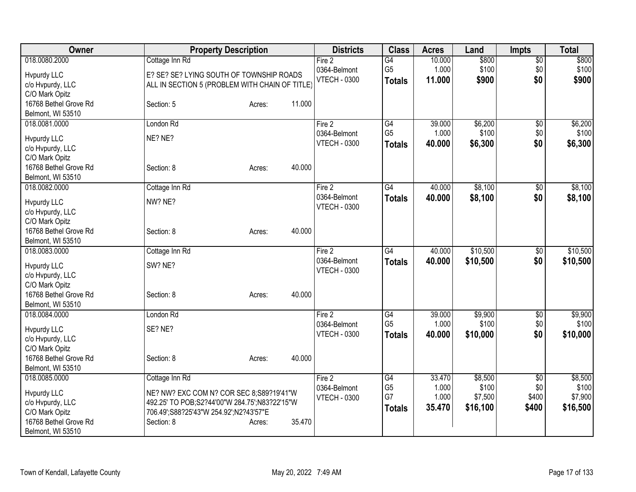| Owner                                                                                                                   | <b>Property Description</b>                                                                                                                                                             | <b>Districts</b>                                | <b>Class</b>                                       | <b>Acres</b>                       | Land                                    | <b>Impts</b>                             | <b>Total</b>                            |
|-------------------------------------------------------------------------------------------------------------------------|-----------------------------------------------------------------------------------------------------------------------------------------------------------------------------------------|-------------------------------------------------|----------------------------------------------------|------------------------------------|-----------------------------------------|------------------------------------------|-----------------------------------------|
| 018.0080.2000<br>Hypurdy LLC<br>c/o Hvpurdy, LLC<br>C/O Mark Opitz                                                      | Cottage Inn Rd<br>E? SE? SE? LYING SOUTH OF TOWNSHIP ROADS<br>ALL IN SECTION 5 (PROBLEM WITH CHAIN OF TITLE)                                                                            | Fire 2<br>0364-Belmont<br><b>VTECH - 0300</b>   | G4<br>G <sub>5</sub><br><b>Totals</b>              | 10.000<br>1.000<br>11.000          | \$800<br>\$100<br>\$900                 | $\overline{60}$<br>\$0<br>\$0            | \$800<br>\$100<br>\$900                 |
| 16768 Bethel Grove Rd<br>Belmont, WI 53510                                                                              | 11.000<br>Section: 5<br>Acres:                                                                                                                                                          |                                                 |                                                    |                                    |                                         |                                          |                                         |
| 018.0081.0000<br><b>Hypurdy LLC</b><br>c/o Hvpurdy, LLC                                                                 | London Rd<br>NE? NE?                                                                                                                                                                    | Fire 2<br>0364-Belmont<br><b>VTECH - 0300</b>   | G4<br>G <sub>5</sub><br><b>Totals</b>              | 39.000<br>1.000<br>40.000          | \$6,200<br>\$100<br>\$6,300             | \$0<br>\$0<br>\$0                        | \$6,200<br>\$100<br>\$6,300             |
| C/O Mark Opitz<br>16768 Bethel Grove Rd<br>Belmont, WI 53510                                                            | 40.000<br>Section: 8<br>Acres:                                                                                                                                                          |                                                 |                                                    |                                    |                                         |                                          |                                         |
| 018.0082.0000<br><b>Hypurdy LLC</b><br>c/o Hvpurdy, LLC<br>C/O Mark Opitz                                               | Cottage Inn Rd<br>NW? NE?                                                                                                                                                               | Fire 2<br>0364-Belmont<br><b>VTECH - 0300</b>   | G4<br><b>Totals</b>                                | 40.000<br>40.000                   | \$8,100<br>\$8,100                      | $\overline{50}$<br>\$0                   | \$8,100<br>\$8,100                      |
| 16768 Bethel Grove Rd<br>Belmont, WI 53510                                                                              | 40.000<br>Section: 8<br>Acres:                                                                                                                                                          |                                                 |                                                    |                                    |                                         |                                          |                                         |
| 018.0083.0000<br>Hypurdy LLC<br>c/o Hvpurdy, LLC<br>C/O Mark Opitz                                                      | Cottage Inn Rd<br>SW? NE?                                                                                                                                                               | Fire 2<br>0364-Belmont<br><b>VTECH - 0300</b>   | $\overline{G4}$<br><b>Totals</b>                   | 40.000<br>40.000                   | \$10,500<br>\$10,500                    | $\sqrt[6]{30}$<br>\$0                    | \$10,500<br>\$10,500                    |
| 16768 Bethel Grove Rd<br>Belmont, WI 53510                                                                              | 40.000<br>Section: 8<br>Acres:                                                                                                                                                          |                                                 |                                                    |                                    |                                         |                                          |                                         |
| 018.0084.0000<br>Hypurdy LLC<br>c/o Hvpurdy, LLC<br>C/O Mark Opitz                                                      | London Rd<br>SE? NE?                                                                                                                                                                    | Fire $2$<br>0364-Belmont<br><b>VTECH - 0300</b> | $\overline{G4}$<br>G <sub>5</sub><br><b>Totals</b> | 39.000<br>1.000<br>40.000          | \$9,900<br>\$100<br>\$10,000            | \$0<br>\$0<br>\$0                        | \$9,900<br>\$100<br>\$10,000            |
| 16768 Bethel Grove Rd<br>Belmont, WI 53510                                                                              | 40.000<br>Section: 8<br>Acres:                                                                                                                                                          |                                                 |                                                    |                                    |                                         |                                          |                                         |
| 018.0085.0000<br><b>Hypurdy LLC</b><br>c/o Hvpurdy, LLC<br>C/O Mark Opitz<br>16768 Bethel Grove Rd<br>Belmont, WI 53510 | Cottage Inn Rd<br>NE? NW? EXC COM N? COR SEC 8;S89?19'41"W<br>492.25' TO POB;S2?44'00"W 284.75';N83?22'15"W<br>706.49';S88?25'43"W 254.92';N2?43'57"E<br>35.470<br>Section: 8<br>Acres: | Fire 2<br>0364-Belmont<br><b>VTECH - 0300</b>   | G4<br>G <sub>5</sub><br>G7<br><b>Totals</b>        | 33.470<br>1.000<br>1.000<br>35.470 | \$8,500<br>\$100<br>\$7,500<br>\$16,100 | $\overline{50}$<br>\$0<br>\$400<br>\$400 | \$8,500<br>\$100<br>\$7,900<br>\$16,500 |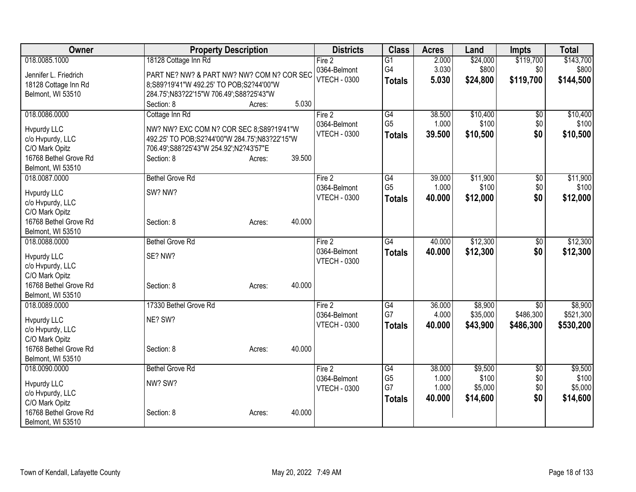| Owner                 | <b>Property Description</b>                   |                  | <b>Districts</b>                    | <b>Class</b>         | <b>Acres</b>   | Land             | <b>Impts</b>  | <b>Total</b>     |
|-----------------------|-----------------------------------------------|------------------|-------------------------------------|----------------------|----------------|------------------|---------------|------------------|
| 018.0085.1000         | 18128 Cottage Inn Rd                          |                  | Fire 2                              | G1                   | 2.000          | \$24,000         | \$119,700     | \$143,700        |
| Jennifer L. Friedrich | PART NE? NW? & PART NW? NW? COM N? COR SEC    |                  | 0364-Belmont                        | G4                   | 3.030          | \$800            | \$0           | \$800            |
| 18128 Cottage Inn Rd  | 8;S89?19'41"W 492.25' TO POB;S2?44'00"W       |                  | <b>VTECH - 0300</b>                 | <b>Totals</b>        | 5.030          | \$24,800         | \$119,700     | \$144,500        |
| Belmont, WI 53510     | 284.75';N83?22'15"W 706.49';S88?25'43"W       |                  |                                     |                      |                |                  |               |                  |
|                       | Section: 8                                    | 5.030<br>Acres:  |                                     |                      |                |                  |               |                  |
| 018.0086.0000         | Cottage Inn Rd                                |                  | Fire 2                              | G4                   | 38.500         | \$10,400         | \$0           | \$10,400         |
| <b>Hypurdy LLC</b>    | NW? NW? EXC COM N? COR SEC 8;S89?19'41"W      |                  | 0364-Belmont                        | G <sub>5</sub>       | 1.000          | \$100            | \$0           | \$100            |
| c/o Hvpurdy, LLC      | 492.25' TO POB;S2?44'00"W 284.75';N83?22'15"W |                  | <b>VTECH - 0300</b>                 | <b>Totals</b>        | 39.500         | \$10,500         | \$0           | \$10,500         |
| C/O Mark Opitz        | 706.49';S88?25'43"W 254.92';N2?43'57"E        |                  |                                     |                      |                |                  |               |                  |
| 16768 Bethel Grove Rd | Section: 8                                    | 39.500<br>Acres: |                                     |                      |                |                  |               |                  |
| Belmont, WI 53510     |                                               |                  |                                     |                      |                |                  |               |                  |
| 018.0087.0000         | <b>Bethel Grove Rd</b>                        |                  | Fire 2                              | G4                   | 39.000         | \$11,900         | \$0           | \$11,900         |
| <b>Hypurdy LLC</b>    | SW? NW?                                       |                  | 0364-Belmont                        | G <sub>5</sub>       | 1.000          | \$100            | \$0           | \$100            |
| c/o Hvpurdy, LLC      |                                               |                  | <b>VTECH - 0300</b>                 | <b>Totals</b>        | 40.000         | \$12,000         | \$0           | \$12,000         |
| C/O Mark Opitz        |                                               |                  |                                     |                      |                |                  |               |                  |
| 16768 Bethel Grove Rd | Section: 8                                    | 40.000<br>Acres: |                                     |                      |                |                  |               |                  |
| Belmont, WI 53510     |                                               |                  |                                     |                      |                |                  |               |                  |
| 018.0088.0000         | <b>Bethel Grove Rd</b>                        |                  | Fire 2                              | $\overline{G4}$      | 40.000         | \$12,300         | \$0           | \$12,300         |
| <b>Hypurdy LLC</b>    | SE? NW?                                       |                  | 0364-Belmont                        | <b>Totals</b>        | 40.000         | \$12,300         | \$0           | \$12,300         |
| c/o Hvpurdy, LLC      |                                               |                  | <b>VTECH - 0300</b>                 |                      |                |                  |               |                  |
| C/O Mark Opitz        |                                               |                  |                                     |                      |                |                  |               |                  |
| 16768 Bethel Grove Rd | Section: 8                                    | 40.000<br>Acres: |                                     |                      |                |                  |               |                  |
| Belmont, WI 53510     |                                               |                  |                                     |                      |                |                  |               |                  |
| 018.0089.0000         | 17330 Bethel Grove Rd                         |                  | Fire 2                              | G4                   | 36.000         | \$8,900          | \$0           | \$8,900          |
| <b>Hypurdy LLC</b>    | NE? SW?                                       |                  | 0364-Belmont<br><b>VTECH - 0300</b> | G7                   | 4.000          | \$35,000         | \$486,300     | \$521,300        |
| c/o Hvpurdy, LLC      |                                               |                  |                                     | <b>Totals</b>        | 40.000         | \$43,900         | \$486,300     | \$530,200        |
| C/O Mark Opitz        |                                               |                  |                                     |                      |                |                  |               |                  |
| 16768 Bethel Grove Rd | Section: 8                                    | 40.000<br>Acres: |                                     |                      |                |                  |               |                  |
| Belmont, WI 53510     |                                               |                  |                                     |                      |                |                  |               |                  |
| 018.0090.0000         | <b>Bethel Grove Rd</b>                        |                  | Fire 2                              | G4                   | 38.000         | \$9,500          | $\sqrt[6]{3}$ | \$9,500          |
| Hypurdy LLC           | NW? SW?                                       |                  | 0364-Belmont<br><b>VTECH - 0300</b> | G <sub>5</sub><br>G7 | 1.000<br>1.000 | \$100<br>\$5,000 | \$0<br>\$0    | \$100<br>\$5,000 |
| c/o Hvpurdy, LLC      |                                               |                  |                                     | <b>Totals</b>        | 40.000         | \$14,600         | \$0           | \$14,600         |
| C/O Mark Opitz        |                                               |                  |                                     |                      |                |                  |               |                  |
| 16768 Bethel Grove Rd | Section: 8                                    | 40.000<br>Acres: |                                     |                      |                |                  |               |                  |
| Belmont, WI 53510     |                                               |                  |                                     |                      |                |                  |               |                  |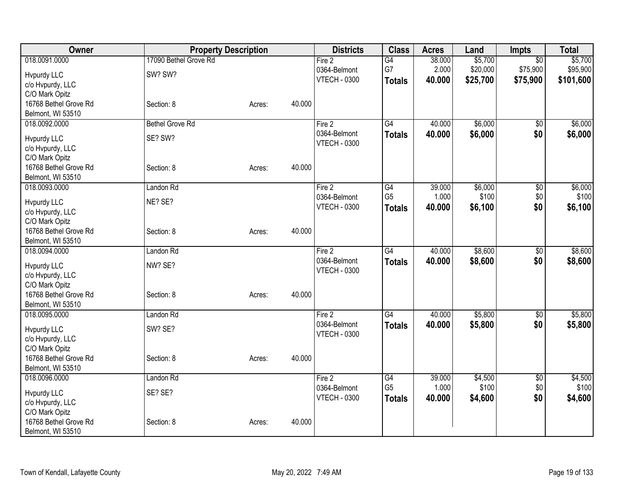| Owner                              | <b>Property Description</b>      |        |        | <b>Districts</b>       | <b>Class</b>          | <b>Acres</b>    | Land                | Impts                       | <b>Total</b>        |
|------------------------------------|----------------------------------|--------|--------|------------------------|-----------------------|-----------------|---------------------|-----------------------------|---------------------|
| 018.0091.0000<br>Hypurdy LLC       | 17090 Bethel Grove Rd<br>SW? SW? |        |        | Fire 2<br>0364-Belmont | $\overline{G4}$<br>G7 | 38.000<br>2.000 | \$5,700<br>\$20,000 | $\overline{50}$<br>\$75,900 | \$5,700<br>\$95,900 |
| c/o Hvpurdy, LLC<br>C/O Mark Opitz |                                  |        |        | <b>VTECH - 0300</b>    | <b>Totals</b>         | 40.000          | \$25,700            | \$75,900                    | \$101,600           |
| 16768 Bethel Grove Rd              | Section: 8                       | Acres: | 40.000 |                        |                       |                 |                     |                             |                     |
| Belmont, WI 53510<br>018.0092.0000 | <b>Bethel Grove Rd</b>           |        |        |                        | G4                    | 40.000          | \$6,000             |                             | \$6,000             |
|                                    |                                  |        |        | Fire 2<br>0364-Belmont |                       | 40.000          | \$6,000             | \$0<br>\$0                  | \$6,000             |
| Hvpurdy LLC                        | SE? SW?                          |        |        | <b>VTECH - 0300</b>    | <b>Totals</b>         |                 |                     |                             |                     |
| c/o Hvpurdy, LLC                   |                                  |        |        |                        |                       |                 |                     |                             |                     |
| C/O Mark Opitz                     |                                  |        |        |                        |                       |                 |                     |                             |                     |
| 16768 Bethel Grove Rd              | Section: 8                       | Acres: | 40.000 |                        |                       |                 |                     |                             |                     |
| Belmont, WI 53510                  |                                  |        |        |                        |                       |                 |                     |                             |                     |
| 018.0093.0000                      | Landon Rd                        |        |        | Fire 2                 | $\overline{G4}$       | 39.000          | \$6,000             | $\overline{50}$             | \$6,000             |
| <b>Hvpurdy LLC</b>                 | NE? SE?                          |        |        | 0364-Belmont           | G <sub>5</sub>        | 1.000           | \$100               | \$0                         | \$100               |
| c/o Hvpurdy, LLC                   |                                  |        |        | <b>VTECH - 0300</b>    | <b>Totals</b>         | 40.000          | \$6,100             | \$0                         | \$6,100             |
| C/O Mark Opitz                     |                                  |        |        |                        |                       |                 |                     |                             |                     |
| 16768 Bethel Grove Rd              | Section: 8                       | Acres: | 40.000 |                        |                       |                 |                     |                             |                     |
| Belmont, WI 53510                  |                                  |        |        |                        |                       |                 |                     |                             |                     |
| 018.0094.0000                      | Landon Rd                        |        |        | Fire 2                 | $\overline{G4}$       | 40.000          | \$8,600             | $\overline{50}$             | \$8,600             |
| Hypurdy LLC                        | NW? SE?                          |        |        | 0364-Belmont           | <b>Totals</b>         | 40.000          | \$8,600             | \$0                         | \$8,600             |
| c/o Hvpurdy, LLC                   |                                  |        |        | <b>VTECH - 0300</b>    |                       |                 |                     |                             |                     |
| C/O Mark Opitz                     |                                  |        |        |                        |                       |                 |                     |                             |                     |
| 16768 Bethel Grove Rd              | Section: 8                       | Acres: | 40.000 |                        |                       |                 |                     |                             |                     |
| Belmont, WI 53510                  |                                  |        |        |                        |                       |                 |                     |                             |                     |
| 018.0095.0000                      | Landon Rd                        |        |        | Fire 2                 | $\overline{G4}$       | 40.000          | \$5,800             | $\overline{50}$             | \$5,800             |
|                                    | SW? SE?                          |        |        | 0364-Belmont           | <b>Totals</b>         | 40.000          | \$5,800             | \$0                         | \$5,800             |
| Hvpurdy LLC<br>c/o Hvpurdy, LLC    |                                  |        |        | <b>VTECH - 0300</b>    |                       |                 |                     |                             |                     |
| C/O Mark Opitz                     |                                  |        |        |                        |                       |                 |                     |                             |                     |
| 16768 Bethel Grove Rd              | Section: 8                       | Acres: | 40.000 |                        |                       |                 |                     |                             |                     |
| Belmont, WI 53510                  |                                  |        |        |                        |                       |                 |                     |                             |                     |
| 018.0096.0000                      | Landon Rd                        |        |        | Fire $2$               | $\overline{G4}$       | 39.000          | \$4,500             | \$0                         | \$4,500             |
|                                    |                                  |        |        | 0364-Belmont           | G <sub>5</sub>        | 1.000           | \$100               | \$0                         | \$100               |
| Hypurdy LLC                        | SE? SE?                          |        |        | <b>VTECH - 0300</b>    | <b>Totals</b>         | 40.000          | \$4,600             | \$0                         | \$4,600             |
| c/o Hvpurdy, LLC                   |                                  |        |        |                        |                       |                 |                     |                             |                     |
| C/O Mark Opitz                     |                                  |        |        |                        |                       |                 |                     |                             |                     |
| 16768 Bethel Grove Rd              | Section: 8                       | Acres: | 40.000 |                        |                       |                 |                     |                             |                     |
| Belmont, WI 53510                  |                                  |        |        |                        |                       |                 |                     |                             |                     |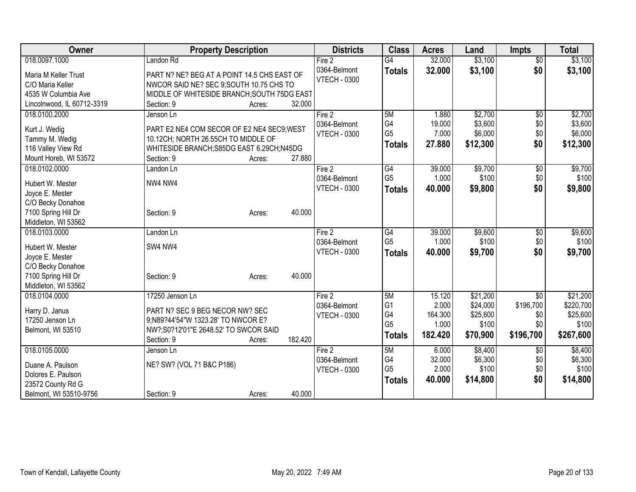| 018.0097.1000<br>\$3,100<br>Fire 2<br>$\overline{G4}$<br>32.000<br>$\overline{50}$<br>Landon Rd<br>\$3,100<br>\$0<br>0364-Belmont<br>32.000<br><b>Totals</b><br>PART N? NE? BEG AT A POINT 14.5 CHS EAST OF<br>Maria M Keller Trust<br><b>VTECH - 0300</b><br>NWCOR SAID NE? SEC 9;SOUTH 10.75 CHS TO<br>C/O Maria Keller<br>4535 W Columbia Ave<br>MIDDLE OF WHITESIDE BRANCH; SOUTH 75DG EAST<br>Lincolnwood, IL 60712-3319<br>Section: 9<br>32.000<br>Acres:<br>\$2,700<br>018.0100.2000<br>Fire 2<br>5M<br>\$0<br>1.880<br>Jenson Ln<br>G4<br>\$3,600<br>0364-Belmont<br>19.000<br>\$0<br>Kurt J. Wedig<br>PART E2 NE4 COM SECOR OF E2 NE4 SEC9; WEST<br>G <sub>5</sub><br>\$0<br>7.000<br>\$6,000<br><b>VTECH - 0300</b><br>Tammy M. Wedig<br>10.12CH; NORTH 26.55CH TO MIDDLE OF<br>\$12,300<br>\$0<br>27.880<br><b>Totals</b><br>116 Valley View Rd<br>WHITESIDE BRANCH; S85DG EAST 6.29CH; N45DG<br>27.880<br>Mount Horeb, WI 53572<br>Section: 9<br>Acres:<br>018.0102.0000<br>G4<br>39.000<br>\$9,700<br>Landon Ln<br>Fire 2<br>\$0<br>G <sub>5</sub><br>1.000<br>\$100<br>\$0<br>0364-Belmont<br>NW4 NW4<br>Hubert W. Mester<br>\$0<br><b>VTECH - 0300</b><br>40,000<br>\$9,800<br><b>Totals</b><br>Joyce E. Mester<br>C/O Becky Donahoe<br>40.000<br>7100 Spring Hill Dr<br>Section: 9<br>Acres:<br>Middleton, WI 53562<br>39.000<br>\$9,600<br>018.0103.0000<br>Landon Ln<br>Fire 2<br>G4<br>\$0 | Owner | <b>Property Description</b> | <b>Districts</b> | <b>Class</b>   | <b>Acres</b> | Land  | <b>Impts</b> | <b>Total</b> |
|---------------------------------------------------------------------------------------------------------------------------------------------------------------------------------------------------------------------------------------------------------------------------------------------------------------------------------------------------------------------------------------------------------------------------------------------------------------------------------------------------------------------------------------------------------------------------------------------------------------------------------------------------------------------------------------------------------------------------------------------------------------------------------------------------------------------------------------------------------------------------------------------------------------------------------------------------------------------------------------------------------------------------------------------------------------------------------------------------------------------------------------------------------------------------------------------------------------------------------------------------------------------------------------------------------------------------------------------------------------------------------------------------------------|-------|-----------------------------|------------------|----------------|--------------|-------|--------------|--------------|
|                                                                                                                                                                                                                                                                                                                                                                                                                                                                                                                                                                                                                                                                                                                                                                                                                                                                                                                                                                                                                                                                                                                                                                                                                                                                                                                                                                                                               |       |                             |                  |                |              |       |              | \$3,100      |
| \$2,700                                                                                                                                                                                                                                                                                                                                                                                                                                                                                                                                                                                                                                                                                                                                                                                                                                                                                                                                                                                                                                                                                                                                                                                                                                                                                                                                                                                                       |       |                             |                  |                |              |       |              | \$3,100      |
|                                                                                                                                                                                                                                                                                                                                                                                                                                                                                                                                                                                                                                                                                                                                                                                                                                                                                                                                                                                                                                                                                                                                                                                                                                                                                                                                                                                                               |       |                             |                  |                |              |       |              |              |
|                                                                                                                                                                                                                                                                                                                                                                                                                                                                                                                                                                                                                                                                                                                                                                                                                                                                                                                                                                                                                                                                                                                                                                                                                                                                                                                                                                                                               |       |                             |                  |                |              |       |              |              |
|                                                                                                                                                                                                                                                                                                                                                                                                                                                                                                                                                                                                                                                                                                                                                                                                                                                                                                                                                                                                                                                                                                                                                                                                                                                                                                                                                                                                               |       |                             |                  |                |              |       |              |              |
| \$3,600<br>\$6,000<br>\$12,300<br>\$9,700<br>\$100<br>\$9,800<br>\$9,600                                                                                                                                                                                                                                                                                                                                                                                                                                                                                                                                                                                                                                                                                                                                                                                                                                                                                                                                                                                                                                                                                                                                                                                                                                                                                                                                      |       |                             |                  |                |              |       |              |              |
|                                                                                                                                                                                                                                                                                                                                                                                                                                                                                                                                                                                                                                                                                                                                                                                                                                                                                                                                                                                                                                                                                                                                                                                                                                                                                                                                                                                                               |       |                             |                  |                |              |       |              |              |
|                                                                                                                                                                                                                                                                                                                                                                                                                                                                                                                                                                                                                                                                                                                                                                                                                                                                                                                                                                                                                                                                                                                                                                                                                                                                                                                                                                                                               |       |                             |                  |                |              |       |              |              |
|                                                                                                                                                                                                                                                                                                                                                                                                                                                                                                                                                                                                                                                                                                                                                                                                                                                                                                                                                                                                                                                                                                                                                                                                                                                                                                                                                                                                               |       |                             |                  |                |              |       |              |              |
|                                                                                                                                                                                                                                                                                                                                                                                                                                                                                                                                                                                                                                                                                                                                                                                                                                                                                                                                                                                                                                                                                                                                                                                                                                                                                                                                                                                                               |       |                             |                  |                |              |       |              |              |
|                                                                                                                                                                                                                                                                                                                                                                                                                                                                                                                                                                                                                                                                                                                                                                                                                                                                                                                                                                                                                                                                                                                                                                                                                                                                                                                                                                                                               |       |                             |                  |                |              |       |              |              |
|                                                                                                                                                                                                                                                                                                                                                                                                                                                                                                                                                                                                                                                                                                                                                                                                                                                                                                                                                                                                                                                                                                                                                                                                                                                                                                                                                                                                               |       |                             |                  |                |              |       |              |              |
|                                                                                                                                                                                                                                                                                                                                                                                                                                                                                                                                                                                                                                                                                                                                                                                                                                                                                                                                                                                                                                                                                                                                                                                                                                                                                                                                                                                                               |       |                             |                  |                |              |       |              |              |
|                                                                                                                                                                                                                                                                                                                                                                                                                                                                                                                                                                                                                                                                                                                                                                                                                                                                                                                                                                                                                                                                                                                                                                                                                                                                                                                                                                                                               |       |                             |                  |                |              |       |              |              |
|                                                                                                                                                                                                                                                                                                                                                                                                                                                                                                                                                                                                                                                                                                                                                                                                                                                                                                                                                                                                                                                                                                                                                                                                                                                                                                                                                                                                               |       |                             |                  |                |              |       |              |              |
|                                                                                                                                                                                                                                                                                                                                                                                                                                                                                                                                                                                                                                                                                                                                                                                                                                                                                                                                                                                                                                                                                                                                                                                                                                                                                                                                                                                                               |       |                             |                  |                |              |       |              |              |
|                                                                                                                                                                                                                                                                                                                                                                                                                                                                                                                                                                                                                                                                                                                                                                                                                                                                                                                                                                                                                                                                                                                                                                                                                                                                                                                                                                                                               |       |                             |                  |                |              |       |              |              |
|                                                                                                                                                                                                                                                                                                                                                                                                                                                                                                                                                                                                                                                                                                                                                                                                                                                                                                                                                                                                                                                                                                                                                                                                                                                                                                                                                                                                               |       |                             |                  |                |              |       |              |              |
|                                                                                                                                                                                                                                                                                                                                                                                                                                                                                                                                                                                                                                                                                                                                                                                                                                                                                                                                                                                                                                                                                                                                                                                                                                                                                                                                                                                                               |       |                             | 0364-Belmont     | G <sub>5</sub> | 1.000        | \$100 | \$0          | \$100        |
| SW4 NW4<br>Hubert W. Mester<br>\$0<br><b>VTECH - 0300</b><br>\$9,700<br>\$9,700<br>40.000<br><b>Totals</b>                                                                                                                                                                                                                                                                                                                                                                                                                                                                                                                                                                                                                                                                                                                                                                                                                                                                                                                                                                                                                                                                                                                                                                                                                                                                                                    |       |                             |                  |                |              |       |              |              |
| Joyce E. Mester                                                                                                                                                                                                                                                                                                                                                                                                                                                                                                                                                                                                                                                                                                                                                                                                                                                                                                                                                                                                                                                                                                                                                                                                                                                                                                                                                                                               |       |                             |                  |                |              |       |              |              |
| C/O Becky Donahoe                                                                                                                                                                                                                                                                                                                                                                                                                                                                                                                                                                                                                                                                                                                                                                                                                                                                                                                                                                                                                                                                                                                                                                                                                                                                                                                                                                                             |       |                             |                  |                |              |       |              |              |
| 40.000<br>7100 Spring Hill Dr<br>Section: 9<br>Acres:                                                                                                                                                                                                                                                                                                                                                                                                                                                                                                                                                                                                                                                                                                                                                                                                                                                                                                                                                                                                                                                                                                                                                                                                                                                                                                                                                         |       |                             |                  |                |              |       |              |              |
| Middleton, WI 53562                                                                                                                                                                                                                                                                                                                                                                                                                                                                                                                                                                                                                                                                                                                                                                                                                                                                                                                                                                                                                                                                                                                                                                                                                                                                                                                                                                                           |       |                             |                  |                |              |       |              |              |
| 5M<br>\$21,200<br>\$21,200<br>018.0104.0000<br>17250 Jenson Ln<br>15.120<br>\$0<br>Fire 2<br>G <sub>1</sub><br>2.000                                                                                                                                                                                                                                                                                                                                                                                                                                                                                                                                                                                                                                                                                                                                                                                                                                                                                                                                                                                                                                                                                                                                                                                                                                                                                          |       |                             |                  |                |              |       |              |              |
| \$24,000<br>\$196,700<br>\$220,700<br>0364-Belmont<br>Harry D. Janus<br>PART N? SEC 9 BEG NECOR NW? SEC<br>G4<br>\$25,600<br>164.300<br>\$0                                                                                                                                                                                                                                                                                                                                                                                                                                                                                                                                                                                                                                                                                                                                                                                                                                                                                                                                                                                                                                                                                                                                                                                                                                                                   |       |                             |                  |                |              |       |              |              |
| \$25,600<br><b>VTECH - 0300</b><br>17250 Jenson Ln<br>9;N89?44'54"W 1323.28' TO NWCOR E?<br>G <sub>5</sub><br>\$100<br>\$100<br>1.000<br>\$0                                                                                                                                                                                                                                                                                                                                                                                                                                                                                                                                                                                                                                                                                                                                                                                                                                                                                                                                                                                                                                                                                                                                                                                                                                                                  |       |                             |                  |                |              |       |              |              |
| NW?;S0?12'01"E 2648.52' TO SWCOR SAID<br>Belmont, WI 53510                                                                                                                                                                                                                                                                                                                                                                                                                                                                                                                                                                                                                                                                                                                                                                                                                                                                                                                                                                                                                                                                                                                                                                                                                                                                                                                                                    |       |                             |                  |                |              |       |              |              |
| 182.420<br>\$70,900<br>\$196,700<br>\$267,600<br><b>Totals</b><br>182.420<br>Section: 9<br>Acres:                                                                                                                                                                                                                                                                                                                                                                                                                                                                                                                                                                                                                                                                                                                                                                                                                                                                                                                                                                                                                                                                                                                                                                                                                                                                                                             |       |                             |                  |                |              |       |              |              |
| 5M<br>\$8,400<br>\$8,400<br>018.0105.0000<br>6.000<br>$\sqrt{6}$<br>Jenson Ln<br>Fire 2                                                                                                                                                                                                                                                                                                                                                                                                                                                                                                                                                                                                                                                                                                                                                                                                                                                                                                                                                                                                                                                                                                                                                                                                                                                                                                                       |       |                             |                  |                |              |       |              |              |
| G4<br>32.000<br>\$6,300<br>\$6,300<br>0364-Belmont<br>\$0<br>NE? SW? (VOL 71 B&C P186)<br>Duane A. Paulson                                                                                                                                                                                                                                                                                                                                                                                                                                                                                                                                                                                                                                                                                                                                                                                                                                                                                                                                                                                                                                                                                                                                                                                                                                                                                                    |       |                             |                  |                |              |       |              |              |
| G <sub>5</sub><br>2.000<br>\$100<br>\$0<br>\$100<br><b>VTECH - 0300</b><br>Dolores E. Paulson                                                                                                                                                                                                                                                                                                                                                                                                                                                                                                                                                                                                                                                                                                                                                                                                                                                                                                                                                                                                                                                                                                                                                                                                                                                                                                                 |       |                             |                  |                |              |       |              |              |
| \$0<br>40.000<br>\$14,800<br>\$14,800<br><b>Totals</b><br>23572 County Rd G                                                                                                                                                                                                                                                                                                                                                                                                                                                                                                                                                                                                                                                                                                                                                                                                                                                                                                                                                                                                                                                                                                                                                                                                                                                                                                                                   |       |                             |                  |                |              |       |              |              |
| 40.000<br>Belmont, WI 53510-9756<br>Section: 9<br>Acres:                                                                                                                                                                                                                                                                                                                                                                                                                                                                                                                                                                                                                                                                                                                                                                                                                                                                                                                                                                                                                                                                                                                                                                                                                                                                                                                                                      |       |                             |                  |                |              |       |              |              |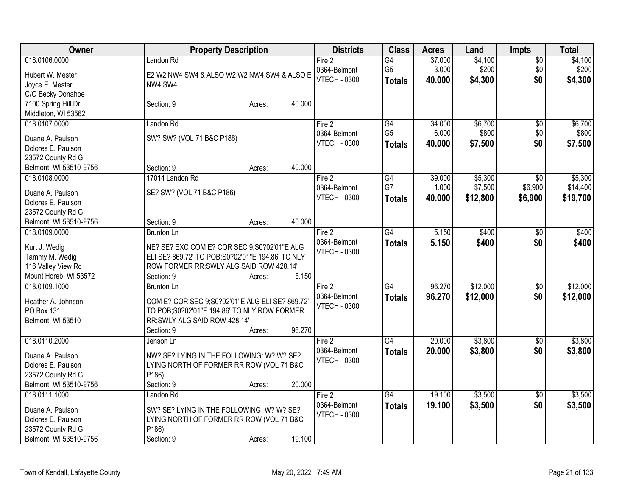| Owner                                       | <b>Property Description</b>                       | <b>Districts</b>    | <b>Class</b>    | <b>Acres</b> | Land     | <b>Impts</b>    | <b>Total</b> |
|---------------------------------------------|---------------------------------------------------|---------------------|-----------------|--------------|----------|-----------------|--------------|
| 018.0106.0000                               | Landon Rd                                         | Fire 2              | $\overline{G4}$ | 37.000       | \$4,100  | $\overline{60}$ | \$4,100      |
| Hubert W. Mester                            | E2 W2 NW4 SW4 & ALSO W2 W2 NW4 SW4 & ALSO E       | 0364-Belmont        | G <sub>5</sub>  | 3.000        | \$200    | \$0             | \$200        |
| Joyce E. Mester                             | NW4 SW4                                           | <b>VTECH - 0300</b> | <b>Totals</b>   | 40.000       | \$4,300  | \$0             | \$4,300      |
| C/O Becky Donahoe                           |                                                   |                     |                 |              |          |                 |              |
| 7100 Spring Hill Dr                         | 40.000<br>Section: 9<br>Acres:                    |                     |                 |              |          |                 |              |
| Middleton, WI 53562                         |                                                   |                     |                 |              |          |                 |              |
| 018.0107.0000                               | Landon Rd                                         | Fire 2              | G4              | 34.000       | \$6,700  | $\overline{60}$ | \$6,700      |
| Duane A. Paulson                            | SW? SW? (VOL 71 B&C P186)                         | 0364-Belmont        | G <sub>5</sub>  | 6.000        | \$800    | \$0             | \$800        |
| Dolores E. Paulson                          |                                                   | <b>VTECH - 0300</b> | <b>Totals</b>   | 40.000       | \$7,500  | \$0             | \$7,500      |
| 23572 County Rd G                           |                                                   |                     |                 |              |          |                 |              |
| Belmont, WI 53510-9756                      | 40.000<br>Section: 9<br>Acres:                    |                     |                 |              |          |                 |              |
| 018.0108.0000                               | 17014 Landon Rd                                   | Fire 2              | G4              | 39.000       | \$5,300  | $\sqrt{50}$     | \$5,300      |
|                                             |                                                   | 0364-Belmont        | G7              | 1.000        | \$7,500  | \$6,900         | \$14,400     |
| Duane A. Paulson                            | SE? SW? (VOL 71 B&C P186)                         | <b>VTECH - 0300</b> | <b>Totals</b>   | 40.000       | \$12,800 | \$6,900         | \$19,700     |
| Dolores E. Paulson                          |                                                   |                     |                 |              |          |                 |              |
| 23572 County Rd G<br>Belmont, WI 53510-9756 | 40.000<br>Section: 9<br>Acres:                    |                     |                 |              |          |                 |              |
| 018.0109.0000                               | <b>Brunton Ln</b>                                 | Fire 2              | $\overline{G4}$ | 5.150        | \$400    | \$0             | \$400        |
|                                             |                                                   | 0364-Belmont        |                 | 5.150        | \$400    | \$0             | \$400        |
| Kurt J. Wedig                               | NE? SE? EXC COM E? COR SEC 9;S0?02'01"E ALG       | <b>VTECH - 0300</b> | <b>Totals</b>   |              |          |                 |              |
| Tammy M. Wedig                              | ELI SE? 869.72' TO POB; S0?02'01"E 194.86' TO NLY |                     |                 |              |          |                 |              |
| 116 Valley View Rd                          | ROW FORMER RR; SWLY ALG SAID ROW 428.14'          |                     |                 |              |          |                 |              |
| Mount Horeb, WI 53572                       | 5.150<br>Section: 9<br>Acres:                     |                     |                 |              |          |                 |              |
| 018.0109.1000                               | <b>Brunton Ln</b>                                 | Fire 2              | $\overline{G4}$ | 96.270       | \$12,000 | \$0             | \$12,000     |
| Heather A. Johnson                          | COM E? COR SEC 9;S0?02'01"E ALG ELI SE? 869.72'   | 0364-Belmont        | <b>Totals</b>   | 96.270       | \$12,000 | \$0             | \$12,000     |
| PO Box 131                                  | TO POB; S0?02'01"E 194.86' TO NLY ROW FORMER      | <b>VTECH - 0300</b> |                 |              |          |                 |              |
| Belmont, WI 53510                           | RR; SWLY ALG SAID ROW 428.14'                     |                     |                 |              |          |                 |              |
|                                             | 96.270<br>Section: 9<br>Acres:                    |                     |                 |              |          |                 |              |
| 018.0110.2000                               | Jenson Ln                                         | Fire 2              | $\overline{G4}$ | 20.000       | \$3,800  | $\sqrt{6}$      | \$3,800      |
| Duane A. Paulson                            | NW? SE? LYING IN THE FOLLOWING: W? W? SE?         | 0364-Belmont        | <b>Totals</b>   | 20.000       | \$3,800  | \$0             | \$3,800      |
| Dolores E. Paulson                          | LYING NORTH OF FORMER RR ROW (VOL 71 B&C          | <b>VTECH - 0300</b> |                 |              |          |                 |              |
| 23572 County Rd G                           | P186)                                             |                     |                 |              |          |                 |              |
| Belmont, WI 53510-9756                      | 20.000<br>Section: 9<br>Acres:                    |                     |                 |              |          |                 |              |
| 018.0111.1000                               | Landon Rd                                         | Fire 2              | $\overline{G4}$ | 19.100       | \$3,500  | $\overline{50}$ | \$3,500      |
|                                             |                                                   | 0364-Belmont        | <b>Totals</b>   | 19.100       | \$3,500  | \$0             | \$3,500      |
| Duane A. Paulson                            | SW? SE? LYING IN THE FOLLOWING: W? W? SE?         | <b>VTECH - 0300</b> |                 |              |          |                 |              |
| Dolores E. Paulson                          | LYING NORTH OF FORMER RR ROW (VOL 71 B&C          |                     |                 |              |          |                 |              |
| 23572 County Rd G                           | P186)                                             |                     |                 |              |          |                 |              |
| Belmont, WI 53510-9756                      | 19.100<br>Section: 9<br>Acres:                    |                     |                 |              |          |                 |              |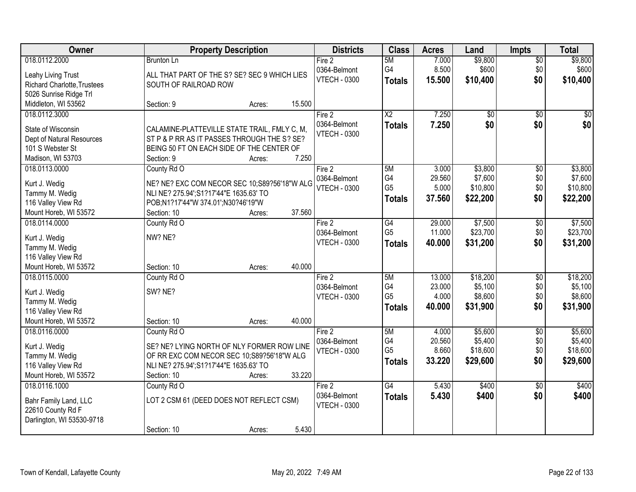| <b>Owner</b>                       | <b>Property Description</b>                  |        | <b>Districts</b>    | <b>Class</b>           | <b>Acres</b> | Land            | Impts           | <b>Total</b> |
|------------------------------------|----------------------------------------------|--------|---------------------|------------------------|--------------|-----------------|-----------------|--------------|
| 018.0112.2000                      | <b>Brunton Ln</b>                            |        | Fire 2              | 5M                     | 7.000        | \$9,800         | $\overline{50}$ | \$9,800      |
| Leahy Living Trust                 | ALL THAT PART OF THE S? SE? SEC 9 WHICH LIES |        | 0364-Belmont        | G4                     | 8.500        | \$600           | \$0             | \$600        |
| <b>Richard Charlotte, Trustees</b> | SOUTH OF RAILROAD ROW                        |        | <b>VTECH - 0300</b> | <b>Totals</b>          | 15.500       | \$10,400        | \$0             | \$10,400     |
| 5026 Sunrise Ridge Trl             |                                              |        |                     |                        |              |                 |                 |              |
| Middleton, WI 53562                | Section: 9<br>Acres:                         | 15.500 |                     |                        |              |                 |                 |              |
| 018.0112.3000                      |                                              |        | Fire 2              | $\overline{\text{X2}}$ | 7.250        | $\overline{50}$ | $\overline{50}$ | \$0          |
|                                    |                                              |        | 0364-Belmont        | <b>Totals</b>          | 7.250        | \$0             | \$0             | \$0          |
| State of Wisconsin                 | CALAMINE-PLATTEVILLE STATE TRAIL, FMLY C, M, |        | <b>VTECH - 0300</b> |                        |              |                 |                 |              |
| Dept of Natural Resources          | ST P & P RR AS IT PASSES THROUGH THE S? SE?  |        |                     |                        |              |                 |                 |              |
| 101 S Webster St                   | BEING 50 FT ON EACH SIDE OF THE CENTER OF    |        |                     |                        |              |                 |                 |              |
| Madison, WI 53703                  | Section: 9<br>Acres:                         | 7.250  |                     |                        |              |                 |                 |              |
| 018.0113.0000                      | County Rd O                                  |        | Fire 2              | 5M                     | 3.000        | \$3,800         | $\overline{50}$ | \$3,800      |
| Kurt J. Wedig                      | NE? NE? EXC COM NECOR SEC 10;S89?56'18"W ALG |        | 0364-Belmont        | G4                     | 29.560       | \$7,600         | \$0             | \$7,600      |
| Tammy M. Wedig                     | NLI NE? 275.94'; S1?17'44"E 1635.63' TO      |        | <b>VTECH - 0300</b> | G <sub>5</sub>         | 5.000        | \$10,800        | \$0             | \$10,800     |
| 116 Valley View Rd                 | POB;N1?17'44"W 374.01';N30?46'19"W           |        |                     | <b>Totals</b>          | 37.560       | \$22,200        | \$0             | \$22,200     |
| Mount Horeb, WI 53572              | Section: 10<br>Acres:                        | 37.560 |                     |                        |              |                 |                 |              |
| 018.0114.0000                      | County Rd O                                  |        | Fire 2              | G4                     | 29.000       | \$7,500         | \$0             | \$7,500      |
|                                    |                                              |        | 0364-Belmont        | G <sub>5</sub>         | 11.000       | \$23,700        | \$0             | \$23,700     |
| Kurt J. Wedig                      | NW? NE?                                      |        | <b>VTECH - 0300</b> | <b>Totals</b>          | 40.000       | \$31,200        | \$0             | \$31,200     |
| Tammy M. Wedig                     |                                              |        |                     |                        |              |                 |                 |              |
| 116 Valley View Rd                 |                                              |        |                     |                        |              |                 |                 |              |
| Mount Horeb, WI 53572              | Section: 10<br>Acres:                        | 40.000 |                     |                        |              |                 |                 |              |
| 018.0115.0000                      | County Rd O                                  |        | Fire 2              | 5M                     | 13.000       | \$18,200        | $\overline{50}$ | \$18,200     |
| Kurt J. Wedig                      | SW? NE?                                      |        | 0364-Belmont        | G4                     | 23.000       | \$5,100         | \$0             | \$5,100      |
| Tammy M. Wedig                     |                                              |        | <b>VTECH - 0300</b> | G <sub>5</sub>         | 4.000        | \$8,600         | \$0             | \$8,600      |
| 116 Valley View Rd                 |                                              |        |                     | <b>Totals</b>          | 40.000       | \$31,900        | \$0             | \$31,900     |
| Mount Horeb, WI 53572              | Section: 10<br>Acres:                        | 40.000 |                     |                        |              |                 |                 |              |
| 018.0116.0000                      | County Rd O                                  |        | Fire 2              | 5M                     | 4.000        | \$5,600         | $\overline{50}$ | \$5,600      |
|                                    |                                              |        | 0364-Belmont        | G4                     | 20.560       | \$5,400         | \$0             | \$5,400      |
| Kurt J. Wedig                      | SE? NE? LYING NORTH OF NLY FORMER ROW LINE   |        | <b>VTECH - 0300</b> | G <sub>5</sub>         | 8.660        | \$18,600        | \$0             | \$18,600     |
| Tammy M. Wedig                     | OF RR EXC COM NECOR SEC 10;S89?56'18"W ALG   |        |                     | <b>Totals</b>          | 33.220       | \$29,600        | \$0             | \$29,600     |
| 116 Valley View Rd                 | NLI NE? 275.94'; S1?17'44"E 1635.63' TO      |        |                     |                        |              |                 |                 |              |
| Mount Horeb, WI 53572              | Section: 10<br>Acres:                        | 33.220 |                     |                        |              |                 |                 |              |
| 018.0116.1000                      | County Rd O                                  |        | Fire 2              | $\overline{G4}$        | 5.430        | \$400           | $\overline{50}$ | \$400        |
| Bahr Family Land, LLC              | LOT 2 CSM 61 (DEED DOES NOT REFLECT CSM)     |        | 0364-Belmont        | <b>Totals</b>          | 5.430        | \$400           | \$0             | \$400        |
| 22610 County Rd F                  |                                              |        | <b>VTECH - 0300</b> |                        |              |                 |                 |              |
| Darlington, WI 53530-9718          |                                              |        |                     |                        |              |                 |                 |              |
|                                    | Section: 10<br>Acres:                        | 5.430  |                     |                        |              |                 |                 |              |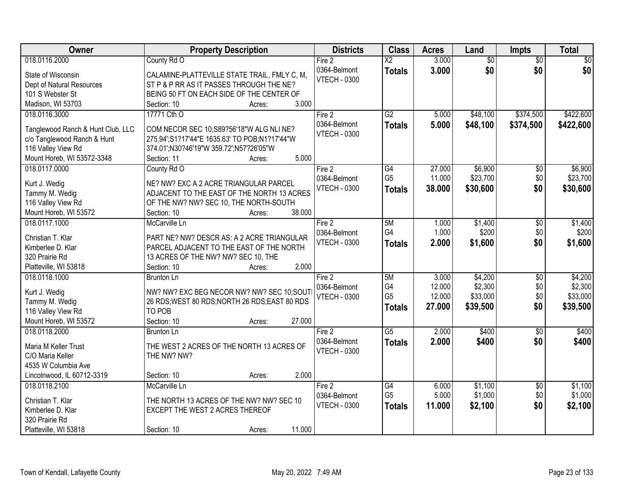| 018.0116.2000<br>$\overline{\text{X2}}$<br>3.000<br>$\overline{50}$<br>$\sqrt{50}$<br>County Rd O<br>Fire 2<br>$\overline{50}$<br>\$0<br>0364-Belmont<br>3.000<br>\$0<br>\$0<br><b>Totals</b><br>State of Wisconsin<br>CALAMINE-PLATTEVILLE STATE TRAIL, FMLY C, M,<br><b>VTECH - 0300</b><br>ST P & P RR AS IT PASSES THROUGH THE NE?<br>Dept of Natural Resources<br>BEING 50 FT ON EACH SIDE OF THE CENTER OF<br>101 S Webster St<br>3.000<br>Madison, WI 53703<br>Section: 10<br>Acres:<br>$\overline{G2}$<br>\$422,600<br>17771 Cth O<br>Fire 2<br>5.000<br>\$48,100<br>\$374,500<br>018.0116.3000<br>0364-Belmont<br>5.000<br>\$48,100<br>\$374,500<br>\$422,600<br><b>Totals</b><br>Tanglewood Ranch & Hunt Club, LLC<br>COM NECOR SEC 10;S89?56'18"W ALG NLI NE?<br><b>VTECH - 0300</b><br>c/o Tanglewood Ranch & Hunt<br>275.94';S1?17'44"E 1635.63' TO POB;N1?17'44"W<br>116 Valley View Rd<br>374.01';N30?46'19"W 359.72';N57?26'05"W<br>5.000<br>Mount Horeb, WI 53572-3348<br>Section: 11<br>Acres:<br>\$6,900<br>018.0117.0000<br>G4<br>27.000<br>\$6,900<br>County Rd O<br>Fire 2<br>\$0<br>G <sub>5</sub><br>\$0<br>11.000<br>\$23,700<br>\$23,700<br>0364-Belmont<br>NE? NW? EXC A 2 ACRE TRIANGULAR PARCEL<br>Kurt J. Wedig<br><b>VTECH - 0300</b><br>38,000<br>\$30,600<br>\$0<br>\$30,600<br><b>Totals</b><br>Tammy M. Wedig<br>ADJACENT TO THE EAST OF THE NORTH 13 ACRES<br>116 Valley View Rd<br>OF THE NW? NW? SEC 10, THE NORTH-SOUTH<br>38.000<br>Mount Horeb, WI 53572<br>Section: 10<br>Acres:<br>018.0117.1000<br>5M<br>\$1,400<br>\$1,400<br>McCarville Ln<br>Fire 2<br>1.000<br>\$0<br>G4<br>1.000<br>\$200<br>\$0<br>\$200<br>0364-Belmont<br>Christian T. Klar<br>PART NE? NW? DESCR AS: A 2 ACRE TRIANGULAR<br>\$0<br><b>VTECH - 0300</b><br>2.000<br>\$1,600<br>\$1,600<br><b>Totals</b><br>Kimberlee D. Klar<br>PARCEL ADJACENT TO THE EAST OF THE NORTH<br>320 Prairie Rd<br>13 ACRES OF THE NW? NW? SEC 10, THE<br>2.000<br>Platteville, WI 53818<br>Section: 10<br>Acres:<br>\$4,200<br>\$4,200<br>018.0118.1000<br>5M<br>3.000<br>$\overline{30}$<br>Fire 2<br><b>Brunton Ln</b><br>G4<br>\$2,300<br>12.000<br>\$0<br>0364-Belmont<br>NW? NW? EXC BEG NECOR NW? NW? SEC 10;SOUT<br>Kurt J. Wedig<br>G <sub>5</sub><br>\$33,000<br>\$0<br>12.000<br>\$33,000<br><b>VTECH - 0300</b><br>Tammy M. Wedig<br>26 RDS; WEST 80 RDS; NORTH 26 RDS; EAST 80 RDS<br>\$0<br>27.000<br>\$39,500<br>\$39,500<br><b>Totals</b><br>116 Valley View Rd<br>TO POB<br>Mount Horeb, WI 53572<br>27.000<br>Section: 10<br>Acres:<br>$\overline{G5}$<br>2.000<br>\$400<br>\$400<br>018.0118.2000<br>Fire 2<br>$\sqrt{6}$<br>Brunton Ln<br>0364-Belmont<br>2.000<br>\$400<br>\$0<br>\$400<br><b>Totals</b><br>THE WEST 2 ACRES OF THE NORTH 13 ACRES OF<br>Maria M Keller Trust<br><b>VTECH - 0300</b><br>THE NW? NW?<br>C/O Maria Keller | Owner               | <b>Property Description</b> | <b>Districts</b> | <b>Class</b> | <b>Acres</b> | Land | <b>Impts</b> | <b>Total</b> |
|-------------------------------------------------------------------------------------------------------------------------------------------------------------------------------------------------------------------------------------------------------------------------------------------------------------------------------------------------------------------------------------------------------------------------------------------------------------------------------------------------------------------------------------------------------------------------------------------------------------------------------------------------------------------------------------------------------------------------------------------------------------------------------------------------------------------------------------------------------------------------------------------------------------------------------------------------------------------------------------------------------------------------------------------------------------------------------------------------------------------------------------------------------------------------------------------------------------------------------------------------------------------------------------------------------------------------------------------------------------------------------------------------------------------------------------------------------------------------------------------------------------------------------------------------------------------------------------------------------------------------------------------------------------------------------------------------------------------------------------------------------------------------------------------------------------------------------------------------------------------------------------------------------------------------------------------------------------------------------------------------------------------------------------------------------------------------------------------------------------------------------------------------------------------------------------------------------------------------------------------------------------------------------------------------------------------------------------------------------------------------------------------------------------------------------------------------------------------------------------------------------------------------------------------------------------------------------------------------------------------------------------------------------------------------------------------------------------------------------------------------------------------------------------------------------------------------------------------------------------|---------------------|-----------------------------|------------------|--------------|--------------|------|--------------|--------------|
|                                                                                                                                                                                                                                                                                                                                                                                                                                                                                                                                                                                                                                                                                                                                                                                                                                                                                                                                                                                                                                                                                                                                                                                                                                                                                                                                                                                                                                                                                                                                                                                                                                                                                                                                                                                                                                                                                                                                                                                                                                                                                                                                                                                                                                                                                                                                                                                                                                                                                                                                                                                                                                                                                                                                                                                                                                                             |                     |                             |                  |              |              |      |              |              |
|                                                                                                                                                                                                                                                                                                                                                                                                                                                                                                                                                                                                                                                                                                                                                                                                                                                                                                                                                                                                                                                                                                                                                                                                                                                                                                                                                                                                                                                                                                                                                                                                                                                                                                                                                                                                                                                                                                                                                                                                                                                                                                                                                                                                                                                                                                                                                                                                                                                                                                                                                                                                                                                                                                                                                                                                                                                             |                     |                             |                  |              |              |      |              |              |
|                                                                                                                                                                                                                                                                                                                                                                                                                                                                                                                                                                                                                                                                                                                                                                                                                                                                                                                                                                                                                                                                                                                                                                                                                                                                                                                                                                                                                                                                                                                                                                                                                                                                                                                                                                                                                                                                                                                                                                                                                                                                                                                                                                                                                                                                                                                                                                                                                                                                                                                                                                                                                                                                                                                                                                                                                                                             |                     |                             |                  |              |              |      |              |              |
|                                                                                                                                                                                                                                                                                                                                                                                                                                                                                                                                                                                                                                                                                                                                                                                                                                                                                                                                                                                                                                                                                                                                                                                                                                                                                                                                                                                                                                                                                                                                                                                                                                                                                                                                                                                                                                                                                                                                                                                                                                                                                                                                                                                                                                                                                                                                                                                                                                                                                                                                                                                                                                                                                                                                                                                                                                                             |                     |                             |                  |              |              |      |              |              |
|                                                                                                                                                                                                                                                                                                                                                                                                                                                                                                                                                                                                                                                                                                                                                                                                                                                                                                                                                                                                                                                                                                                                                                                                                                                                                                                                                                                                                                                                                                                                                                                                                                                                                                                                                                                                                                                                                                                                                                                                                                                                                                                                                                                                                                                                                                                                                                                                                                                                                                                                                                                                                                                                                                                                                                                                                                                             |                     |                             |                  |              |              |      |              |              |
|                                                                                                                                                                                                                                                                                                                                                                                                                                                                                                                                                                                                                                                                                                                                                                                                                                                                                                                                                                                                                                                                                                                                                                                                                                                                                                                                                                                                                                                                                                                                                                                                                                                                                                                                                                                                                                                                                                                                                                                                                                                                                                                                                                                                                                                                                                                                                                                                                                                                                                                                                                                                                                                                                                                                                                                                                                                             |                     |                             |                  |              |              |      |              |              |
|                                                                                                                                                                                                                                                                                                                                                                                                                                                                                                                                                                                                                                                                                                                                                                                                                                                                                                                                                                                                                                                                                                                                                                                                                                                                                                                                                                                                                                                                                                                                                                                                                                                                                                                                                                                                                                                                                                                                                                                                                                                                                                                                                                                                                                                                                                                                                                                                                                                                                                                                                                                                                                                                                                                                                                                                                                                             |                     |                             |                  |              |              |      |              |              |
|                                                                                                                                                                                                                                                                                                                                                                                                                                                                                                                                                                                                                                                                                                                                                                                                                                                                                                                                                                                                                                                                                                                                                                                                                                                                                                                                                                                                                                                                                                                                                                                                                                                                                                                                                                                                                                                                                                                                                                                                                                                                                                                                                                                                                                                                                                                                                                                                                                                                                                                                                                                                                                                                                                                                                                                                                                                             |                     |                             |                  |              |              |      |              |              |
|                                                                                                                                                                                                                                                                                                                                                                                                                                                                                                                                                                                                                                                                                                                                                                                                                                                                                                                                                                                                                                                                                                                                                                                                                                                                                                                                                                                                                                                                                                                                                                                                                                                                                                                                                                                                                                                                                                                                                                                                                                                                                                                                                                                                                                                                                                                                                                                                                                                                                                                                                                                                                                                                                                                                                                                                                                                             |                     |                             |                  |              |              |      |              |              |
|                                                                                                                                                                                                                                                                                                                                                                                                                                                                                                                                                                                                                                                                                                                                                                                                                                                                                                                                                                                                                                                                                                                                                                                                                                                                                                                                                                                                                                                                                                                                                                                                                                                                                                                                                                                                                                                                                                                                                                                                                                                                                                                                                                                                                                                                                                                                                                                                                                                                                                                                                                                                                                                                                                                                                                                                                                                             |                     |                             |                  |              |              |      |              |              |
|                                                                                                                                                                                                                                                                                                                                                                                                                                                                                                                                                                                                                                                                                                                                                                                                                                                                                                                                                                                                                                                                                                                                                                                                                                                                                                                                                                                                                                                                                                                                                                                                                                                                                                                                                                                                                                                                                                                                                                                                                                                                                                                                                                                                                                                                                                                                                                                                                                                                                                                                                                                                                                                                                                                                                                                                                                                             |                     |                             |                  |              |              |      |              |              |
|                                                                                                                                                                                                                                                                                                                                                                                                                                                                                                                                                                                                                                                                                                                                                                                                                                                                                                                                                                                                                                                                                                                                                                                                                                                                                                                                                                                                                                                                                                                                                                                                                                                                                                                                                                                                                                                                                                                                                                                                                                                                                                                                                                                                                                                                                                                                                                                                                                                                                                                                                                                                                                                                                                                                                                                                                                                             |                     |                             |                  |              |              |      |              |              |
|                                                                                                                                                                                                                                                                                                                                                                                                                                                                                                                                                                                                                                                                                                                                                                                                                                                                                                                                                                                                                                                                                                                                                                                                                                                                                                                                                                                                                                                                                                                                                                                                                                                                                                                                                                                                                                                                                                                                                                                                                                                                                                                                                                                                                                                                                                                                                                                                                                                                                                                                                                                                                                                                                                                                                                                                                                                             |                     |                             |                  |              |              |      |              |              |
|                                                                                                                                                                                                                                                                                                                                                                                                                                                                                                                                                                                                                                                                                                                                                                                                                                                                                                                                                                                                                                                                                                                                                                                                                                                                                                                                                                                                                                                                                                                                                                                                                                                                                                                                                                                                                                                                                                                                                                                                                                                                                                                                                                                                                                                                                                                                                                                                                                                                                                                                                                                                                                                                                                                                                                                                                                                             |                     |                             |                  |              |              |      |              |              |
|                                                                                                                                                                                                                                                                                                                                                                                                                                                                                                                                                                                                                                                                                                                                                                                                                                                                                                                                                                                                                                                                                                                                                                                                                                                                                                                                                                                                                                                                                                                                                                                                                                                                                                                                                                                                                                                                                                                                                                                                                                                                                                                                                                                                                                                                                                                                                                                                                                                                                                                                                                                                                                                                                                                                                                                                                                                             |                     |                             |                  |              |              |      |              |              |
|                                                                                                                                                                                                                                                                                                                                                                                                                                                                                                                                                                                                                                                                                                                                                                                                                                                                                                                                                                                                                                                                                                                                                                                                                                                                                                                                                                                                                                                                                                                                                                                                                                                                                                                                                                                                                                                                                                                                                                                                                                                                                                                                                                                                                                                                                                                                                                                                                                                                                                                                                                                                                                                                                                                                                                                                                                                             |                     |                             |                  |              |              |      |              |              |
|                                                                                                                                                                                                                                                                                                                                                                                                                                                                                                                                                                                                                                                                                                                                                                                                                                                                                                                                                                                                                                                                                                                                                                                                                                                                                                                                                                                                                                                                                                                                                                                                                                                                                                                                                                                                                                                                                                                                                                                                                                                                                                                                                                                                                                                                                                                                                                                                                                                                                                                                                                                                                                                                                                                                                                                                                                                             |                     |                             |                  |              |              |      |              |              |
|                                                                                                                                                                                                                                                                                                                                                                                                                                                                                                                                                                                                                                                                                                                                                                                                                                                                                                                                                                                                                                                                                                                                                                                                                                                                                                                                                                                                                                                                                                                                                                                                                                                                                                                                                                                                                                                                                                                                                                                                                                                                                                                                                                                                                                                                                                                                                                                                                                                                                                                                                                                                                                                                                                                                                                                                                                                             |                     |                             |                  |              |              |      |              |              |
| \$2,300                                                                                                                                                                                                                                                                                                                                                                                                                                                                                                                                                                                                                                                                                                                                                                                                                                                                                                                                                                                                                                                                                                                                                                                                                                                                                                                                                                                                                                                                                                                                                                                                                                                                                                                                                                                                                                                                                                                                                                                                                                                                                                                                                                                                                                                                                                                                                                                                                                                                                                                                                                                                                                                                                                                                                                                                                                                     |                     |                             |                  |              |              |      |              |              |
|                                                                                                                                                                                                                                                                                                                                                                                                                                                                                                                                                                                                                                                                                                                                                                                                                                                                                                                                                                                                                                                                                                                                                                                                                                                                                                                                                                                                                                                                                                                                                                                                                                                                                                                                                                                                                                                                                                                                                                                                                                                                                                                                                                                                                                                                                                                                                                                                                                                                                                                                                                                                                                                                                                                                                                                                                                                             |                     |                             |                  |              |              |      |              |              |
|                                                                                                                                                                                                                                                                                                                                                                                                                                                                                                                                                                                                                                                                                                                                                                                                                                                                                                                                                                                                                                                                                                                                                                                                                                                                                                                                                                                                                                                                                                                                                                                                                                                                                                                                                                                                                                                                                                                                                                                                                                                                                                                                                                                                                                                                                                                                                                                                                                                                                                                                                                                                                                                                                                                                                                                                                                                             |                     |                             |                  |              |              |      |              |              |
|                                                                                                                                                                                                                                                                                                                                                                                                                                                                                                                                                                                                                                                                                                                                                                                                                                                                                                                                                                                                                                                                                                                                                                                                                                                                                                                                                                                                                                                                                                                                                                                                                                                                                                                                                                                                                                                                                                                                                                                                                                                                                                                                                                                                                                                                                                                                                                                                                                                                                                                                                                                                                                                                                                                                                                                                                                                             |                     |                             |                  |              |              |      |              |              |
|                                                                                                                                                                                                                                                                                                                                                                                                                                                                                                                                                                                                                                                                                                                                                                                                                                                                                                                                                                                                                                                                                                                                                                                                                                                                                                                                                                                                                                                                                                                                                                                                                                                                                                                                                                                                                                                                                                                                                                                                                                                                                                                                                                                                                                                                                                                                                                                                                                                                                                                                                                                                                                                                                                                                                                                                                                                             |                     |                             |                  |              |              |      |              |              |
|                                                                                                                                                                                                                                                                                                                                                                                                                                                                                                                                                                                                                                                                                                                                                                                                                                                                                                                                                                                                                                                                                                                                                                                                                                                                                                                                                                                                                                                                                                                                                                                                                                                                                                                                                                                                                                                                                                                                                                                                                                                                                                                                                                                                                                                                                                                                                                                                                                                                                                                                                                                                                                                                                                                                                                                                                                                             |                     |                             |                  |              |              |      |              |              |
|                                                                                                                                                                                                                                                                                                                                                                                                                                                                                                                                                                                                                                                                                                                                                                                                                                                                                                                                                                                                                                                                                                                                                                                                                                                                                                                                                                                                                                                                                                                                                                                                                                                                                                                                                                                                                                                                                                                                                                                                                                                                                                                                                                                                                                                                                                                                                                                                                                                                                                                                                                                                                                                                                                                                                                                                                                                             |                     |                             |                  |              |              |      |              |              |
|                                                                                                                                                                                                                                                                                                                                                                                                                                                                                                                                                                                                                                                                                                                                                                                                                                                                                                                                                                                                                                                                                                                                                                                                                                                                                                                                                                                                                                                                                                                                                                                                                                                                                                                                                                                                                                                                                                                                                                                                                                                                                                                                                                                                                                                                                                                                                                                                                                                                                                                                                                                                                                                                                                                                                                                                                                                             |                     |                             |                  |              |              |      |              |              |
|                                                                                                                                                                                                                                                                                                                                                                                                                                                                                                                                                                                                                                                                                                                                                                                                                                                                                                                                                                                                                                                                                                                                                                                                                                                                                                                                                                                                                                                                                                                                                                                                                                                                                                                                                                                                                                                                                                                                                                                                                                                                                                                                                                                                                                                                                                                                                                                                                                                                                                                                                                                                                                                                                                                                                                                                                                                             |                     |                             |                  |              |              |      |              |              |
|                                                                                                                                                                                                                                                                                                                                                                                                                                                                                                                                                                                                                                                                                                                                                                                                                                                                                                                                                                                                                                                                                                                                                                                                                                                                                                                                                                                                                                                                                                                                                                                                                                                                                                                                                                                                                                                                                                                                                                                                                                                                                                                                                                                                                                                                                                                                                                                                                                                                                                                                                                                                                                                                                                                                                                                                                                                             |                     |                             |                  |              |              |      |              |              |
|                                                                                                                                                                                                                                                                                                                                                                                                                                                                                                                                                                                                                                                                                                                                                                                                                                                                                                                                                                                                                                                                                                                                                                                                                                                                                                                                                                                                                                                                                                                                                                                                                                                                                                                                                                                                                                                                                                                                                                                                                                                                                                                                                                                                                                                                                                                                                                                                                                                                                                                                                                                                                                                                                                                                                                                                                                                             |                     |                             |                  |              |              |      |              |              |
|                                                                                                                                                                                                                                                                                                                                                                                                                                                                                                                                                                                                                                                                                                                                                                                                                                                                                                                                                                                                                                                                                                                                                                                                                                                                                                                                                                                                                                                                                                                                                                                                                                                                                                                                                                                                                                                                                                                                                                                                                                                                                                                                                                                                                                                                                                                                                                                                                                                                                                                                                                                                                                                                                                                                                                                                                                                             |                     |                             |                  |              |              |      |              |              |
|                                                                                                                                                                                                                                                                                                                                                                                                                                                                                                                                                                                                                                                                                                                                                                                                                                                                                                                                                                                                                                                                                                                                                                                                                                                                                                                                                                                                                                                                                                                                                                                                                                                                                                                                                                                                                                                                                                                                                                                                                                                                                                                                                                                                                                                                                                                                                                                                                                                                                                                                                                                                                                                                                                                                                                                                                                                             | 4535 W Columbia Ave |                             |                  |              |              |      |              |              |
| 2.000<br>Lincolnwood, IL 60712-3319<br>Section: 10<br>Acres:                                                                                                                                                                                                                                                                                                                                                                                                                                                                                                                                                                                                                                                                                                                                                                                                                                                                                                                                                                                                                                                                                                                                                                                                                                                                                                                                                                                                                                                                                                                                                                                                                                                                                                                                                                                                                                                                                                                                                                                                                                                                                                                                                                                                                                                                                                                                                                                                                                                                                                                                                                                                                                                                                                                                                                                                |                     |                             |                  |              |              |      |              |              |
| 018.0118.2100<br>\$1,100<br>\$1,100<br>McCarville Ln<br>Fire 2<br>G4<br>6.000<br>$\overline{30}$                                                                                                                                                                                                                                                                                                                                                                                                                                                                                                                                                                                                                                                                                                                                                                                                                                                                                                                                                                                                                                                                                                                                                                                                                                                                                                                                                                                                                                                                                                                                                                                                                                                                                                                                                                                                                                                                                                                                                                                                                                                                                                                                                                                                                                                                                                                                                                                                                                                                                                                                                                                                                                                                                                                                                            |                     |                             |                  |              |              |      |              |              |
| \$1,000<br>\$1,000<br>G <sub>5</sub><br>5.000<br>\$0<br>0364-Belmont<br>Christian T. Klar<br>THE NORTH 13 ACRES OF THE NW? NW? SEC 10                                                                                                                                                                                                                                                                                                                                                                                                                                                                                                                                                                                                                                                                                                                                                                                                                                                                                                                                                                                                                                                                                                                                                                                                                                                                                                                                                                                                                                                                                                                                                                                                                                                                                                                                                                                                                                                                                                                                                                                                                                                                                                                                                                                                                                                                                                                                                                                                                                                                                                                                                                                                                                                                                                                       |                     |                             |                  |              |              |      |              |              |
| \$0<br><b>VTECH - 0300</b><br>\$2,100<br>\$2,100<br>11.000<br><b>Totals</b><br>Kimberlee D. Klar<br>EXCEPT THE WEST 2 ACRES THEREOF                                                                                                                                                                                                                                                                                                                                                                                                                                                                                                                                                                                                                                                                                                                                                                                                                                                                                                                                                                                                                                                                                                                                                                                                                                                                                                                                                                                                                                                                                                                                                                                                                                                                                                                                                                                                                                                                                                                                                                                                                                                                                                                                                                                                                                                                                                                                                                                                                                                                                                                                                                                                                                                                                                                         |                     |                             |                  |              |              |      |              |              |
| 320 Prairie Rd                                                                                                                                                                                                                                                                                                                                                                                                                                                                                                                                                                                                                                                                                                                                                                                                                                                                                                                                                                                                                                                                                                                                                                                                                                                                                                                                                                                                                                                                                                                                                                                                                                                                                                                                                                                                                                                                                                                                                                                                                                                                                                                                                                                                                                                                                                                                                                                                                                                                                                                                                                                                                                                                                                                                                                                                                                              |                     |                             |                  |              |              |      |              |              |
| 11.000<br>Platteville, WI 53818<br>Section: 10<br>Acres:                                                                                                                                                                                                                                                                                                                                                                                                                                                                                                                                                                                                                                                                                                                                                                                                                                                                                                                                                                                                                                                                                                                                                                                                                                                                                                                                                                                                                                                                                                                                                                                                                                                                                                                                                                                                                                                                                                                                                                                                                                                                                                                                                                                                                                                                                                                                                                                                                                                                                                                                                                                                                                                                                                                                                                                                    |                     |                             |                  |              |              |      |              |              |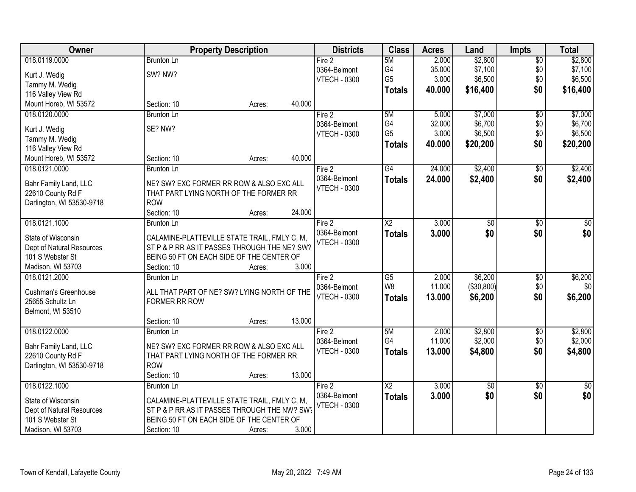| Owner                                          | <b>Property Description</b>                  | <b>Districts</b>    | <b>Class</b>           | <b>Acres</b> | Land            | <b>Impts</b>    | <b>Total</b>  |
|------------------------------------------------|----------------------------------------------|---------------------|------------------------|--------------|-----------------|-----------------|---------------|
| 018.0119.0000                                  | <b>Brunton Ln</b>                            | Fire 2              | 5M                     | 2.000        | \$2,800         | $\overline{50}$ | \$2,800       |
| Kurt J. Wedig                                  | SW? NW?                                      | 0364-Belmont        | G4                     | 35.000       | \$7,100         | \$0             | \$7,100       |
| Tammy M. Wedig                                 |                                              | <b>VTECH - 0300</b> | G <sub>5</sub>         | 3.000        | \$6,500         | \$0             | \$6,500       |
| 116 Valley View Rd                             |                                              |                     | <b>Totals</b>          | 40.000       | \$16,400        | \$0             | \$16,400      |
| Mount Horeb, WI 53572                          | 40.000<br>Section: 10<br>Acres:              |                     |                        |              |                 |                 |               |
| 018.0120.0000                                  | <b>Brunton Ln</b>                            | Fire 2              | 5M                     | 5.000        | \$7,000         | $\overline{50}$ | \$7,000       |
|                                                |                                              | 0364-Belmont        | G4                     | 32.000       | \$6,700         | \$0             | \$6,700       |
| Kurt J. Wedig                                  | SE? NW?                                      | <b>VTECH - 0300</b> | G <sub>5</sub>         | 3.000        | \$6,500         | \$0             | \$6,500       |
| Tammy M. Wedig                                 |                                              |                     | <b>Totals</b>          | 40.000       | \$20,200        | \$0             | \$20,200      |
| 116 Valley View Rd                             |                                              |                     |                        |              |                 |                 |               |
| Mount Horeb, WI 53572                          | 40.000<br>Section: 10<br>Acres:              |                     |                        |              |                 |                 |               |
| 018.0121.0000                                  | Brunton Ln                                   | Fire 2              | $\overline{G4}$        | 24.000       | \$2,400         | $\overline{50}$ | \$2,400       |
|                                                | NE? SW? EXC FORMER RR ROW & ALSO EXC ALL     | 0364-Belmont        | <b>Totals</b>          | 24.000       | \$2,400         | \$0             | \$2,400       |
| Bahr Family Land, LLC                          | THAT PART LYING NORTH OF THE FORMER RR       | <b>VTECH - 0300</b> |                        |              |                 |                 |               |
| 22610 County Rd F<br>Darlington, WI 53530-9718 | <b>ROW</b>                                   |                     |                        |              |                 |                 |               |
|                                                | 24.000<br>Section: 10<br>Acres:              |                     |                        |              |                 |                 |               |
| 018.0121.1000                                  | <b>Brunton Ln</b>                            | Fire 2              | $\overline{\text{X2}}$ | 3.000        |                 |                 |               |
|                                                |                                              | 0364-Belmont        |                        |              | \$0             | \$0             | \$0           |
| State of Wisconsin                             | CALAMINE-PLATTEVILLE STATE TRAIL, FMLY C, M, |                     | <b>Totals</b>          | 3.000        | \$0             | \$0             | \$0           |
| Dept of Natural Resources                      | ST P & P RR AS IT PASSES THROUGH THE NE? SW? | <b>VTECH - 0300</b> |                        |              |                 |                 |               |
| 101 S Webster St                               | BEING 50 FT ON EACH SIDE OF THE CENTER OF    |                     |                        |              |                 |                 |               |
| Madison, WI 53703                              | 3.000<br>Section: 10<br>Acres:               |                     |                        |              |                 |                 |               |
| 018.0121.2000                                  | <b>Brunton Ln</b>                            | Fire 2              | $\overline{G5}$        | 2.000        | \$6,200         | $\overline{30}$ | \$6,200       |
|                                                |                                              | 0364-Belmont        | W <sub>8</sub>         | 11.000       | (\$30,800)      | \$0             | \$0           |
| <b>Cushman's Greenhouse</b>                    | ALL THAT PART OF NE? SW? LYING NORTH OF THE  | <b>VTECH - 0300</b> | <b>Totals</b>          | 13.000       | \$6,200         | \$0             | \$6,200       |
| 25655 Schultz Ln                               | FORMER RR ROW                                |                     |                        |              |                 |                 |               |
| Belmont, WI 53510                              |                                              |                     |                        |              |                 |                 |               |
|                                                | 13.000<br>Section: 10<br>Acres:              |                     |                        |              |                 |                 |               |
| 018.0122.0000                                  | Brunton Ln                                   | Fire 2              | 5M                     | 2.000        | \$2,800         | $\sqrt{6}$      | \$2,800       |
| Bahr Family Land, LLC                          | NE? SW? EXC FORMER RR ROW & ALSO EXC ALL     | 0364-Belmont        | G4                     | 11.000       | \$2,000         | \$0             | \$2,000       |
| 22610 County Rd F                              | THAT PART LYING NORTH OF THE FORMER RR       | <b>VTECH - 0300</b> | <b>Totals</b>          | 13.000       | \$4,800         | \$0             | \$4,800       |
| Darlington, WI 53530-9718                      | <b>ROW</b>                                   |                     |                        |              |                 |                 |               |
|                                                | 13.000<br>Section: 10<br>Acres:              |                     |                        |              |                 |                 |               |
| 018.0122.1000                                  | <b>Brunton Ln</b>                            | Fire 2              | $\overline{\text{X2}}$ | 3.000        | $\overline{50}$ | $\overline{50}$ | $\frac{1}{6}$ |
|                                                |                                              | 0364-Belmont        | <b>Totals</b>          | 3.000        | \$0             | \$0             | \$0           |
| State of Wisconsin                             | CALAMINE-PLATTEVILLE STATE TRAIL, FMLY C, M, | <b>VTECH - 0300</b> |                        |              |                 |                 |               |
| Dept of Natural Resources                      | ST P & P RR AS IT PASSES THROUGH THE NW? SW? |                     |                        |              |                 |                 |               |
| 101 S Webster St                               | BEING 50 FT ON EACH SIDE OF THE CENTER OF    |                     |                        |              |                 |                 |               |
| Madison, WI 53703                              | 3.000<br>Section: 10<br>Acres:               |                     |                        |              |                 |                 |               |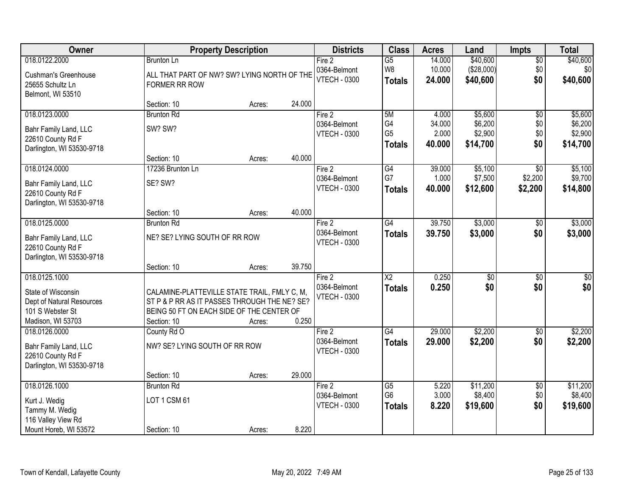| Owner                                                                                    |                                                                                                                                                          | <b>Property Description</b> |        | <b>Districts</b>                    | <b>Class</b>                            | <b>Acres</b>     | Land                   | <b>Impts</b>           | <b>Total</b>                 |
|------------------------------------------------------------------------------------------|----------------------------------------------------------------------------------------------------------------------------------------------------------|-----------------------------|--------|-------------------------------------|-----------------------------------------|------------------|------------------------|------------------------|------------------------------|
| 018.0122.2000                                                                            | <b>Brunton Ln</b>                                                                                                                                        |                             |        | Fire 2                              | $\overline{G5}$                         | 14.000           | \$40,600               | $\overline{50}$        | \$40,600                     |
| <b>Cushman's Greenhouse</b><br>25655 Schultz Ln<br>Belmont, WI 53510                     | ALL THAT PART OF NW? SW? LYING NORTH OF THE<br><b>FORMER RR ROW</b>                                                                                      |                             |        | 0364-Belmont<br><b>VTECH - 0300</b> | W8<br><b>Totals</b>                     | 10.000<br>24.000 | (\$28,000)<br>\$40,600 | \$0<br>\$0             | \$0 <sub>1</sub><br>\$40,600 |
|                                                                                          | Section: 10                                                                                                                                              | Acres:                      | 24.000 |                                     |                                         |                  |                        |                        |                              |
| 018.0123.0000                                                                            | <b>Brunton Rd</b>                                                                                                                                        |                             |        | Fire 2                              | 5M                                      | 4.000            | \$5,600                | $\overline{50}$        | \$5,600                      |
| Bahr Family Land, LLC<br>22610 County Rd F                                               | SW? SW?                                                                                                                                                  |                             |        | 0364-Belmont<br><b>VTECH - 0300</b> | G4<br>G <sub>5</sub>                    | 34.000<br>2.000  | \$6,200<br>\$2,900     | \$0<br>\$0             | \$6,200<br>\$2,900           |
| Darlington, WI 53530-9718                                                                |                                                                                                                                                          |                             |        |                                     | <b>Totals</b>                           | 40.000           | \$14,700               | \$0                    | \$14,700                     |
|                                                                                          | Section: 10                                                                                                                                              | Acres:                      | 40.000 |                                     |                                         |                  |                        |                        |                              |
| 018.0124.0000                                                                            | 17236 Brunton Ln                                                                                                                                         |                             |        | Fire 2                              | G4                                      | 39.000           | \$5,100                | \$0                    | \$5,100                      |
| Bahr Family Land, LLC<br>22610 County Rd F                                               | SE? SW?                                                                                                                                                  |                             |        | 0364-Belmont<br><b>VTECH - 0300</b> | G7<br><b>Totals</b>                     | 1.000<br>40.000  | \$7,500<br>\$12,600    | \$2,200<br>\$2,200     | \$9,700<br>\$14,800          |
| Darlington, WI 53530-9718                                                                |                                                                                                                                                          |                             | 40.000 |                                     |                                         |                  |                        |                        |                              |
| 018.0125.0000                                                                            | Section: 10<br><b>Brunton Rd</b>                                                                                                                         | Acres:                      |        | Fire 2                              | $\overline{G4}$                         | 39.750           | \$3,000                | $\sqrt[6]{3}$          | \$3,000                      |
| Bahr Family Land, LLC<br>22610 County Rd F                                               | NE? SE? LYING SOUTH OF RR ROW                                                                                                                            |                             |        | 0364-Belmont<br><b>VTECH - 0300</b> | <b>Totals</b>                           | 39.750           | \$3,000                | \$0                    | \$3,000                      |
| Darlington, WI 53530-9718                                                                | Section: 10                                                                                                                                              | Acres:                      | 39.750 |                                     |                                         |                  |                        |                        |                              |
| 018.0125.1000                                                                            |                                                                                                                                                          |                             |        | Fire 2<br>0364-Belmont              | $\overline{\text{X2}}$<br><b>Totals</b> | 0.250<br>0.250   | $\overline{50}$<br>\$0 | $\overline{50}$<br>\$0 | $\sqrt{50}$<br>\$0           |
| State of Wisconsin<br>Dept of Natural Resources<br>101 S Webster St<br>Madison, WI 53703 | CALAMINE-PLATTEVILLE STATE TRAIL, FMLY C, M,<br>ST P & P RR AS IT PASSES THROUGH THE NE? SE?<br>BEING 50 FT ON EACH SIDE OF THE CENTER OF<br>Section: 10 | Acres:                      | 0.250  | <b>VTECH - 0300</b>                 |                                         |                  |                        |                        |                              |
| 018.0126.0000                                                                            | County Rd O                                                                                                                                              |                             |        | Fire 2                              | G4                                      | 29.000           | \$2,200                | $\overline{50}$        | \$2,200                      |
| Bahr Family Land, LLC<br>22610 County Rd F<br>Darlington, WI 53530-9718                  | NW? SE? LYING SOUTH OF RR ROW                                                                                                                            |                             |        | 0364-Belmont<br><b>VTECH - 0300</b> | <b>Totals</b>                           | 29.000           | \$2,200                | \$0                    | \$2,200                      |
|                                                                                          | Section: 10                                                                                                                                              | Acres:                      | 29.000 |                                     |                                         |                  |                        |                        |                              |
| 018.0126.1000                                                                            | <b>Brunton Rd</b>                                                                                                                                        |                             |        | Fire 2                              | $\overline{G5}$                         | 5.220            | \$11,200               | $\overline{60}$        | \$11,200                     |
| Kurt J. Wedig<br>Tammy M. Wedig<br>116 Valley View Rd                                    | LOT 1 CSM 61                                                                                                                                             |                             |        | 0364-Belmont<br><b>VTECH - 0300</b> | G <sub>6</sub><br><b>Totals</b>         | 3.000<br>8.220   | \$8,400<br>\$19,600    | \$0<br>\$0             | \$8,400<br>\$19,600          |
| Mount Horeb, WI 53572                                                                    | Section: 10                                                                                                                                              | Acres:                      | 8.220  |                                     |                                         |                  |                        |                        |                              |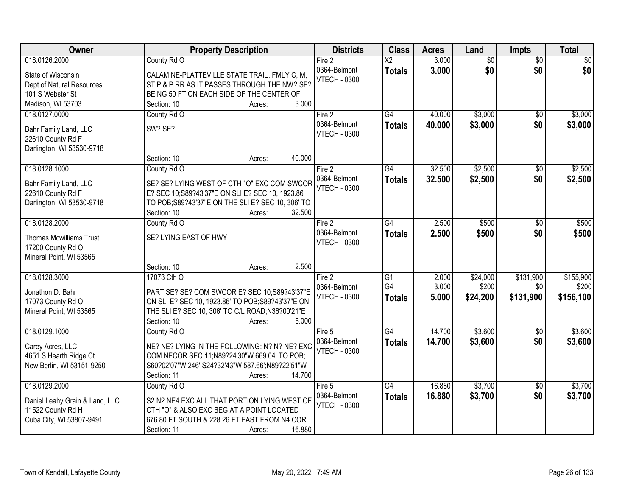| Owner                                               | <b>Property Description</b>                                                                          | <b>Districts</b>    | <b>Class</b>           | <b>Acres</b> | Land            | <b>Impts</b>    | <b>Total</b>    |
|-----------------------------------------------------|------------------------------------------------------------------------------------------------------|---------------------|------------------------|--------------|-----------------|-----------------|-----------------|
| 018.0126.2000                                       | County Rd O                                                                                          | Fire 2              | $\overline{\text{X2}}$ | 3.000        | $\overline{50}$ | $\overline{50}$ | $\overline{30}$ |
| State of Wisconsin                                  | CALAMINE-PLATTEVILLE STATE TRAIL, FMLY C, M,                                                         | 0364-Belmont        | <b>Totals</b>          | 3.000        | \$0             | \$0             | \$0             |
| Dept of Natural Resources                           | ST P & P RR AS IT PASSES THROUGH THE NW? SE?                                                         | <b>VTECH - 0300</b> |                        |              |                 |                 |                 |
| 101 S Webster St                                    | BEING 50 FT ON EACH SIDE OF THE CENTER OF                                                            |                     |                        |              |                 |                 |                 |
| Madison, WI 53703                                   | 3.000<br>Section: 10<br>Acres:                                                                       |                     |                        |              |                 |                 |                 |
| 018.0127.0000                                       | County Rd O                                                                                          | Fire 2              | $\overline{G4}$        | 40.000       | \$3,000         | $\overline{50}$ | \$3,000         |
| Bahr Family Land, LLC                               | SW? SE?                                                                                              | 0364-Belmont        | <b>Totals</b>          | 40.000       | \$3,000         | \$0             | \$3,000         |
| 22610 County Rd F                                   |                                                                                                      | <b>VTECH - 0300</b> |                        |              |                 |                 |                 |
| Darlington, WI 53530-9718                           |                                                                                                      |                     |                        |              |                 |                 |                 |
|                                                     | 40.000<br>Section: 10<br>Acres:                                                                      |                     |                        |              |                 |                 |                 |
| 018.0128.1000                                       | County Rd O                                                                                          | Fire 2              | $\overline{G4}$        | 32.500       | \$2,500         | \$0             | \$2,500         |
| Bahr Family Land, LLC                               | SE? SE? LYING WEST OF CTH "O" EXC COM SWCOR                                                          | 0364-Belmont        | <b>Totals</b>          | 32.500       | \$2,500         | \$0             | \$2,500         |
| 22610 County Rd F                                   | E? SEC 10;S89?43'37"E ON SLI E? SEC 10, 1923.86'                                                     | <b>VTECH - 0300</b> |                        |              |                 |                 |                 |
| Darlington, WI 53530-9718                           | TO POB; S89?43'37"E ON THE SLI E? SEC 10, 306' TO                                                    |                     |                        |              |                 |                 |                 |
|                                                     | 32.500<br>Section: 10<br>Acres:                                                                      |                     |                        |              |                 |                 |                 |
| 018.0128.2000                                       | County Rd O                                                                                          | Fire 2              | G4                     | 2.500        | \$500           | \$0             | \$500           |
|                                                     | SE? LYING EAST OF HWY                                                                                | 0364-Belmont        | <b>Totals</b>          | 2.500        | \$500           | \$0             | \$500           |
| <b>Thomas Mcwilliams Trust</b><br>17200 County Rd O |                                                                                                      | <b>VTECH - 0300</b> |                        |              |                 |                 |                 |
| Mineral Point, WI 53565                             |                                                                                                      |                     |                        |              |                 |                 |                 |
|                                                     | 2.500<br>Section: 10<br>Acres:                                                                       |                     |                        |              |                 |                 |                 |
| 018.0128.3000                                       | 17073 Cth O                                                                                          | Fire 2              | $\overline{G1}$        | 2.000        | \$24,000        | \$131,900       | \$155,900       |
|                                                     |                                                                                                      | 0364-Belmont        | G4                     | 3.000        | \$200           | \$0             | \$200           |
| Jonathon D. Bahr                                    | PART SE? SE? COM SWCOR E? SEC 10;S89?43'37"E                                                         | <b>VTECH - 0300</b> | <b>Totals</b>          | 5.000        | \$24,200        | \$131,900       | \$156,100       |
| 17073 County Rd O<br>Mineral Point, WI 53565        | ON SLI E? SEC 10, 1923.86' TO POB; S89?43'37"E ON<br>THE SLI E? SEC 10, 306' TO C/L ROAD;N36?00'21"E |                     |                        |              |                 |                 |                 |
|                                                     | Section: 10<br>5.000<br>Acres:                                                                       |                     |                        |              |                 |                 |                 |
| 018.0129.1000                                       | County Rd O                                                                                          | Fire 5              | $\overline{G4}$        | 14.700       | \$3,600         | \$0             | \$3,600         |
|                                                     |                                                                                                      | 0364-Belmont        | <b>Totals</b>          | 14.700       | \$3,600         | \$0             | \$3,600         |
| Carey Acres, LLC                                    | NE? NE? LYING IN THE FOLLOWING: N? N? NE? EXC                                                        | <b>VTECH - 0300</b> |                        |              |                 |                 |                 |
| 4651 S Hearth Ridge Ct                              | COM NECOR SEC 11; N89?24'30"W 669.04' TO POB;                                                        |                     |                        |              |                 |                 |                 |
| New Berlin, WI 53151-9250                           | S60?02'07"W 246';S24?32'43"W 587.66';N89?22'51"W<br>14.700<br>Section: 11<br>Acres:                  |                     |                        |              |                 |                 |                 |
| 018.0129.2000                                       | County Rd O                                                                                          | Fire $5$            | G4                     | 16.880       | \$3,700         | $\overline{30}$ | \$3,700         |
|                                                     |                                                                                                      | 0364-Belmont        | <b>Totals</b>          | 16.880       | \$3,700         | \$0             | \$3,700         |
| Daniel Leahy Grain & Land, LLC                      | S2 N2 NE4 EXC ALL THAT PORTION LYING WEST OF                                                         | <b>VTECH - 0300</b> |                        |              |                 |                 |                 |
| 11522 County Rd H                                   | CTH "O" & ALSO EXC BEG AT A POINT LOCATED                                                            |                     |                        |              |                 |                 |                 |
| Cuba City, WI 53807-9491                            | 676.80 FT SOUTH & 228.26 FT EAST FROM N4 COR                                                         |                     |                        |              |                 |                 |                 |
|                                                     | 16.880<br>Section: 11<br>Acres:                                                                      |                     |                        |              |                 |                 |                 |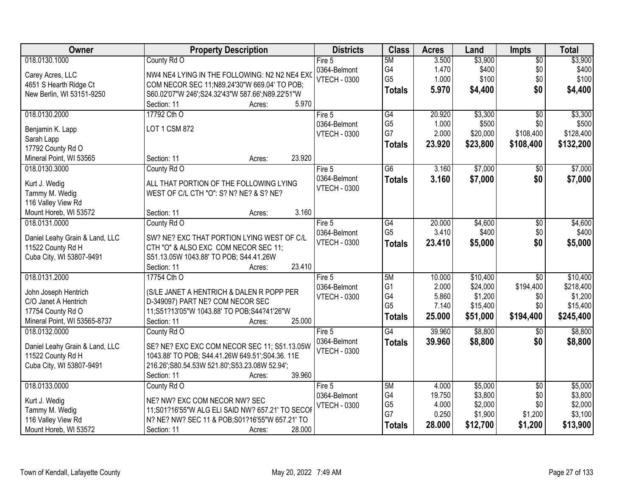| \$3,900<br>018.0130.1000<br>County Rd O<br>5M<br>3.500<br>Fire 5<br>$\overline{50}$                                                                                | \$3,900   |
|--------------------------------------------------------------------------------------------------------------------------------------------------------------------|-----------|
| G4<br>1.470<br>\$400<br>0364-Belmont<br>\$0<br>Carey Acres, LLC<br>NW4 NE4 LYING IN THE FOLLOWING: N2 N2 NE4 EXO                                                   | \$400     |
| G <sub>5</sub><br>1.000<br>\$100<br>\$0<br><b>VTECH - 0300</b><br>4651 S Hearth Ridge Ct<br>COM NECOR SEC 11; N89.24'30"W 669.04' TO POB;                          | \$100     |
| \$0<br>5.970<br>\$4,400<br><b>Totals</b><br>New Berlin, WI 53151-9250<br>S60.02'07"W 246';S24.32'43"W 587.66';N89.22'51"W                                          | \$4,400   |
| 5.970<br>Section: 11<br>Acres:                                                                                                                                     |           |
| 17792 Cth O<br>G4<br>\$3,300<br>018.0130.2000<br>20.920<br>$\overline{30}$<br>Fire 5                                                                               | \$3,300   |
| G <sub>5</sub><br>1.000<br>\$500<br>\$0<br>0364-Belmont<br>LOT 1 CSM 872<br>Benjamin K. Lapp                                                                       | \$500     |
| G7<br>2.000<br>\$108,400<br>\$20,000<br><b>VTECH - 0300</b><br>Sarah Lapp                                                                                          | \$128,400 |
| 23.920<br>\$23,800<br>\$108,400<br><b>Totals</b><br>17792 County Rd O                                                                                              | \$132,200 |
| 23.920<br>Mineral Point, WI 53565<br>Section: 11<br>Acres:                                                                                                         |           |
| $\overline{G6}$<br>\$7,000<br>3.160<br>018.0130.3000<br>County Rd O<br>Fire 5<br>\$0                                                                               | \$7,000   |
| 0364-Belmont<br>\$0<br>3.160<br>\$7,000<br><b>Totals</b>                                                                                                           | \$7,000   |
| ALL THAT PORTION OF THE FOLLOWING LYING<br>Kurt J. Wedig<br><b>VTECH - 0300</b>                                                                                    |           |
| Tammy M. Wedig<br>WEST OF C/L CTH "O": S? N? NE? & S? NE?                                                                                                          |           |
| 116 Valley View Rd                                                                                                                                                 |           |
| 3.160<br>Mount Horeb, WI 53572<br>Section: 11<br>Acres:                                                                                                            |           |
| 018.0131.0000<br>20.000<br>\$4,600<br>County Rd O<br>G4<br>\$0<br>Fire 5                                                                                           | \$4,600   |
| G <sub>5</sub><br>3.410<br>\$400<br>\$0<br>0364-Belmont<br>SW? NE? EXC THAT PORTION LYING WEST OF C/L<br>Daniel Leahy Grain & Land, LLC                            | \$400     |
| \$0<br><b>VTECH - 0300</b><br>23.410<br>\$5,000<br><b>Totals</b><br>11522 County Rd H<br>CTH "O" & ALSO EXC COM NECOR SEC 11;                                      | \$5,000   |
| S51.13.05W 1043.88' TO POB; S44.41.26W<br>Cuba City, WI 53807-9491                                                                                                 |           |
| 23.410<br>Section: 11<br>Acres:                                                                                                                                    |           |
| 018.0131.2000<br>5M<br>10.000<br>\$10,400<br>17754 Cth O<br>$\overline{30}$<br>Fire 5                                                                              | \$10,400  |
| G <sub>1</sub><br>2.000<br>\$194,400<br>\$24,000<br>0364-Belmont                                                                                                   | \$218,400 |
| (S/LE JANET A HENTRICH & DALEN R POPP PER<br>John Joseph Hentrich<br>G4<br>5.860<br>\$1,200<br>\$0<br><b>VTECH - 0300</b>                                          | \$1,200   |
| C/O Janet A Hentrich<br>D-349097) PART NE? COM NECOR SEC<br>G <sub>5</sub><br>7.140<br>\$0<br>\$15,400                                                             | \$15,400  |
| 17754 County Rd O<br>11;S51?13'05"W 1043.88' TO POB;S44?41'26"W<br>25.000<br>\$51,000<br>\$194,400<br><b>Totals</b>                                                | \$245,400 |
| Mineral Point, WI 53565-8737<br>Section: 11<br>25.000<br>Acres:                                                                                                    |           |
| G4<br>\$8,800<br>018.0132.0000<br>39.960<br>County Rd O<br>Fire 5<br>\$0                                                                                           | \$8,800   |
| 0364-Belmont<br>39,960<br>\$8,800<br>\$0<br><b>Totals</b><br>SE? NE? EXC EXC COM NECOR SEC 11; S51.13.05W<br>Daniel Leahy Grain & Land, LLC<br><b>VTECH - 0300</b> | \$8,800   |
| 11522 County Rd H<br>1043.88' TO POB; S44.41.26W 649.51'; S04.36. 11E                                                                                              |           |
| Cuba City, WI 53807-9491<br>216.26';S80.54.53W 521.80';S53.23.08W 52.94';                                                                                          |           |
| 39.960<br>Section: 11<br>Acres:                                                                                                                                    |           |
| \$5,000<br>018.0133.0000<br>County Rd O<br>5M<br>4.000<br>$\overline{50}$<br>Fire 5                                                                                | \$5,000   |
| \$3,800<br>G4<br>19.750<br>\$0<br>0364-Belmont<br>Kurt J. Wedig<br>NE? NW? EXC COM NECOR NW? SEC                                                                   | \$3,800   |
| G <sub>5</sub><br>\$0<br>\$2,000<br>4.000<br><b>VTECH - 0300</b><br>11;S01?16'55"W ALG ELI SAID NW? 657.21' TO SECOP<br>Tammy M. Wedig                             | \$2,000   |
| G7<br>0.250<br>\$1,900<br>\$1,200<br>N? NE? NW? SEC 11 & POB; S01?16'55"W 657.21' TO<br>116 Valley View Rd                                                         | \$3,100   |
| 28.000<br>\$12,700<br>\$1,200<br>Totals<br>28.000<br>Mount Horeb, WI 53572<br>Section: 11<br>Acres:                                                                | \$13,900  |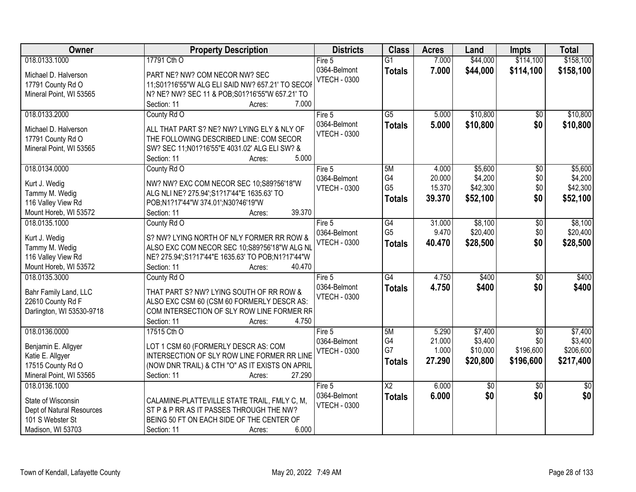| \$114,100<br>\$158,100<br>018.0133.1000<br>17791 Cth O<br>7.000<br>\$44,000<br>$\overline{G1}$<br>Fire 5<br>0364-Belmont<br>7.000<br>\$44,000<br>\$114,100<br>\$158,100<br><b>Totals</b><br>Michael D. Halverson<br>PART NE? NW? COM NECOR NW? SEC<br><b>VTECH - 0300</b><br>17791 County Rd O<br>11;S01?16'55"W ALG ELI SAID NW? 657.21' TO SECOR<br>Mineral Point, WI 53565<br>N? NE? NW? SEC 11 & POB; S01?16'55"W 657.21' TO<br>7.000<br>Section: 11<br>Acres:<br>018.0133.2000<br>$\overline{G5}$<br>\$10,800<br>County Rd O<br>Fire 5<br>5.000<br>$\overline{50}$<br>\$10,800<br>\$0<br>0364-Belmont<br>5.000<br><b>Totals</b><br>ALL THAT PART S? NE? NW? LYING ELY & NLY OF<br>Michael D. Halverson<br><b>VTECH - 0300</b><br>17791 County Rd O<br>THE FOLLOWING DESCRIBED LINE: COM SECOR<br>Mineral Point, WI 53565<br>SW? SEC 11; N01?16'55"E 4031.02' ALG ELI SW? &<br>5.000<br>Section: 11<br>Acres:<br>018.0134.0000<br>\$5,600<br>County Rd O<br>5M<br>4.000<br>\$0<br>Fire 5<br>G4<br>20.000<br>\$4,200<br>\$0<br>0364-Belmont<br>Kurt J. Wedig<br>NW? NW? EXC COM NECOR SEC 10;S89?56'18"W<br>G <sub>5</sub><br>\$42,300<br>15.370<br>\$0<br><b>VTECH - 0300</b><br>Tammy M. Wedig<br>ALG NLI NE? 275.94';S1?17'44"E 1635.63' TO<br>\$0<br>39.370<br>\$52,100<br>\$52,100<br><b>Totals</b><br>116 Valley View Rd<br>POB;N1?17'44"W 374.01';N30?46'19"W<br>39.370<br>Mount Horeb, WI 53572<br>Section: 11<br>Acres:<br>\$8,100<br>018.0135.1000<br>County Rd O<br>$\overline{G4}$<br>31.000<br>Fire $5$<br>\$0<br>G <sub>5</sub><br>\$0<br>9.470<br>\$20,400<br>0364-Belmont<br>Kurt J. Wedig<br>S? NW? LYING NORTH OF NLY FORMER RR ROW &<br><b>VTECH - 0300</b><br>\$0<br>40.470<br>\$28,500<br>\$28,500<br><b>Totals</b><br>ALSO EXC COM NECOR SEC 10;S89?56'18"W ALG NL<br>Tammy M. Wedig<br>116 Valley View Rd<br>NE? 275.94';S1?17'44"E 1635.63' TO POB;N1?17'44"W<br>40.470<br>Mount Horeb, WI 53572<br>Section: 11<br>Acres:<br>$\overline{G4}$<br>4.750<br>\$400<br>018.0135.3000<br>$\overline{50}$<br>County Rd O<br>Fire 5<br>4.750<br>\$400<br>\$400<br>0364-Belmont<br>\$0<br><b>Totals</b><br>THAT PART S? NW? LYING SOUTH OF RR ROW &<br>Bahr Family Land, LLC<br><b>VTECH - 0300</b><br>22610 County Rd F<br>ALSO EXC CSM 60 (CSM 60 FORMERLY DESCR AS:<br>COM INTERSECTION OF SLY ROW LINE FORMER RF<br>Darlington, WI 53530-9718 | Owner | <b>Property Description</b> | <b>Districts</b> | <b>Class</b> | <b>Acres</b> | Land | Impts | <b>Total</b> |
|---------------------------------------------------------------------------------------------------------------------------------------------------------------------------------------------------------------------------------------------------------------------------------------------------------------------------------------------------------------------------------------------------------------------------------------------------------------------------------------------------------------------------------------------------------------------------------------------------------------------------------------------------------------------------------------------------------------------------------------------------------------------------------------------------------------------------------------------------------------------------------------------------------------------------------------------------------------------------------------------------------------------------------------------------------------------------------------------------------------------------------------------------------------------------------------------------------------------------------------------------------------------------------------------------------------------------------------------------------------------------------------------------------------------------------------------------------------------------------------------------------------------------------------------------------------------------------------------------------------------------------------------------------------------------------------------------------------------------------------------------------------------------------------------------------------------------------------------------------------------------------------------------------------------------------------------------------------------------------------------------------------------------------------------------------------------------------------------------------------------------------------------------------------------------------------------------------------------------------------------------------------------------------------------------------------------------------------------------------------------|-------|-----------------------------|------------------|--------------|--------------|------|-------|--------------|
|                                                                                                                                                                                                                                                                                                                                                                                                                                                                                                                                                                                                                                                                                                                                                                                                                                                                                                                                                                                                                                                                                                                                                                                                                                                                                                                                                                                                                                                                                                                                                                                                                                                                                                                                                                                                                                                                                                                                                                                                                                                                                                                                                                                                                                                                                                                                                                     |       |                             |                  |              |              |      |       |              |
|                                                                                                                                                                                                                                                                                                                                                                                                                                                                                                                                                                                                                                                                                                                                                                                                                                                                                                                                                                                                                                                                                                                                                                                                                                                                                                                                                                                                                                                                                                                                                                                                                                                                                                                                                                                                                                                                                                                                                                                                                                                                                                                                                                                                                                                                                                                                                                     |       |                             |                  |              |              |      |       |              |
| \$10,800                                                                                                                                                                                                                                                                                                                                                                                                                                                                                                                                                                                                                                                                                                                                                                                                                                                                                                                                                                                                                                                                                                                                                                                                                                                                                                                                                                                                                                                                                                                                                                                                                                                                                                                                                                                                                                                                                                                                                                                                                                                                                                                                                                                                                                                                                                                                                            |       |                             |                  |              |              |      |       |              |
|                                                                                                                                                                                                                                                                                                                                                                                                                                                                                                                                                                                                                                                                                                                                                                                                                                                                                                                                                                                                                                                                                                                                                                                                                                                                                                                                                                                                                                                                                                                                                                                                                                                                                                                                                                                                                                                                                                                                                                                                                                                                                                                                                                                                                                                                                                                                                                     |       |                             |                  |              |              |      |       |              |
|                                                                                                                                                                                                                                                                                                                                                                                                                                                                                                                                                                                                                                                                                                                                                                                                                                                                                                                                                                                                                                                                                                                                                                                                                                                                                                                                                                                                                                                                                                                                                                                                                                                                                                                                                                                                                                                                                                                                                                                                                                                                                                                                                                                                                                                                                                                                                                     |       |                             |                  |              |              |      |       |              |
| \$10,800<br>\$5,600<br>\$4,200<br>\$42,300<br>\$8,100<br>\$20,400<br>\$400                                                                                                                                                                                                                                                                                                                                                                                                                                                                                                                                                                                                                                                                                                                                                                                                                                                                                                                                                                                                                                                                                                                                                                                                                                                                                                                                                                                                                                                                                                                                                                                                                                                                                                                                                                                                                                                                                                                                                                                                                                                                                                                                                                                                                                                                                          |       |                             |                  |              |              |      |       |              |
|                                                                                                                                                                                                                                                                                                                                                                                                                                                                                                                                                                                                                                                                                                                                                                                                                                                                                                                                                                                                                                                                                                                                                                                                                                                                                                                                                                                                                                                                                                                                                                                                                                                                                                                                                                                                                                                                                                                                                                                                                                                                                                                                                                                                                                                                                                                                                                     |       |                             |                  |              |              |      |       |              |
|                                                                                                                                                                                                                                                                                                                                                                                                                                                                                                                                                                                                                                                                                                                                                                                                                                                                                                                                                                                                                                                                                                                                                                                                                                                                                                                                                                                                                                                                                                                                                                                                                                                                                                                                                                                                                                                                                                                                                                                                                                                                                                                                                                                                                                                                                                                                                                     |       |                             |                  |              |              |      |       |              |
|                                                                                                                                                                                                                                                                                                                                                                                                                                                                                                                                                                                                                                                                                                                                                                                                                                                                                                                                                                                                                                                                                                                                                                                                                                                                                                                                                                                                                                                                                                                                                                                                                                                                                                                                                                                                                                                                                                                                                                                                                                                                                                                                                                                                                                                                                                                                                                     |       |                             |                  |              |              |      |       |              |
|                                                                                                                                                                                                                                                                                                                                                                                                                                                                                                                                                                                                                                                                                                                                                                                                                                                                                                                                                                                                                                                                                                                                                                                                                                                                                                                                                                                                                                                                                                                                                                                                                                                                                                                                                                                                                                                                                                                                                                                                                                                                                                                                                                                                                                                                                                                                                                     |       |                             |                  |              |              |      |       |              |
|                                                                                                                                                                                                                                                                                                                                                                                                                                                                                                                                                                                                                                                                                                                                                                                                                                                                                                                                                                                                                                                                                                                                                                                                                                                                                                                                                                                                                                                                                                                                                                                                                                                                                                                                                                                                                                                                                                                                                                                                                                                                                                                                                                                                                                                                                                                                                                     |       |                             |                  |              |              |      |       |              |
|                                                                                                                                                                                                                                                                                                                                                                                                                                                                                                                                                                                                                                                                                                                                                                                                                                                                                                                                                                                                                                                                                                                                                                                                                                                                                                                                                                                                                                                                                                                                                                                                                                                                                                                                                                                                                                                                                                                                                                                                                                                                                                                                                                                                                                                                                                                                                                     |       |                             |                  |              |              |      |       |              |
|                                                                                                                                                                                                                                                                                                                                                                                                                                                                                                                                                                                                                                                                                                                                                                                                                                                                                                                                                                                                                                                                                                                                                                                                                                                                                                                                                                                                                                                                                                                                                                                                                                                                                                                                                                                                                                                                                                                                                                                                                                                                                                                                                                                                                                                                                                                                                                     |       |                             |                  |              |              |      |       |              |
|                                                                                                                                                                                                                                                                                                                                                                                                                                                                                                                                                                                                                                                                                                                                                                                                                                                                                                                                                                                                                                                                                                                                                                                                                                                                                                                                                                                                                                                                                                                                                                                                                                                                                                                                                                                                                                                                                                                                                                                                                                                                                                                                                                                                                                                                                                                                                                     |       |                             |                  |              |              |      |       |              |
|                                                                                                                                                                                                                                                                                                                                                                                                                                                                                                                                                                                                                                                                                                                                                                                                                                                                                                                                                                                                                                                                                                                                                                                                                                                                                                                                                                                                                                                                                                                                                                                                                                                                                                                                                                                                                                                                                                                                                                                                                                                                                                                                                                                                                                                                                                                                                                     |       |                             |                  |              |              |      |       |              |
|                                                                                                                                                                                                                                                                                                                                                                                                                                                                                                                                                                                                                                                                                                                                                                                                                                                                                                                                                                                                                                                                                                                                                                                                                                                                                                                                                                                                                                                                                                                                                                                                                                                                                                                                                                                                                                                                                                                                                                                                                                                                                                                                                                                                                                                                                                                                                                     |       |                             |                  |              |              |      |       |              |
|                                                                                                                                                                                                                                                                                                                                                                                                                                                                                                                                                                                                                                                                                                                                                                                                                                                                                                                                                                                                                                                                                                                                                                                                                                                                                                                                                                                                                                                                                                                                                                                                                                                                                                                                                                                                                                                                                                                                                                                                                                                                                                                                                                                                                                                                                                                                                                     |       |                             |                  |              |              |      |       |              |
|                                                                                                                                                                                                                                                                                                                                                                                                                                                                                                                                                                                                                                                                                                                                                                                                                                                                                                                                                                                                                                                                                                                                                                                                                                                                                                                                                                                                                                                                                                                                                                                                                                                                                                                                                                                                                                                                                                                                                                                                                                                                                                                                                                                                                                                                                                                                                                     |       |                             |                  |              |              |      |       |              |
|                                                                                                                                                                                                                                                                                                                                                                                                                                                                                                                                                                                                                                                                                                                                                                                                                                                                                                                                                                                                                                                                                                                                                                                                                                                                                                                                                                                                                                                                                                                                                                                                                                                                                                                                                                                                                                                                                                                                                                                                                                                                                                                                                                                                                                                                                                                                                                     |       |                             |                  |              |              |      |       |              |
|                                                                                                                                                                                                                                                                                                                                                                                                                                                                                                                                                                                                                                                                                                                                                                                                                                                                                                                                                                                                                                                                                                                                                                                                                                                                                                                                                                                                                                                                                                                                                                                                                                                                                                                                                                                                                                                                                                                                                                                                                                                                                                                                                                                                                                                                                                                                                                     |       |                             |                  |              |              |      |       |              |
|                                                                                                                                                                                                                                                                                                                                                                                                                                                                                                                                                                                                                                                                                                                                                                                                                                                                                                                                                                                                                                                                                                                                                                                                                                                                                                                                                                                                                                                                                                                                                                                                                                                                                                                                                                                                                                                                                                                                                                                                                                                                                                                                                                                                                                                                                                                                                                     |       |                             |                  |              |              |      |       |              |
|                                                                                                                                                                                                                                                                                                                                                                                                                                                                                                                                                                                                                                                                                                                                                                                                                                                                                                                                                                                                                                                                                                                                                                                                                                                                                                                                                                                                                                                                                                                                                                                                                                                                                                                                                                                                                                                                                                                                                                                                                                                                                                                                                                                                                                                                                                                                                                     |       |                             |                  |              |              |      |       |              |
|                                                                                                                                                                                                                                                                                                                                                                                                                                                                                                                                                                                                                                                                                                                                                                                                                                                                                                                                                                                                                                                                                                                                                                                                                                                                                                                                                                                                                                                                                                                                                                                                                                                                                                                                                                                                                                                                                                                                                                                                                                                                                                                                                                                                                                                                                                                                                                     |       |                             |                  |              |              |      |       |              |
|                                                                                                                                                                                                                                                                                                                                                                                                                                                                                                                                                                                                                                                                                                                                                                                                                                                                                                                                                                                                                                                                                                                                                                                                                                                                                                                                                                                                                                                                                                                                                                                                                                                                                                                                                                                                                                                                                                                                                                                                                                                                                                                                                                                                                                                                                                                                                                     |       |                             |                  |              |              |      |       |              |
|                                                                                                                                                                                                                                                                                                                                                                                                                                                                                                                                                                                                                                                                                                                                                                                                                                                                                                                                                                                                                                                                                                                                                                                                                                                                                                                                                                                                                                                                                                                                                                                                                                                                                                                                                                                                                                                                                                                                                                                                                                                                                                                                                                                                                                                                                                                                                                     |       |                             |                  |              |              |      |       |              |
|                                                                                                                                                                                                                                                                                                                                                                                                                                                                                                                                                                                                                                                                                                                                                                                                                                                                                                                                                                                                                                                                                                                                                                                                                                                                                                                                                                                                                                                                                                                                                                                                                                                                                                                                                                                                                                                                                                                                                                                                                                                                                                                                                                                                                                                                                                                                                                     |       |                             |                  |              |              |      |       |              |
| 4.750<br>Section: 11<br>Acres:                                                                                                                                                                                                                                                                                                                                                                                                                                                                                                                                                                                                                                                                                                                                                                                                                                                                                                                                                                                                                                                                                                                                                                                                                                                                                                                                                                                                                                                                                                                                                                                                                                                                                                                                                                                                                                                                                                                                                                                                                                                                                                                                                                                                                                                                                                                                      |       |                             |                  |              |              |      |       |              |
| 018.0136.0000<br>\$7,400<br>\$7,400<br>17515 Cth O<br>5M<br>5.290<br>$\sqrt{6}$<br>Fire 5                                                                                                                                                                                                                                                                                                                                                                                                                                                                                                                                                                                                                                                                                                                                                                                                                                                                                                                                                                                                                                                                                                                                                                                                                                                                                                                                                                                                                                                                                                                                                                                                                                                                                                                                                                                                                                                                                                                                                                                                                                                                                                                                                                                                                                                                           |       |                             |                  |              |              |      |       |              |
| \$3,400<br>G4<br>21.000<br>\$0<br>\$3,400<br>0364-Belmont                                                                                                                                                                                                                                                                                                                                                                                                                                                                                                                                                                                                                                                                                                                                                                                                                                                                                                                                                                                                                                                                                                                                                                                                                                                                                                                                                                                                                                                                                                                                                                                                                                                                                                                                                                                                                                                                                                                                                                                                                                                                                                                                                                                                                                                                                                           |       |                             |                  |              |              |      |       |              |
| LOT 1 CSM 60 (FORMERLY DESCR AS: COM<br>Benjamin E. Allgyer<br>G7<br>\$10,000<br>\$196,600<br>1.000<br>\$206,600<br><b>VTECH - 0300</b>                                                                                                                                                                                                                                                                                                                                                                                                                                                                                                                                                                                                                                                                                                                                                                                                                                                                                                                                                                                                                                                                                                                                                                                                                                                                                                                                                                                                                                                                                                                                                                                                                                                                                                                                                                                                                                                                                                                                                                                                                                                                                                                                                                                                                             |       |                             |                  |              |              |      |       |              |
| INTERSECTION OF SLY ROW LINE FORMER RR LINE<br>Katie E. Allgyer<br>27.290<br>\$20,800<br>\$196,600<br>\$217,400<br><b>Totals</b>                                                                                                                                                                                                                                                                                                                                                                                                                                                                                                                                                                                                                                                                                                                                                                                                                                                                                                                                                                                                                                                                                                                                                                                                                                                                                                                                                                                                                                                                                                                                                                                                                                                                                                                                                                                                                                                                                                                                                                                                                                                                                                                                                                                                                                    |       |                             |                  |              |              |      |       |              |
| 17515 County Rd O<br>(NOW DNR TRAIL) & CTH "O" AS IT EXISTS ON APRIL                                                                                                                                                                                                                                                                                                                                                                                                                                                                                                                                                                                                                                                                                                                                                                                                                                                                                                                                                                                                                                                                                                                                                                                                                                                                                                                                                                                                                                                                                                                                                                                                                                                                                                                                                                                                                                                                                                                                                                                                                                                                                                                                                                                                                                                                                                |       |                             |                  |              |              |      |       |              |
| Mineral Point, WI 53565<br>27.290<br>Section: 11<br>Acres:                                                                                                                                                                                                                                                                                                                                                                                                                                                                                                                                                                                                                                                                                                                                                                                                                                                                                                                                                                                                                                                                                                                                                                                                                                                                                                                                                                                                                                                                                                                                                                                                                                                                                                                                                                                                                                                                                                                                                                                                                                                                                                                                                                                                                                                                                                          |       |                             |                  |              |              |      |       |              |
| 018.0136.1000<br>$\overline{\text{X2}}$<br>6.000<br>Fire $5$<br>$\overline{50}$<br>$\overline{50}$<br>$\frac{1}{2}$                                                                                                                                                                                                                                                                                                                                                                                                                                                                                                                                                                                                                                                                                                                                                                                                                                                                                                                                                                                                                                                                                                                                                                                                                                                                                                                                                                                                                                                                                                                                                                                                                                                                                                                                                                                                                                                                                                                                                                                                                                                                                                                                                                                                                                                 |       |                             |                  |              |              |      |       |              |
| \$0<br>6.000<br>\$0<br>\$0<br>0364-Belmont<br><b>Totals</b><br>CALAMINE-PLATTEVILLE STATE TRAIL, FMLY C, M,<br>State of Wisconsin                                                                                                                                                                                                                                                                                                                                                                                                                                                                                                                                                                                                                                                                                                                                                                                                                                                                                                                                                                                                                                                                                                                                                                                                                                                                                                                                                                                                                                                                                                                                                                                                                                                                                                                                                                                                                                                                                                                                                                                                                                                                                                                                                                                                                                   |       |                             |                  |              |              |      |       |              |
| <b>VTECH - 0300</b><br>ST P & P RR AS IT PASSES THROUGH THE NW?<br>Dept of Natural Resources                                                                                                                                                                                                                                                                                                                                                                                                                                                                                                                                                                                                                                                                                                                                                                                                                                                                                                                                                                                                                                                                                                                                                                                                                                                                                                                                                                                                                                                                                                                                                                                                                                                                                                                                                                                                                                                                                                                                                                                                                                                                                                                                                                                                                                                                        |       |                             |                  |              |              |      |       |              |
| 101 S Webster St<br>BEING 50 FT ON EACH SIDE OF THE CENTER OF                                                                                                                                                                                                                                                                                                                                                                                                                                                                                                                                                                                                                                                                                                                                                                                                                                                                                                                                                                                                                                                                                                                                                                                                                                                                                                                                                                                                                                                                                                                                                                                                                                                                                                                                                                                                                                                                                                                                                                                                                                                                                                                                                                                                                                                                                                       |       |                             |                  |              |              |      |       |              |
| 6.000<br>Madison, WI 53703<br>Section: 11<br>Acres:                                                                                                                                                                                                                                                                                                                                                                                                                                                                                                                                                                                                                                                                                                                                                                                                                                                                                                                                                                                                                                                                                                                                                                                                                                                                                                                                                                                                                                                                                                                                                                                                                                                                                                                                                                                                                                                                                                                                                                                                                                                                                                                                                                                                                                                                                                                 |       |                             |                  |              |              |      |       |              |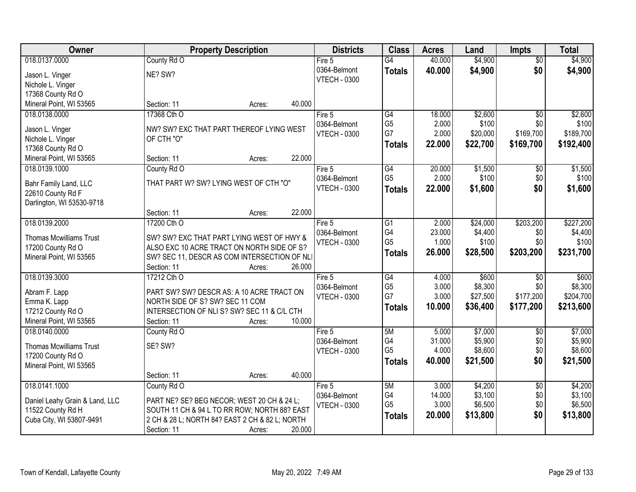| Owner                                          |                                                | <b>Property Description</b> |        | <b>Districts</b>    | <b>Class</b>    | <b>Acres</b> | Land     | <b>Impts</b>    | <b>Total</b> |
|------------------------------------------------|------------------------------------------------|-----------------------------|--------|---------------------|-----------------|--------------|----------|-----------------|--------------|
| 018.0137.0000                                  | County Rd O                                    |                             |        | Fire $5$            | $\overline{G4}$ | 40.000       | \$4,900  | $\overline{50}$ | \$4,900      |
| Jason L. Vinger                                | NE? SW?                                        |                             |        | 0364-Belmont        | <b>Totals</b>   | 40.000       | \$4,900  | \$0             | \$4,900      |
| Nichole L. Vinger                              |                                                |                             |        | <b>VTECH - 0300</b> |                 |              |          |                 |              |
| 17368 County Rd O                              |                                                |                             |        |                     |                 |              |          |                 |              |
| Mineral Point, WI 53565                        | Section: 11                                    | Acres:                      | 40.000 |                     |                 |              |          |                 |              |
| 018.0138.0000                                  | 17368 Cth O                                    |                             |        | Fire 5              | G4              | 18.000       | \$2,600  | $\overline{50}$ | \$2,600      |
| Jason L. Vinger                                | NW? SW? EXC THAT PART THEREOF LYING WEST       |                             |        | 0364-Belmont        | G <sub>5</sub>  | 2.000        | \$100    | \$0             | \$100        |
| Nichole L. Vinger                              | OF CTH "O"                                     |                             |        | <b>VTECH - 0300</b> | G7              | 2.000        | \$20,000 | \$169,700       | \$189,700    |
| 17368 County Rd O                              |                                                |                             |        |                     | <b>Totals</b>   | 22.000       | \$22,700 | \$169,700       | \$192,400    |
| Mineral Point, WI 53565                        | Section: 11                                    | Acres:                      | 22.000 |                     |                 |              |          |                 |              |
| 018.0139.1000                                  | County Rd O                                    |                             |        | Fire 5              | G4              | 20.000       | \$1,500  | \$0             | \$1,500      |
|                                                |                                                |                             |        | 0364-Belmont        | G <sub>5</sub>  | 2.000        | \$100    | \$0             | \$100        |
| Bahr Family Land, LLC                          | THAT PART W? SW? LYING WEST OF CTH "O"         |                             |        | <b>VTECH - 0300</b> | Totals          | 22,000       | \$1,600  | \$0             | \$1,600      |
| 22610 County Rd F<br>Darlington, WI 53530-9718 |                                                |                             |        |                     |                 |              |          |                 |              |
|                                                | Section: 11                                    | Acres:                      | 22,000 |                     |                 |              |          |                 |              |
| 018.0139.2000                                  | 17200 Cth O                                    |                             |        | Fire 5              | $\overline{G1}$ | 2.000        | \$24,000 | \$203,200       | \$227,200    |
|                                                |                                                |                             |        | 0364-Belmont        | G4              | 23.000       | \$4,400  | \$0             | \$4,400      |
| <b>Thomas Mcwilliams Trust</b>                 | SW? SW? EXC THAT PART LYING WEST OF HWY &      |                             |        | <b>VTECH - 0300</b> | G <sub>5</sub>  | 1.000        | \$100    | \$0             | \$100        |
| 17200 County Rd O                              | ALSO EXC 10 ACRE TRACT ON NORTH SIDE OF S?     |                             |        |                     | <b>Totals</b>   | 26.000       | \$28,500 | \$203,200       | \$231,700    |
| Mineral Point, WI 53565                        | SW? SEC 11, DESCR AS COM INTERSECTION OF NLI   |                             |        |                     |                 |              |          |                 |              |
| 018.0139.3000                                  | Section: 11<br>17212 Cth O                     | Acres:                      | 26.000 | Fire 5              | $\overline{G4}$ | 4.000        | \$600    | $\overline{30}$ | \$600        |
|                                                |                                                |                             |        | 0364-Belmont        | G <sub>5</sub>  | 3.000        | \$8,300  | \$0             | \$8,300      |
| Abram F. Lapp                                  | PART SW? SW? DESCR AS: A 10 ACRE TRACT ON      |                             |        | <b>VTECH - 0300</b> | G7              | 3.000        | \$27,500 | \$177,200       | \$204,700    |
| Emma K. Lapp                                   | NORTH SIDE OF S? SW? SEC 11 COM                |                             |        |                     | Totals          | 10.000       | \$36,400 | \$177,200       | \$213,600    |
| 17212 County Rd O                              | INTERSECTION OF NLI S? SW? SEC 11 & C/L CTH    |                             |        |                     |                 |              |          |                 |              |
| Mineral Point, WI 53565                        | Section: 11                                    | Acres:                      | 10.000 |                     |                 |              |          |                 |              |
| 018.0140.0000                                  | County Rd O                                    |                             |        | Fire 5              | 5M              | 5.000        | \$7,000  | $\overline{50}$ | \$7,000      |
| <b>Thomas Mcwilliams Trust</b>                 | SE? SW?                                        |                             |        | 0364-Belmont        | G4              | 31.000       | \$5,900  | \$0             | \$5,900      |
| 17200 County Rd O                              |                                                |                             |        | <b>VTECH - 0300</b> | G <sub>5</sub>  | 4.000        | \$8,600  | \$0             | \$8,600      |
| Mineral Point, WI 53565                        |                                                |                             |        |                     | <b>Totals</b>   | 40.000       | \$21,500 | \$0             | \$21,500     |
|                                                | Section: 11                                    | Acres:                      | 40.000 |                     |                 |              |          |                 |              |
| 018.0141.1000                                  | County Rd O                                    |                             |        | Fire 5              | 5M              | 3.000        | \$4,200  | $\overline{50}$ | \$4,200      |
| Daniel Leahy Grain & Land, LLC                 | PART NE? SE? BEG NECOR; WEST 20 CH & 24 L;     |                             |        | 0364-Belmont        | G4              | 14.000       | \$3,100  | \$0             | \$3,100      |
| 11522 County Rd H                              | SOUTH 11 CH & 94 L TO RR ROW; NORTH 88? EAST   |                             |        | <b>VTECH - 0300</b> | G <sub>5</sub>  | 3.000        | \$6,500  | \$0             | \$6,500      |
| Cuba City, WI 53807-9491                       | 2 CH & 28 L; NORTH 84? EAST 2 CH & 82 L; NORTH |                             |        |                     | <b>Totals</b>   | 20.000       | \$13,800 | \$0             | \$13,800     |
|                                                | Section: 11                                    | Acres:                      | 20.000 |                     |                 |              |          |                 |              |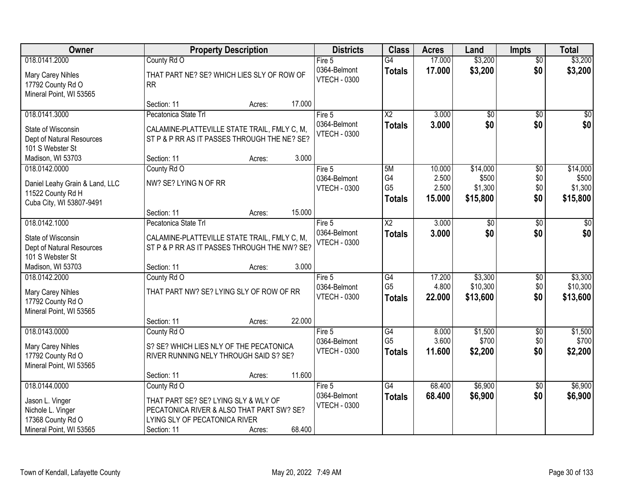| Owner                                                                                                 | <b>Property Description</b>                                                                                                                                          | <b>Districts</b>                                | <b>Class</b>                                       | <b>Acres</b>                       | Land                                     | <b>Impts</b>                  | <b>Total</b>                             |
|-------------------------------------------------------------------------------------------------------|----------------------------------------------------------------------------------------------------------------------------------------------------------------------|-------------------------------------------------|----------------------------------------------------|------------------------------------|------------------------------------------|-------------------------------|------------------------------------------|
| 018.0141.2000                                                                                         | County Rd O                                                                                                                                                          | Fire $5$                                        | $\overline{G4}$                                    | 17.000                             | \$3,200                                  | $\overline{50}$               | \$3,200                                  |
| Mary Carey Nihles<br>17792 County Rd O<br>Mineral Point, WI 53565                                     | THAT PART NE? SE? WHICH LIES SLY OF ROW OF<br><b>RR</b>                                                                                                              | 0364-Belmont<br><b>VTECH - 0300</b>             | <b>Totals</b>                                      | 17.000                             | \$3,200                                  | \$0                           | \$3,200                                  |
|                                                                                                       | 17.000<br>Section: 11<br>Acres:                                                                                                                                      |                                                 |                                                    |                                    |                                          |                               |                                          |
| 018.0141.3000                                                                                         | Pecatonica State Trl                                                                                                                                                 | Fire 5                                          | $\overline{X2}$                                    | 3.000                              | \$0                                      | $\overline{50}$               | \$0                                      |
| State of Wisconsin<br>Dept of Natural Resources<br>101 S Webster St                                   | CALAMINE-PLATTEVILLE STATE TRAIL, FMLY C, M,<br>ST P & P RR AS IT PASSES THROUGH THE NE? SE?                                                                         | 0364-Belmont<br><b>VTECH - 0300</b>             | <b>Totals</b>                                      | 3.000                              | \$0                                      | \$0                           | \$0                                      |
| Madison, WI 53703                                                                                     | 3.000<br>Section: 11<br>Acres:                                                                                                                                       |                                                 |                                                    |                                    |                                          |                               |                                          |
| 018.0142.0000<br>Daniel Leahy Grain & Land, LLC<br>11522 County Rd H<br>Cuba City, WI 53807-9491      | County Rd O<br>NW? SE? LYING N OF RR                                                                                                                                 | Fire 5<br>0364-Belmont<br><b>VTECH - 0300</b>   | 5M<br>G4<br>G <sub>5</sub><br><b>Totals</b>        | 10.000<br>2.500<br>2.500<br>15.000 | \$14,000<br>\$500<br>\$1,300<br>\$15,800 | \$0<br>\$0<br>\$0<br>\$0      | \$14,000<br>\$500<br>\$1,300<br>\$15,800 |
|                                                                                                       | 15.000<br>Section: 11<br>Acres:                                                                                                                                      |                                                 |                                                    |                                    |                                          |                               |                                          |
| 018.0142.1000                                                                                         | Pecatonica State Trl                                                                                                                                                 | Fire 5                                          | X2                                                 | 3.000                              | \$0                                      | $\sqrt[6]{}$                  | \$0                                      |
| State of Wisconsin<br>Dept of Natural Resources<br>101 S Webster St                                   | CALAMINE-PLATTEVILLE STATE TRAIL, FMLY C, M,<br>ST P & P RR AS IT PASSES THROUGH THE NW? SE?                                                                         | 0364-Belmont<br><b>VTECH - 0300</b>             | <b>Totals</b>                                      | 3.000                              | \$0                                      | \$0                           | \$0                                      |
| Madison, WI 53703                                                                                     | 3.000<br>Section: 11<br>Acres:                                                                                                                                       |                                                 |                                                    |                                    |                                          |                               |                                          |
| 018.0142.2000<br>Mary Carey Nihles<br>17792 County Rd O<br>Mineral Point, WI 53565                    | County Rd O<br>THAT PART NW? SE? LYING SLY OF ROW OF RR                                                                                                              | Fire 5<br>0364-Belmont<br><b>VTECH - 0300</b>   | $\overline{G4}$<br>G <sub>5</sub><br><b>Totals</b> | 17.200<br>4.800<br>22,000          | \$3,300<br>\$10,300<br>\$13,600          | $\overline{50}$<br>\$0<br>\$0 | \$3,300<br>\$10,300<br>\$13,600          |
|                                                                                                       | 22.000<br>Section: 11<br>Acres:                                                                                                                                      |                                                 |                                                    |                                    |                                          |                               |                                          |
| 018.0143.0000<br>Mary Carey Nihles<br>17792 County Rd O<br>Mineral Point, WI 53565                    | County Rd O<br>S? SE? WHICH LIES NLY OF THE PECATONICA<br>RIVER RUNNING NELY THROUGH SAID S? SE?                                                                     | Fire 5<br>0364-Belmont<br><b>VTECH - 0300</b>   | $\overline{G4}$<br>G <sub>5</sub><br><b>Totals</b> | 8.000<br>3.600<br>11.600           | \$1,500<br>\$700<br>\$2,200              | $\sqrt{$0}$<br>\$0<br>\$0     | \$1,500<br>\$700<br>\$2,200              |
|                                                                                                       | 11.600<br>Section: 11<br>Acres:                                                                                                                                      |                                                 |                                                    |                                    |                                          |                               |                                          |
| 018.0144.0000<br>Jason L. Vinger<br>Nichole L. Vinger<br>17368 County Rd O<br>Mineral Point, WI 53565 | County Rd O<br>THAT PART SE? SE? LYING SLY & WLY OF<br>PECATONICA RIVER & ALSO THAT PART SW? SE?<br>LYING SLY OF PECATONICA RIVER<br>68.400<br>Section: 11<br>Acres: | Fire $5$<br>0364-Belmont<br><b>VTECH - 0300</b> | G4<br><b>Totals</b>                                | 68.400<br>68.400                   | \$6,900<br>\$6,900                       | $\overline{50}$<br>\$0        | \$6,900<br>\$6,900                       |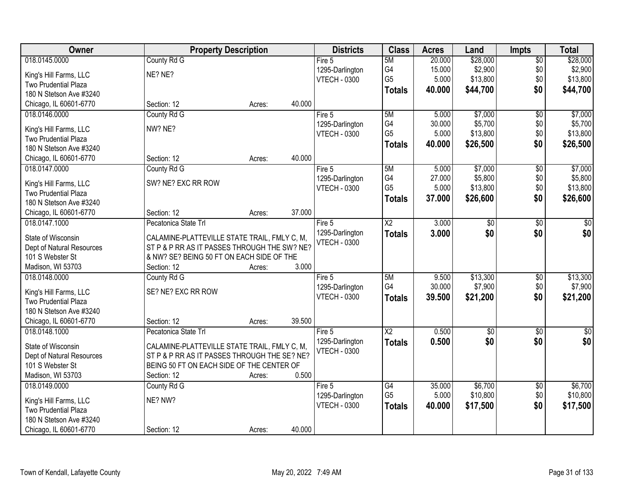| Owner                       | <b>Property Description</b>                  |        |        | <b>Districts</b>    | <b>Class</b>         | <b>Acres</b> | Land                | <b>Impts</b>           | <b>Total</b>     |
|-----------------------------|----------------------------------------------|--------|--------|---------------------|----------------------|--------------|---------------------|------------------------|------------------|
| 018.0145.0000               | County Rd G                                  |        |        | Fire 5              | 5M                   | 20.000       | \$28,000            | $\overline{50}$        | \$28,000         |
| King's Hill Farms, LLC      | NE? NE?                                      |        |        | 1295-Darlington     | G4                   | 15.000       | \$2,900             | \$0                    | \$2,900          |
| <b>Two Prudential Plaza</b> |                                              |        |        | <b>VTECH - 0300</b> | G <sub>5</sub>       | 5.000        | \$13,800            | \$0                    | \$13,800         |
| 180 N Stetson Ave #3240     |                                              |        |        |                     | <b>Totals</b>        | 40.000       | \$44,700            | \$0                    | \$44,700         |
| Chicago, IL 60601-6770      | Section: 12                                  | Acres: | 40.000 |                     |                      |              |                     |                        |                  |
|                             |                                              |        |        |                     |                      |              |                     |                        |                  |
| 018.0146.0000               | County Rd G                                  |        |        | Fire 5              | 5M                   | 5.000        | \$7,000             | $\overline{50}$        | \$7,000          |
| King's Hill Farms, LLC      | NW? NE?                                      |        |        | 1295-Darlington     | G4<br>G <sub>5</sub> | 30.000       | \$5,700             | \$0                    | \$5,700          |
| <b>Two Prudential Plaza</b> |                                              |        |        | <b>VTECH - 0300</b> |                      | 5.000        | \$13,800            | \$0                    | \$13,800         |
| 180 N Stetson Ave #3240     |                                              |        |        |                     | <b>Totals</b>        | 40.000       | \$26,500            | \$0                    | \$26,500         |
| Chicago, IL 60601-6770      | Section: 12                                  | Acres: | 40.000 |                     |                      |              |                     |                        |                  |
| 018.0147.0000               | County Rd G                                  |        |        | Fire 5              | 5M                   | 5.000        | \$7,000             | \$0                    | \$7,000          |
|                             |                                              |        |        | 1295-Darlington     | G4                   | 27.000       | \$5,800             | \$0                    | \$5,800          |
| King's Hill Farms, LLC      | SW? NE? EXC RR ROW                           |        |        | <b>VTECH - 0300</b> | G <sub>5</sub>       | 5.000        | \$13,800            | \$0                    | \$13,800         |
| Two Prudential Plaza        |                                              |        |        |                     | <b>Totals</b>        | 37.000       | \$26,600            | \$0                    | \$26,600         |
| 180 N Stetson Ave #3240     |                                              |        |        |                     |                      |              |                     |                        |                  |
| Chicago, IL 60601-6770      | Section: 12                                  | Acres: | 37.000 |                     |                      |              |                     |                        |                  |
| 018.0147.1000               | Pecatonica State Trl                         |        |        | Fire 5              | $\overline{X2}$      | 3.000        | \$0                 | \$0                    | \$0              |
| State of Wisconsin          | CALAMINE-PLATTEVILLE STATE TRAIL, FMLY C, M, |        |        | 1295-Darlington     | <b>Totals</b>        | 3.000        | \$0                 | \$0                    | \$0              |
| Dept of Natural Resources   | ST P & P RR AS IT PASSES THROUGH THE SW? NE? |        |        | <b>VTECH - 0300</b> |                      |              |                     |                        |                  |
| 101 S Webster St            | & NW? SE? BEING 50 FT ON EACH SIDE OF THE    |        |        |                     |                      |              |                     |                        |                  |
| Madison, WI 53703           | Section: 12                                  | Acres: | 3.000  |                     |                      |              |                     |                        |                  |
| 018.0148.0000               | County Rd G                                  |        |        | Fire 5              | 5M                   | 9.500        | \$13,300            | $\overline{30}$        | \$13,300         |
|                             |                                              |        |        | 1295-Darlington     | G4                   | 30.000       | \$7,900             | \$0                    | \$7,900          |
| King's Hill Farms, LLC      | SE? NE? EXC RR ROW                           |        |        | <b>VTECH - 0300</b> |                      | 39.500       | \$21,200            | \$0                    |                  |
| <b>Two Prudential Plaza</b> |                                              |        |        |                     | <b>Totals</b>        |              |                     |                        | \$21,200         |
| 180 N Stetson Ave #3240     |                                              |        |        |                     |                      |              |                     |                        |                  |
| Chicago, IL 60601-6770      | Section: 12                                  | Acres: | 39.500 |                     |                      |              |                     |                        |                  |
| 018.0148.1000               | Pecatonica State Trl                         |        |        | Fire 5              | $\overline{X2}$      | 0.500        | $\overline{50}$     | $\overline{50}$        | $\overline{\$0}$ |
| State of Wisconsin          | CALAMINE-PLATTEVILLE STATE TRAIL, FMLY C, M, |        |        | 1295-Darlington     | <b>Totals</b>        | 0.500        | \$0                 | \$0                    | \$0              |
| Dept of Natural Resources   | ST P & P RR AS IT PASSES THROUGH THE SE? NE? |        |        | <b>VTECH - 0300</b> |                      |              |                     |                        |                  |
| 101 S Webster St            | BEING 50 FT ON EACH SIDE OF THE CENTER OF    |        |        |                     |                      |              |                     |                        |                  |
| Madison, WI 53703           | Section: 12                                  |        | 0.500  |                     |                      |              |                     |                        |                  |
|                             |                                              | Acres: |        |                     |                      | 35.000       |                     |                        | \$6,700          |
| 018.0149.0000               | County Rd G                                  |        |        | Fire 5              | G4<br>G <sub>5</sub> | 5.000        | \$6,700<br>\$10,800 | $\overline{50}$<br>\$0 | \$10,800         |
| King's Hill Farms, LLC      | NE? NW?                                      |        |        | 1295-Darlington     |                      |              |                     |                        |                  |
| Two Prudential Plaza        |                                              |        |        | <b>VTECH - 0300</b> | <b>Totals</b>        | 40.000       | \$17,500            | \$0                    | \$17,500         |
| 180 N Stetson Ave #3240     |                                              |        |        |                     |                      |              |                     |                        |                  |
| Chicago, IL 60601-6770      | Section: 12                                  | Acres: | 40.000 |                     |                      |              |                     |                        |                  |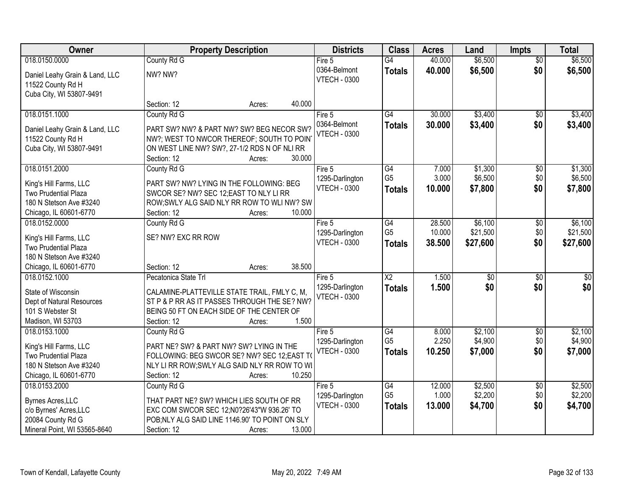| Owner                          | <b>Property Description</b>                     |                  | <b>Districts</b>                       | <b>Class</b>           | <b>Acres</b> | Land            | <b>Impts</b>    | <b>Total</b>    |
|--------------------------------|-------------------------------------------------|------------------|----------------------------------------|------------------------|--------------|-----------------|-----------------|-----------------|
| 018.0150.0000                  | County Rd G                                     |                  | Fire $5$                               | $\overline{G4}$        | 40.000       | \$6,500         | $\overline{50}$ | \$6,500         |
| Daniel Leahy Grain & Land, LLC | NW? NW?                                         |                  | 0364-Belmont                           | <b>Totals</b>          | 40.000       | \$6,500         | \$0             | \$6,500         |
| 11522 County Rd H              |                                                 |                  | <b>VTECH - 0300</b>                    |                        |              |                 |                 |                 |
| Cuba City, WI 53807-9491       |                                                 |                  |                                        |                        |              |                 |                 |                 |
|                                | Section: 12                                     | 40.000<br>Acres: |                                        |                        |              |                 |                 |                 |
| 018.0151.1000                  | County Rd G                                     |                  | Fire 5                                 | $\overline{G4}$        | 30.000       | \$3,400         | $\overline{50}$ | \$3,400         |
| Daniel Leahy Grain & Land, LLC | PART SW? NW? & PART NW? SW? BEG NECOR SW?       |                  | 0364-Belmont                           | <b>Totals</b>          | 30.000       | \$3,400         | \$0             | \$3,400         |
| 11522 County Rd H              | NW?; WEST TO NWCOR THEREOF; SOUTH TO POIN       |                  | <b>VTECH - 0300</b>                    |                        |              |                 |                 |                 |
| Cuba City, WI 53807-9491       | ON WEST LINE NW? SW?, 27-1/2 RDS N OF NLI RR    |                  |                                        |                        |              |                 |                 |                 |
|                                | Section: 12                                     | 30.000<br>Acres: |                                        |                        |              |                 |                 |                 |
| 018.0151.2000                  | County Rd G                                     |                  | Fire 5                                 | $\overline{G4}$        | 7.000        | \$1,300         | \$0             | \$1,300         |
| King's Hill Farms, LLC         | PART SW? NW? LYING IN THE FOLLOWING: BEG        |                  | 1295-Darlington                        | G <sub>5</sub>         | 3.000        | \$6,500         | \$0             | \$6,500         |
| Two Prudential Plaza           | SWCOR SE? NW? SEC 12; EAST TO NLY LI RR         |                  | <b>VTECH - 0300</b>                    | <b>Totals</b>          | 10,000       | \$7,800         | \$0             | \$7,800         |
| 180 N Stetson Ave #3240        | ROW; SWLY ALG SAID NLY RR ROW TO WLI NW? SW     |                  |                                        |                        |              |                 |                 |                 |
| Chicago, IL 60601-6770         | Section: 12                                     | 10.000<br>Acres: |                                        |                        |              |                 |                 |                 |
| 018.0152.0000                  | County Rd G                                     |                  | Fire 5                                 | G4                     | 28.500       | \$6,100         | \$0             | \$6,100         |
|                                |                                                 |                  | 1295-Darlington                        | G <sub>5</sub>         | 10.000       | \$21,500        | \$0             | \$21,500        |
| King's Hill Farms, LLC         | SE? NW? EXC RR ROW                              |                  | <b>VTECH - 0300</b>                    | <b>Totals</b>          | 38.500       | \$27,600        | \$0             | \$27,600        |
| <b>Two Prudential Plaza</b>    |                                                 |                  |                                        |                        |              |                 |                 |                 |
| 180 N Stetson Ave #3240        |                                                 |                  |                                        |                        |              |                 |                 |                 |
| Chicago, IL 60601-6770         | Section: 12                                     | 38.500<br>Acres: |                                        |                        |              |                 |                 |                 |
| 018.0152.1000                  | Pecatonica State Trl                            |                  | Fire $5$                               | $\overline{\text{X2}}$ | 1.500        | $\overline{50}$ | $\overline{50}$ | $\overline{50}$ |
| State of Wisconsin             | CALAMINE-PLATTEVILLE STATE TRAIL, FMLY C, M,    |                  | 1295-Darlington<br><b>VTECH - 0300</b> | <b>Totals</b>          | 1.500        | \$0             | \$0             | \$0             |
| Dept of Natural Resources      | ST P & P RR AS IT PASSES THROUGH THE SE? NW?    |                  |                                        |                        |              |                 |                 |                 |
| 101 S Webster St               | BEING 50 FT ON EACH SIDE OF THE CENTER OF       |                  |                                        |                        |              |                 |                 |                 |
| Madison, WI 53703              | Section: 12                                     | 1.500<br>Acres:  |                                        |                        |              |                 |                 |                 |
| 018.0153.1000                  | County Rd G                                     |                  | Fire 5                                 | G4                     | 8.000        | \$2,100         | $\sqrt{6}$      | \$2,100         |
| King's Hill Farms, LLC         | PART NE? SW? & PART NW? SW? LYING IN THE        |                  | 1295-Darlington                        | G <sub>5</sub>         | 2.250        | \$4,900         | \$0             | \$4,900         |
| Two Prudential Plaza           | FOLLOWING: BEG SWCOR SE? NW? SEC 12;EAST TO     |                  | <b>VTECH - 0300</b>                    | <b>Totals</b>          | 10.250       | \$7,000         | \$0             | \$7,000         |
| 180 N Stetson Ave #3240        | NLY LI RR ROW; SWLY ALG SAID NLY RR ROW TO WI   |                  |                                        |                        |              |                 |                 |                 |
| Chicago, IL 60601-6770         | Section: 12                                     | 10.250<br>Acres: |                                        |                        |              |                 |                 |                 |
| 018.0153.2000                  | County Rd G                                     |                  | Fire $5$                               | G4                     | 12.000       | \$2,500         | $\overline{60}$ | \$2,500         |
| Byrnes Acres, LLC              | THAT PART NE? SW? WHICH LIES SOUTH OF RR        |                  | 1295-Darlington                        | G <sub>5</sub>         | 1.000        | \$2,200         | \$0             | \$2,200         |
| c/o Byrnes' Acres, LLC         | EXC COM SWCOR SEC 12;N0?26'43"W 936.26' TO      |                  | <b>VTECH - 0300</b>                    | <b>Totals</b>          | 13.000       | \$4,700         | \$0             | \$4,700         |
| 20084 County Rd G              | POB; NLY ALG SAID LINE 1146.90' TO POINT ON SLY |                  |                                        |                        |              |                 |                 |                 |
| Mineral Point, WI 53565-8640   | Section: 12                                     | 13.000<br>Acres: |                                        |                        |              |                 |                 |                 |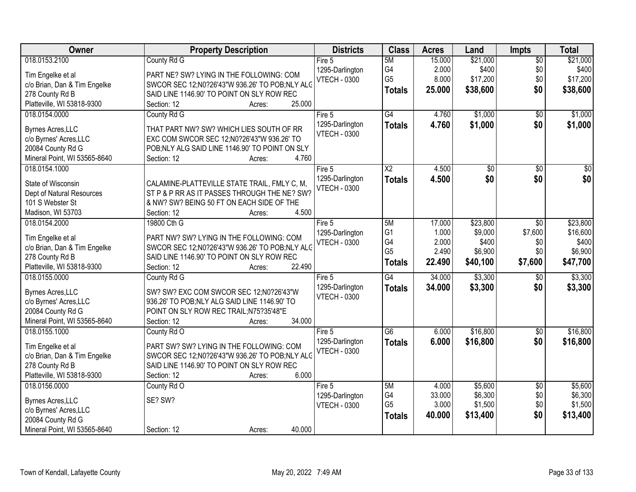| Owner                        | <b>Property Description</b>                    | <b>Districts</b>    | <b>Class</b>    | <b>Acres</b> | Land     | Impts           | <b>Total</b> |
|------------------------------|------------------------------------------------|---------------------|-----------------|--------------|----------|-----------------|--------------|
| 018.0153.2100                | County Rd G                                    | Fire $5$            | 5M              | 15.000       | \$21,000 | $\overline{50}$ | \$21,000     |
| Tim Engelke et al            | PART NE? SW? LYING IN THE FOLLOWING: COM       | 1295-Darlington     | G4              | 2.000        | \$400    | \$0             | \$400        |
| c/o Brian, Dan & Tim Engelke | SWCOR SEC 12;N0?26'43"W 936.26' TO POB;NLY ALC | <b>VTECH - 0300</b> | G <sub>5</sub>  | 8.000        | \$17,200 | \$0             | \$17,200     |
| 278 County Rd B              | SAID LINE 1146.90' TO POINT ON SLY ROW REC     |                     | <b>Totals</b>   | 25.000       | \$38,600 | \$0             | \$38,600     |
| Platteville, WI 53818-9300   | 25.000<br>Section: 12<br>Acres:                |                     |                 |              |          |                 |              |
| 018.0154.0000                | County Rd G                                    | Fire 5              | $\overline{G4}$ | 4.760        | \$1,000  | $\overline{50}$ | \$1,000      |
|                              |                                                | 1295-Darlington     | <b>Totals</b>   | 4.760        | \$1,000  | \$0             | \$1,000      |
| Byrnes Acres, LLC            | THAT PART NW? SW? WHICH LIES SOUTH OF RR       | <b>VTECH - 0300</b> |                 |              |          |                 |              |
| c/o Byrnes' Acres, LLC       | EXC COM SWCOR SEC 12;N0?26'43"W 936.26' TO     |                     |                 |              |          |                 |              |
| 20084 County Rd G            | POB;NLY ALG SAID LINE 1146.90' TO POINT ON SLY |                     |                 |              |          |                 |              |
| Mineral Point, WI 53565-8640 | 4.760<br>Section: 12<br>Acres:                 |                     |                 |              |          |                 |              |
| 018.0154.1000                |                                                | Fire 5              | $\overline{X2}$ | 4.500        | \$0      | \$0             | $\sqrt{50}$  |
| State of Wisconsin           | CALAMINE-PLATTEVILLE STATE TRAIL, FMLY C, M,   | 1295-Darlington     | <b>Totals</b>   | 4.500        | \$0      | \$0             | \$0          |
| Dept of Natural Resources    | ST P & P RR AS IT PASSES THROUGH THE NE? SW?   | <b>VTECH - 0300</b> |                 |              |          |                 |              |
| 101 S Webster St             | & NW? SW? BEING 50 FT ON EACH SIDE OF THE      |                     |                 |              |          |                 |              |
| Madison, WI 53703            | 4.500<br>Section: 12<br>Acres:                 |                     |                 |              |          |                 |              |
| 018.0154.2000                | 19800 Cth G                                    | Fire 5              | 5M              | 17.000       | \$23,800 | \$0             | \$23,800     |
|                              |                                                | 1295-Darlington     | G <sub>1</sub>  | 1.000        | \$9,000  | \$7,600         | \$16,600     |
| Tim Engelke et al            | PART NW? SW? LYING IN THE FOLLOWING: COM       | <b>VTECH - 0300</b> | G4              | 2.000        | \$400    | \$0             | \$400        |
| c/o Brian, Dan & Tim Engelke | SWCOR SEC 12;N0?26'43"W 936.26' TO POB;NLY ALC |                     | G <sub>5</sub>  | 2.490        | \$6,900  | \$0             | \$6,900      |
| 278 County Rd B              | SAID LINE 1146.90' TO POINT ON SLY ROW REC     |                     | <b>Totals</b>   | 22.490       | \$40,100 | \$7,600         | \$47,700     |
| Platteville, WI 53818-9300   | 22.490<br>Section: 12<br>Acres:                |                     |                 |              |          |                 |              |
| 018.0155.0000                | County Rd G                                    | Fire $5$            | G4              | 34.000       | \$3,300  | $\overline{50}$ | \$3,300      |
| Byrnes Acres, LLC            | SW? SW? EXC COM SWCOR SEC 12:N0?26'43"W        | 1295-Darlington     | <b>Totals</b>   | 34.000       | \$3,300  | \$0             | \$3,300      |
| c/o Byrnes' Acres, LLC       | 936.26' TO POB; NLY ALG SAID LINE 1146.90' TO  | <b>VTECH - 0300</b> |                 |              |          |                 |              |
| 20084 County Rd G            | POINT ON SLY ROW REC TRAIL; N75?35'48"E        |                     |                 |              |          |                 |              |
| Mineral Point, WI 53565-8640 | 34.000<br>Section: 12<br>Acres:                |                     |                 |              |          |                 |              |
| 018.0155.1000                | County Rd O                                    | Fire 5              | G6              | 6.000        | \$16,800 | $\sqrt{$0}$     | \$16,800     |
|                              |                                                | 1295-Darlington     | <b>Totals</b>   | 6.000        | \$16,800 | \$0             | \$16,800     |
| Tim Engelke et al            | PART SW? SW? LYING IN THE FOLLOWING: COM       | <b>VTECH - 0300</b> |                 |              |          |                 |              |
| c/o Brian, Dan & Tim Engelke | SWCOR SEC 12;N0?26'43"W 936.26' TO POB;NLY ALC |                     |                 |              |          |                 |              |
| 278 County Rd B              | SAID LINE 1146.90' TO POINT ON SLY ROW REC     |                     |                 |              |          |                 |              |
| Platteville, WI 53818-9300   | 6.000<br>Section: 12<br>Acres:                 |                     |                 |              |          |                 |              |
| 018.0156.0000                | County Rd O                                    | Fire $5$            | 5M              | 4.000        | \$5,600  | $\overline{50}$ | \$5,600      |
| <b>Byrnes Acres, LLC</b>     | SE? SW?                                        | 1295-Darlington     | G4              | 33.000       | \$6,300  | \$0             | \$6,300      |
| c/o Byrnes' Acres, LLC       |                                                | <b>VTECH - 0300</b> | G <sub>5</sub>  | 3.000        | \$1,500  | \$0             | \$1,500      |
| 20084 County Rd G            |                                                |                     | <b>Totals</b>   | 40.000       | \$13,400 | \$0             | \$13,400     |
| Mineral Point, WI 53565-8640 | 40.000<br>Section: 12<br>Acres:                |                     |                 |              |          |                 |              |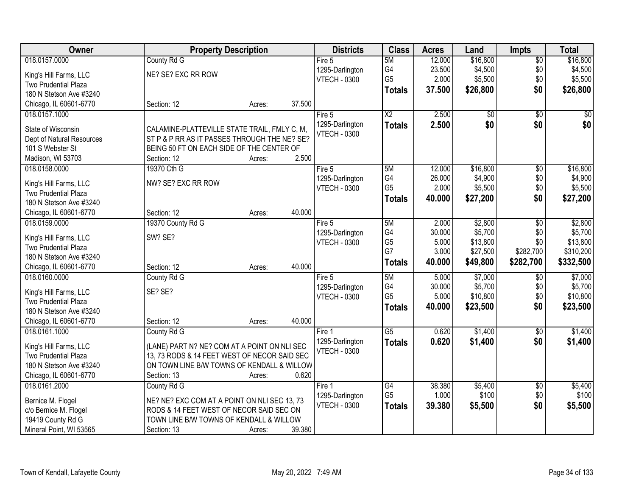| Owner                                          | <b>Property Description</b>                  |        |        | <b>Districts</b>    | <b>Class</b>           | <b>Acres</b>    | Land               | <b>Impts</b>    | <b>Total</b>       |
|------------------------------------------------|----------------------------------------------|--------|--------|---------------------|------------------------|-----------------|--------------------|-----------------|--------------------|
| 018.0157.0000                                  | County Rd G                                  |        |        | Fire 5              | 5M                     | 12.000          | \$16,800           | $\overline{50}$ | \$16,800           |
| King's Hill Farms, LLC                         | NE? SE? EXC RR ROW                           |        |        | 1295-Darlington     | G4                     | 23.500          | \$4,500            | \$0             | \$4,500            |
| Two Prudential Plaza                           |                                              |        |        | <b>VTECH - 0300</b> | G <sub>5</sub>         | 2.000           | \$5,500            | \$0             | \$5,500            |
| 180 N Stetson Ave #3240                        |                                              |        |        |                     | <b>Totals</b>          | 37.500          | \$26,800           | \$0             | \$26,800           |
| Chicago, IL 60601-6770                         | Section: 12                                  | Acres: | 37.500 |                     |                        |                 |                    |                 |                    |
| 018.0157.1000                                  |                                              |        |        | Fire 5              | $\overline{\text{X2}}$ | 2.500           | $\overline{50}$    | $\overline{50}$ | \$0                |
|                                                |                                              |        |        | 1295-Darlington     | <b>Totals</b>          | 2.500           | \$0                | \$0             | \$0                |
| State of Wisconsin                             | CALAMINE-PLATTEVILLE STATE TRAIL, FMLY C, M, |        |        | <b>VTECH - 0300</b> |                        |                 |                    |                 |                    |
| Dept of Natural Resources                      | ST P & P RR AS IT PASSES THROUGH THE NE? SE? |        |        |                     |                        |                 |                    |                 |                    |
| 101 S Webster St                               | BEING 50 FT ON EACH SIDE OF THE CENTER OF    |        | 2.500  |                     |                        |                 |                    |                 |                    |
| Madison, WI 53703                              | Section: 12                                  | Acres: |        |                     |                        |                 |                    |                 |                    |
| 018.0158.0000                                  | 19370 Cth G                                  |        |        | Fire 5              | 5M<br>G4               | 12.000          | \$16,800           | $\overline{50}$ | \$16,800           |
| King's Hill Farms, LLC                         | NW? SE? EXC RR ROW                           |        |        | 1295-Darlington     | G <sub>5</sub>         | 26.000<br>2.000 | \$4,900<br>\$5,500 | \$0<br>\$0      | \$4,900<br>\$5,500 |
| Two Prudential Plaza                           |                                              |        |        | <b>VTECH - 0300</b> |                        |                 |                    |                 |                    |
| 180 N Stetson Ave #3240                        |                                              |        |        |                     | <b>Totals</b>          | 40.000          | \$27,200           | \$0             | \$27,200           |
| Chicago, IL 60601-6770                         | Section: 12                                  | Acres: | 40.000 |                     |                        |                 |                    |                 |                    |
| 018.0159.0000                                  | 19370 County Rd G                            |        |        | Fire 5              | 5M                     | 2.000           | \$2,800            | \$0             | \$2,800            |
|                                                | SW? SE?                                      |        |        | 1295-Darlington     | G4                     | 30.000          | \$5,700            | \$0             | \$5,700            |
| King's Hill Farms, LLC<br>Two Prudential Plaza |                                              |        |        | <b>VTECH - 0300</b> | G <sub>5</sub>         | 5.000           | \$13,800           | \$0             | \$13,800           |
| 180 N Stetson Ave #3240                        |                                              |        |        |                     | G7                     | 3.000           | \$27,500           | \$282,700       | \$310,200          |
| Chicago, IL 60601-6770                         | Section: 12                                  | Acres: | 40.000 |                     | <b>Totals</b>          | 40.000          | \$49,800           | \$282,700       | \$332,500          |
| 018.0160.0000                                  | County Rd G                                  |        |        | Fire 5              | 5M                     | 5.000           | \$7,000            | \$0             | \$7,000            |
|                                                |                                              |        |        | 1295-Darlington     | G4                     | 30.000          | \$5,700            | \$0             | \$5,700            |
| King's Hill Farms, LLC                         | SE? SE?                                      |        |        | <b>VTECH - 0300</b> | G <sub>5</sub>         | 5.000           | \$10,800           | \$0             | \$10,800           |
| <b>Two Prudential Plaza</b>                    |                                              |        |        |                     | <b>Totals</b>          | 40.000          | \$23,500           | \$0             | \$23,500           |
| 180 N Stetson Ave #3240                        |                                              |        |        |                     |                        |                 |                    |                 |                    |
| Chicago, IL 60601-6770                         | Section: 12                                  | Acres: | 40.000 |                     |                        |                 |                    |                 |                    |
| 018.0161.1000                                  | County Rd G                                  |        |        | Fire 1              | $\overline{G5}$        | 0.620           | \$1,400            | $\overline{50}$ | \$1,400            |
| King's Hill Farms, LLC                         | (LANE) PART N? NE? COM AT A POINT ON NLI SEC |        |        | 1295-Darlington     | <b>Totals</b>          | 0.620           | \$1,400            | \$0             | \$1,400            |
| Two Prudential Plaza                           | 13, 73 RODS & 14 FEET WEST OF NECOR SAID SEC |        |        | <b>VTECH - 0300</b> |                        |                 |                    |                 |                    |
| 180 N Stetson Ave #3240                        | ON TOWN LINE B/W TOWNS OF KENDALL & WILLOW   |        |        |                     |                        |                 |                    |                 |                    |
| Chicago, IL 60601-6770                         | Section: 13                                  | Acres: | 0.620  |                     |                        |                 |                    |                 |                    |
| 018.0161.2000                                  | County Rd G                                  |        |        | Fire 1              | G4                     | 38.380          | \$5,400            | $\overline{60}$ | \$5,400            |
|                                                |                                              |        |        | 1295-Darlington     | G <sub>5</sub>         | 1.000           | \$100              | \$0             | \$100              |
| Bernice M. Flogel                              | NE? NE? EXC COM AT A POINT ON NLI SEC 13, 73 |        |        | <b>VTECH - 0300</b> | <b>Totals</b>          | 39.380          | \$5,500            | \$0             | \$5,500            |
| c/o Bernice M. Flogel                          | RODS & 14 FEET WEST OF NECOR SAID SEC ON     |        |        |                     |                        |                 |                    |                 |                    |
| 19419 County Rd G                              | TOWN LINE B/W TOWNS OF KENDALL & WILLOW      |        |        |                     |                        |                 |                    |                 |                    |
| Mineral Point, WI 53565                        | Section: 13                                  | Acres: | 39.380 |                     |                        |                 |                    |                 |                    |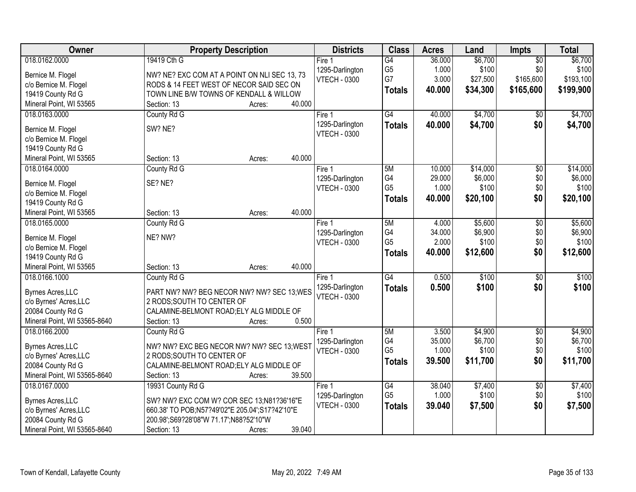| Owner                                       | <b>Property Description</b>                                                              | <b>Districts</b>                       | <b>Class</b>    | <b>Acres</b>    | Land             | <b>Impts</b>    | <b>Total</b>     |
|---------------------------------------------|------------------------------------------------------------------------------------------|----------------------------------------|-----------------|-----------------|------------------|-----------------|------------------|
| 018.0162.0000                               | 19419 Cth G                                                                              | Fire <sub>1</sub>                      | $\overline{G4}$ | 36.000          | \$6,700          | $\overline{50}$ | \$6,700          |
| Bernice M. Flogel                           | NW? NE? EXC COM AT A POINT ON NLI SEC 13, 73                                             | 1295-Darlington                        | G <sub>5</sub>  | 1.000           | \$100            | \$0             | \$100            |
| c/o Bernice M. Flogel                       | RODS & 14 FEET WEST OF NECOR SAID SEC ON                                                 | <b>VTECH - 0300</b>                    | G7              | 3.000           | \$27,500         | \$165,600       | \$193,100        |
| 19419 County Rd G                           | TOWN LINE B/W TOWNS OF KENDALL & WILLOW                                                  |                                        | <b>Totals</b>   | 40.000          | \$34,300         | \$165,600       | \$199,900        |
| Mineral Point, WI 53565                     | 40.000<br>Section: 13<br>Acres:                                                          |                                        |                 |                 |                  |                 |                  |
| 018.0163.0000                               | County Rd G                                                                              | Fire 1                                 | G4              | 40.000          | \$4,700          | $\overline{50}$ | \$4,700          |
| Bernice M. Flogel                           | SW? NE?                                                                                  | 1295-Darlington                        | <b>Totals</b>   | 40.000          | \$4,700          | \$0             | \$4,700          |
| c/o Bernice M. Flogel                       |                                                                                          | <b>VTECH - 0300</b>                    |                 |                 |                  |                 |                  |
| 19419 County Rd G                           |                                                                                          |                                        |                 |                 |                  |                 |                  |
| Mineral Point, WI 53565                     | 40.000<br>Section: 13<br>Acres:                                                          |                                        |                 |                 |                  |                 |                  |
| 018.0164.0000                               | County Rd G                                                                              | Fire 1                                 | 5M              | 10.000          | \$14,000         | $\overline{50}$ | \$14,000         |
|                                             |                                                                                          | 1295-Darlington                        | G4              | 29.000          | \$6,000          | \$0             | \$6,000          |
| Bernice M. Flogel                           | SE? NE?                                                                                  | <b>VTECH - 0300</b>                    | G <sub>5</sub>  | 1.000           | \$100            | \$0             | \$100            |
| c/o Bernice M. Flogel                       |                                                                                          |                                        | <b>Totals</b>   | 40.000          | \$20,100         | \$0             | \$20,100         |
| 19419 County Rd G                           |                                                                                          |                                        |                 |                 |                  |                 |                  |
| Mineral Point, WI 53565                     | 40.000<br>Section: 13<br>Acres:                                                          |                                        |                 |                 |                  |                 |                  |
| 018.0165.0000                               | County Rd G                                                                              | Fire 1                                 | 5M<br>G4        | 4.000           | \$5,600          | \$0             | \$5,600          |
| Bernice M. Flogel                           | NE? NW?                                                                                  | 1295-Darlington<br><b>VTECH - 0300</b> | G <sub>5</sub>  | 34.000<br>2.000 | \$6,900<br>\$100 | \$0<br>\$0      | \$6,900<br>\$100 |
| c/o Bernice M. Flogel                       |                                                                                          |                                        | <b>Totals</b>   | 40.000          | \$12,600         | \$0             | \$12,600         |
| 19419 County Rd G                           |                                                                                          |                                        |                 |                 |                  |                 |                  |
| Mineral Point, WI 53565                     | 40.000<br>Section: 13<br>Acres:                                                          |                                        |                 |                 |                  |                 |                  |
| 018.0166.1000                               | County Rd G                                                                              | Fire 1                                 | $\overline{G4}$ | 0.500           | \$100            | \$0             | \$100            |
| Byrnes Acres, LLC                           | PART NW? NW? BEG NECOR NW? NW? SEC 13; WES                                               | 1295-Darlington                        | <b>Totals</b>   | 0.500           | \$100            | \$0             | \$100            |
| c/o Byrnes' Acres, LLC                      | 2 RODS; SOUTH TO CENTER OF                                                               | <b>VTECH - 0300</b>                    |                 |                 |                  |                 |                  |
| 20084 County Rd G                           | CALAMINE-BELMONT ROAD; ELY ALG MIDDLE OF                                                 |                                        |                 |                 |                  |                 |                  |
| Mineral Point, WI 53565-8640                | 0.500<br>Section: 13<br>Acres:                                                           |                                        |                 |                 |                  |                 |                  |
| 018.0166.2000                               | County Rd G                                                                              | Fire 1                                 | 5M              | 3.500           | \$4,900          | $\overline{50}$ | \$4,900          |
| <b>Byrnes Acres, LLC</b>                    | NW? NW? EXC BEG NECOR NW? NW? SEC 13; WEST                                               | 1295-Darlington                        | G4              | 35.000          | \$6,700          | \$0             | \$6,700          |
| c/o Byrnes' Acres, LLC                      | 2 RODS; SOUTH TO CENTER OF                                                               | <b>VTECH - 0300</b>                    | G <sub>5</sub>  | 1.000           | \$100            | \$0             | \$100            |
| 20084 County Rd G                           | CALAMINE-BELMONT ROAD; ELY ALG MIDDLE OF                                                 |                                        | <b>Totals</b>   | 39.500          | \$11,700         | \$0             | \$11,700         |
| Mineral Point, WI 53565-8640                | 39.500<br>Section: 13<br>Acres:                                                          |                                        |                 |                 |                  |                 |                  |
| 018.0167.0000                               | 19931 County Rd G                                                                        | Fire 1                                 | G4              | 38.040          | \$7,400          | $\overline{50}$ | \$7,400          |
|                                             |                                                                                          | 1295-Darlington                        | G <sub>5</sub>  | 1.000           | \$100            | \$0             | \$100            |
| <b>Byrnes Acres, LLC</b>                    | SW? NW? EXC COM W? COR SEC 13;N81?36'16"E                                                | <b>VTECH - 0300</b>                    | <b>Totals</b>   | 39.040          | \$7,500          | \$0             | \$7,500          |
| c/o Byrnes' Acres, LLC<br>20084 County Rd G | 660.38' TO POB;N57?49'02"E 205.04';S17?42'10"E<br>200.98';S69?28'08"W 71.17';N88?52'10"W |                                        |                 |                 |                  |                 |                  |
| Mineral Point, WI 53565-8640                | 39.040<br>Section: 13                                                                    |                                        |                 |                 |                  |                 |                  |
|                                             | Acres:                                                                                   |                                        |                 |                 |                  |                 |                  |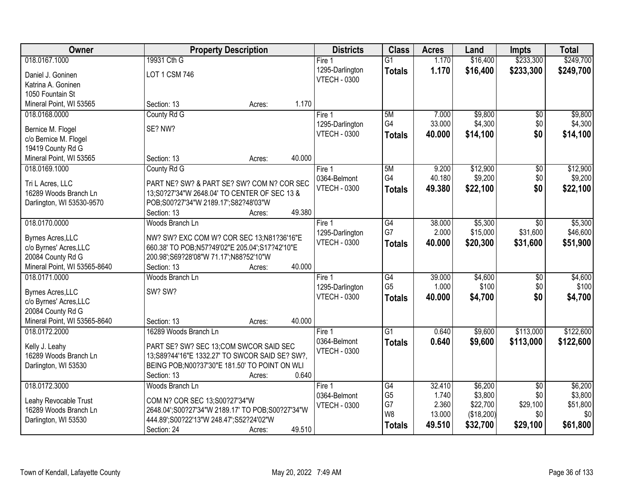| Owner                                    | <b>Property Description</b>                      | <b>Districts</b>       | <b>Class</b>    | <b>Acres</b> | Land       | <b>Impts</b>           | <b>Total</b> |
|------------------------------------------|--------------------------------------------------|------------------------|-----------------|--------------|------------|------------------------|--------------|
| 018.0167.1000                            | 19931 Cth G                                      | Fire <sub>1</sub>      | $\overline{G1}$ | 1.170        | \$16,400   | \$233,300              | \$249,700    |
| Daniel J. Goninen                        | LOT 1 CSM 746                                    | 1295-Darlington        | <b>Totals</b>   | 1.170        | \$16,400   | \$233,300              | \$249,700    |
| Katrina A. Goninen                       |                                                  | <b>VTECH - 0300</b>    |                 |              |            |                        |              |
| 1050 Fountain St                         |                                                  |                        |                 |              |            |                        |              |
| Mineral Point, WI 53565                  | 1.170<br>Section: 13<br>Acres:                   |                        |                 |              |            |                        |              |
| 018.0168.0000                            | County Rd G                                      | Fire 1                 | 5M              | 7.000        | \$9,800    | \$0                    | \$9,800      |
|                                          |                                                  | 1295-Darlington        | G4              | 33.000       | \$4,300    | \$0                    | \$4,300      |
| Bernice M. Flogel                        | SE? NW?                                          | <b>VTECH - 0300</b>    | <b>Totals</b>   | 40.000       | \$14,100   | \$0                    | \$14,100     |
| c/o Bernice M. Flogel                    |                                                  |                        |                 |              |            |                        |              |
| 19419 County Rd G                        | 40.000<br>Section: 13                            |                        |                 |              |            |                        |              |
| Mineral Point, WI 53565<br>018.0169.1000 | Acres:                                           |                        | 5M              | 9.200        | \$12,900   |                        | \$12,900     |
|                                          | County Rd G                                      | Fire 1<br>0364-Belmont | G4              | 40.180       | \$9,200    | $\overline{50}$<br>\$0 | \$9,200      |
| Tri L Acres, LLC                         | PART NE? SW? & PART SE? SW? COM N? COR SEC       | <b>VTECH - 0300</b>    |                 |              |            |                        |              |
| 16289 Woods Branch Ln                    | 13;S0?27'34"W 2648.04' TO CENTER OF SEC 13 &     |                        | Totals          | 49.380       | \$22,100   | \$0                    | \$22,100     |
| Darlington, WI 53530-9570                | POB;S00?27'34"W 2189.17';S82?48'03"W             |                        |                 |              |            |                        |              |
|                                          | 49.380<br>Section: 13<br>Acres:                  |                        |                 |              |            |                        |              |
| 018.0170.0000                            | Woods Branch Ln                                  | Fire 1                 | G4              | 38.000       | \$5,300    | $\sqrt{6}$             | \$5,300      |
| <b>Byrnes Acres, LLC</b>                 | NW? SW? EXC COM W? COR SEC 13;N81?36'16"E        | 1295-Darlington        | G7              | 2.000        | \$15,000   | \$31,600               | \$46,600     |
| c/o Byrnes' Acres, LLC                   | 660.38' TO POB;N57?49'02"E 205.04";S17?42'10"E   | <b>VTECH - 0300</b>    | <b>Totals</b>   | 40.000       | \$20,300   | \$31,600               | \$51,900     |
| 20084 County Rd G                        | 200.98';S69?28'08"W 71.17';N88?52'10"W           |                        |                 |              |            |                        |              |
| Mineral Point, WI 53565-8640             | 40.000<br>Section: 13<br>Acres:                  |                        |                 |              |            |                        |              |
| 018.0171.0000                            | Woods Branch Ln                                  | Fire 1                 | G4              | 39.000       | \$4,600    | \$0                    | \$4,600      |
|                                          |                                                  | 1295-Darlington        | G <sub>5</sub>  | 1.000        | \$100      | \$0                    | \$100        |
| <b>Byrnes Acres, LLC</b>                 | SW? SW?                                          | <b>VTECH - 0300</b>    | <b>Totals</b>   | 40.000       | \$4,700    | \$0                    | \$4,700      |
| c/o Byrnes' Acres, LLC                   |                                                  |                        |                 |              |            |                        |              |
| 20084 County Rd G                        |                                                  |                        |                 |              |            |                        |              |
| Mineral Point, WI 53565-8640             | 40.000<br>Section: 13<br>Acres:                  |                        |                 |              |            |                        |              |
| 018.0172.2000                            | 16289 Woods Branch Ln                            | Fire 1                 | $\overline{G1}$ | 0.640        | \$9,600    | \$113,000              | \$122,600    |
| Kelly J. Leahy                           | PART SE? SW? SEC 13;COM SWCOR SAID SEC           | 0364-Belmont           | <b>Totals</b>   | 0.640        | \$9,600    | \$113,000              | \$122,600    |
| 16289 Woods Branch Ln                    | 13;S89?44'16"E 1332.27' TO SWCOR SAID SE? SW?,   | <b>VTECH - 0300</b>    |                 |              |            |                        |              |
| Darlington, WI 53530                     | BEING POB; N00?37'30"E 181.50' TO POINT ON WLI   |                        |                 |              |            |                        |              |
|                                          | 0.640<br>Section: 13<br>Acres:                   |                        |                 |              |            |                        |              |
| 018.0172.3000                            | Woods Branch Ln                                  | Fire 1                 | G4              | 32.410       | \$6,200    | $\overline{30}$        | \$6,200      |
|                                          |                                                  | 0364-Belmont           | G <sub>5</sub>  | 1.740        | \$3,800    | \$0                    | \$3,800      |
| Leahy Revocable Trust                    | COM N? COR SEC 13;S00?27'34"W                    | <b>VTECH - 0300</b>    | G7              | 2.360        | \$22,700   | \$29,100               | \$51,800     |
| 16289 Woods Branch Ln                    | 2648.04";S00?27'34"W 2189.17' TO POB;S00?27'34"W |                        | W8              | 13.000       | (\$18,200) | \$0                    | \$0          |
| Darlington, WI 53530                     | 444.89';S00?22'13"W 248.47';S52?24'02"W          |                        | <b>Totals</b>   | 49.510       | \$32,700   | \$29,100               | \$61,800     |
|                                          | 49.510<br>Section: 24<br>Acres:                  |                        |                 |              |            |                        |              |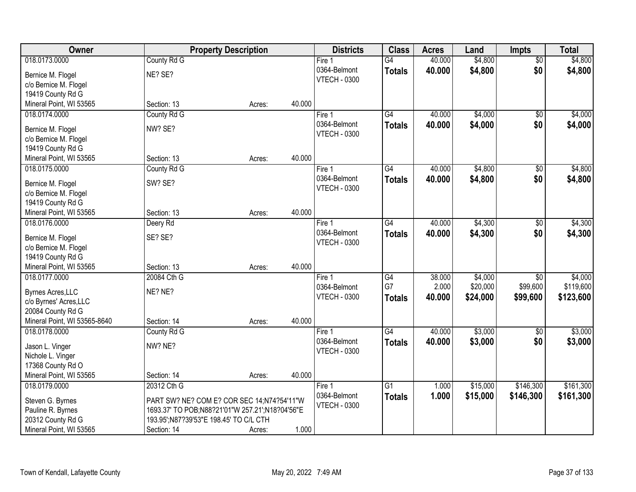| Owner                        |                                                 | <b>Property Description</b> |        | <b>Districts</b>    | <b>Class</b>    | <b>Acres</b> | Land     | <b>Impts</b>    | <b>Total</b> |
|------------------------------|-------------------------------------------------|-----------------------------|--------|---------------------|-----------------|--------------|----------|-----------------|--------------|
| 018.0173.0000                | County Rd G                                     |                             |        | Fire $1$            | $\overline{G4}$ | 40.000       | \$4,800  | $\overline{50}$ | \$4,800      |
| Bernice M. Flogel            | NE? SE?                                         |                             |        | 0364-Belmont        | <b>Totals</b>   | 40.000       | \$4,800  | \$0             | \$4,800      |
| c/o Bernice M. Flogel        |                                                 |                             |        | <b>VTECH - 0300</b> |                 |              |          |                 |              |
| 19419 County Rd G            |                                                 |                             |        |                     |                 |              |          |                 |              |
| Mineral Point, WI 53565      | Section: 13                                     | Acres:                      | 40.000 |                     |                 |              |          |                 |              |
| 018.0174.0000                | County Rd G                                     |                             |        | Fire $1$            | G4              | 40.000       | \$4,000  | $\overline{50}$ | \$4,000      |
| Bernice M. Flogel            | NW? SE?                                         |                             |        | 0364-Belmont        | <b>Totals</b>   | 40.000       | \$4,000  | \$0             | \$4,000      |
| c/o Bernice M. Flogel        |                                                 |                             |        | <b>VTECH - 0300</b> |                 |              |          |                 |              |
| 19419 County Rd G            |                                                 |                             |        |                     |                 |              |          |                 |              |
| Mineral Point, WI 53565      | Section: 13                                     | Acres:                      | 40.000 |                     |                 |              |          |                 |              |
| 018.0175.0000                | County Rd G                                     |                             |        | Fire 1              | $\overline{G4}$ | 40.000       | \$4,800  | \$0             | \$4,800      |
| Bernice M. Flogel            | SW? SE?                                         |                             |        | 0364-Belmont        | <b>Totals</b>   | 40.000       | \$4,800  | \$0             | \$4,800      |
| c/o Bernice M. Flogel        |                                                 |                             |        | <b>VTECH - 0300</b> |                 |              |          |                 |              |
| 19419 County Rd G            |                                                 |                             |        |                     |                 |              |          |                 |              |
| Mineral Point, WI 53565      | Section: 13                                     | Acres:                      | 40.000 |                     |                 |              |          |                 |              |
| 018.0176.0000                | Deery Rd                                        |                             |        | Fire 1              | G4              | 40.000       | \$4,300  | $\sqrt[6]{3}$   | \$4,300      |
| Bernice M. Flogel            | SE? SE?                                         |                             |        | 0364-Belmont        | <b>Totals</b>   | 40.000       | \$4,300  | \$0             | \$4,300      |
| c/o Bernice M. Flogel        |                                                 |                             |        | <b>VTECH - 0300</b> |                 |              |          |                 |              |
| 19419 County Rd G            |                                                 |                             |        |                     |                 |              |          |                 |              |
| Mineral Point, WI 53565      | Section: 13                                     | Acres:                      | 40.000 |                     |                 |              |          |                 |              |
| 018.0177.0000                | 20084 Cth G                                     |                             |        | Fire 1              | $\overline{G4}$ | 38.000       | \$4,000  | $\overline{50}$ | \$4,000      |
| <b>Byrnes Acres, LLC</b>     | NE? NE?                                         |                             |        | 0364-Belmont        | G7              | 2.000        | \$20,000 | \$99,600        | \$119,600    |
| c/o Byrnes' Acres, LLC       |                                                 |                             |        | <b>VTECH - 0300</b> | <b>Totals</b>   | 40.000       | \$24,000 | \$99,600        | \$123,600    |
| 20084 County Rd G            |                                                 |                             |        |                     |                 |              |          |                 |              |
| Mineral Point, WI 53565-8640 | Section: 14                                     | Acres:                      | 40.000 |                     |                 |              |          |                 |              |
| 018.0178.0000                | County Rd G                                     |                             |        | Fire 1              | G4              | 40.000       | \$3,000  | $\sqrt{$0}$     | \$3,000      |
| Jason L. Vinger              | NW? NE?                                         |                             |        | 0364-Belmont        | <b>Totals</b>   | 40,000       | \$3,000  | \$0             | \$3,000      |
| Nichole L. Vinger            |                                                 |                             |        | <b>VTECH - 0300</b> |                 |              |          |                 |              |
| 17368 County Rd O            |                                                 |                             |        |                     |                 |              |          |                 |              |
| Mineral Point, WI 53565      | Section: 14                                     | Acres:                      | 40.000 |                     |                 |              |          |                 |              |
| 018.0179.0000                | 20312 Cth G                                     |                             |        | Fire 1              | G1              | 1.000        | \$15,000 | \$146,300       | \$161,300    |
| Steven G. Byrnes             | PART SW? NE? COM E? COR SEC 14;N74?54'11"W      |                             |        | 0364-Belmont        | <b>Totals</b>   | 1.000        | \$15,000 | \$146,300       | \$161,300    |
| Pauline R. Byrnes            | 1693.37' TO POB;N88?21'01"W 257.21';N18?04'56"E |                             |        | <b>VTECH - 0300</b> |                 |              |          |                 |              |
| 20312 County Rd G            | 193.95';N87?39'53"E 198.45' TO C/L CTH          |                             |        |                     |                 |              |          |                 |              |
| Mineral Point, WI 53565      | Section: 14                                     | Acres:                      | 1.000  |                     |                 |              |          |                 |              |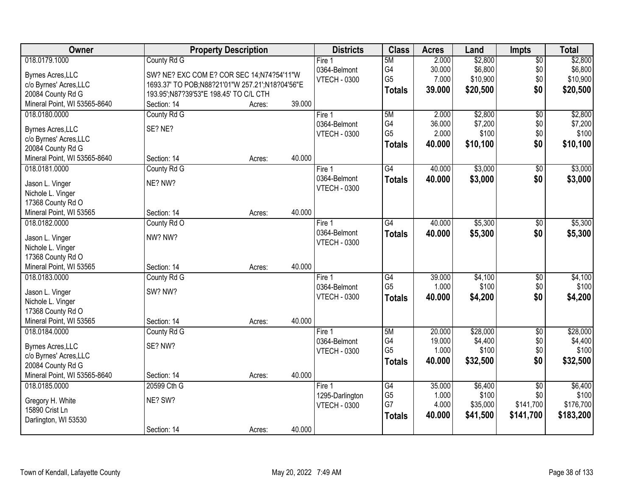| Owner                                |                                                 | <b>Property Description</b> |        | <b>Districts</b>    | <b>Class</b>    | <b>Acres</b> | Land     | <b>Impts</b>    | <b>Total</b> |
|--------------------------------------|-------------------------------------------------|-----------------------------|--------|---------------------|-----------------|--------------|----------|-----------------|--------------|
| 018.0179.1000                        | County Rd G                                     |                             |        | Fire 1              | 5M              | 2.000        | \$2,800  | $\overline{50}$ | \$2,800      |
| <b>Byrnes Acres, LLC</b>             | SW? NE? EXC COM E? COR SEC 14;N74?54'11"W       |                             |        | 0364-Belmont        | G4              | 30.000       | \$6,800  | \$0             | \$6,800      |
| c/o Byrnes' Acres, LLC               | 1693.37' TO POB;N88?21'01"W 257.21';N18?04'56"E |                             |        | <b>VTECH - 0300</b> | G <sub>5</sub>  | 7.000        | \$10,900 | \$0             | \$10,900     |
| 20084 County Rd G                    | 193.95'; N87?39'53" E 198.45' TO C/L CTH        |                             |        |                     | <b>Totals</b>   | 39.000       | \$20,500 | \$0             | \$20,500     |
| Mineral Point, WI 53565-8640         | Section: 14                                     | Acres:                      | 39.000 |                     |                 |              |          |                 |              |
| 018.0180.0000                        | County Rd G                                     |                             |        | Fire 1              | 5M              | 2.000        | \$2,800  | $\overline{50}$ | \$2,800      |
|                                      |                                                 |                             |        | 0364-Belmont        | G4              | 36.000       | \$7,200  | \$0             | \$7,200      |
| <b>Byrnes Acres, LLC</b>             | SE? NE?                                         |                             |        | <b>VTECH - 0300</b> | G <sub>5</sub>  | 2.000        | \$100    | \$0             | \$100        |
| c/o Byrnes' Acres, LLC               |                                                 |                             |        |                     | <b>Totals</b>   | 40.000       | \$10,100 | \$0             | \$10,100     |
| 20084 County Rd G                    |                                                 |                             |        |                     |                 |              |          |                 |              |
| Mineral Point, WI 53565-8640         | Section: 14                                     | Acres:                      | 40.000 |                     |                 |              |          |                 |              |
| 018.0181.0000                        | County Rd G                                     |                             |        | Fire 1              | G4              | 40.000       | \$3,000  | \$0             | \$3,000      |
| Jason L. Vinger                      | NE? NW?                                         |                             |        | 0364-Belmont        | <b>Totals</b>   | 40.000       | \$3,000  | \$0             | \$3,000      |
| Nichole L. Vinger                    |                                                 |                             |        | <b>VTECH - 0300</b> |                 |              |          |                 |              |
| 17368 County Rd O                    |                                                 |                             |        |                     |                 |              |          |                 |              |
| Mineral Point, WI 53565              | Section: 14                                     | Acres:                      | 40.000 |                     |                 |              |          |                 |              |
| 018.0182.0000                        | County Rd O                                     |                             |        | Fire 1              | $\overline{G4}$ | 40.000       | \$5,300  | \$0             | \$5,300      |
|                                      | NW? NW?                                         |                             |        | 0364-Belmont        | <b>Totals</b>   | 40.000       | \$5,300  | \$0             | \$5,300      |
| Jason L. Vinger<br>Nichole L. Vinger |                                                 |                             |        | <b>VTECH - 0300</b> |                 |              |          |                 |              |
| 17368 County Rd O                    |                                                 |                             |        |                     |                 |              |          |                 |              |
| Mineral Point, WI 53565              | Section: 14                                     | Acres:                      | 40.000 |                     |                 |              |          |                 |              |
| 018.0183.0000                        | County Rd G                                     |                             |        | Fire 1              | G4              | 39.000       | \$4,100  | \$0             | \$4,100      |
|                                      |                                                 |                             |        | 0364-Belmont        | G <sub>5</sub>  | 1.000        | \$100    | \$0             | \$100        |
| Jason L. Vinger                      | SW? NW?                                         |                             |        | <b>VTECH - 0300</b> | <b>Totals</b>   | 40.000       | \$4,200  | \$0             | \$4,200      |
| Nichole L. Vinger                    |                                                 |                             |        |                     |                 |              |          |                 |              |
| 17368 County Rd O                    |                                                 |                             |        |                     |                 |              |          |                 |              |
| Mineral Point, WI 53565              | Section: 14                                     | Acres:                      | 40.000 |                     |                 |              |          |                 |              |
| 018.0184.0000                        | County Rd G                                     |                             |        | Fire 1              | 5M              | 20.000       | \$28,000 | $\overline{60}$ | \$28,000     |
| <b>Byrnes Acres, LLC</b>             | SE? NW?                                         |                             |        | 0364-Belmont        | G4              | 19.000       | \$4,400  | \$0             | \$4,400      |
| c/o Byrnes' Acres, LLC               |                                                 |                             |        | <b>VTECH - 0300</b> | G <sub>5</sub>  | 1.000        | \$100    | \$0             | \$100        |
| 20084 County Rd G                    |                                                 |                             |        |                     | <b>Totals</b>   | 40.000       | \$32,500 | \$0             | \$32,500     |
| Mineral Point, WI 53565-8640         | Section: 14                                     | Acres:                      | 40.000 |                     |                 |              |          |                 |              |
| 018.0185.0000                        | 20599 Cth G                                     |                             |        | Fire 1              | G4              | 35.000       | \$6,400  | $\overline{50}$ | \$6,400      |
|                                      |                                                 |                             |        | 1295-Darlington     | G <sub>5</sub>  | 1.000        | \$100    | \$0             | \$100        |
| Gregory H. White                     | NE? SW?                                         |                             |        | <b>VTECH - 0300</b> | G7              | 4.000        | \$35,000 | \$141,700       | \$176,700    |
| 15890 Crist Ln                       |                                                 |                             |        |                     | <b>Totals</b>   | 40.000       | \$41,500 | \$141,700       | \$183,200    |
| Darlington, WI 53530                 |                                                 |                             |        |                     |                 |              |          |                 |              |
|                                      | Section: 14                                     | Acres:                      | 40.000 |                     |                 |              |          |                 |              |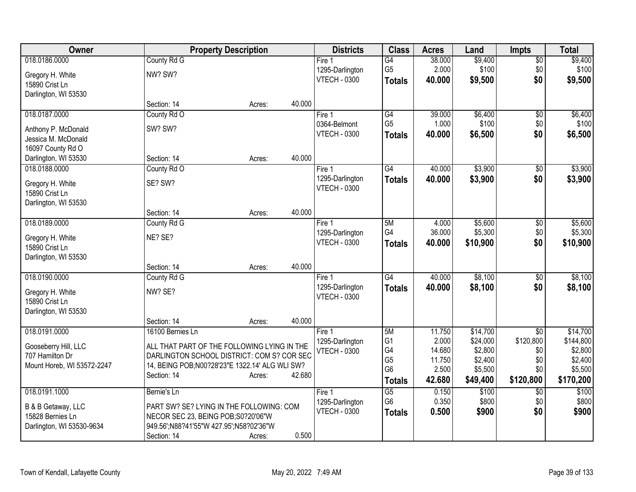| Owner                      |                                                  | <b>Property Description</b> |        | <b>Districts</b>    | <b>Class</b>         | <b>Acres</b>    | Land               | <b>Impts</b>    | <b>Total</b>       |
|----------------------------|--------------------------------------------------|-----------------------------|--------|---------------------|----------------------|-----------------|--------------------|-----------------|--------------------|
| 018.0186.0000              | County Rd G                                      |                             |        | Fire 1              | $\overline{G4}$      | 38.000          | \$9,400            | $\overline{50}$ | \$9,400            |
| Gregory H. White           | NW? SW?                                          |                             |        | 1295-Darlington     | G <sub>5</sub>       | 2.000           | \$100              | \$0             | \$100              |
| 15890 Crist Ln             |                                                  |                             |        | <b>VTECH - 0300</b> | <b>Totals</b>        | 40,000          | \$9,500            | \$0             | \$9,500            |
| Darlington, WI 53530       |                                                  |                             |        |                     |                      |                 |                    |                 |                    |
|                            | Section: 14                                      | Acres:                      | 40.000 |                     |                      |                 |                    |                 |                    |
| 018.0187.0000              | County Rd O                                      |                             |        | Fire 1              | G4                   | 39.000          | \$6,400            | \$0             | \$6,400            |
| Anthony P. McDonald        | SW? SW?                                          |                             |        | 0364-Belmont        | G <sub>5</sub>       | 1.000           | \$100              | \$0             | \$100              |
| Jessica M. McDonald        |                                                  |                             |        | <b>VTECH - 0300</b> | <b>Totals</b>        | 40.000          | \$6,500            | \$0             | \$6,500            |
| 16097 County Rd O          |                                                  |                             |        |                     |                      |                 |                    |                 |                    |
| Darlington, WI 53530       | Section: 14                                      | Acres:                      | 40.000 |                     |                      |                 |                    |                 |                    |
| 018.0188.0000              | County Rd O                                      |                             |        | Fire 1              | $\overline{G4}$      | 40.000          | \$3,900            | \$0             | \$3,900            |
| Gregory H. White           | SE? SW?                                          |                             |        | 1295-Darlington     | <b>Totals</b>        | 40.000          | \$3,900            | \$0             | \$3,900            |
| 15890 Crist Ln             |                                                  |                             |        | <b>VTECH - 0300</b> |                      |                 |                    |                 |                    |
| Darlington, WI 53530       |                                                  |                             |        |                     |                      |                 |                    |                 |                    |
|                            | Section: 14                                      | Acres:                      | 40.000 |                     |                      |                 |                    |                 |                    |
| 018.0189.0000              | County Rd G                                      |                             |        | Fire 1              | 5M                   | 4.000           | \$5,600            | \$0             | \$5,600            |
| Gregory H. White           | NE? SE?                                          |                             |        | 1295-Darlington     | G4                   | 36.000          | \$5,300            | \$0             | \$5,300            |
| 15890 Crist Ln             |                                                  |                             |        | <b>VTECH - 0300</b> | <b>Totals</b>        | 40.000          | \$10,900           | \$0             | \$10,900           |
| Darlington, WI 53530       |                                                  |                             |        |                     |                      |                 |                    |                 |                    |
|                            | Section: 14                                      | Acres:                      | 40.000 |                     |                      |                 |                    |                 |                    |
| 018.0190.0000              | County Rd G                                      |                             |        | Fire 1              | $\overline{G4}$      | 40.000          | \$8,100            | \$0             | \$8,100            |
| Gregory H. White           | NW? SE?                                          |                             |        | 1295-Darlington     | <b>Totals</b>        | 40.000          | \$8,100            | \$0             | \$8,100            |
| 15890 Crist Ln             |                                                  |                             |        | <b>VTECH - 0300</b> |                      |                 |                    |                 |                    |
| Darlington, WI 53530       |                                                  |                             |        |                     |                      |                 |                    |                 |                    |
|                            | Section: 14                                      | Acres:                      | 40.000 |                     |                      |                 |                    |                 |                    |
| 018.0191.0000              | 16100 Bernies Ln                                 |                             |        | Fire 1              | 5M                   | 11.750          | \$14,700           | \$0             | \$14,700           |
| Gooseberry Hill, LLC       | ALL THAT PART OF THE FOLLOWING LYING IN THE      |                             |        | 1295-Darlington     | G <sub>1</sub>       | 2.000           | \$24,000           | \$120,800       | \$144,800          |
| 707 Hamilton Dr            | DARLINGTON SCHOOL DISTRICT: COM S? COR SEC       |                             |        | <b>VTECH - 0300</b> | G4<br>G <sub>5</sub> | 14.680          | \$2,800            | \$0             | \$2,800<br>\$2,400 |
| Mount Horeb, WI 53572-2247 | 14, BEING POB; N00?28'23" E 1322.14' ALG WLI SW? |                             |        |                     | G <sub>6</sub>       | 11.750<br>2.500 | \$2,400<br>\$5,500 | \$0<br>\$0      | \$5,500            |
|                            | Section: 14                                      | Acres:                      | 42.680 |                     | <b>Totals</b>        | 42.680          | \$49,400           | \$120,800       | \$170,200          |
| 018.0191.1000              | Bernie's Ln                                      |                             |        | Fire 1              | $\overline{G5}$      | 0.150           | \$100              | \$0             | \$100              |
|                            |                                                  |                             |        | 1295-Darlington     | G <sub>6</sub>       | 0.350           | \$800              | \$0             | \$800              |
| B & B Getaway, LLC         | PART SW? SE? LYING IN THE FOLLOWING: COM         |                             |        | <b>VTECH - 0300</b> | <b>Totals</b>        | 0.500           | \$900              | \$0             | \$900              |
| 15828 Bernies Ln           | NECOR SEC 23, BEING POB;S0?20'06"W               |                             |        |                     |                      |                 |                    |                 |                    |
| Darlington, WI 53530-9634  | 949.56';N88?41'55"W 427.95';N58?02'36"W          |                             | 0.500  |                     |                      |                 |                    |                 |                    |
|                            | Section: 14                                      | Acres:                      |        |                     |                      |                 |                    |                 |                    |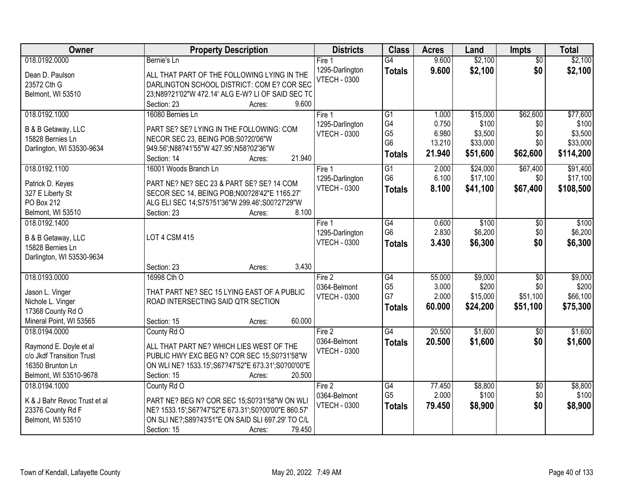| 018.0192.0000<br>\$2,100<br>$\overline{G4}$<br>9.600<br>$\overline{50}$<br>\$2,100<br>Bernie's Ln<br>Fire 1<br>\$2,100<br>9.600<br>\$0<br>1295-Darlington<br>\$2,100<br><b>Totals</b><br>Dean D. Paulson<br>ALL THAT PART OF THE FOLLOWING LYING IN THE<br><b>VTECH - 0300</b><br>DARLINGTON SCHOOL DISTRICT: COM E? COR SEC<br>23572 Cth G<br>23;N89?21'02"W 472.14' ALG E-W? LI OF SAID SEC TC<br>Belmont, WI 53510<br>9.600<br>Section: 23<br>Acres:<br>018.0192.1000<br>\$15,000<br>\$62,600<br>16080 Bernies Ln<br>Fire 1<br>$\overline{G1}$<br>1.000<br>G4<br>0.750<br>\$100<br>1295-Darlington<br>\$0<br>PART SE? SE? LYING IN THE FOLLOWING: COM<br>B & B Getaway, LLC<br>G <sub>5</sub><br>6.980<br>\$3,500<br>\$0<br><b>VTECH - 0300</b><br>15828 Bernies Ln<br>NECOR SEC 23, BEING POB;S0?20'06"W<br>G <sub>6</sub><br>13.210<br>\$33,000<br>\$0<br>Darlington, WI 53530-9634<br>949.56';N88?41'55"W 427.95';N58?02'36"W<br>21.940<br>\$51,600<br>\$62,600<br>\$114,200<br><b>Totals</b><br>21.940<br>Section: 14<br>Acres:<br>018.0192.1100<br>16001 Woods Branch Ln<br>$\overline{G1}$<br>\$24,000<br>\$67,400<br>2.000<br>Fire 1<br>G <sub>6</sub><br>6.100<br>\$17,100<br>\$0<br>1295-Darlington<br>PART NE? NE? SEC 23 & PART SE? SE? 14 COM<br>Patrick D. Keyes<br><b>VTECH - 0300</b><br>\$67,400<br>8.100<br>\$41,100<br>\$108,500<br><b>Totals</b><br>327 E Liberty St<br>SECOR SEC 14, BEING POB; N00?28'42"E 1165.27'<br>PO Box 212<br>ALG ELI SEC 14;S75?51'36"W 299.46';S00?27'29"W<br>8.100<br>Belmont, WI 53510<br>Section: 23<br>Acres:<br>\$100<br>018.0192.1400<br>G4<br>0.600<br>\$0<br>Fire 1<br>G <sub>6</sub><br>2.830<br>\$6,200<br>\$0<br>1295-Darlington<br><b>LOT 4 CSM 415</b><br>B & B Getaway, LLC |
|--------------------------------------------------------------------------------------------------------------------------------------------------------------------------------------------------------------------------------------------------------------------------------------------------------------------------------------------------------------------------------------------------------------------------------------------------------------------------------------------------------------------------------------------------------------------------------------------------------------------------------------------------------------------------------------------------------------------------------------------------------------------------------------------------------------------------------------------------------------------------------------------------------------------------------------------------------------------------------------------------------------------------------------------------------------------------------------------------------------------------------------------------------------------------------------------------------------------------------------------------------------------------------------------------------------------------------------------------------------------------------------------------------------------------------------------------------------------------------------------------------------------------------------------------------------------------------------------------------------------------------------------------------------------------------------------------------------------------------------------|
|                                                                                                                                                                                                                                                                                                                                                                                                                                                                                                                                                                                                                                                                                                                                                                                                                                                                                                                                                                                                                                                                                                                                                                                                                                                                                                                                                                                                                                                                                                                                                                                                                                                                                                                                            |
|                                                                                                                                                                                                                                                                                                                                                                                                                                                                                                                                                                                                                                                                                                                                                                                                                                                                                                                                                                                                                                                                                                                                                                                                                                                                                                                                                                                                                                                                                                                                                                                                                                                                                                                                            |
| \$77,600<br>\$100<br>\$3,500<br>\$33,000<br>\$91,400<br>\$17,100<br>\$100<br>\$6,200                                                                                                                                                                                                                                                                                                                                                                                                                                                                                                                                                                                                                                                                                                                                                                                                                                                                                                                                                                                                                                                                                                                                                                                                                                                                                                                                                                                                                                                                                                                                                                                                                                                       |
|                                                                                                                                                                                                                                                                                                                                                                                                                                                                                                                                                                                                                                                                                                                                                                                                                                                                                                                                                                                                                                                                                                                                                                                                                                                                                                                                                                                                                                                                                                                                                                                                                                                                                                                                            |
|                                                                                                                                                                                                                                                                                                                                                                                                                                                                                                                                                                                                                                                                                                                                                                                                                                                                                                                                                                                                                                                                                                                                                                                                                                                                                                                                                                                                                                                                                                                                                                                                                                                                                                                                            |
|                                                                                                                                                                                                                                                                                                                                                                                                                                                                                                                                                                                                                                                                                                                                                                                                                                                                                                                                                                                                                                                                                                                                                                                                                                                                                                                                                                                                                                                                                                                                                                                                                                                                                                                                            |
|                                                                                                                                                                                                                                                                                                                                                                                                                                                                                                                                                                                                                                                                                                                                                                                                                                                                                                                                                                                                                                                                                                                                                                                                                                                                                                                                                                                                                                                                                                                                                                                                                                                                                                                                            |
|                                                                                                                                                                                                                                                                                                                                                                                                                                                                                                                                                                                                                                                                                                                                                                                                                                                                                                                                                                                                                                                                                                                                                                                                                                                                                                                                                                                                                                                                                                                                                                                                                                                                                                                                            |
|                                                                                                                                                                                                                                                                                                                                                                                                                                                                                                                                                                                                                                                                                                                                                                                                                                                                                                                                                                                                                                                                                                                                                                                                                                                                                                                                                                                                                                                                                                                                                                                                                                                                                                                                            |
|                                                                                                                                                                                                                                                                                                                                                                                                                                                                                                                                                                                                                                                                                                                                                                                                                                                                                                                                                                                                                                                                                                                                                                                                                                                                                                                                                                                                                                                                                                                                                                                                                                                                                                                                            |
|                                                                                                                                                                                                                                                                                                                                                                                                                                                                                                                                                                                                                                                                                                                                                                                                                                                                                                                                                                                                                                                                                                                                                                                                                                                                                                                                                                                                                                                                                                                                                                                                                                                                                                                                            |
|                                                                                                                                                                                                                                                                                                                                                                                                                                                                                                                                                                                                                                                                                                                                                                                                                                                                                                                                                                                                                                                                                                                                                                                                                                                                                                                                                                                                                                                                                                                                                                                                                                                                                                                                            |
|                                                                                                                                                                                                                                                                                                                                                                                                                                                                                                                                                                                                                                                                                                                                                                                                                                                                                                                                                                                                                                                                                                                                                                                                                                                                                                                                                                                                                                                                                                                                                                                                                                                                                                                                            |
|                                                                                                                                                                                                                                                                                                                                                                                                                                                                                                                                                                                                                                                                                                                                                                                                                                                                                                                                                                                                                                                                                                                                                                                                                                                                                                                                                                                                                                                                                                                                                                                                                                                                                                                                            |
|                                                                                                                                                                                                                                                                                                                                                                                                                                                                                                                                                                                                                                                                                                                                                                                                                                                                                                                                                                                                                                                                                                                                                                                                                                                                                                                                                                                                                                                                                                                                                                                                                                                                                                                                            |
|                                                                                                                                                                                                                                                                                                                                                                                                                                                                                                                                                                                                                                                                                                                                                                                                                                                                                                                                                                                                                                                                                                                                                                                                                                                                                                                                                                                                                                                                                                                                                                                                                                                                                                                                            |
|                                                                                                                                                                                                                                                                                                                                                                                                                                                                                                                                                                                                                                                                                                                                                                                                                                                                                                                                                                                                                                                                                                                                                                                                                                                                                                                                                                                                                                                                                                                                                                                                                                                                                                                                            |
| <b>VTECH - 0300</b><br>\$6,300<br>\$0<br>3.430<br>\$6,300<br><b>Totals</b>                                                                                                                                                                                                                                                                                                                                                                                                                                                                                                                                                                                                                                                                                                                                                                                                                                                                                                                                                                                                                                                                                                                                                                                                                                                                                                                                                                                                                                                                                                                                                                                                                                                                 |
| 15828 Bernies Ln                                                                                                                                                                                                                                                                                                                                                                                                                                                                                                                                                                                                                                                                                                                                                                                                                                                                                                                                                                                                                                                                                                                                                                                                                                                                                                                                                                                                                                                                                                                                                                                                                                                                                                                           |
| Darlington, WI 53530-9634                                                                                                                                                                                                                                                                                                                                                                                                                                                                                                                                                                                                                                                                                                                                                                                                                                                                                                                                                                                                                                                                                                                                                                                                                                                                                                                                                                                                                                                                                                                                                                                                                                                                                                                  |
| 3.430<br>Section: 23<br>Acres:                                                                                                                                                                                                                                                                                                                                                                                                                                                                                                                                                                                                                                                                                                                                                                                                                                                                                                                                                                                                                                                                                                                                                                                                                                                                                                                                                                                                                                                                                                                                                                                                                                                                                                             |
| 018.0193.0000<br>16998 Cth O<br>$\overline{G4}$<br>55.000<br>\$9,000<br>\$9,000<br>Fire 2<br>\$0<br>G <sub>5</sub><br>3.000<br>\$200<br>\$0<br>\$200                                                                                                                                                                                                                                                                                                                                                                                                                                                                                                                                                                                                                                                                                                                                                                                                                                                                                                                                                                                                                                                                                                                                                                                                                                                                                                                                                                                                                                                                                                                                                                                       |
| 0364-Belmont<br>THAT PART NE? SEC 15 LYING EAST OF A PUBLIC<br>Jason L. Vinger<br>G7<br>2.000<br>\$15,000<br>\$51,100<br>\$66,100<br><b>VTECH - 0300</b>                                                                                                                                                                                                                                                                                                                                                                                                                                                                                                                                                                                                                                                                                                                                                                                                                                                                                                                                                                                                                                                                                                                                                                                                                                                                                                                                                                                                                                                                                                                                                                                   |
| ROAD INTERSECTING SAID QTR SECTION<br>Nichole L. Vinger<br>\$51,100<br>60.000<br>\$24,200<br>\$75,300                                                                                                                                                                                                                                                                                                                                                                                                                                                                                                                                                                                                                                                                                                                                                                                                                                                                                                                                                                                                                                                                                                                                                                                                                                                                                                                                                                                                                                                                                                                                                                                                                                      |
| <b>Totals</b><br>17368 County Rd O                                                                                                                                                                                                                                                                                                                                                                                                                                                                                                                                                                                                                                                                                                                                                                                                                                                                                                                                                                                                                                                                                                                                                                                                                                                                                                                                                                                                                                                                                                                                                                                                                                                                                                         |
| 60.000<br>Mineral Point, WI 53565<br>Section: 15<br>Acres:                                                                                                                                                                                                                                                                                                                                                                                                                                                                                                                                                                                                                                                                                                                                                                                                                                                                                                                                                                                                                                                                                                                                                                                                                                                                                                                                                                                                                                                                                                                                                                                                                                                                                 |
| $\overline{G4}$<br>\$1,600<br>20.500<br>\$1,600<br>018.0194.0000<br>Fire 2<br>County Rd O<br>\$0                                                                                                                                                                                                                                                                                                                                                                                                                                                                                                                                                                                                                                                                                                                                                                                                                                                                                                                                                                                                                                                                                                                                                                                                                                                                                                                                                                                                                                                                                                                                                                                                                                           |
| 0364-Belmont<br>20,500<br>\$1,600<br>\$0<br>\$1,600<br><b>Totals</b><br>Raymond E. Doyle et al<br>ALL THAT PART NE? WHICH LIES WEST OF THE                                                                                                                                                                                                                                                                                                                                                                                                                                                                                                                                                                                                                                                                                                                                                                                                                                                                                                                                                                                                                                                                                                                                                                                                                                                                                                                                                                                                                                                                                                                                                                                                 |
| <b>VTECH - 0300</b><br>c/o Jkdf Transition Trust<br>PUBLIC HWY EXC BEG N? COR SEC 15;S0?31'58"W                                                                                                                                                                                                                                                                                                                                                                                                                                                                                                                                                                                                                                                                                                                                                                                                                                                                                                                                                                                                                                                                                                                                                                                                                                                                                                                                                                                                                                                                                                                                                                                                                                            |
| 16350 Brunton Ln<br>ON WLI NE? 1533.15';S67?47'52"E 673.31';S0?00'00"E                                                                                                                                                                                                                                                                                                                                                                                                                                                                                                                                                                                                                                                                                                                                                                                                                                                                                                                                                                                                                                                                                                                                                                                                                                                                                                                                                                                                                                                                                                                                                                                                                                                                     |
| Belmont, WI 53510-9678<br>20.500<br>Section: 15<br>Acres:                                                                                                                                                                                                                                                                                                                                                                                                                                                                                                                                                                                                                                                                                                                                                                                                                                                                                                                                                                                                                                                                                                                                                                                                                                                                                                                                                                                                                                                                                                                                                                                                                                                                                  |
| 77.450<br>\$8,800<br>\$8,800<br>018.0194.1000<br>County Rd O<br>Fire 2<br>G4<br>$\overline{50}$                                                                                                                                                                                                                                                                                                                                                                                                                                                                                                                                                                                                                                                                                                                                                                                                                                                                                                                                                                                                                                                                                                                                                                                                                                                                                                                                                                                                                                                                                                                                                                                                                                            |
| G <sub>5</sub><br>2.000<br>\$100<br>\$100<br>\$0<br>0364-Belmont<br>PART NE? BEG N? COR SEC 15;S0?31'58"W ON WLI<br>K & J Bahr Revoc Trust et al                                                                                                                                                                                                                                                                                                                                                                                                                                                                                                                                                                                                                                                                                                                                                                                                                                                                                                                                                                                                                                                                                                                                                                                                                                                                                                                                                                                                                                                                                                                                                                                           |
| \$0<br><b>VTECH - 0300</b><br>79.450<br>\$8,900<br>\$8,900<br><b>Totals</b><br>23376 County Rd F<br>NE? 1533.15';S67?47'52"E 673.31';S0?00'00"E 860.57'                                                                                                                                                                                                                                                                                                                                                                                                                                                                                                                                                                                                                                                                                                                                                                                                                                                                                                                                                                                                                                                                                                                                                                                                                                                                                                                                                                                                                                                                                                                                                                                    |
| Belmont, WI 53510<br>ON SLI NE?; S89?43'51"E ON SAID SLI 697.29' TO C/L                                                                                                                                                                                                                                                                                                                                                                                                                                                                                                                                                                                                                                                                                                                                                                                                                                                                                                                                                                                                                                                                                                                                                                                                                                                                                                                                                                                                                                                                                                                                                                                                                                                                    |
| 79.450<br>Section: 15<br>Acres:                                                                                                                                                                                                                                                                                                                                                                                                                                                                                                                                                                                                                                                                                                                                                                                                                                                                                                                                                                                                                                                                                                                                                                                                                                                                                                                                                                                                                                                                                                                                                                                                                                                                                                            |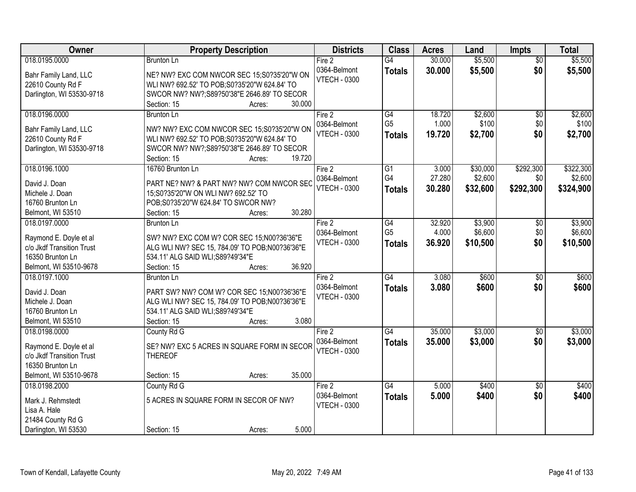| Owner                                         | <b>Property Description</b>                                                          | <b>Districts</b>                    | <b>Class</b>    | <b>Acres</b> | Land     | <b>Impts</b>    | <b>Total</b> |
|-----------------------------------------------|--------------------------------------------------------------------------------------|-------------------------------------|-----------------|--------------|----------|-----------------|--------------|
| 018.0195.0000                                 | <b>Brunton Ln</b>                                                                    | Fire 2                              | $\overline{G4}$ | 30.000       | \$5,500  | $\overline{50}$ | \$5,500      |
| Bahr Family Land, LLC                         | NE? NW? EXC COM NWCOR SEC 15;S0?35'20"W ON                                           | 0364-Belmont                        | <b>Totals</b>   | 30.000       | \$5,500  | \$0             | \$5,500      |
| 22610 County Rd F                             | WLI NW? 692.52' TO POB;S0?35'20"W 624.84' TO                                         | <b>VTECH - 0300</b>                 |                 |              |          |                 |              |
| Darlington, WI 53530-9718                     | SWCOR NW? NW?;S89?50'38"E 2646.89' TO SECOR                                          |                                     |                 |              |          |                 |              |
|                                               | 30.000<br>Section: 15<br>Acres:                                                      |                                     |                 |              |          |                 |              |
| 018.0196.0000                                 | <b>Brunton Ln</b>                                                                    | Fire 2                              | G4              | 18.720       | \$2,600  | $\overline{50}$ | \$2,600      |
|                                               |                                                                                      | 0364-Belmont                        | G <sub>5</sub>  | 1.000        | \$100    | \$0             | \$100        |
| Bahr Family Land, LLC                         | NW? NW? EXC COM NWCOR SEC 15;S0?35'20"W ON                                           | <b>VTECH - 0300</b>                 | <b>Totals</b>   | 19.720       | \$2,700  | \$0             | \$2,700      |
| 22610 County Rd F                             | WLI NW? 692.52' TO POB;S0?35'20"W 624.84' TO                                         |                                     |                 |              |          |                 |              |
| Darlington, WI 53530-9718                     | SWCOR NW? NW?;S89?50'38"E 2646.89' TO SECOR                                          |                                     |                 |              |          |                 |              |
|                                               | 19.720<br>Section: 15<br>Acres:                                                      |                                     |                 |              |          |                 |              |
| 018.0196.1000                                 | 16760 Brunton Ln                                                                     | Fire 2                              | G1<br>G4        | 3.000        | \$30,000 | \$292,300       | \$322,300    |
| David J. Doan                                 | PART NE? NW? & PART NW? NW? COM NWCOR SEC                                            | 0364-Belmont                        |                 | 27.280       | \$2,600  | \$0             | \$2,600      |
| Michele J. Doan                               | 15;S0?35'20"W ON WLI NW? 692.52' TO                                                  | <b>VTECH - 0300</b>                 | <b>Totals</b>   | 30.280       | \$32,600 | \$292,300       | \$324,900    |
| 16760 Brunton Ln                              | POB;S0?35'20"W 624.84' TO SWCOR NW?                                                  |                                     |                 |              |          |                 |              |
| Belmont, WI 53510                             | 30.280<br>Section: 15<br>Acres:                                                      |                                     |                 |              |          |                 |              |
| 018.0197.0000                                 | <b>Brunton Ln</b>                                                                    | Fire 2                              | $\overline{G4}$ | 32.920       | \$3,900  | $\sqrt[6]{3}$   | \$3,900      |
|                                               |                                                                                      | 0364-Belmont                        | G <sub>5</sub>  | 4.000        | \$6,600  | \$0             | \$6,600      |
| Raymond E. Doyle et al                        | SW? NW? EXC COM W? COR SEC 15;N00?36'36"E                                            | <b>VTECH - 0300</b>                 | <b>Totals</b>   | 36.920       | \$10,500 | \$0             | \$10,500     |
| c/o Jkdf Transition Trust<br>16350 Brunton Ln | ALG WLI NW? SEC 15, 784.09' TO POB; N00?36'36"E<br>534.11' ALG SAID WLI; S89?49'34"E |                                     |                 |              |          |                 |              |
|                                               | 36.920<br>Section: 15                                                                |                                     |                 |              |          |                 |              |
| Belmont, WI 53510-9678<br>018.0197.1000       | Acres:                                                                               |                                     | $\overline{G4}$ | 3.080        | \$600    |                 | \$600        |
|                                               | Brunton Ln                                                                           | Fire 2                              |                 |              |          | \$0             |              |
| David J. Doan                                 | PART SW? NW? COM W? COR SEC 15:N00?36'36"E                                           | 0364-Belmont<br><b>VTECH - 0300</b> | <b>Totals</b>   | 3.080        | \$600    | \$0             | \$600        |
| Michele J. Doan                               | ALG WLI NW? SEC 15, 784.09' TO POB; N00?36'36"E                                      |                                     |                 |              |          |                 |              |
| 16760 Brunton Ln                              | 534.11' ALG SAID WLI; S89?49'34"E                                                    |                                     |                 |              |          |                 |              |
| Belmont, WI 53510                             | 3.080<br>Section: 15<br>Acres:                                                       |                                     |                 |              |          |                 |              |
| 018.0198.0000                                 | County Rd G                                                                          | Fire 2                              | G4              | 35.000       | \$3,000  | $\sqrt{6}$      | \$3,000      |
| Raymond E. Doyle et al                        | SE? NW? EXC 5 ACRES IN SQUARE FORM IN SECOR                                          | 0364-Belmont                        | <b>Totals</b>   | 35.000       | \$3,000  | \$0             | \$3,000      |
| c/o Jkdf Transition Trust                     | <b>THEREOF</b>                                                                       | <b>VTECH - 0300</b>                 |                 |              |          |                 |              |
| 16350 Brunton Ln                              |                                                                                      |                                     |                 |              |          |                 |              |
| Belmont, WI 53510-9678                        | 35.000<br>Section: 15<br>Acres:                                                      |                                     |                 |              |          |                 |              |
| 018.0198.2000                                 | County Rd G                                                                          | Fire 2                              | G4              | 5.000        | \$400    | $\overline{50}$ | \$400        |
|                                               |                                                                                      | 0364-Belmont                        |                 | 5.000        | \$400    | \$0             | \$400        |
| Mark J. Rehmstedt                             | 5 ACRES IN SQUARE FORM IN SECOR OF NW?                                               | <b>VTECH - 0300</b>                 | <b>Totals</b>   |              |          |                 |              |
| Lisa A. Hale                                  |                                                                                      |                                     |                 |              |          |                 |              |
| 21484 County Rd G                             |                                                                                      |                                     |                 |              |          |                 |              |
| Darlington, WI 53530                          | 5.000<br>Section: 15<br>Acres:                                                       |                                     |                 |              |          |                 |              |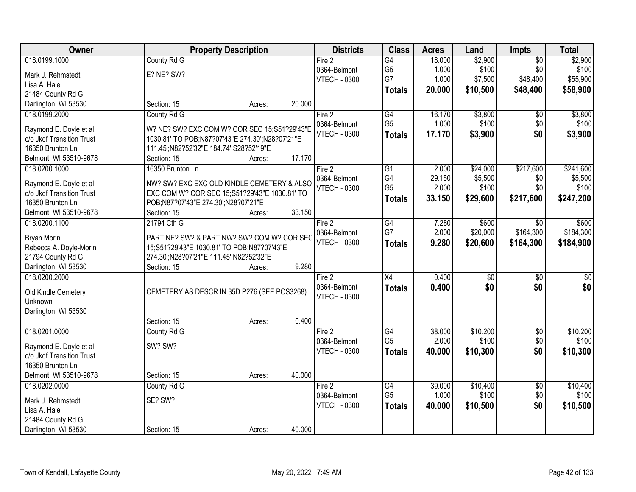| Owner                                               |                                                                                            | <b>Property Description</b> |        | <b>Districts</b>    | <b>Class</b>    | <b>Acres</b> | Land            | Impts           | <b>Total</b> |
|-----------------------------------------------------|--------------------------------------------------------------------------------------------|-----------------------------|--------|---------------------|-----------------|--------------|-----------------|-----------------|--------------|
| 018.0199.1000                                       | County Rd G                                                                                |                             |        | Fire 2              | G4              | 18.000       | \$2,900         | $\overline{50}$ | \$2,900      |
| Mark J. Rehmstedt                                   | E? NE? SW?                                                                                 |                             |        | 0364-Belmont        | G <sub>5</sub>  | 1.000        | \$100           | \$0             | \$100        |
| Lisa A. Hale                                        |                                                                                            |                             |        | <b>VTECH - 0300</b> | G7              | 1.000        | \$7,500         | \$48,400        | \$55,900     |
| 21484 County Rd G                                   |                                                                                            |                             |        |                     | <b>Totals</b>   | 20.000       | \$10,500        | \$48,400        | \$58,900     |
| Darlington, WI 53530                                | Section: 15                                                                                | Acres:                      | 20.000 |                     |                 |              |                 |                 |              |
| 018.0199.2000                                       | County Rd G                                                                                |                             |        | Fire 2              | G4              | 16.170       | \$3,800         | $\overline{50}$ | \$3,800      |
|                                                     |                                                                                            |                             |        | 0364-Belmont        | G <sub>5</sub>  | 1.000        | \$100           | \$0             | \$100        |
| Raymond E. Doyle et al<br>c/o Jkdf Transition Trust | W? NE? SW? EXC COM W? COR SEC 15;S51?29'43"E                                               |                             |        | <b>VTECH - 0300</b> | <b>Totals</b>   | 17.170       | \$3,900         | \$0             | \$3,900      |
| 16350 Brunton Ln                                    | 1030.81' TO POB;N87?07'43"E 274.30';N28?07'21"E<br>111.45';N82?52'32"E 184.74';S28?52'19"E |                             |        |                     |                 |              |                 |                 |              |
| Belmont, WI 53510-9678                              | Section: 15                                                                                | Acres:                      | 17.170 |                     |                 |              |                 |                 |              |
| 018.0200.1000                                       | 16350 Brunton Ln                                                                           |                             |        | Fire 2              | $\overline{G1}$ | 2.000        | \$24,000        | \$217,600       | \$241,600    |
|                                                     |                                                                                            |                             |        | 0364-Belmont        | G4              | 29.150       | \$5,500         | \$0             | \$5,500      |
| Raymond E. Doyle et al                              | NW? SW? EXC EXC OLD KINDLE CEMETERY & ALSO                                                 |                             |        | <b>VTECH - 0300</b> | G <sub>5</sub>  | 2.000        | \$100           | \$0             | \$100        |
| c/o Jkdf Transition Trust                           | EXC COM W? COR SEC 15;S51?29'43"E 1030.81' TO                                              |                             |        |                     | <b>Totals</b>   | 33.150       | \$29,600        | \$217,600       | \$247,200    |
| 16350 Brunton Ln                                    | POB;N87?07'43"E 274.30';N28?07'21"E                                                        |                             |        |                     |                 |              |                 |                 |              |
| Belmont, WI 53510-9678                              | Section: 15                                                                                | Acres:                      | 33.150 |                     |                 |              |                 |                 |              |
| 018.0200.1100                                       | 21794 Cth G                                                                                |                             |        | Fire 2              | $\overline{G4}$ | 7.280        | \$600           | \$0             | \$600        |
| <b>Bryan Morin</b>                                  | PART NE? SW? & PART NW? SW? COM W? COR SEC                                                 |                             |        | 0364-Belmont        | G7              | 2.000        | \$20,000        | \$164,300       | \$184,300    |
| Rebecca A. Doyle-Morin                              | 15;S51?29'43"E 1030.81' TO POB;N87?07'43"E                                                 |                             |        | <b>VTECH - 0300</b> | <b>Totals</b>   | 9.280        | \$20,600        | \$164,300       | \$184,900    |
| 21794 County Rd G                                   | 274.30';N28?07'21"E 111.45';N82?52'32"E                                                    |                             |        |                     |                 |              |                 |                 |              |
| Darlington, WI 53530                                | Section: 15                                                                                | Acres:                      | 9.280  |                     |                 |              |                 |                 |              |
| 018.0200.2000                                       |                                                                                            |                             |        | Fire 2              | $\overline{X4}$ | 0.400        | $\overline{50}$ | $\overline{50}$ | \$0          |
| Old Kindle Cemetery                                 | CEMETERY AS DESCR IN 35D P276 (SEE POS3268)                                                |                             |        | 0364-Belmont        | <b>Totals</b>   | 0.400        | \$0             | \$0             | \$0          |
| Unknown                                             |                                                                                            |                             |        | <b>VTECH - 0300</b> |                 |              |                 |                 |              |
| Darlington, WI 53530                                |                                                                                            |                             |        |                     |                 |              |                 |                 |              |
|                                                     | Section: 15                                                                                | Acres:                      | 0.400  |                     |                 |              |                 |                 |              |
| 018.0201.0000                                       | County Rd G                                                                                |                             |        | Fire 2              | G4              | 38.000       | \$10,200        | $\overline{50}$ | \$10,200     |
|                                                     | SW? SW?                                                                                    |                             |        | 0364-Belmont        | G <sub>5</sub>  | 2.000        | \$100           | \$0             | \$100        |
| Raymond E. Doyle et al<br>c/o Jkdf Transition Trust |                                                                                            |                             |        | <b>VTECH - 0300</b> | <b>Totals</b>   | 40.000       | \$10,300        | \$0             | \$10,300     |
| 16350 Brunton Ln                                    |                                                                                            |                             |        |                     |                 |              |                 |                 |              |
| Belmont, WI 53510-9678                              | Section: 15                                                                                | Acres:                      | 40.000 |                     |                 |              |                 |                 |              |
| 018.0202.0000                                       | County Rd G                                                                                |                             |        | Fire 2              | G4              | 39.000       | \$10,400        | $\overline{50}$ | \$10,400     |
|                                                     |                                                                                            |                             |        | 0364-Belmont        | G <sub>5</sub>  | 1.000        | \$100           | \$0             | \$100        |
| Mark J. Rehmstedt                                   | SE? SW?                                                                                    |                             |        | <b>VTECH - 0300</b> | <b>Totals</b>   | 40.000       | \$10,500        | \$0             | \$10,500     |
| Lisa A. Hale                                        |                                                                                            |                             |        |                     |                 |              |                 |                 |              |
| 21484 County Rd G                                   |                                                                                            |                             |        |                     |                 |              |                 |                 |              |
| Darlington, WI 53530                                | Section: 15                                                                                | Acres:                      | 40.000 |                     |                 |              |                 |                 |              |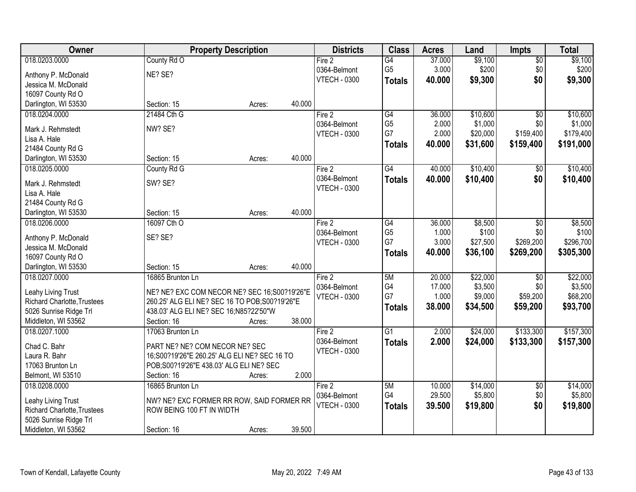| Owner                              | <b>Property Description</b>                    |        |        | <b>Districts</b>    | <b>Class</b>    | <b>Acres</b> | Land     | Impts           | <b>Total</b> |
|------------------------------------|------------------------------------------------|--------|--------|---------------------|-----------------|--------------|----------|-----------------|--------------|
| 018.0203.0000                      | County Rd O                                    |        |        | Fire 2              | $\overline{G4}$ | 37.000       | \$9,100  | $\overline{50}$ | \$9,100      |
| Anthony P. McDonald                | NE? SE?                                        |        |        | 0364-Belmont        | G <sub>5</sub>  | 3.000        | \$200    | \$0             | \$200        |
| Jessica M. McDonald                |                                                |        |        | <b>VTECH - 0300</b> | <b>Totals</b>   | 40.000       | \$9,300  | \$0             | \$9,300      |
| 16097 County Rd O                  |                                                |        |        |                     |                 |              |          |                 |              |
| Darlington, WI 53530               | Section: 15                                    | Acres: | 40.000 |                     |                 |              |          |                 |              |
| 018.0204.0000                      | 21484 Cth G                                    |        |        | Fire 2              | $\overline{G4}$ | 36.000       | \$10,600 | $\overline{50}$ | \$10,600     |
|                                    |                                                |        |        | 0364-Belmont        | G <sub>5</sub>  | 2.000        | \$1,000  | \$0             | \$1,000      |
| Mark J. Rehmstedt                  | NW? SE?                                        |        |        | <b>VTECH - 0300</b> | G7              | 2.000        | \$20,000 | \$159,400       | \$179,400    |
| Lisa A. Hale                       |                                                |        |        |                     | <b>Totals</b>   | 40.000       | \$31,600 | \$159,400       | \$191,000    |
| 21484 County Rd G                  |                                                |        |        |                     |                 |              |          |                 |              |
| Darlington, WI 53530               | Section: 15                                    | Acres: | 40.000 |                     |                 |              |          |                 |              |
| 018.0205.0000                      | County Rd G                                    |        |        | Fire 2              | $\overline{G4}$ | 40.000       | \$10,400 | \$0             | \$10,400     |
| Mark J. Rehmstedt                  | SW? SE?                                        |        |        | 0364-Belmont        | <b>Totals</b>   | 40.000       | \$10,400 | \$0             | \$10,400     |
| Lisa A. Hale                       |                                                |        |        | <b>VTECH - 0300</b> |                 |              |          |                 |              |
| 21484 County Rd G                  |                                                |        |        |                     |                 |              |          |                 |              |
| Darlington, WI 53530               | Section: 15                                    | Acres: | 40.000 |                     |                 |              |          |                 |              |
| 018.0206.0000                      | 16097 Cth O                                    |        |        | Fire 2              | G4              | 36.000       | \$8,500  | \$0             | \$8,500      |
|                                    |                                                |        |        | 0364-Belmont        | G <sub>5</sub>  | 1.000        | \$100    | \$0             | \$100        |
| Anthony P. McDonald                | SE? SE?                                        |        |        | <b>VTECH - 0300</b> | G7              | 3.000        | \$27,500 | \$269,200       | \$296,700    |
| Jessica M. McDonald                |                                                |        |        |                     | <b>Totals</b>   | 40.000       | \$36,100 | \$269,200       | \$305,300    |
| 16097 County Rd O                  |                                                |        |        |                     |                 |              |          |                 |              |
| Darlington, WI 53530               | Section: 15                                    | Acres: | 40.000 |                     |                 |              |          |                 |              |
| 018.0207.0000                      | 16865 Brunton Ln                               |        |        | Fire 2              | 5M              | 20.000       | \$22,000 | \$0             | \$22,000     |
| Leahy Living Trust                 | NE? NE? EXC COM NECOR NE? SEC 16;S00?19'26"E   |        |        | 0364-Belmont        | G4              | 17.000       | \$3,500  | \$0             | \$3,500      |
| <b>Richard Charlotte, Trustees</b> | 260.25' ALG ELI NE? SEC 16 TO POB; S00?19'26"E |        |        | <b>VTECH - 0300</b> | G7              | 1.000        | \$9,000  | \$59,200        | \$68,200     |
| 5026 Sunrise Ridge Trl             | 438.03' ALG ELI NE? SEC 16;N85?22'50"W         |        |        |                     | <b>Totals</b>   | 38.000       | \$34,500 | \$59,200        | \$93,700     |
| Middleton, WI 53562                | Section: 16                                    | Acres: | 38.000 |                     |                 |              |          |                 |              |
| 018.0207.1000                      | 17063 Brunton Ln                               |        |        | Fire 2              | $\overline{G1}$ | 2.000        | \$24,000 | \$133,300       | \$157,300    |
|                                    |                                                |        |        | 0364-Belmont        | <b>Totals</b>   | 2.000        | \$24,000 | \$133,300       | \$157,300    |
| Chad C. Bahr                       | PART NE? NE? COM NECOR NE? SEC                 |        |        | <b>VTECH - 0300</b> |                 |              |          |                 |              |
| Laura R. Bahr                      | 16; S00? 19'26" E 260.25' ALG ELINE? SEC 16 TO |        |        |                     |                 |              |          |                 |              |
| 17063 Brunton Ln                   | POB;S00?19'26"E 438.03' ALG ELI NE? SEC        |        |        |                     |                 |              |          |                 |              |
| Belmont, WI 53510                  | Section: 16                                    | Acres: | 2.000  |                     |                 |              |          |                 |              |
| 018.0208.0000                      | 16865 Brunton Ln                               |        |        | Fire 2              | 5M              | 10.000       | \$14,000 | $\overline{50}$ | \$14,000     |
| Leahy Living Trust                 | NW? NE? EXC FORMER RR ROW, SAID FORMER RR      |        |        | 0364-Belmont        | G4              | 29.500       | \$5,800  | \$0             | \$5,800      |
| <b>Richard Charlotte, Trustees</b> | ROW BEING 100 FT IN WIDTH                      |        |        | <b>VTECH - 0300</b> | <b>Totals</b>   | 39.500       | \$19,800 | \$0             | \$19,800     |
| 5026 Sunrise Ridge Trl             |                                                |        |        |                     |                 |              |          |                 |              |
| Middleton, WI 53562                | Section: 16                                    | Acres: | 39.500 |                     |                 |              |          |                 |              |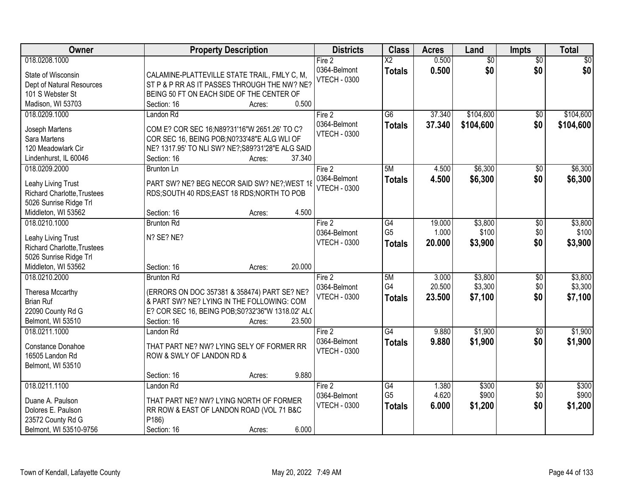| Owner                                             | <b>Property Description</b>                       | <b>Districts</b>    | <b>Class</b>           | <b>Acres</b> | Land            | <b>Impts</b>    | <b>Total</b> |
|---------------------------------------------------|---------------------------------------------------|---------------------|------------------------|--------------|-----------------|-----------------|--------------|
| 018.0208.1000                                     |                                                   | Fire 2              | $\overline{\text{X2}}$ | 0.500        | $\overline{50}$ | $\overline{50}$ | \$0          |
| State of Wisconsin                                | CALAMINE-PLATTEVILLE STATE TRAIL, FMLY C, M,      | 0364-Belmont        | <b>Totals</b>          | 0.500        | \$0             | \$0             | \$0          |
| Dept of Natural Resources                         | ST P & P RR AS IT PASSES THROUGH THE NW? NE?      | <b>VTECH - 0300</b> |                        |              |                 |                 |              |
| 101 S Webster St                                  | BEING 50 FT ON EACH SIDE OF THE CENTER OF         |                     |                        |              |                 |                 |              |
| Madison, WI 53703                                 | 0.500<br>Section: 16<br>Acres:                    |                     |                        |              |                 |                 |              |
| 018.0209.1000                                     | Landon Rd                                         | Fire 2              | $\overline{G6}$        | 37.340       | \$104,600       | \$0             | \$104,600    |
|                                                   |                                                   | 0364-Belmont        | <b>Totals</b>          | 37.340       | \$104,600       | \$0             | \$104,600    |
| Joseph Martens                                    | COM E? COR SEC 16;N89?31'16"W 2651.26' TO C?      | <b>VTECH - 0300</b> |                        |              |                 |                 |              |
| Sara Martens                                      | COR SEC 16, BEING POB; N0?33'48"E ALG WLI OF      |                     |                        |              |                 |                 |              |
| 120 Meadowlark Cir                                | NE? 1317.95' TO NLI SW? NE?; S89?31'28"E ALG SAID |                     |                        |              |                 |                 |              |
| Lindenhurst, IL 60046                             | Section: 16<br>37.340<br>Acres:                   |                     |                        |              |                 |                 |              |
| 018.0209.2000                                     | Brunton Ln                                        | Fire 2              | 5M                     | 4.500        | \$6,300         | $\sqrt[6]{}$    | \$6,300      |
| Leahy Living Trust                                | PART SW? NE? BEG NECOR SAID SW? NE?; WEST 18      | 0364-Belmont        | <b>Totals</b>          | 4.500        | \$6,300         | \$0             | \$6,300      |
| <b>Richard Charlotte, Trustees</b>                | RDS;SOUTH 40 RDS;EAST 18 RDS;NORTH TO POB         | <b>VTECH - 0300</b> |                        |              |                 |                 |              |
| 5026 Sunrise Ridge Trl                            |                                                   |                     |                        |              |                 |                 |              |
| Middleton, WI 53562                               | 4.500<br>Section: 16<br>Acres:                    |                     |                        |              |                 |                 |              |
| 018.0210.1000                                     | <b>Brunton Rd</b>                                 | Fire 2              | G4                     | 19.000       | \$3,800         | \$0             | \$3,800      |
|                                                   | N? SE? NE?                                        | 0364-Belmont        | G <sub>5</sub>         | 1.000        | \$100           | \$0             | \$100        |
| Leahy Living Trust<br>Richard Charlotte, Trustees |                                                   | <b>VTECH - 0300</b> | <b>Totals</b>          | 20.000       | \$3,900         | \$0             | \$3,900      |
| 5026 Sunrise Ridge Trl                            |                                                   |                     |                        |              |                 |                 |              |
| Middleton, WI 53562                               | 20.000<br>Section: 16<br>Acres:                   |                     |                        |              |                 |                 |              |
| 018.0210.2000                                     | <b>Brunton Rd</b>                                 | Fire 2              | 5M                     | 3.000        | \$3,800         | \$0             | \$3,800      |
|                                                   |                                                   | 0364-Belmont        | G4                     | 20.500       | \$3,300         | \$0             | \$3,300      |
| Theresa Mccarthy                                  | (ERRORS ON DOC 357381 & 358474) PART SE? NE?      | <b>VTECH - 0300</b> |                        | 23.500       | \$7,100         | \$0             | \$7,100      |
| <b>Brian Ruf</b>                                  | & PART SW? NE? LYING IN THE FOLLOWING: COM        |                     | <b>Totals</b>          |              |                 |                 |              |
| 22090 County Rd G                                 | E? COR SEC 16, BEING POB; S0?32'36"W 1318.02' ALC |                     |                        |              |                 |                 |              |
| Belmont, WI 53510                                 | 23.500<br>Section: 16<br>Acres:                   |                     |                        |              |                 |                 |              |
| 018.0211.1000                                     | Landon Rd                                         | Fire 2              | $\overline{G4}$        | 9.880        | \$1,900         | $\overline{50}$ | \$1,900      |
| Constance Donahoe                                 | THAT PART NE? NW? LYING SELY OF FORMER RR         | 0364-Belmont        | <b>Totals</b>          | 9.880        | \$1,900         | \$0             | \$1,900      |
| 16505 Landon Rd                                   | ROW & SWLY OF LANDON RD &                         | <b>VTECH - 0300</b> |                        |              |                 |                 |              |
| Belmont, WI 53510                                 |                                                   |                     |                        |              |                 |                 |              |
|                                                   | 9.880<br>Section: 16<br>Acres:                    |                     |                        |              |                 |                 |              |
| 018.0211.1100                                     | Landon Rd                                         | Fire 2              | G4                     | 1.380        | \$300           | $\overline{60}$ | \$300        |
|                                                   |                                                   | 0364-Belmont        | G <sub>5</sub>         | 4.620        | \$900           | \$0             | \$900        |
| Duane A. Paulson                                  | THAT PART NE? NW? LYING NORTH OF FORMER           | <b>VTECH - 0300</b> | <b>Totals</b>          | 6.000        | \$1,200         | \$0             | \$1,200      |
| Dolores E. Paulson                                | RR ROW & EAST OF LANDON ROAD (VOL 71 B&C          |                     |                        |              |                 |                 |              |
| 23572 County Rd G                                 | P186)                                             |                     |                        |              |                 |                 |              |
| Belmont, WI 53510-9756                            | 6.000<br>Section: 16<br>Acres:                    |                     |                        |              |                 |                 |              |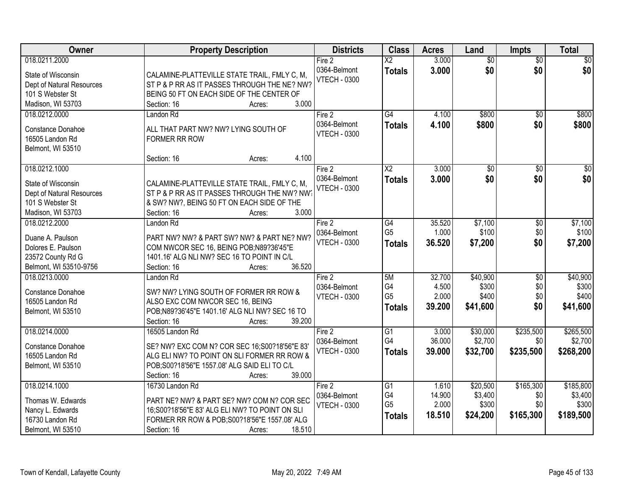| Owner                                                                                                     | <b>Property Description</b>                                                                                                                                                                            | <b>Districts</b>                                | <b>Class</b>                                | <b>Acres</b>                       | Land                                     | <b>Impts</b>                         | <b>Total</b>                               |
|-----------------------------------------------------------------------------------------------------------|--------------------------------------------------------------------------------------------------------------------------------------------------------------------------------------------------------|-------------------------------------------------|---------------------------------------------|------------------------------------|------------------------------------------|--------------------------------------|--------------------------------------------|
| 018.0211.2000<br>State of Wisconsin<br>Dept of Natural Resources<br>101 S Webster St                      | CALAMINE-PLATTEVILLE STATE TRAIL, FMLY C, M,<br>ST P & P RR AS IT PASSES THROUGH THE NE? NW?<br>BEING 50 FT ON EACH SIDE OF THE CENTER OF<br>3.000                                                     | Fire 2<br>0364-Belmont<br><b>VTECH - 0300</b>   | $\overline{\text{X2}}$<br><b>Totals</b>     | 3.000<br>3.000                     | $\overline{60}$<br>\$0                   | $\overline{60}$<br>\$0               | \$0<br>\$0                                 |
| Madison, WI 53703<br>018.0212.0000<br>Constance Donahoe<br>16505 Landon Rd<br>Belmont, WI 53510           | Section: 16<br>Acres:<br>Landon Rd<br>ALL THAT PART NW? NW? LYING SOUTH OF<br><b>FORMER RR ROW</b><br>4.100<br>Section: 16<br>Acres:                                                                   | Fire 2<br>0364-Belmont<br><b>VTECH - 0300</b>   | $\overline{G4}$<br><b>Totals</b>            | 4.100<br>4.100                     | \$800<br>\$800                           | $\overline{50}$<br>\$0               | \$800<br>\$800                             |
| 018.0212.1000<br>State of Wisconsin<br>Dept of Natural Resources<br>101 S Webster St<br>Madison, WI 53703 | CALAMINE-PLATTEVILLE STATE TRAIL, FMLY C, M,<br>ST P & P RR AS IT PASSES THROUGH THE NW? NW<br>& SW? NW?, BEING 50 FT ON EACH SIDE OF THE<br>3.000<br>Section: 16<br>Acres:                            | Fire $2$<br>0364-Belmont<br><b>VTECH - 0300</b> | $\overline{\text{X2}}$<br><b>Totals</b>     | 3.000<br>3.000                     | $\overline{50}$<br>\$0                   | $\sqrt[6]{}$<br>\$0                  | $\overline{30}$<br>\$0                     |
| 018.0212.2000<br>Duane A. Paulson<br>Dolores E. Paulson<br>23572 County Rd G<br>Belmont, WI 53510-9756    | Landon Rd<br>PART NW? NW? & PART SW? NW? & PART NE? NW?<br>COM NWCOR SEC 16, BEING POB;N89?36'45"E<br>1401.16' ALG NLI NW? SEC 16 TO POINT IN C/L<br>36.520<br>Section: 16<br>Acres:                   | Fire 2<br>0364-Belmont<br><b>VTECH - 0300</b>   | G4<br>G <sub>5</sub><br><b>Totals</b>       | 35.520<br>1.000<br>36.520          | \$7,100<br>\$100<br>\$7,200              | \$0<br>\$0<br>\$0                    | \$7,100<br>\$100<br>\$7,200                |
| 018.0213.0000<br>Constance Donahoe<br>16505 Landon Rd<br>Belmont, WI 53510                                | Landon Rd<br>SW? NW? LYING SOUTH OF FORMER RR ROW &<br>ALSO EXC COM NWCOR SEC 16, BEING<br>POB;N89?36'45"E 1401.16' ALG NLI NW? SEC 16 TO<br>39.200<br>Section: 16<br>Acres:                           | Fire 2<br>0364-Belmont<br><b>VTECH - 0300</b>   | 5M<br>G4<br>G <sub>5</sub><br><b>Totals</b> | 32.700<br>4.500<br>2.000<br>39.200 | \$40,900<br>\$300<br>\$400<br>\$41,600   | $\overline{50}$<br>\$0<br>\$0<br>\$0 | \$40,900<br>\$300<br>\$400<br>\$41,600     |
| 018.0214.0000<br><b>Constance Donahoe</b><br>16505 Landon Rd<br>Belmont, WI 53510                         | 16505 Landon Rd<br>SE? NW? EXC COM N? COR SEC 16;S00?18'56"E 83'<br>ALG ELINW? TO POINT ON SLI FORMER RR ROW &<br>POB;S00?18'56"E 1557.08' ALG SAID ELI TO C/L<br>39.000<br>Section: 16<br>Acres:      | Fire 2<br>0364-Belmont<br>VTECH - 0300          | $\overline{G1}$<br>G4<br><b>Totals</b>      | 3.000<br>36.000<br>39.000          | \$30,000<br>\$2,700<br>\$32,700          | \$235,500<br>\$0<br>\$235,500        | \$265,500<br>\$2,700<br>\$268,200          |
| 018.0214.1000<br>Thomas W. Edwards<br>Nancy L. Edwards<br>16730 Landon Rd<br>Belmont, WI 53510            | 16730 Landon Rd<br>PART NE? NW? & PART SE? NW? COM N? COR SEC<br>16: S00? 18' 56" E 83' ALG ELINW? TO POINT ON SLI<br>FORMER RR ROW & POB; S00?18'56"E 1557.08' ALG<br>18.510<br>Section: 16<br>Acres: | Fire 2<br>0364-Belmont<br><b>VTECH - 0300</b>   | G1<br>G4<br>G <sub>5</sub><br><b>Totals</b> | 1.610<br>14.900<br>2.000<br>18.510 | \$20,500<br>\$3,400<br>\$300<br>\$24,200 | \$165,300<br>\$0<br>\$0<br>\$165,300 | \$185,800<br>\$3,400<br>\$300<br>\$189,500 |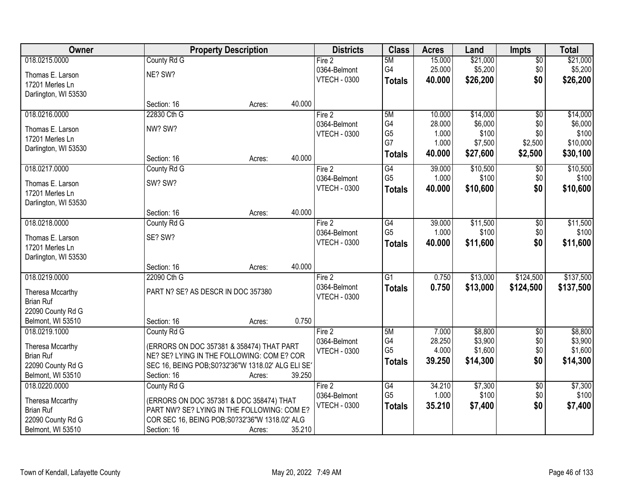| Owner                |                                    | <b>Property Description</b>                        |        | <b>Districts</b>    | <b>Class</b>    | <b>Acres</b> | Land     | <b>Impts</b>    | <b>Total</b> |
|----------------------|------------------------------------|----------------------------------------------------|--------|---------------------|-----------------|--------------|----------|-----------------|--------------|
| 018.0215.0000        | County Rd G                        |                                                    |        | Fire 2              | 5M              | 15.000       | \$21,000 | $\overline{50}$ | \$21,000     |
| Thomas E. Larson     | NE? SW?                            |                                                    |        | 0364-Belmont        | G4              | 25.000       | \$5,200  | \$0             | \$5,200      |
| 17201 Merles Ln      |                                    |                                                    |        | <b>VTECH - 0300</b> | <b>Totals</b>   | 40.000       | \$26,200 | \$0             | \$26,200     |
| Darlington, WI 53530 |                                    |                                                    |        |                     |                 |              |          |                 |              |
|                      | Section: 16                        | Acres:                                             | 40.000 |                     |                 |              |          |                 |              |
| 018.0216.0000        | 22830 Cth G                        |                                                    |        | Fire 2              | 5M              | 10.000       | \$14,000 | $\overline{50}$ | \$14,000     |
| Thomas E. Larson     | NW? SW?                            |                                                    |        | 0364-Belmont        | G4              | 28.000       | \$6,000  | \$0             | \$6,000      |
| 17201 Merles Ln      |                                    |                                                    |        | <b>VTECH - 0300</b> | G <sub>5</sub>  | 1.000        | \$100    | \$0             | \$100        |
| Darlington, WI 53530 |                                    |                                                    |        |                     | G7              | 1.000        | \$7,500  | \$2,500         | \$10,000     |
|                      | Section: 16                        | Acres:                                             | 40.000 |                     | <b>Totals</b>   | 40.000       | \$27,600 | \$2,500         | \$30,100     |
| 018.0217.0000        | County Rd G                        |                                                    |        | Fire 2              | G4              | 39.000       | \$10,500 | $\sqrt[6]{3}$   | \$10,500     |
| Thomas E. Larson     | SW? SW?                            |                                                    |        | 0364-Belmont        | G <sub>5</sub>  | 1.000        | \$100    | \$0\$           | \$100        |
| 17201 Merles Ln      |                                    |                                                    |        | <b>VTECH - 0300</b> | <b>Totals</b>   | 40.000       | \$10,600 | \$0             | \$10,600     |
| Darlington, WI 53530 |                                    |                                                    |        |                     |                 |              |          |                 |              |
|                      | Section: 16                        | Acres:                                             | 40.000 |                     |                 |              |          |                 |              |
| 018.0218.0000        | County Rd G                        |                                                    |        | Fire 2              | G4              | 39.000       | \$11,500 | \$0             | \$11,500     |
| Thomas E. Larson     | SE? SW?                            |                                                    |        | 0364-Belmont        | G <sub>5</sub>  | 1.000        | \$100    | \$0             | \$100        |
| 17201 Merles Ln      |                                    |                                                    |        | <b>VTECH - 0300</b> | <b>Totals</b>   | 40.000       | \$11,600 | \$0             | \$11,600     |
| Darlington, WI 53530 |                                    |                                                    |        |                     |                 |              |          |                 |              |
|                      | Section: 16                        | Acres:                                             | 40.000 |                     |                 |              |          |                 |              |
| 018.0219.0000        | 22090 Cth G                        |                                                    |        | Fire 2              | $\overline{G1}$ | 0.750        | \$13,000 | \$124,500       | \$137,500    |
| Theresa Mccarthy     | PART N? SE? AS DESCR IN DOC 357380 |                                                    |        | 0364-Belmont        | <b>Totals</b>   | 0.750        | \$13,000 | \$124,500       | \$137,500    |
| <b>Brian Ruf</b>     |                                    |                                                    |        | <b>VTECH - 0300</b> |                 |              |          |                 |              |
| 22090 County Rd G    |                                    |                                                    |        |                     |                 |              |          |                 |              |
| Belmont, WI 53510    | Section: 16                        | Acres:                                             | 0.750  |                     |                 |              |          |                 |              |
| 018.0219.1000        | County Rd G                        |                                                    |        | Fire 2              | 5M              | 7.000        | \$8,800  | $\overline{50}$ | \$8,800      |
| Theresa Mccarthy     |                                    | (ERRORS ON DOC 357381 & 358474) THAT PART          |        | 0364-Belmont        | G4              | 28.250       | \$3,900  | \$0             | \$3,900      |
| <b>Brian Ruf</b>     |                                    | NE? SE? LYING IN THE FOLLOWING: COM E? COR         |        | <b>VTECH - 0300</b> | G <sub>5</sub>  | 4.000        | \$1,600  | \$0\$           | \$1,600      |
| 22090 County Rd G    |                                    | SEC 16, BEING POB; S0?32'36"W 1318.02' ALG ELI SE' |        |                     | <b>Totals</b>   | 39.250       | \$14,300 | \$0             | \$14,300     |
| Belmont, WI 53510    | Section: 16                        | Acres:                                             | 39.250 |                     |                 |              |          |                 |              |
| 018.0220.0000        | County Rd G                        |                                                    |        | Fire 2              | G4              | 34.210       | \$7,300  | $\sqrt{6}$      | \$7,300      |
| Theresa Mccarthy     |                                    | (ERRORS ON DOC 357381 & DOC 358474) THAT           |        | 0364-Belmont        | G <sub>5</sub>  | 1.000        | \$100    | \$0\$           | \$100        |
| <b>Brian Ruf</b>     |                                    | PART NW? SE? LYING IN THE FOLLOWING: COM E?        |        | <b>VTECH - 0300</b> | <b>Totals</b>   | 35.210       | \$7,400  | \$0             | \$7,400      |
| 22090 County Rd G    |                                    | COR SEC 16, BEING POB; S0?32'36"W 1318.02' ALG     |        |                     |                 |              |          |                 |              |
| Belmont, WI 53510    | Section: 16                        | Acres:                                             | 35.210 |                     |                 |              |          |                 |              |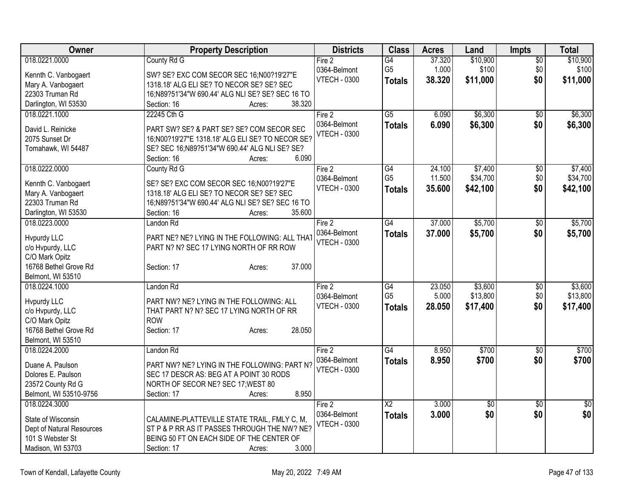| Owner                                   | <b>Property Description</b>                                                                   | <b>Districts</b>    | <b>Class</b>    | <b>Acres</b> | Land            | Impts           | <b>Total</b>    |
|-----------------------------------------|-----------------------------------------------------------------------------------------------|---------------------|-----------------|--------------|-----------------|-----------------|-----------------|
| 018.0221.0000                           | County Rd G                                                                                   | Fire 2              | G4              | 37.320       | \$10,900        | $\sqrt{6}$      | \$10,900        |
| Kennth C. Vanbogaert                    | SW? SE? EXC COM SECOR SEC 16;N00?19'27"E                                                      | 0364-Belmont        | G <sub>5</sub>  | 1.000        | \$100           | \$0             | \$100           |
| Mary A. Vanbogaert                      | 1318.18' ALG ELI SE? TO NECOR SE? SE? SEC                                                     | <b>VTECH - 0300</b> | <b>Totals</b>   | 38.320       | \$11,000        | \$0             | \$11,000        |
| 22303 Truman Rd                         | 16;N89?51'34"W 690.44' ALG NLI SE? SE? SEC 16 TO                                              |                     |                 |              |                 |                 |                 |
| Darlington, WI 53530                    | 38.320<br>Section: 16<br>Acres:                                                               |                     |                 |              |                 |                 |                 |
| 018.0221.1000                           | 22245 Cth G                                                                                   | Fire 2              | $\overline{G5}$ | 6.090        | \$6,300         | \$0             | \$6,300         |
|                                         |                                                                                               | 0364-Belmont        | <b>Totals</b>   | 6.090        | \$6,300         | \$0             | \$6,300         |
| David L. Reinicke<br>2075 Sunset Dr     | PART SW? SE? & PART SE? SE? COM SECOR SEC<br>16;N00?19'27"E 1318.18' ALG ELI SE? TO NECOR SE? | <b>VTECH - 0300</b> |                 |              |                 |                 |                 |
| Tomahawk, WI 54487                      | SE? SEC 16;N89?51'34"W 690.44' ALG NLI SE? SE?                                                |                     |                 |              |                 |                 |                 |
|                                         | 6.090<br>Section: 16<br>Acres:                                                                |                     |                 |              |                 |                 |                 |
| 018.0222.0000                           | County Rd G                                                                                   | Fire 2              | $\overline{G4}$ | 24.100       | \$7,400         | \$0             | \$7,400         |
|                                         |                                                                                               | 0364-Belmont        | G <sub>5</sub>  | 11.500       | \$34,700        | \$0             | \$34,700        |
| Kennth C. Vanbogaert                    | SE? SE? EXC COM SECOR SEC 16;N00?19'27"E                                                      | <b>VTECH - 0300</b> | <b>Totals</b>   | 35.600       | \$42,100        | \$0             | \$42,100        |
| Mary A. Vanbogaert                      | 1318.18' ALG ELI SE? TO NECOR SE? SE? SEC                                                     |                     |                 |              |                 |                 |                 |
| 22303 Truman Rd                         | 16;N89?51'34"W 690.44' ALG NLI SE? SE? SEC 16 TO                                              |                     |                 |              |                 |                 |                 |
| Darlington, WI 53530                    | 35.600<br>Section: 16<br>Acres:                                                               |                     |                 |              |                 |                 |                 |
| 018.0223.0000                           | Landon Rd                                                                                     | Fire 2              | $\overline{G4}$ | 37.000       | \$5,700         | $\overline{50}$ | \$5,700         |
| <b>Hypurdy LLC</b>                      | PART NE? NE? LYING IN THE FOLLOWING: ALL THAT                                                 | 0364-Belmont        | <b>Totals</b>   | 37.000       | \$5,700         | \$0             | \$5,700         |
| c/o Hvpurdy, LLC                        | PART N? N? SEC 17 LYING NORTH OF RR ROW                                                       | <b>VTECH - 0300</b> |                 |              |                 |                 |                 |
| C/O Mark Opitz                          |                                                                                               |                     |                 |              |                 |                 |                 |
| 16768 Bethel Grove Rd                   | 37.000<br>Section: 17<br>Acres:                                                               |                     |                 |              |                 |                 |                 |
| Belmont, WI 53510                       |                                                                                               |                     |                 |              |                 |                 |                 |
| 018.0224.1000                           | Landon Rd                                                                                     | Fire 2              | G4              | 23.050       | \$3,600         | \$0             | \$3,600         |
|                                         |                                                                                               | 0364-Belmont        | G <sub>5</sub>  | 5.000        | \$13,800        | \$0             | \$13,800        |
| <b>Hypurdy LLC</b>                      | PART NW? NE? LYING IN THE FOLLOWING: ALL                                                      | <b>VTECH - 0300</b> | <b>Totals</b>   | 28.050       | \$17,400        | \$0             | \$17,400        |
| c/o Hvpurdy, LLC                        | THAT PART N? N? SEC 17 LYING NORTH OF RR<br><b>ROW</b>                                        |                     |                 |              |                 |                 |                 |
| C/O Mark Opitz<br>16768 Bethel Grove Rd | 28.050<br>Section: 17                                                                         |                     |                 |              |                 |                 |                 |
| Belmont, WI 53510                       | Acres:                                                                                        |                     |                 |              |                 |                 |                 |
| 018.0224.2000                           | Landon Rd                                                                                     | Fire 2              | $\overline{G4}$ | 8.950        | \$700           | \$0             | \$700           |
|                                         |                                                                                               | 0364-Belmont        | <b>Totals</b>   | 8.950        | \$700           | \$0             | \$700           |
| Duane A. Paulson                        | PART NW? NE? LYING IN THE FOLLOWING: PART N?                                                  | <b>VTECH - 0300</b> |                 |              |                 |                 |                 |
| Dolores E. Paulson                      | SEC 17 DESCR AS: BEG AT A POINT 30 RODS                                                       |                     |                 |              |                 |                 |                 |
| 23572 County Rd G                       | NORTH OF SECOR NE? SEC 17; WEST 80                                                            |                     |                 |              |                 |                 |                 |
| Belmont, WI 53510-9756                  | 8.950<br>Section: 17<br>Acres:                                                                |                     |                 |              |                 |                 |                 |
| 018.0224.3000                           |                                                                                               | Fire 2              | $\overline{X2}$ | 3.000        | $\overline{50}$ | $\overline{50}$ | $\overline{30}$ |
| State of Wisconsin                      | CALAMINE-PLATTEVILLE STATE TRAIL, FMLY C, M,                                                  | 0364-Belmont        | Totals          | 3.000        | \$0             | \$0             | \$0             |
| Dept of Natural Resources               | ST P & P RR AS IT PASSES THROUGH THE NW? NE?                                                  | <b>VTECH - 0300</b> |                 |              |                 |                 |                 |
| 101 S Webster St                        | BEING 50 FT ON EACH SIDE OF THE CENTER OF                                                     |                     |                 |              |                 |                 |                 |
| Madison, WI 53703                       | 3.000<br>Section: 17<br>Acres:                                                                |                     |                 |              |                 |                 |                 |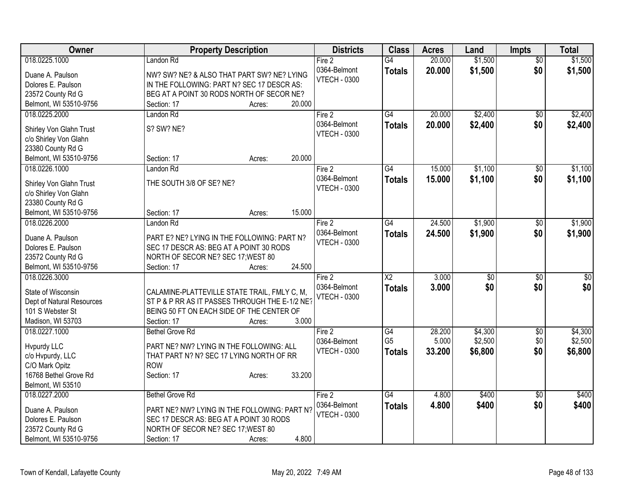| Owner                                            | <b>Property Description</b>                            | <b>Districts</b>                    | <b>Class</b>           | <b>Acres</b> | Land            | <b>Impts</b>    | <b>Total</b> |
|--------------------------------------------------|--------------------------------------------------------|-------------------------------------|------------------------|--------------|-----------------|-----------------|--------------|
| 018.0225.1000                                    | Landon Rd                                              | Fire 2                              | $\overline{G4}$        | 20.000       | \$1,500         | $\overline{50}$ | \$1,500      |
| Duane A. Paulson                                 | NW? SW? NE? & ALSO THAT PART SW? NE? LYING             | 0364-Belmont                        | <b>Totals</b>          | 20.000       | \$1,500         | \$0             | \$1,500      |
| Dolores E. Paulson                               | IN THE FOLLOWING: PART N? SEC 17 DESCR AS:             | <b>VTECH - 0300</b>                 |                        |              |                 |                 |              |
| 23572 County Rd G                                | BEG AT A POINT 30 RODS NORTH OF SECOR NE?              |                                     |                        |              |                 |                 |              |
| Belmont, WI 53510-9756                           | 20,000<br>Section: 17<br>Acres:                        |                                     |                        |              |                 |                 |              |
| 018.0225.2000                                    | Landon Rd                                              | Fire 2                              | G4                     | 20.000       | \$2,400         | $\sqrt{6}$      | \$2,400      |
|                                                  | S? SW? NE?                                             | 0364-Belmont                        | <b>Totals</b>          | 20.000       | \$2,400         | \$0             | \$2,400      |
| Shirley Von Glahn Trust<br>c/o Shirley Von Glahn |                                                        | <b>VTECH - 0300</b>                 |                        |              |                 |                 |              |
| 23380 County Rd G                                |                                                        |                                     |                        |              |                 |                 |              |
| Belmont, WI 53510-9756                           | 20.000<br>Section: 17<br>Acres:                        |                                     |                        |              |                 |                 |              |
| 018.0226.1000                                    | Landon Rd                                              | Fire 2                              | $\overline{G4}$        | 15.000       | \$1,100         | \$0             | \$1,100      |
|                                                  |                                                        | 0364-Belmont                        | <b>Totals</b>          | 15.000       | \$1,100         | \$0             | \$1,100      |
| Shirley Von Glahn Trust                          | THE SOUTH 3/8 OF SE? NE?                               | <b>VTECH - 0300</b>                 |                        |              |                 |                 |              |
| c/o Shirley Von Glahn                            |                                                        |                                     |                        |              |                 |                 |              |
| 23380 County Rd G                                |                                                        |                                     |                        |              |                 |                 |              |
| Belmont, WI 53510-9756                           | 15.000<br>Section: 17<br>Acres:                        |                                     |                        |              |                 |                 |              |
| 018.0226.2000                                    | Landon Rd                                              | Fire 2                              | $\overline{G4}$        | 24.500       | \$1,900         | \$0             | \$1,900      |
| Duane A. Paulson                                 | PART E? NE? LYING IN THE FOLLOWING: PART N?            | 0364-Belmont<br><b>VTECH - 0300</b> | <b>Totals</b>          | 24.500       | \$1,900         | \$0             | \$1,900      |
| Dolores E. Paulson                               | SEC 17 DESCR AS: BEG AT A POINT 30 RODS                |                                     |                        |              |                 |                 |              |
| 23572 County Rd G                                | NORTH OF SECOR NE? SEC 17; WEST 80                     |                                     |                        |              |                 |                 |              |
| Belmont, WI 53510-9756                           | 24.500<br>Section: 17<br>Acres:                        |                                     |                        |              |                 |                 |              |
| 018.0226.3000                                    |                                                        | Fire 2                              | $\overline{\text{X2}}$ | 3.000        | $\overline{50}$ | \$0             | $\sqrt{50}$  |
| State of Wisconsin                               | CALAMINE-PLATTEVILLE STATE TRAIL, FMLY C, M,           | 0364-Belmont                        | <b>Totals</b>          | 3.000        | \$0             | \$0             | \$0          |
| Dept of Natural Resources                        | ST P & P RR AS IT PASSES THROUGH THE E-1/2 NE?         | <b>VTECH - 0300</b>                 |                        |              |                 |                 |              |
| 101 S Webster St                                 | BEING 50 FT ON EACH SIDE OF THE CENTER OF              |                                     |                        |              |                 |                 |              |
| Madison, WI 53703                                | 3.000<br>Section: 17<br>Acres:                         |                                     |                        |              |                 |                 |              |
| 018.0227.1000                                    | <b>Bethel Grove Rd</b>                                 | Fire 2                              | $\overline{G4}$        | 28.200       | \$4,300         | $\overline{50}$ | \$4,300      |
|                                                  |                                                        | 0364-Belmont                        | G <sub>5</sub>         | 5.000        | \$2,500         | \$0             | \$2,500      |
| Hvpurdy LLC                                      | PART NE? NW? LYING IN THE FOLLOWING: ALL               | <b>VTECH - 0300</b>                 | <b>Totals</b>          | 33.200       | \$6,800         | \$0             | \$6,800      |
| c/o Hvpurdy, LLC<br>C/O Mark Opitz               | THAT PART N? N? SEC 17 LYING NORTH OF RR<br><b>ROW</b> |                                     |                        |              |                 |                 |              |
| 16768 Bethel Grove Rd                            | 33.200<br>Section: 17<br>Acres:                        |                                     |                        |              |                 |                 |              |
| Belmont, WI 53510                                |                                                        |                                     |                        |              |                 |                 |              |
| 018.0227.2000                                    | <b>Bethel Grove Rd</b>                                 | Fire 2                              | $\overline{G4}$        | 4.800        | \$400           | $\overline{50}$ | \$400        |
|                                                  |                                                        | 0364-Belmont                        | <b>Totals</b>          | 4.800        | \$400           | \$0             | \$400        |
| Duane A. Paulson                                 | PART NE? NW? LYING IN THE FOLLOWING: PART N?           | <b>VTECH - 0300</b>                 |                        |              |                 |                 |              |
| Dolores E. Paulson                               | SEC 17 DESCR AS: BEG AT A POINT 30 RODS                |                                     |                        |              |                 |                 |              |
| 23572 County Rd G                                | NORTH OF SECOR NE? SEC 17; WEST 80                     |                                     |                        |              |                 |                 |              |
| Belmont, WI 53510-9756                           | 4.800<br>Section: 17<br>Acres:                         |                                     |                        |              |                 |                 |              |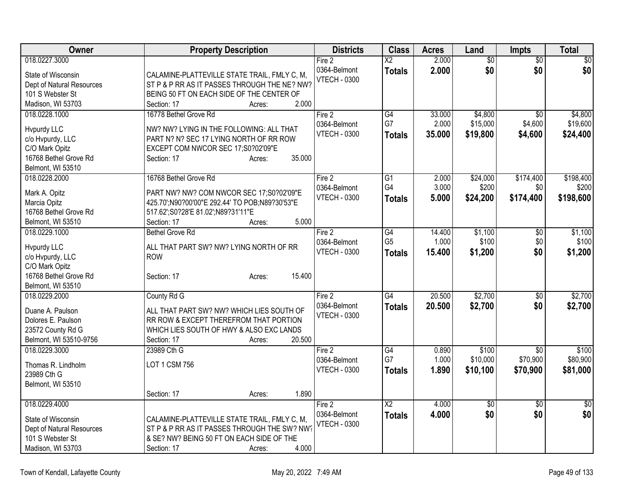| Owner                                                                                                            | <b>Property Description</b>                                                                                                                                                                 | <b>Districts</b>                              | <b>Class</b>                            | <b>Acres</b>              | Land                            | <b>Impts</b>                            | Total                           |
|------------------------------------------------------------------------------------------------------------------|---------------------------------------------------------------------------------------------------------------------------------------------------------------------------------------------|-----------------------------------------------|-----------------------------------------|---------------------------|---------------------------------|-----------------------------------------|---------------------------------|
| 018.0227.3000<br>State of Wisconsin<br>Dept of Natural Resources<br>101 S Webster St<br>Madison, WI 53703        | CALAMINE-PLATTEVILLE STATE TRAIL, FMLY C, M,<br>ST P & P RR AS IT PASSES THROUGH THE NE? NW?<br>BEING 50 FT ON EACH SIDE OF THE CENTER OF<br>2.000<br>Section: 17<br>Acres:                 | Fire 2<br>0364-Belmont<br><b>VTECH - 0300</b> | $\overline{X2}$<br><b>Totals</b>        | 2.000<br>2.000            | $\overline{50}$<br>\$0          | $\overline{50}$<br>\$0                  | $\overline{50}$<br>\$0          |
| 018.0228.1000<br>Hvpurdy LLC<br>c/o Hvpurdy, LLC<br>C/O Mark Opitz<br>16768 Bethel Grove Rd<br>Belmont, WI 53510 | 16778 Bethel Grove Rd<br>NW? NW? LYING IN THE FOLLOWING: ALL THAT<br>PART N? N? SEC 17 LYING NORTH OF RR ROW<br>EXCEPT COM NWCOR SEC 17;S0?02'09"E<br>35.000<br>Section: 17<br>Acres:       | Fire 2<br>0364-Belmont<br><b>VTECH - 0300</b> | G4<br>G7<br>Totals                      | 33.000<br>2.000<br>35.000 | \$4,800<br>\$15,000<br>\$19,800 | $\overline{50}$<br>\$4,600<br>\$4,600   | \$4,800<br>\$19,600<br>\$24,400 |
| 018.0228.2000<br>Mark A. Opitz<br>Marcia Opitz<br>16768 Bethel Grove Rd<br>Belmont, WI 53510                     | 16768 Bethel Grove Rd<br>PART NW? NW? COM NWCOR SEC 17;S0?02'09"E<br>425.70';N90?00'00"E 292.44' TO POB;N89?30'53"E<br>517.62";S0?28'E 81.02";N89?31'11"E<br>5.000<br>Section: 17<br>Acres: | Fire 2<br>0364-Belmont<br><b>VTECH - 0300</b> | $\overline{G1}$<br>G4<br><b>Totals</b>  | 2.000<br>3.000<br>5.000   | \$24,000<br>\$200<br>\$24,200   | \$174,400<br>\$0<br>\$174,400           | \$198,400<br>\$200<br>\$198,600 |
| 018.0229.1000<br>Hvpurdy LLC<br>c/o Hvpurdy, LLC<br>C/O Mark Opitz<br>16768 Bethel Grove Rd<br>Belmont, WI 53510 | <b>Bethel Grove Rd</b><br>ALL THAT PART SW? NW? LYING NORTH OF RR<br><b>ROW</b><br>15.400<br>Section: 17<br>Acres:                                                                          | Fire 2<br>0364-Belmont<br><b>VTECH - 0300</b> | G4<br>G <sub>5</sub><br><b>Totals</b>   | 14.400<br>1.000<br>15.400 | \$1,100<br>\$100<br>\$1,200     | \$0<br>\$0<br>\$0                       | \$1,100<br>\$100<br>\$1,200     |
| 018.0229.2000<br>Duane A. Paulson<br>Dolores E. Paulson<br>23572 County Rd G<br>Belmont, WI 53510-9756           | County Rd G<br>ALL THAT PART SW? NW? WHICH LIES SOUTH OF<br>RR ROW & EXCEPT THEREFROM THAT PORTION<br>WHICH LIES SOUTH OF HWY & ALSO EXC LANDS<br>20.500<br>Section: 17<br>Acres:           | Fire 2<br>0364-Belmont<br><b>VTECH - 0300</b> | G4<br><b>Totals</b>                     | 20.500<br>20.500          | \$2,700<br>\$2,700              | \$0<br>\$0                              | \$2,700<br>\$2,700              |
| 018.0229.3000<br>Thomas R. Lindholm<br>23989 Cth G<br>Belmont, WI 53510                                          | 23989 Cth G<br>LOT 1 CSM 756<br>1.890<br>Section: 17<br>Acres:                                                                                                                              | Fire 2<br>0364-Belmont<br><b>VTECH - 0300</b> | G4<br>G7<br><b>Totals</b>               | 0.890<br>1.000<br>1.890   | \$100<br>\$10,000<br>\$10,100   | $\overline{50}$<br>\$70,900<br>\$70,900 | \$100<br>\$80,900<br>\$81,000   |
| 018.0229.4000<br>State of Wisconsin<br>Dept of Natural Resources<br>101 S Webster St<br>Madison, WI 53703        | CALAMINE-PLATTEVILLE STATE TRAIL, FMLY C, M,<br>ST P & P RR AS IT PASSES THROUGH THE SW? NW?<br>& SE? NW? BEING 50 FT ON EACH SIDE OF THE<br>4.000<br>Section: 17<br>Acres:                 | Fire 2<br>0364-Belmont<br><b>VTECH - 0300</b> | $\overline{\text{X2}}$<br><b>Totals</b> | 4.000<br>4.000            | $\overline{30}$<br>\$0          | $\overline{30}$<br>\$0                  | $\overline{30}$<br>\$0          |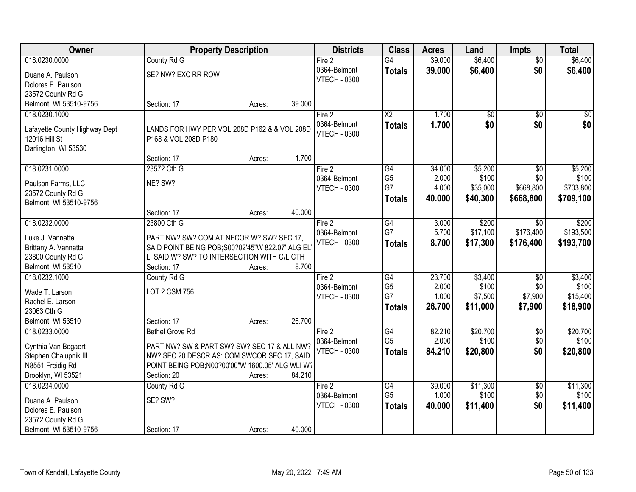| Owner                         | <b>Property Description</b>                                                                  |        |        | <b>Districts</b>    | <b>Class</b>         | <b>Acres</b>   | Land            | <b>Impts</b>     | <b>Total</b>       |
|-------------------------------|----------------------------------------------------------------------------------------------|--------|--------|---------------------|----------------------|----------------|-----------------|------------------|--------------------|
| 018.0230.0000                 | County Rd G                                                                                  |        |        | Fire 2              | $\overline{G4}$      | 39.000         | \$6,400         | $\overline{50}$  | \$6,400            |
| Duane A. Paulson              | SE? NW? EXC RR ROW                                                                           |        |        | 0364-Belmont        | <b>Totals</b>        | 39.000         | \$6,400         | \$0              | \$6,400            |
| Dolores E. Paulson            |                                                                                              |        |        | <b>VTECH - 0300</b> |                      |                |                 |                  |                    |
| 23572 County Rd G             |                                                                                              |        |        |                     |                      |                |                 |                  |                    |
| Belmont, WI 53510-9756        | Section: 17                                                                                  | Acres: | 39.000 |                     |                      |                |                 |                  |                    |
| 018.0230.1000                 |                                                                                              |        |        | Fire 2              | $\overline{X2}$      | 1.700          | $\overline{50}$ | $\overline{50}$  | $\sqrt{50}$        |
|                               |                                                                                              |        |        | 0364-Belmont        | <b>Totals</b>        | 1.700          | \$0             | \$0              | \$0                |
| Lafayette County Highway Dept | LANDS FOR HWY PER VOL 208D P162 & & VOL 208D                                                 |        |        | <b>VTECH - 0300</b> |                      |                |                 |                  |                    |
| 12016 Hill St                 | P168 & VOL 208D P180                                                                         |        |        |                     |                      |                |                 |                  |                    |
| Darlington, WI 53530          |                                                                                              |        |        |                     |                      |                |                 |                  |                    |
|                               | Section: 17                                                                                  | Acres: | 1.700  |                     |                      |                |                 |                  |                    |
| 018.0231.0000                 | 23572 Cth G                                                                                  |        |        | Fire 2              | $\overline{G4}$      | 34.000         | \$5,200         | $\overline{50}$  | \$5,200            |
| Paulson Farms, LLC            | NE? SW?                                                                                      |        |        | 0364-Belmont        | G <sub>5</sub><br>G7 | 2.000<br>4.000 | \$100           | \$0<br>\$668,800 | \$100<br>\$703,800 |
| 23572 County Rd G             |                                                                                              |        |        | <b>VTECH - 0300</b> |                      |                | \$35,000        |                  |                    |
| Belmont, WI 53510-9756        |                                                                                              |        |        |                     | Totals               | 40.000         | \$40,300        | \$668,800        | \$709,100          |
|                               | Section: 17                                                                                  | Acres: | 40.000 |                     |                      |                |                 |                  |                    |
| 018.0232.0000                 | 23800 Cth G                                                                                  |        |        | Fire 2              | G4                   | 3.000          | \$200           | \$0              | \$200              |
| Luke J. Vannatta              |                                                                                              |        |        | 0364-Belmont        | G7                   | 5.700          | \$17,100        | \$176,400        | \$193,500          |
| Brittany A. Vannatta          | PART NW? SW? COM AT NECOR W? SW? SEC 17,<br>SAID POINT BEING POB; S00?02'45"W 822.07' ALG EL |        |        | <b>VTECH - 0300</b> | <b>Totals</b>        | 8.700          | \$17,300        | \$176,400        | \$193,700          |
| 23800 County Rd G             | LI SAID W? SW? TO INTERSECTION WITH C/L CTH                                                  |        |        |                     |                      |                |                 |                  |                    |
| Belmont, WI 53510             | Section: 17                                                                                  | Acres: | 8.700  |                     |                      |                |                 |                  |                    |
| 018.0232.1000                 | County Rd G                                                                                  |        |        | Fire 2              | $\overline{G4}$      | 23.700         | \$3,400         | $\overline{30}$  | \$3,400            |
|                               |                                                                                              |        |        | 0364-Belmont        | G <sub>5</sub>       | 2.000          | \$100           | \$0              | \$100              |
| Wade T. Larson                | <b>LOT 2 CSM 756</b>                                                                         |        |        | <b>VTECH - 0300</b> | G7                   | 1.000          | \$7,500         | \$7,900          | \$15,400           |
| Rachel E. Larson              |                                                                                              |        |        |                     | <b>Totals</b>        | 26.700         | \$11,000        | \$7,900          | \$18,900           |
| 23063 Cth G                   |                                                                                              |        |        |                     |                      |                |                 |                  |                    |
| Belmont, WI 53510             | Section: 17                                                                                  | Acres: | 26.700 |                     |                      |                |                 |                  |                    |
| 018.0233.0000                 | <b>Bethel Grove Rd</b>                                                                       |        |        | Fire 2              | G4                   | 82.210         | \$20,700        | $\overline{50}$  | \$20,700           |
| Cynthia Van Bogaert           | PART NW? SW & PART SW? SW? SEC 17 & ALL NW?                                                  |        |        | 0364-Belmont        | G <sub>5</sub>       | 2.000          | \$100           | \$0              | \$100              |
| Stephen Chalupnik III         | NW? SEC 20 DESCR AS: COM SWCOR SEC 17, SAID                                                  |        |        | <b>VTECH - 0300</b> | <b>Totals</b>        | 84.210         | \$20,800        | \$0              | \$20,800           |
| N8551 Freidig Rd              | POINT BEING POB;N00?00'00"W 1600.05' ALG WLI W?                                              |        |        |                     |                      |                |                 |                  |                    |
| Brooklyn, WI 53521            | Section: 20                                                                                  | Acres: | 84.210 |                     |                      |                |                 |                  |                    |
| 018.0234.0000                 | County Rd G                                                                                  |        |        | Fire 2              | G4                   | 39.000         | \$11,300        | $\overline{50}$  | \$11,300           |
|                               |                                                                                              |        |        | 0364-Belmont        | G <sub>5</sub>       | 1.000          | \$100           | \$0              | \$100              |
| Duane A. Paulson              | SE? SW?                                                                                      |        |        | <b>VTECH - 0300</b> | <b>Totals</b>        | 40.000         | \$11,400        | \$0              | \$11,400           |
| Dolores E. Paulson            |                                                                                              |        |        |                     |                      |                |                 |                  |                    |
| 23572 County Rd G             |                                                                                              |        |        |                     |                      |                |                 |                  |                    |
| Belmont, WI 53510-9756        | Section: 17                                                                                  | Acres: | 40.000 |                     |                      |                |                 |                  |                    |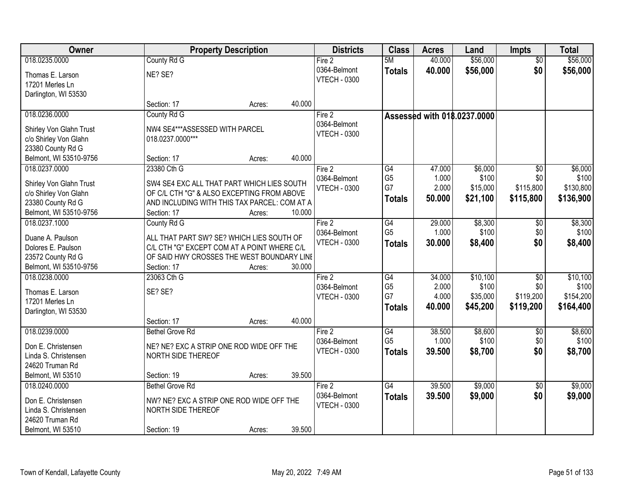| Owner                                  |                                                                                          | <b>Property Description</b> |        | <b>Districts</b>    | <b>Class</b>    | <b>Acres</b> | Land                        | <b>Impts</b>           | <b>Total</b> |
|----------------------------------------|------------------------------------------------------------------------------------------|-----------------------------|--------|---------------------|-----------------|--------------|-----------------------------|------------------------|--------------|
| 018.0235.0000                          | County Rd G                                                                              |                             |        | Fire 2              | 5M              | 40.000       | \$56,000                    | $\overline{50}$        | \$56,000     |
| Thomas E. Larson                       | NE? SE?                                                                                  |                             |        | 0364-Belmont        | <b>Totals</b>   | 40.000       | \$56,000                    | \$0                    | \$56,000     |
| 17201 Merles Ln                        |                                                                                          |                             |        | <b>VTECH - 0300</b> |                 |              |                             |                        |              |
| Darlington, WI 53530                   |                                                                                          |                             |        |                     |                 |              |                             |                        |              |
|                                        | Section: 17                                                                              | Acres:                      | 40.000 |                     |                 |              |                             |                        |              |
| 018.0236.0000                          | County Rd G                                                                              |                             |        | Fire 2              |                 |              | Assessed with 018.0237.0000 |                        |              |
| Shirley Von Glahn Trust                | NW4 SE4***ASSESSED WITH PARCEL                                                           |                             |        | 0364-Belmont        |                 |              |                             |                        |              |
| c/o Shirley Von Glahn                  | 018.0237.0000***                                                                         |                             |        | <b>VTECH - 0300</b> |                 |              |                             |                        |              |
| 23380 County Rd G                      |                                                                                          |                             |        |                     |                 |              |                             |                        |              |
| Belmont, WI 53510-9756                 | Section: 17                                                                              | Acres:                      | 40.000 |                     |                 |              |                             |                        |              |
| 018.0237.0000                          | 23380 Cth G                                                                              |                             |        | Fire 2              | $\overline{G4}$ | 47.000       | \$6,000                     | $\overline{50}$        | \$6,000      |
| Shirley Von Glahn Trust                | SW4 SE4 EXC ALL THAT PART WHICH LIES SOUTH                                               |                             |        | 0364-Belmont        | G <sub>5</sub>  | 1.000        | \$100                       | \$0                    | \$100        |
| c/o Shirley Von Glahn                  | OF C/L CTH "G" & ALSO EXCEPTING FROM ABOVE                                               |                             |        | <b>VTECH - 0300</b> | G7              | 2.000        | \$15,000                    | \$115,800              | \$130,800    |
| 23380 County Rd G                      | AND INCLUDING WITH THIS TAX PARCEL: COM AT A                                             |                             |        |                     | <b>Totals</b>   | 50.000       | \$21,100                    | \$115,800              | \$136,900    |
| Belmont, WI 53510-9756                 | Section: 17                                                                              | Acres:                      | 10.000 |                     |                 |              |                             |                        |              |
| 018.0237.1000                          | County Rd G                                                                              |                             |        | Fire 2              | G4              | 29.000       | \$8,300                     | \$0                    | \$8,300      |
|                                        |                                                                                          |                             |        | 0364-Belmont        | G <sub>5</sub>  | 1.000        | \$100                       | \$0                    | \$100        |
| Duane A. Paulson<br>Dolores E. Paulson | ALL THAT PART SW? SE? WHICH LIES SOUTH OF<br>C/L CTH "G" EXCEPT COM AT A POINT WHERE C/L |                             |        | <b>VTECH - 0300</b> | <b>Totals</b>   | 30.000       | \$8,400                     | \$0                    | \$8,400      |
| 23572 County Rd G                      | OF SAID HWY CROSSES THE WEST BOUNDARY LINE                                               |                             |        |                     |                 |              |                             |                        |              |
| Belmont, WI 53510-9756                 | Section: 17                                                                              | Acres:                      | 30.000 |                     |                 |              |                             |                        |              |
| 018.0238.0000                          | 23063 Cth G                                                                              |                             |        | Fire 2              | $\overline{G4}$ | 34.000       | \$10,100                    | $\overline{30}$        | \$10,100     |
|                                        |                                                                                          |                             |        | 0364-Belmont        | G <sub>5</sub>  | 2.000        | \$100                       | \$0                    | \$100        |
| Thomas E. Larson                       | SE? SE?                                                                                  |                             |        | <b>VTECH - 0300</b> | G7              | 4.000        | \$35,000                    | \$119,200              | \$154,200    |
| 17201 Merles Ln                        |                                                                                          |                             |        |                     | <b>Totals</b>   | 40.000       | \$45,200                    | \$119,200              | \$164,400    |
| Darlington, WI 53530                   | Section: 17                                                                              | Acres:                      | 40.000 |                     |                 |              |                             |                        |              |
| 018.0239.0000                          | <b>Bethel Grove Rd</b>                                                                   |                             |        | Fire 2              | G4              | 38.500       | \$8,600                     | $\overline{60}$        | \$8,600      |
|                                        |                                                                                          |                             |        | 0364-Belmont        | G <sub>5</sub>  | 1.000        | \$100                       | \$0                    | \$100        |
| Don E. Christensen                     | NE? NE? EXC A STRIP ONE ROD WIDE OFF THE                                                 |                             |        | <b>VTECH - 0300</b> | <b>Totals</b>   | 39.500       | \$8,700                     | \$0                    | \$8,700      |
| Linda S. Christensen                   | NORTH SIDE THEREOF                                                                       |                             |        |                     |                 |              |                             |                        |              |
| 24620 Truman Rd                        |                                                                                          |                             |        |                     |                 |              |                             |                        |              |
| Belmont, WI 53510<br>018.0240.0000     | Section: 19<br><b>Bethel Grove Rd</b>                                                    | Acres:                      | 39.500 | Fire 2              | $\overline{G4}$ | 39.500       | \$9,000                     |                        | \$9,000      |
|                                        |                                                                                          |                             |        | 0364-Belmont        |                 | 39.500       |                             | $\overline{30}$<br>\$0 |              |
| Don E. Christensen                     | NW? NE? EXC A STRIP ONE ROD WIDE OFF THE                                                 |                             |        | <b>VTECH - 0300</b> | <b>Totals</b>   |              | \$9,000                     |                        | \$9,000      |
| Linda S. Christensen                   | NORTH SIDE THEREOF                                                                       |                             |        |                     |                 |              |                             |                        |              |
| 24620 Truman Rd                        |                                                                                          |                             |        |                     |                 |              |                             |                        |              |
| Belmont, WI 53510                      | Section: 19                                                                              | Acres:                      | 39.500 |                     |                 |              |                             |                        |              |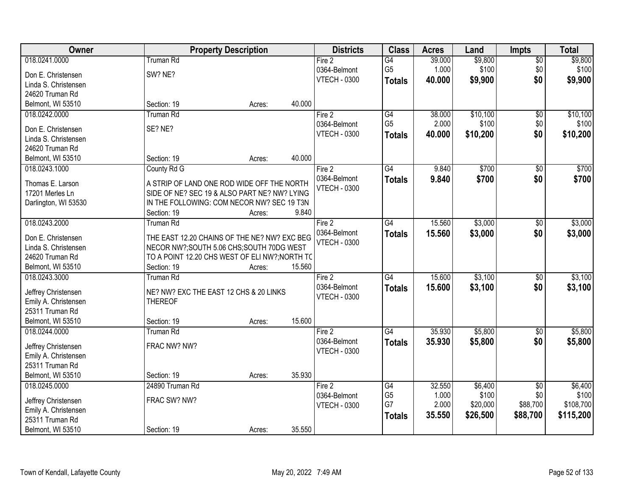| Owner                                       | <b>Property Description</b>                              |        |        | <b>Districts</b>    | <b>Class</b>    | <b>Acres</b> | Land     | <b>Impts</b>    | <b>Total</b> |
|---------------------------------------------|----------------------------------------------------------|--------|--------|---------------------|-----------------|--------------|----------|-----------------|--------------|
| 018.0241.0000                               | <b>Truman Rd</b>                                         |        |        | Fire 2              | $\overline{G4}$ | 39.000       | \$9,800  | $\overline{50}$ | \$9,800      |
| Don E. Christensen                          | SW? NE?                                                  |        |        | 0364-Belmont        | G <sub>5</sub>  | 1.000        | \$100    | \$0             | \$100        |
| Linda S. Christensen                        |                                                          |        |        | <b>VTECH - 0300</b> | <b>Totals</b>   | 40.000       | \$9,900  | \$0             | \$9,900      |
| 24620 Truman Rd                             |                                                          |        |        |                     |                 |              |          |                 |              |
| Belmont, WI 53510                           | Section: 19                                              | Acres: | 40.000 |                     |                 |              |          |                 |              |
| 018.0242.0000                               | <b>Truman Rd</b>                                         |        |        | Fire 2              | $\overline{G4}$ | 38.000       | \$10,100 | $\overline{50}$ | \$10,100     |
|                                             | SE? NE?                                                  |        |        | 0364-Belmont        | G <sub>5</sub>  | 2.000        | \$100    | \$0             | \$100        |
| Don E. Christensen<br>Linda S. Christensen  |                                                          |        |        | <b>VTECH - 0300</b> | <b>Totals</b>   | 40.000       | \$10,200 | \$0             | \$10,200     |
| 24620 Truman Rd                             |                                                          |        |        |                     |                 |              |          |                 |              |
| Belmont, WI 53510                           | Section: 19                                              | Acres: | 40.000 |                     |                 |              |          |                 |              |
| 018.0243.1000                               | County Rd G                                              |        |        | Fire 2              | $\overline{G4}$ | 9.840        | \$700    | $\overline{50}$ | \$700        |
|                                             |                                                          |        |        | 0364-Belmont        | <b>Totals</b>   | 9.840        | \$700    | \$0             | \$700        |
| Thomas E. Larson                            | A STRIP OF LAND ONE ROD WIDE OFF THE NORTH               |        |        | <b>VTECH - 0300</b> |                 |              |          |                 |              |
| 17201 Merles Ln                             | SIDE OF NE? SEC 19 & ALSO PART NE? NW? LYING             |        |        |                     |                 |              |          |                 |              |
| Darlington, WI 53530                        | IN THE FOLLOWING: COM NECOR NW? SEC 19 T3N               |        |        |                     |                 |              |          |                 |              |
|                                             | Section: 19                                              | Acres: | 9.840  |                     |                 |              |          |                 |              |
| 018.0243.2000                               | <b>Truman Rd</b>                                         |        |        | Fire 2              | G4              | 15.560       | \$3,000  | \$0             | \$3,000      |
| Don E. Christensen                          | THE EAST 12.20 CHAINS OF THE NE? NW? EXC BEG             |        |        | 0364-Belmont        | <b>Totals</b>   | 15.560       | \$3,000  | \$0             | \$3,000      |
| Linda S. Christensen                        | NECOR NW?;SOUTH 5.06 CHS;SOUTH 70DG WEST                 |        |        | <b>VTECH - 0300</b> |                 |              |          |                 |              |
| 24620 Truman Rd                             | TO A POINT 12.20 CHS WEST OF ELI NW?; NORTH TO           |        |        |                     |                 |              |          |                 |              |
| Belmont, WI 53510                           | Section: 19                                              | Acres: | 15.560 |                     |                 |              |          |                 |              |
| 018.0243.3000                               | <b>Truman Rd</b>                                         |        |        | Fire 2              | $\overline{G4}$ | 15.600       | \$3,100  | $\overline{50}$ | \$3,100      |
|                                             |                                                          |        |        | 0364-Belmont        | <b>Totals</b>   | 15.600       | \$3,100  | \$0             | \$3,100      |
| Jeffrey Christensen<br>Emily A. Christensen | NE? NW? EXC THE EAST 12 CHS & 20 LINKS<br><b>THEREOF</b> |        |        | <b>VTECH - 0300</b> |                 |              |          |                 |              |
| 25311 Truman Rd                             |                                                          |        |        |                     |                 |              |          |                 |              |
| Belmont, WI 53510                           | Section: 19                                              | Acres: | 15.600 |                     |                 |              |          |                 |              |
| 018.0244.0000                               | <b>Truman Rd</b>                                         |        |        | Fire 2              | $\overline{G4}$ | 35.930       | \$5,800  | $\sqrt{6}$      | \$5,800      |
|                                             |                                                          |        |        | 0364-Belmont        | <b>Totals</b>   | 35.930       | \$5,800  | \$0             | \$5,800      |
| Jeffrey Christensen                         | FRAC NW? NW?                                             |        |        | <b>VTECH - 0300</b> |                 |              |          |                 |              |
| Emily A. Christensen                        |                                                          |        |        |                     |                 |              |          |                 |              |
| 25311 Truman Rd                             |                                                          |        |        |                     |                 |              |          |                 |              |
| Belmont, WI 53510                           | Section: 19                                              | Acres: | 35.930 |                     |                 |              |          |                 |              |
| 018.0245.0000                               | 24890 Truman Rd                                          |        |        | Fire 2              | G4              | 32.550       | \$6,400  | $\overline{50}$ | \$6,400      |
| Jeffrey Christensen                         | FRAC SW? NW?                                             |        |        | 0364-Belmont        | G <sub>5</sub>  | 1.000        | \$100    | \$0             | \$100        |
| Emily A. Christensen                        |                                                          |        |        | <b>VTECH - 0300</b> | G7              | 2.000        | \$20,000 | \$88,700        | \$108,700    |
| 25311 Truman Rd                             |                                                          |        |        |                     | <b>Totals</b>   | 35.550       | \$26,500 | \$88,700        | \$115,200    |
| Belmont, WI 53510                           | Section: 19                                              | Acres: | 35.550 |                     |                 |              |          |                 |              |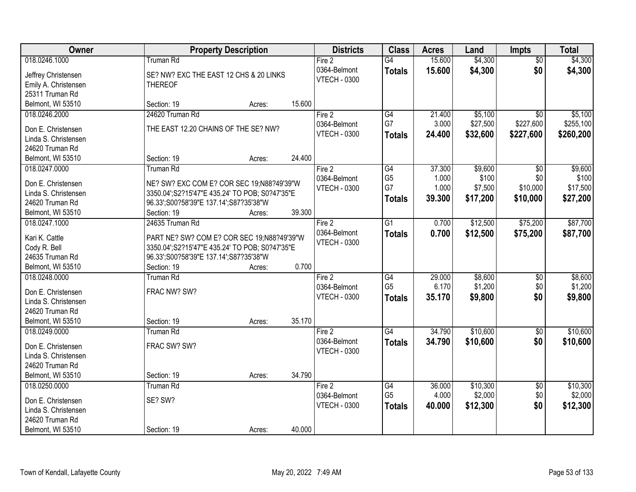| Owner                                      | <b>Property Description</b>                    |        |        | <b>Districts</b>    | <b>Class</b>    | <b>Acres</b> | Land     | <b>Impts</b>    | <b>Total</b> |
|--------------------------------------------|------------------------------------------------|--------|--------|---------------------|-----------------|--------------|----------|-----------------|--------------|
| 018.0246.1000                              | <b>Truman Rd</b>                               |        |        | Fire 2              | $\overline{G4}$ | 15.600       | \$4,300  | $\overline{50}$ | \$4,300      |
| Jeffrey Christensen                        | SE? NW? EXC THE EAST 12 CHS & 20 LINKS         |        |        | 0364-Belmont        | <b>Totals</b>   | 15.600       | \$4,300  | \$0             | \$4,300      |
| Emily A. Christensen                       | <b>THEREOF</b>                                 |        |        | <b>VTECH - 0300</b> |                 |              |          |                 |              |
| 25311 Truman Rd                            |                                                |        |        |                     |                 |              |          |                 |              |
| Belmont, WI 53510                          | Section: 19                                    | Acres: | 15.600 |                     |                 |              |          |                 |              |
| 018.0246.2000                              | 24620 Truman Rd                                |        |        | Fire 2              | $\overline{G4}$ | 21.400       | \$5,100  | $\overline{50}$ | \$5,100      |
|                                            | THE EAST 12.20 CHAINS OF THE SE? NW?           |        |        | 0364-Belmont        | G7              | 3.000        | \$27,500 | \$227,600       | \$255,100    |
| Don E. Christensen<br>Linda S. Christensen |                                                |        |        | <b>VTECH - 0300</b> | <b>Totals</b>   | 24.400       | \$32,600 | \$227,600       | \$260,200    |
| 24620 Truman Rd                            |                                                |        |        |                     |                 |              |          |                 |              |
| Belmont, WI 53510                          | Section: 19                                    | Acres: | 24.400 |                     |                 |              |          |                 |              |
| 018.0247.0000                              | <b>Truman Rd</b>                               |        |        | Fire 2              | G4              | 37.300       | \$9,600  | $\overline{50}$ | \$9,600      |
|                                            |                                                |        |        | 0364-Belmont        | G <sub>5</sub>  | 1.000        | \$100    | \$0             | \$100        |
| Don E. Christensen                         | NE? SW? EXC COM E? COR SEC 19;N88?49'39"W      |        |        | <b>VTECH - 0300</b> | G7              | 1.000        | \$7,500  | \$10,000        | \$17,500     |
| Linda S. Christensen                       | 3350.04';S2?15'47"E 435.24' TO POB; S0?47'35"E |        |        |                     | <b>Totals</b>   | 39.300       | \$17,200 | \$10,000        | \$27,200     |
| 24620 Truman Rd                            | 96.33';S00?58'39"E 137.14';S87?35'38"W         |        |        |                     |                 |              |          |                 |              |
| Belmont, WI 53510                          | Section: 19                                    | Acres: | 39.300 |                     |                 |              |          |                 |              |
| 018.0247.1000                              | 24635 Truman Rd                                |        |        | Fire 2              | $\overline{G1}$ | 0.700        | \$12,500 | \$75,200        | \$87,700     |
| Kari K. Cattle                             | PART NE? SW? COM E? COR SEC 19;N88?49'39"W     |        |        | 0364-Belmont        | <b>Totals</b>   | 0.700        | \$12,500 | \$75,200        | \$87,700     |
| Cody R. Bell                               | 3350.04';S2?15'47"E 435.24' TO POB; S0?47'35"E |        |        | <b>VTECH - 0300</b> |                 |              |          |                 |              |
| 24635 Truman Rd                            | 96.33';S00?58'39"E 137.14';S87?35'38"W         |        |        |                     |                 |              |          |                 |              |
| Belmont, WI 53510                          | Section: 19                                    | Acres: | 0.700  |                     |                 |              |          |                 |              |
| 018.0248.0000                              | <b>Truman Rd</b>                               |        |        | Fire 2              | $\overline{G4}$ | 29.000       | \$8,600  | $\overline{50}$ | \$8,600      |
|                                            |                                                |        |        | 0364-Belmont        | G <sub>5</sub>  | 6.170        | \$1,200  | \$0             | \$1,200      |
| Don E. Christensen                         | FRAC NW? SW?                                   |        |        | <b>VTECH - 0300</b> | <b>Totals</b>   | 35.170       | \$9,800  | \$0             | \$9,800      |
| Linda S. Christensen<br>24620 Truman Rd    |                                                |        |        |                     |                 |              |          |                 |              |
| Belmont, WI 53510                          | Section: 19                                    | Acres: | 35.170 |                     |                 |              |          |                 |              |
| 018.0249.0000                              | <b>Truman Rd</b>                               |        |        | Fire 2              | G4              | 34.790       | \$10,600 | $\sqrt{$0}$     | \$10,600     |
|                                            |                                                |        |        | 0364-Belmont        |                 | 34.790       | \$10,600 | \$0             | \$10,600     |
| Don E. Christensen                         | FRAC SW? SW?                                   |        |        | <b>VTECH - 0300</b> | <b>Totals</b>   |              |          |                 |              |
| Linda S. Christensen                       |                                                |        |        |                     |                 |              |          |                 |              |
| 24620 Truman Rd                            |                                                |        |        |                     |                 |              |          |                 |              |
| Belmont, WI 53510                          | Section: 19                                    | Acres: | 34.790 |                     |                 |              |          |                 |              |
| 018.0250.0000                              | <b>Truman Rd</b>                               |        |        | Fire 2              | G4              | 36.000       | \$10,300 | $\overline{50}$ | \$10,300     |
| Don E. Christensen                         | SE? SW?                                        |        |        | 0364-Belmont        | G <sub>5</sub>  | 4.000        | \$2,000  | \$0             | \$2,000      |
| Linda S. Christensen                       |                                                |        |        | <b>VTECH - 0300</b> | <b>Totals</b>   | 40.000       | \$12,300 | \$0             | \$12,300     |
| 24620 Truman Rd                            |                                                |        |        |                     |                 |              |          |                 |              |
| Belmont, WI 53510                          | Section: 19                                    | Acres: | 40.000 |                     |                 |              |          |                 |              |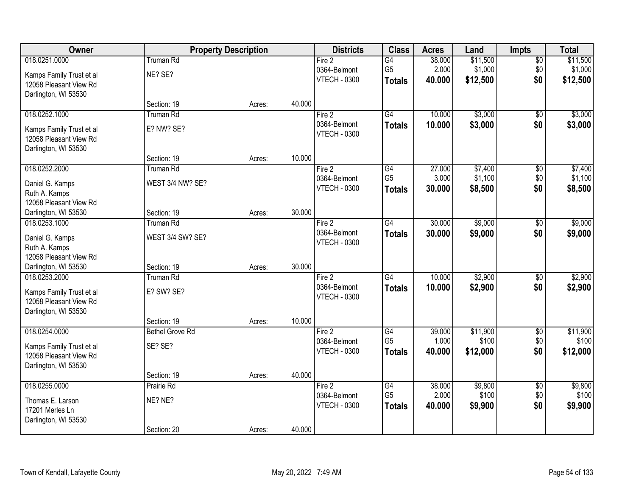| Owner                    |                        | <b>Property Description</b> |        | <b>Districts</b>    | <b>Class</b>    | <b>Acres</b> | Land     | <b>Impts</b>    | <b>Total</b> |
|--------------------------|------------------------|-----------------------------|--------|---------------------|-----------------|--------------|----------|-----------------|--------------|
| 018.0251.0000            | <b>Truman Rd</b>       |                             |        | Fire 2              | $\overline{G4}$ | 38.000       | \$11,500 | $\overline{50}$ | \$11,500     |
| Kamps Family Trust et al | NE? SE?                |                             |        | 0364-Belmont        | G <sub>5</sub>  | 2.000        | \$1,000  | \$0             | \$1,000      |
| 12058 Pleasant View Rd   |                        |                             |        | <b>VTECH - 0300</b> | <b>Totals</b>   | 40.000       | \$12,500 | \$0             | \$12,500     |
| Darlington, WI 53530     |                        |                             |        |                     |                 |              |          |                 |              |
|                          | Section: 19            | Acres:                      | 40.000 |                     |                 |              |          |                 |              |
| 018.0252.1000            | <b>Truman Rd</b>       |                             |        | Fire 2              | G4              | 10.000       | \$3,000  | $\overline{50}$ | \$3,000      |
| Kamps Family Trust et al | E? NW? SE?             |                             |        | 0364-Belmont        | <b>Totals</b>   | 10.000       | \$3,000  | \$0             | \$3,000      |
| 12058 Pleasant View Rd   |                        |                             |        | <b>VTECH - 0300</b> |                 |              |          |                 |              |
| Darlington, WI 53530     |                        |                             |        |                     |                 |              |          |                 |              |
|                          | Section: 19            | Acres:                      | 10.000 |                     |                 |              |          |                 |              |
| 018.0252.2000            | <b>Truman Rd</b>       |                             |        | Fire 2              | G4              | 27.000       | \$7,400  | \$0             | \$7,400      |
| Daniel G. Kamps          | WEST 3/4 NW? SE?       |                             |        | 0364-Belmont        | G <sub>5</sub>  | 3.000        | \$1,100  | \$0             | \$1,100      |
| Ruth A. Kamps            |                        |                             |        | <b>VTECH - 0300</b> | <b>Totals</b>   | 30.000       | \$8,500  | \$0             | \$8,500      |
| 12058 Pleasant View Rd   |                        |                             |        |                     |                 |              |          |                 |              |
| Darlington, WI 53530     | Section: 19            | Acres:                      | 30.000 |                     |                 |              |          |                 |              |
| 018.0253.1000            | <b>Truman Rd</b>       |                             |        | Fire 2              | $\overline{G4}$ | 30.000       | \$9,000  | \$0             | \$9,000      |
| Daniel G. Kamps          | WEST 3/4 SW? SE?       |                             |        | 0364-Belmont        | <b>Totals</b>   | 30.000       | \$9,000  | \$0             | \$9,000      |
| Ruth A. Kamps            |                        |                             |        | <b>VTECH - 0300</b> |                 |              |          |                 |              |
| 12058 Pleasant View Rd   |                        |                             |        |                     |                 |              |          |                 |              |
| Darlington, WI 53530     | Section: 19            | Acres:                      | 30.000 |                     |                 |              |          |                 |              |
| 018.0253.2000            | <b>Truman Rd</b>       |                             |        | Fire 2              | $\overline{G4}$ | 10.000       | \$2,900  | \$0             | \$2,900      |
| Kamps Family Trust et al | E? SW? SE?             |                             |        | 0364-Belmont        | <b>Totals</b>   | 10.000       | \$2,900  | \$0             | \$2,900      |
| 12058 Pleasant View Rd   |                        |                             |        | <b>VTECH - 0300</b> |                 |              |          |                 |              |
| Darlington, WI 53530     |                        |                             |        |                     |                 |              |          |                 |              |
|                          | Section: 19            | Acres:                      | 10.000 |                     |                 |              |          |                 |              |
| 018.0254.0000            | <b>Bethel Grove Rd</b> |                             |        | Fire 2              | $\overline{G4}$ | 39.000       | \$11,900 | $\overline{60}$ | \$11,900     |
| Kamps Family Trust et al | SE? SE?                |                             |        | 0364-Belmont        | G <sub>5</sub>  | 1.000        | \$100    | \$0             | \$100        |
| 12058 Pleasant View Rd   |                        |                             |        | <b>VTECH - 0300</b> | <b>Totals</b>   | 40.000       | \$12,000 | \$0             | \$12,000     |
| Darlington, WI 53530     |                        |                             |        |                     |                 |              |          |                 |              |
|                          | Section: 19            | Acres:                      | 40.000 |                     |                 |              |          |                 |              |
| 018.0255.0000            | Prairie Rd             |                             |        | Fire 2              | G4              | 38.000       | \$9,800  | $\overline{30}$ | \$9,800      |
| Thomas E. Larson         | NE? NE?                |                             |        | 0364-Belmont        | G <sub>5</sub>  | 2.000        | \$100    | \$0             | \$100        |
| 17201 Merles Ln          |                        |                             |        | <b>VTECH - 0300</b> | <b>Totals</b>   | 40.000       | \$9,900  | \$0             | \$9,900      |
| Darlington, WI 53530     |                        |                             |        |                     |                 |              |          |                 |              |
|                          | Section: 20            | Acres:                      | 40.000 |                     |                 |              |          |                 |              |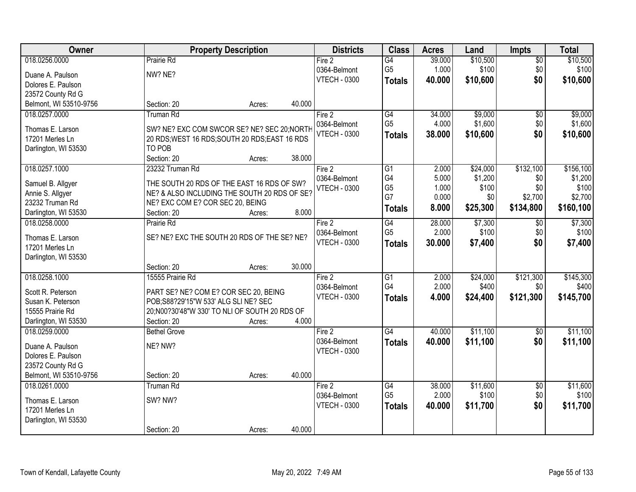| Owner                                   | <b>Property Description</b>                                                                   |        |        | <b>Districts</b>    | <b>Class</b>    | <b>Acres</b> | Land     | <b>Impts</b>    | <b>Total</b> |
|-----------------------------------------|-----------------------------------------------------------------------------------------------|--------|--------|---------------------|-----------------|--------------|----------|-----------------|--------------|
| 018.0256.0000                           | Prairie Rd                                                                                    |        |        | Fire 2              | $\overline{G4}$ | 39.000       | \$10,500 | $\overline{50}$ | \$10,500     |
| Duane A. Paulson                        | NW? NE?                                                                                       |        |        | 0364-Belmont        | G <sub>5</sub>  | 1.000        | \$100    | \$0             | \$100        |
| Dolores E. Paulson                      |                                                                                               |        |        | <b>VTECH - 0300</b> | <b>Totals</b>   | 40,000       | \$10,600 | \$0             | \$10,600     |
| 23572 County Rd G                       |                                                                                               |        |        |                     |                 |              |          |                 |              |
| Belmont, WI 53510-9756                  | Section: 20                                                                                   | Acres: | 40.000 |                     |                 |              |          |                 |              |
| 018.0257.0000                           | <b>Truman Rd</b>                                                                              |        |        | Fire 2              | G4              | 34.000       | \$9,000  | \$0             | \$9,000      |
|                                         |                                                                                               |        |        | 0364-Belmont        | G <sub>5</sub>  | 4.000        | \$1,600  | \$0             | \$1,600      |
| Thomas E. Larson<br>17201 Merles Ln     | SW? NE? EXC COM SWCOR SE? NE? SEC 20; NORTH<br>20 RDS; WEST 16 RDS; SOUTH 20 RDS; EAST 16 RDS |        |        | <b>VTECH - 0300</b> | <b>Totals</b>   | 38.000       | \$10,600 | \$0             | \$10,600     |
| Darlington, WI 53530                    | TO POB                                                                                        |        |        |                     |                 |              |          |                 |              |
|                                         | Section: 20                                                                                   | Acres: | 38.000 |                     |                 |              |          |                 |              |
| 018.0257.1000                           | 23232 Truman Rd                                                                               |        |        | Fire 2              | $\overline{G1}$ | 2.000        | \$24,000 | \$132,100       | \$156,100    |
|                                         |                                                                                               |        |        | 0364-Belmont        | G4              | 5.000        | \$1,200  | \$0             | \$1,200      |
| Samuel B. Allgyer                       | THE SOUTH 20 RDS OF THE EAST 16 RDS OF SW?                                                    |        |        | <b>VTECH - 0300</b> | G <sub>5</sub>  | 1.000        | \$100    | \$0             | \$100        |
| Annie S. Allgyer                        | NE? & ALSO INCLUDING THE SOUTH 20 RDS OF SE?                                                  |        |        |                     | G7              | 0.000        | \$0      | \$2,700         | \$2,700      |
| 23232 Truman Rd                         | NE? EXC COM E? COR SEC 20, BEING                                                              |        |        |                     | <b>Totals</b>   | 8.000        | \$25,300 | \$134,800       | \$160,100    |
| Darlington, WI 53530                    | Section: 20                                                                                   | Acres: | 8.000  |                     |                 |              |          |                 |              |
| 018.0258.0000                           | Prairie Rd                                                                                    |        |        | Fire 2              | G4              | 28.000       | \$7,300  | \$0             | \$7,300      |
| Thomas E. Larson                        | SE? NE? EXC THE SOUTH 20 RDS OF THE SE? NE?                                                   |        |        | 0364-Belmont        | G <sub>5</sub>  | 2.000        | \$100    | \$0             | \$100        |
| 17201 Merles Ln                         |                                                                                               |        |        | <b>VTECH - 0300</b> | <b>Totals</b>   | 30.000       | \$7,400  | \$0             | \$7,400      |
| Darlington, WI 53530                    |                                                                                               |        |        |                     |                 |              |          |                 |              |
|                                         | Section: 20                                                                                   | Acres: | 30.000 |                     |                 |              |          |                 |              |
| 018.0258.1000                           | 15555 Prairie Rd                                                                              |        |        | Fire 2              | $\overline{G1}$ | 2.000        | \$24,000 | \$121,300       | \$145,300    |
| Scott R. Peterson                       | PART SE? NE? COM E? COR SEC 20, BEING                                                         |        |        | 0364-Belmont        | G4              | 2.000        | \$400    | \$0             | \$400        |
| Susan K. Peterson                       | POB;S88?29'15"W 533' ALG SLI NE? SEC                                                          |        |        | <b>VTECH - 0300</b> | <b>Totals</b>   | 4.000        | \$24,400 | \$121,300       | \$145,700    |
| 15555 Prairie Rd                        | 20;N00?30'48"W 330' TO NLI OF SOUTH 20 RDS OF                                                 |        |        |                     |                 |              |          |                 |              |
| Darlington, WI 53530                    | Section: 20                                                                                   | Acres: | 4.000  |                     |                 |              |          |                 |              |
| 018.0259.0000                           | <b>Bethel Grove</b>                                                                           |        |        | Fire 2              | G4              | 40.000       | \$11,100 | \$0             | \$11,100     |
|                                         |                                                                                               |        |        | 0364-Belmont        | <b>Totals</b>   | 40.000       | \$11,100 | \$0             | \$11,100     |
| Duane A. Paulson                        | NE? NW?                                                                                       |        |        | <b>VTECH - 0300</b> |                 |              |          |                 |              |
| Dolores E. Paulson<br>23572 County Rd G |                                                                                               |        |        |                     |                 |              |          |                 |              |
| Belmont, WI 53510-9756                  | Section: 20                                                                                   | Acres: | 40.000 |                     |                 |              |          |                 |              |
| 018.0261.0000                           | <b>Truman Rd</b>                                                                              |        |        | Fire 2              | G4              | 38.000       | \$11,600 | $\overline{50}$ | \$11,600     |
|                                         |                                                                                               |        |        | 0364-Belmont        | G <sub>5</sub>  | 2.000        | \$100    | \$0             | \$100        |
| Thomas E. Larson                        | SW? NW?                                                                                       |        |        | <b>VTECH - 0300</b> | <b>Totals</b>   | 40.000       | \$11,700 | \$0             | \$11,700     |
| 17201 Merles Ln                         |                                                                                               |        |        |                     |                 |              |          |                 |              |
| Darlington, WI 53530                    |                                                                                               |        |        |                     |                 |              |          |                 |              |
|                                         | Section: 20                                                                                   | Acres: | 40.000 |                     |                 |              |          |                 |              |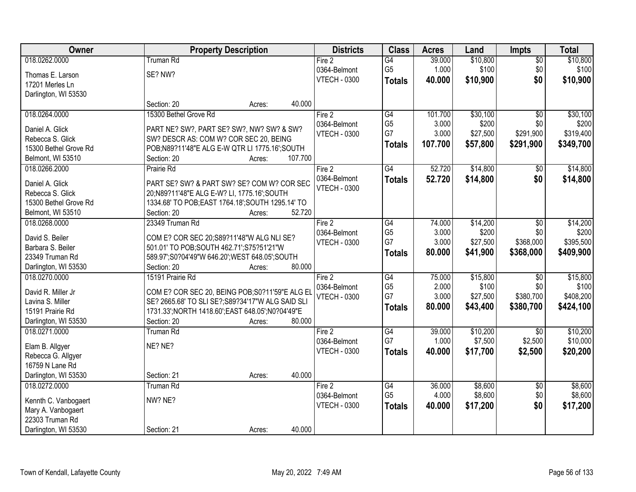| Owner                 | <b>Property Description</b>                        | <b>Districts</b>    | <b>Class</b>    | <b>Acres</b> | Land     | <b>Impts</b>    | <b>Total</b> |
|-----------------------|----------------------------------------------------|---------------------|-----------------|--------------|----------|-----------------|--------------|
| 018.0262.0000         | <b>Truman Rd</b>                                   | Fire 2              | G4              | 39.000       | \$10,800 | $\overline{50}$ | \$10,800     |
| Thomas E. Larson      | SE? NW?                                            | 0364-Belmont        | G <sub>5</sub>  | 1.000        | \$100    | \$0             | \$100        |
| 17201 Merles Ln       |                                                    | <b>VTECH - 0300</b> | <b>Totals</b>   | 40.000       | \$10,900 | \$0             | \$10,900     |
| Darlington, WI 53530  |                                                    |                     |                 |              |          |                 |              |
|                       | 40.000<br>Section: 20<br>Acres:                    |                     |                 |              |          |                 |              |
| 018.0264.0000         | 15300 Bethel Grove Rd                              | Fire 2              | $\overline{G4}$ | 101.700      | \$30,100 | $\overline{50}$ | \$30,100     |
| Daniel A. Glick       | PART NE? SW?, PART SE? SW?, NW? SW? & SW?          | 0364-Belmont        | G <sub>5</sub>  | 3.000        | \$200    | \$0             | \$200        |
| Rebecca S. Glick      | SW? DESCR AS: COM W? COR SEC 20, BEING             | <b>VTECH - 0300</b> | G7              | 3.000        | \$27,500 | \$291,900       | \$319,400    |
| 15300 Bethel Grove Rd | POB;N89?11'48"E ALG E-W QTR LI 1775.16';SOUTH      |                     | <b>Totals</b>   | 107.700      | \$57,800 | \$291,900       | \$349,700    |
| Belmont, WI 53510     | Section: 20<br>107.700<br>Acres:                   |                     |                 |              |          |                 |              |
| 018.0266.2000         | Prairie Rd                                         | Fire 2              | $\overline{G4}$ | 52.720       | \$14,800 | \$0             | \$14,800     |
|                       |                                                    | 0364-Belmont        | <b>Totals</b>   | 52.720       | \$14,800 | \$0             | \$14,800     |
| Daniel A. Glick       | PART SE? SW? & PART SW? SE? COM W? COR SEC         | <b>VTECH - 0300</b> |                 |              |          |                 |              |
| Rebecca S. Glick      | 20;N89?11'48"E ALG E-W? LI, 1775.16";SOUTH         |                     |                 |              |          |                 |              |
| 15300 Bethel Grove Rd | 1334.68' TO POB; EAST 1764.18'; SOUTH 1295.14' TO  |                     |                 |              |          |                 |              |
| Belmont, WI 53510     | 52.720<br>Section: 20<br>Acres:                    |                     |                 |              |          |                 |              |
| 018.0268.0000         | 23349 Truman Rd                                    | Fire 2              | G4              | 74.000       | \$14,200 | \$0             | \$14,200     |
| David S. Beiler       | COM E? COR SEC 20;S89?11'48"W ALG NLI SE?          | 0364-Belmont        | G <sub>5</sub>  | 3.000        | \$200    | \$0             | \$200        |
| Barbara S. Beiler     | 501.01' TO POB; SOUTH 462.71'; S75?51'21"W         | <b>VTECH - 0300</b> | G7              | 3.000        | \$27,500 | \$368,000       | \$395,500    |
| 23349 Truman Rd       | 589.97';S0?04'49"W 646.20';WEST 648.05';SOUTH      |                     | <b>Totals</b>   | 80.000       | \$41,900 | \$368,000       | \$409,900    |
| Darlington, WI 53530  | 80.000<br>Section: 20<br>Acres:                    |                     |                 |              |          |                 |              |
| 018.0270.0000         | 15191 Prairie Rd                                   | Fire 2              | $\overline{G4}$ | 75.000       | \$15,800 | $\overline{50}$ | \$15,800     |
|                       |                                                    | 0364-Belmont        | G <sub>5</sub>  | 2.000        | \$100    | \$0             | \$100        |
| David R. Miller Jr    | COM E? COR SEC 20, BEING POB; S0?11'59"E ALG EL    | <b>VTECH - 0300</b> | G7              | 3.000        | \$27,500 | \$380,700       | \$408,200    |
| Lavina S. Miller      | SE? 2665.68' TO SLI SE?; S89?34'17"W ALG SAID SLI  |                     | <b>Totals</b>   | 80.000       | \$43,400 | \$380,700       | \$424,100    |
| 15191 Prairie Rd      | 1731.33'; NORTH 1418.60'; EAST 648.05'; N0?04'49"E |                     |                 |              |          |                 |              |
| Darlington, WI 53530  | 80.000<br>Section: 20<br>Acres:                    |                     |                 |              |          |                 |              |
| 018.0271.0000         | Truman Rd                                          | Fire 2              | $\overline{G4}$ | 39.000       | \$10,200 | \$0             | \$10,200     |
| Elam B. Allgyer       | NE? NE?                                            | 0364-Belmont        | G7              | 1.000        | \$7,500  | \$2,500         | \$10,000     |
| Rebecca G. Allgyer    |                                                    | <b>VTECH - 0300</b> | <b>Totals</b>   | 40.000       | \$17,700 | \$2,500         | \$20,200     |
| 16759 N Lane Rd       |                                                    |                     |                 |              |          |                 |              |
| Darlington, WI 53530  | 40.000<br>Section: 21<br>Acres:                    |                     |                 |              |          |                 |              |
| 018.0272.0000         | <b>Truman Rd</b>                                   | Fire 2              | G4              | 36.000       | \$8,600  | $\overline{30}$ | \$8,600      |
| Kennth C. Vanbogaert  | NW? NE?                                            | 0364-Belmont        | G <sub>5</sub>  | 4.000        | \$8,600  | \$0             | \$8,600      |
| Mary A. Vanbogaert    |                                                    | <b>VTECH - 0300</b> | <b>Totals</b>   | 40.000       | \$17,200 | \$0             | \$17,200     |
| 22303 Truman Rd       |                                                    |                     |                 |              |          |                 |              |
| Darlington, WI 53530  | 40.000<br>Section: 21<br>Acres:                    |                     |                 |              |          |                 |              |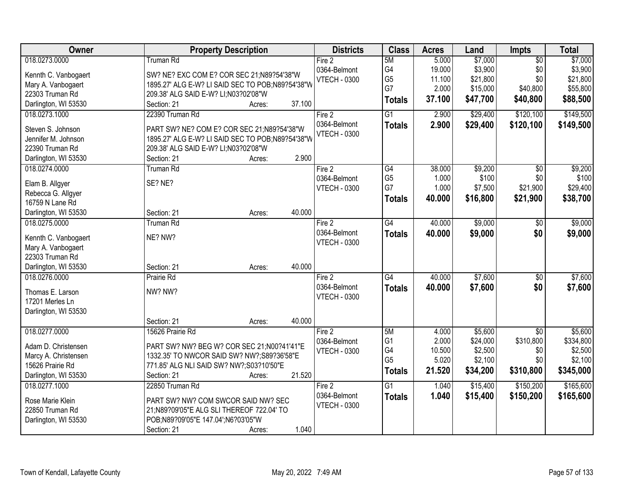| Owner                | <b>Property Description</b>                      | <b>Districts</b>    | <b>Class</b>    | <b>Acres</b> | Land     | <b>Impts</b>    | <b>Total</b> |
|----------------------|--------------------------------------------------|---------------------|-----------------|--------------|----------|-----------------|--------------|
| 018.0273.0000        | <b>Truman Rd</b>                                 | Fire 2              | 5M              | 5.000        | \$7,000  | $\overline{50}$ | \$7,000      |
| Kennth C. Vanbogaert | SW? NE? EXC COM E? COR SEC 21;N89?54'38"W        | 0364-Belmont        | G4              | 19.000       | \$3,900  | \$0             | \$3,900      |
| Mary A. Vanbogaert   | 1895.27' ALG E-W? LI SAID SEC TO POB;N89?54'38"W | <b>VTECH - 0300</b> | G <sub>5</sub>  | 11.100       | \$21,800 | \$0             | \$21,800     |
| 22303 Truman Rd      | 209.38' ALG SAID E-W? LI; N03?02'08"W            |                     | G7              | 2.000        | \$15,000 | \$40,800        | \$55,800     |
| Darlington, WI 53530 | 37.100<br>Section: 21<br>Acres:                  |                     | <b>Totals</b>   | 37.100       | \$47,700 | \$40,800        | \$88,500     |
| 018.0273.1000        | 22390 Truman Rd                                  | Fire 2              | $\overline{G1}$ | 2.900        | \$29,400 | \$120,100       | \$149,500    |
|                      |                                                  | 0364-Belmont        |                 |              |          |                 |              |
| Steven S. Johnson    | PART SW? NE? COM E? COR SEC 21;N89?54'38"W       | <b>VTECH - 0300</b> | <b>Totals</b>   | 2.900        | \$29,400 | \$120,100       | \$149,500    |
| Jennifer M. Johnson  | 1895.27' ALG E-W? LI SAID SEC TO POB;N89?54'38"W |                     |                 |              |          |                 |              |
| 22390 Truman Rd      | 209.38' ALG SAID E-W? LI;N03?02'08"W             |                     |                 |              |          |                 |              |
| Darlington, WI 53530 | 2.900<br>Section: 21<br>Acres:                   |                     |                 |              |          |                 |              |
| 018.0274.0000        | <b>Truman Rd</b>                                 | Fire 2              | G4              | 38.000       | \$9,200  | \$0             | \$9,200      |
|                      | SE? NE?                                          | 0364-Belmont        | G <sub>5</sub>  | 1.000        | \$100    | \$0             | \$100        |
| Elam B. Allgyer      |                                                  | <b>VTECH - 0300</b> | G7              | 1.000        | \$7,500  | \$21,900        | \$29,400     |
| Rebecca G. Allgyer   |                                                  |                     | <b>Totals</b>   | 40.000       | \$16,800 | \$21,900        | \$38,700     |
| 16759 N Lane Rd      | 40.000                                           |                     |                 |              |          |                 |              |
| Darlington, WI 53530 | Section: 21<br>Acres:                            |                     |                 |              |          |                 |              |
| 018.0275.0000        | <b>Truman Rd</b>                                 | Fire 2              | $\overline{G4}$ | 40.000       | \$9,000  | \$0             | \$9,000      |
| Kennth C. Vanbogaert | NE? NW?                                          | 0364-Belmont        | <b>Totals</b>   | 40.000       | \$9,000  | \$0             | \$9,000      |
| Mary A. Vanbogaert   |                                                  | <b>VTECH - 0300</b> |                 |              |          |                 |              |
| 22303 Truman Rd      |                                                  |                     |                 |              |          |                 |              |
| Darlington, WI 53530 | 40.000<br>Section: 21<br>Acres:                  |                     |                 |              |          |                 |              |
| 018.0276.0000        | Prairie Rd                                       | Fire 2              | $\overline{G4}$ | 40.000       | \$7,600  | $\overline{30}$ | \$7,600      |
|                      |                                                  | 0364-Belmont        | <b>Totals</b>   | 40.000       | \$7,600  | \$0             | \$7,600      |
| Thomas E. Larson     | NW? NW?                                          | <b>VTECH - 0300</b> |                 |              |          |                 |              |
| 17201 Merles Ln      |                                                  |                     |                 |              |          |                 |              |
| Darlington, WI 53530 |                                                  |                     |                 |              |          |                 |              |
|                      | Section: 21<br>40.000<br>Acres:                  |                     |                 |              |          |                 |              |
| 018.0277.0000        | 15626 Prairie Rd                                 | Fire 2              | 5M              | 4.000        | \$5,600  | $\overline{50}$ | \$5,600      |
| Adam D. Christensen  | PART SW? NW? BEG W? COR SEC 21;N00?41'41"E       | 0364-Belmont        | G <sub>1</sub>  | 2.000        | \$24,000 | \$310,800       | \$334,800    |
| Marcy A. Christensen | 1332.35' TO NWCOR SAID SW? NW?; S89?36'58"E      | <b>VTECH - 0300</b> | G4              | 10.500       | \$2,500  | \$0             | \$2,500      |
| 15626 Prairie Rd     | 771.85' ALG NLI SAID SW? NW?;S03?10'50"E         |                     | G <sub>5</sub>  | 5.020        | \$2,100  | \$0             | \$2,100      |
| Darlington, WI 53530 | 21.520<br>Section: 21<br>Acres:                  |                     | <b>Totals</b>   | 21.520       | \$34,200 | \$310,800       | \$345,000    |
| 018.0277.1000        | 22850 Truman Rd                                  | Fire 2              | $\overline{G1}$ | 1.040        | \$15,400 | \$150,200       | \$165,600    |
|                      |                                                  | 0364-Belmont        | <b>Totals</b>   | 1.040        | \$15,400 | \$150,200       | \$165,600    |
| Rose Marie Klein     | PART SW? NW? COM SWCOR SAID NW? SEC              | <b>VTECH - 0300</b> |                 |              |          |                 |              |
| 22850 Truman Rd      | 21;N89?09'05"E ALG SLI THEREOF 722.04' TO        |                     |                 |              |          |                 |              |
| Darlington, WI 53530 | POB;N89?09'05"E 147.04';N6?03'05"W               |                     |                 |              |          |                 |              |
|                      | 1.040<br>Section: 21<br>Acres:                   |                     |                 |              |          |                 |              |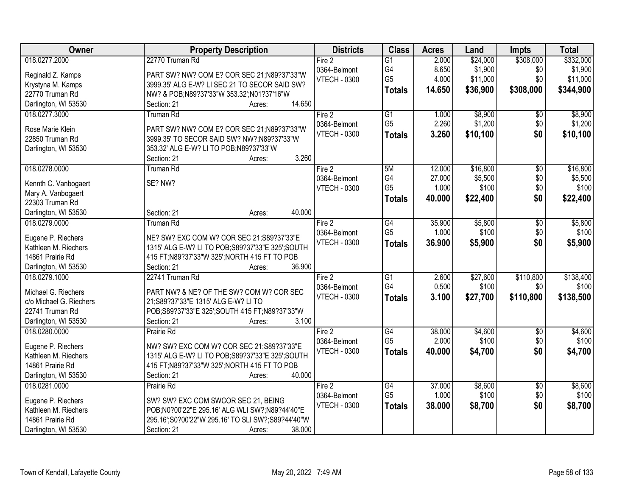| Owner                   | <b>Property Description</b>                                                     | <b>Districts</b>    | <b>Class</b>    | <b>Acres</b> | Land     | <b>Impts</b>           | <b>Total</b> |
|-------------------------|---------------------------------------------------------------------------------|---------------------|-----------------|--------------|----------|------------------------|--------------|
| 018.0277.2000           | 22770 Truman Rd                                                                 | Fire 2              | $\overline{G1}$ | 2.000        | \$24,000 | \$308,000              | \$332,000    |
| Reginald Z. Kamps       | PART SW? NW? COM E? COR SEC 21;N89?37'33"W                                      | 0364-Belmont        | G4              | 8.650        | \$1,900  | \$0                    | \$1,900      |
| Krystyna M. Kamps       | 3999.35' ALG E-W? LI SEC 21 TO SECOR SAID SW?                                   | <b>VTECH - 0300</b> | G <sub>5</sub>  | 4.000        | \$11,000 | \$0                    | \$11,000     |
| 22770 Truman Rd         | NW? & POB;N89?37'33"W 353.32';N01?37'16"W                                       |                     | <b>Totals</b>   | 14.650       | \$36,900 | \$308,000              | \$344,900    |
| Darlington, WI 53530    | 14.650<br>Section: 21<br>Acres:                                                 |                     |                 |              |          |                        |              |
| 018.0277.3000           | <b>Truman Rd</b>                                                                | Fire 2              | $\overline{G1}$ | 1.000        | \$8,900  | $\overline{50}$        | \$8,900      |
|                         |                                                                                 | 0364-Belmont        | G <sub>5</sub>  | 2.260        | \$1,200  | \$0                    | \$1,200      |
| Rose Marie Klein        | PART SW? NW? COM E? COR SEC 21;N89?37'33"W                                      | <b>VTECH - 0300</b> | <b>Totals</b>   | 3.260        | \$10,100 | \$0                    | \$10,100     |
| 22850 Truman Rd         | 3999.35' TO SECOR SAID SW? NW?; N89?37'33"W                                     |                     |                 |              |          |                        |              |
| Darlington, WI 53530    | 353.32' ALG E-W? LI TO POB;N89?37'33"W                                          |                     |                 |              |          |                        |              |
|                         | 3.260<br>Section: 21<br>Acres:                                                  |                     |                 |              |          |                        |              |
| 018.0278.0000           | Truman Rd                                                                       | Fire 2              | 5M              | 12.000       | \$16,800 | $\overline{50}$        | \$16,800     |
| Kennth C. Vanbogaert    | SE? NW?                                                                         | 0364-Belmont        | G4              | 27.000       | \$5,500  | \$0                    | \$5,500      |
| Mary A. Vanbogaert      |                                                                                 | <b>VTECH - 0300</b> | G <sub>5</sub>  | 1.000        | \$100    | \$0                    | \$100        |
| 22303 Truman Rd         |                                                                                 |                     | <b>Totals</b>   | 40.000       | \$22,400 | \$0                    | \$22,400     |
| Darlington, WI 53530    | 40.000<br>Section: 21<br>Acres:                                                 |                     |                 |              |          |                        |              |
| 018.0279.0000           | <b>Truman Rd</b>                                                                | Fire 2              | G4              | 35.900       | \$5,800  | \$0                    | \$5,800      |
|                         |                                                                                 | 0364-Belmont        | G <sub>5</sub>  | 1.000        | \$100    | \$0                    | \$100        |
| Eugene P. Riechers      | NE? SW? EXC COM W? COR SEC 21;S89?37'33"E                                       | <b>VTECH - 0300</b> |                 | 36.900       | \$5,900  | \$0                    |              |
| Kathleen M. Riechers    | 1315' ALG E-W? LI TO POB; S89?37'33"E 325'; SOUTH                               |                     | <b>Totals</b>   |              |          |                        | \$5,900      |
| 14861 Prairie Rd        | 415 FT;N89?37'33"W 325';NORTH 415 FT TO POB                                     |                     |                 |              |          |                        |              |
| Darlington, WI 53530    | Section: 21<br>36.900<br>Acres:                                                 |                     |                 |              |          |                        |              |
| 018.0279.1000           | 22741 Truman Rd                                                                 | Fire 2              | $\overline{G1}$ | 2.600        | \$27,600 | \$110,800              | \$138,400    |
| Michael G. Riechers     |                                                                                 | 0364-Belmont        | G4              | 0.500        | \$100    | \$0                    | \$100        |
| c/o Michael G. Riechers | PART NW? & NE? OF THE SW? COM W? COR SEC<br>21;S89?37'33"E 1315' ALG E-W? LI TO | <b>VTECH - 0300</b> | <b>Totals</b>   | 3.100        | \$27,700 | \$110,800              | \$138,500    |
| 22741 Truman Rd         | POB;S89?37'33"E 325';SOUTH 415 FT;N89?37'33"W                                   |                     |                 |              |          |                        |              |
| Darlington, WI 53530    | 3.100<br>Section: 21                                                            |                     |                 |              |          |                        |              |
| 018.0280.0000           | Acres:<br>Prairie Rd                                                            |                     | G4              | 38.000       | \$4,600  |                        | \$4,600      |
|                         |                                                                                 | Fire 2              | G <sub>5</sub>  | 2.000        | \$100    | $\overline{60}$<br>\$0 | \$100        |
| Eugene P. Riechers      | NW? SW? EXC COM W? COR SEC 21;S89?37'33"E                                       | 0364-Belmont        |                 |              |          |                        |              |
| Kathleen M. Riechers    | 1315' ALG E-W? LI TO POB; S89?37'33"E 325'; SOUTH                               | <b>VTECH - 0300</b> | <b>Totals</b>   | 40.000       | \$4,700  | \$0                    | \$4,700      |
| 14861 Prairie Rd        | 415 FT;N89?37'33"W 325';NORTH 415 FT TO POB                                     |                     |                 |              |          |                        |              |
| Darlington, WI 53530    | Section: 21<br>40.000<br>Acres:                                                 |                     |                 |              |          |                        |              |
| 018.0281.0000           | Prairie Rd                                                                      | Fire 2              | G4              | 37.000       | \$8,600  | $\overline{50}$        | \$8,600      |
|                         |                                                                                 | 0364-Belmont        | G <sub>5</sub>  | 1.000        | \$100    | \$0                    | \$100        |
| Eugene P. Riechers      | SW? SW? EXC COM SWCOR SEC 21, BEING                                             | <b>VTECH - 0300</b> | <b>Totals</b>   | 38.000       | \$8,700  | \$0                    | \$8,700      |
| Kathleen M. Riechers    | POB;N0?00'22"E 295.16' ALG WLI SW?;N89?44'40"E                                  |                     |                 |              |          |                        |              |
| 14861 Prairie Rd        | 295.16';S0?00'22"W 295.16' TO SLI SW?;S89?44'40"W                               |                     |                 |              |          |                        |              |
| Darlington, WI 53530    | 38.000<br>Section: 21<br>Acres:                                                 |                     |                 |              |          |                        |              |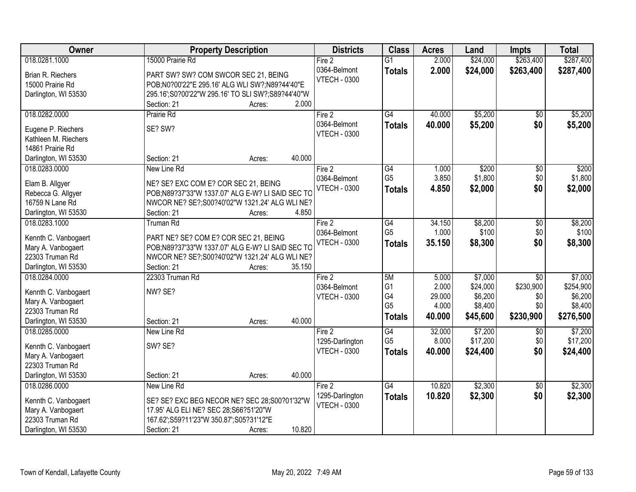| Owner                                      | <b>Property Description</b>                       | <b>Districts</b>    | <b>Class</b>                      | <b>Acres</b> | Land     | <b>Impts</b>    | <b>Total</b> |
|--------------------------------------------|---------------------------------------------------|---------------------|-----------------------------------|--------------|----------|-----------------|--------------|
| 018.0281.1000                              | 15000 Prairie Rd                                  | Fire 2              | $\overline{G1}$                   | 2.000        | \$24,000 | \$263,400       | \$287,400    |
| Brian R. Riechers                          | PART SW? SW? COM SWCOR SEC 21, BEING              | 0364-Belmont        | <b>Totals</b>                     | 2.000        | \$24,000 | \$263,400       | \$287,400    |
| 15000 Prairie Rd                           | POB;N0?00'22"E 295.16' ALG WLI SW?;N89?44'40"E    | <b>VTECH - 0300</b> |                                   |              |          |                 |              |
| Darlington, WI 53530                       | 295.16';S0?00'22"W 295.16' TO SLI SW?;S89?44'40"W |                     |                                   |              |          |                 |              |
|                                            | 2.000<br>Section: 21<br>Acres:                    |                     |                                   |              |          |                 |              |
| 018.0282.0000                              | Prairie Rd                                        | Fire 2              | G4                                | 40.000       | \$5,200  | $\overline{50}$ | \$5,200      |
|                                            |                                                   | 0364-Belmont        | <b>Totals</b>                     | 40.000       | \$5,200  | \$0             | \$5,200      |
| Eugene P. Riechers                         | SE? SW?                                           | <b>VTECH - 0300</b> |                                   |              |          |                 |              |
| Kathleen M. Riechers                       |                                                   |                     |                                   |              |          |                 |              |
| 14861 Prairie Rd                           | 40.000<br>Section: 21                             |                     |                                   |              |          |                 |              |
| Darlington, WI 53530                       | Acres:                                            |                     |                                   |              |          |                 |              |
| 018.0283.0000                              | New Line Rd                                       | Fire 2              | $\overline{G4}$<br>G <sub>5</sub> | 1.000        | \$200    | \$0             | \$200        |
| Elam B. Allgyer                            | NE? SE? EXC COM E? COR SEC 21, BEING              | 0364-Belmont        |                                   | 3.850        | \$1,800  | \$0             | \$1,800      |
| Rebecca G. Allgyer                         | POB;N89?37'33"W 1337.07' ALG E-W? LI SAID SEC TC  | <b>VTECH - 0300</b> | <b>Totals</b>                     | 4.850        | \$2,000  | \$0             | \$2,000      |
| 16759 N Lane Rd                            | NWCOR NE? SE?;S00?40'02"W 1321.24' ALG WLI NE?    |                     |                                   |              |          |                 |              |
| Darlington, WI 53530                       | Section: 21<br>4.850<br>Acres:                    |                     |                                   |              |          |                 |              |
| 018.0283.1000                              | <b>Truman Rd</b>                                  | Fire 2              | G4                                | 34.150       | \$8,200  | \$0             | \$8,200      |
|                                            | PART NE? SE? COM E? COR SEC 21, BEING             | 0364-Belmont        | G <sub>5</sub>                    | 1.000        | \$100    | \$0             | \$100        |
| Kennth C. Vanbogaert<br>Mary A. Vanbogaert | POB;N89?37'33"W 1337.07' ALG E-W? LI SAID SEC TO  | <b>VTECH - 0300</b> | <b>Totals</b>                     | 35.150       | \$8,300  | \$0             | \$8,300      |
| 22303 Truman Rd                            | NWCOR NE? SE?; S00?40'02"W 1321.24' ALG WLI NE?   |                     |                                   |              |          |                 |              |
| Darlington, WI 53530                       | Section: 21<br>35.150<br>Acres:                   |                     |                                   |              |          |                 |              |
| 018.0284.0000                              | 22303 Truman Rd                                   | Fire 2              | 5M                                | 5.000        | \$7,000  | $\overline{50}$ | \$7,000      |
|                                            |                                                   | 0364-Belmont        | G <sub>1</sub>                    | 2.000        | \$24,000 | \$230,900       | \$254,900    |
| Kennth C. Vanbogaert                       | NW? SE?                                           | <b>VTECH - 0300</b> | G4                                | 29.000       | \$6,200  | \$0             | \$6,200      |
| Mary A. Vanbogaert                         |                                                   |                     | G <sub>5</sub>                    | 4.000        | \$8,400  | \$0             | \$8,400      |
| 22303 Truman Rd                            |                                                   |                     | <b>Totals</b>                     | 40.000       | \$45,600 | \$230,900       | \$276,500    |
| Darlington, WI 53530                       | 40.000<br>Section: 21<br>Acres:                   |                     |                                   |              |          |                 |              |
| 018.0285.0000                              | New Line Rd                                       | Fire 2              | G4                                | 32.000       | \$7,200  | \$0             | \$7,200      |
| Kennth C. Vanbogaert                       | SW? SE?                                           | 1295-Darlington     | G <sub>5</sub>                    | 8.000        | \$17,200 | \$0             | \$17,200     |
| Mary A. Vanbogaert                         |                                                   | <b>VTECH - 0300</b> | <b>Totals</b>                     | 40.000       | \$24,400 | \$0             | \$24,400     |
| 22303 Truman Rd                            |                                                   |                     |                                   |              |          |                 |              |
| Darlington, WI 53530                       | 40.000<br>Section: 21<br>Acres:                   |                     |                                   |              |          |                 |              |
| 018.0286.0000                              | New Line Rd                                       | Fire 2              | $\overline{G4}$                   | 10.820       | \$2,300  | $\overline{30}$ | \$2,300      |
|                                            |                                                   | 1295-Darlington     | <b>Totals</b>                     | 10.820       | \$2,300  | \$0             | \$2,300      |
| Kennth C. Vanbogaert                       | SE? SE? EXC BEG NECOR NE? SEC 28;S00?01'32"W      | <b>VTECH - 0300</b> |                                   |              |          |                 |              |
| Mary A. Vanbogaert<br>22303 Truman Rd      | 17.95' ALG ELI NE? SEC 28;S66?51'20"W             |                     |                                   |              |          |                 |              |
|                                            | 167.62';S59?11'23"W 350.87';S05?31'12"E<br>10.820 |                     |                                   |              |          |                 |              |
| Darlington, WI 53530                       | Section: 21<br>Acres:                             |                     |                                   |              |          |                 |              |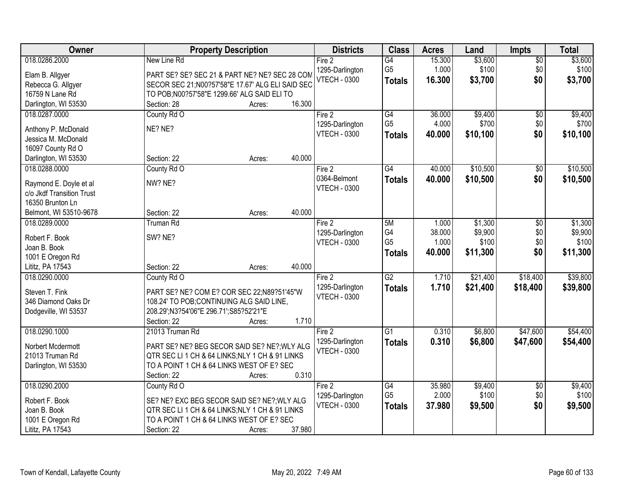| Owner                     | <b>Property Description</b>                       | <b>Districts</b>    | <b>Class</b>    | <b>Acres</b> | Land     | <b>Impts</b>    | <b>Total</b> |
|---------------------------|---------------------------------------------------|---------------------|-----------------|--------------|----------|-----------------|--------------|
| 018.0286.2000             | New Line Rd                                       | Fire 2              | G4              | 15.300       | \$3,600  | $\overline{50}$ | \$3,600      |
| Elam B. Allgyer           | PART SE? SE? SEC 21 & PART NE? NE? SEC 28 COM     | 1295-Darlington     | G <sub>5</sub>  | 1.000        | \$100    | \$0             | \$100        |
| Rebecca G. Allgyer        | SECOR SEC 21; N00?57'58"E 17.67' ALG ELI SAID SEC | <b>VTECH - 0300</b> | <b>Totals</b>   | 16.300       | \$3,700  | \$0             | \$3,700      |
| 16759 N Lane Rd           | TO POB;N00?57'58"E 1299.66' ALG SAID ELI TO       |                     |                 |              |          |                 |              |
| Darlington, WI 53530      | 16.300<br>Section: 28<br>Acres:                   |                     |                 |              |          |                 |              |
| 018.0287.0000             | County Rd O                                       | Fire 2              | G4              | 36.000       | \$9,400  | $\overline{50}$ | \$9,400      |
|                           |                                                   | 1295-Darlington     | G <sub>5</sub>  | 4.000        | \$700    | \$0             | \$700        |
| Anthony P. McDonald       | NE? NE?                                           | <b>VTECH - 0300</b> | <b>Totals</b>   | 40.000       | \$10,100 | \$0             | \$10,100     |
| Jessica M. McDonald       |                                                   |                     |                 |              |          |                 |              |
| 16097 County Rd O         |                                                   |                     |                 |              |          |                 |              |
| Darlington, WI 53530      | 40.000<br>Section: 22<br>Acres:                   |                     |                 |              |          |                 |              |
| 018.0288.0000             | County Rd O                                       | Fire 2              | G4              | 40.000       | \$10,500 | \$0             | \$10,500     |
| Raymond E. Doyle et al    | NW? NE?                                           | 0364-Belmont        | <b>Totals</b>   | 40.000       | \$10,500 | \$0             | \$10,500     |
| c/o Jkdf Transition Trust |                                                   | <b>VTECH - 0300</b> |                 |              |          |                 |              |
| 16350 Brunton Ln          |                                                   |                     |                 |              |          |                 |              |
| Belmont, WI 53510-9678    | 40.000<br>Section: 22<br>Acres:                   |                     |                 |              |          |                 |              |
| 018.0289.0000             | <b>Truman Rd</b>                                  | Fire 2              | 5M              | 1.000        | \$1,300  | \$0             | \$1,300      |
|                           |                                                   | 1295-Darlington     | G4              | 38.000       | \$9,900  | \$0             | \$9,900      |
| Robert F. Book            | SW? NE?                                           | <b>VTECH - 0300</b> | G <sub>5</sub>  | 1.000        | \$100    | \$0             | \$100        |
| Joan B. Book              |                                                   |                     | <b>Totals</b>   | 40.000       | \$11,300 | \$0             | \$11,300     |
| 1001 E Oregon Rd          |                                                   |                     |                 |              |          |                 |              |
| Lititz, PA 17543          | 40.000<br>Section: 22<br>Acres:                   |                     |                 |              |          |                 |              |
| 018.0290.0000             | County Rd O                                       | Fire 2              | $\overline{G2}$ | 1.710        | \$21,400 | \$18,400        | \$39,800     |
| Steven T. Fink            | PART SE? NE? COM E? COR SEC 22:N89?51'45"W        | 1295-Darlington     | <b>Totals</b>   | 1.710        | \$21,400 | \$18,400        | \$39,800     |
| 346 Diamond Oaks Dr       | 108.24' TO POB; CONTINUING ALG SAID LINE,         | <b>VTECH - 0300</b> |                 |              |          |                 |              |
| Dodgeville, WI 53537      | 208.29';N3?54'06"E 296.71';S85?52'21"E            |                     |                 |              |          |                 |              |
|                           | Section: 22<br>1.710<br>Acres:                    |                     |                 |              |          |                 |              |
| 018.0290.1000             | 21013 Truman Rd                                   | Fire 2              | $\overline{G1}$ | 0.310        | \$6,800  | \$47,600        | \$54,400     |
| Norbert Mcdermott         | PART SE? NE? BEG SECOR SAID SE? NE?; WLY ALG      | 1295-Darlington     | <b>Totals</b>   | 0.310        | \$6,800  | \$47,600        | \$54,400     |
| 21013 Truman Rd           | QTR SEC LI 1 CH & 64 LINKS; NLY 1 CH & 91 LINKS   | <b>VTECH - 0300</b> |                 |              |          |                 |              |
| Darlington, WI 53530      | TO A POINT 1 CH & 64 LINKS WEST OF E? SEC         |                     |                 |              |          |                 |              |
|                           | 0.310<br>Section: 22<br>Acres:                    |                     |                 |              |          |                 |              |
| 018.0290.2000             | County Rd O                                       | Fire 2              | G4              | 35.980       | \$9,400  | $\overline{50}$ | \$9,400      |
|                           |                                                   | 1295-Darlington     | G <sub>5</sub>  | 2.000        | \$100    | \$0             | \$100        |
| Robert F. Book            | SE? NE? EXC BEG SECOR SAID SE? NE?; WLY ALG       | <b>VTECH - 0300</b> | <b>Totals</b>   | 37.980       | \$9,500  | \$0             | \$9,500      |
| Joan B. Book              | QTR SEC LI 1 CH & 64 LINKS; NLY 1 CH & 91 LINKS   |                     |                 |              |          |                 |              |
| 1001 E Oregon Rd          | TO A POINT 1 CH & 64 LINKS WEST OF E? SEC         |                     |                 |              |          |                 |              |
| Lititz, PA 17543          | 37.980<br>Section: 22<br>Acres:                   |                     |                 |              |          |                 |              |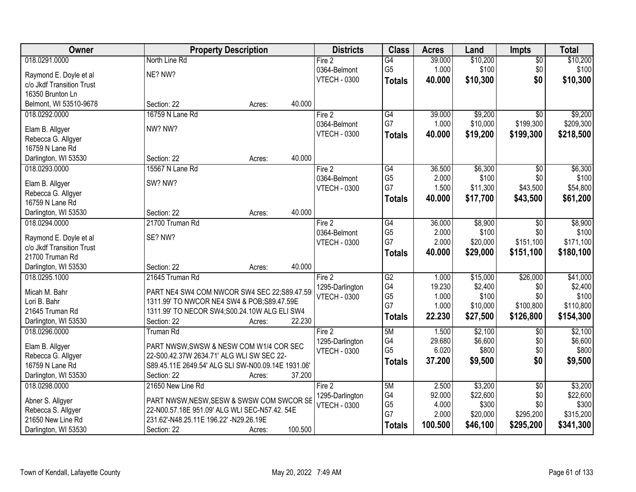| Owner                                 | <b>Property Description</b>                        | <b>Districts</b>                       | <b>Class</b>    | <b>Acres</b> | Land                | <b>Impts</b>    | <b>Total</b>        |
|---------------------------------------|----------------------------------------------------|----------------------------------------|-----------------|--------------|---------------------|-----------------|---------------------|
| 018.0291.0000                         | North Line Rd                                      | Fire 2                                 | $\overline{G4}$ | 39.000       | \$10,200            | $\overline{50}$ | \$10,200            |
| Raymond E. Doyle et al                | NE? NW?                                            | 0364-Belmont                           | G <sub>5</sub>  | 1.000        | \$100               | \$0             | \$100               |
| c/o Jkdf Transition Trust             |                                                    | <b>VTECH - 0300</b>                    | <b>Totals</b>   | 40.000       | \$10,300            | \$0             | \$10,300            |
| 16350 Brunton Ln                      |                                                    |                                        |                 |              |                     |                 |                     |
| Belmont, WI 53510-9678                | 40.000<br>Section: 22<br>Acres:                    |                                        |                 |              |                     |                 |                     |
| 018.0292.0000                         | 16759 N Lane Rd                                    | Fire 2                                 | $\overline{G4}$ | 39.000       | \$9,200             | $\overline{50}$ | \$9,200             |
|                                       |                                                    | 0364-Belmont                           | G7              | 1.000        | \$10,000            | \$199,300       | \$209,300           |
| Elam B. Allgyer                       | NW? NW?                                            | <b>VTECH - 0300</b>                    | <b>Totals</b>   | 40.000       | \$19,200            | \$199,300       | \$218,500           |
| Rebecca G. Allgyer                    |                                                    |                                        |                 |              |                     |                 |                     |
| 16759 N Lane Rd                       |                                                    |                                        |                 |              |                     |                 |                     |
| Darlington, WI 53530                  | 40.000<br>Section: 22<br>Acres:                    |                                        |                 |              |                     |                 |                     |
| 018.0293.0000                         | 15567 N Lane Rd                                    | Fire 2                                 | G4              | 36.500       | \$6,300             | \$0             | \$6,300             |
| Elam B. Allgyer                       | SW? NW?                                            | 0364-Belmont                           | G <sub>5</sub>  | 2.000        | \$100               | \$0             | \$100               |
| Rebecca G. Allgyer                    |                                                    | <b>VTECH - 0300</b>                    | G7              | 1.500        | \$11,300            | \$43,500        | \$54,800            |
| 16759 N Lane Rd                       |                                                    |                                        | <b>Totals</b>   | 40.000       | \$17,700            | \$43,500        | \$61,200            |
| Darlington, WI 53530                  | 40.000<br>Section: 22<br>Acres:                    |                                        |                 |              |                     |                 |                     |
| 018.0294.0000                         | 21700 Truman Rd                                    | Fire 2                                 | G4              | 36.000       | \$8,900             | \$0             | \$8,900             |
|                                       |                                                    | 0364-Belmont                           | G <sub>5</sub>  | 2.000        | \$100               | \$0             | \$100               |
| Raymond E. Doyle et al                | SE? NW?                                            | <b>VTECH - 0300</b>                    | G7              | 2.000        | \$20,000            | \$151,100       | \$171,100           |
| c/o Jkdf Transition Trust             |                                                    |                                        | <b>Totals</b>   | 40.000       | \$29,000            | \$151,100       | \$180,100           |
| 21700 Truman Rd                       | 40.000                                             |                                        |                 |              |                     |                 |                     |
| Darlington, WI 53530<br>018.0295.1000 | Section: 22<br>Acres:<br>21645 Truman Rd           |                                        | $\overline{G2}$ | 1.000        |                     |                 |                     |
|                                       |                                                    | Fire 2                                 | G4              | 19.230       | \$15,000<br>\$2,400 | \$26,000<br>\$0 | \$41,000<br>\$2,400 |
| Micah M. Bahr                         | PART NE4 SW4 COM NWCOR SW4 SEC 22;S89.47.59        | 1295-Darlington<br><b>VTECH - 0300</b> | G <sub>5</sub>  | 1.000        | \$100               | \$0             | \$100               |
| Lori B. Bahr                          | 1311.99' TO NWCOR NE4 SW4 & POB; S89.47.59E        |                                        | G7              | 1.000        | \$10,000            | \$100,800       | \$110,800           |
| 21645 Truman Rd                       | 1311.99' TO NECOR SW4;S00.24.10W ALG ELI SW4       |                                        |                 | 22.230       | \$27,500            | \$126,800       | \$154,300           |
| Darlington, WI 53530                  | 22.230<br>Section: 22<br>Acres:                    |                                        | <b>Totals</b>   |              |                     |                 |                     |
| 018.0296.0000                         | <b>Truman Rd</b>                                   | Fire 2                                 | 5M              | 1.500        | \$2,100             | $\overline{50}$ | \$2,100             |
| Elam B. Allgyer                       | PART NWSW, SWSW & NESW COM W1/4 COR SEC            | 1295-Darlington                        | G4              | 29.680       | \$6,600             | \$0             | \$6,600             |
| Rebecca G. Allgyer                    | 22-S00.42.37W 2634.71' ALG WLI SW SEC 22-          | <b>VTECH - 0300</b>                    | G <sub>5</sub>  | 6.020        | \$800               | \$0             | \$800               |
| 16759 N Lane Rd                       | S89.45.11E 2649.54' ALG SLI SW-N00.09.14E 1931.06' |                                        | <b>Totals</b>   | 37.200       | \$9,500             | \$0             | \$9,500             |
| Darlington, WI 53530                  | 37.200<br>Section: 22<br>Acres:                    |                                        |                 |              |                     |                 |                     |
| 018.0298.0000                         | 21650 New Line Rd                                  | Fire 2                                 | 5M              | 2.500        | \$3,200             | $\overline{50}$ | \$3,200             |
|                                       |                                                    | 1295-Darlington                        | G4              | 92.000       | \$22,600            | \$0             | \$22,600            |
| Abner S. Allgyer                      | PART NWSW, NESW, SESW & SWSW COM SWCOR SE          | <b>VTECH - 0300</b>                    | G <sub>5</sub>  | 4.000        | \$300               | \$0             | \$300               |
| Rebecca S. Allgyer                    | 22-N00.57.18E 951.09' ALG WLI SEC-N57.42. 54E      |                                        | G7              | 2.000        | \$20,000            | \$295,200       | \$315,200           |
| 21650 New Line Rd                     | 231.62'-N48.25.11E 196.22' -N29.26.19E             |                                        | <b>Totals</b>   | 100.500      | \$46,100            | \$295,200       | \$341,300           |
| Darlington, WI 53530                  | 100.500<br>Section: 22<br>Acres:                   |                                        |                 |              |                     |                 |                     |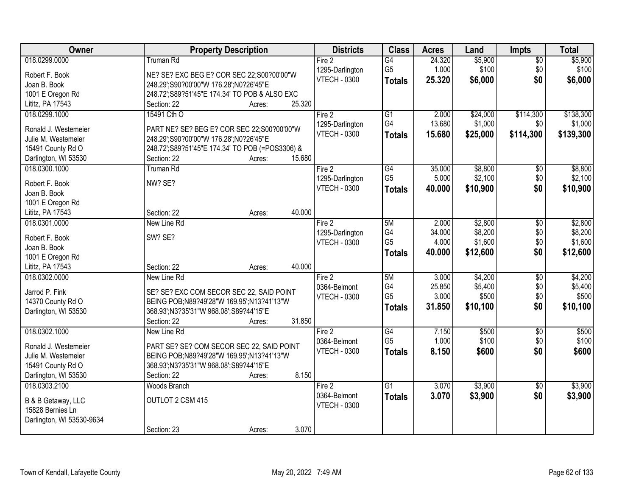| Owner                     | <b>Property Description</b>                      | <b>Districts</b>    | <b>Class</b>    | <b>Acres</b> | Land     | <b>Impts</b>    | <b>Total</b> |
|---------------------------|--------------------------------------------------|---------------------|-----------------|--------------|----------|-----------------|--------------|
| 018.0299.0000             | <b>Truman Rd</b>                                 | Fire 2              | G4              | 24.320       | \$5,900  | \$0             | \$5,900      |
| Robert F. Book            | NE? SE? EXC BEG E? COR SEC 22;S00?00'00"W        | 1295-Darlington     | G <sub>5</sub>  | 1.000        | \$100    | \$0             | \$100        |
| Joan B. Book              | 248.29';S90?00'00"W 176.28';N0?26'45"E           | <b>VTECH - 0300</b> | <b>Totals</b>   | 25.320       | \$6,000  | \$0             | \$6,000      |
| 1001 E Oregon Rd          | 248.72'; S89?51'45"E 174.34' TO POB & ALSO EXC   |                     |                 |              |          |                 |              |
| Lititz, PA 17543          | 25.320<br>Section: 22<br>Acres:                  |                     |                 |              |          |                 |              |
| 018.0299.1000             | 15491 Cth O                                      | Fire 2              | $\overline{G1}$ | 2.000        | \$24,000 | \$114,300       | \$138,300    |
|                           |                                                  | 1295-Darlington     | G4              | 13.680       | \$1,000  | \$0             | \$1,000      |
| Ronald J. Westemeier      | PART NE? SE? BEG E? COR SEC 22;S00?00'00"W       | <b>VTECH - 0300</b> | <b>Totals</b>   | 15.680       | \$25,000 | \$114,300       | \$139,300    |
| Julie M. Westemeier       | 248.29';S90?00'00"W 176.28';N0?26'45"E           |                     |                 |              |          |                 |              |
| 15491 County Rd O         | 248.72'; S89?51'45"E 174.34' TO POB (=POS3306) & |                     |                 |              |          |                 |              |
| Darlington, WI 53530      | 15.680<br>Section: 22<br>Acres:                  |                     |                 |              |          |                 |              |
| 018.0300.1000             | <b>Truman Rd</b>                                 | Fire 2              | G4              | 35.000       | \$8,800  | $\sqrt[6]{3}$   | \$8,800      |
| Robert F. Book            | NW? SE?                                          | 1295-Darlington     | G <sub>5</sub>  | 5.000        | \$2,100  | \$0             | \$2,100      |
| Joan B. Book              |                                                  | <b>VTECH - 0300</b> | <b>Totals</b>   | 40.000       | \$10,900 | \$0             | \$10,900     |
| 1001 E Oregon Rd          |                                                  |                     |                 |              |          |                 |              |
| Lititz, PA 17543          | 40.000<br>Section: 22<br>Acres:                  |                     |                 |              |          |                 |              |
| 018.0301.0000             | New Line Rd                                      | Fire 2              | 5M              | 2.000        | \$2,800  | $\sqrt[6]{3}$   | \$2,800      |
| Robert F. Book            | SW? SE?                                          | 1295-Darlington     | G <sub>4</sub>  | 34.000       | \$8,200  | \$0             | \$8,200      |
| Joan B. Book              |                                                  | <b>VTECH - 0300</b> | G <sub>5</sub>  | 4.000        | \$1,600  | \$0             | \$1,600      |
| 1001 E Oregon Rd          |                                                  |                     | <b>Totals</b>   | 40.000       | \$12,600 | \$0             | \$12,600     |
| Lititz, PA 17543          | 40.000<br>Section: 22<br>Acres:                  |                     |                 |              |          |                 |              |
| 018.0302.0000             | New Line Rd                                      | Fire 2              | 5M              | 3.000        | \$4,200  | $\overline{50}$ | \$4,200      |
|                           |                                                  | 0364-Belmont        | G4              | 25.850       | \$5,400  | \$0             | \$5,400      |
| Jarrod P. Fink            | SE? SE? EXC COM SECOR SEC 22, SAID POINT         | <b>VTECH - 0300</b> | G <sub>5</sub>  | 3.000        | \$500    | \$0             | \$500        |
| 14370 County Rd O         | BEING POB;N89?49'28"W 169.95';N13?41'13"W        |                     | <b>Totals</b>   | 31.850       | \$10,100 | \$0             | \$10,100     |
| Darlington, WI 53530      | 368.93';N3?35'31"W 968.08';S89?44'15"E           |                     |                 |              |          |                 |              |
|                           | Section: 22<br>31.850<br>Acres:                  |                     |                 |              |          |                 |              |
| 018.0302.1000             | New Line Rd                                      | Fire 2              | G4              | 7.150        | \$500    | $\overline{50}$ | \$500        |
| Ronald J. Westemeier      | PART SE? SE? COM SECOR SEC 22, SAID POINT        | 0364-Belmont        | G <sub>5</sub>  | 1.000        | \$100    | \$0             | \$100        |
| Julie M. Westemeier       | BEING POB;N89?49'28"W 169.95';N13?41'13"W        | <b>VTECH - 0300</b> | <b>Totals</b>   | 8.150        | \$600    | \$0             | \$600        |
| 15491 County Rd O         | 368.93';N3?35'31"W 968.08';S89?44'15"E           |                     |                 |              |          |                 |              |
| Darlington, WI 53530      | 8.150<br>Section: 22<br>Acres:                   |                     |                 |              |          |                 |              |
| 018.0303.2100             | Woods Branch                                     | Fire 2              | $\overline{G1}$ | 3.070        | \$3,900  | $\overline{50}$ | \$3,900      |
|                           |                                                  | 0364-Belmont        | <b>Totals</b>   | 3.070        | \$3,900  | \$0             | \$3,900      |
| B & B Getaway, LLC        | OUTLOT 2 CSM 415                                 | <b>VTECH - 0300</b> |                 |              |          |                 |              |
| 15828 Bernies Ln          |                                                  |                     |                 |              |          |                 |              |
| Darlington, WI 53530-9634 | 3.070<br>Section: 23                             |                     |                 |              |          |                 |              |
|                           | Acres:                                           |                     |                 |              |          |                 |              |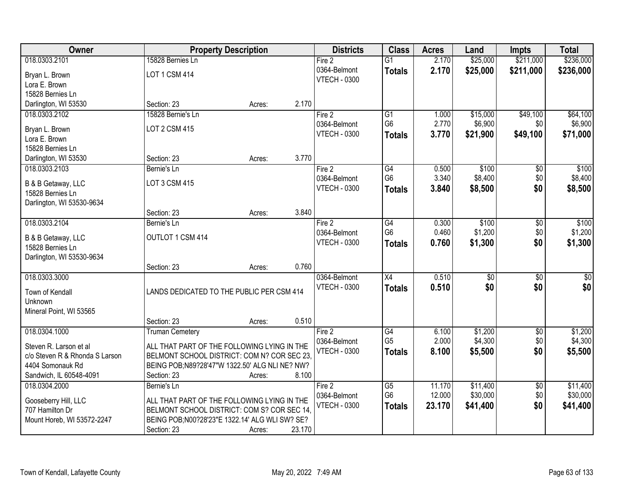| Owner                          |                                                  | <b>Property Description</b> |        | <b>Districts</b>    | <b>Class</b>    | <b>Acres</b> | Land            | <b>Impts</b>    | <b>Total</b> |
|--------------------------------|--------------------------------------------------|-----------------------------|--------|---------------------|-----------------|--------------|-----------------|-----------------|--------------|
| 018.0303.2101                  | 15828 Bernies Ln                                 |                             |        | Fire 2              | $\overline{G1}$ | 2.170        | \$25,000        | \$211,000       | \$236,000    |
| Bryan L. Brown                 | LOT 1 CSM 414                                    |                             |        | 0364-Belmont        | <b>Totals</b>   | 2.170        | \$25,000        | \$211,000       | \$236,000    |
| Lora E. Brown                  |                                                  |                             |        | <b>VTECH - 0300</b> |                 |              |                 |                 |              |
| 15828 Bernies Ln               |                                                  |                             |        |                     |                 |              |                 |                 |              |
| Darlington, WI 53530           | Section: 23                                      | Acres:                      | 2.170  |                     |                 |              |                 |                 |              |
| 018.0303.2102                  | 15828 Bernie's Ln                                |                             |        | Fire 2              | $\overline{G1}$ | 1.000        | \$15,000        | \$49,100        | \$64,100     |
| Bryan L. Brown                 | <b>LOT 2 CSM 415</b>                             |                             |        | 0364-Belmont        | G <sub>6</sub>  | 2.770        | \$6,900         | \$0             | \$6,900      |
| Lora E. Brown                  |                                                  |                             |        | <b>VTECH - 0300</b> | <b>Totals</b>   | 3.770        | \$21,900        | \$49,100        | \$71,000     |
| 15828 Bernies Ln               |                                                  |                             |        |                     |                 |              |                 |                 |              |
| Darlington, WI 53530           | Section: 23                                      | Acres:                      | 3.770  |                     |                 |              |                 |                 |              |
| 018.0303.2103                  | Bernie's Ln                                      |                             |        | Fire 2              | $\overline{G4}$ | 0.500        | \$100           | \$0             | \$100        |
| B & B Getaway, LLC             | LOT 3 CSM 415                                    |                             |        | 0364-Belmont        | G <sub>6</sub>  | 3.340        | \$8,400         | \$0             | \$8,400      |
| 15828 Bernies Ln               |                                                  |                             |        | <b>VTECH - 0300</b> | <b>Totals</b>   | 3.840        | \$8,500         | \$0             | \$8,500      |
| Darlington, WI 53530-9634      |                                                  |                             |        |                     |                 |              |                 |                 |              |
|                                | Section: 23                                      | Acres:                      | 3.840  |                     |                 |              |                 |                 |              |
| 018.0303.2104                  | Bernie's Ln                                      |                             |        | Fire 2              | G4              | 0.300        | \$100           | \$0             | \$100        |
| B & B Getaway, LLC             | OUTLOT 1 CSM 414                                 |                             |        | 0364-Belmont        | G <sub>6</sub>  | 0.460        | \$1,200         | \$0             | \$1,200      |
| 15828 Bernies Ln               |                                                  |                             |        | <b>VTECH - 0300</b> | <b>Totals</b>   | 0.760        | \$1,300         | \$0             | \$1,300      |
| Darlington, WI 53530-9634      |                                                  |                             |        |                     |                 |              |                 |                 |              |
|                                | Section: 23                                      | Acres:                      | 0.760  |                     |                 |              |                 |                 |              |
| 018.0303.3000                  |                                                  |                             |        | 0364-Belmont        | $\overline{X4}$ | 0.510        | $\overline{50}$ | $\overline{50}$ | $\sqrt{50}$  |
| Town of Kendall                | LANDS DEDICATED TO THE PUBLIC PER CSM 414        |                             |        | <b>VTECH - 0300</b> | <b>Totals</b>   | 0.510        | \$0             | \$0             | \$0          |
| Unknown                        |                                                  |                             |        |                     |                 |              |                 |                 |              |
| Mineral Point, WI 53565        |                                                  |                             |        |                     |                 |              |                 |                 |              |
|                                | Section: 23                                      | Acres:                      | 0.510  |                     |                 |              |                 |                 |              |
| 018.0304.1000                  | <b>Truman Cemetery</b>                           |                             |        | Fire 2              | G4              | 6.100        | \$1,200         | $\sqrt{$0}$     | \$1,200      |
| Steven R. Larson et al         | ALL THAT PART OF THE FOLLOWING LYING IN THE      |                             |        | 0364-Belmont        | G <sub>5</sub>  | 2.000        | \$4,300         | \$0             | \$4,300      |
| c/o Steven R & Rhonda S Larson | BELMONT SCHOOL DISTRICT: COM N? COR SEC 23.      |                             |        | <b>VTECH - 0300</b> | <b>Totals</b>   | 8.100        | \$5,500         | \$0             | \$5,500      |
| 4404 Somonauk Rd               | BEING POB;N89?28'47"W 1322.50' ALG NLI NE? NW?   |                             |        |                     |                 |              |                 |                 |              |
| Sandwich, IL 60548-4091        | Section: 23                                      | Acres:                      | 8.100  |                     |                 |              |                 |                 |              |
| 018.0304.2000                  | Bernie's Ln                                      |                             |        | Fire 2              | $\overline{G5}$ | 11.170       | \$11,400        | $\overline{50}$ | \$11,400     |
| Gooseberry Hill, LLC           | ALL THAT PART OF THE FOLLOWING LYING IN THE      |                             |        | 0364-Belmont        | G <sub>6</sub>  | 12.000       | \$30,000        | \$0             | \$30,000     |
| 707 Hamilton Dr                | BELMONT SCHOOL DISTRICT: COM S? COR SEC 14,      |                             |        | <b>VTECH - 0300</b> | <b>Totals</b>   | 23.170       | \$41,400        | \$0             | \$41,400     |
| Mount Horeb, WI 53572-2247     | BEING POB; N00?28'23" E 1322.14' ALG WLI SW? SE? |                             |        |                     |                 |              |                 |                 |              |
|                                | Section: 23                                      | Acres:                      | 23.170 |                     |                 |              |                 |                 |              |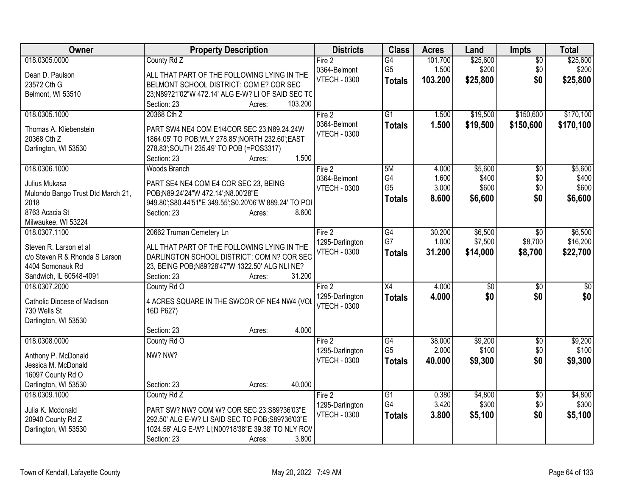| Owner                                       | <b>Property Description</b>                                                 | <b>Districts</b>                       | <b>Class</b>    | <b>Acres</b> | Land     | <b>Impts</b>    | <b>Total</b> |
|---------------------------------------------|-----------------------------------------------------------------------------|----------------------------------------|-----------------|--------------|----------|-----------------|--------------|
| 018.0305.0000                               | County Rd Z                                                                 | Fire 2                                 | $\overline{G4}$ | 101.700      | \$25,600 | $\overline{50}$ | \$25,600     |
| Dean D. Paulson                             | ALL THAT PART OF THE FOLLOWING LYING IN THE                                 | 0364-Belmont                           | G <sub>5</sub>  | 1.500        | \$200    | \$0             | \$200        |
| 23572 Cth G                                 | BELMONT SCHOOL DISTRICT: COM E? COR SEC                                     | <b>VTECH - 0300</b>                    | <b>Totals</b>   | 103.200      | \$25,800 | \$0             | \$25,800     |
| Belmont, WI 53510                           | 23;N89?21'02"W 472.14' ALG E-W? LI OF SAID SEC TC                           |                                        |                 |              |          |                 |              |
|                                             | 103.200<br>Section: 23<br>Acres:                                            |                                        |                 |              |          |                 |              |
| 018.0305.1000                               | 20368 Cth Z                                                                 | Fire 2                                 | $\overline{G1}$ | 1.500        | \$19,500 | \$150,600       | \$170,100    |
| Thomas A. Kliebenstein                      | PART SW4 NE4 COM E1/4COR SEC 23:N89.24.24W                                  | 0364-Belmont                           | <b>Totals</b>   | 1.500        | \$19,500 | \$150,600       | \$170,100    |
| 20368 Cth Z                                 | 1864.05' TO POB; WLY 278.85'; NORTH 232.60'; EAST                           | <b>VTECH - 0300</b>                    |                 |              |          |                 |              |
| Darlington, WI 53530                        | 278.83"; SOUTH 235.49' TO POB (=POS3317)                                    |                                        |                 |              |          |                 |              |
|                                             | 1.500<br>Section: 23<br>Acres:                                              |                                        |                 |              |          |                 |              |
| 018.0306.1000                               | <b>Woods Branch</b>                                                         | Fire 2                                 | 5M              | 4.000        | \$5,600  | \$0             | \$5,600      |
|                                             |                                                                             | 0364-Belmont                           | G4              | 1.600        | \$400    | \$0             | \$400        |
| Julius Mukasa                               | PART SE4 NE4 COM E4 COR SEC 23, BEING<br>POB;N89.24'24"W 472.14';N8.00'28"E | <b>VTECH - 0300</b>                    | G <sub>5</sub>  | 3.000        | \$600    | \$0             | \$600        |
| Mulondo Bango Trust Dtd March 21,<br>2018   | 949.80';S80.44'51"E 349.55';S0.20'06"W 889.24' TO POI                       |                                        | <b>Totals</b>   | 8.600        | \$6,600  | \$0             | \$6,600      |
| 8763 Acacia St                              | 8.600<br>Section: 23<br>Acres:                                              |                                        |                 |              |          |                 |              |
| Milwaukee, WI 53224                         |                                                                             |                                        |                 |              |          |                 |              |
| 018.0307.1100                               | 20662 Truman Cemetery Ln                                                    | Fire 2                                 | G4              | 30.200       | \$6,500  | $\sqrt[6]{30}$  | \$6,500      |
|                                             |                                                                             | 1295-Darlington                        | G7              | 1.000        | \$7,500  | \$8,700         | \$16,200     |
| Steven R. Larson et al                      | ALL THAT PART OF THE FOLLOWING LYING IN THE                                 | <b>VTECH - 0300</b>                    | <b>Totals</b>   | 31.200       | \$14,000 | \$8,700         | \$22,700     |
| c/o Steven R & Rhonda S Larson              | DARLINGTON SCHOOL DISTRICT: COM N? COR SEC                                  |                                        |                 |              |          |                 |              |
| 4404 Somonauk Rd<br>Sandwich, IL 60548-4091 | 23, BEING POB; N89?28'47"W 1322.50' ALG NLI NE?<br>31.200<br>Section: 23    |                                        |                 |              |          |                 |              |
| 018.0307.2000                               | Acres:<br>County Rd O                                                       | Fire 2                                 | X4              | 4.000        | \$0      | \$0             | \$0          |
|                                             |                                                                             | 1295-Darlington                        | <b>Totals</b>   | 4.000        | \$0      | \$0             | \$0          |
| Catholic Diocese of Madison                 | 4 ACRES SQUARE IN THE SWCOR OF NE4 NW4 (VOL                                 | <b>VTECH - 0300</b>                    |                 |              |          |                 |              |
| 730 Wells St                                | 16D P627)                                                                   |                                        |                 |              |          |                 |              |
| Darlington, WI 53530                        |                                                                             |                                        |                 |              |          |                 |              |
|                                             | 4.000<br>Section: 23<br>Acres:                                              |                                        |                 |              |          |                 |              |
| 018.0308.0000                               | County Rd O                                                                 | Fire 2                                 | G4              | 38.000       | \$9,200  | $\sqrt{6}$      | \$9,200      |
| Anthony P. McDonald                         | NW? NW?                                                                     | 1295-Darlington<br><b>VTECH - 0300</b> | G <sub>5</sub>  | 2.000        | \$100    | \$0             | \$100        |
| Jessica M. McDonald                         |                                                                             |                                        | <b>Totals</b>   | 40.000       | \$9,300  | \$0             | \$9,300      |
| 16097 County Rd O                           |                                                                             |                                        |                 |              |          |                 |              |
| Darlington, WI 53530                        | 40.000<br>Section: 23<br>Acres:                                             |                                        |                 |              |          |                 |              |
| 018.0309.1000                               | County Rd Z                                                                 | Fire 2                                 | $\overline{G1}$ | 0.380        | \$4,800  | $\overline{50}$ | \$4,800      |
| Julia K. Mcdonald                           | PART SW? NW? COM W? COR SEC 23;S89?36'03"E                                  | 1295-Darlington                        | G4              | 3.420        | \$300    | \$0             | \$300        |
| 20940 County Rd Z                           | 292.50' ALG E-W? LI SAID SEC TO POB; S89?36'03"E                            | <b>VTECH - 0300</b>                    | <b>Totals</b>   | 3.800        | \$5,100  | \$0             | \$5,100      |
| Darlington, WI 53530                        | 1024.56' ALG E-W? LI; N00?18'38" E 39.38' TO NLY ROV                        |                                        |                 |              |          |                 |              |
|                                             | 3.800<br>Section: 23<br>Acres:                                              |                                        |                 |              |          |                 |              |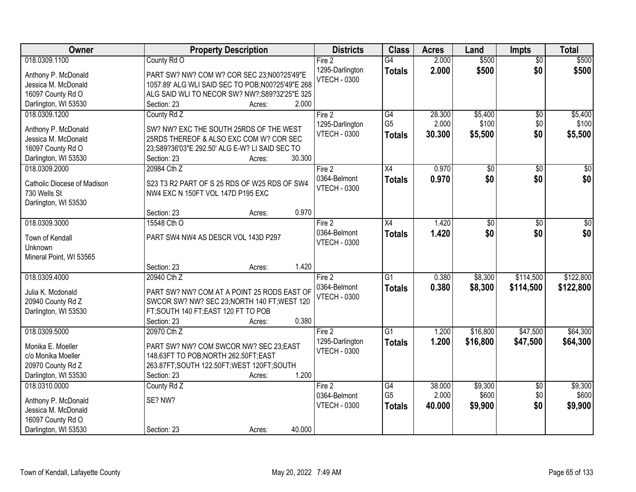| Owner                                      | <b>Property Description</b>                                                        | <b>Districts</b>    | <b>Class</b>    | <b>Acres</b> | Land            | <b>Impts</b>    | <b>Total</b> |
|--------------------------------------------|------------------------------------------------------------------------------------|---------------------|-----------------|--------------|-----------------|-----------------|--------------|
| 018.0309.1100                              | County Rd O                                                                        | Fire 2              | $\overline{G4}$ | 2.000        | \$500           | $\overline{50}$ | \$500        |
| Anthony P. McDonald                        | PART SW? NW? COM W? COR SEC 23;N00?25'49"E                                         | 1295-Darlington     | <b>Totals</b>   | 2.000        | \$500           | \$0             | \$500        |
| Jessica M. McDonald                        | 1057.89' ALG WLI SAID SEC TO POB; N00?25'49"E 268                                  | <b>VTECH - 0300</b> |                 |              |                 |                 |              |
| 16097 County Rd O                          | ALG SAID WLI TO NECOR SW? NW?;S89?32'25"E 325"                                     |                     |                 |              |                 |                 |              |
| Darlington, WI 53530                       | 2.000<br>Section: 23<br>Acres:                                                     |                     |                 |              |                 |                 |              |
| 018.0309.1200                              | County Rd Z                                                                        | Fire 2              | G4              | 28.300       | \$5,400         | \$0             | \$5,400      |
|                                            |                                                                                    | 1295-Darlington     | G <sub>5</sub>  | 2.000        | \$100           | \$0             | \$100        |
| Anthony P. McDonald<br>Jessica M. McDonald | SW? NW? EXC THE SOUTH 25RDS OF THE WEST<br>25RDS THEREOF & ALSO EXC COM W? COR SEC | <b>VTECH - 0300</b> | <b>Totals</b>   | 30.300       | \$5,500         | \$0             | \$5,500      |
| 16097 County Rd O                          | 23;S89?36'03"E 292.50' ALG E-W? LI SAID SEC TO                                     |                     |                 |              |                 |                 |              |
| Darlington, WI 53530                       | 30.300<br>Section: 23<br>Acres:                                                    |                     |                 |              |                 |                 |              |
| 018.0309.2000                              | 20984 Cth Z                                                                        | Fire 2              | X4              | 0.970        | $\overline{50}$ | \$0             | $\sqrt{50}$  |
|                                            |                                                                                    | 0364-Belmont        | <b>Totals</b>   | 0.970        | \$0             | \$0             | \$0          |
| Catholic Diocese of Madison                | S23 T3 R2 PART OF S 25 RDS OF W25 RDS OF SW4                                       | <b>VTECH - 0300</b> |                 |              |                 |                 |              |
| 730 Wells St                               | NW4 EXC N 150FT VOL 147D P195 EXC                                                  |                     |                 |              |                 |                 |              |
| Darlington, WI 53530                       |                                                                                    |                     |                 |              |                 |                 |              |
|                                            | 0.970<br>Section: 23<br>Acres:                                                     |                     |                 |              |                 |                 |              |
| 018.0309.3000                              | 15548 Cth O                                                                        | Fire 2              | X4              | 1.420        | \$0             | \$0             | $\sqrt{50}$  |
| Town of Kendall                            | PART SW4 NW4 AS DESCR VOL 143D P297                                                | 0364-Belmont        | <b>Totals</b>   | 1.420        | \$0             | \$0             | \$0          |
| Unknown                                    |                                                                                    | <b>VTECH - 0300</b> |                 |              |                 |                 |              |
| Mineral Point, WI 53565                    |                                                                                    |                     |                 |              |                 |                 |              |
|                                            | 1.420<br>Section: 23<br>Acres:                                                     |                     |                 |              |                 |                 |              |
| 018.0309.4000                              | 20940 Cth Z                                                                        | Fire 2              | $\overline{G1}$ | 0.380        | \$8,300         | \$114,500       | \$122,800    |
| Julia K. Mcdonald                          | PART SW? NW? COM AT A POINT 25 RODS EAST OF                                        | 0364-Belmont        | <b>Totals</b>   | 0.380        | \$8,300         | \$114,500       | \$122,800    |
| 20940 County Rd Z                          | SWCOR SW? NW? SEC 23; NORTH 140 FT; WEST 120                                       | <b>VTECH - 0300</b> |                 |              |                 |                 |              |
| Darlington, WI 53530                       | FT;SOUTH 140 FT;EAST 120 FT TO POB                                                 |                     |                 |              |                 |                 |              |
|                                            | 0.380<br>Section: 23<br>Acres:                                                     |                     |                 |              |                 |                 |              |
| 018.0309.5000                              | 20970 Cth Z                                                                        | Fire 2              | $\overline{G1}$ | 1.200        | \$16,800        | \$47,500        | \$64,300     |
| Monika E. Moeller                          | PART SW? NW? COM SWCOR NW? SEC 23:EAST                                             | 1295-Darlington     | <b>Totals</b>   | 1.200        | \$16,800        | \$47,500        | \$64,300     |
| c/o Monika Moeller                         | 148.63FT TO POB;NORTH 262.50FT;EAST                                                | <b>VTECH - 0300</b> |                 |              |                 |                 |              |
| 20970 County Rd Z                          | 263.87FT;SOUTH 122.50FT;WEST 120FT;SOUTH                                           |                     |                 |              |                 |                 |              |
| Darlington, WI 53530                       | 1.200<br>Section: 23<br>Acres:                                                     |                     |                 |              |                 |                 |              |
| 018.0310.0000                              | County Rd Z                                                                        | Fire 2              | G4              | 38.000       | \$9,300         | $\overline{60}$ | \$9,300      |
|                                            |                                                                                    | 0364-Belmont        | G <sub>5</sub>  | 2.000        | \$600           | \$0             | \$600        |
| Anthony P. McDonald                        | SE? NW?                                                                            | <b>VTECH - 0300</b> | <b>Totals</b>   | 40.000       | \$9,900         | \$0             | \$9,900      |
| Jessica M. McDonald                        |                                                                                    |                     |                 |              |                 |                 |              |
| 16097 County Rd O                          |                                                                                    |                     |                 |              |                 |                 |              |
| Darlington, WI 53530                       | 40.000<br>Section: 23<br>Acres:                                                    |                     |                 |              |                 |                 |              |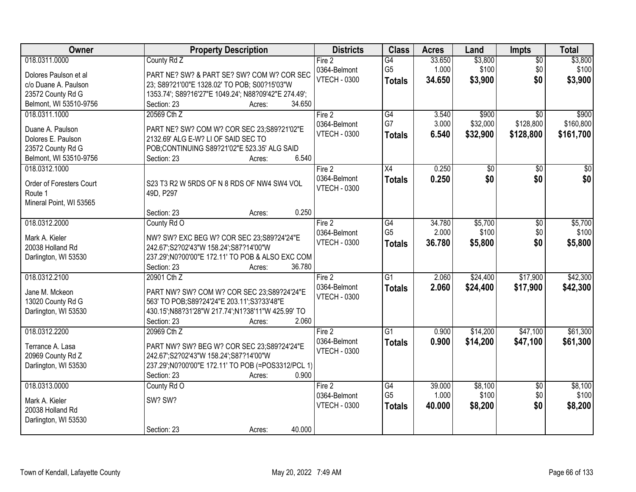| Owner                    | <b>Property Description</b>                          | <b>Districts</b>       | <b>Class</b>         | <b>Acres</b>    | Land             | <b>Impts</b>           | <b>Total</b>     |
|--------------------------|------------------------------------------------------|------------------------|----------------------|-----------------|------------------|------------------------|------------------|
| 018.0311.0000            | County Rd Z                                          | Fire 2<br>0364-Belmont | G4<br>G <sub>5</sub> | 33.650<br>1.000 | \$3,800<br>\$100 | $\overline{50}$<br>\$0 | \$3,800<br>\$100 |
| Dolores Paulson et al    | PART NE? SW? & PART SE? SW? COM W? COR SEC           | <b>VTECH - 0300</b>    | <b>Totals</b>        | 34.650          | \$3,900          | \$0                    | \$3,900          |
| c/o Duane A. Paulson     | 23; S89?21'00"E 1328.02' TO POB; S00?15'03"W         |                        |                      |                 |                  |                        |                  |
| 23572 County Rd G        | 1353.74'; S89?16'27"E 1049.24'; N88?09'42"E 274.49'; |                        |                      |                 |                  |                        |                  |
| Belmont, WI 53510-9756   | 34.650<br>Section: 23<br>Acres:                      |                        |                      |                 |                  |                        |                  |
| 018.0311.1000            | 20569 Cth Z                                          | Fire 2                 | G4                   | 3.540           | \$900            | $\overline{50}$        | \$900            |
| Duane A. Paulson         | PART NE? SW? COM W? COR SEC 23;S89?21'02"E           | 0364-Belmont           | G7                   | 3.000           | \$32,000         | \$128,800              | \$160,800        |
| Dolores E. Paulson       | 2132.69' ALG E-W? LI OF SAID SEC TO                  | <b>VTECH - 0300</b>    | <b>Totals</b>        | 6.540           | \$32,900         | \$128,800              | \$161,700        |
| 23572 County Rd G        | POB;CONTINUING S89?21'02"E 523.35' ALG SAID          |                        |                      |                 |                  |                        |                  |
| Belmont, WI 53510-9756   | 6.540<br>Section: 23<br>Acres:                       |                        |                      |                 |                  |                        |                  |
| 018.0312.1000            |                                                      | Fire $2$               | X4                   | 0.250           | \$0              | \$0                    | \$0              |
|                          |                                                      | 0364-Belmont           | <b>Totals</b>        | 0.250           | \$0              | \$0                    | \$0              |
| Order of Foresters Court | S23 T3 R2 W 5RDS OF N 8 RDS OF NW4 SW4 VOL           | <b>VTECH - 0300</b>    |                      |                 |                  |                        |                  |
| Route 1                  | 49D, P297                                            |                        |                      |                 |                  |                        |                  |
| Mineral Point, WI 53565  | 0.250<br>Section: 23<br>Acres:                       |                        |                      |                 |                  |                        |                  |
| 018.0312.2000            | County Rd O                                          | Fire 2                 | G4                   | 34.780          | \$5,700          | \$0                    | \$5,700          |
|                          |                                                      | 0364-Belmont           | G <sub>5</sub>       | 2.000           | \$100            | \$0                    | \$100            |
| Mark A. Kieler           | NW? SW? EXC BEG W? COR SEC 23;S89?24'24"E            | <b>VTECH - 0300</b>    |                      | 36.780          | \$5,800          | \$0                    |                  |
| 20038 Holland Rd         | 242.67';S2?02'43"W 158.24';S87?14'00"W               |                        | <b>Totals</b>        |                 |                  |                        | \$5,800          |
| Darlington, WI 53530     | 237.29'; N0?00'00" E 172.11' TO POB & ALSO EXC COM   |                        |                      |                 |                  |                        |                  |
|                          | 36.780<br>Section: 23<br>Acres:                      |                        |                      |                 |                  |                        |                  |
| 018.0312.2100            | 20901 Cth Z                                          | Fire 2                 | $\overline{G1}$      | 2.060           | \$24,400         | \$17,900               | \$42,300         |
| Jane M. Mckeon           | PART NW? SW? COM W? COR SEC 23;S89?24'24"E           | 0364-Belmont           | <b>Totals</b>        | 2.060           | \$24,400         | \$17,900               | \$42,300         |
| 13020 County Rd G        | 563' TO POB: S89? 24' 24" E 203.11': S3? 33' 48" E   | <b>VTECH - 0300</b>    |                      |                 |                  |                        |                  |
| Darlington, WI 53530     | 430.15';N88?31'28"W 217.74';N1?38'11"W 425.99' TO    |                        |                      |                 |                  |                        |                  |
|                          | 2.060<br>Section: 23<br>Acres:                       |                        |                      |                 |                  |                        |                  |
| 018.0312.2200            | 20969 Cth Z                                          | Fire 2                 | $\overline{G1}$      | 0.900           | \$14,200         | \$47,100               | \$61,300         |
|                          |                                                      | 0364-Belmont           | <b>Totals</b>        | 0.900           | \$14,200         | \$47,100               | \$61,300         |
| Terrance A. Lasa         | PART NW? SW? BEG W? COR SEC 23:S89?24'24"E           | <b>VTECH - 0300</b>    |                      |                 |                  |                        |                  |
| 20969 County Rd Z        | 242.67';S2?02'43"W 158.24';S87?14'00"W               |                        |                      |                 |                  |                        |                  |
| Darlington, WI 53530     | 237.29';N0?00'00"E 172.11' TO POB (=POS3312/PCL 1)   |                        |                      |                 |                  |                        |                  |
|                          | 0.900<br>Section: 23<br>Acres:                       |                        |                      |                 |                  |                        |                  |
| 018.0313.0000            | County Rd O                                          | Fire 2                 | G4                   | 39.000          | \$8,100          | $\overline{50}$        | \$8,100          |
| Mark A. Kieler           | SW? SW?                                              | 0364-Belmont           | G <sub>5</sub>       | 1.000           | \$100            | \$0                    | \$100            |
| 20038 Holland Rd         |                                                      | <b>VTECH - 0300</b>    | <b>Totals</b>        | 40.000          | \$8,200          | \$0                    | \$8,200          |
| Darlington, WI 53530     |                                                      |                        |                      |                 |                  |                        |                  |
|                          | 40.000<br>Section: 23<br>Acres:                      |                        |                      |                 |                  |                        |                  |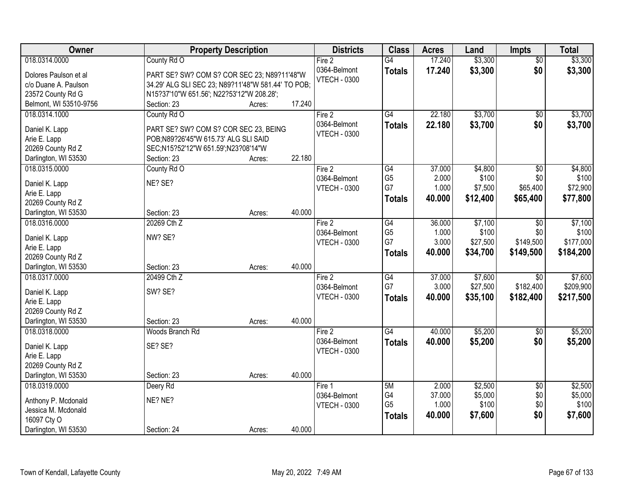| Owner<br><b>Class</b><br><b>Property Description</b><br><b>Districts</b><br><b>Acres</b><br>Land<br><b>Impts</b>                          | <b>Total</b>     |
|-------------------------------------------------------------------------------------------------------------------------------------------|------------------|
| 17.240<br>\$3,300<br>018.0314.0000<br>County Rd O<br>$\overline{G4}$<br>Fire <sub>2</sub><br>$\overline{50}$                              | \$3,300          |
| 0364-Belmont<br>\$0<br>17.240<br>\$3,300<br><b>Totals</b><br>PART SE? SW? COM S? COR SEC 23; N89?11'48"W<br>Dolores Paulson et al         | \$3,300          |
| <b>VTECH - 0300</b><br>34.29' ALG SLI SEC 23; N89?11'48"W 581.44' TO POB;<br>c/o Duane A. Paulson                                         |                  |
| 23572 County Rd G<br>N15?37'10"W 651.56'; N22?53'12"W 208.28';                                                                            |                  |
| 17.240<br>Belmont, WI 53510-9756<br>Section: 23<br>Acres:                                                                                 |                  |
| \$3,700<br>018.0314.1000<br>County Rd O<br>$\overline{G4}$<br>22.180<br>Fire 2<br>\$0                                                     | \$3,700          |
| 22.180<br>\$3,700<br>\$0<br>0364-Belmont<br><b>Totals</b>                                                                                 | \$3,700          |
| PART SE? SW? COM S? COR SEC 23, BEING<br>Daniel K. Lapp<br><b>VTECH - 0300</b>                                                            |                  |
| Arie E. Lapp<br>POB;N89?26'45"W 615.73' ALG SLI SAID                                                                                      |                  |
| 20269 County Rd Z<br>SEC;N15?52'12"W 651.59';N23?08'14"W<br>22.180<br>Section: 23                                                         |                  |
| Darlington, WI 53530<br>Acres:<br>$\overline{G4}$                                                                                         |                  |
| 37.000<br>\$4,800<br>$\overline{50}$<br>018.0315.0000<br>County Rd O<br>Fire 2<br>G <sub>5</sub><br>2.000<br>\$100<br>\$0<br>0364-Belmont | \$4,800<br>\$100 |
| NE? SE?<br>Daniel K. Lapp<br>G7<br>1.000<br>\$7,500<br>\$65,400<br><b>VTECH - 0300</b>                                                    | \$72,900         |
| Arie E. Lapp<br>40.000<br>\$12,400<br>\$65,400<br><b>Totals</b>                                                                           | \$77,800         |
| 20269 County Rd Z                                                                                                                         |                  |
| 40.000<br>Section: 23<br>Darlington, WI 53530<br>Acres:                                                                                   |                  |
| 20269 Cth Z<br>018.0316.0000<br>G4<br>36.000<br>\$7,100<br>Fire $2$<br>$\overline{50}$                                                    | \$7,100          |
| G <sub>5</sub><br>\$100<br>0364-Belmont<br>1.000<br>\$0<br>NW? SE?<br>Daniel K. Lapp                                                      | \$100            |
| G7<br>\$149,500<br>3.000<br>\$27,500<br><b>VTECH - 0300</b><br>Arie E. Lapp                                                               | \$177,000        |
| 40.000<br>\$34,700<br>\$149,500<br><b>Totals</b><br>20269 County Rd Z                                                                     | \$184,200        |
| 40.000<br>Darlington, WI 53530<br>Section: 23<br>Acres:                                                                                   |                  |
| G4<br>37.000<br>\$7,600<br>20499 Cth Z<br>$\overline{50}$<br>018.0317.0000<br>Fire 2                                                      | \$7,600          |
| G7<br>\$182,400<br>3.000<br>\$27,500<br>0364-Belmont                                                                                      | \$209,900        |
| SW? SE?<br>Daniel K. Lapp<br>40.000<br>\$35,100<br><b>VTECH - 0300</b><br>\$182,400<br><b>Totals</b>                                      | \$217,500        |
| Arie E. Lapp                                                                                                                              |                  |
| 20269 County Rd Z                                                                                                                         |                  |
| 40.000<br>Darlington, WI 53530<br>Section: 23<br>Acres:                                                                                   |                  |
| \$5,200<br>018.0318.0000<br>G4<br>40.000<br>Woods Branch Rd<br>$\sqrt{$0}$<br>Fire 2                                                      | \$5,200          |
| 0364-Belmont<br>\$5,200<br>\$0<br>40.000<br><b>Totals</b><br>SE? SE?<br>Daniel K. Lapp                                                    | \$5,200          |
| <b>VTECH - 0300</b><br>Arie E. Lapp                                                                                                       |                  |
| 20269 County Rd Z                                                                                                                         |                  |
| 40.000<br>Darlington, WI 53530<br>Section: 23<br>Acres:                                                                                   |                  |
| 018.0319.0000<br>5M<br>2.000<br>\$2,500<br>Deery Rd<br>$\overline{50}$<br>Fire 1                                                          | \$2,500          |
| G4<br>37.000<br>\$5,000<br>0364-Belmont<br>\$0<br>NE? NE?<br>Anthony P. Mcdonald                                                          | \$5,000          |
| G <sub>5</sub><br>1.000<br>\$100<br>\$0<br><b>VTECH - 0300</b><br>Jessica M. Mcdonald                                                     | \$100            |
| \$0<br>40.000<br>\$7,600<br><b>Totals</b><br>16097 Cty O                                                                                  | \$7,600          |
| 40.000<br>Darlington, WI 53530<br>Section: 24<br>Acres:                                                                                   |                  |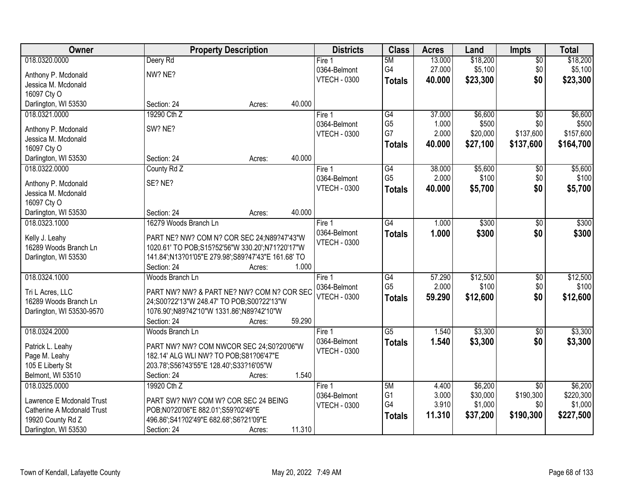| Owner                                   | <b>Property Description</b>                                                                   | <b>Districts</b>    | <b>Class</b>    | <b>Acres</b> | Land     | <b>Impts</b>    | <b>Total</b> |
|-----------------------------------------|-----------------------------------------------------------------------------------------------|---------------------|-----------------|--------------|----------|-----------------|--------------|
| 018.0320.0000                           | Deery Rd                                                                                      | Fire 1              | 5M              | 13.000       | \$18,200 | $\sqrt{$0}$     | \$18,200     |
| Anthony P. Mcdonald                     | NW? NE?                                                                                       | 0364-Belmont        | G4              | 27.000       | \$5,100  | \$0             | \$5,100      |
| Jessica M. Mcdonald                     |                                                                                               | <b>VTECH - 0300</b> | <b>Totals</b>   | 40.000       | \$23,300 | \$0             | \$23,300     |
| 16097 Cty O                             |                                                                                               |                     |                 |              |          |                 |              |
| Darlington, WI 53530                    | 40.000<br>Section: 24<br>Acres:                                                               |                     |                 |              |          |                 |              |
| 018.0321.0000                           | 19290 Cth Z                                                                                   | Fire 1              | G4              | 37.000       | \$6,600  | $\overline{50}$ | \$6,600      |
|                                         |                                                                                               | 0364-Belmont        | G <sub>5</sub>  | 1.000        | \$500    | \$0             | \$500        |
| Anthony P. Mcdonald                     | SW? NE?                                                                                       | <b>VTECH - 0300</b> | G7              | 2.000        | \$20,000 | \$137,600       | \$157,600    |
| Jessica M. Mcdonald                     |                                                                                               |                     | <b>Totals</b>   | 40.000       | \$27,100 | \$137,600       | \$164,700    |
| 16097 Cty O                             |                                                                                               |                     |                 |              |          |                 |              |
| Darlington, WI 53530                    | 40.000<br>Section: 24<br>Acres:                                                               |                     |                 |              |          |                 |              |
| 018.0322.0000                           | County Rd Z                                                                                   | Fire 1              | $\overline{G4}$ | 38.000       | \$5,600  | \$0             | \$5,600      |
| Anthony P. Mcdonald                     | SE? NE?                                                                                       | 0364-Belmont        | G <sub>5</sub>  | 2.000        | \$100    | \$0             | \$100        |
| Jessica M. Mcdonald                     |                                                                                               | <b>VTECH - 0300</b> | <b>Totals</b>   | 40.000       | \$5,700  | \$0             | \$5,700      |
| 16097 Cty O                             |                                                                                               |                     |                 |              |          |                 |              |
| Darlington, WI 53530                    | 40.000<br>Section: 24<br>Acres:                                                               |                     |                 |              |          |                 |              |
| 018.0323.1000                           | 16279 Woods Branch Ln                                                                         | Fire 1              | G4              | 1.000        | \$300    | $\frac{1}{20}$  | \$300        |
|                                         |                                                                                               | 0364-Belmont        | <b>Totals</b>   | 1.000        | \$300    | \$0             | \$300        |
| Kelly J. Leahy<br>16289 Woods Branch Ln | PART NE? NW? COM N? COR SEC 24;N89?47'43"W<br>1020.61' TO POB;S15?52'56"W 330.20';N71?20'17"W | <b>VTECH - 0300</b> |                 |              |          |                 |              |
|                                         | 141.84';N13?01'05"E 279.98';S89?47'43"E 161.68' TO                                            |                     |                 |              |          |                 |              |
| Darlington, WI 53530                    | Section: 24<br>1.000<br>Acres:                                                                |                     |                 |              |          |                 |              |
| 018.0324.1000                           | Woods Branch Ln                                                                               | Fire 1              | $\overline{G4}$ | 57.290       | \$12,500 | $\overline{50}$ | \$12,500     |
|                                         |                                                                                               |                     | G <sub>5</sub>  | 2.000        | \$100    | \$0             | \$100        |
| Tri L Acres, LLC                        | PART NW? NW? & PART NE? NW? COM N? COR SEC                                                    | 0364-Belmont        |                 |              |          |                 |              |
| 16289 Woods Branch Ln                   | 24;S00?22'13"W 248.47' TO POB;S00?22'13"W                                                     | <b>VTECH - 0300</b> | <b>Totals</b>   | 59.290       | \$12,600 | \$0             | \$12,600     |
| Darlington, WI 53530-9570               | 1076.90';N89?42'10"W 1331.86';N89?42'10"W                                                     |                     |                 |              |          |                 |              |
|                                         | 59.290<br>Section: 24<br>Acres:                                                               |                     |                 |              |          |                 |              |
| 018.0324.2000                           | Woods Branch Ln                                                                               | Fire 1              | $\overline{G5}$ | 1.540        | \$3,300  | \$0             | \$3,300      |
| Patrick L. Leahy                        | PART NW? NW? COM NWCOR SEC 24;S0?20'06"W                                                      | 0364-Belmont        | <b>Totals</b>   | 1.540        | \$3,300  | \$0             | \$3,300      |
| Page M. Leahy                           | 182.14' ALG WLI NW? TO POB; S81? 06'47"E                                                      | <b>VTECH - 0300</b> |                 |              |          |                 |              |
| 105 E Liberty St                        | 203.78';S56?43'55"E 128.40';S33?16'05"W                                                       |                     |                 |              |          |                 |              |
| Belmont, WI 53510                       | 1.540<br>Section: 24<br>Acres:                                                                |                     |                 |              |          |                 |              |
| 018.0325.0000                           | 19920 Cth Z                                                                                   | Fire 1              | 5M              | 4.400        | \$6,200  | $\overline{30}$ | \$6,200      |
|                                         |                                                                                               | 0364-Belmont        | G <sub>1</sub>  | 3.000        | \$30,000 | \$190,300       | \$220,300    |
| Lawrence E Mcdonald Trust               | PART SW? NW? COM W? COR SEC 24 BEING                                                          | <b>VTECH - 0300</b> | G4              | 3.910        | \$1,000  | \$0             | \$1,000      |
| <b>Catherine A Mcdonald Trust</b>       | POB;N0?20'06"E 882.01';S59?02'49"E                                                            |                     | <b>Totals</b>   | 11.310       | \$37,200 | \$190,300       | \$227,500    |
| 19920 County Rd Z                       | 496.86';S41?02'49"E 682.68';S6?21'09"E                                                        |                     |                 |              |          |                 |              |
| Darlington, WI 53530                    | 11.310<br>Section: 24<br>Acres:                                                               |                     |                 |              |          |                 |              |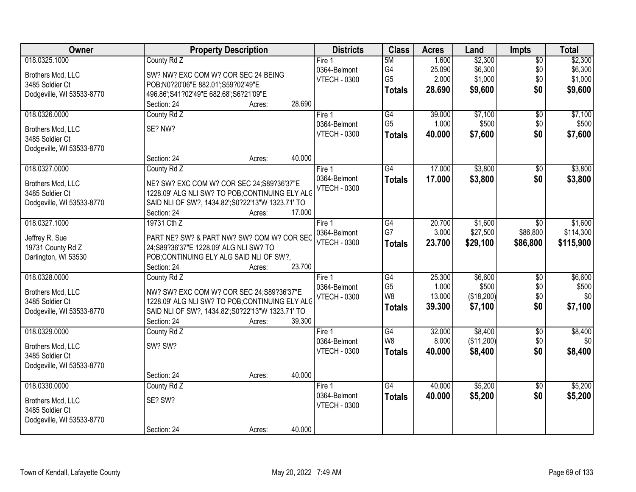| Owner                                | <b>Property Description</b>                                                | <b>Districts</b>    | <b>Class</b>    | <b>Acres</b> | Land       | <b>Impts</b>    | <b>Total</b> |
|--------------------------------------|----------------------------------------------------------------------------|---------------------|-----------------|--------------|------------|-----------------|--------------|
| 018.0325.1000                        | County Rd Z                                                                | Fire $1$            | 5M              | 1.600        | \$2,300    | $\overline{50}$ | \$2,300      |
| Brothers Mcd, LLC                    | SW? NW? EXC COM W? COR SEC 24 BEING                                        | 0364-Belmont        | G4              | 25.090       | \$6,300    | \$0             | \$6,300      |
| 3485 Soldier Ct                      | POB;N0?20'06"E 882.01';S59?02'49"E                                         | <b>VTECH - 0300</b> | G <sub>5</sub>  | 2.000        | \$1,000    | \$0             | \$1,000      |
| Dodgeville, WI 53533-8770            | 496.86';S41?02'49"E 682.68';S6?21'09"E                                     |                     | <b>Totals</b>   | 28.690       | \$9,600    | \$0             | \$9,600      |
|                                      | 28.690<br>Section: 24<br>Acres:                                            |                     |                 |              |            |                 |              |
| 018.0326.0000                        | County Rd Z                                                                | Fire 1              | G4              | 39.000       | \$7,100    | $\overline{50}$ | \$7,100      |
|                                      | SE? NW?                                                                    | 0364-Belmont        | G <sub>5</sub>  | 1.000        | \$500      | \$0             | \$500        |
| Brothers Mcd, LLC<br>3485 Soldier Ct |                                                                            | <b>VTECH - 0300</b> | <b>Totals</b>   | 40.000       | \$7,600    | \$0             | \$7,600      |
| Dodgeville, WI 53533-8770            |                                                                            |                     |                 |              |            |                 |              |
|                                      | Section: 24<br>40.000<br>Acres:                                            |                     |                 |              |            |                 |              |
| 018.0327.0000                        | County Rd Z                                                                | Fire <sub>1</sub>   | G4              | 17.000       | \$3,800    | \$0             | \$3,800      |
|                                      |                                                                            | 0364-Belmont        | <b>Totals</b>   | 17.000       | \$3,800    | \$0             | \$3,800      |
| Brothers Mcd, LLC                    | NE? SW? EXC COM W? COR SEC 24;S89?36'37"E                                  | <b>VTECH - 0300</b> |                 |              |            |                 |              |
| 3485 Soldier Ct                      | 1228.09' ALG NLI SW? TO POB;CONTINUING ELY ALC                             |                     |                 |              |            |                 |              |
| Dodgeville, WI 53533-8770            | SAID NLI OF SW?, 1434.82'; S0?22'13"W 1323.71' TO<br>17.000<br>Section: 24 |                     |                 |              |            |                 |              |
| 018.0327.1000                        | Acres:<br>19731 Cth Z                                                      | Fire 1              | G4              | 20.700       | \$1,600    | \$0             | \$1,600      |
|                                      |                                                                            | 0364-Belmont        | G7              | 3.000        | \$27,500   | \$86,800        | \$114,300    |
| Jeffrey R. Sue                       | PART NE? SW? & PART NW? SW? COM W? COR SEC                                 | <b>VTECH - 0300</b> |                 |              |            |                 |              |
| 19731 County Rd Z                    | 24;S89?36'37"E 1228.09' ALG NLI SW? TO                                     |                     | <b>Totals</b>   | 23.700       | \$29,100   | \$86,800        | \$115,900    |
| Darlington, WI 53530                 | POB; CONTINUING ELY ALG SAID NLI OF SW?,                                   |                     |                 |              |            |                 |              |
|                                      | 23.700<br>Section: 24<br>Acres:                                            |                     |                 |              |            |                 |              |
| 018.0328.0000                        | County Rd Z                                                                | Fire 1              | G4              | 25.300       | \$6,600    | $\overline{50}$ | \$6,600      |
| Brothers Mcd, LLC                    | NW? SW? EXC COM W? COR SEC 24;S89?36'37"E                                  | 0364-Belmont        | G <sub>5</sub>  | 1.000        | \$500      | \$0             | \$500        |
| 3485 Soldier Ct                      | 1228.09' ALG NLI SW? TO POB;CONTINUING ELY ALC                             | <b>VTECH - 0300</b> | W <sub>8</sub>  | 13.000       | (\$18,200) | \$0             | \$0          |
| Dodgeville, WI 53533-8770            | SAID NLI OF SW?, 1434.82'; S0?22'13"W 1323.71' TO                          |                     | <b>Totals</b>   | 39.300       | \$7,100    | \$0             | \$7,100      |
|                                      | 39.300<br>Section: 24<br>Acres:                                            |                     |                 |              |            |                 |              |
| 018.0329.0000                        | County Rd Z                                                                | Fire 1              | $\overline{G4}$ | 32.000       | \$8,400    | $\overline{50}$ | \$8,400      |
| Brothers Mcd, LLC                    | SW? SW?                                                                    | 0364-Belmont        | W8              | 8.000        | (\$11,200) | \$0             | \$0          |
| 3485 Soldier Ct                      |                                                                            | <b>VTECH - 0300</b> | <b>Totals</b>   | 40.000       | \$8,400    | \$0             | \$8,400      |
| Dodgeville, WI 53533-8770            |                                                                            |                     |                 |              |            |                 |              |
|                                      | 40.000<br>Section: 24<br>Acres:                                            |                     |                 |              |            |                 |              |
| 018.0330.0000                        | County Rd Z                                                                | Fire 1              | $\overline{G4}$ | 40.000       | \$5,200    | $\overline{50}$ | \$5,200      |
|                                      |                                                                            | 0364-Belmont        | <b>Totals</b>   | 40.000       | \$5,200    | \$0             | \$5,200      |
| Brothers Mcd, LLC                    | SE? SW?                                                                    | <b>VTECH - 0300</b> |                 |              |            |                 |              |
| 3485 Soldier Ct                      |                                                                            |                     |                 |              |            |                 |              |
| Dodgeville, WI 53533-8770            |                                                                            |                     |                 |              |            |                 |              |
|                                      | 40.000<br>Section: 24<br>Acres:                                            |                     |                 |              |            |                 |              |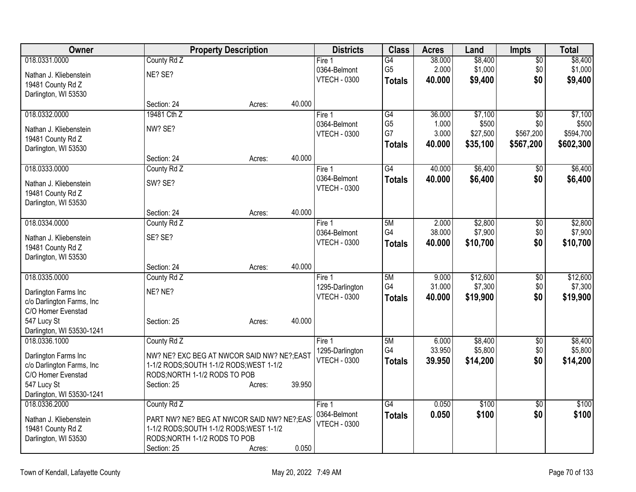| Owner                     |                                             | <b>Property Description</b> |        | <b>Districts</b>    | <b>Class</b>    | <b>Acres</b> | Land     | <b>Impts</b>    | <b>Total</b> |
|---------------------------|---------------------------------------------|-----------------------------|--------|---------------------|-----------------|--------------|----------|-----------------|--------------|
| 018.0331.0000             | County Rd Z                                 |                             |        | Fire 1              | G4              | 38.000       | \$8,400  | $\overline{50}$ | \$8,400      |
| Nathan J. Kliebenstein    | NE? SE?                                     |                             |        | 0364-Belmont        | G <sub>5</sub>  | 2.000        | \$1,000  | \$0             | \$1,000      |
| 19481 County Rd Z         |                                             |                             |        | <b>VTECH - 0300</b> | <b>Totals</b>   | 40.000       | \$9,400  | \$0             | \$9,400      |
| Darlington, WI 53530      |                                             |                             |        |                     |                 |              |          |                 |              |
|                           | Section: 24                                 | Acres:                      | 40.000 |                     |                 |              |          |                 |              |
| 018.0332.0000             | 19481 Cth Z                                 |                             |        | Fire 1              | G4              | 36.000       | \$7,100  | $\overline{60}$ | \$7,100      |
| Nathan J. Kliebenstein    | NW? SE?                                     |                             |        | 0364-Belmont        | G <sub>5</sub>  | 1.000        | \$500    | \$0             | \$500        |
| 19481 County Rd Z         |                                             |                             |        | <b>VTECH - 0300</b> | G7              | 3.000        | \$27,500 | \$567,200       | \$594,700    |
| Darlington, WI 53530      |                                             |                             |        |                     | <b>Totals</b>   | 40.000       | \$35,100 | \$567,200       | \$602,300    |
|                           | Section: 24                                 | Acres:                      | 40.000 |                     |                 |              |          |                 |              |
| 018.0333.0000             | County Rd Z                                 |                             |        | Fire 1              | G4              | 40.000       | \$6,400  | \$0             | \$6,400      |
| Nathan J. Kliebenstein    | SW? SE?                                     |                             |        | 0364-Belmont        | <b>Totals</b>   | 40.000       | \$6,400  | \$0             | \$6,400      |
| 19481 County Rd Z         |                                             |                             |        | <b>VTECH - 0300</b> |                 |              |          |                 |              |
| Darlington, WI 53530      |                                             |                             |        |                     |                 |              |          |                 |              |
|                           | Section: 24                                 | Acres:                      | 40.000 |                     |                 |              |          |                 |              |
| 018.0334.0000             | County Rd Z                                 |                             |        | Fire 1              | 5M              | 2.000        | \$2,800  | $\overline{50}$ | \$2,800      |
| Nathan J. Kliebenstein    | SE? SE?                                     |                             |        | 0364-Belmont        | G4              | 38.000       | \$7,900  | \$0             | \$7,900      |
| 19481 County Rd Z         |                                             |                             |        | <b>VTECH - 0300</b> | <b>Totals</b>   | 40.000       | \$10,700 | \$0             | \$10,700     |
| Darlington, WI 53530      |                                             |                             |        |                     |                 |              |          |                 |              |
|                           | Section: 24                                 | Acres:                      | 40.000 |                     |                 |              |          |                 |              |
| 018.0335.0000             | County Rd Z                                 |                             |        | Fire 1              | 5M              | 9.000        | \$12,600 | $\overline{50}$ | \$12,600     |
| Darlington Farms Inc      | NE? NE?                                     |                             |        | 1295-Darlington     | G4              | 31.000       | \$7,300  | \$0             | \$7,300      |
| c/o Darlington Farms, Inc |                                             |                             |        | <b>VTECH - 0300</b> | <b>Totals</b>   | 40.000       | \$19,900 | \$0             | \$19,900     |
| C/O Homer Evenstad        |                                             |                             |        |                     |                 |              |          |                 |              |
| 547 Lucy St               | Section: 25                                 | Acres:                      | 40.000 |                     |                 |              |          |                 |              |
| Darlington, WI 53530-1241 |                                             |                             |        |                     |                 |              |          |                 |              |
| 018.0336.1000             | County Rd Z                                 |                             |        | Fire 1              | 5M              | 6.000        | \$8,400  | $\sqrt{6}$      | \$8,400      |
| Darlington Farms Inc      | NW? NE? EXC BEG AT NWCOR SAID NW? NE?; EAST |                             |        | 1295-Darlington     | G4              | 33.950       | \$5,800  | \$0             | \$5,800      |
| c/o Darlington Farms, Inc | 1-1/2 RODS; SOUTH 1-1/2 RODS; WEST 1-1/2    |                             |        | <b>VTECH - 0300</b> | <b>Totals</b>   | 39.950       | \$14,200 | \$0             | \$14,200     |
| C/O Homer Evenstad        | RODS; NORTH 1-1/2 RODS TO POB               |                             |        |                     |                 |              |          |                 |              |
| 547 Lucy St               | Section: 25                                 | Acres:                      | 39.950 |                     |                 |              |          |                 |              |
| Darlington, WI 53530-1241 |                                             |                             |        |                     |                 |              |          |                 |              |
| 018.0336.2000             | County Rd Z                                 |                             |        | Fire 1              | $\overline{G4}$ | 0.050        | \$100    | $\sqrt{6}$      | \$100        |
| Nathan J. Kliebenstein    | PART NW? NE? BEG AT NWCOR SAID NW? NE?; EAS |                             |        | 0364-Belmont        | <b>Totals</b>   | 0.050        | \$100    | \$0             | \$100        |
| 19481 County Rd Z         | 1-1/2 RODS;SOUTH 1-1/2 RODS;WEST 1-1/2      |                             |        | <b>VTECH - 0300</b> |                 |              |          |                 |              |
| Darlington, WI 53530      | RODS; NORTH 1-1/2 RODS TO POB               |                             |        |                     |                 |              |          |                 |              |
|                           | Section: 25                                 | Acres:                      | 0.050  |                     |                 |              |          |                 |              |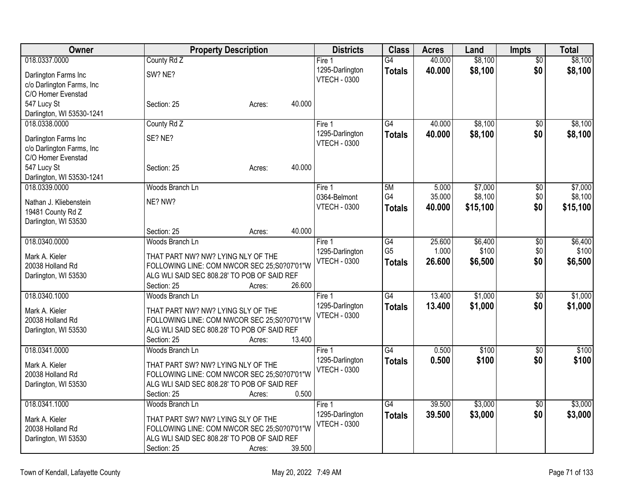| Owner                     | <b>Property Description</b>                                                                | <b>Districts</b>    | <b>Class</b>    | <b>Acres</b> | Land     | <b>Impts</b>    | <b>Total</b> |
|---------------------------|--------------------------------------------------------------------------------------------|---------------------|-----------------|--------------|----------|-----------------|--------------|
| 018.0337.0000             | County Rd Z                                                                                | Fire 1              | G4              | 40.000       | \$8,100  | \$0             | \$8,100      |
| Darlington Farms Inc      | SW? NE?                                                                                    | 1295-Darlington     | <b>Totals</b>   | 40.000       | \$8,100  | \$0             | \$8,100      |
| c/o Darlington Farms, Inc |                                                                                            | <b>VTECH - 0300</b> |                 |              |          |                 |              |
| C/O Homer Evenstad        |                                                                                            |                     |                 |              |          |                 |              |
| 547 Lucy St               | 40.000<br>Section: 25<br>Acres:                                                            |                     |                 |              |          |                 |              |
| Darlington, WI 53530-1241 |                                                                                            |                     |                 |              |          |                 |              |
| 018.0338.0000             | County Rd Z                                                                                | Fire 1              | $\overline{G4}$ | 40.000       | \$8,100  | $\overline{50}$ | \$8,100      |
| Darlington Farms Inc      | SE? NE?                                                                                    | 1295-Darlington     | <b>Totals</b>   | 40.000       | \$8,100  | \$0             | \$8,100      |
| c/o Darlington Farms, Inc |                                                                                            | <b>VTECH - 0300</b> |                 |              |          |                 |              |
| C/O Homer Evenstad        |                                                                                            |                     |                 |              |          |                 |              |
| 547 Lucy St               | 40.000<br>Section: 25<br>Acres:                                                            |                     |                 |              |          |                 |              |
| Darlington, WI 53530-1241 |                                                                                            |                     |                 |              |          |                 |              |
| 018.0339.0000             | Woods Branch Ln                                                                            | Fire 1              | 5M              | 5.000        | \$7,000  | $\sqrt{6}$      | \$7,000      |
| Nathan J. Kliebenstein    | NE? NW?                                                                                    | 0364-Belmont        | G4              | 35.000       | \$8,100  | \$0             | \$8,100      |
| 19481 County Rd Z         |                                                                                            | <b>VTECH - 0300</b> | <b>Totals</b>   | 40.000       | \$15,100 | \$0             | \$15,100     |
| Darlington, WI 53530      |                                                                                            |                     |                 |              |          |                 |              |
|                           | 40.000<br>Section: 25<br>Acres:                                                            |                     |                 |              |          |                 |              |
| 018.0340.0000             | Woods Branch Ln                                                                            | Fire <sub>1</sub>   | G4              | 25.600       | \$6,400  | $\sqrt[6]{}$    | \$6,400      |
| Mark A. Kieler            | THAT PART NW? NW? LYING NLY OF THE                                                         | 1295-Darlington     | G <sub>5</sub>  | 1.000        | \$100    | \$0             | \$100        |
| 20038 Holland Rd          | FOLLOWING LINE: COM NWCOR SEC 25:S0?07'01"W                                                | <b>VTECH - 0300</b> | <b>Totals</b>   | 26.600       | \$6,500  | \$0             | \$6,500      |
| Darlington, WI 53530      | ALG WLI SAID SEC 808.28' TO POB OF SAID REF                                                |                     |                 |              |          |                 |              |
|                           | 26.600<br>Section: 25<br>Acres:                                                            |                     |                 |              |          |                 |              |
| 018.0340.1000             | Woods Branch Ln                                                                            | Fire 1              | $\overline{G4}$ | 13.400       | \$1,000  | \$0             | \$1,000      |
| Mark A. Kieler            | THAT PART NW? NW? LYING SLY OF THE                                                         | 1295-Darlington     | <b>Totals</b>   | 13.400       | \$1,000  | \$0             | \$1,000      |
| 20038 Holland Rd          | FOLLOWING LINE: COM NWCOR SEC 25:S0?07'01"W                                                | <b>VTECH - 0300</b> |                 |              |          |                 |              |
| Darlington, WI 53530      | ALG WLI SAID SEC 808.28' TO POB OF SAID REF                                                |                     |                 |              |          |                 |              |
|                           | 13.400<br>Section: 25<br>Acres:                                                            |                     |                 |              |          |                 |              |
| 018.0341.0000             | Woods Branch Ln                                                                            | Fire 1              | $\overline{G4}$ | 0.500        | \$100    | \$0             | \$100        |
|                           |                                                                                            | 1295-Darlington     | <b>Totals</b>   | 0.500        | \$100    | \$0             | \$100        |
| Mark A. Kieler            | THAT PART SW? NW? LYING NLY OF THE                                                         | <b>VTECH - 0300</b> |                 |              |          |                 |              |
| 20038 Holland Rd          | FOLLOWING LINE: COM NWCOR SEC 25:S0?07'01"W<br>ALG WLI SAID SEC 808.28' TO POB OF SAID REF |                     |                 |              |          |                 |              |
| Darlington, WI 53530      | 0.500<br>Section: 25<br>Acres:                                                             |                     |                 |              |          |                 |              |
| 018.0341.1000             | Woods Branch Ln                                                                            | Fire 1              | G4              | 39.500       | \$3,000  | $\overline{50}$ | \$3,000      |
|                           |                                                                                            | 1295-Darlington     | <b>Totals</b>   | 39.500       | \$3,000  | \$0             | \$3,000      |
| Mark A. Kieler            | THAT PART SW? NW? LYING SLY OF THE                                                         | <b>VTECH - 0300</b> |                 |              |          |                 |              |
| 20038 Holland Rd          | FOLLOWING LINE: COM NWCOR SEC 25:S0?07'01"W                                                |                     |                 |              |          |                 |              |
| Darlington, WI 53530      | ALG WLI SAID SEC 808.28' TO POB OF SAID REF                                                |                     |                 |              |          |                 |              |
|                           | Section: 25<br>39.500<br>Acres:                                                            |                     |                 |              |          |                 |              |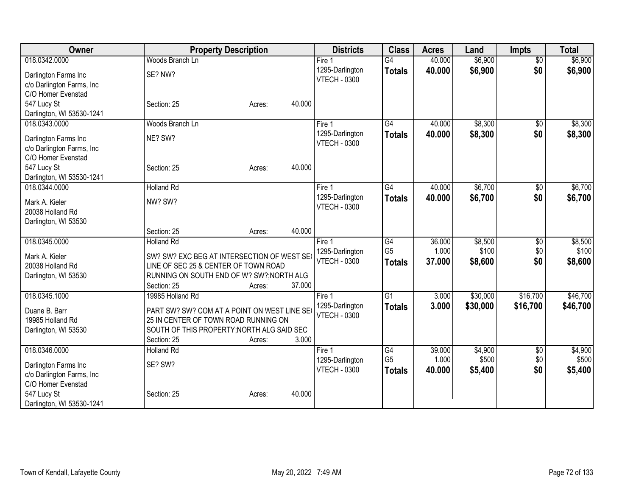| Owner                              | <b>Property Description</b>                                                         | <b>Districts</b>                       | <b>Class</b>         | <b>Acres</b>    | Land             | <b>Impts</b>    | <b>Total</b>     |
|------------------------------------|-------------------------------------------------------------------------------------|----------------------------------------|----------------------|-----------------|------------------|-----------------|------------------|
| 018.0342.0000                      | Woods Branch Ln                                                                     | Fire $1$                               | $\overline{G4}$      | 40.000          | \$6,900          | $\overline{50}$ | \$6,900          |
| Darlington Farms Inc               | SE? NW?                                                                             | 1295-Darlington                        | <b>Totals</b>        | 40.000          | \$6,900          | \$0             | \$6,900          |
| c/o Darlington Farms, Inc          |                                                                                     | <b>VTECH - 0300</b>                    |                      |                 |                  |                 |                  |
| C/O Homer Evenstad                 |                                                                                     |                                        |                      |                 |                  |                 |                  |
| 547 Lucy St                        | 40.000<br>Section: 25<br>Acres:                                                     |                                        |                      |                 |                  |                 |                  |
| Darlington, WI 53530-1241          |                                                                                     |                                        |                      |                 |                  |                 |                  |
| 018.0343.0000                      | Woods Branch Ln                                                                     | Fire 1                                 | $\overline{G4}$      | 40.000          | \$8,300          | $\overline{50}$ | \$8,300          |
| Darlington Farms Inc               | NE? SW?                                                                             | 1295-Darlington                        | <b>Totals</b>        | 40.000          | \$8,300          | \$0             | \$8,300          |
| c/o Darlington Farms, Inc          |                                                                                     | <b>VTECH - 0300</b>                    |                      |                 |                  |                 |                  |
| C/O Homer Evenstad                 |                                                                                     |                                        |                      |                 |                  |                 |                  |
| 547 Lucy St                        | 40.000<br>Section: 25<br>Acres:                                                     |                                        |                      |                 |                  |                 |                  |
| Darlington, WI 53530-1241          |                                                                                     |                                        |                      |                 |                  |                 |                  |
| 018.0344.0000                      | <b>Holland Rd</b>                                                                   | Fire 1                                 | G4                   | 40.000          | \$6,700          | $\overline{50}$ | \$6,700          |
| Mark A. Kieler                     | NW? SW?                                                                             | 1295-Darlington                        | <b>Totals</b>        | 40.000          | \$6,700          | \$0             | \$6,700          |
| 20038 Holland Rd                   |                                                                                     | <b>VTECH - 0300</b>                    |                      |                 |                  |                 |                  |
| Darlington, WI 53530               |                                                                                     |                                        |                      |                 |                  |                 |                  |
|                                    | 40.000<br>Section: 25<br>Acres:                                                     |                                        |                      |                 |                  |                 |                  |
| 018.0345.0000                      | <b>Holland Rd</b>                                                                   | Fire 1                                 | $\overline{G4}$      | 36.000          | \$8,500          | $\overline{50}$ | \$8,500          |
|                                    |                                                                                     | 1295-Darlington                        | G <sub>5</sub>       | 1.000           | \$100            | \$0             | \$100            |
| Mark A. Kieler<br>20038 Holland Rd | SW? SW? EXC BEG AT INTERSECTION OF WEST SEO<br>LINE OF SEC 25 & CENTER OF TOWN ROAD | <b>VTECH - 0300</b>                    | <b>Totals</b>        | 37,000          | \$8,600          | \$0             | \$8,600          |
| Darlington, WI 53530               | RUNNING ON SOUTH END OF W? SW?; NORTH ALG                                           |                                        |                      |                 |                  |                 |                  |
|                                    | 37.000<br>Section: 25<br>Acres:                                                     |                                        |                      |                 |                  |                 |                  |
| 018.0345.1000                      | 19985 Holland Rd                                                                    | Fire 1                                 | $\overline{G1}$      | 3.000           | \$30,000         | \$16,700        | \$46,700         |
|                                    |                                                                                     | 1295-Darlington                        | <b>Totals</b>        | 3.000           | \$30,000         | \$16,700        | \$46,700         |
| Duane B. Barr                      | PART SW? SW? COM AT A POINT ON WEST LINE SE(                                        | <b>VTECH - 0300</b>                    |                      |                 |                  |                 |                  |
| 19985 Holland Rd                   | 25 IN CENTER OF TOWN ROAD RUNNING ON                                                |                                        |                      |                 |                  |                 |                  |
| Darlington, WI 53530               | SOUTH OF THIS PROPERTY; NORTH ALG SAID SEC                                          |                                        |                      |                 |                  |                 |                  |
| 018.0346.0000                      | 3.000<br>Section: 25<br>Acres:                                                      |                                        |                      |                 |                  |                 |                  |
|                                    | <b>Holland Rd</b>                                                                   | Fire 1                                 | G4<br>G <sub>5</sub> | 39.000<br>1.000 | \$4,900<br>\$500 | \$0<br>\$0      | \$4,900<br>\$500 |
| Darlington Farms Inc               | SE? SW?                                                                             | 1295-Darlington<br><b>VTECH - 0300</b> |                      | 40.000          | \$5,400          | \$0             | \$5,400          |
| c/o Darlington Farms, Inc          |                                                                                     |                                        | <b>Totals</b>        |                 |                  |                 |                  |
| C/O Homer Evenstad                 |                                                                                     |                                        |                      |                 |                  |                 |                  |
| 547 Lucy St                        | 40.000<br>Section: 25<br>Acres:                                                     |                                        |                      |                 |                  |                 |                  |
| Darlington, WI 53530-1241          |                                                                                     |                                        |                      |                 |                  |                 |                  |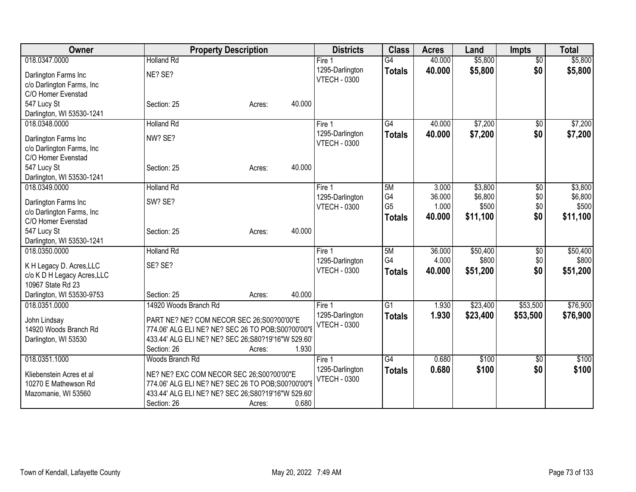| Owner                                 | <b>Property Description</b>                                                                     | <b>Districts</b>    | <b>Class</b>    | <b>Acres</b> | Land     | <b>Impts</b>    | <b>Total</b> |
|---------------------------------------|-------------------------------------------------------------------------------------------------|---------------------|-----------------|--------------|----------|-----------------|--------------|
| 018.0347.0000                         | <b>Holland Rd</b>                                                                               | Fire $1$            | $\overline{G4}$ | 40.000       | \$5,800  | $\overline{50}$ | \$5,800      |
| Darlington Farms Inc                  | NE? SE?                                                                                         | 1295-Darlington     | <b>Totals</b>   | 40.000       | \$5,800  | \$0             | \$5,800      |
| c/o Darlington Farms, Inc             |                                                                                                 | <b>VTECH - 0300</b> |                 |              |          |                 |              |
| C/O Homer Evenstad                    |                                                                                                 |                     |                 |              |          |                 |              |
| 547 Lucy St                           | 40.000<br>Section: 25<br>Acres:                                                                 |                     |                 |              |          |                 |              |
| Darlington, WI 53530-1241             |                                                                                                 |                     |                 |              |          |                 |              |
| 018.0348.0000                         | <b>Holland Rd</b>                                                                               | Fire 1              | $\overline{G4}$ | 40.000       | \$7,200  | \$0             | \$7,200      |
| Darlington Farms Inc                  | NW? SE?                                                                                         | 1295-Darlington     | <b>Totals</b>   | 40.000       | \$7,200  | \$0             | \$7,200      |
| c/o Darlington Farms, Inc             |                                                                                                 | <b>VTECH - 0300</b> |                 |              |          |                 |              |
| C/O Homer Evenstad                    |                                                                                                 |                     |                 |              |          |                 |              |
| 547 Lucy St                           | 40.000<br>Section: 25<br>Acres:                                                                 |                     |                 |              |          |                 |              |
| Darlington, WI 53530-1241             |                                                                                                 |                     |                 |              |          |                 |              |
| 018.0349.0000                         | <b>Holland Rd</b>                                                                               | Fire 1              | 5M              | 3.000        | \$3,800  | \$0             | \$3,800      |
| Darlington Farms Inc                  | SW? SE?                                                                                         | 1295-Darlington     | G4              | 36.000       | \$6,800  | \$0             | \$6,800      |
| c/o Darlington Farms, Inc             |                                                                                                 | <b>VTECH - 0300</b> | G <sub>5</sub>  | 1.000        | \$500    | \$0             | \$500        |
| C/O Homer Evenstad                    |                                                                                                 |                     | <b>Totals</b>   | 40.000       | \$11,100 | \$0             | \$11,100     |
| 547 Lucy St                           | 40.000<br>Section: 25<br>Acres:                                                                 |                     |                 |              |          |                 |              |
| Darlington, WI 53530-1241             |                                                                                                 |                     |                 |              |          |                 |              |
| 018.0350.0000                         | <b>Holland Rd</b>                                                                               | Fire 1              | 5M              | 36.000       | \$50,400 | $\overline{50}$ | \$50,400     |
| K H Legacy D. Acres, LLC              | SE? SE?                                                                                         | 1295-Darlington     | G4              | 4.000        | \$800    | \$0             | \$800        |
| c/o K D H Legacy Acres, LLC           |                                                                                                 | <b>VTECH - 0300</b> | <b>Totals</b>   | 40,000       | \$51,200 | \$0             | \$51,200     |
| 10967 State Rd 23                     |                                                                                                 |                     |                 |              |          |                 |              |
| Darlington, WI 53530-9753             | 40.000<br>Section: 25<br>Acres:                                                                 |                     |                 |              |          |                 |              |
| 018.0351.0000                         | 14920 Woods Branch Rd                                                                           | Fire 1              | $\overline{G1}$ | 1.930        | \$23,400 | \$53,500        | \$76,900     |
|                                       |                                                                                                 | 1295-Darlington     | <b>Totals</b>   | 1.930        | \$23,400 | \$53,500        | \$76,900     |
| John Lindsay<br>14920 Woods Branch Rd | PART NE? NE? COM NECOR SEC 26;S00?00'00"E<br>774.06' ALG ELI NE? NE? SEC 26 TO POB; S00?00'00"E | <b>VTECH - 0300</b> |                 |              |          |                 |              |
| Darlington, WI 53530                  | 433.44' ALG ELI NE? NE? SEC 26;S80?19'16"W 529.60'                                              |                     |                 |              |          |                 |              |
|                                       | 1.930<br>Section: 26<br>Acres:                                                                  |                     |                 |              |          |                 |              |
| 018.0351.1000                         | Woods Branch Rd                                                                                 | Fire 1              | G4              | 0.680        | \$100    | \$0             | \$100        |
|                                       |                                                                                                 | 1295-Darlington     | <b>Totals</b>   | 0.680        | \$100    | \$0             | \$100        |
| Kliebenstein Acres et al              | NE? NE? EXC COM NECOR SEC 26;S00?00'00"E                                                        | <b>VTECH - 0300</b> |                 |              |          |                 |              |
| 10270 E Mathewson Rd                  | 774.06' ALG ELI NE? NE? SEC 26 TO POB; S00?00'00"E                                              |                     |                 |              |          |                 |              |
| Mazomanie, WI 53560                   | 433.44' ALG ELI NE? NE? SEC 26;S80?19'16"W 529.60'<br>0.680                                     |                     |                 |              |          |                 |              |
|                                       | Section: 26<br>Acres:                                                                           |                     |                 |              |          |                 |              |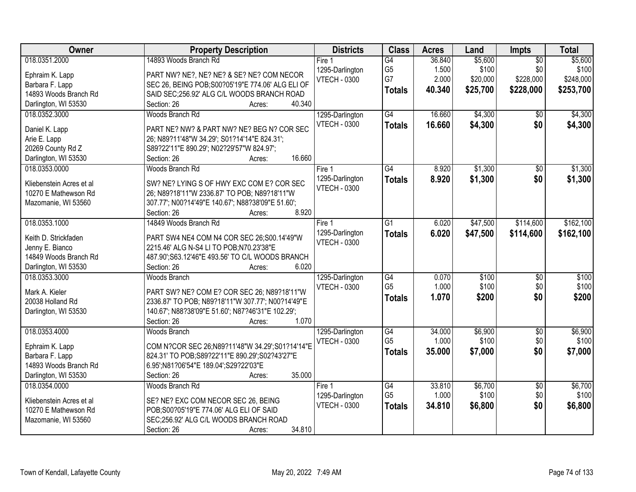| 14893 Woods Branch Rd<br>\$5,600<br>\$5,600<br>G4<br>36.840<br>$\overline{50}$<br>Fire 1<br>\$100<br>\$0<br>\$100<br>G <sub>5</sub><br>1.500<br>1295-Darlington |                 |
|-----------------------------------------------------------------------------------------------------------------------------------------------------------------|-----------------|
|                                                                                                                                                                 | 018.0351.2000   |
| PART NW? NE?, NE? NE? & SE? NE? COM NECOR                                                                                                                       | Ephraim K. Lapp |
| G7<br>\$228,000<br>2.000<br>\$20,000<br>\$248,000<br><b>VTECH - 0300</b><br>Barbara F. Lapp<br>SEC 26, BEING POB; S00? 05'19" E 774.06' ALG ELI OF              |                 |
| \$25,700<br>\$228,000<br>\$253,700<br>40.340<br><b>Totals</b><br>14893 Woods Branch Rd<br>SAID SEC;256.92' ALG C/L WOODS BRANCH ROAD                            |                 |
| Darlington, WI 53530<br>40.340<br>Section: 26<br>Acres:                                                                                                         |                 |
| G4<br>\$4,300<br>\$4,300<br>018.0352.3000<br>Woods Branch Rd<br>1295-Darlington<br>16.660<br>$\overline{50}$                                                    |                 |
| <b>VTECH - 0300</b><br>16.660<br>\$4,300<br>\$0<br>\$4,300<br><b>Totals</b>                                                                                     |                 |
| PART NE? NW? & PART NW? NE? BEG N? COR SEC<br>Daniel K. Lapp                                                                                                    |                 |
| 26; N89?11'48"W 34.29'; S01?14'14"E 824.31';<br>Arie E. Lapp                                                                                                    |                 |
| 20269 County Rd Z<br>S89?22'11"E 890.29'; N02?29'57"W 824.97';                                                                                                  |                 |
| 16.660<br>Darlington, WI 53530<br>Section: 26<br>Acres:                                                                                                         |                 |
| \$1,300<br>018.0353.0000<br>Woods Branch Rd<br>G4<br>8.920<br>\$0<br>\$1,300<br>Fire 1                                                                          |                 |
| 1295-Darlington<br>8.920<br>\$1,300<br>\$0<br>\$1,300<br><b>Totals</b><br>SW? NE? LYING S OF HWY EXC COM E? COR SEC<br>Kliebenstein Acres et al                 |                 |
| <b>VTECH - 0300</b><br>26; N89?18'11"W 2336.87' TO POB; N89?18'11"W<br>10270 E Mathewson Rd                                                                     |                 |
| 307.77'; N00?14'49"E 140.67'; N88?38'09"E 51.60';<br>Mazomanie, WI 53560                                                                                        |                 |
| 8.920<br>Section: 26<br>Acres:                                                                                                                                  |                 |
| 018.0353.1000<br>14849 Woods Branch Rd<br>\$47,500<br>\$114,600<br>\$162,100<br>G1<br>6.020<br>Fire 1                                                           |                 |
| 1295-Darlington<br>6.020<br>\$114,600<br>\$47,500<br>\$162,100<br><b>Totals</b>                                                                                 |                 |
| Keith D. Strickfaden<br>PART SW4 NE4 COM N4 COR SEC 26;S00.14'49"W<br><b>VTECH - 0300</b>                                                                       |                 |
| Jenny E. Bianco<br>2215.46' ALG N-S4 LI TO POB;N70.23'38"E                                                                                                      |                 |
| 14849 Woods Branch Rd<br>487.90'; S63.12'46"E 493.56' TO C/L WOODS BRANCH                                                                                       |                 |
| Darlington, WI 53530<br>Section: 26<br>6.020<br>Acres:                                                                                                          |                 |
| \$100<br>\$100<br>018.0353.3000<br>$\overline{G4}$<br>0.070<br>$\overline{50}$<br><b>Woods Branch</b><br>1295-Darlington                                        |                 |
| G <sub>5</sub><br>\$100<br>\$0<br>\$100<br>1.000<br><b>VTECH - 0300</b><br>Mark A. Kieler<br>PART SW? NE? COM E? COR SEC 26; N89?18'11"W                        |                 |
| \$200<br>1.070<br>\$200<br>\$0<br><b>Totals</b><br>20038 Holland Rd<br>2336.87' TO POB; N89?18'11"W 307.77'; N00?14'49"E                                        |                 |
| 140.67'; N88?38'09"E 51.60'; N87?46'31"E 102.29';<br>Darlington, WI 53530                                                                                       |                 |
| Section: 26<br>1.070<br>Acres:                                                                                                                                  |                 |
| 018.0353.4000<br>\$6,900<br>\$6,900<br>G4<br>34.000<br>$\overline{50}$<br><b>Woods Branch</b><br>1295-Darlington                                                |                 |
| G <sub>5</sub><br>1.000<br>\$100<br>\$0<br>\$100<br><b>VTECH - 0300</b>                                                                                         |                 |
| COM N?COR SEC 26;N89?11'48"W 34.29';S01?14'14"E<br>Ephraim K. Lapp<br>\$0<br>35,000<br>\$7,000<br>\$7,000<br><b>Totals</b>                                      |                 |
| Barbara F. Lapp<br>824.31' TO POB;S89?22'11"E 890.29';S02?43'27"E                                                                                               |                 |
| 14893 Woods Branch Rd<br>6.95';N81?06'54"E 189.04';S29?22'03"E                                                                                                  |                 |
| 35.000<br>Darlington, WI 53530<br>Section: 26<br>Acres:                                                                                                         |                 |
| 33.810<br>\$6,700<br>\$6,700<br>018.0354.0000<br>Woods Branch Rd<br>G4<br>$\overline{50}$<br>Fire 1                                                             |                 |
| G <sub>5</sub><br>\$0<br>1.000<br>\$100<br>\$100<br>1295-Darlington<br>Kliebenstein Acres et al<br>SE? NE? EXC COM NECOR SEC 26, BEING                          |                 |
| \$0<br><b>VTECH - 0300</b><br>34.810<br>\$6,800<br>\$6,800<br><b>Totals</b><br>10270 E Mathewson Rd<br>POB; S00? 05'19" E 774.06' ALG ELI OF SAID               |                 |
| SEC;256.92' ALG C/L WOODS BRANCH ROAD<br>Mazomanie, WI 53560                                                                                                    |                 |
| 34.810<br>Section: 26<br>Acres:                                                                                                                                 |                 |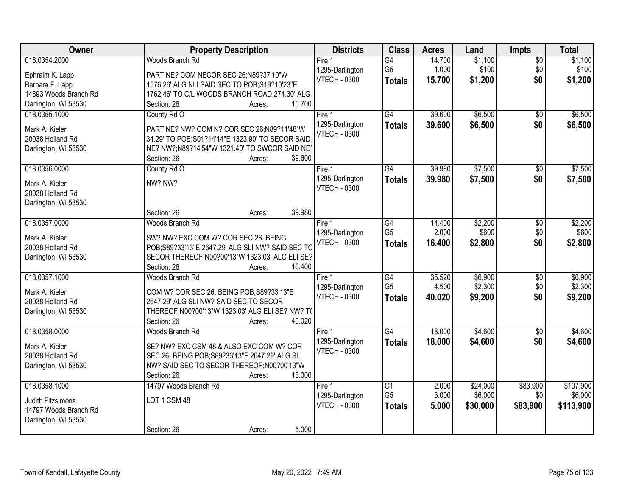| Owner                 | <b>Property Description</b>                               | <b>Districts</b>    | <b>Class</b>                      | <b>Acres</b>    | Land     | Impts           | <b>Total</b> |
|-----------------------|-----------------------------------------------------------|---------------------|-----------------------------------|-----------------|----------|-----------------|--------------|
| 018.0354.2000         | Woods Branch Rd                                           | Fire 1              | G4                                | 14.700          | \$1,100  | $\overline{50}$ | \$1,100      |
| Ephraim K. Lapp       | PART NE? COM NECOR SEC 26;N89?37'10"W                     | 1295-Darlington     | G <sub>5</sub>                    | 1.000           | \$100    | \$0             | \$100        |
| Barbara F. Lapp       | 1576.26' ALG NLI SAID SEC TO POB; S19?10'23"E             | <b>VTECH - 0300</b> | <b>Totals</b>                     | 15.700          | \$1,200  | \$0             | \$1,200      |
| 14893 Woods Branch Rd | 1762.46' TO C/L WOODS BRANCH ROAD;274.30' ALG             |                     |                                   |                 |          |                 |              |
| Darlington, WI 53530  | 15.700<br>Section: 26<br>Acres:                           |                     |                                   |                 |          |                 |              |
| 018.0355.1000         | County Rd O                                               | Fire 1              | G4                                | 39.600          | \$6,500  | \$0             | \$6,500      |
|                       |                                                           | 1295-Darlington     | <b>Totals</b>                     | 39.600          | \$6,500  | \$0             | \$6,500      |
| Mark A. Kieler        | PART NE? NW? COM N? COR SEC 26;N89?11'48"W                | <b>VTECH - 0300</b> |                                   |                 |          |                 |              |
| 20038 Holland Rd      | 34.29' TO POB; S01?14'14"E 1323.90' TO SECOR SAID         |                     |                                   |                 |          |                 |              |
| Darlington, WI 53530  | NE? NW?;N89?14'54"W 1321.40' TO SWCOR SAID NE?            |                     |                                   |                 |          |                 |              |
|                       | 39.600<br>Section: 26<br>Acres:                           |                     |                                   |                 |          |                 |              |
| 018.0356.0000         | County Rd O                                               | Fire 1              | $\overline{G4}$                   | 39.980          | \$7,500  | \$0             | \$7,500      |
| Mark A. Kieler        | NW? NW?                                                   | 1295-Darlington     | <b>Totals</b>                     | 39.980          | \$7,500  | \$0             | \$7,500      |
| 20038 Holland Rd      |                                                           | <b>VTECH - 0300</b> |                                   |                 |          |                 |              |
| Darlington, WI 53530  |                                                           |                     |                                   |                 |          |                 |              |
|                       | 39.980<br>Section: 26<br>Acres:                           |                     |                                   |                 |          |                 |              |
| 018.0357.0000         | Woods Branch Rd                                           | Fire 1              | G4                                | 14.400          | \$2,200  | \$0             | \$2,200      |
|                       |                                                           | 1295-Darlington     | G <sub>5</sub>                    | 2.000           | \$600    | \$0             | \$600        |
| Mark A. Kieler        | SW? NW? EXC COM W? COR SEC 26, BEING                      | <b>VTECH - 0300</b> | <b>Totals</b>                     | 16.400          | \$2,800  | \$0             | \$2,800      |
| 20038 Holland Rd      | POB;S89?33'13"E 2647.29' ALG SLI NW? SAID SEC TC          |                     |                                   |                 |          |                 |              |
| Darlington, WI 53530  | SECOR THEREOF; N00?00'13"W 1323.03' ALG ELI SE?<br>16.400 |                     |                                   |                 |          |                 |              |
|                       | Section: 26<br>Acres:                                     |                     |                                   |                 |          |                 |              |
| 018.0357.1000         | Woods Branch Rd                                           | Fire 1              | $\overline{G4}$<br>G <sub>5</sub> | 35.520<br>4.500 | \$6,900  | $\overline{50}$ | \$6,900      |
| Mark A. Kieler        | COM W? COR SEC 26, BEING POB; S89?33'13"E                 | 1295-Darlington     |                                   |                 | \$2,300  | \$0             | \$2,300      |
| 20038 Holland Rd      | 2647.29' ALG SLI NW? SAID SEC TO SECOR                    | <b>VTECH - 0300</b> | <b>Totals</b>                     | 40.020          | \$9,200  | \$0             | \$9,200      |
| Darlington, WI 53530  | THEREOF; N00?00'13"W 1323.03' ALG ELI SE? NW? TO          |                     |                                   |                 |          |                 |              |
|                       | Section: 26<br>40.020<br>Acres:                           |                     |                                   |                 |          |                 |              |
| 018.0358.0000         | Woods Branch Rd                                           | Fire 1              | $\overline{G4}$                   | 18.000          | \$4,600  | $\overline{50}$ | \$4,600      |
| Mark A. Kieler        | SE? NW? EXC CSM 48 & ALSO EXC COM W? COR                  | 1295-Darlington     | <b>Totals</b>                     | 18.000          | \$4,600  | \$0             | \$4,600      |
| 20038 Holland Rd      | SEC 26, BEING POB; S89?33'13"E 2647.29' ALG SLI           | <b>VTECH - 0300</b> |                                   |                 |          |                 |              |
|                       | NW? SAID SEC TO SECOR THEREOF; N00?00'13"W                |                     |                                   |                 |          |                 |              |
| Darlington, WI 53530  | 18.000<br>Section: 26<br>Acres:                           |                     |                                   |                 |          |                 |              |
| 018.0358.1000         | 14797 Woods Branch Rd                                     | Fire <sub>1</sub>   | $\overline{G1}$                   | 2.000           | \$24,000 | \$83,900        | \$107,900    |
|                       |                                                           | 1295-Darlington     | G <sub>5</sub>                    | 3.000           | \$6,000  | \$0             | \$6,000      |
| Judith Fitzsimons     | LOT 1 CSM 48                                              | <b>VTECH - 0300</b> |                                   |                 |          |                 |              |
| 14797 Woods Branch Rd |                                                           |                     | <b>Totals</b>                     | 5.000           | \$30,000 | \$83,900        | \$113,900    |
| Darlington, WI 53530  |                                                           |                     |                                   |                 |          |                 |              |
|                       | 5.000<br>Section: 26<br>Acres:                            |                     |                                   |                 |          |                 |              |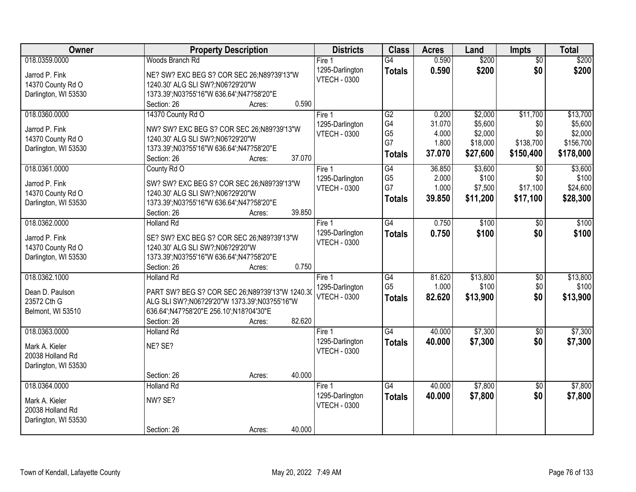| Owner                | <b>Property Description</b>                    | <b>Districts</b>                       | <b>Class</b>    | <b>Acres</b> | Land     | <b>Impts</b>    | <b>Total</b> |
|----------------------|------------------------------------------------|----------------------------------------|-----------------|--------------|----------|-----------------|--------------|
| 018.0359.0000        | Woods Branch Rd                                | Fire 1                                 | G4              | 0.590        | \$200    | $\overline{50}$ | \$200        |
| Jarrod P. Fink       | NE? SW? EXC BEG S? COR SEC 26;N89?39'13"W      | 1295-Darlington                        | <b>Totals</b>   | 0.590        | \$200    | \$0             | \$200        |
| 14370 County Rd O    | 1240.30' ALG SLI SW?;N06?29'20"W               | <b>VTECH - 0300</b>                    |                 |              |          |                 |              |
| Darlington, WI 53530 | 1373.39';N03?55'16"W 636.64';N47?58'20"E       |                                        |                 |              |          |                 |              |
|                      | 0.590<br>Section: 26<br>Acres:                 |                                        |                 |              |          |                 |              |
| 018.0360.0000        | 14370 County Rd O                              | Fire 1                                 | G2              | 0.200        | \$2,000  | \$11,700        | \$13,700     |
|                      |                                                | 1295-Darlington                        | G4              | 31.070       | \$5,600  | \$0             | \$5,600      |
| Jarrod P. Fink       | NW? SW? EXC BEG S? COR SEC 26;N89?39'13"W      | <b>VTECH - 0300</b>                    | G <sub>5</sub>  | 4.000        | \$2,000  | \$0             | \$2,000      |
| 14370 County Rd O    | 1240.30' ALG SLI SW?;N06?29'20"W               |                                        | G7              | 1.800        | \$18,000 | \$138,700       | \$156,700    |
| Darlington, WI 53530 | 1373.39';N03?55'16"W 636.64';N47?58'20"E       |                                        | <b>Totals</b>   | 37.070       | \$27,600 | \$150,400       | \$178,000    |
|                      | 37.070<br>Section: 26<br>Acres:                |                                        |                 |              |          |                 |              |
| 018.0361.0000        | County Rd O                                    | Fire 1                                 | G4              | 36.850       | \$3,600  | $\sqrt{6}$      | \$3,600      |
| Jarrod P. Fink       | SW? SW? EXC BEG S? COR SEC 26:N89?39'13"W      | 1295-Darlington                        | G <sub>5</sub>  | 2.000        | \$100    | \$0             | \$100        |
| 14370 County Rd O    | 1240.30' ALG SLI SW?;N06?29'20"W               | <b>VTECH - 0300</b>                    | G7              | 1.000        | \$7,500  | \$17,100        | \$24,600     |
| Darlington, WI 53530 | 1373.39';N03?55'16"W 636.64';N47?58'20"E       |                                        | <b>Totals</b>   | 39,850       | \$11,200 | \$17,100        | \$28,300     |
|                      | 39.850<br>Section: 26<br>Acres:                |                                        |                 |              |          |                 |              |
| 018.0362.0000        | <b>Holland Rd</b>                              | Fire 1                                 | $\overline{G4}$ | 0.750        | \$100    | \$0             | \$100        |
|                      |                                                | 1295-Darlington                        | <b>Totals</b>   | 0.750        | \$100    | \$0             | \$100        |
| Jarrod P. Fink       | SE? SW? EXC BEG S? COR SEC 26;N89?39'13"W      | <b>VTECH - 0300</b>                    |                 |              |          |                 |              |
| 14370 County Rd O    | 1240.30' ALG SLI SW?;N06?29'20"W               |                                        |                 |              |          |                 |              |
| Darlington, WI 53530 | 1373.39';N03?55'16"W 636.64';N47?58'20"E       |                                        |                 |              |          |                 |              |
|                      | 0.750<br>Section: 26<br>Acres:                 |                                        |                 |              |          |                 |              |
| 018.0362.1000        | <b>Holland Rd</b>                              | Fire 1                                 | G4              | 81.620       | \$13,800 | \$0             | \$13,800     |
| Dean D. Paulson      | PART SW? BEG S? COR SEC 26;N89?39'13"W 1240.30 | 1295-Darlington                        | G <sub>5</sub>  | 1.000        | \$100    | \$0             | \$100        |
| 23572 Cth G          | ALG SLI SW?;N06?29'20"W 1373.39';N03?55'16"W   | <b>VTECH - 0300</b>                    | <b>Totals</b>   | 82.620       | \$13,900 | \$0             | \$13,900     |
| Belmont, WI 53510    | 636.64';N47?58'20"E 256.10';N18?04'30"E        |                                        |                 |              |          |                 |              |
|                      | 82.620<br>Section: 26<br>Acres:                |                                        |                 |              |          |                 |              |
| 018.0363.0000        | <b>Holland Rd</b>                              | Fire 1                                 | $\overline{G4}$ | 40.000       | \$7,300  | $\overline{60}$ | \$7,300      |
| Mark A. Kieler       | NE? SE?                                        | 1295-Darlington                        | <b>Totals</b>   | 40.000       | \$7,300  | \$0             | \$7,300      |
| 20038 Holland Rd     |                                                | <b>VTECH - 0300</b>                    |                 |              |          |                 |              |
|                      |                                                |                                        |                 |              |          |                 |              |
| Darlington, WI 53530 | 40.000<br>Section: 26<br>Acres:                |                                        |                 |              |          |                 |              |
| 018.0364.0000        | <b>Holland Rd</b>                              | Fire 1                                 | $\overline{G4}$ | 40.000       | \$7,800  | $\overline{50}$ | \$7,800      |
|                      |                                                |                                        |                 |              |          |                 |              |
| Mark A. Kieler       | NW? SE?                                        | 1295-Darlington<br><b>VTECH - 0300</b> | <b>Totals</b>   | 40.000       | \$7,800  | \$0             | \$7,800      |
| 20038 Holland Rd     |                                                |                                        |                 |              |          |                 |              |
| Darlington, WI 53530 |                                                |                                        |                 |              |          |                 |              |
|                      | 40.000<br>Section: 26<br>Acres:                |                                        |                 |              |          |                 |              |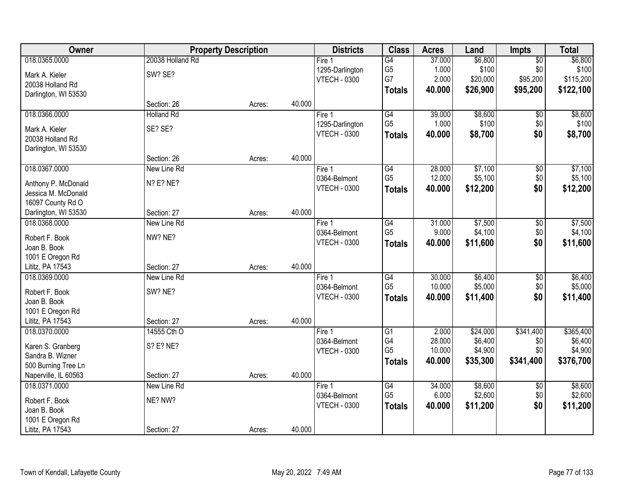| Owner                |                   | <b>Property Description</b> |        | <b>Districts</b>    | <b>Class</b>    | <b>Acres</b> | Land     | <b>Impts</b>    | <b>Total</b> |
|----------------------|-------------------|-----------------------------|--------|---------------------|-----------------|--------------|----------|-----------------|--------------|
| 018.0365.0000        | 20038 Holland Rd  |                             |        | Fire 1              | G4              | 37.000       | \$6,800  | $\sqrt{$0}$     | \$6,800      |
| Mark A. Kieler       | SW? SE?           |                             |        | 1295-Darlington     | G <sub>5</sub>  | 1.000        | \$100    | \$0             | \$100        |
| 20038 Holland Rd     |                   |                             |        | <b>VTECH - 0300</b> | G7              | 2.000        | \$20,000 | \$95,200        | \$115,200    |
| Darlington, WI 53530 |                   |                             |        |                     | <b>Totals</b>   | 40.000       | \$26,900 | \$95,200        | \$122,100    |
|                      | Section: 26       | Acres:                      | 40.000 |                     |                 |              |          |                 |              |
| 018.0366.0000        | <b>Holland Rd</b> |                             |        | Fire 1              | G4              | 39.000       | \$8,600  | \$0             | \$8,600      |
| Mark A. Kieler       | SE? SE?           |                             |        | 1295-Darlington     | G <sub>5</sub>  | 1.000        | \$100    | \$0             | \$100        |
| 20038 Holland Rd     |                   |                             |        | <b>VTECH - 0300</b> | <b>Totals</b>   | 40.000       | \$8,700  | \$0             | \$8,700      |
| Darlington, WI 53530 |                   |                             |        |                     |                 |              |          |                 |              |
|                      | Section: 26       | Acres:                      | 40.000 |                     |                 |              |          |                 |              |
| 018.0367.0000        | New Line Rd       |                             |        | Fire 1              | $\overline{G4}$ | 28.000       | \$7,100  | \$0             | \$7,100      |
| Anthony P. McDonald  | N? E? NE?         |                             |        | 0364-Belmont        | G <sub>5</sub>  | 12.000       | \$5,100  | \$0             | \$5,100      |
| Jessica M. McDonald  |                   |                             |        | <b>VTECH - 0300</b> | <b>Totals</b>   | 40.000       | \$12,200 | \$0             | \$12,200     |
| 16097 County Rd O    |                   |                             |        |                     |                 |              |          |                 |              |
| Darlington, WI 53530 | Section: 27       | Acres:                      | 40.000 |                     |                 |              |          |                 |              |
| 018.0368.0000        | New Line Rd       |                             |        | Fire 1              | G4              | 31.000       | \$7,500  | \$0             | \$7,500      |
| Robert F. Book       | NW? NE?           |                             |        | 0364-Belmont        | G <sub>5</sub>  | 9.000        | \$4,100  | \$0             | \$4,100      |
| Joan B. Book         |                   |                             |        | <b>VTECH - 0300</b> | <b>Totals</b>   | 40.000       | \$11,600 | \$0             | \$11,600     |
| 1001 E Oregon Rd     |                   |                             |        |                     |                 |              |          |                 |              |
| Lititz, PA 17543     | Section: 27       | Acres:                      | 40.000 |                     |                 |              |          |                 |              |
| 018.0369.0000        | New Line Rd       |                             |        | Fire 1              | $\overline{G4}$ | 30.000       | \$6,400  | $\overline{50}$ | \$6,400      |
| Robert F. Book       | SW? NE?           |                             |        | 0364-Belmont        | G <sub>5</sub>  | 10.000       | \$5,000  | \$0             | \$5,000      |
| Joan B. Book         |                   |                             |        | <b>VTECH - 0300</b> | <b>Totals</b>   | 40.000       | \$11,400 | \$0             | \$11,400     |
| 1001 E Oregon Rd     |                   |                             |        |                     |                 |              |          |                 |              |
| Lititz, PA 17543     | Section: 27       | Acres:                      | 40.000 |                     |                 |              |          |                 |              |
| 018.0370.0000        | 14555 Cth O       |                             |        | Fire 1              | G1              | 2.000        | \$24,000 | \$341,400       | \$365,400    |
| Karen S. Granberg    | S? E? NE?         |                             |        | 0364-Belmont        | G4              | 28.000       | \$6,400  | \$0             | \$6,400      |
| Sandra B. Wizner     |                   |                             |        | <b>VTECH - 0300</b> | G <sub>5</sub>  | 10.000       | \$4,900  | \$0             | \$4,900      |
| 500 Burning Tree Ln  |                   |                             |        |                     | Totals          | 40.000       | \$35,300 | \$341,400       | \$376,700    |
| Naperville, IL 60563 | Section: 27       | Acres:                      | 40.000 |                     |                 |              |          |                 |              |
| 018.0371.0000        | New Line Rd       |                             |        | Fire 1              | G4              | 34.000       | \$8,600  | $\overline{60}$ | \$8,600      |
| Robert F. Book       | NE? NW?           |                             |        | 0364-Belmont        | G <sub>5</sub>  | 6.000        | \$2,600  | \$0             | \$2,600      |
| Joan B. Book         |                   |                             |        | <b>VTECH - 0300</b> | <b>Totals</b>   | 40.000       | \$11,200 | \$0             | \$11,200     |
| 1001 E Oregon Rd     |                   |                             |        |                     |                 |              |          |                 |              |
| Lititz, PA 17543     | Section: 27       | Acres:                      | 40.000 |                     |                 |              |          |                 |              |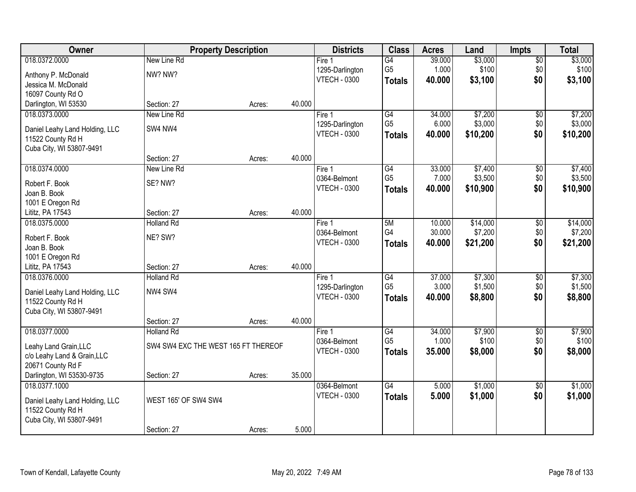| Owner                                      | <b>Property Description</b>         |        |        | <b>Districts</b>                    | <b>Class</b>    | <b>Acres</b> | Land     | <b>Impts</b>           | <b>Total</b> |
|--------------------------------------------|-------------------------------------|--------|--------|-------------------------------------|-----------------|--------------|----------|------------------------|--------------|
| 018.0372.0000                              | New Line Rd                         |        |        | Fire 1                              | G4              | 39.000       | \$3,000  | $\sqrt{$0}$            | \$3,000      |
| Anthony P. McDonald                        | NW? NW?                             |        |        | 1295-Darlington                     | G <sub>5</sub>  | 1.000        | \$100    | \$0                    | \$100        |
| Jessica M. McDonald                        |                                     |        |        | <b>VTECH - 0300</b>                 | <b>Totals</b>   | 40.000       | \$3,100  | \$0                    | \$3,100      |
| 16097 County Rd O                          |                                     |        |        |                                     |                 |              |          |                        |              |
| Darlington, WI 53530                       | Section: 27                         | Acres: | 40.000 |                                     |                 |              |          |                        |              |
| 018.0373.0000                              | New Line Rd                         |        |        | Fire 1                              | $\overline{G4}$ | 34.000       | \$7,200  | \$0                    | \$7,200      |
| Daniel Leahy Land Holding, LLC             | SW4 NW4                             |        |        | 1295-Darlington                     | G <sub>5</sub>  | 6.000        | \$3,000  | \$0                    | \$3,000      |
| 11522 County Rd H                          |                                     |        |        | <b>VTECH - 0300</b>                 | <b>Totals</b>   | 40.000       | \$10,200 | \$0                    | \$10,200     |
| Cuba City, WI 53807-9491                   |                                     |        |        |                                     |                 |              |          |                        |              |
|                                            | Section: 27                         | Acres: | 40.000 |                                     |                 |              |          |                        |              |
| 018.0374.0000                              | New Line Rd                         |        |        | Fire 1                              | $\overline{G4}$ | 33.000       | \$7,400  | \$0                    | \$7,400      |
| Robert F. Book                             | SE? NW?                             |        |        | 0364-Belmont                        | G <sub>5</sub>  | 7.000        | \$3,500  | \$0                    | \$3,500      |
| Joan B. Book                               |                                     |        |        | <b>VTECH - 0300</b>                 | <b>Totals</b>   | 40.000       | \$10,900 | \$0                    | \$10,900     |
| 1001 E Oregon Rd                           |                                     |        |        |                                     |                 |              |          |                        |              |
| Lititz, PA 17543                           | Section: 27                         | Acres: | 40.000 |                                     |                 |              |          |                        |              |
| 018.0375.0000                              | <b>Holland Rd</b>                   |        |        | Fire 1                              | 5M              | 10.000       | \$14,000 | $\sqrt[6]{3}$          | \$14,000     |
|                                            | NE? SW?                             |        |        | 0364-Belmont                        | G4              | 30.000       | \$7,200  | \$0                    | \$7,200      |
| Robert F. Book<br>Joan B. Book             |                                     |        |        | <b>VTECH - 0300</b>                 | <b>Totals</b>   | 40.000       | \$21,200 | \$0                    | \$21,200     |
| 1001 E Oregon Rd                           |                                     |        |        |                                     |                 |              |          |                        |              |
| Lititz, PA 17543                           | Section: 27                         | Acres: | 40.000 |                                     |                 |              |          |                        |              |
| 018.0376.0000                              | <b>Holland Rd</b>                   |        |        | Fire 1                              | $\overline{G4}$ | 37.000       | \$7,300  | $\overline{50}$        | \$7,300      |
|                                            |                                     |        |        | 1295-Darlington                     | G <sub>5</sub>  | 3.000        | \$1,500  | \$0                    | \$1,500      |
| Daniel Leahy Land Holding, LLC             | NW4 SW4                             |        |        | <b>VTECH - 0300</b>                 | <b>Totals</b>   | 40.000       | \$8,800  | \$0                    | \$8,800      |
| 11522 County Rd H                          |                                     |        |        |                                     |                 |              |          |                        |              |
| Cuba City, WI 53807-9491                   | Section: 27                         | Acres: | 40.000 |                                     |                 |              |          |                        |              |
| 018.0377.0000                              | <b>Holland Rd</b>                   |        |        | Fire 1                              | G4              | 34.000       | \$7,900  | $\sqrt{6}$             | \$7,900      |
|                                            |                                     |        |        | 0364-Belmont                        | G <sub>5</sub>  | 1.000        | \$100    | \$0                    | \$100        |
| Leahy Land Grain, LLC                      | SW4 SW4 EXC THE WEST 165 FT THEREOF |        |        | <b>VTECH - 0300</b>                 | <b>Totals</b>   | 35.000       | \$8,000  | \$0                    | \$8,000      |
| c/o Leahy Land & Grain, LLC                |                                     |        |        |                                     |                 |              |          |                        |              |
| 20671 County Rd F                          |                                     |        |        |                                     |                 |              |          |                        |              |
| Darlington, WI 53530-9735<br>018.0377.1000 | Section: 27                         | Acres: | 35.000 |                                     | $\overline{G4}$ |              |          |                        |              |
|                                            |                                     |        |        | 0364-Belmont<br><b>VTECH - 0300</b> |                 | 5.000        | \$1,000  | $\overline{50}$<br>\$0 | \$1,000      |
| Daniel Leahy Land Holding, LLC             | WEST 165' OF SW4 SW4                |        |        |                                     | <b>Totals</b>   | 5.000        | \$1,000  |                        | \$1,000      |
| 11522 County Rd H                          |                                     |        |        |                                     |                 |              |          |                        |              |
| Cuba City, WI 53807-9491                   |                                     |        |        |                                     |                 |              |          |                        |              |
|                                            | Section: 27                         | Acres: | 5.000  |                                     |                 |              |          |                        |              |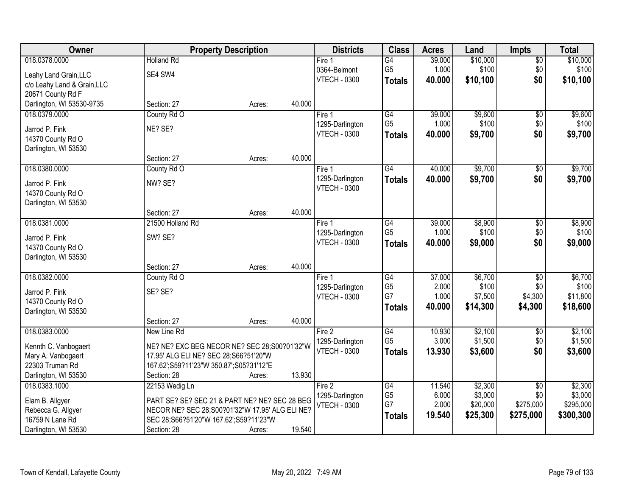| Owner                                     |                                                 | <b>Property Description</b> |        | <b>Districts</b>          | <b>Class</b>         | <b>Acres</b>    | Land               | <b>Impts</b>      | <b>Total</b>       |
|-------------------------------------------|-------------------------------------------------|-----------------------------|--------|---------------------------|----------------------|-----------------|--------------------|-------------------|--------------------|
| 018.0378.0000                             | <b>Holland Rd</b>                               |                             |        | Fire <sub>1</sub>         | $\overline{G4}$      | 39.000          | \$10,000           | $\sqrt{$0}$       | \$10,000           |
| Leahy Land Grain, LLC                     | SE4 SW4                                         |                             |        | 0364-Belmont              | G <sub>5</sub>       | 1.000           | \$100              | \$0               | \$100              |
| c/o Leahy Land & Grain, LLC               |                                                 |                             |        | <b>VTECH - 0300</b>       | <b>Totals</b>        | 40.000          | \$10,100           | \$0               | \$10,100           |
| 20671 County Rd F                         |                                                 |                             |        |                           |                      |                 |                    |                   |                    |
| Darlington, WI 53530-9735                 | Section: 27                                     | Acres:                      | 40.000 |                           |                      |                 |                    |                   |                    |
| 018.0379.0000                             | County Rd O                                     |                             |        | Fire 1                    | $\overline{G4}$      | 39.000          | \$9,600            | \$0               | \$9,600            |
| Jarrod P. Fink                            | NE? SE?                                         |                             |        | 1295-Darlington           | G <sub>5</sub>       | 1.000           | \$100              | \$0               | \$100              |
| 14370 County Rd O                         |                                                 |                             |        | <b>VTECH - 0300</b>       | <b>Totals</b>        | 40.000          | \$9,700            | \$0               | \$9,700            |
| Darlington, WI 53530                      |                                                 |                             |        |                           |                      |                 |                    |                   |                    |
|                                           | Section: 27                                     | Acres:                      | 40.000 |                           |                      |                 |                    |                   |                    |
| 018.0380.0000                             | County Rd O                                     |                             |        | Fire 1                    | $\overline{G4}$      | 40.000          | \$9,700            | \$0               | \$9,700            |
|                                           | NW? SE?                                         |                             |        | 1295-Darlington           | <b>Totals</b>        | 40.000          | \$9,700            | \$0               | \$9,700            |
| Jarrod P. Fink<br>14370 County Rd O       |                                                 |                             |        | <b>VTECH - 0300</b>       |                      |                 |                    |                   |                    |
| Darlington, WI 53530                      |                                                 |                             |        |                           |                      |                 |                    |                   |                    |
|                                           | Section: 27                                     | Acres:                      | 40.000 |                           |                      |                 |                    |                   |                    |
| 018.0381.0000                             | 21500 Holland Rd                                |                             |        | Fire 1                    | G4                   | 39.000          | \$8,900            | $\sqrt[6]{3}$     | \$8,900            |
|                                           |                                                 |                             |        | 1295-Darlington           | G <sub>5</sub>       | 1.000           | \$100              | \$0               | \$100              |
| Jarrod P. Fink                            | SW? SE?                                         |                             |        | <b>VTECH - 0300</b>       | <b>Totals</b>        | 40.000          | \$9,000            | \$0               | \$9,000            |
| 14370 County Rd O<br>Darlington, WI 53530 |                                                 |                             |        |                           |                      |                 |                    |                   |                    |
|                                           | Section: 27                                     | Acres:                      | 40.000 |                           |                      |                 |                    |                   |                    |
| 018.0382.0000                             | County Rd O                                     |                             |        | Fire 1                    | $\overline{G4}$      | 37.000          | \$6,700            | $\overline{50}$   | \$6,700            |
|                                           |                                                 |                             |        | 1295-Darlington           | G <sub>5</sub>       | 2.000           | \$100              | \$0               | \$100              |
| Jarrod P. Fink                            | SE? SE?                                         |                             |        | <b>VTECH - 0300</b>       | G7                   | 1.000           | \$7,500            | \$4,300           | \$11,800           |
| 14370 County Rd O                         |                                                 |                             |        |                           | <b>Totals</b>        | 40.000          | \$14,300           | \$4,300           | \$18,600           |
| Darlington, WI 53530                      |                                                 |                             |        |                           |                      |                 |                    |                   |                    |
|                                           | Section: 27                                     | Acres:                      | 40.000 |                           |                      |                 |                    |                   |                    |
| 018.0383.0000                             | New Line Rd                                     |                             |        | Fire 2<br>1295-Darlington | G4<br>G <sub>5</sub> | 10.930<br>3.000 | \$2,100<br>\$1,500 | $\sqrt{6}$<br>\$0 | \$2,100<br>\$1,500 |
| Kennth C. Vanbogaert                      | NE? NE? EXC BEG NECOR NE? SEC 28;S00?01'32"W    |                             |        | <b>VTECH - 0300</b>       | <b>Totals</b>        | 13.930          | \$3,600            | \$0               | \$3,600            |
| Mary A. Vanbogaert                        | 17.95' ALG ELI NE? SEC 28;S66?51'20"W           |                             |        |                           |                      |                 |                    |                   |                    |
| 22303 Truman Rd                           | 167.62';S59?11'23"W 350.87';S05?31'12"E         |                             |        |                           |                      |                 |                    |                   |                    |
| Darlington, WI 53530                      | Section: 28                                     | Acres:                      | 13.930 |                           |                      |                 |                    |                   |                    |
| 018.0383.1000                             | 22153 Wedig Ln                                  |                             |        | Fire 2                    | G4                   | 11.540          | \$2,300            | $\overline{50}$   | \$2,300            |
| Elam B. Allgyer                           | PART SE? SE? SEC 21 & PART NE? NE? SEC 28 BEG   |                             |        | 1295-Darlington           | G <sub>5</sub>       | 6.000           | \$3,000            | \$0               | \$3,000            |
| Rebecca G. Allgyer                        | NECOR NE? SEC 28;S00?01'32"W 17.95' ALG ELI NE? |                             |        | <b>VTECH - 0300</b>       | G7                   | 2.000           | \$20,000           | \$275,000         | \$295,000          |
| 16759 N Lane Rd                           | SEC 28;S66?51'20"W 167.62';S59?11'23"W          |                             |        |                           | <b>Totals</b>        | 19.540          | \$25,300           | \$275,000         | \$300,300          |
| Darlington, WI 53530                      | Section: 28                                     | Acres:                      | 19.540 |                           |                      |                 |                    |                   |                    |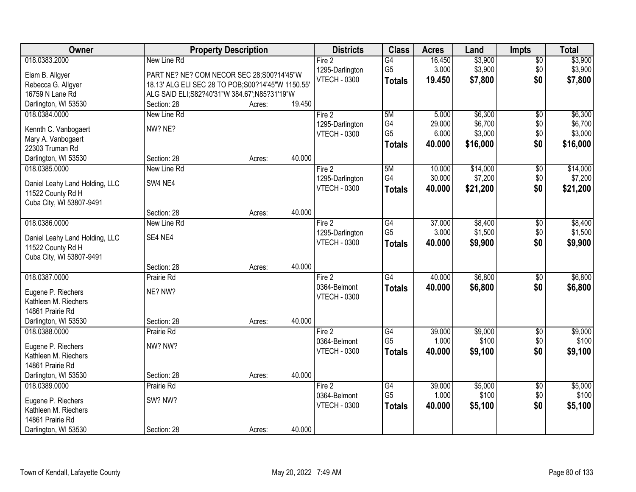| Owner                                      |                                                    | <b>Property Description</b> |        | <b>Districts</b>    | <b>Class</b>    | <b>Acres</b> | Land     | <b>Impts</b>    | <b>Total</b> |
|--------------------------------------------|----------------------------------------------------|-----------------------------|--------|---------------------|-----------------|--------------|----------|-----------------|--------------|
| 018.0383.2000                              | New Line Rd                                        |                             |        | Fire 2              | $\overline{G4}$ | 16.450       | \$3,900  | $\sqrt{$0}$     | \$3,900      |
| Elam B. Allgyer                            | PART NE? NE? COM NECOR SEC 28;S00?14'45"W          |                             |        | 1295-Darlington     | G <sub>5</sub>  | 3.000        | \$3,900  | \$0             | \$3,900      |
| Rebecca G. Allgyer                         | 18.13' ALG ELI SEC 28 TO POB; S00?14'45"W 1150.55' |                             |        | <b>VTECH - 0300</b> | <b>Totals</b>   | 19.450       | \$7,800  | \$0             | \$7,800      |
| 16759 N Lane Rd                            | ALG SAID ELI; S82?40'31"W 384.67'; N85?31'19"W     |                             |        |                     |                 |              |          |                 |              |
| Darlington, WI 53530                       | Section: 28                                        | Acres:                      | 19.450 |                     |                 |              |          |                 |              |
| 018.0384.0000                              | New Line Rd                                        |                             |        | Fire 2              | 5M              | 5.000        | \$6,300  | $\overline{50}$ | \$6,300      |
| Kennth C. Vanbogaert                       | NW? NE?                                            |                             |        | 1295-Darlington     | G4              | 29.000       | \$6,700  | \$0             | \$6,700      |
| Mary A. Vanbogaert                         |                                                    |                             |        | <b>VTECH - 0300</b> | G <sub>5</sub>  | 6.000        | \$3,000  | \$0             | \$3,000      |
| 22303 Truman Rd                            |                                                    |                             |        |                     | <b>Totals</b>   | 40.000       | \$16,000 | \$0             | \$16,000     |
| Darlington, WI 53530                       | Section: 28                                        | Acres:                      | 40.000 |                     |                 |              |          |                 |              |
| 018.0385.0000                              | New Line Rd                                        |                             |        | Fire 2              | 5M              | 10.000       | \$14,000 | $\overline{60}$ | \$14,000     |
|                                            |                                                    |                             |        | 1295-Darlington     | G4              | 30.000       | \$7,200  | \$0             | \$7,200      |
| Daniel Leahy Land Holding, LLC             | SW4 NE4                                            |                             |        | <b>VTECH - 0300</b> | <b>Totals</b>   | 40.000       | \$21,200 | \$0             | \$21,200     |
| 11522 County Rd H                          |                                                    |                             |        |                     |                 |              |          |                 |              |
| Cuba City, WI 53807-9491                   | Section: 28                                        |                             | 40.000 |                     |                 |              |          |                 |              |
| 018.0386.0000                              | New Line Rd                                        | Acres:                      |        | Fire 2              | G4              | 37.000       | \$8,400  | $\sqrt[6]{3}$   | \$8,400      |
|                                            |                                                    |                             |        | 1295-Darlington     | G <sub>5</sub>  | 3.000        | \$1,500  | \$0             | \$1,500      |
| Daniel Leahy Land Holding, LLC             | SE4 NE4                                            |                             |        | <b>VTECH - 0300</b> | <b>Totals</b>   | 40.000       | \$9,900  | \$0             | \$9,900      |
| 11522 County Rd H                          |                                                    |                             |        |                     |                 |              |          |                 |              |
| Cuba City, WI 53807-9491                   |                                                    |                             |        |                     |                 |              |          |                 |              |
|                                            | Section: 28                                        | Acres:                      | 40.000 |                     |                 |              |          |                 |              |
| 018.0387.0000                              | Prairie Rd                                         |                             |        | Fire 2              | $\overline{G4}$ | 40.000       | \$6,800  | \$0             | \$6,800      |
| Eugene P. Riechers                         | NE? NW?                                            |                             |        | 0364-Belmont        | <b>Totals</b>   | 40.000       | \$6,800  | \$0             | \$6,800      |
| Kathleen M. Riechers                       |                                                    |                             |        | <b>VTECH - 0300</b> |                 |              |          |                 |              |
| 14861 Prairie Rd                           |                                                    |                             |        |                     |                 |              |          |                 |              |
| Darlington, WI 53530                       | Section: 28                                        | Acres:                      | 40.000 |                     |                 |              |          |                 |              |
| 018.0388.0000                              | Prairie Rd                                         |                             |        | Fire 2              | G4              | 39.000       | \$9,000  | $\overline{60}$ | \$9,000      |
| Eugene P. Riechers                         | NW? NW?                                            |                             |        | 0364-Belmont        | G <sub>5</sub>  | 1.000        | \$100    | \$0             | \$100        |
| Kathleen M. Riechers                       |                                                    |                             |        | <b>VTECH - 0300</b> | <b>Totals</b>   | 40.000       | \$9,100  | \$0             | \$9,100      |
| 14861 Prairie Rd                           |                                                    |                             |        |                     |                 |              |          |                 |              |
| Darlington, WI 53530                       | Section: 28                                        | Acres:                      | 40.000 |                     |                 |              |          |                 |              |
| 018.0389.0000                              | Prairie Rd                                         |                             |        | Fire 2              | G4              | 39.000       | \$5,000  | \$0             | \$5,000      |
|                                            |                                                    |                             |        | 0364-Belmont        | G <sub>5</sub>  | 1.000        | \$100    | \$0             | \$100        |
| Eugene P. Riechers<br>Kathleen M. Riechers | SW? NW?                                            |                             |        | <b>VTECH - 0300</b> | <b>Totals</b>   | 40.000       | \$5,100  | \$0             | \$5,100      |
| 14861 Prairie Rd                           |                                                    |                             |        |                     |                 |              |          |                 |              |
| Darlington, WI 53530                       | Section: 28                                        | Acres:                      | 40.000 |                     |                 |              |          |                 |              |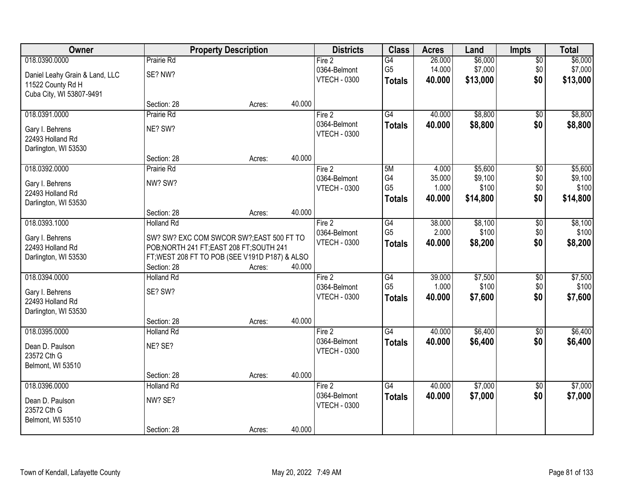| Owner                               |                                  | <b>Property Description</b>                                                            |        | <b>Districts</b>    | <b>Class</b>    | <b>Acres</b> | Land     | <b>Impts</b>           | <b>Total</b> |
|-------------------------------------|----------------------------------|----------------------------------------------------------------------------------------|--------|---------------------|-----------------|--------------|----------|------------------------|--------------|
| 018.0390.0000                       | Prairie Rd                       |                                                                                        |        | Fire 2              | $\overline{G4}$ | 26.000       | \$6,000  | $\overline{50}$        | \$6,000      |
| Daniel Leahy Grain & Land, LLC      | SE? NW?                          |                                                                                        |        | 0364-Belmont        | G <sub>5</sub>  | 14.000       | \$7,000  | \$0                    | \$7,000      |
| 11522 County Rd H                   |                                  |                                                                                        |        | <b>VTECH - 0300</b> | <b>Totals</b>   | 40.000       | \$13,000 | \$0                    | \$13,000     |
| Cuba City, WI 53807-9491            |                                  |                                                                                        |        |                     |                 |              |          |                        |              |
|                                     | Section: 28                      | Acres:                                                                                 | 40.000 |                     |                 |              |          |                        |              |
| 018.0391.0000                       | Prairie Rd                       |                                                                                        |        | Fire 2              | $\overline{G4}$ | 40.000       | \$8,800  | \$0                    | \$8,800      |
| Gary I. Behrens                     | NE? SW?                          |                                                                                        |        | 0364-Belmont        | <b>Totals</b>   | 40.000       | \$8,800  | \$0                    | \$8,800      |
| 22493 Holland Rd                    |                                  |                                                                                        |        | <b>VTECH - 0300</b> |                 |              |          |                        |              |
| Darlington, WI 53530                |                                  |                                                                                        |        |                     |                 |              |          |                        |              |
|                                     | Section: 28                      | Acres:                                                                                 | 40.000 |                     |                 |              |          |                        |              |
| 018.0392.0000                       | <b>Prairie Rd</b>                |                                                                                        |        | Fire 2              | 5M              | 4.000        | \$5,600  | $\overline{50}$        | \$5,600      |
| Gary I. Behrens                     | NW? SW?                          |                                                                                        |        | 0364-Belmont        | G4              | 35.000       | \$9,100  | \$0                    | \$9,100      |
| 22493 Holland Rd                    |                                  |                                                                                        |        | <b>VTECH - 0300</b> | G <sub>5</sub>  | 1.000        | \$100    | \$0                    | \$100        |
| Darlington, WI 53530                |                                  |                                                                                        |        |                     | <b>Totals</b>   | 40.000       | \$14,800 | \$0                    | \$14,800     |
|                                     | Section: 28                      | Acres:                                                                                 | 40.000 |                     |                 |              |          |                        |              |
| 018.0393.1000                       | <b>Holland Rd</b>                |                                                                                        |        | Fire 2              | G4              | 38.000       | \$8,100  | \$0                    | \$8,100      |
|                                     |                                  |                                                                                        |        | 0364-Belmont        | G <sub>5</sub>  | 2.000        | \$100    | \$0                    | \$100        |
| Gary I. Behrens<br>22493 Holland Rd |                                  | SW? SW? EXC COM SWCOR SW?; EAST 500 FT TO<br>POB; NORTH 241 FT; EAST 208 FT; SOUTH 241 |        | <b>VTECH - 0300</b> | <b>Totals</b>   | 40.000       | \$8,200  | \$0                    | \$8,200      |
| Darlington, WI 53530                |                                  | FT; WEST 208 FT TO POB (SEE V191D P187) & ALSO                                         |        |                     |                 |              |          |                        |              |
|                                     | Section: 28                      | Acres:                                                                                 | 40.000 |                     |                 |              |          |                        |              |
| 018.0394.0000                       | <b>Holland Rd</b>                |                                                                                        |        | Fire 2              | G4              | 39.000       | \$7,500  | $\overline{30}$        | \$7,500      |
|                                     |                                  |                                                                                        |        | 0364-Belmont        | G <sub>5</sub>  | 1.000        | \$100    | \$0                    | \$100        |
| Gary I. Behrens                     | SE? SW?                          |                                                                                        |        | <b>VTECH - 0300</b> | <b>Totals</b>   | 40.000       | \$7,600  | \$0                    | \$7,600      |
| 22493 Holland Rd                    |                                  |                                                                                        |        |                     |                 |              |          |                        |              |
| Darlington, WI 53530                | Section: 28                      | Acres:                                                                                 | 40.000 |                     |                 |              |          |                        |              |
| 018.0395.0000                       | <b>Holland Rd</b>                |                                                                                        |        | Fire 2              | G4              | 40.000       | \$6,400  | $\sqrt{$0}$            | \$6,400      |
|                                     |                                  |                                                                                        |        | 0364-Belmont        | <b>Totals</b>   | 40.000       | \$6,400  | \$0                    | \$6,400      |
| Dean D. Paulson                     | NE? SE?                          |                                                                                        |        | <b>VTECH - 0300</b> |                 |              |          |                        |              |
| 23572 Cth G                         |                                  |                                                                                        |        |                     |                 |              |          |                        |              |
| Belmont, WI 53510                   |                                  |                                                                                        |        |                     |                 |              |          |                        |              |
| 018.0396.0000                       | Section: 28<br><b>Holland Rd</b> | Acres:                                                                                 | 40.000 | Fire 2              | G4              | 40.000       | \$7,000  |                        | \$7,000      |
|                                     |                                  |                                                                                        |        | 0364-Belmont        |                 | 40.000       | \$7,000  | $\overline{30}$<br>\$0 | \$7,000      |
| Dean D. Paulson                     | NW? SE?                          |                                                                                        |        | <b>VTECH - 0300</b> | <b>Totals</b>   |              |          |                        |              |
| 23572 Cth G                         |                                  |                                                                                        |        |                     |                 |              |          |                        |              |
| Belmont, WI 53510                   |                                  |                                                                                        |        |                     |                 |              |          |                        |              |
|                                     | Section: 28                      | Acres:                                                                                 | 40.000 |                     |                 |              |          |                        |              |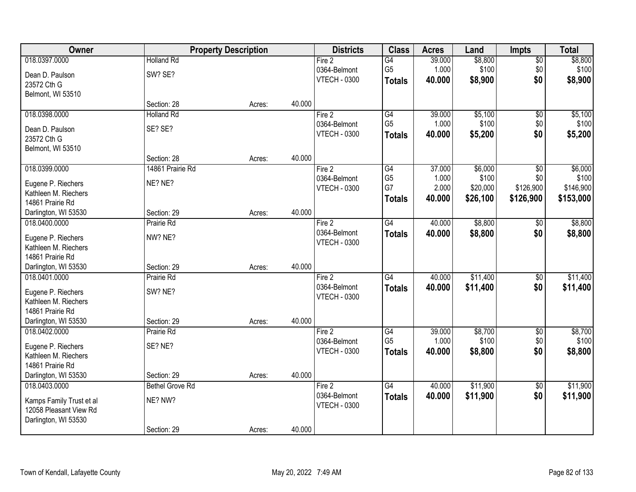| Owner                                              |                        | <b>Property Description</b> |        | <b>Districts</b>    | <b>Class</b>    | <b>Acres</b> | Land     | <b>Impts</b>    | <b>Total</b> |
|----------------------------------------------------|------------------------|-----------------------------|--------|---------------------|-----------------|--------------|----------|-----------------|--------------|
| 018.0397.0000                                      | <b>Holland Rd</b>      |                             |        | Fire $2$            | $\overline{G4}$ | 39.000       | \$8,800  | \$0             | \$8,800      |
| Dean D. Paulson                                    | SW? SE?                |                             |        | 0364-Belmont        | G <sub>5</sub>  | 1.000        | \$100    | \$0             | \$100        |
| 23572 Cth G                                        |                        |                             |        | <b>VTECH - 0300</b> | <b>Totals</b>   | 40.000       | \$8,900  | \$0             | \$8,900      |
| Belmont, WI 53510                                  |                        |                             |        |                     |                 |              |          |                 |              |
|                                                    | Section: 28            | Acres:                      | 40.000 |                     |                 |              |          |                 |              |
| 018.0398.0000                                      | <b>Holland Rd</b>      |                             |        | Fire 2              | G4              | 39.000       | \$5,100  | \$0             | \$5,100      |
| Dean D. Paulson                                    | SE? SE?                |                             |        | 0364-Belmont        | G <sub>5</sub>  | 1.000        | \$100    | \$0             | \$100        |
| 23572 Cth G                                        |                        |                             |        | <b>VTECH - 0300</b> | <b>Totals</b>   | 40.000       | \$5,200  | \$0             | \$5,200      |
| Belmont, WI 53510                                  |                        |                             |        |                     |                 |              |          |                 |              |
|                                                    | Section: 28            | Acres:                      | 40.000 |                     |                 |              |          |                 |              |
| 018.0399.0000                                      | 14861 Prairie Rd       |                             |        | Fire 2              | $\overline{G4}$ | 37.000       | \$6,000  | \$0             | \$6,000      |
| Eugene P. Riechers                                 | NE? NE?                |                             |        | 0364-Belmont        | G <sub>5</sub>  | 1.000        | \$100    | \$0             | \$100        |
| Kathleen M. Riechers                               |                        |                             |        | <b>VTECH - 0300</b> | G7              | 2.000        | \$20,000 | \$126,900       | \$146,900    |
| 14861 Prairie Rd                                   |                        |                             |        |                     | <b>Totals</b>   | 40.000       | \$26,100 | \$126,900       | \$153,000    |
| Darlington, WI 53530                               | Section: 29            | Acres:                      | 40.000 |                     |                 |              |          |                 |              |
| 018.0400.0000                                      | Prairie Rd             |                             |        | Fire 2              | G4              | 40.000       | \$8,800  | \$0             | \$8,800      |
| Eugene P. Riechers                                 | NW? NE?                |                             |        | 0364-Belmont        | <b>Totals</b>   | 40.000       | \$8,800  | \$0             | \$8,800      |
| Kathleen M. Riechers                               |                        |                             |        | <b>VTECH - 0300</b> |                 |              |          |                 |              |
| 14861 Prairie Rd                                   |                        |                             |        |                     |                 |              |          |                 |              |
| Darlington, WI 53530                               | Section: 29            | Acres:                      | 40.000 |                     |                 |              |          |                 |              |
| 018.0401.0000                                      | Prairie Rd             |                             |        | Fire 2              | $\overline{G4}$ | 40.000       | \$11,400 | $\overline{50}$ | \$11,400     |
| Eugene P. Riechers                                 | SW? NE?                |                             |        | 0364-Belmont        | <b>Totals</b>   | 40.000       | \$11,400 | \$0             | \$11,400     |
| Kathleen M. Riechers                               |                        |                             |        | <b>VTECH - 0300</b> |                 |              |          |                 |              |
| 14861 Prairie Rd                                   |                        |                             |        |                     |                 |              |          |                 |              |
| Darlington, WI 53530                               | Section: 29            | Acres:                      | 40.000 |                     |                 |              |          |                 |              |
| 018.0402.0000                                      | Prairie Rd             |                             |        | Fire 2              | G4              | 39.000       | \$8,700  | $\sqrt{6}$      | \$8,700      |
|                                                    | SE? NE?                |                             |        | 0364-Belmont        | G <sub>5</sub>  | 1.000        | \$100    | \$0             | \$100        |
| Eugene P. Riechers<br>Kathleen M. Riechers         |                        |                             |        | <b>VTECH - 0300</b> | <b>Totals</b>   | 40.000       | \$8,800  | \$0             | \$8,800      |
| 14861 Prairie Rd                                   |                        |                             |        |                     |                 |              |          |                 |              |
| Darlington, WI 53530                               | Section: 29            | Acres:                      | 40.000 |                     |                 |              |          |                 |              |
| 018.0403.0000                                      | <b>Bethel Grove Rd</b> |                             |        | Fire 2              | G4              | 40.000       | \$11,900 | \$0             | \$11,900     |
|                                                    |                        |                             |        | 0364-Belmont        | <b>Totals</b>   | 40.000       | \$11,900 | \$0             | \$11,900     |
| Kamps Family Trust et al<br>12058 Pleasant View Rd | NE? NW?                |                             |        | <b>VTECH - 0300</b> |                 |              |          |                 |              |
| Darlington, WI 53530                               |                        |                             |        |                     |                 |              |          |                 |              |
|                                                    | Section: 29            | Acres:                      | 40.000 |                     |                 |              |          |                 |              |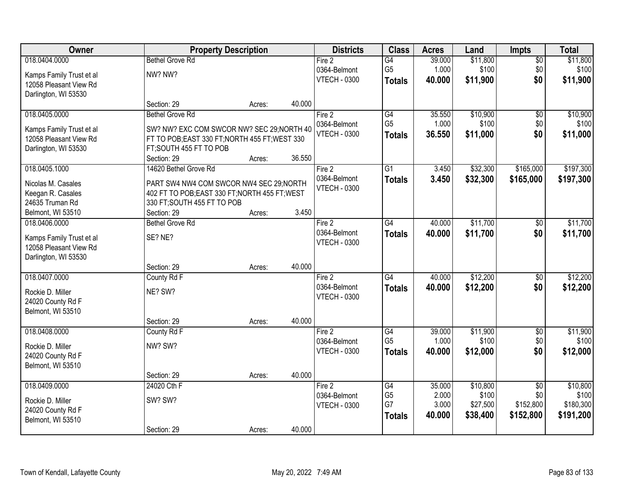| Owner                                              |                                                | <b>Property Description</b> |        | <b>Districts</b>    | <b>Class</b>    | <b>Acres</b> | Land     | <b>Impts</b>    | <b>Total</b> |
|----------------------------------------------------|------------------------------------------------|-----------------------------|--------|---------------------|-----------------|--------------|----------|-----------------|--------------|
| 018.0404.0000                                      | <b>Bethel Grove Rd</b>                         |                             |        | Fire 2              | G4              | 39.000       | \$11,800 | $\overline{50}$ | \$11,800     |
| Kamps Family Trust et al                           | NW? NW?                                        |                             |        | 0364-Belmont        | G <sub>5</sub>  | 1.000        | \$100    | \$0             | \$100        |
| 12058 Pleasant View Rd                             |                                                |                             |        | <b>VTECH - 0300</b> | <b>Totals</b>   | 40.000       | \$11,900 | \$0             | \$11,900     |
| Darlington, WI 53530                               |                                                |                             |        |                     |                 |              |          |                 |              |
|                                                    | Section: 29                                    | Acres:                      | 40.000 |                     |                 |              |          |                 |              |
| 018.0405.0000                                      | <b>Bethel Grove Rd</b>                         |                             |        | Fire 2              | G4              | 35.550       | \$10,900 | $\overline{50}$ | \$10,900     |
| Kamps Family Trust et al                           | SW? NW? EXC COM SWCOR NW? SEC 29; NORTH 40     |                             |        | 0364-Belmont        | G <sub>5</sub>  | 1.000        | \$100    | \$0             | \$100        |
| 12058 Pleasant View Rd                             | FT TO POB; EAST 330 FT; NORTH 455 FT; WEST 330 |                             |        | <b>VTECH - 0300</b> | <b>Totals</b>   | 36.550       | \$11,000 | \$0             | \$11,000     |
| Darlington, WI 53530                               | FT;SOUTH 455 FT TO POB                         |                             |        |                     |                 |              |          |                 |              |
|                                                    | Section: 29                                    | Acres:                      | 36.550 |                     |                 |              |          |                 |              |
| 018.0405.1000                                      | 14620 Bethel Grove Rd                          |                             |        | Fire 2              | $\overline{G1}$ | 3.450        | \$32,300 | \$165,000       | \$197,300    |
| Nicolas M. Casales                                 | PART SW4 NW4 COM SWCOR NW4 SEC 29;NORTH        |                             |        | 0364-Belmont        | <b>Totals</b>   | 3.450        | \$32,300 | \$165,000       | \$197,300    |
| Keegan R. Casales                                  | 402 FT TO POB; EAST 330 FT; NORTH 455 FT; WEST |                             |        | <b>VTECH - 0300</b> |                 |              |          |                 |              |
| 24635 Truman Rd                                    | 330 FT; SOUTH 455 FT TO POB                    |                             |        |                     |                 |              |          |                 |              |
| Belmont, WI 53510                                  | Section: 29                                    | Acres:                      | 3.450  |                     |                 |              |          |                 |              |
| 018.0406.0000                                      | <b>Bethel Grove Rd</b>                         |                             |        | Fire 2              | $\overline{G4}$ | 40.000       | \$11,700 | $\sqrt[6]{3}$   | \$11,700     |
|                                                    | SE? NE?                                        |                             |        | 0364-Belmont        | <b>Totals</b>   | 40.000       | \$11,700 | \$0             | \$11,700     |
| Kamps Family Trust et al<br>12058 Pleasant View Rd |                                                |                             |        | <b>VTECH - 0300</b> |                 |              |          |                 |              |
| Darlington, WI 53530                               |                                                |                             |        |                     |                 |              |          |                 |              |
|                                                    | Section: 29                                    | Acres:                      | 40.000 |                     |                 |              |          |                 |              |
| 018.0407.0000                                      | County Rd F                                    |                             |        | Fire 2              | G4              | 40.000       | \$12,200 | $\overline{50}$ | \$12,200     |
| Rockie D. Miller                                   | NE? SW?                                        |                             |        | 0364-Belmont        | <b>Totals</b>   | 40.000       | \$12,200 | \$0             | \$12,200     |
| 24020 County Rd F                                  |                                                |                             |        | <b>VTECH - 0300</b> |                 |              |          |                 |              |
| Belmont, WI 53510                                  |                                                |                             |        |                     |                 |              |          |                 |              |
|                                                    | Section: 29                                    | Acres:                      | 40.000 |                     |                 |              |          |                 |              |
| 018.0408.0000                                      | County Rd F                                    |                             |        | Fire 2              | G4              | 39.000       | \$11,900 | $\sqrt{$0}$     | \$11,900     |
| Rockie D. Miller                                   | NW? SW?                                        |                             |        | 0364-Belmont        | G <sub>5</sub>  | 1.000        | \$100    | \$0             | \$100        |
| 24020 County Rd F                                  |                                                |                             |        | <b>VTECH - 0300</b> | <b>Totals</b>   | 40.000       | \$12,000 | \$0             | \$12,000     |
| Belmont, WI 53510                                  |                                                |                             |        |                     |                 |              |          |                 |              |
|                                                    | Section: 29                                    | Acres:                      | 40.000 |                     |                 |              |          |                 |              |
| 018.0409.0000                                      | 24020 Cth F                                    |                             |        | Fire 2              | G4              | 35.000       | \$10,800 | $\overline{50}$ | \$10,800     |
| Rockie D. Miller                                   | SW? SW?                                        |                             |        | 0364-Belmont        | G <sub>5</sub>  | 2.000        | \$100    | \$0             | \$100        |
| 24020 County Rd F                                  |                                                |                             |        | <b>VTECH - 0300</b> | G7              | 3.000        | \$27,500 | \$152,800       | \$180,300    |
| Belmont, WI 53510                                  |                                                |                             |        |                     | <b>Totals</b>   | 40.000       | \$38,400 | \$152,800       | \$191,200    |
|                                                    | Section: 29                                    | Acres:                      | 40.000 |                     |                 |              |          |                 |              |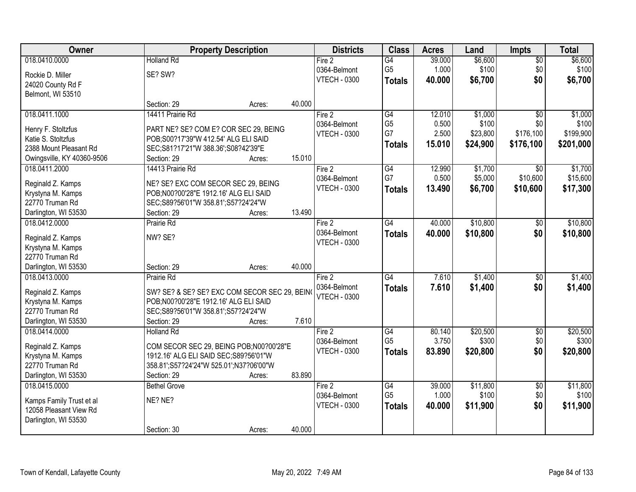| Owner                                   |                                                    | <b>Property Description</b> |        | <b>Districts</b>       | <b>Class</b>         | <b>Acres</b>    | Land              | <b>Impts</b>           | <b>Total</b>      |
|-----------------------------------------|----------------------------------------------------|-----------------------------|--------|------------------------|----------------------|-----------------|-------------------|------------------------|-------------------|
| 018.0410.0000                           | <b>Holland Rd</b>                                  |                             |        | Fire 2                 | $\overline{G4}$      | 39.000          | \$6,600           | $\sqrt{$0}$            | \$6,600           |
| Rockie D. Miller                        | SE? SW?                                            |                             |        | 0364-Belmont           | G <sub>5</sub>       | 1.000           | \$100             | \$0                    | \$100             |
| 24020 County Rd F                       |                                                    |                             |        | <b>VTECH - 0300</b>    | <b>Totals</b>        | 40.000          | \$6,700           | \$0                    | \$6,700           |
| Belmont, WI 53510                       |                                                    |                             |        |                        |                      |                 |                   |                        |                   |
|                                         | Section: 29                                        | Acres:                      | 40.000 |                        |                      |                 |                   |                        |                   |
| 018.0411.1000                           | 14411 Prairie Rd                                   |                             |        | Fire 2                 | G4                   | 12.010          | \$1,000           | $\overline{50}$        | \$1,000           |
| Henry F. Stoltzfus                      | PART NE? SE? COM E? COR SEC 29, BEING              |                             |        | 0364-Belmont           | G <sub>5</sub>       | 0.500           | \$100             | \$0                    | \$100             |
| Katie S. Stoltzfus                      | POB; S00?17'39"W 412.54' ALG ELI SAID              |                             |        | <b>VTECH - 0300</b>    | G7                   | 2.500           | \$23,800          | \$176,100              | \$199,900         |
| 2388 Mount Pleasant Rd                  | SEC;S81?17'21"W 388.36';S08?42'39"E                |                             |        |                        | <b>Totals</b>        | 15.010          | \$24,900          | \$176,100              | \$201,000         |
| Owingsville, KY 40360-9506              | Section: 29                                        | Acres:                      | 15.010 |                        |                      |                 |                   |                        |                   |
| 018.0411.2000                           | 14413 Prairie Rd                                   |                             |        | Fire 2                 | G4                   | 12.990          | \$1,700           | $\sqrt{6}$             | \$1,700           |
| Reginald Z. Kamps                       | NE? SE? EXC COM SECOR SEC 29, BEING                |                             |        | 0364-Belmont           | G7                   | 0.500           | \$5,000           | \$10,600               | \$15,600          |
| Krystyna M. Kamps                       | POB;N00?00'28"E 1912.16' ALG ELI SAID              |                             |        | <b>VTECH - 0300</b>    | <b>Totals</b>        | 13.490          | \$6,700           | \$10,600               | \$17,300          |
| 22770 Truman Rd                         | SEC;S89?56'01"W 358.81';S57?24'24"W                |                             |        |                        |                      |                 |                   |                        |                   |
| Darlington, WI 53530                    | Section: 29                                        | Acres:                      | 13.490 |                        |                      |                 |                   |                        |                   |
| 018.0412.0000                           | Prairie Rd                                         |                             |        | Fire 2                 | G4                   | 40.000          | \$10,800          | $\sqrt[6]{3}$          | \$10,800          |
|                                         |                                                    |                             |        | 0364-Belmont           | <b>Totals</b>        | 40.000          | \$10,800          | \$0                    | \$10,800          |
| Reginald Z. Kamps<br>Krystyna M. Kamps  | NW? SE?                                            |                             |        | <b>VTECH - 0300</b>    |                      |                 |                   |                        |                   |
| 22770 Truman Rd                         |                                                    |                             |        |                        |                      |                 |                   |                        |                   |
| Darlington, WI 53530                    | Section: 29                                        | Acres:                      | 40.000 |                        |                      |                 |                   |                        |                   |
| 018.0413.0000                           | Prairie Rd                                         |                             |        | Fire 2                 | G4                   | 7.610           | \$1,400           | \$0                    | \$1,400           |
|                                         |                                                    |                             |        | 0364-Belmont           | <b>Totals</b>        | 7.610           | \$1,400           | \$0                    | \$1,400           |
| Reginald Z. Kamps                       | SW? SE? & SE? SE? EXC COM SECOR SEC 29, BEIN       |                             |        | <b>VTECH - 0300</b>    |                      |                 |                   |                        |                   |
| Krystyna M. Kamps                       | POB;N00?00'28"E 1912.16' ALG ELI SAID              |                             |        |                        |                      |                 |                   |                        |                   |
| 22770 Truman Rd<br>Darlington, WI 53530 | SEC;S89?56'01"W 358.81';S57?24'24"W<br>Section: 29 | Acres:                      | 7.610  |                        |                      |                 |                   |                        |                   |
| 018.0414.0000                           | <b>Holland Rd</b>                                  |                             |        | Fire 2                 | G4                   | 80.140          | \$20,500          | $\sqrt{$0}$            | \$20,500          |
|                                         |                                                    |                             |        | 0364-Belmont           | G <sub>5</sub>       | 3.750           | \$300             | \$0                    | \$300             |
| Reginald Z. Kamps                       | COM SECOR SEC 29, BEING POB;N00?00'28"E            |                             |        | <b>VTECH - 0300</b>    | <b>Totals</b>        | 83.890          | \$20,800          | \$0                    | \$20,800          |
| Krystyna M. Kamps                       | 1912.16' ALG ELI SAID SEC; S89?56'01"W             |                             |        |                        |                      |                 |                   |                        |                   |
| 22770 Truman Rd                         | 358.81';S57?24'24"W 525.01';N37?06'00"W            |                             |        |                        |                      |                 |                   |                        |                   |
| Darlington, WI 53530                    | Section: 29                                        | Acres:                      | 83.890 |                        |                      |                 |                   |                        |                   |
| 018.0415.0000                           | <b>Bethel Grove</b>                                |                             |        | Fire 2<br>0364-Belmont | G4<br>G <sub>5</sub> | 39.000<br>1.000 | \$11,800<br>\$100 | $\overline{50}$<br>\$0 | \$11,800<br>\$100 |
| Kamps Family Trust et al                | NE? NE?                                            |                             |        | <b>VTECH - 0300</b>    |                      | 40.000          | \$11,900          | \$0                    | \$11,900          |
| 12058 Pleasant View Rd                  |                                                    |                             |        |                        | <b>Totals</b>        |                 |                   |                        |                   |
| Darlington, WI 53530                    |                                                    |                             |        |                        |                      |                 |                   |                        |                   |
|                                         | Section: 30                                        | Acres:                      | 40.000 |                        |                      |                 |                   |                        |                   |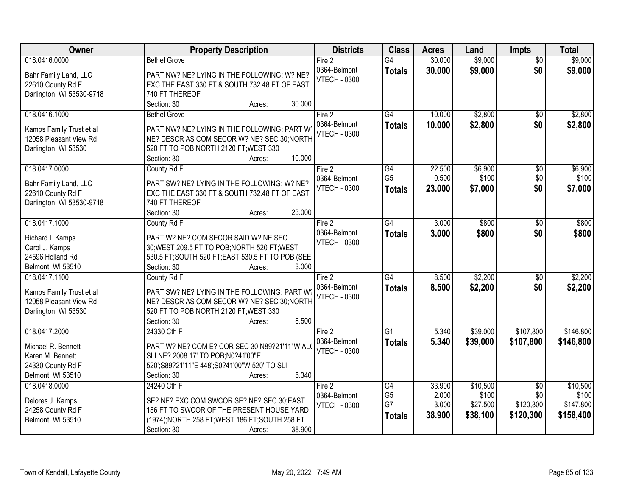| \$9,000<br>\$9,000<br>018.0416.0000<br><b>Bethel Grove</b><br>$\overline{G4}$<br>30.000<br>Fire 2<br>$\overline{50}$<br>\$0<br>0364-Belmont<br>30.000<br>\$9,000<br>\$9,000<br><b>Totals</b><br>PART NW? NE? LYING IN THE FOLLOWING: W? NE?<br>Bahr Family Land, LLC<br><b>VTECH - 0300</b><br>EXC THE EAST 330 FT & SOUTH 732.48 FT OF EAST<br>22610 County Rd F<br>Darlington, WI 53530-9718<br>740 FT THEREOF<br>30.000<br>Section: 30<br>Acres:<br>\$2,800<br>018.0416.1000<br>$\overline{G4}$<br>10.000<br><b>Bethel Grove</b><br>Fire 2<br>$\overline{50}$<br>0364-Belmont<br>10.000<br>\$2,800<br>\$0<br>\$2,800<br><b>Totals</b><br>PART NW? NE? LYING IN THE FOLLOWING: PART W<br>Kamps Family Trust et al |
|---------------------------------------------------------------------------------------------------------------------------------------------------------------------------------------------------------------------------------------------------------------------------------------------------------------------------------------------------------------------------------------------------------------------------------------------------------------------------------------------------------------------------------------------------------------------------------------------------------------------------------------------------------------------------------------------------------------------|
|                                                                                                                                                                                                                                                                                                                                                                                                                                                                                                                                                                                                                                                                                                                     |
|                                                                                                                                                                                                                                                                                                                                                                                                                                                                                                                                                                                                                                                                                                                     |
|                                                                                                                                                                                                                                                                                                                                                                                                                                                                                                                                                                                                                                                                                                                     |
|                                                                                                                                                                                                                                                                                                                                                                                                                                                                                                                                                                                                                                                                                                                     |
| \$2,800                                                                                                                                                                                                                                                                                                                                                                                                                                                                                                                                                                                                                                                                                                             |
|                                                                                                                                                                                                                                                                                                                                                                                                                                                                                                                                                                                                                                                                                                                     |
|                                                                                                                                                                                                                                                                                                                                                                                                                                                                                                                                                                                                                                                                                                                     |
| <b>VTECH - 0300</b>                                                                                                                                                                                                                                                                                                                                                                                                                                                                                                                                                                                                                                                                                                 |
| 12058 Pleasant View Rd<br>NE? DESCR AS COM SECOR W? NE? SEC 30; NORTH                                                                                                                                                                                                                                                                                                                                                                                                                                                                                                                                                                                                                                               |
| Darlington, WI 53530<br>520 FT TO POB; NORTH 2120 FT; WEST 330                                                                                                                                                                                                                                                                                                                                                                                                                                                                                                                                                                                                                                                      |
| 10.000<br>Section: 30<br>Acres:                                                                                                                                                                                                                                                                                                                                                                                                                                                                                                                                                                                                                                                                                     |
| 018.0417.0000<br>22.500<br>\$6,900<br>\$6,900<br>County Rd F<br>Fire 2<br>G4<br>\$0                                                                                                                                                                                                                                                                                                                                                                                                                                                                                                                                                                                                                                 |
| G <sub>5</sub><br>0.500<br>\$100<br>\$0<br>\$100<br>0364-Belmont<br>PART SW? NE? LYING IN THE FOLLOWING: W? NE?<br>Bahr Family Land, LLC                                                                                                                                                                                                                                                                                                                                                                                                                                                                                                                                                                            |
| <b>VTECH - 0300</b><br>23,000<br>\$0<br>\$7,000<br>\$7,000<br>Totals<br>22610 County Rd F<br>EXC THE EAST 330 FT & SOUTH 732.48 FT OF EAST                                                                                                                                                                                                                                                                                                                                                                                                                                                                                                                                                                          |
| 740 FT THEREOF<br>Darlington, WI 53530-9718                                                                                                                                                                                                                                                                                                                                                                                                                                                                                                                                                                                                                                                                         |
| 23.000<br>Section: 30<br>Acres:                                                                                                                                                                                                                                                                                                                                                                                                                                                                                                                                                                                                                                                                                     |
| 018.0417.1000<br>County Rd F<br>$\overline{G4}$<br>3.000<br>\$800<br>\$800<br>Fire 2<br>\$0                                                                                                                                                                                                                                                                                                                                                                                                                                                                                                                                                                                                                         |
| 0364-Belmont<br>3.000<br>\$800<br>\$0<br>\$800<br><b>Totals</b>                                                                                                                                                                                                                                                                                                                                                                                                                                                                                                                                                                                                                                                     |
| PART W? NE? COM SECOR SAID W? NE SEC<br>Richard I. Kamps<br><b>VTECH - 0300</b>                                                                                                                                                                                                                                                                                                                                                                                                                                                                                                                                                                                                                                     |
| Carol J. Kamps<br>30; WEST 209.5 FT TO POB; NORTH 520 FT; WEST                                                                                                                                                                                                                                                                                                                                                                                                                                                                                                                                                                                                                                                      |
| 24596 Holland Rd<br>530.5 FT; SOUTH 520 FT; EAST 530.5 FT TO POB (SEE                                                                                                                                                                                                                                                                                                                                                                                                                                                                                                                                                                                                                                               |
| 3.000<br>Belmont, WI 53510<br>Section: 30<br>Acres:                                                                                                                                                                                                                                                                                                                                                                                                                                                                                                                                                                                                                                                                 |
| \$2,200<br>$\overline{G4}$<br>8.500<br>\$2,200<br>018.0417.1100<br>$\overline{50}$<br>County Rd F<br>Fire 2                                                                                                                                                                                                                                                                                                                                                                                                                                                                                                                                                                                                         |
| 8.500<br>\$2,200<br>\$0<br>\$2,200<br>0364-Belmont<br><b>Totals</b><br>PART SW? NE? LYING IN THE FOLLOWING: PART W?<br>Kamps Family Trust et al                                                                                                                                                                                                                                                                                                                                                                                                                                                                                                                                                                     |
| <b>VTECH - 0300</b><br>12058 Pleasant View Rd<br>NE? DESCR AS COM SECOR W? NE? SEC 30; NORTH                                                                                                                                                                                                                                                                                                                                                                                                                                                                                                                                                                                                                        |
| Darlington, WI 53530<br>520 FT TO POB; NORTH 2120 FT; WEST 330                                                                                                                                                                                                                                                                                                                                                                                                                                                                                                                                                                                                                                                      |
| 8.500<br>Section: 30<br>Acres:                                                                                                                                                                                                                                                                                                                                                                                                                                                                                                                                                                                                                                                                                      |
| 018.0417.2000<br>$\overline{G1}$<br>\$39,000<br>\$107,800<br>\$146,800<br>24330 Cth F<br>Fire 2<br>5.340                                                                                                                                                                                                                                                                                                                                                                                                                                                                                                                                                                                                            |
| 0364-Belmont<br>\$39,000<br>\$107,800<br>5.340<br>\$146,800<br><b>Totals</b>                                                                                                                                                                                                                                                                                                                                                                                                                                                                                                                                                                                                                                        |
| Michael R. Bennett<br>PART W? NE? COM E? COR SEC 30;N89?21'11"W ALO<br><b>VTECH - 0300</b>                                                                                                                                                                                                                                                                                                                                                                                                                                                                                                                                                                                                                          |
| SLI NE? 2008.17' TO POB:N0?41'00"E<br>Karen M. Bennett                                                                                                                                                                                                                                                                                                                                                                                                                                                                                                                                                                                                                                                              |
| 24330 County Rd F<br>520'; S89?21'11"E 448'; S0?41'00"W 520' TO SLI                                                                                                                                                                                                                                                                                                                                                                                                                                                                                                                                                                                                                                                 |
| 5.340<br>Belmont, WI 53510<br>Section: 30<br>Acres:                                                                                                                                                                                                                                                                                                                                                                                                                                                                                                                                                                                                                                                                 |
| 018.0418.0000<br>24240 Cth F<br>33.900<br>\$10,500<br>\$10,500<br>Fire 2<br>G4<br>$\overline{50}$                                                                                                                                                                                                                                                                                                                                                                                                                                                                                                                                                                                                                   |
| G <sub>5</sub><br>2.000<br>\$0<br>\$100<br>\$100<br>0364-Belmont<br>SE? NE? EXC COM SWCOR SE? NE? SEC 30;EAST<br>Delores J. Kamps                                                                                                                                                                                                                                                                                                                                                                                                                                                                                                                                                                                   |
| G7<br>3.000<br>\$27,500<br>\$120,300<br>\$147,800<br><b>VTECH - 0300</b><br>24258 County Rd F<br>186 FT TO SWCOR OF THE PRESENT HOUSE YARD                                                                                                                                                                                                                                                                                                                                                                                                                                                                                                                                                                          |
| 38.900<br>\$38,100<br>\$120,300<br>\$158,400<br><b>Totals</b><br>Belmont, WI 53510<br>(1974); NORTH 258 FT; WEST 186 FT; SOUTH 258 FT                                                                                                                                                                                                                                                                                                                                                                                                                                                                                                                                                                               |
| 38.900<br>Section: 30<br>Acres:                                                                                                                                                                                                                                                                                                                                                                                                                                                                                                                                                                                                                                                                                     |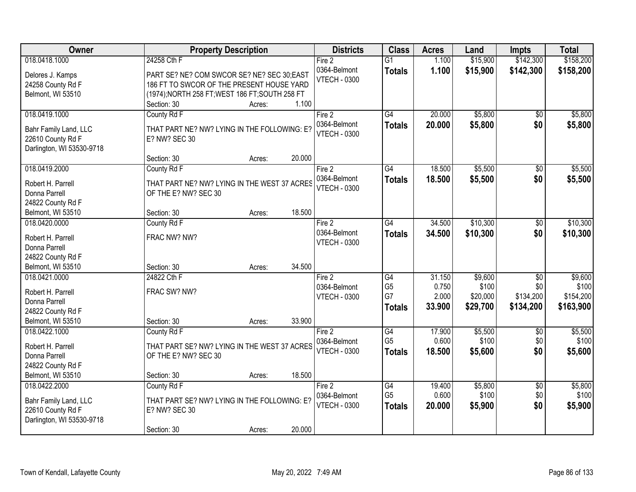| Owner                                      | <b>Property Description</b>                                          | <b>Districts</b>       | <b>Class</b>    | <b>Acres</b> | Land     | <b>Impts</b>    | <b>Total</b> |
|--------------------------------------------|----------------------------------------------------------------------|------------------------|-----------------|--------------|----------|-----------------|--------------|
| 018.0418.1000                              | 24258 Cth F                                                          | Fire 2                 | $\overline{G1}$ | 1.100        | \$15,900 | \$142,300       | \$158,200    |
| Delores J. Kamps                           | PART SE? NE? COM SWCOR SE? NE? SEC 30;EAST                           | 0364-Belmont           | <b>Totals</b>   | 1.100        | \$15,900 | \$142,300       | \$158,200    |
| 24258 County Rd F                          | 186 FT TO SWCOR OF THE PRESENT HOUSE YARD                            | <b>VTECH - 0300</b>    |                 |              |          |                 |              |
| Belmont, WI 53510                          | (1974); NORTH 258 FT; WEST 186 FT; SOUTH 258 FT                      |                        |                 |              |          |                 |              |
|                                            | 1.100<br>Section: 30<br>Acres:                                       |                        |                 |              |          |                 |              |
| 018.0419.1000                              | County Rd F                                                          | Fire 2                 | $\overline{G4}$ | 20.000       | \$5,800  | \$0             | \$5,800      |
|                                            | THAT PART NE? NW? LYING IN THE FOLLOWING: E?                         | 0364-Belmont           | <b>Totals</b>   | 20.000       | \$5,800  | \$0             | \$5,800      |
| Bahr Family Land, LLC<br>22610 County Rd F | E? NW? SEC 30                                                        | <b>VTECH - 0300</b>    |                 |              |          |                 |              |
| Darlington, WI 53530-9718                  |                                                                      |                        |                 |              |          |                 |              |
|                                            | 20.000<br>Section: 30<br>Acres:                                      |                        |                 |              |          |                 |              |
| 018.0419.2000                              | County Rd F                                                          | Fire 2                 | $\overline{G4}$ | 18.500       | \$5,500  | \$0             | \$5,500      |
|                                            |                                                                      | 0364-Belmont           | <b>Totals</b>   | 18.500       | \$5,500  | \$0             | \$5,500      |
| Robert H. Parrell                          | THAT PART NE? NW? LYING IN THE WEST 37 ACRES                         | <b>VTECH - 0300</b>    |                 |              |          |                 |              |
| Donna Parrell                              | OF THE E? NW? SEC 30                                                 |                        |                 |              |          |                 |              |
| 24822 County Rd F                          | 18.500                                                               |                        |                 |              |          |                 |              |
| Belmont, WI 53510                          | Section: 30<br>Acres:                                                |                        | $\overline{G4}$ |              | \$10,300 |                 |              |
| 018.0420.0000                              | County Rd F                                                          | Fire 2<br>0364-Belmont |                 | 34.500       |          | $\frac{1}{20}$  | \$10,300     |
| Robert H. Parrell                          | FRAC NW? NW?                                                         | <b>VTECH - 0300</b>    | <b>Totals</b>   | 34.500       | \$10,300 | \$0             | \$10,300     |
| Donna Parrell                              |                                                                      |                        |                 |              |          |                 |              |
| 24822 County Rd F                          |                                                                      |                        |                 |              |          |                 |              |
| Belmont, WI 53510                          | 34.500<br>Section: 30<br>Acres:                                      |                        |                 |              |          |                 |              |
| 018.0421.0000                              | 24822 Cth F                                                          | Fire 2                 | $\overline{G4}$ | 31.150       | \$9,600  | $\overline{50}$ | \$9,600      |
| Robert H. Parrell                          | FRAC SW? NW?                                                         | 0364-Belmont           | G <sub>5</sub>  | 0.750        | \$100    | \$0             | \$100        |
| Donna Parrell                              |                                                                      | <b>VTECH - 0300</b>    | G7              | 2.000        | \$20,000 | \$134,200       | \$154,200    |
| 24822 County Rd F                          |                                                                      |                        | <b>Totals</b>   | 33.900       | \$29,700 | \$134,200       | \$163,900    |
| Belmont, WI 53510                          | 33.900<br>Section: 30<br>Acres:                                      |                        |                 |              |          |                 |              |
| 018.0422.1000                              | County Rd F                                                          | Fire 2                 | G4              | 17.900       | \$5,500  | \$0             | \$5,500      |
|                                            |                                                                      | 0364-Belmont           | G <sub>5</sub>  | 0.600        | \$100    | \$0             | \$100        |
| Robert H. Parrell<br>Donna Parrell         | THAT PART SE? NW? LYING IN THE WEST 37 ACRES<br>OF THE E? NW? SEC 30 | <b>VTECH - 0300</b>    | <b>Totals</b>   | 18.500       | \$5,600  | \$0             | \$5,600      |
| 24822 County Rd F                          |                                                                      |                        |                 |              |          |                 |              |
| Belmont, WI 53510                          | 18.500<br>Section: 30<br>Acres:                                      |                        |                 |              |          |                 |              |
| 018.0422.2000                              | County Rd F                                                          | Fire 2                 | G4              | 19.400       | \$5,800  | $\overline{60}$ | \$5,800      |
|                                            |                                                                      | 0364-Belmont           | G <sub>5</sub>  | 0.600        | \$100    | \$0             | \$100        |
| Bahr Family Land, LLC                      | THAT PART SE? NW? LYING IN THE FOLLOWING: E?                         | <b>VTECH - 0300</b>    |                 | 20.000       | \$5,900  | \$0             | \$5,900      |
| 22610 County Rd F                          | E? NW? SEC 30                                                        |                        | <b>Totals</b>   |              |          |                 |              |
| Darlington, WI 53530-9718                  |                                                                      |                        |                 |              |          |                 |              |
|                                            | 20.000<br>Section: 30<br>Acres:                                      |                        |                 |              |          |                 |              |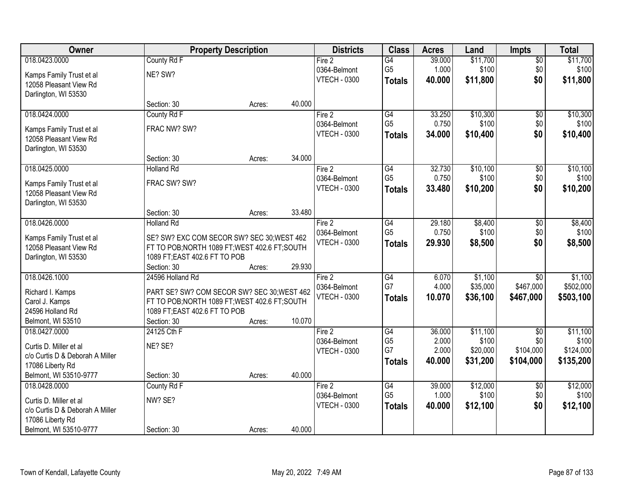| <b>Owner</b>                                              |                                                                                               | <b>Property Description</b> |        | <b>Districts</b>    | <b>Class</b>    | <b>Acres</b> | Land     | <b>Impts</b>    | <b>Total</b> |
|-----------------------------------------------------------|-----------------------------------------------------------------------------------------------|-----------------------------|--------|---------------------|-----------------|--------------|----------|-----------------|--------------|
| 018.0423.0000                                             | County Rd F                                                                                   |                             |        | Fire 2              | $\overline{G4}$ | 39.000       | \$11,700 | $\overline{60}$ | \$11,700     |
| Kamps Family Trust et al                                  | NE? SW?                                                                                       |                             |        | 0364-Belmont        | G <sub>5</sub>  | 1.000        | \$100    | \$0             | \$100        |
| 12058 Pleasant View Rd                                    |                                                                                               |                             |        | <b>VTECH - 0300</b> | <b>Totals</b>   | 40.000       | \$11,800 | \$0             | \$11,800     |
| Darlington, WI 53530                                      |                                                                                               |                             |        |                     |                 |              |          |                 |              |
|                                                           | Section: 30                                                                                   | Acres:                      | 40.000 |                     |                 |              |          |                 |              |
| 018.0424.0000                                             | County Rd F                                                                                   |                             |        | Fire 2              | $\overline{G4}$ | 33.250       | \$10,300 | \$0             | \$10,300     |
| Kamps Family Trust et al                                  | FRAC NW? SW?                                                                                  |                             |        | 0364-Belmont        | G <sub>5</sub>  | 0.750        | \$100    | \$0             | \$100        |
| 12058 Pleasant View Rd                                    |                                                                                               |                             |        | <b>VTECH - 0300</b> | <b>Totals</b>   | 34.000       | \$10,400 | \$0             | \$10,400     |
| Darlington, WI 53530                                      |                                                                                               |                             |        |                     |                 |              |          |                 |              |
|                                                           | Section: 30                                                                                   | Acres:                      | 34.000 |                     |                 |              |          |                 |              |
| 018.0425.0000                                             | <b>Holland Rd</b>                                                                             |                             |        | Fire 2              | G4              | 32.730       | \$10,100 | \$0             | \$10,100     |
| Kamps Family Trust et al                                  | FRAC SW? SW?                                                                                  |                             |        | 0364-Belmont        | G <sub>5</sub>  | 0.750        | \$100    | \$0             | \$100        |
| 12058 Pleasant View Rd                                    |                                                                                               |                             |        | <b>VTECH - 0300</b> | <b>Totals</b>   | 33.480       | \$10,200 | \$0             | \$10,200     |
| Darlington, WI 53530                                      |                                                                                               |                             |        |                     |                 |              |          |                 |              |
|                                                           | Section: 30                                                                                   | Acres:                      | 33.480 |                     |                 |              |          |                 |              |
| 018.0426.0000                                             | <b>Holland Rd</b>                                                                             |                             |        | Fire 2              | $\overline{G4}$ | 29.180       | \$8,400  | \$0             | \$8,400      |
| Kamps Family Trust et al                                  | SE? SW? EXC COM SECOR SW? SEC 30; WEST 462                                                    |                             |        | 0364-Belmont        | G <sub>5</sub>  | 0.750        | \$100    | \$0             | \$100        |
| 12058 Pleasant View Rd                                    | FT TO POB; NORTH 1089 FT; WEST 402.6 FT; SOUTH                                                |                             |        | <b>VTECH - 0300</b> | <b>Totals</b>   | 29.930       | \$8,500  | \$0             | \$8,500      |
| Darlington, WI 53530                                      | 1089 FT; EAST 402.6 FT TO POB                                                                 |                             |        |                     |                 |              |          |                 |              |
|                                                           | Section: 30                                                                                   | Acres:                      | 29.930 |                     |                 |              |          |                 |              |
| 018.0426.1000                                             | 24596 Holland Rd                                                                              |                             |        | Fire 2              | G4              | 6.070        | \$1,100  | $\overline{50}$ | \$1,100      |
|                                                           |                                                                                               |                             |        | 0364-Belmont        | G7              | 4.000        | \$35,000 | \$467,000       | \$502,000    |
| Richard I. Kamps<br>Carol J. Kamps                        | PART SE? SW? COM SECOR SW? SEC 30; WEST 462<br>FT TO POB; NORTH 1089 FT; WEST 402.6 FT; SOUTH |                             |        | <b>VTECH - 0300</b> | <b>Totals</b>   | 10.070       | \$36,100 | \$467,000       | \$503,100    |
| 24596 Holland Rd                                          | 1089 FT; EAST 402.6 FT TO POB                                                                 |                             |        |                     |                 |              |          |                 |              |
| Belmont, WI 53510                                         | Section: 30                                                                                   | Acres:                      | 10.070 |                     |                 |              |          |                 |              |
| 018.0427.0000                                             | 24125 Cth F                                                                                   |                             |        | Fire 2              | $\overline{G4}$ | 36.000       | \$11,100 | $\overline{50}$ | \$11,100     |
| Curtis D. Miller et al                                    | NE? SE?                                                                                       |                             |        | 0364-Belmont        | G <sub>5</sub>  | 2.000        | \$100    | \$0             | \$100        |
| c/o Curtis D & Deborah A Miller                           |                                                                                               |                             |        | <b>VTECH - 0300</b> | G7              | 2.000        | \$20,000 | \$104,000       | \$124,000    |
| 17086 Liberty Rd                                          |                                                                                               |                             |        |                     | <b>Totals</b>   | 40.000       | \$31,200 | \$104,000       | \$135,200    |
| Belmont, WI 53510-9777                                    | Section: 30                                                                                   | Acres:                      | 40.000 |                     |                 |              |          |                 |              |
| 018.0428.0000                                             | County Rd F                                                                                   |                             |        | Fire 2              | G4              | 39.000       | \$12,000 | $\overline{30}$ | \$12,000     |
|                                                           |                                                                                               |                             |        | 0364-Belmont        | G <sub>5</sub>  | 1.000        | \$100    | \$0             | \$100        |
| Curtis D. Miller et al<br>c/o Curtis D & Deborah A Miller | NW? SE?                                                                                       |                             |        | <b>VTECH - 0300</b> | <b>Totals</b>   | 40.000       | \$12,100 | \$0             | \$12,100     |
| 17086 Liberty Rd                                          |                                                                                               |                             |        |                     |                 |              |          |                 |              |
| Belmont, WI 53510-9777                                    | Section: 30                                                                                   | Acres:                      | 40.000 |                     |                 |              |          |                 |              |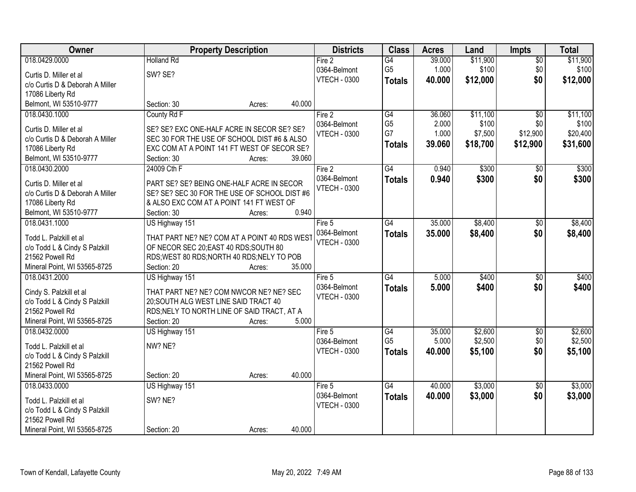| Owner                           |                                              | <b>Property Description</b> |        | <b>Districts</b>    | <b>Class</b>    | <b>Acres</b> | Land     | <b>Impts</b>    | <b>Total</b> |
|---------------------------------|----------------------------------------------|-----------------------------|--------|---------------------|-----------------|--------------|----------|-----------------|--------------|
| 018.0429.0000                   | <b>Holland Rd</b>                            |                             |        | Fire 2              | $\overline{G4}$ | 39.000       | \$11,900 | $\overline{50}$ | \$11,900     |
| Curtis D. Miller et al          | SW? SE?                                      |                             |        | 0364-Belmont        | G <sub>5</sub>  | 1.000        | \$100    | \$0             | \$100        |
| c/o Curtis D & Deborah A Miller |                                              |                             |        | <b>VTECH - 0300</b> | <b>Totals</b>   | 40.000       | \$12,000 | \$0             | \$12,000     |
| 17086 Liberty Rd                |                                              |                             |        |                     |                 |              |          |                 |              |
| Belmont, WI 53510-9777          | Section: 30                                  | Acres:                      | 40.000 |                     |                 |              |          |                 |              |
| 018.0430.1000                   | County Rd F                                  |                             |        | Fire 2              | G4              | 36.060       | \$11,100 | $\overline{30}$ | \$11,100     |
|                                 |                                              |                             |        | 0364-Belmont        | G <sub>5</sub>  | 2.000        | \$100    | \$0             | \$100        |
| Curtis D. Miller et al          | SE? SE? EXC ONE-HALF ACRE IN SECOR SE? SE?   |                             |        | <b>VTECH - 0300</b> | G7              | 1.000        | \$7,500  | \$12,900        | \$20,400     |
| c/o Curtis D & Deborah A Miller | SEC 30 FOR THE USE OF SCHOOL DIST #6 & ALSO  |                             |        |                     | <b>Totals</b>   | 39.060       | \$18,700 | \$12,900        | \$31,600     |
| 17086 Liberty Rd                | EXC COM AT A POINT 141 FT WEST OF SECOR SE?  |                             |        |                     |                 |              |          |                 |              |
| Belmont, WI 53510-9777          | Section: 30                                  | Acres:                      | 39.060 |                     |                 |              |          |                 |              |
| 018.0430.2000                   | 24009 Cth F                                  |                             |        | Fire 2              | $\overline{G4}$ | 0.940        | \$300    | $\overline{50}$ | \$300        |
| Curtis D. Miller et al          | PART SE? SE? BEING ONE-HALF ACRE IN SECOR    |                             |        | 0364-Belmont        | <b>Totals</b>   | 0.940        | \$300    | \$0             | \$300        |
| c/o Curtis D & Deborah A Miller | SE? SE? SEC 30 FOR THE USE OF SCHOOL DIST #6 |                             |        | <b>VTECH - 0300</b> |                 |              |          |                 |              |
| 17086 Liberty Rd                | & ALSO EXC COM AT A POINT 141 FT WEST OF     |                             |        |                     |                 |              |          |                 |              |
| Belmont, WI 53510-9777          | Section: 30                                  | Acres:                      | 0.940  |                     |                 |              |          |                 |              |
| 018.0431.1000                   | US Highway 151                               |                             |        | Fire 5              | G4              | 35.000       | \$8,400  | \$0             | \$8,400      |
|                                 |                                              |                             |        | 0364-Belmont        | <b>Totals</b>   | 35.000       | \$8,400  | \$0             | \$8,400      |
| Todd L. Palzkill et al          | THAT PART NE? NE? COM AT A POINT 40 RDS WEST |                             |        | <b>VTECH - 0300</b> |                 |              |          |                 |              |
| c/o Todd L & Cindy S Palzkill   | OF NECOR SEC 20; EAST 40 RDS; SOUTH 80       |                             |        |                     |                 |              |          |                 |              |
| 21562 Powell Rd                 | RDS; WEST 80 RDS; NORTH 40 RDS; NELY TO POB  |                             |        |                     |                 |              |          |                 |              |
| Mineral Point, WI 53565-8725    | Section: 20                                  | Acres:                      | 35.000 |                     |                 |              |          |                 |              |
| 018.0431.2000                   | US Highway 151                               |                             |        | Fire $5$            | $\overline{G4}$ | 5.000        | \$400    | $\overline{30}$ | \$400        |
| Cindy S. Palzkill et al         | THAT PART NE? NE? COM NWCOR NE? NE? SEC      |                             |        | 0364-Belmont        | <b>Totals</b>   | 5.000        | \$400    | \$0             | \$400        |
| c/o Todd L & Cindy S Palzkill   | 20; SOUTH ALG WEST LINE SAID TRACT 40        |                             |        | <b>VTECH - 0300</b> |                 |              |          |                 |              |
| 21562 Powell Rd                 | RDS; NELY TO NORTH LINE OF SAID TRACT, AT A  |                             |        |                     |                 |              |          |                 |              |
| Mineral Point, WI 53565-8725    | Section: 20                                  | Acres:                      | 5.000  |                     |                 |              |          |                 |              |
| 018.0432.0000                   | US Highway 151                               |                             |        | Fire 5              | G4              | 35.000       | \$2,600  | $\sqrt{6}$      | \$2,600      |
|                                 |                                              |                             |        | 0364-Belmont        | G <sub>5</sub>  | 5.000        | \$2,500  | \$0             | \$2,500      |
| Todd L. Palzkill et al          | NW? NE?                                      |                             |        | <b>VTECH - 0300</b> | <b>Totals</b>   | 40.000       | \$5,100  | \$0             | \$5,100      |
| c/o Todd L & Cindy S Palzkill   |                                              |                             |        |                     |                 |              |          |                 |              |
| 21562 Powell Rd                 |                                              |                             |        |                     |                 |              |          |                 |              |
| Mineral Point, WI 53565-8725    | Section: 20                                  | Acres:                      | 40.000 |                     |                 |              |          |                 |              |
| 018.0433.0000                   | US Highway 151                               |                             |        | Fire $5$            | G4              | 40.000       | \$3,000  | $\overline{50}$ | \$3,000      |
| Todd L. Palzkill et al          | SW? NE?                                      |                             |        | 0364-Belmont        | <b>Totals</b>   | 40.000       | \$3,000  | \$0             | \$3,000      |
| c/o Todd L & Cindy S Palzkill   |                                              |                             |        | <b>VTECH - 0300</b> |                 |              |          |                 |              |
| 21562 Powell Rd                 |                                              |                             |        |                     |                 |              |          |                 |              |
| Mineral Point, WI 53565-8725    | Section: 20                                  | Acres:                      | 40.000 |                     |                 |              |          |                 |              |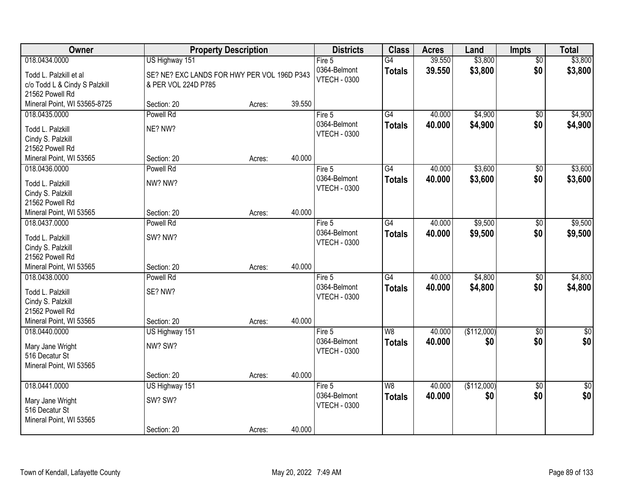| Owner                                | <b>Property Description</b>                 |        |        | <b>Districts</b>    | <b>Class</b>    | <b>Acres</b> | Land        | <b>Impts</b>    | <b>Total</b>     |
|--------------------------------------|---------------------------------------------|--------|--------|---------------------|-----------------|--------------|-------------|-----------------|------------------|
| 018.0434.0000                        | US Highway 151                              |        |        | Fire 5              | G4              | 39.550       | \$3,800     | $\overline{50}$ | \$3,800          |
| Todd L. Palzkill et al               | SE? NE? EXC LANDS FOR HWY PER VOL 196D P343 |        |        | 0364-Belmont        | <b>Totals</b>   | 39.550       | \$3,800     | \$0             | \$3,800          |
| c/o Todd L & Cindy S Palzkill        | & PER VOL 224D P785                         |        |        | <b>VTECH - 0300</b> |                 |              |             |                 |                  |
| 21562 Powell Rd                      |                                             |        |        |                     |                 |              |             |                 |                  |
| Mineral Point, WI 53565-8725         | Section: 20                                 | Acres: | 39.550 |                     |                 |              |             |                 |                  |
| 018.0435.0000                        | Powell Rd                                   |        |        | Fire $5$            | $\overline{G4}$ | 40.000       | \$4,900     | \$0             | \$4,900          |
| Todd L. Palzkill                     | NE? NW?                                     |        |        | 0364-Belmont        | <b>Totals</b>   | 40.000       | \$4,900     | \$0             | \$4,900          |
| Cindy S. Palzkill                    |                                             |        |        | <b>VTECH - 0300</b> |                 |              |             |                 |                  |
| 21562 Powell Rd                      |                                             |        |        |                     |                 |              |             |                 |                  |
| Mineral Point, WI 53565              | Section: 20                                 | Acres: | 40.000 |                     |                 |              |             |                 |                  |
| 018.0436.0000                        | Powell Rd                                   |        |        | Fire 5              | G4              | 40.000       | \$3,600     | \$0             | \$3,600          |
| Todd L. Palzkill                     | NW? NW?                                     |        |        | 0364-Belmont        | <b>Totals</b>   | 40.000       | \$3,600     | \$0             | \$3,600          |
| Cindy S. Palzkill                    |                                             |        |        | <b>VTECH - 0300</b> |                 |              |             |                 |                  |
| 21562 Powell Rd                      |                                             |        |        |                     |                 |              |             |                 |                  |
| Mineral Point, WI 53565              | Section: 20                                 | Acres: | 40.000 |                     |                 |              |             |                 |                  |
| 018.0437.0000                        | Powell Rd                                   |        |        | Fire 5              | G4              | 40.000       | \$9,500     | $\sqrt[6]{3}$   | \$9,500          |
| Todd L. Palzkill                     | SW? NW?                                     |        |        | 0364-Belmont        | <b>Totals</b>   | 40.000       | \$9,500     | \$0             | \$9,500          |
| Cindy S. Palzkill                    |                                             |        |        | <b>VTECH - 0300</b> |                 |              |             |                 |                  |
| 21562 Powell Rd                      |                                             |        |        |                     |                 |              |             |                 |                  |
| Mineral Point, WI 53565              | Section: 20                                 | Acres: | 40.000 |                     |                 |              |             |                 |                  |
| 018.0438.0000                        | Powell Rd                                   |        |        | Fire 5              | $\overline{G4}$ | 40.000       | \$4,800     | $\overline{50}$ | \$4,800          |
|                                      |                                             |        |        | 0364-Belmont        | <b>Totals</b>   | 40.000       | \$4,800     | \$0             | \$4,800          |
| Todd L. Palzkill                     | SE? NW?                                     |        |        | <b>VTECH - 0300</b> |                 |              |             |                 |                  |
| Cindy S. Palzkill<br>21562 Powell Rd |                                             |        |        |                     |                 |              |             |                 |                  |
| Mineral Point, WI 53565              | Section: 20                                 | Acres: | 40.000 |                     |                 |              |             |                 |                  |
| 018.0440.0000                        | US Highway 151                              |        |        | Fire 5              | W <sub>8</sub>  | 40.000       | (\$112,000) | $\overline{50}$ | $\overline{\$0}$ |
|                                      |                                             |        |        | 0364-Belmont        | <b>Totals</b>   | 40.000       | \$0         | \$0             | \$0              |
| Mary Jane Wright                     | NW? SW?                                     |        |        | <b>VTECH - 0300</b> |                 |              |             |                 |                  |
| 516 Decatur St                       |                                             |        |        |                     |                 |              |             |                 |                  |
| Mineral Point, WI 53565              | Section: 20                                 |        | 40.000 |                     |                 |              |             |                 |                  |
| 018.0441.0000                        | US Highway 151                              | Acres: |        | Fire 5              | W8              | 40.000       | (\$112,000) | $\overline{50}$ | $\overline{30}$  |
|                                      |                                             |        |        | 0364-Belmont        | <b>Totals</b>   | 40.000       | \$0         | \$0             | \$0              |
| Mary Jane Wright                     | SW? SW?                                     |        |        | <b>VTECH - 0300</b> |                 |              |             |                 |                  |
| 516 Decatur St                       |                                             |        |        |                     |                 |              |             |                 |                  |
| Mineral Point, WI 53565              |                                             |        |        |                     |                 |              |             |                 |                  |
|                                      | Section: 20                                 | Acres: | 40.000 |                     |                 |              |             |                 |                  |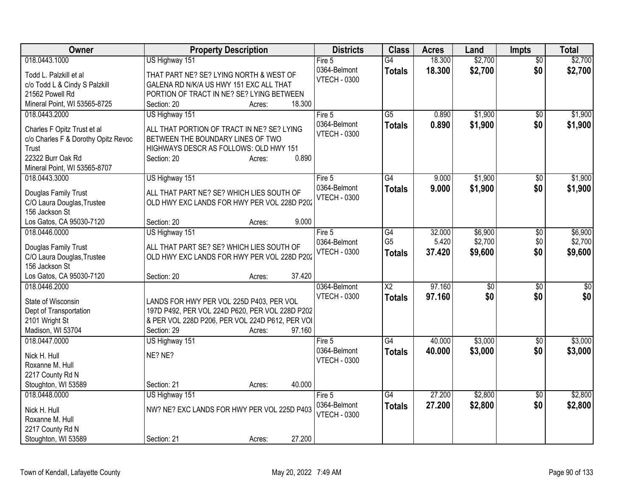| Owner                               | <b>Property Description</b>                                              | <b>Districts</b>       | <b>Class</b>           | <b>Acres</b> | Land            | <b>Impts</b>           | <b>Total</b>    |
|-------------------------------------|--------------------------------------------------------------------------|------------------------|------------------------|--------------|-----------------|------------------------|-----------------|
| 018.0443.1000                       | US Highway 151                                                           | Fire 5                 | $\overline{G4}$        | 18.300       | \$2,700         | $\overline{50}$        | \$2,700         |
| Todd L. Palzkill et al              | THAT PART NE? SE? LYING NORTH & WEST OF                                  | 0364-Belmont           | <b>Totals</b>          | 18.300       | \$2,700         | \$0                    | \$2,700         |
| c/o Todd L & Cindy S Palzkill       | GALENA RD N/K/A US HWY 151 EXC ALL THAT                                  | <b>VTECH - 0300</b>    |                        |              |                 |                        |                 |
| 21562 Powell Rd                     | PORTION OF TRACT IN NE? SE? LYING BETWEEN                                |                        |                        |              |                 |                        |                 |
| Mineral Point, WI 53565-8725        | 18.300<br>Section: 20<br>Acres:                                          |                        |                        |              |                 |                        |                 |
| 018.0443.2000                       | US Highway 151                                                           | Fire 5                 | $\overline{G5}$        | 0.890        | \$1,900         | $\sqrt{6}$             | \$1,900         |
| Charles F Opitz Trust et al         | ALL THAT PORTION OF TRACT IN NE? SE? LYING                               | 0364-Belmont           | <b>Totals</b>          | 0.890        | \$1,900         | \$0                    | \$1,900         |
| c/o Charles F & Dorothy Opitz Revoc | BETWEEN THE BOUNDARY LINES OF TWO                                        | <b>VTECH - 0300</b>    |                        |              |                 |                        |                 |
| Trust                               | HIGHWAYS DESCR AS FOLLOWS: OLD HWY 151                                   |                        |                        |              |                 |                        |                 |
| 22322 Burr Oak Rd                   | 0.890<br>Section: 20<br>Acres:                                           |                        |                        |              |                 |                        |                 |
| Mineral Point, WI 53565-8707        |                                                                          |                        |                        |              |                 |                        |                 |
| 018.0443.3000                       | US Highway 151                                                           | Fire 5                 | G4                     | 9.000        | \$1,900         | $\sqrt{$0}$            | \$1,900         |
|                                     |                                                                          | 0364-Belmont           | <b>Totals</b>          | 9.000        | \$1,900         | \$0                    | \$1,900         |
| Douglas Family Trust                | ALL THAT PART NE? SE? WHICH LIES SOUTH OF                                | <b>VTECH - 0300</b>    |                        |              |                 |                        |                 |
| C/O Laura Douglas, Trustee          | OLD HWY EXC LANDS FOR HWY PER VOL 228D P202                              |                        |                        |              |                 |                        |                 |
| 156 Jackson St                      |                                                                          |                        |                        |              |                 |                        |                 |
| Los Gatos, CA 95030-7120            | 9.000<br>Section: 20<br>Acres:                                           |                        |                        |              |                 |                        |                 |
| 018.0446.0000                       | US Highway 151                                                           | Fire 5                 | G4                     | 32.000       | \$6,900         | \$0                    | \$6,900         |
| Douglas Family Trust                | ALL THAT PART SE? SE? WHICH LIES SOUTH OF                                | 0364-Belmont           | G <sub>5</sub>         | 5.420        | \$2,700         | \$0                    | \$2,700         |
| C/O Laura Douglas, Trustee          | OLD HWY EXC LANDS FOR HWY PER VOL 228D P202                              | <b>VTECH - 0300</b>    | <b>Totals</b>          | 37.420       | \$9,600         | \$0                    | \$9,600         |
| 156 Jackson St                      |                                                                          |                        |                        |              |                 |                        |                 |
| Los Gatos, CA 95030-7120            | 37.420<br>Section: 20<br>Acres:                                          |                        |                        |              |                 |                        |                 |
| 018.0446.2000                       |                                                                          | 0364-Belmont           | $\overline{\text{X2}}$ | 97.160       | $\overline{60}$ | \$0                    | $\overline{50}$ |
|                                     |                                                                          | <b>VTECH - 0300</b>    | <b>Totals</b>          | 97.160       | \$0             | \$0                    | \$0             |
| State of Wisconsin                  | LANDS FOR HWY PER VOL 225D P403, PER VOL                                 |                        |                        |              |                 |                        |                 |
| Dept of Transportation              | 197D P492, PER VOL 224D P620, PER VOL 228D P202                          |                        |                        |              |                 |                        |                 |
| 2101 Wright St                      | & PER VOL 228D P206, PER VOL 224D P612, PER VOI<br>97.160<br>Section: 29 |                        |                        |              |                 |                        |                 |
| Madison, WI 53704<br>018.0447.0000  | Acres:                                                                   |                        | $\overline{G4}$        | 40.000       | \$3,000         |                        | \$3,000         |
|                                     | US Highway 151                                                           | Fire 5<br>0364-Belmont |                        |              |                 | $\overline{50}$<br>\$0 |                 |
| Nick H. Hull                        | NE? NE?                                                                  | <b>VTECH - 0300</b>    | <b>Totals</b>          | 40.000       | \$3,000         |                        | \$3,000         |
| Roxanne M. Hull                     |                                                                          |                        |                        |              |                 |                        |                 |
| 2217 County Rd N                    |                                                                          |                        |                        |              |                 |                        |                 |
| Stoughton, WI 53589                 | 40.000<br>Section: 21<br>Acres:                                          |                        |                        |              |                 |                        |                 |
| 018.0448.0000                       | US Highway 151                                                           | Fire 5                 | $\overline{G4}$        | 27,200       | \$2,800         | $\overline{50}$        | \$2,800         |
| Nick H. Hull                        | NW? NE? EXC LANDS FOR HWY PER VOL 225D P403                              | 0364-Belmont           | <b>Totals</b>          | 27.200       | \$2,800         | \$0                    | \$2,800         |
| Roxanne M. Hull                     |                                                                          | <b>VTECH - 0300</b>    |                        |              |                 |                        |                 |
| 2217 County Rd N                    |                                                                          |                        |                        |              |                 |                        |                 |
| Stoughton, WI 53589                 | 27.200<br>Section: 21<br>Acres:                                          |                        |                        |              |                 |                        |                 |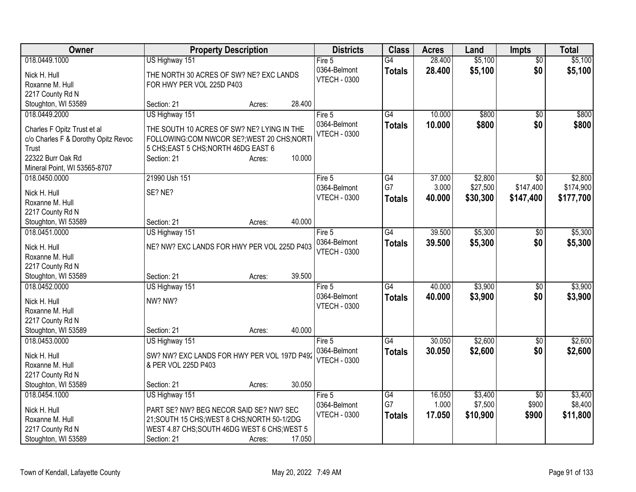| Owner                                                                                                                                             | <b>Property Description</b>                                                                                                                                                                  | <b>Districts</b>                              | <b>Class</b>                     | <b>Acres</b>              | Land                            | <b>Impts</b>                      | <b>Total</b>                      |
|---------------------------------------------------------------------------------------------------------------------------------------------------|----------------------------------------------------------------------------------------------------------------------------------------------------------------------------------------------|-----------------------------------------------|----------------------------------|---------------------------|---------------------------------|-----------------------------------|-----------------------------------|
| 018.0449.1000<br>Nick H. Hull                                                                                                                     | US Highway 151<br>THE NORTH 30 ACRES OF SW? NE? EXC LANDS                                                                                                                                    | Fire 5<br>0364-Belmont<br><b>VTECH - 0300</b> | $\overline{G4}$<br><b>Totals</b> | 28.400<br>28.400          | \$5,100<br>\$5,100              | $\overline{50}$<br>\$0            | \$5,100<br>\$5,100                |
| Roxanne M. Hull<br>2217 County Rd N                                                                                                               | FOR HWY PER VOL 225D P403                                                                                                                                                                    |                                               |                                  |                           |                                 |                                   |                                   |
| Stoughton, WI 53589                                                                                                                               | 28.400<br>Section: 21<br>Acres:                                                                                                                                                              |                                               |                                  |                           |                                 |                                   |                                   |
| 018.0449.2000<br>Charles F Opitz Trust et al<br>c/o Charles F & Dorothy Opitz Revoc<br>Trust<br>22322 Burr Oak Rd<br>Mineral Point, WI 53565-8707 | US Highway 151<br>THE SOUTH 10 ACRES OF SW? NE? LYING IN THE<br>FOLLOWING:COM NWCOR SE?; WEST 20 CHS; NORTI<br>5 CHS; EAST 5 CHS; NORTH 46DG EAST 6<br>10.000<br>Section: 21<br>Acres:       | Fire 5<br>0364-Belmont<br><b>VTECH - 0300</b> | $\overline{G4}$<br><b>Totals</b> | 10.000<br>10,000          | \$800<br>\$800                  | \$0<br>\$0                        | \$800<br>\$800                    |
| 018.0450.0000<br>Nick H. Hull<br>Roxanne M. Hull<br>2217 County Rd N                                                                              | 21990 Ush 151<br>SE? NE?                                                                                                                                                                     | Fire 5<br>0364-Belmont<br><b>VTECH - 0300</b> | G4<br>G7<br><b>Totals</b>        | 37.000<br>3.000<br>40.000 | \$2,800<br>\$27,500<br>\$30,300 | \$0<br>\$147,400<br>\$147,400     | \$2,800<br>\$174,900<br>\$177,700 |
| Stoughton, WI 53589                                                                                                                               | 40.000<br>Section: 21<br>Acres:                                                                                                                                                              |                                               |                                  |                           |                                 |                                   |                                   |
| 018.0451.0000<br>Nick H. Hull<br>Roxanne M. Hull<br>2217 County Rd N                                                                              | US Highway 151<br>NE? NW? EXC LANDS FOR HWY PER VOL 225D P403                                                                                                                                | Fire 5<br>0364-Belmont<br><b>VTECH - 0300</b> | G4<br><b>Totals</b>              | 39.500<br>39.500          | \$5,300<br>\$5,300              | \$0<br>\$0                        | \$5,300<br>\$5,300                |
| Stoughton, WI 53589                                                                                                                               | 39.500<br>Section: 21<br>Acres:                                                                                                                                                              |                                               |                                  |                           |                                 |                                   |                                   |
| 018.0452.0000<br>Nick H. Hull<br>Roxanne M. Hull<br>2217 County Rd N                                                                              | US Highway 151<br>NW? NW?                                                                                                                                                                    | Fire 5<br>0364-Belmont<br><b>VTECH - 0300</b> | G4<br><b>Totals</b>              | 40.000<br>40.000          | \$3,900<br>\$3,900              | \$0<br>\$0                        | \$3,900<br>\$3,900                |
| Stoughton, WI 53589<br>018.0453.0000                                                                                                              | 40.000<br>Section: 21<br>Acres:                                                                                                                                                              | Fire 5                                        | G4                               | 30.050                    | \$2,600                         |                                   | \$2,600                           |
| Nick H. Hull<br>Roxanne M. Hull<br>2217 County Rd N                                                                                               | US Highway 151<br>SW? NW? EXC LANDS FOR HWY PER VOL 197D P492<br>& PER VOL 225D P403                                                                                                         | 0364-Belmont<br><b>VTECH - 0300</b>           | <b>Totals</b>                    | 30.050                    | \$2,600                         | \$0<br>\$0                        | \$2,600                           |
| Stoughton, WI 53589                                                                                                                               | 30.050<br>Section: 21<br>Acres:                                                                                                                                                              |                                               |                                  |                           |                                 |                                   |                                   |
| 018.0454.1000<br>Nick H. Hull<br>Roxanne M. Hull<br>2217 County Rd N<br>Stoughton, WI 53589                                                       | US Highway 151<br>PART SE? NW? BEG NECOR SAID SE? NW? SEC<br>21; SOUTH 15 CHS; WEST 8 CHS; NORTH 50-1/2DG<br>WEST 4.87 CHS; SOUTH 46DG WEST 6 CHS; WEST 5<br>17.050<br>Section: 21<br>Acres: | Fire 5<br>0364-Belmont<br><b>VTECH - 0300</b> | G4<br>G7<br><b>Totals</b>        | 16.050<br>1.000<br>17.050 | \$3,400<br>\$7,500<br>\$10,900  | $\overline{50}$<br>\$900<br>\$900 | \$3,400<br>\$8,400<br>\$11,800    |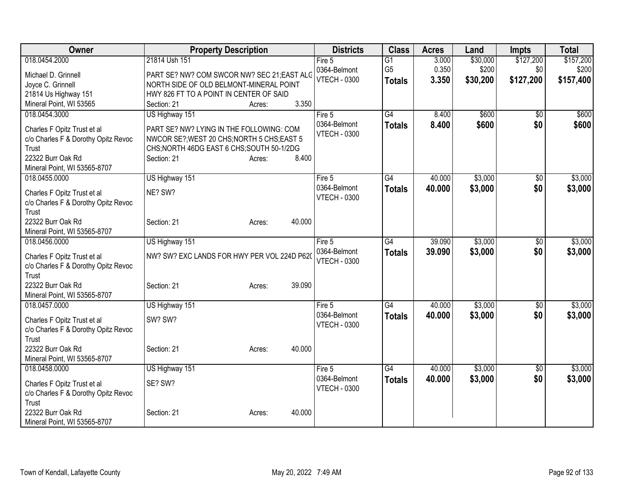| Owner                                                                                                                            | <b>Property Description</b>                                                                                                                                  |        | <b>Districts</b>                    | <b>Class</b>    | <b>Acres</b> | Land     | <b>Impts</b>    | <b>Total</b> |
|----------------------------------------------------------------------------------------------------------------------------------|--------------------------------------------------------------------------------------------------------------------------------------------------------------|--------|-------------------------------------|-----------------|--------------|----------|-----------------|--------------|
| 018.0454.2000                                                                                                                    | 21814 Ush 151                                                                                                                                                |        | Fire 5                              | $\overline{G1}$ | 3.000        | \$30,000 | \$127,200       | \$157,200    |
| Michael D. Grinnell                                                                                                              | PART SE? NW? COM SWCOR NW? SEC 21;EAST ALC                                                                                                                   |        | 0364-Belmont                        | G <sub>5</sub>  | 0.350        | \$200    | \$0             | \$200        |
| Joyce C. Grinnell                                                                                                                | NORTH SIDE OF OLD BELMONT-MINERAL POINT                                                                                                                      |        | <b>VTECH - 0300</b>                 | <b>Totals</b>   | 3.350        | \$30,200 | \$127,200       | \$157,400    |
| 21814 Us Highway 151                                                                                                             | HWY 826 FT TO A POINT IN CENTER OF SAID                                                                                                                      |        |                                     |                 |              |          |                 |              |
| Mineral Point, WI 53565                                                                                                          | Section: 21<br>Acres:                                                                                                                                        | 3.350  |                                     |                 |              |          |                 |              |
| 018.0454.3000                                                                                                                    | US Highway 151                                                                                                                                               |        | Fire 5                              | $\overline{G4}$ | 8.400        | \$600    | \$0             | \$600        |
| Charles F Opitz Trust et al<br>c/o Charles F & Dorothy Opitz Revoc<br>Trust<br>22322 Burr Oak Rd<br>Mineral Point, WI 53565-8707 | PART SE? NW? LYING IN THE FOLLOWING: COM<br>NWCOR SE?; WEST 20 CHS; NORTH 5 CHS; EAST 5<br>CHS;NORTH 46DG EAST 6 CHS;SOUTH 50-1/2DG<br>Section: 21<br>Acres: | 8.400  | 0364-Belmont<br><b>VTECH - 0300</b> | <b>Totals</b>   | 8.400        | \$600    | \$0             | \$600        |
| 018.0455.0000                                                                                                                    | US Highway 151                                                                                                                                               |        | Fire 5                              | G4              | 40.000       | \$3,000  | \$0             | \$3,000      |
| Charles F Opitz Trust et al<br>c/o Charles F & Dorothy Opitz Revoc<br>Trust                                                      | NE? SW?                                                                                                                                                      |        | 0364-Belmont<br><b>VTECH - 0300</b> | <b>Totals</b>   | 40.000       | \$3,000  | \$0             | \$3,000      |
| 22322 Burr Oak Rd<br>Mineral Point, WI 53565-8707                                                                                | Section: 21<br>Acres:                                                                                                                                        | 40.000 |                                     |                 |              |          |                 |              |
| 018.0456.0000                                                                                                                    | US Highway 151                                                                                                                                               |        | Fire 5                              | G4              | 39.090       | \$3,000  | $\overline{50}$ | \$3,000      |
| Charles F Opitz Trust et al<br>c/o Charles F & Dorothy Opitz Revoc<br>Trust                                                      | NW? SW? EXC LANDS FOR HWY PER VOL 224D P620                                                                                                                  |        | 0364-Belmont<br><b>VTECH - 0300</b> | <b>Totals</b>   | 39.090       | \$3,000  | \$0             | \$3,000      |
| 22322 Burr Oak Rd<br>Mineral Point, WI 53565-8707                                                                                | Section: 21<br>Acres:                                                                                                                                        | 39.090 |                                     |                 |              |          |                 |              |
| 018.0457.0000                                                                                                                    | US Highway 151                                                                                                                                               |        | Fire 5                              | $\overline{G4}$ | 40.000       | \$3,000  | \$0             | \$3,000      |
| Charles F Opitz Trust et al<br>c/o Charles F & Dorothy Opitz Revoc<br>Trust                                                      | SW? SW?                                                                                                                                                      |        | 0364-Belmont<br><b>VTECH - 0300</b> | <b>Totals</b>   | 40.000       | \$3,000  | \$0             | \$3,000      |
| 22322 Burr Oak Rd<br>Mineral Point, WI 53565-8707                                                                                | Section: 21<br>Acres:                                                                                                                                        | 40.000 |                                     |                 |              |          |                 |              |
| 018.0458.0000                                                                                                                    | US Highway 151                                                                                                                                               |        | Fire 5                              | $\overline{G4}$ | 40.000       | \$3,000  | \$0             | \$3,000      |
| Charles F Opitz Trust et al<br>c/o Charles F & Dorothy Opitz Revoc<br>Trust                                                      | SE? SW?                                                                                                                                                      |        | 0364-Belmont<br><b>VTECH - 0300</b> | <b>Totals</b>   | 40.000       | \$3,000  | \$0             | \$3,000      |
| 22322 Burr Oak Rd<br>Mineral Point, WI 53565-8707                                                                                | Section: 21<br>Acres:                                                                                                                                        | 40.000 |                                     |                 |              |          |                 |              |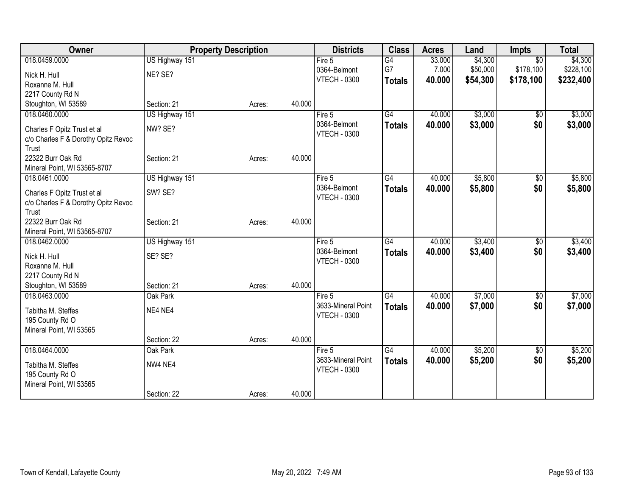| <b>Owner</b>                                  | <b>Property Description</b> |        |        | <b>Districts</b>                    | <b>Class</b>    | <b>Acres</b> | Land     | <b>Impts</b>    | <b>Total</b> |
|-----------------------------------------------|-----------------------------|--------|--------|-------------------------------------|-----------------|--------------|----------|-----------------|--------------|
| 018.0459.0000                                 | US Highway 151              |        |        | Fire 5                              | $\overline{G4}$ | 33.000       | \$4,300  | $\overline{50}$ | \$4,300      |
| Nick H. Hull                                  | NE? SE?                     |        |        | 0364-Belmont                        | G7              | 7.000        | \$50,000 | \$178,100       | \$228,100    |
| Roxanne M. Hull                               |                             |        |        | <b>VTECH - 0300</b>                 | <b>Totals</b>   | 40.000       | \$54,300 | \$178,100       | \$232,400    |
| 2217 County Rd N                              |                             |        |        |                                     |                 |              |          |                 |              |
| Stoughton, WI 53589                           | Section: 21                 | Acres: | 40.000 |                                     |                 |              |          |                 |              |
| 018.0460.0000                                 | US Highway 151              |        |        | Fire 5                              | G4              | 40.000       | \$3,000  | $\sqrt{6}$      | \$3,000      |
| Charles F Opitz Trust et al                   | NW? SE?                     |        |        | 0364-Belmont                        | <b>Totals</b>   | 40.000       | \$3,000  | \$0             | \$3,000      |
| c/o Charles F & Dorothy Opitz Revoc           |                             |        |        | <b>VTECH - 0300</b>                 |                 |              |          |                 |              |
| Trust                                         |                             |        |        |                                     |                 |              |          |                 |              |
| 22322 Burr Oak Rd                             | Section: 21                 | Acres: | 40.000 |                                     |                 |              |          |                 |              |
| Mineral Point, WI 53565-8707                  |                             |        |        |                                     |                 |              |          |                 |              |
| 018.0461.0000                                 | US Highway 151              |        |        | Fire 5                              | G4              | 40.000       | \$5,800  | $\sqrt[6]{30}$  | \$5,800      |
| Charles F Opitz Trust et al                   | SW? SE?                     |        |        | 0364-Belmont<br><b>VTECH - 0300</b> | <b>Totals</b>   | 40,000       | \$5,800  | \$0             | \$5,800      |
| c/o Charles F & Dorothy Opitz Revoc           |                             |        |        |                                     |                 |              |          |                 |              |
| Trust                                         |                             |        |        |                                     |                 |              |          |                 |              |
| 22322 Burr Oak Rd                             | Section: 21                 | Acres: | 40.000 |                                     |                 |              |          |                 |              |
| Mineral Point, WI 53565-8707<br>018.0462.0000 | US Highway 151              |        |        | Fire 5                              | $\overline{G4}$ | 40.000       | \$3,400  | \$0             | \$3,400      |
|                                               |                             |        |        | 0364-Belmont                        |                 | 40.000       | \$3,400  | \$0             | \$3,400      |
| Nick H. Hull                                  | SE? SE?                     |        |        | <b>VTECH - 0300</b>                 | <b>Totals</b>   |              |          |                 |              |
| Roxanne M. Hull                               |                             |        |        |                                     |                 |              |          |                 |              |
| 2217 County Rd N                              | Section: 21                 |        | 40.000 |                                     |                 |              |          |                 |              |
| Stoughton, WI 53589<br>018.0463.0000          | Oak Park                    | Acres: |        | Fire 5                              | G4              | 40.000       | \$7,000  | \$0             | \$7,000      |
|                                               |                             |        |        | 3633-Mineral Point                  | <b>Totals</b>   | 40.000       | \$7,000  | \$0             | \$7,000      |
| Tabitha M. Steffes                            | NE4 NE4                     |        |        | <b>VTECH - 0300</b>                 |                 |              |          |                 |              |
| 195 County Rd O                               |                             |        |        |                                     |                 |              |          |                 |              |
| Mineral Point, WI 53565                       |                             |        | 40.000 |                                     |                 |              |          |                 |              |
| 018.0464.0000                                 | Section: 22<br>Oak Park     | Acres: |        | Fire 5                              | $\overline{G4}$ | 40.000       | \$5,200  | \$0             | \$5,200      |
|                                               |                             |        |        | 3633-Mineral Point                  | <b>Totals</b>   | 40.000       | \$5,200  | \$0             | \$5,200      |
| Tabitha M. Steffes                            | NW4 NE4                     |        |        | <b>VTECH - 0300</b>                 |                 |              |          |                 |              |
| 195 County Rd O                               |                             |        |        |                                     |                 |              |          |                 |              |
| Mineral Point, WI 53565                       |                             |        |        |                                     |                 |              |          |                 |              |
|                                               | Section: 22                 | Acres: | 40.000 |                                     |                 |              |          |                 |              |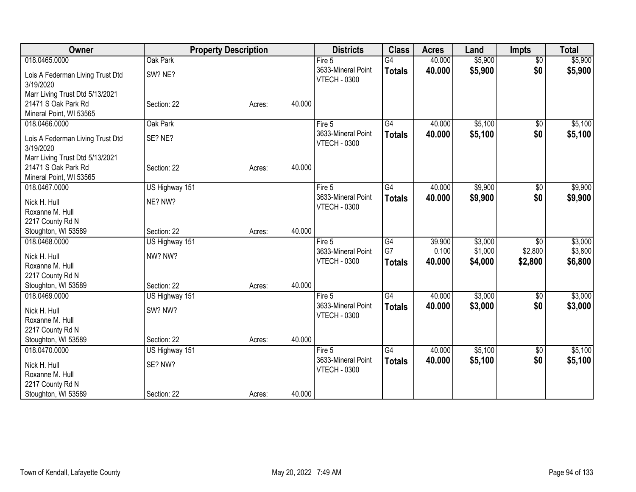| Owner                                         | <b>Property Description</b> |        |        | <b>Districts</b>                          | <b>Class</b>    | <b>Acres</b> | Land    | <b>Impts</b>    | <b>Total</b> |
|-----------------------------------------------|-----------------------------|--------|--------|-------------------------------------------|-----------------|--------------|---------|-----------------|--------------|
| 018.0465.0000                                 | Oak Park                    |        |        | Fire 5                                    | $\overline{G4}$ | 40.000       | \$5,900 | $\overline{50}$ | \$5,900      |
| Lois A Federman Living Trust Dtd<br>3/19/2020 | SW? NE?                     |        |        | 3633-Mineral Point<br><b>VTECH - 0300</b> | <b>Totals</b>   | 40.000       | \$5,900 | \$0             | \$5,900      |
| Marr Living Trust Dtd 5/13/2021               |                             |        |        |                                           |                 |              |         |                 |              |
| 21471 S Oak Park Rd                           | Section: 22                 | Acres: | 40.000 |                                           |                 |              |         |                 |              |
| Mineral Point, WI 53565                       |                             |        |        |                                           |                 |              |         |                 |              |
| 018.0466.0000                                 | Oak Park                    |        |        | Fire 5                                    | G4              | 40.000       | \$5,100 | $\sqrt{6}$      | \$5,100      |
| Lois A Federman Living Trust Dtd<br>3/19/2020 | SE? NE?                     |        |        | 3633-Mineral Point<br><b>VTECH - 0300</b> | <b>Totals</b>   | 40.000       | \$5,100 | \$0             | \$5,100      |
| Marr Living Trust Dtd 5/13/2021               |                             |        |        |                                           |                 |              |         |                 |              |
| 21471 S Oak Park Rd                           | Section: 22                 | Acres: | 40.000 |                                           |                 |              |         |                 |              |
| Mineral Point, WI 53565                       |                             |        |        |                                           |                 |              |         |                 |              |
| 018.0467.0000                                 | US Highway 151              |        |        | Fire 5                                    | G4              | 40.000       | \$9,900 | $\sqrt{6}$      | \$9,900      |
| Nick H. Hull                                  | NE? NW?                     |        |        | 3633-Mineral Point                        | <b>Totals</b>   | 40.000       | \$9,900 | \$0             | \$9,900      |
| Roxanne M. Hull                               |                             |        |        | <b>VTECH - 0300</b>                       |                 |              |         |                 |              |
| 2217 County Rd N                              |                             |        |        |                                           |                 |              |         |                 |              |
| Stoughton, WI 53589                           | Section: 22                 | Acres: | 40.000 |                                           |                 |              |         |                 |              |
| 018.0468.0000                                 | US Highway 151              |        |        | Fire 5                                    | G4              | 39.900       | \$3,000 | \$0             | \$3,000      |
| Nick H. Hull                                  | NW? NW?                     |        |        | 3633-Mineral Point                        | G7              | 0.100        | \$1,000 | \$2,800         | \$3,800      |
| Roxanne M. Hull                               |                             |        |        | <b>VTECH - 0300</b>                       | <b>Totals</b>   | 40.000       | \$4,000 | \$2,800         | \$6,800      |
| 2217 County Rd N                              |                             |        |        |                                           |                 |              |         |                 |              |
| Stoughton, WI 53589                           | Section: 22                 | Acres: | 40.000 |                                           |                 |              |         |                 |              |
| 018.0469.0000                                 | US Highway 151              |        |        | Fire 5                                    | G4              | 40.000       | \$3,000 | $\sqrt[6]{3}$   | \$3,000      |
| Nick H. Hull                                  | SW? NW?                     |        |        | 3633-Mineral Point                        | <b>Totals</b>   | 40.000       | \$3,000 | \$0             | \$3,000      |
| Roxanne M. Hull                               |                             |        |        | <b>VTECH - 0300</b>                       |                 |              |         |                 |              |
| 2217 County Rd N                              |                             |        |        |                                           |                 |              |         |                 |              |
| Stoughton, WI 53589                           | Section: 22                 | Acres: | 40.000 |                                           |                 |              |         |                 |              |
| 018.0470.0000                                 | US Highway 151              |        |        | Fire 5                                    | $\overline{G4}$ | 40.000       | \$5,100 | \$0             | \$5,100      |
|                                               |                             |        |        | 3633-Mineral Point                        | <b>Totals</b>   | 40.000       | \$5,100 | \$0             | \$5,100      |
| Nick H. Hull<br>Roxanne M. Hull               | SE? NW?                     |        |        | <b>VTECH - 0300</b>                       |                 |              |         |                 |              |
| 2217 County Rd N                              |                             |        |        |                                           |                 |              |         |                 |              |
| Stoughton, WI 53589                           | Section: 22                 | Acres: | 40.000 |                                           |                 |              |         |                 |              |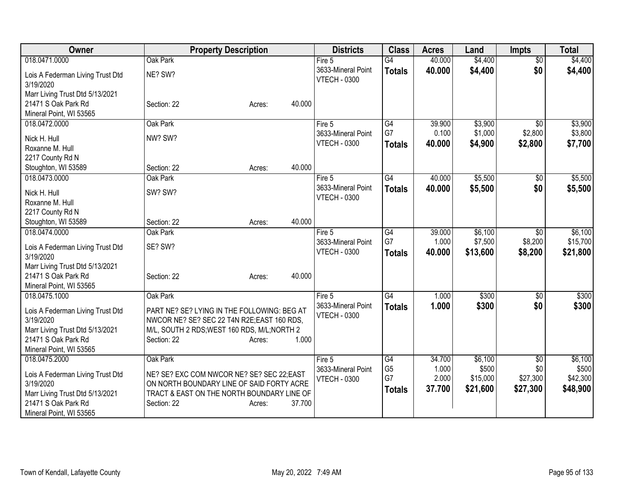| Owner                                         | <b>Property Description</b>                                                               | <b>Districts</b>                          | <b>Class</b>         | <b>Acres</b>   | Land              | <b>Impts</b>    | <b>Total</b>      |
|-----------------------------------------------|-------------------------------------------------------------------------------------------|-------------------------------------------|----------------------|----------------|-------------------|-----------------|-------------------|
| 018.0471.0000                                 | Oak Park                                                                                  | Fire 5                                    | $\overline{G4}$      | 40.000         | \$4,400           | $\overline{50}$ | \$4,400           |
| Lois A Federman Living Trust Dtd<br>3/19/2020 | NE? SW?                                                                                   | 3633-Mineral Point<br><b>VTECH - 0300</b> | <b>Totals</b>        | 40.000         | \$4,400           | \$0             | \$4,400           |
| Marr Living Trust Dtd 5/13/2021               |                                                                                           |                                           |                      |                |                   |                 |                   |
| 21471 S Oak Park Rd                           | Section: 22<br>40.000<br>Acres:                                                           |                                           |                      |                |                   |                 |                   |
| Mineral Point, WI 53565<br>018.0472.0000      | Oak Park                                                                                  | Fire 5                                    | G4                   | 39.900         | \$3,900           | $\overline{50}$ | \$3,900           |
|                                               |                                                                                           | 3633-Mineral Point                        | G7                   | 0.100          | \$1,000           | \$2,800         | \$3,800           |
| Nick H. Hull                                  | NW? SW?                                                                                   | <b>VTECH - 0300</b>                       | <b>Totals</b>        | 40.000         | \$4,900           | \$2,800         | \$7,700           |
| Roxanne M. Hull                               |                                                                                           |                                           |                      |                |                   |                 |                   |
| 2217 County Rd N<br>Stoughton, WI 53589       | 40.000<br>Section: 22<br>Acres:                                                           |                                           |                      |                |                   |                 |                   |
| 018.0473.0000                                 | Oak Park                                                                                  | Fire 5                                    | G4                   | 40.000         | \$5,500           | \$0             | \$5,500           |
|                                               |                                                                                           | 3633-Mineral Point                        | <b>Totals</b>        | 40.000         | \$5,500           | \$0             | \$5,500           |
| Nick H. Hull                                  | SW? SW?                                                                                   | <b>VTECH - 0300</b>                       |                      |                |                   |                 |                   |
| Roxanne M. Hull                               |                                                                                           |                                           |                      |                |                   |                 |                   |
| 2217 County Rd N<br>Stoughton, WI 53589       | 40.000<br>Section: 22<br>Acres:                                                           |                                           |                      |                |                   |                 |                   |
| 018.0474.0000                                 | Oak Park                                                                                  | Fire 5                                    | G4                   | 39.000         | \$6,100           | \$0             | \$6,100           |
|                                               |                                                                                           | 3633-Mineral Point                        | G7                   | 1.000          | \$7,500           | \$8,200         | \$15,700          |
| Lois A Federman Living Trust Dtd<br>3/19/2020 | SE? SW?                                                                                   | <b>VTECH - 0300</b>                       | <b>Totals</b>        | 40,000         | \$13,600          | \$8,200         | \$21,800          |
| Marr Living Trust Dtd 5/13/2021               |                                                                                           |                                           |                      |                |                   |                 |                   |
| 21471 S Oak Park Rd                           | 40.000<br>Section: 22<br>Acres:                                                           |                                           |                      |                |                   |                 |                   |
| Mineral Point, WI 53565<br>018.0475.1000      | Oak Park                                                                                  |                                           | G4                   | 1.000          | \$300             |                 | \$300             |
|                                               |                                                                                           | Fire 5<br>3633-Mineral Point              | <b>Totals</b>        | 1.000          | \$300             | \$0<br>\$0      | \$300             |
| Lois A Federman Living Trust Dtd<br>3/19/2020 | PART NE? SE? LYING IN THE FOLLOWING: BEG AT<br>NWCOR NE? SE? SEC 22 T4N R2E;EAST 160 RDS, | <b>VTECH - 0300</b>                       |                      |                |                   |                 |                   |
| Marr Living Trust Dtd 5/13/2021               | M/L, SOUTH 2 RDS; WEST 160 RDS, M/L; NORTH 2                                              |                                           |                      |                |                   |                 |                   |
| 21471 S Oak Park Rd                           | 1.000<br>Section: 22<br>Acres:                                                            |                                           |                      |                |                   |                 |                   |
| Mineral Point, WI 53565                       |                                                                                           |                                           |                      |                |                   |                 |                   |
| 018.0475.2000                                 | Oak Park                                                                                  | Fire 5                                    | G4                   | 34.700         | \$6,100           | $\sqrt[6]{3}$   | \$6,100           |
| Lois A Federman Living Trust Dtd              | NE? SE? EXC COM NWCOR NE? SE? SEC 22; EAST                                                | 3633-Mineral Point<br><b>VTECH - 0300</b> | G <sub>5</sub><br>G7 | 1.000<br>2.000 | \$500<br>\$15,000 | \$0<br>\$27,300 | \$500<br>\$42,300 |
| 3/19/2020                                     | ON NORTH BOUNDARY LINE OF SAID FORTY ACRE                                                 |                                           | <b>Totals</b>        | 37.700         | \$21,600          | \$27,300        | \$48,900          |
| Marr Living Trust Dtd 5/13/2021               | TRACT & EAST ON THE NORTH BOUNDARY LINE OF                                                |                                           |                      |                |                   |                 |                   |
| 21471 S Oak Park Rd                           | 37.700<br>Section: 22<br>Acres:                                                           |                                           |                      |                |                   |                 |                   |
| Mineral Point, WI 53565                       |                                                                                           |                                           |                      |                |                   |                 |                   |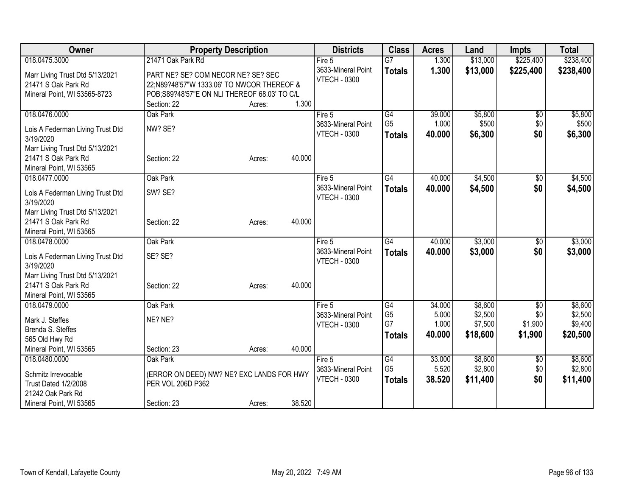| Owner                                                                                  | <b>Property Description</b>                                                                                                      |        |        | <b>Districts</b>                                      | <b>Class</b>                                       | <b>Acres</b>              | Land                           | <b>Impts</b>                  | <b>Total</b>                   |
|----------------------------------------------------------------------------------------|----------------------------------------------------------------------------------------------------------------------------------|--------|--------|-------------------------------------------------------|----------------------------------------------------|---------------------------|--------------------------------|-------------------------------|--------------------------------|
| 018.0475.3000                                                                          | 21471 Oak Park Rd                                                                                                                |        |        | Fire 5                                                | $\overline{G}$                                     | 1.300                     | \$13,000                       | \$225,400                     | \$238,400                      |
| Marr Living Trust Dtd 5/13/2021<br>21471 S Oak Park Rd<br>Mineral Point, WI 53565-8723 | PART NE? SE? COM NECOR NE? SE? SEC<br>22;N89?48'57"W 1333.06' TO NWCOR THEREOF &<br>POB;S89?48'57"E ON NLI THEREOF 68.03' TO C/L |        |        | 3633-Mineral Point<br><b>VTECH - 0300</b>             | <b>Totals</b>                                      | 1.300                     | \$13,000                       | \$225,400                     | \$238,400                      |
|                                                                                        | Section: 22                                                                                                                      | Acres: | 1.300  |                                                       |                                                    |                           |                                |                               |                                |
| 018.0476.0000<br>Lois A Federman Living Trust Dtd<br>3/19/2020                         | Oak Park<br>NW? SE?                                                                                                              |        |        | Fire $5$<br>3633-Mineral Point<br><b>VTECH - 0300</b> | $\overline{G4}$<br>G <sub>5</sub><br><b>Totals</b> | 39.000<br>1.000<br>40.000 | \$5,800<br>\$500<br>\$6,300    | $\overline{50}$<br>\$0<br>\$0 | \$5,800<br>\$500<br>\$6,300    |
| Marr Living Trust Dtd 5/13/2021<br>21471 S Oak Park Rd<br>Mineral Point, WI 53565      | Section: 22                                                                                                                      | Acres: | 40.000 |                                                       |                                                    |                           |                                |                               |                                |
| 018.0477.0000<br>Lois A Federman Living Trust Dtd<br>3/19/2020                         | Oak Park<br>SW? SE?                                                                                                              |        |        | Fire 5<br>3633-Mineral Point<br><b>VTECH - 0300</b>   | G4<br><b>Totals</b>                                | 40.000<br>40.000          | \$4,500<br>\$4,500             | $\sqrt{6}$<br>\$0             | \$4,500<br>\$4,500             |
| Marr Living Trust Dtd 5/13/2021<br>21471 S Oak Park Rd<br>Mineral Point, WI 53565      | Section: 22                                                                                                                      | Acres: | 40.000 |                                                       |                                                    |                           |                                |                               |                                |
| 018.0478.0000                                                                          | Oak Park                                                                                                                         |        |        | Fire 5                                                | $\overline{G4}$                                    | 40.000                    | \$3,000                        | \$0                           | \$3,000                        |
| Lois A Federman Living Trust Dtd<br>3/19/2020                                          | SE? SE?                                                                                                                          |        |        | 3633-Mineral Point<br><b>VTECH - 0300</b>             | <b>Totals</b>                                      | 40.000                    | \$3,000                        | \$0                           | \$3,000                        |
| Marr Living Trust Dtd 5/13/2021<br>21471 S Oak Park Rd<br>Mineral Point, WI 53565      | Section: 22                                                                                                                      | Acres: | 40.000 |                                                       |                                                    |                           |                                |                               |                                |
| 018.0479.0000                                                                          | Oak Park                                                                                                                         |        |        | Fire 5                                                | $\overline{G4}$                                    | 34.000                    | \$8,600                        | \$0                           | \$8,600                        |
| Mark J. Steffes<br>Brenda S. Steffes<br>565 Old Hwy Rd                                 | NE? NE?                                                                                                                          |        |        | 3633-Mineral Point<br><b>VTECH - 0300</b>             | G <sub>5</sub><br>G7<br><b>Totals</b>              | 5.000<br>1.000<br>40.000  | \$2,500<br>\$7,500<br>\$18,600 | \$0<br>\$1,900<br>\$1,900     | \$2,500<br>\$9,400<br>\$20,500 |
| Mineral Point, WI 53565                                                                | Section: 23                                                                                                                      | Acres: | 40.000 |                                                       |                                                    |                           |                                |                               |                                |
| 018.0480.0000<br>Schmitz Irrevocable<br>Trust Dated 1/2/2008<br>21242 Oak Park Rd      | Oak Park<br>(ERROR ON DEED) NW? NE? EXC LANDS FOR HWY<br>PER VOL 206D P362                                                       |        |        | Fire 5<br>3633-Mineral Point<br><b>VTECH - 0300</b>   | G4<br>G <sub>5</sub><br><b>Totals</b>              | 33.000<br>5.520<br>38.520 | \$8,600<br>\$2,800<br>\$11,400 | \$0<br>\$0<br>\$0             | \$8,600<br>\$2,800<br>\$11,400 |
| Mineral Point, WI 53565                                                                | Section: 23                                                                                                                      | Acres: | 38.520 |                                                       |                                                    |                           |                                |                               |                                |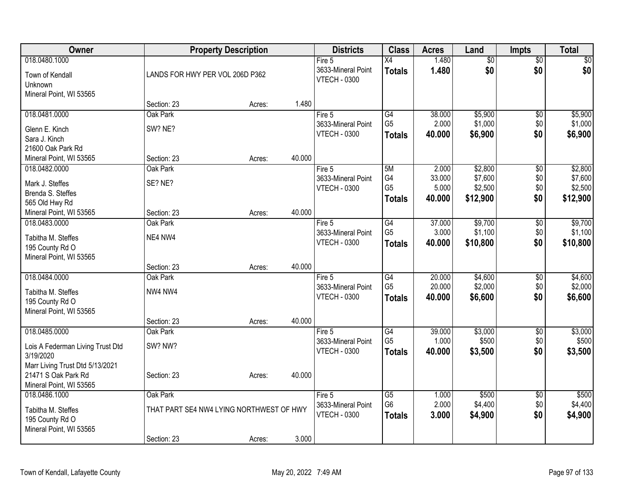| Owner                                     |                                          | <b>Property Description</b> |        | <b>Districts</b>                          | <b>Class</b>                      | <b>Acres</b>    | Land                   | <b>Impts</b>           | <b>Total</b>       |
|-------------------------------------------|------------------------------------------|-----------------------------|--------|-------------------------------------------|-----------------------------------|-----------------|------------------------|------------------------|--------------------|
| 018.0480.1000<br>Town of Kendall          | LANDS FOR HWY PER VOL 206D P362          |                             |        | Fire 5<br>3633-Mineral Point              | $\overline{X4}$<br><b>Totals</b>  | 1.480<br>1.480  | $\overline{50}$<br>\$0 | $\overline{60}$<br>\$0 | $\sqrt{50}$<br>\$0 |
| Unknown<br>Mineral Point, WI 53565        |                                          |                             |        | <b>VTECH - 0300</b>                       |                                   |                 |                        |                        |                    |
|                                           | Section: 23                              | Acres:                      | 1.480  |                                           |                                   |                 |                        |                        |                    |
| 018.0481.0000                             | Oak Park                                 |                             |        | Fire $5$                                  | G4<br>G <sub>5</sub>              | 38.000<br>2.000 | \$5,900<br>\$1,000     | \$0<br>\$0             | \$5,900<br>\$1,000 |
| Glenn E. Kinch                            | SW? NE?                                  |                             |        | 3633-Mineral Point<br><b>VTECH - 0300</b> | <b>Totals</b>                     | 40.000          | \$6,900                | \$0                    | \$6,900            |
| Sara J. Kinch                             |                                          |                             |        |                                           |                                   |                 |                        |                        |                    |
| 21600 Oak Park Rd                         |                                          |                             |        |                                           |                                   |                 |                        |                        |                    |
| Mineral Point, WI 53565<br>018.0482.0000  | Section: 23<br>Oak Park                  | Acres:                      | 40.000 | Fire 5                                    | 5M                                | 2.000           | \$2,800                |                        | \$2,800            |
|                                           |                                          |                             |        | 3633-Mineral Point                        | G4                                | 33.000          | \$7,600                | \$0<br>\$0             | \$7,600            |
| Mark J. Steffes                           | SE? NE?                                  |                             |        | <b>VTECH - 0300</b>                       | G <sub>5</sub>                    | 5.000           | \$2,500                | \$0                    | \$2,500            |
| Brenda S. Steffes                         |                                          |                             |        |                                           | <b>Totals</b>                     | 40.000          | \$12,900               | \$0                    | \$12,900           |
| 565 Old Hwy Rd<br>Mineral Point, WI 53565 | Section: 23                              | Acres:                      | 40.000 |                                           |                                   |                 |                        |                        |                    |
| 018.0483.0000                             | Oak Park                                 |                             |        | Fire 5                                    | G4                                | 37.000          | \$9,700                | \$0                    | \$9,700            |
|                                           |                                          |                             |        | 3633-Mineral Point                        | G <sub>5</sub>                    | 3.000           | \$1,100                | \$0                    | \$1,100            |
| Tabitha M. Steffes<br>195 County Rd O     | NE4 NW4                                  |                             |        | <b>VTECH - 0300</b>                       | <b>Totals</b>                     | 40.000          | \$10,800               | \$0                    | \$10,800           |
| Mineral Point, WI 53565                   |                                          |                             |        |                                           |                                   |                 |                        |                        |                    |
|                                           | Section: 23                              | Acres:                      | 40.000 |                                           |                                   |                 |                        |                        |                    |
| 018.0484.0000                             | Oak Park                                 |                             |        | Fire $5$                                  | G4                                | 20.000          | \$4,600                | \$0                    | \$4,600            |
| Tabitha M. Steffes                        | NW4 NW4                                  |                             |        | 3633-Mineral Point                        | G <sub>5</sub>                    | 20.000          | \$2,000                | \$0                    | \$2,000            |
| 195 County Rd O                           |                                          |                             |        | <b>VTECH - 0300</b>                       | <b>Totals</b>                     | 40.000          | \$6,600                | \$0                    | \$6,600            |
| Mineral Point, WI 53565                   |                                          |                             |        |                                           |                                   |                 |                        |                        |                    |
|                                           | Section: 23                              | Acres:                      | 40.000 |                                           |                                   |                 |                        |                        |                    |
| 018.0485.0000                             | Oak Park                                 |                             |        | Fire 5                                    | $\overline{G4}$                   | 39.000          | \$3,000                | $\overline{50}$        | \$3,000            |
| Lois A Federman Living Trust Dtd          | SW? NW?                                  |                             |        | 3633-Mineral Point                        | G <sub>5</sub>                    | 1.000           | \$500                  | \$0                    | \$500              |
| 3/19/2020                                 |                                          |                             |        | <b>VTECH - 0300</b>                       | <b>Totals</b>                     | 40.000          | \$3,500                | \$0                    | \$3,500            |
| Marr Living Trust Dtd 5/13/2021           |                                          |                             |        |                                           |                                   |                 |                        |                        |                    |
| 21471 S Oak Park Rd                       | Section: 23                              | Acres:                      | 40.000 |                                           |                                   |                 |                        |                        |                    |
| Mineral Point, WI 53565                   | Oak Park                                 |                             |        |                                           |                                   |                 | \$500                  |                        |                    |
| 018.0486.1000                             |                                          |                             |        | Fire 5<br>3633-Mineral Point              | $\overline{G5}$<br>G <sub>6</sub> | 1.000<br>2.000  | \$4,400                | \$0<br>\$0             | \$500<br>\$4,400   |
| Tabitha M. Steffes                        | THAT PART SE4 NW4 LYING NORTHWEST OF HWY |                             |        | <b>VTECH - 0300</b>                       | <b>Totals</b>                     | 3.000           | \$4,900                | \$0                    | \$4,900            |
| 195 County Rd O                           |                                          |                             |        |                                           |                                   |                 |                        |                        |                    |
| Mineral Point, WI 53565                   | Section: 23                              | Acres:                      | 3.000  |                                           |                                   |                 |                        |                        |                    |
|                                           |                                          |                             |        |                                           |                                   |                 |                        |                        |                    |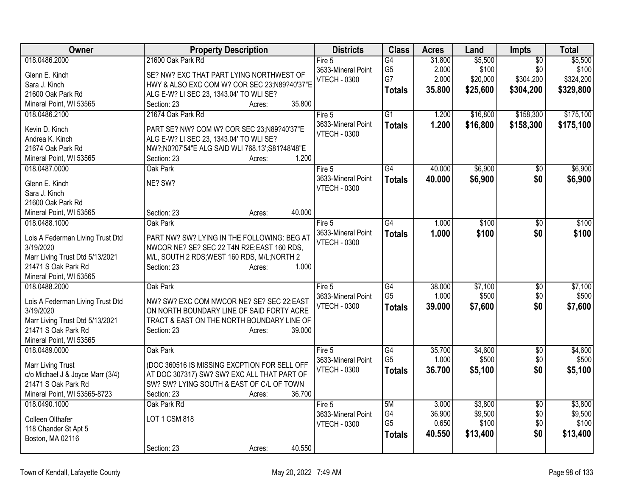| Owner                                                  | <b>Property Description</b>                     | <b>Districts</b>    | <b>Class</b>    | <b>Acres</b> | Land     | Impts           | <b>Total</b> |
|--------------------------------------------------------|-------------------------------------------------|---------------------|-----------------|--------------|----------|-----------------|--------------|
| 018.0486.2000                                          | 21600 Oak Park Rd                               | Fire 5              | G4              | 31.800       | \$5,500  | $\overline{50}$ | \$5,500      |
| Glenn E. Kinch                                         | SE? NW? EXC THAT PART LYING NORTHWEST OF        | 3633-Mineral Point  | G <sub>5</sub>  | 2.000        | \$100    | \$0             | \$100        |
| Sara J. Kinch                                          | HWY & ALSO EXC COM W? COR SEC 23;N89?40'37"E    | <b>VTECH - 0300</b> | G7              | 2.000        | \$20,000 | \$304,200       | \$324,200    |
| 21600 Oak Park Rd                                      | ALG E-W? LI SEC 23, 1343.04' TO WLI SE?         |                     | <b>Totals</b>   | 35.800       | \$25,600 | \$304,200       | \$329,800    |
| Mineral Point, WI 53565                                | 35.800<br>Section: 23<br>Acres:                 |                     |                 |              |          |                 |              |
| 018.0486.2100                                          | 21674 Oak Park Rd                               | Fire 5              | $\overline{G1}$ | 1.200        | \$16,800 | \$158,300       | \$175,100    |
| Kevin D. Kinch                                         | PART SE? NW? COM W? COR SEC 23;N89?40'37"E      | 3633-Mineral Point  | <b>Totals</b>   | 1.200        | \$16,800 | \$158,300       | \$175,100    |
| Andrea K. Kinch                                        | ALG E-W? LI SEC 23, 1343.04' TO WLI SE?         | <b>VTECH - 0300</b> |                 |              |          |                 |              |
| 21674 Oak Park Rd                                      | NW?;N0?07'54"E ALG SAID WLI 768.13';S81?48'48"E |                     |                 |              |          |                 |              |
| Mineral Point, WI 53565                                | 1.200<br>Section: 23<br>Acres:                  |                     |                 |              |          |                 |              |
| 018.0487.0000                                          | Oak Park                                        | Fire $5$            | G4              | 40.000       | \$6,900  | $\overline{50}$ | \$6,900      |
|                                                        |                                                 | 3633-Mineral Point  |                 | 40.000       | \$6,900  | \$0             | \$6,900      |
| Glenn E. Kinch                                         | NE? SW?                                         | <b>VTECH - 0300</b> | <b>Totals</b>   |              |          |                 |              |
| Sara J. Kinch                                          |                                                 |                     |                 |              |          |                 |              |
| 21600 Oak Park Rd                                      |                                                 |                     |                 |              |          |                 |              |
| Mineral Point, WI 53565                                | 40.000<br>Section: 23<br>Acres:                 |                     |                 |              |          |                 |              |
| 018.0488.1000                                          | Oak Park                                        | Fire 5              | $\overline{G4}$ | 1.000        | \$100    | $\overline{50}$ | \$100        |
| Lois A Federman Living Trust Dtd                       | PART NW? SW? LYING IN THE FOLLOWING: BEG AT     | 3633-Mineral Point  | <b>Totals</b>   | 1.000        | \$100    | \$0             | \$100        |
| 3/19/2020                                              | NWCOR NE? SE? SEC 22 T4N R2E;EAST 160 RDS,      | <b>VTECH - 0300</b> |                 |              |          |                 |              |
| Marr Living Trust Dtd 5/13/2021                        | M/L, SOUTH 2 RDS; WEST 160 RDS, M/L; NORTH 2    |                     |                 |              |          |                 |              |
| 21471 S Oak Park Rd                                    | 1.000<br>Section: 23<br>Acres:                  |                     |                 |              |          |                 |              |
| Mineral Point, WI 53565                                |                                                 |                     |                 |              |          |                 |              |
| 018.0488.2000                                          | Oak Park                                        | Fire 5              | G4              | 38.000       | \$7,100  | \$0             | \$7,100      |
|                                                        |                                                 | 3633-Mineral Point  | G <sub>5</sub>  | 1.000        | \$500    | \$0             | \$500        |
| Lois A Federman Living Trust Dtd                       | NW? SW? EXC COM NWCOR NE? SE? SEC 22;EAST       | <b>VTECH - 0300</b> | <b>Totals</b>   | 39.000       | \$7,600  | \$0             | \$7,600      |
| 3/19/2020                                              | ON NORTH BOUNDARY LINE OF SAID FORTY ACRE       |                     |                 |              |          |                 |              |
| Marr Living Trust Dtd 5/13/2021<br>21471 S Oak Park Rd | TRACT & EAST ON THE NORTH BOUNDARY LINE OF      |                     |                 |              |          |                 |              |
|                                                        | Section: 23<br>39.000<br>Acres:                 |                     |                 |              |          |                 |              |
| Mineral Point, WI 53565<br>018.0489.0000               | Oak Park                                        | Fire 5              | G4              | 35.700       | \$4,600  | $\overline{50}$ | \$4,600      |
|                                                        |                                                 | 3633-Mineral Point  | G <sub>5</sub>  | 1.000        | \$500    | \$0             | \$500        |
| <b>Marr Living Trust</b>                               | (DOC 360516 IS MISSING EXCPTION FOR SELL OFF    | <b>VTECH - 0300</b> |                 | 36.700       | \$5,100  | \$0             | \$5,100      |
| c/o Michael J & Joyce Marr (3/4)                       | AT DOC 307317) SW? SW? EXC ALL THAT PART OF     |                     | <b>Totals</b>   |              |          |                 |              |
| 21471 S Oak Park Rd                                    | SW? SW? LYING SOUTH & EAST OF C/L OF TOWN       |                     |                 |              |          |                 |              |
| Mineral Point, WI 53565-8723                           | 36.700<br>Section: 23<br>Acres:                 |                     |                 |              |          |                 |              |
| 018.0490.1000                                          | Oak Park Rd                                     | Fire $5$            | 5M              | 3.000        | \$3,800  | $\overline{50}$ | \$3,800      |
| Colleen Olthafer                                       | LOT 1 CSM 818                                   | 3633-Mineral Point  | G4              | 36.900       | \$9,500  | \$0             | \$9,500      |
| 118 Chander St Apt 5                                   |                                                 | <b>VTECH - 0300</b> | G <sub>5</sub>  | 0.650        | \$100    | \$0             | \$100        |
| Boston, MA 02116                                       |                                                 |                     | <b>Totals</b>   | 40.550       | \$13,400 | \$0             | \$13,400     |
|                                                        | 40.550<br>Section: 23<br>Acres:                 |                     |                 |              |          |                 |              |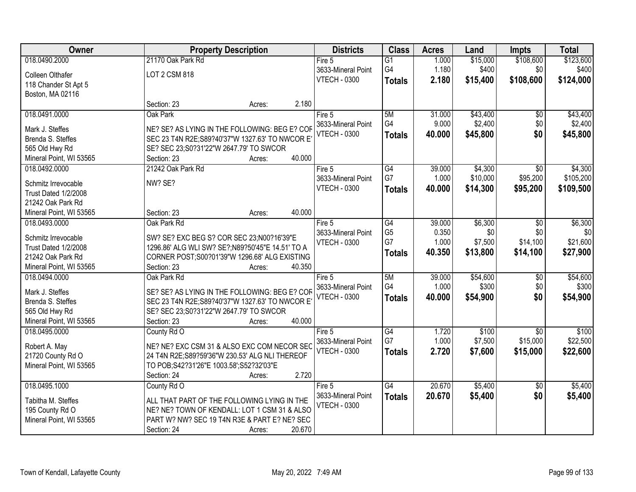| Owner                   |                                                  | <b>Property Description</b> | <b>Districts</b>                          | <b>Class</b>         | <b>Acres</b>    | Land           | <b>Impts</b>      | <b>Total</b>   |
|-------------------------|--------------------------------------------------|-----------------------------|-------------------------------------------|----------------------|-----------------|----------------|-------------------|----------------|
| 018.0490.2000           | 21170 Oak Park Rd                                |                             | Fire 5                                    | $\overline{G1}$      | 1.000           | \$15,000       | \$108,600         | \$123,600      |
| Colleen Olthafer        | LOT 2 CSM 818                                    |                             | 3633-Mineral Point                        | G4                   | 1.180           | \$400          | \$0               | \$400          |
| 118 Chander St Apt 5    |                                                  |                             | <b>VTECH - 0300</b>                       | <b>Totals</b>        | 2.180           | \$15,400       | \$108,600         | \$124,000      |
| Boston, MA 02116        |                                                  |                             |                                           |                      |                 |                |                   |                |
|                         | Section: 23                                      | Acres:                      | 2.180                                     |                      |                 |                |                   |                |
| 018.0491.0000           | Oak Park                                         |                             | Fire 5                                    | 5M                   | 31.000          | \$43,400       | $\overline{50}$   | \$43,400       |
| Mark J. Steffes         | NE? SE? AS LYING IN THE FOLLOWING: BEG E? COF    |                             | 3633-Mineral Point                        | G4                   | 9.000           | \$2,400        | \$0               | \$2,400        |
| Brenda S. Steffes       | SEC 23 T4N R2E; S89?40'37"W 1327.63' TO NWCOR E  |                             | <b>VTECH - 0300</b>                       | Totals               | 40.000          | \$45,800       | \$0               | \$45,800       |
| 565 Old Hwy Rd          | SE? SEC 23;S0?31'22"W 2647.79' TO SWCOR          |                             |                                           |                      |                 |                |                   |                |
| Mineral Point, WI 53565 | Section: 23                                      | 40.000<br>Acres:            |                                           |                      |                 |                |                   |                |
| 018.0492.0000           | 21242 Oak Park Rd                                |                             | Fire 5                                    | G4                   | 39.000          | \$4,300        | $\sqrt{50}$       | \$4,300        |
|                         |                                                  |                             | 3633-Mineral Point                        | G7                   | 1.000           | \$10,000       | \$95,200          | \$105,200      |
| Schmitz Irrevocable     | NW? SE?                                          |                             | <b>VTECH - 0300</b>                       | Totals               | 40.000          | \$14,300       | \$95,200          | \$109,500      |
| Trust Dated 1/2/2008    |                                                  |                             |                                           |                      |                 |                |                   |                |
| 21242 Oak Park Rd       |                                                  | 40.000                      |                                           |                      |                 |                |                   |                |
| Mineral Point, WI 53565 | Section: 23                                      | Acres:                      |                                           |                      |                 |                |                   |                |
| 018.0493.0000           | Oak Park Rd                                      |                             | Fire 5<br>3633-Mineral Point              | G4<br>G <sub>5</sub> | 39.000<br>0.350 | \$6,300<br>\$0 | $\sqrt{6}$<br>\$0 | \$6,300<br>\$0 |
| Schmitz Irrevocable     | SW? SE? EXC BEG S? COR SEC 23;N00?16'39"E        |                             | <b>VTECH - 0300</b>                       | G7                   | 1.000           | \$7,500        | \$14,100          | \$21,600       |
| Trust Dated 1/2/2008    | 1296.86' ALG WLI SW? SE?;N89?50'45"E 14.51' TO A |                             |                                           |                      |                 |                |                   |                |
| 21242 Oak Park Rd       | CORNER POST;S00?01'39"W 1296.68' ALG EXISTING    |                             |                                           | <b>Totals</b>        | 40.350          | \$13,800       | \$14,100          | \$27,900       |
| Mineral Point, WI 53565 | Section: 23                                      | 40.350<br>Acres:            |                                           |                      |                 |                |                   |                |
| 018.0494.0000           | Oak Park Rd                                      |                             | Fire 5                                    | 5M                   | 39.000          | \$54,600       | $\overline{30}$   | \$54,600       |
| Mark J. Steffes         | SE? SE? AS LYING IN THE FOLLOWING: BEG E? COF    |                             | 3633-Mineral Point                        | G4                   | 1.000           | \$300          | \$0               | \$300          |
| Brenda S. Steffes       | SEC 23 T4N R2E; S89?40'37"W 1327.63' TO NWCOR E  |                             | <b>VTECH - 0300</b>                       | <b>Totals</b>        | 40.000          | \$54,900       | \$0               | \$54,900       |
| 565 Old Hwy Rd          | SE? SEC 23;S0?31'22"W 2647.79' TO SWCOR          |                             |                                           |                      |                 |                |                   |                |
| Mineral Point, WI 53565 | Section: 23                                      | 40.000<br>Acres:            |                                           |                      |                 |                |                   |                |
| 018.0495.0000           | County Rd O                                      |                             | Fire 5                                    | G4                   | 1.720           | \$100          | $\overline{30}$   | \$100          |
|                         |                                                  |                             | 3633-Mineral Point                        | G7                   | 1.000           | \$7,500        | \$15,000          | \$22,500       |
| Robert A. May           | NE? NE? EXC CSM 31 & ALSO EXC COM NECOR SEC      |                             | <b>VTECH - 0300</b>                       | <b>Totals</b>        | 2.720           | \$7,600        | \$15,000          | \$22,600       |
| 21720 County Rd O       | 24 T4N R2E; S89?59'36"W 230.53' ALG NLI THEREOF  |                             |                                           |                      |                 |                |                   |                |
| Mineral Point, WI 53565 | TO POB;S42?31'26"E 1003.58';S52?32'03"E          |                             | 2.720                                     |                      |                 |                |                   |                |
|                         | Section: 24                                      | Acres:                      |                                           |                      |                 |                |                   |                |
| 018.0495.1000           | County Rd O                                      |                             | Fire 5                                    | $\overline{G4}$      | 20.670          | \$5,400        | $\overline{50}$   | \$5,400        |
| Tabitha M. Steffes      | ALL THAT PART OF THE FOLLOWING LYING IN THE      |                             | 3633-Mineral Point<br><b>VTECH - 0300</b> | <b>Totals</b>        | 20.670          | \$5,400        | \$0               | \$5,400        |
| 195 County Rd O         | NE? NE? TOWN OF KENDALL: LOT 1 CSM 31 & ALSO     |                             |                                           |                      |                 |                |                   |                |
| Mineral Point, WI 53565 | PART W? NW? SEC 19 T4N R3E & PART E? NE? SEC     |                             |                                           |                      |                 |                |                   |                |
|                         | Section: 24                                      | 20.670<br>Acres:            |                                           |                      |                 |                |                   |                |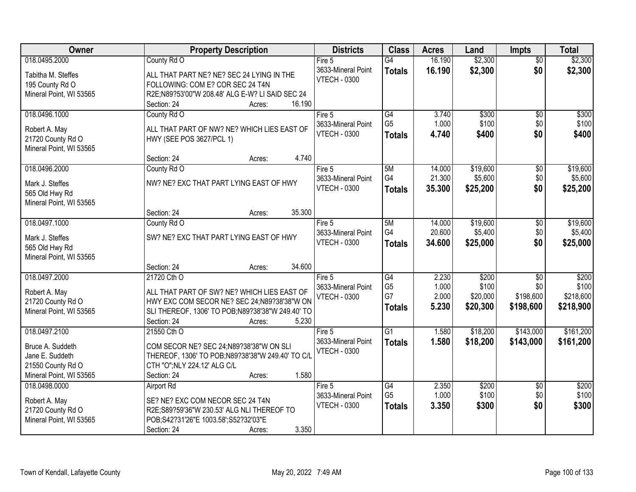| Owner                                        | <b>Property Description</b>                                                                     | <b>Districts</b>    | <b>Class</b>    | <b>Acres</b> | Land     | <b>Impts</b>    | <b>Total</b> |
|----------------------------------------------|-------------------------------------------------------------------------------------------------|---------------------|-----------------|--------------|----------|-----------------|--------------|
| 018.0495.2000                                | County Rd O                                                                                     | Fire 5              | G4              | 16.190       | \$2,300  | $\overline{50}$ | \$2,300      |
| Tabitha M. Steffes                           | ALL THAT PART NE? NE? SEC 24 LYING IN THE                                                       | 3633-Mineral Point  | <b>Totals</b>   | 16.190       | \$2,300  | \$0             | \$2,300      |
| 195 County Rd O                              | FOLLOWING: COM E? COR SEC 24 T4N                                                                | <b>VTECH - 0300</b> |                 |              |          |                 |              |
| Mineral Point, WI 53565                      | R2E;N89?53'00"W 208.48' ALG E-W? LI SAID SEC 24                                                 |                     |                 |              |          |                 |              |
|                                              | 16.190<br>Section: 24<br>Acres:                                                                 |                     |                 |              |          |                 |              |
| 018.0496.1000                                | County Rd O                                                                                     | Fire 5              | G4              | 3.740        | \$300    | $\overline{50}$ | \$300        |
|                                              |                                                                                                 | 3633-Mineral Point  | G <sub>5</sub>  | 1.000        | \$100    | \$0             | \$100        |
| Robert A. May                                | ALL THAT PART OF NW? NE? WHICH LIES EAST OF                                                     | <b>VTECH - 0300</b> | <b>Totals</b>   | 4.740        | \$400    | \$0             | \$400        |
| 21720 County Rd O<br>Mineral Point, WI 53565 | HWY (SEE POS 3627/PCL 1)                                                                        |                     |                 |              |          |                 |              |
|                                              | 4.740<br>Section: 24<br>Acres:                                                                  |                     |                 |              |          |                 |              |
| 018.0496.2000                                | County Rd O                                                                                     | Fire 5              | 5M              | 14.000       | \$19,600 | \$0             | \$19,600     |
|                                              |                                                                                                 | 3633-Mineral Point  | G4              | 21.300       | \$5,600  | \$0             | \$5,600      |
| Mark J. Steffes                              | NW? NE? EXC THAT PART LYING EAST OF HWY                                                         | <b>VTECH - 0300</b> | <b>Totals</b>   | 35.300       | \$25,200 | \$0             | \$25,200     |
| 565 Old Hwy Rd                               |                                                                                                 |                     |                 |              |          |                 |              |
| Mineral Point, WI 53565                      |                                                                                                 |                     |                 |              |          |                 |              |
|                                              | 35.300<br>Section: 24<br>Acres:                                                                 |                     |                 |              |          |                 |              |
| 018.0497.1000                                | County Rd O                                                                                     | Fire $5$            | 5M              | 14.000       | \$19,600 | \$0             | \$19,600     |
| Mark J. Steffes                              | SW? NE? EXC THAT PART LYING EAST OF HWY                                                         | 3633-Mineral Point  | G4              | 20.600       | \$5,400  | \$0             | \$5,400      |
| 565 Old Hwy Rd                               |                                                                                                 | <b>VTECH - 0300</b> | <b>Totals</b>   | 34.600       | \$25,000 | \$0             | \$25,000     |
| Mineral Point, WI 53565                      |                                                                                                 |                     |                 |              |          |                 |              |
|                                              | 34.600<br>Section: 24<br>Acres:                                                                 |                     |                 |              |          |                 |              |
| 018.0497.2000                                | 21720 Cth O                                                                                     | Fire 5              | $\overline{G4}$ | 2.230        | \$200    | $\overline{30}$ | \$200        |
|                                              |                                                                                                 | 3633-Mineral Point  | G <sub>5</sub>  | 1.000        | \$100    | \$0             | \$100        |
| Robert A. May<br>21720 County Rd O           | ALL THAT PART OF SW? NE? WHICH LIES EAST OF                                                     | <b>VTECH - 0300</b> | G7              | 2.000        | \$20,000 | \$198,600       | \$218,600    |
| Mineral Point, WI 53565                      | HWY EXC COM SECOR NE? SEC 24;N89?38'38"W ON<br>SLI THEREOF, 1306' TO POB;N89?38'38"W 249.40' TO |                     | <b>Totals</b>   | 5.230        | \$20,300 | \$198,600       | \$218,900    |
|                                              | 5.230<br>Section: 24<br>Acres:                                                                  |                     |                 |              |          |                 |              |
| 018.0497.2100                                | 21550 Cth O                                                                                     | Fire 5              | $\overline{G1}$ | 1.580        | \$18,200 | \$143,000       | \$161,200    |
|                                              |                                                                                                 | 3633-Mineral Point  | <b>Totals</b>   | 1.580        | \$18,200 | \$143,000       | \$161,200    |
| Bruce A. Suddeth                             | COM SECOR NE? SEC 24;N89?38'38"W ON SLI                                                         | <b>VTECH - 0300</b> |                 |              |          |                 |              |
| Jane E. Suddeth                              | THEREOF, 1306' TO POB;N89?38'38"W 249.40' TO C/L                                                |                     |                 |              |          |                 |              |
| 21550 County Rd O                            | CTH "O"; NLY 224.12' ALG C/L                                                                    |                     |                 |              |          |                 |              |
| Mineral Point, WI 53565                      | 1.580<br>Section: 24<br>Acres:                                                                  |                     |                 |              |          |                 |              |
| 018.0498.0000                                | <b>Airport Rd</b>                                                                               | Fire $5$            | G4              | 2.350        | \$200    | $\overline{30}$ | \$200        |
| Robert A. May                                | SE? NE? EXC COM NECOR SEC 24 T4N                                                                | 3633-Mineral Point  | G <sub>5</sub>  | 1.000        | \$100    | \$0             | \$100        |
| 21720 County Rd O                            | R2E;S89?59'36"W 230.53' ALG NLI THEREOF TO                                                      | <b>VTECH - 0300</b> | <b>Totals</b>   | 3.350        | \$300    | \$0             | \$300        |
| Mineral Point, WI 53565                      | POB;S42?31'26"E 1003.58';S52?32'03"E                                                            |                     |                 |              |          |                 |              |
|                                              | 3.350<br>Section: 24<br>Acres:                                                                  |                     |                 |              |          |                 |              |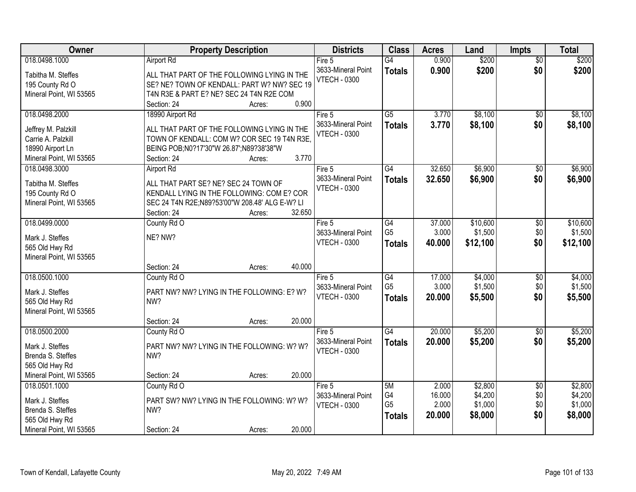| Owner<br><b>Districts</b><br><b>Class</b><br><b>Property Description</b><br><b>Acres</b><br>Land<br><b>Impts</b>           | <b>Total</b>               |
|----------------------------------------------------------------------------------------------------------------------------|----------------------------|
| 0.900<br>\$200<br>018.0498.1000<br><b>Airport Rd</b><br>$\overline{G4}$<br>Fire 5                                          | \$200<br>$\overline{50}$   |
| 3633-Mineral Point<br>0.900<br>\$200<br><b>Totals</b><br>ALL THAT PART OF THE FOLLOWING LYING IN THE<br>Tabitha M. Steffes | \$0<br>\$200               |
| <b>VTECH - 0300</b><br>SE? NE? TOWN OF KENDALL: PART W? NW? SEC 19<br>195 County Rd O                                      |                            |
| T4N R3E & PART E? NE? SEC 24 T4N R2E COM<br>Mineral Point, WI 53565                                                        |                            |
| 0.900<br>Section: 24<br>Acres:                                                                                             |                            |
| \$8,100<br>$\overline{G5}$<br>3.770<br>018.0498.2000<br>18990 Airport Rd<br>Fire 5                                         | \$8,100<br>$\overline{50}$ |
| 3633-Mineral Point<br>3.770<br>\$8,100<br><b>Totals</b>                                                                    | \$0<br>\$8,100             |
| ALL THAT PART OF THE FOLLOWING LYING IN THE<br>Jeffrey M. Palzkill<br><b>VTECH - 0300</b>                                  |                            |
| Carrie A. Palzkill<br>TOWN OF KENDALL: COM W? COR SEC 19 T4N R3E                                                           |                            |
| 18990 Airport Ln<br>BEING POB;N0?17'30"W 26.87';N89?38'38"W                                                                |                            |
| 3.770<br>Mineral Point, WI 53565<br>Section: 24<br>Acres:                                                                  |                            |
| G4<br>32.650<br>\$6,900<br>018.0498.3000<br>Airport Rd<br>Fire 5                                                           | \$6,900<br>\$0             |
| 3633-Mineral Point<br>\$6,900<br>32.650<br><b>Totals</b><br>ALL THAT PART SE? NE? SEC 24 TOWN OF<br>Tabitha M. Steffes     | \$0<br>\$6,900             |
| <b>VTECH - 0300</b><br>KENDALL LYING IN THE FOLLOWING: COM E? COR<br>195 County Rd O                                       |                            |
| SEC 24 T4N R2E;N89?53'00"W 208.48' ALG E-W? LI<br>Mineral Point, WI 53565                                                  |                            |
| 32.650<br>Section: 24<br>Acres:                                                                                            |                            |
| \$10,600<br>018.0499.0000<br>County Rd O<br>G4<br>37.000<br>Fire 5                                                         | \$10,600<br>\$0            |
| G <sub>5</sub><br>\$1,500<br>3.000<br>3633-Mineral Point                                                                   | \$1,500<br>\$0             |
| NE? NW?<br>Mark J. Steffes<br>\$12,100<br><b>VTECH - 0300</b><br>40.000<br><b>Totals</b>                                   | \$0<br>\$12,100            |
| 565 Old Hwy Rd                                                                                                             |                            |
| Mineral Point, WI 53565                                                                                                    |                            |
| 40.000<br>Section: 24<br>Acres:                                                                                            |                            |
| 018.0500.1000<br>G4<br>17.000<br>\$4,000<br>County Rd O<br>Fire $5$                                                        | \$4,000<br>\$0             |
| G <sub>5</sub><br>3.000<br>\$1,500<br>3633-Mineral Point<br>PART NW? NW? LYING IN THE FOLLOWING: E? W?<br>Mark J. Steffes  | \$1,500<br>\$0             |
| <b>VTECH - 0300</b><br>20.000<br>\$5,500<br><b>Totals</b><br>565 Old Hwy Rd<br>NW?                                         | \$0<br>\$5,500             |
| Mineral Point, WI 53565                                                                                                    |                            |
| 20.000<br>Section: 24<br>Acres:                                                                                            |                            |
| $\overline{G4}$<br>018.0500.2000<br>20.000<br>\$5,200<br>County Rd O<br>Fire 5                                             | \$5,200<br>$\sqrt{6}$      |
| 3633-Mineral Point<br>\$5,200<br>20.000<br><b>Totals</b>                                                                   | \$0<br>\$5,200             |
| Mark J. Steffes<br>PART NW? NW? LYING IN THE FOLLOWING: W? W?<br><b>VTECH - 0300</b>                                       |                            |
| Brenda S. Steffes<br>NW?                                                                                                   |                            |
| 565 Old Hwy Rd                                                                                                             |                            |
| Mineral Point, WI 53565<br>20.000<br>Section: 24<br>Acres:                                                                 |                            |
| 018.0501.1000<br>County Rd O<br>2.000<br>\$2,800<br>Fire $5$<br>5M                                                         | \$2,800<br>$\overline{50}$ |
| G4<br>16.000<br>\$4,200<br>3633-Mineral Point<br>Mark J. Steffes<br>PART SW? NW? LYING IN THE FOLLOWING: W? W?             | \$4,200<br>\$0             |
| G <sub>5</sub><br>2.000<br>\$1,000<br><b>VTECH - 0300</b><br>Brenda S. Steffes<br>NW?                                      | \$1,000<br>\$0             |
| 20.000<br>\$8,000<br><b>Totals</b><br>565 Old Hwy Rd                                                                       | \$0<br>\$8,000             |
| 20.000<br>Mineral Point, WI 53565<br>Section: 24<br>Acres:                                                                 |                            |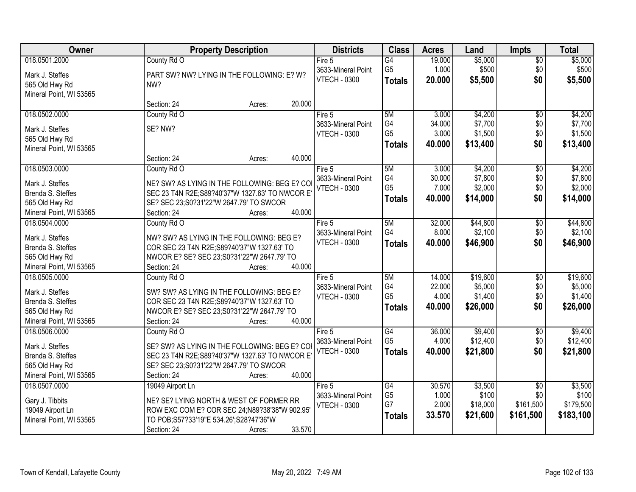| Owner                                     | <b>Property Description</b>                     | <b>Districts</b>    | <b>Class</b>    | <b>Acres</b> | Land     | Impts           | <b>Total</b> |
|-------------------------------------------|-------------------------------------------------|---------------------|-----------------|--------------|----------|-----------------|--------------|
| 018.0501.2000                             | County Rd O                                     | Fire 5              | $\overline{G4}$ | 19.000       | \$5,000  | $\overline{50}$ | \$5,000      |
| Mark J. Steffes                           | PART SW? NW? LYING IN THE FOLLOWING: E? W?      | 3633-Mineral Point  | G <sub>5</sub>  | 1.000        | \$500    | \$0             | \$500        |
| 565 Old Hwy Rd                            | NW?                                             | <b>VTECH - 0300</b> | <b>Totals</b>   | 20.000       | \$5,500  | \$0             | \$5,500      |
| Mineral Point, WI 53565                   |                                                 |                     |                 |              |          |                 |              |
|                                           | 20.000<br>Section: 24<br>Acres:                 |                     |                 |              |          |                 |              |
| 018.0502.0000                             | County Rd O                                     | Fire 5              | 5M              | 3.000        | \$4,200  | $\overline{50}$ | \$4,200      |
|                                           | SE? NW?                                         | 3633-Mineral Point  | G4              | 34.000       | \$7,700  | \$0             | \$7,700      |
| Mark J. Steffes                           |                                                 | <b>VTECH - 0300</b> | G <sub>5</sub>  | 3.000        | \$1,500  | \$0             | \$1,500      |
| 565 Old Hwy Rd<br>Mineral Point, WI 53565 |                                                 |                     | <b>Totals</b>   | 40.000       | \$13,400 | \$0             | \$13,400     |
|                                           | 40.000<br>Section: 24<br>Acres:                 |                     |                 |              |          |                 |              |
| 018.0503.0000                             | County Rd O                                     | Fire 5              | 5M              | 3.000        | \$4,200  | \$0             | \$4,200      |
|                                           |                                                 | 3633-Mineral Point  | G4              | 30.000       | \$7,800  | \$0             | \$7,800      |
| Mark J. Steffes                           | NE? SW? AS LYING IN THE FOLLOWING: BEG E? COI   | <b>VTECH - 0300</b> | G <sub>5</sub>  | 7.000        | \$2,000  | \$0             | \$2,000      |
| Brenda S. Steffes                         | SEC 23 T4N R2E; S89?40'37"W 1327.63' TO NWCOR E |                     | <b>Totals</b>   | 40.000       | \$14,000 | \$0             | \$14,000     |
| 565 Old Hwy Rd                            | SE? SEC 23;S0?31'22"W 2647.79' TO SWCOR         |                     |                 |              |          |                 |              |
| Mineral Point, WI 53565                   | 40.000<br>Section: 24<br>Acres:                 |                     |                 |              |          |                 |              |
| 018.0504.0000                             | County Rd O                                     | Fire 5              | 5M              | 32.000       | \$44,800 | \$0             | \$44,800     |
| Mark J. Steffes                           | NW? SW? AS LYING IN THE FOLLOWING: BEG E?       | 3633-Mineral Point  | G4              | 8.000        | \$2,100  | \$0             | \$2,100      |
| Brenda S. Steffes                         | COR SEC 23 T4N R2E; S89?40'37"W 1327.63' TO     | <b>VTECH - 0300</b> | <b>Totals</b>   | 40.000       | \$46,900 | \$0             | \$46,900     |
| 565 Old Hwy Rd                            | NWCOR E? SE? SEC 23;S0?31'22"W 2647.79' TO      |                     |                 |              |          |                 |              |
| Mineral Point, WI 53565                   | 40.000<br>Section: 24<br>Acres:                 |                     |                 |              |          |                 |              |
| 018.0505.0000                             | County Rd O                                     | Fire $5$            | 5M              | 14.000       | \$19,600 | $\overline{50}$ | \$19,600     |
|                                           |                                                 | 3633-Mineral Point  | G4              | 22.000       | \$5,000  | \$0             | \$5,000      |
| Mark J. Steffes                           | SW? SW? AS LYING IN THE FOLLOWING: BEG E?       | <b>VTECH - 0300</b> | G <sub>5</sub>  | 4.000        | \$1,400  | \$0             | \$1,400      |
| Brenda S. Steffes                         | COR SEC 23 T4N R2E; S89?40'37"W 1327.63' TO     |                     |                 | 40.000       | \$26,000 | \$0             | \$26,000     |
| 565 Old Hwy Rd                            | NWCOR E? SE? SEC 23;S0?31'22"W 2647.79' TO      |                     | <b>Totals</b>   |              |          |                 |              |
| Mineral Point, WI 53565                   | 40.000<br>Section: 24<br>Acres:                 |                     |                 |              |          |                 |              |
| 018.0506.0000                             | County Rd O                                     | Fire 5              | $\overline{G4}$ | 36.000       | \$9,400  | $\overline{50}$ | \$9,400      |
| Mark J. Steffes                           | SE? SW? AS LYING IN THE FOLLOWING: BEG E? COP   | 3633-Mineral Point  | G <sub>5</sub>  | 4.000        | \$12,400 | \$0             | \$12,400     |
| Brenda S. Steffes                         | SEC 23 T4N R2E; S89?40'37"W 1327.63' TO NWCOR E | <b>VTECH - 0300</b> | <b>Totals</b>   | 40.000       | \$21,800 | \$0             | \$21,800     |
| 565 Old Hwy Rd                            | SE? SEC 23;S0?31'22"W 2647.79' TO SWCOR         |                     |                 |              |          |                 |              |
| Mineral Point, WI 53565                   | 40.000<br>Section: 24<br>Acres:                 |                     |                 |              |          |                 |              |
| 018.0507.0000                             | 19049 Airport Ln                                | Fire 5              | G4              | 30.570       | \$3,500  | $\overline{30}$ | \$3,500      |
|                                           |                                                 | 3633-Mineral Point  | G <sub>5</sub>  | 1.000        | \$100    | \$0             | \$100        |
| Gary J. Tibbits                           | NE? SE? LYING NORTH & WEST OF FORMER RR         | <b>VTECH - 0300</b> | G7              | 2.000        | \$18,000 | \$161,500       | \$179,500    |
| 19049 Airport Ln                          | ROW EXC COM E? COR SEC 24; N89?38'38"W 902.95'  |                     | <b>Totals</b>   | 33.570       | \$21,600 | \$161,500       | \$183,100    |
| Mineral Point, WI 53565                   | TO POB; S57?33'19"E 534.26'; S28?47'36"W        |                     |                 |              |          |                 |              |
|                                           | 33.570<br>Section: 24<br>Acres:                 |                     |                 |              |          |                 |              |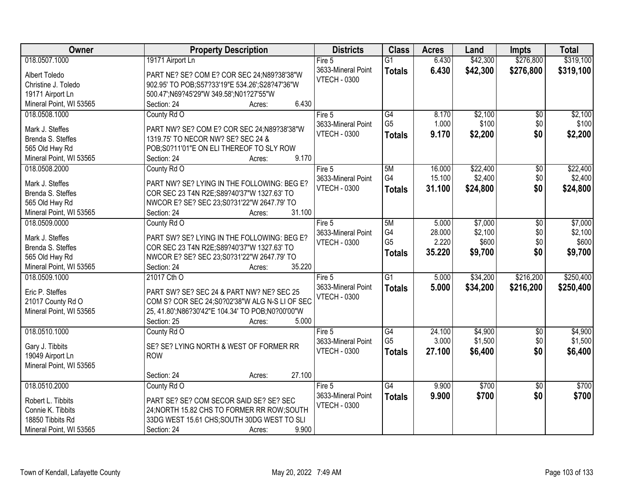| Owner                                | <b>Property Description</b>                                                               | <b>Districts</b>    | <b>Class</b>    | <b>Acres</b> | Land     | <b>Impts</b>    | <b>Total</b> |
|--------------------------------------|-------------------------------------------------------------------------------------------|---------------------|-----------------|--------------|----------|-----------------|--------------|
| 018.0507.1000                        | 19171 Airport Ln                                                                          | Fire $5$            | $\overline{G1}$ | 6.430        | \$42,300 | \$276,800       | \$319,100    |
| Albert Toledo                        | PART NE? SE? COM E? COR SEC 24;N89?38'38"W                                                | 3633-Mineral Point  | <b>Totals</b>   | 6.430        | \$42,300 | \$276,800       | \$319,100    |
| Christine J. Toledo                  | 902.95' TO POB;S57?33'19"E 534.26';S28?47'36"W                                            | <b>VTECH - 0300</b> |                 |              |          |                 |              |
| 19171 Airport Ln                     | 500.47';N69?45'29"W 349.58';N01?27'55"W                                                   |                     |                 |              |          |                 |              |
| Mineral Point, WI 53565              | 6.430<br>Section: 24<br>Acres:                                                            |                     |                 |              |          |                 |              |
| 018.0508.1000                        | County Rd O                                                                               | Fire $5$            | G4              | 8.170        | \$2,100  | \$0             | \$2,100      |
|                                      |                                                                                           | 3633-Mineral Point  | G <sub>5</sub>  | 1.000        | \$100    | \$0             | \$100        |
| Mark J. Steffes                      | PART NW? SE? COM E? COR SEC 24;N89?38'38"W                                                | <b>VTECH - 0300</b> | <b>Totals</b>   | 9.170        | \$2,200  | \$0             | \$2,200      |
| Brenda S. Steffes                    | 1319.75' TO NECOR NW? SE? SEC 24 &                                                        |                     |                 |              |          |                 |              |
| 565 Old Hwy Rd                       | POB;S0?11'01"E ON ELI THEREOF TO SLY ROW                                                  |                     |                 |              |          |                 |              |
| Mineral Point, WI 53565              | 9.170<br>Section: 24<br>Acres:                                                            |                     |                 |              |          |                 |              |
| 018.0508.2000                        | County Rd O                                                                               | Fire 5              | 5M<br>G4        | 16.000       | \$22,400 | \$0             | \$22,400     |
| Mark J. Steffes                      | PART NW? SE? LYING IN THE FOLLOWING: BEG E?                                               | 3633-Mineral Point  |                 | 15.100       | \$2,400  | \$0             | \$2,400      |
| Brenda S. Steffes                    | COR SEC 23 T4N R2E;S89?40'37"W 1327.63' TO                                                | <b>VTECH - 0300</b> | <b>Totals</b>   | 31.100       | \$24,800 | \$0             | \$24,800     |
| 565 Old Hwy Rd                       | NWCOR E? SE? SEC 23;S0?31'22"W 2647.79' TO                                                |                     |                 |              |          |                 |              |
| Mineral Point, WI 53565              | 31.100<br>Section: 24<br>Acres:                                                           |                     |                 |              |          |                 |              |
| 018.0509.0000                        | County Rd O                                                                               | Fire 5              | 5M              | 5.000        | \$7,000  | $\sqrt[6]{}$    | \$7,000      |
|                                      |                                                                                           | 3633-Mineral Point  | G4              | 28.000       | \$2,100  | \$0             | \$2,100      |
| Mark J. Steffes<br>Brenda S. Steffes | PART SW? SE? LYING IN THE FOLLOWING: BEG E?                                               | <b>VTECH - 0300</b> | G <sub>5</sub>  | 2.220        | \$600    | \$0             | \$600        |
| 565 Old Hwy Rd                       | COR SEC 23 T4N R2E; S89?40'37"W 1327.63' TO<br>NWCOR E? SE? SEC 23;S0?31'22"W 2647.79' TO |                     | <b>Totals</b>   | 35.220       | \$9,700  | \$0             | \$9,700      |
| Mineral Point, WI 53565              | 35.220<br>Section: 24                                                                     |                     |                 |              |          |                 |              |
| 018.0509.1000                        | Acres:<br>21017 Cth O                                                                     | Fire 5              | $\overline{G1}$ | 5.000        | \$34,200 | \$216,200       | \$250,400    |
|                                      |                                                                                           | 3633-Mineral Point  |                 |              |          |                 |              |
| Eric P. Steffes                      | PART SW? SE? SEC 24 & PART NW? NE? SEC 25                                                 | <b>VTECH - 0300</b> | <b>Totals</b>   | 5.000        | \$34,200 | \$216,200       | \$250,400    |
| 21017 County Rd O                    | COM S? COR SEC 24; S0?02'38"W ALG N-S LI OF SEC                                           |                     |                 |              |          |                 |              |
| Mineral Point, WI 53565              | 25, 41.80'; N86?30'42" E 104.34' TO POB; N0?00'00" W                                      |                     |                 |              |          |                 |              |
|                                      | 5.000<br>Section: 25<br>Acres:                                                            |                     |                 |              |          |                 |              |
| 018.0510.1000                        | County Rd O                                                                               | Fire $5$            | G4              | 24.100       | \$4,900  | $\sqrt{6}$      | \$4,900      |
| Gary J. Tibbits                      | SE? SE? LYING NORTH & WEST OF FORMER RR                                                   | 3633-Mineral Point  | G <sub>5</sub>  | 3.000        | \$1,500  | \$0             | \$1,500      |
| 19049 Airport Ln                     | <b>ROW</b>                                                                                | <b>VTECH - 0300</b> | <b>Totals</b>   | 27.100       | \$6,400  | \$0             | \$6,400      |
| Mineral Point, WI 53565              |                                                                                           |                     |                 |              |          |                 |              |
|                                      | 27.100<br>Section: 24<br>Acres:                                                           |                     |                 |              |          |                 |              |
| 018.0510.2000                        | County Rd O                                                                               | Fire $5$            | G4              | 9.900        | \$700    | $\overline{30}$ | \$700        |
|                                      |                                                                                           | 3633-Mineral Point  | <b>Totals</b>   | 9.900        | \$700    | \$0             | \$700        |
| Robert L. Tibbits                    | PART SE? SE? COM SECOR SAID SE? SE? SEC                                                   | <b>VTECH - 0300</b> |                 |              |          |                 |              |
| Connie K. Tibbits                    | 24; NORTH 15.82 CHS TO FORMER RR ROW; SOUTH                                               |                     |                 |              |          |                 |              |
| 18850 Tibbits Rd                     | 33DG WEST 15.61 CHS; SOUTH 30DG WEST TO SLI                                               |                     |                 |              |          |                 |              |
| Mineral Point, WI 53565              | 9.900<br>Section: 24<br>Acres:                                                            |                     |                 |              |          |                 |              |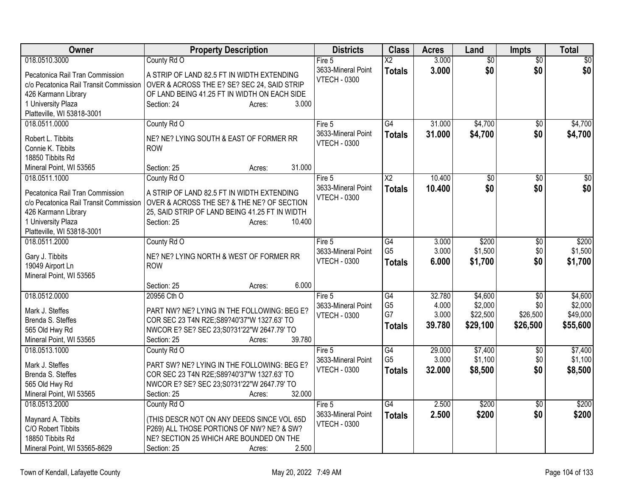| Owner                                  | <b>Property Description</b>                    | <b>Districts</b>    | <b>Class</b>                      | <b>Acres</b>    | Land            | <b>Impts</b>    | Total           |
|----------------------------------------|------------------------------------------------|---------------------|-----------------------------------|-----------------|-----------------|-----------------|-----------------|
| 018.0510.3000                          | County Rd O                                    | Fire 5              | $\overline{\text{X2}}$            | 3.000           | $\overline{50}$ | $\overline{50}$ | $\overline{50}$ |
| Pecatonica Rail Tran Commission        | A STRIP OF LAND 82.5 FT IN WIDTH EXTENDING     | 3633-Mineral Point  | <b>Totals</b>                     | 3.000           | \$0             | \$0             | \$0             |
| c/o Pecatonica Rail Transit Commission | OVER & ACROSS THE E? SE? SEC 24, SAID STRIP    | <b>VTECH - 0300</b> |                                   |                 |                 |                 |                 |
| 426 Karmann Library                    | OF LAND BEING 41.25 FT IN WIDTH ON EACH SIDE   |                     |                                   |                 |                 |                 |                 |
| 1 University Plaza                     | Section: 24<br>3.000<br>Acres:                 |                     |                                   |                 |                 |                 |                 |
| Platteville, WI 53818-3001             |                                                |                     |                                   |                 |                 |                 |                 |
| 018.0511.0000                          | County Rd O                                    | Fire $5$            | $\overline{G4}$                   | 31.000          | \$4,700         | $\overline{50}$ | \$4,700         |
| Robert L. Tibbits                      | NE? NE? LYING SOUTH & EAST OF FORMER RR        | 3633-Mineral Point  | <b>Totals</b>                     | 31.000          | \$4,700         | \$0             | \$4,700         |
| Connie K. Tibbits                      | <b>ROW</b>                                     | <b>VTECH - 0300</b> |                                   |                 |                 |                 |                 |
| 18850 Tibbits Rd                       |                                                |                     |                                   |                 |                 |                 |                 |
| Mineral Point, WI 53565                | 31.000<br>Section: 25<br>Acres:                |                     |                                   |                 |                 |                 |                 |
| 018.0511.1000                          | County Rd O                                    | Fire $5$            | $\overline{\text{X2}}$            | 10.400          | $\overline{50}$ | \$0             | \$0             |
|                                        |                                                | 3633-Mineral Point  | <b>Totals</b>                     | 10.400          | \$0             | \$0             | \$0             |
| Pecatonica Rail Tran Commission        | A STRIP OF LAND 82.5 FT IN WIDTH EXTENDING     | <b>VTECH - 0300</b> |                                   |                 |                 |                 |                 |
| c/o Pecatonica Rail Transit Commission | OVER & ACROSS THE SE? & THE NE? OF SECTION     |                     |                                   |                 |                 |                 |                 |
| 426 Karmann Library                    | 25, SAID STRIP OF LAND BEING 41.25 FT IN WIDTH |                     |                                   |                 |                 |                 |                 |
| 1 University Plaza                     | Section: 25<br>10.400<br>Acres:                |                     |                                   |                 |                 |                 |                 |
| Platteville, WI 53818-3001             |                                                |                     |                                   |                 |                 |                 |                 |
| 018.0511.2000                          | County Rd O                                    | Fire 5              | $\overline{G4}$                   | 3.000           | \$200           | \$0             | \$200           |
| Gary J. Tibbits                        | NE? NE? LYING NORTH & WEST OF FORMER RR        | 3633-Mineral Point  | G <sub>5</sub>                    | 3.000           | \$1,500         | \$0             | \$1,500         |
| 19049 Airport Ln                       | <b>ROW</b>                                     | <b>VTECH - 0300</b> | Totals                            | 6.000           | \$1,700         | \$0             | \$1,700         |
| Mineral Point, WI 53565                |                                                |                     |                                   |                 |                 |                 |                 |
|                                        | 6.000<br>Section: 25<br>Acres:                 |                     |                                   |                 |                 |                 |                 |
| 018.0512.0000                          | 20956 Cth O                                    | Fire 5              | $\overline{G4}$                   | 32.780          | \$4,600         | $\overline{30}$ | \$4,600         |
|                                        |                                                | 3633-Mineral Point  | G <sub>5</sub>                    | 4.000           | \$2,000         | \$0             | \$2,000         |
| Mark J. Steffes                        | PART NW? NE? LYING IN THE FOLLOWING: BEG E?    | <b>VTECH - 0300</b> | G7                                | 3.000           | \$22,500        | \$26,500        | \$49,000        |
| Brenda S. Steffes                      | COR SEC 23 T4N R2E;S89?40'37"W 1327.63' TO     |                     | <b>Totals</b>                     | 39.780          | \$29,100        | \$26,500        | \$55,600        |
| 565 Old Hwy Rd                         | NWCOR E? SE? SEC 23;S0?31'22"W 2647.79' TO     |                     |                                   |                 |                 |                 |                 |
| Mineral Point, WI 53565                | 39.780<br>Section: 25<br>Acres:                |                     |                                   |                 |                 |                 |                 |
| 018.0513.1000                          | County Rd O                                    | Fire $5$            | $\overline{G4}$<br>G <sub>5</sub> | 29.000<br>3.000 | \$7,400         | \$0             | \$7,400         |
| Mark J. Steffes                        | PART SW? NE? LYING IN THE FOLLOWING: BEG E?    | 3633-Mineral Point  |                                   |                 | \$1,100         | \$0             | \$1,100         |
| Brenda S. Steffes                      | COR SEC 23 T4N R2E; S89?40'37"W 1327.63' TO    | <b>VTECH - 0300</b> | <b>Totals</b>                     | 32.000          | \$8,500         | \$0             | \$8,500         |
| 565 Old Hwy Rd                         | NWCOR E? SE? SEC 23;S0?31'22"W 2647.79' TO     |                     |                                   |                 |                 |                 |                 |
| Mineral Point, WI 53565                | 32.000<br>Section: 25<br>Acres:                |                     |                                   |                 |                 |                 |                 |
| 018.0513.2000                          | County Rd O                                    | Fire $5$            | $\overline{G4}$                   | 2.500           | \$200           | $\overline{50}$ | \$200           |
| Maynard A. Tibbits                     | (THIS DESCR NOT ON ANY DEEDS SINCE VOL 65D     | 3633-Mineral Point  | <b>Totals</b>                     | 2.500           | \$200           | \$0             | \$200           |
| C/O Robert Tibbits                     | P269) ALL THOSE PORTIONS OF NW? NE? & SW?      | <b>VTECH - 0300</b> |                                   |                 |                 |                 |                 |
| 18850 Tibbits Rd                       | NE? SECTION 25 WHICH ARE BOUNDED ON THE        |                     |                                   |                 |                 |                 |                 |
| Mineral Point, WI 53565-8629           | 2.500<br>Section: 25<br>Acres:                 |                     |                                   |                 |                 |                 |                 |
|                                        |                                                |                     |                                   |                 |                 |                 |                 |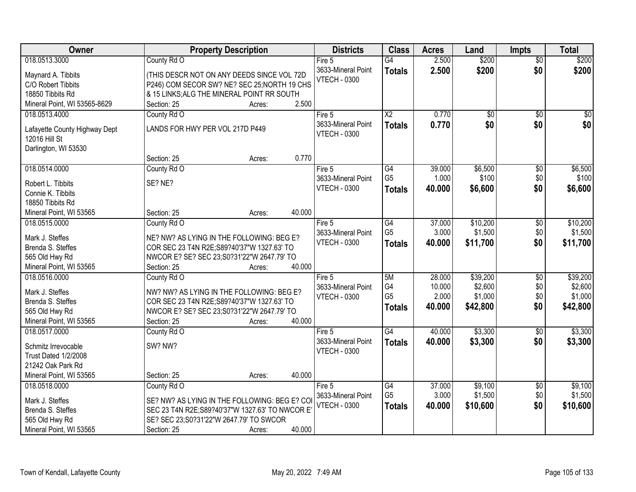| Owner                         | <b>Property Description</b>                     |        |        | <b>Districts</b>    | <b>Class</b>           | <b>Acres</b>     | Land                | <b>Impts</b>           | <b>Total</b>        |
|-------------------------------|-------------------------------------------------|--------|--------|---------------------|------------------------|------------------|---------------------|------------------------|---------------------|
| 018.0513.3000                 | County Rd O                                     |        |        | Fire $5$            | $\overline{G4}$        | 2.500            | \$200               | $\overline{50}$        | \$200               |
| Maynard A. Tibbits            | (THIS DESCR NOT ON ANY DEEDS SINCE VOL 72D      |        |        | 3633-Mineral Point  | <b>Totals</b>          | 2.500            | \$200               | \$0                    | \$200               |
| C/O Robert Tibbits            | P246) COM SECOR SW? NE? SEC 25; NORTH 19 CHS    |        |        | <b>VTECH - 0300</b> |                        |                  |                     |                        |                     |
| 18850 Tibbits Rd              | & 15 LINKS; ALG THE MINERAL POINT RR SOUTH      |        |        |                     |                        |                  |                     |                        |                     |
| Mineral Point, WI 53565-8629  | Section: 25                                     | Acres: | 2.500  |                     |                        |                  |                     |                        |                     |
| 018.0513.4000                 | County Rd O                                     |        |        | Fire 5              | $\overline{\text{X2}}$ | 0.770            | $\overline{50}$     | $\overline{50}$        | \$0                 |
|                               |                                                 |        |        | 3633-Mineral Point  | <b>Totals</b>          | 0.770            | \$0                 | \$0                    | \$0                 |
| Lafayette County Highway Dept | LANDS FOR HWY PER VOL 217D P449                 |        |        | <b>VTECH - 0300</b> |                        |                  |                     |                        |                     |
| 12016 Hill St                 |                                                 |        |        |                     |                        |                  |                     |                        |                     |
| Darlington, WI 53530          |                                                 |        |        |                     |                        |                  |                     |                        |                     |
|                               | Section: 25                                     | Acres: | 0.770  |                     |                        |                  |                     |                        |                     |
| 018.0514.0000                 | County Rd O                                     |        |        | Fire 5              | $\overline{G4}$        | 39.000           | \$6,500             | $\overline{50}$        | \$6,500             |
| Robert L. Tibbits             | SE? NE?                                         |        |        | 3633-Mineral Point  | G <sub>5</sub>         | 1.000            | \$100               | \$0                    | \$100               |
| Connie K. Tibbits             |                                                 |        |        | <b>VTECH - 0300</b> | <b>Totals</b>          | 40.000           | \$6,600             | \$0                    | \$6,600             |
| 18850 Tibbits Rd              |                                                 |        |        |                     |                        |                  |                     |                        |                     |
| Mineral Point, WI 53565       | Section: 25                                     | Acres: | 40.000 |                     |                        |                  |                     |                        |                     |
| 018.0515.0000                 | County Rd O                                     |        |        | Fire 5              | G4                     | 37.000           | \$10,200            | \$0                    | \$10,200            |
|                               |                                                 |        |        | 3633-Mineral Point  | G <sub>5</sub>         | 3.000            | \$1,500             | \$0                    | \$1,500             |
| Mark J. Steffes               | NE? NW? AS LYING IN THE FOLLOWING: BEG E?       |        |        | <b>VTECH - 0300</b> | <b>Totals</b>          | 40.000           | \$11,700            | \$0                    | \$11,700            |
| Brenda S. Steffes             | COR SEC 23 T4N R2E; S89?40'37"W 1327.63' TO     |        |        |                     |                        |                  |                     |                        |                     |
| 565 Old Hwy Rd                | NWCOR E? SE? SEC 23;S0?31'22"W 2647.79' TO      |        | 40.000 |                     |                        |                  |                     |                        |                     |
| Mineral Point, WI 53565       | Section: 25                                     | Acres: |        |                     |                        |                  |                     |                        |                     |
| 018.0516.0000                 | County Rd O                                     |        |        | Fire 5              | 5M<br>G4               | 28.000<br>10.000 | \$39,200<br>\$2,600 | $\overline{50}$<br>\$0 | \$39,200<br>\$2,600 |
| Mark J. Steffes               | NW? NW? AS LYING IN THE FOLLOWING: BEG E?       |        |        | 3633-Mineral Point  | G <sub>5</sub>         | 2.000            | \$1,000             | \$0                    | \$1,000             |
| Brenda S. Steffes             | COR SEC 23 T4N R2E; S89?40'37"W 1327.63' TO     |        |        | <b>VTECH - 0300</b> |                        |                  |                     | \$0                    |                     |
| 565 Old Hwy Rd                | NWCOR E? SE? SEC 23;S0?31'22"W 2647.79' TO      |        |        |                     | <b>Totals</b>          | 40.000           | \$42,800            |                        | \$42,800            |
| Mineral Point, WI 53565       | Section: 25                                     | Acres: | 40.000 |                     |                        |                  |                     |                        |                     |
| 018.0517.0000                 | County Rd O                                     |        |        | Fire 5              | $\overline{G4}$        | 40.000           | \$3,300             | $\overline{60}$        | \$3,300             |
| Schmitz Irrevocable           | SW? NW?                                         |        |        | 3633-Mineral Point  | <b>Totals</b>          | 40.000           | \$3,300             | \$0                    | \$3,300             |
| <b>Trust Dated 1/2/2008</b>   |                                                 |        |        | <b>VTECH - 0300</b> |                        |                  |                     |                        |                     |
| 21242 Oak Park Rd             |                                                 |        |        |                     |                        |                  |                     |                        |                     |
| Mineral Point, WI 53565       | Section: 25                                     | Acres: | 40.000 |                     |                        |                  |                     |                        |                     |
| 018.0518.0000                 | County Rd O                                     |        |        | Fire 5              | G4                     | 37.000           | \$9,100             | $\overline{60}$        | \$9,100             |
|                               |                                                 |        |        | 3633-Mineral Point  | G <sub>5</sub>         | 3.000            | \$1,500             | \$0                    | \$1,500             |
| Mark J. Steffes               | SE? NW? AS LYING IN THE FOLLOWING: BEG E? COI   |        |        | <b>VTECH - 0300</b> | <b>Totals</b>          | 40.000           | \$10,600            | \$0                    | \$10,600            |
| Brenda S. Steffes             | SEC 23 T4N R2E; S89?40'37"W 1327.63' TO NWCOR E |        |        |                     |                        |                  |                     |                        |                     |
| 565 Old Hwy Rd                | SE? SEC 23;S0?31'22"W 2647.79' TO SWCOR         |        |        |                     |                        |                  |                     |                        |                     |
| Mineral Point, WI 53565       | Section: 25                                     | Acres: | 40.000 |                     |                        |                  |                     |                        |                     |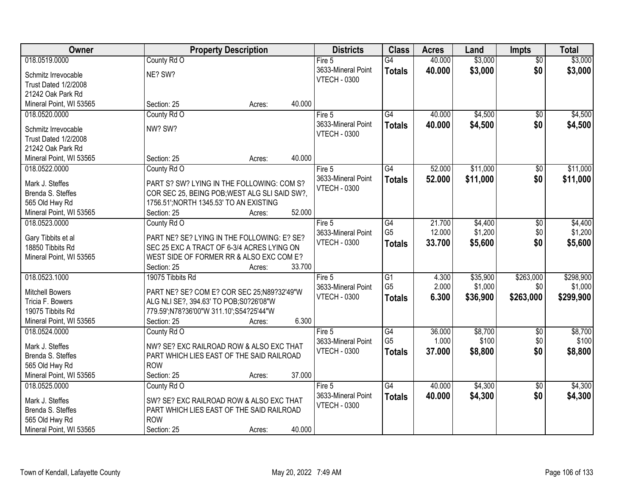| Owner                   | <b>Property Description</b>                   | <b>Districts</b>    | <b>Class</b>    | <b>Acres</b> | Land     | <b>Impts</b>    | <b>Total</b> |
|-------------------------|-----------------------------------------------|---------------------|-----------------|--------------|----------|-----------------|--------------|
| 018.0519.0000           | County Rd O                                   | Fire 5              | G4              | 40.000       | \$3,000  | $\overline{50}$ | \$3,000      |
| Schmitz Irrevocable     | NE? SW?                                       | 3633-Mineral Point  | <b>Totals</b>   | 40.000       | \$3,000  | \$0             | \$3,000      |
| Trust Dated 1/2/2008    |                                               | <b>VTECH - 0300</b> |                 |              |          |                 |              |
| 21242 Oak Park Rd       |                                               |                     |                 |              |          |                 |              |
| Mineral Point, WI 53565 | 40.000<br>Section: 25<br>Acres:               |                     |                 |              |          |                 |              |
| 018.0520.0000           | County Rd O                                   | Fire 5              | $\overline{G4}$ | 40.000       | \$4,500  | \$0             | \$4,500      |
|                         |                                               | 3633-Mineral Point  | <b>Totals</b>   | 40.000       | \$4,500  | \$0             | \$4,500      |
| Schmitz Irrevocable     | NW? SW?                                       | <b>VTECH - 0300</b> |                 |              |          |                 |              |
| Trust Dated 1/2/2008    |                                               |                     |                 |              |          |                 |              |
| 21242 Oak Park Rd       |                                               |                     |                 |              |          |                 |              |
| Mineral Point, WI 53565 | 40.000<br>Section: 25<br>Acres:               |                     |                 |              |          |                 |              |
| 018.0522.0000           | County Rd O                                   | Fire 5              | $\overline{G4}$ | 52.000       | \$11,000 | \$0             | \$11,000     |
| Mark J. Steffes         | PART S? SW? LYING IN THE FOLLOWING: COM S?    | 3633-Mineral Point  | <b>Totals</b>   | 52.000       | \$11,000 | \$0             | \$11,000     |
| Brenda S. Steffes       | COR SEC 25, BEING POB; WEST ALG SLI SAID SW?, | <b>VTECH - 0300</b> |                 |              |          |                 |              |
| 565 Old Hwy Rd          | 1756.51'; NORTH 1345.53' TO AN EXISTING       |                     |                 |              |          |                 |              |
| Mineral Point, WI 53565 | 52.000<br>Section: 25<br>Acres:               |                     |                 |              |          |                 |              |
| 018.0523.0000           | County Rd O                                   | Fire 5              | G4              | 21.700       | \$4,400  | $\sqrt[6]{3}$   | \$4,400      |
|                         |                                               | 3633-Mineral Point  | G <sub>5</sub>  | 12.000       | \$1,200  | \$0             | \$1,200      |
| Gary Tibbits et al      | PART NE? SE? LYING IN THE FOLLOWING: E? SE?   | <b>VTECH - 0300</b> | <b>Totals</b>   | 33.700       | \$5,600  | \$0             | \$5,600      |
| 18850 Tibbits Rd        | SEC 25 EXC A TRACT OF 6-3/4 ACRES LYING ON    |                     |                 |              |          |                 |              |
| Mineral Point, WI 53565 | WEST SIDE OF FORMER RR & ALSO EXC COM E?      |                     |                 |              |          |                 |              |
|                         | 33.700<br>Section: 25<br>Acres:               |                     |                 |              |          |                 |              |
| 018.0523.1000           | 19075 Tibbits Rd                              | Fire $5$            | $\overline{G1}$ | 4.300        | \$35,900 | \$263,000       | \$298,900    |
| <b>Mitchell Bowers</b>  | PART NE? SE? COM E? COR SEC 25;N89?32'49"W    | 3633-Mineral Point  | G <sub>5</sub>  | 2.000        | \$1,000  | \$0             | \$1,000      |
| Tricia F. Bowers        | ALG NLI SE?, 394.63' TO POB; S0?26'08"W       | <b>VTECH - 0300</b> | <b>Totals</b>   | 6.300        | \$36,900 | \$263,000       | \$299,900    |
| 19075 Tibbits Rd        | 779.59";N78?36'00"W 311.10";S54?25'44"W       |                     |                 |              |          |                 |              |
| Mineral Point, WI 53565 | 6.300<br>Section: 25<br>Acres:                |                     |                 |              |          |                 |              |
| 018.0524.0000           | County Rd O                                   | Fire 5              | G4              | 36.000       | \$8,700  | $\sqrt{6}$      | \$8,700      |
|                         |                                               | 3633-Mineral Point  | G <sub>5</sub>  | 1.000        | \$100    | \$0             | \$100        |
| Mark J. Steffes         | NW? SE? EXC RAILROAD ROW & ALSO EXC THAT      | <b>VTECH - 0300</b> |                 | 37.000       |          | \$0             |              |
| Brenda S. Steffes       | PART WHICH LIES EAST OF THE SAID RAILROAD     |                     | <b>Totals</b>   |              | \$8,800  |                 | \$8,800      |
| 565 Old Hwy Rd          | <b>ROW</b>                                    |                     |                 |              |          |                 |              |
| Mineral Point, WI 53565 | 37.000<br>Section: 25<br>Acres:               |                     |                 |              |          |                 |              |
| 018.0525.0000           | County Rd O                                   | Fire $5$            | G4              | 40.000       | \$4,300  | $\overline{50}$ | \$4,300      |
| Mark J. Steffes         | SW? SE? EXC RAILROAD ROW & ALSO EXC THAT      | 3633-Mineral Point  | <b>Totals</b>   | 40.000       | \$4,300  | \$0             | \$4,300      |
| Brenda S. Steffes       | PART WHICH LIES EAST OF THE SAID RAILROAD     | <b>VTECH - 0300</b> |                 |              |          |                 |              |
| 565 Old Hwy Rd          | <b>ROW</b>                                    |                     |                 |              |          |                 |              |
|                         |                                               |                     |                 |              |          |                 |              |
| Mineral Point, WI 53565 | 40.000<br>Section: 25<br>Acres:               |                     |                 |              |          |                 |              |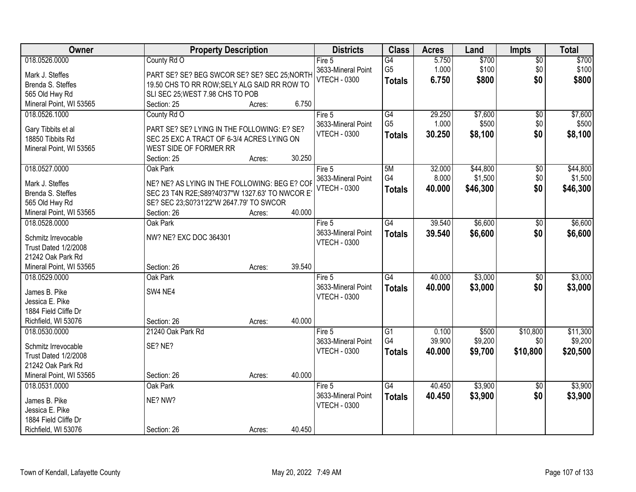| 018.0526.0000<br>County Rd O<br>5.750<br>\$700<br>$\overline{G4}$<br>$\overline{50}$<br>Fire 5                                            |          |
|-------------------------------------------------------------------------------------------------------------------------------------------|----------|
|                                                                                                                                           | \$700    |
| G <sub>5</sub><br>\$100<br>3633-Mineral Point<br>1.000<br>\$0<br>Mark J. Steffes<br>PART SE? SE? BEG SWCOR SE? SE? SEC 25; NORTH          | \$100    |
| <b>VTECH - 0300</b><br>\$800<br>\$0<br>6.750<br><b>Totals</b><br>Brenda S. Steffes<br>19.50 CHS TO RR ROW; SELY ALG SAID RR ROW TO        | \$800    |
| 565 Old Hwy Rd<br>SLI SEC 25; WEST 7.98 CHS TO POB                                                                                        |          |
| 6.750<br>Mineral Point, WI 53565<br>Section: 25<br>Acres:                                                                                 |          |
| G4<br>29.250<br>\$7,600<br>018.0526.1000<br>County Rd O<br>Fire $5$<br>$\overline{50}$                                                    | \$7,600  |
| G <sub>5</sub><br>3633-Mineral Point<br>1.000<br>\$500<br>\$0                                                                             | \$500    |
| PART SE? SE? LYING IN THE FOLLOWING: E? SE?<br>Gary Tibbits et al<br><b>VTECH - 0300</b><br>30.250<br>\$0<br>\$8,100<br><b>Totals</b>     | \$8,100  |
| 18850 Tibbits Rd<br>SEC 25 EXC A TRACT OF 6-3/4 ACRES LYING ON                                                                            |          |
| Mineral Point, WI 53565<br>WEST SIDE OF FORMER RR                                                                                         |          |
| 30.250<br>Section: 25<br>Acres:                                                                                                           |          |
| 018.0527.0000<br>\$44,800<br>Oak Park<br>5M<br>32.000<br>\$0<br>Fire 5                                                                    | \$44,800 |
| G4<br>\$1,500<br>\$0<br>8.000<br>3633-Mineral Point<br>NE? NE? AS LYING IN THE FOLLOWING: BEG E? COF<br>Mark J. Steffes                   | \$1,500  |
| <b>VTECH - 0300</b><br>\$46,300<br>\$0<br>40.000<br><b>Totals</b><br>SEC 23 T4N R2E; S89?40'37"W 1327.63' TO NWCOR E<br>Brenda S. Steffes | \$46,300 |
| 565 Old Hwy Rd<br>SE? SEC 23;S0?31'22"W 2647.79' TO SWCOR                                                                                 |          |
| 40.000<br>Mineral Point, WI 53565<br>Section: 26<br>Acres:                                                                                |          |
| 39.540<br>\$6,600<br>018.0528.0000<br>Oak Park<br>$\overline{G4}$<br>Fire 5<br>\$0                                                        | \$6,600  |
| 3633-Mineral Point<br>\$6,600<br>\$0<br>39.540<br><b>Totals</b>                                                                           | \$6,600  |
| NW? NE? EXC DOC 364301<br>Schmitz Irrevocable<br><b>VTECH - 0300</b>                                                                      |          |
| <b>Trust Dated 1/2/2008</b>                                                                                                               |          |
| 21242 Oak Park Rd                                                                                                                         |          |
| 39.540<br>Mineral Point, WI 53565<br>Section: 26<br>Acres:                                                                                |          |
| \$3,000<br>$\overline{G4}$<br>40.000<br>018.0529.0000<br>Oak Park<br>$\overline{50}$<br>Fire $5$                                          | \$3,000  |
| \$3,000<br>\$0<br>3633-Mineral Point<br>40.000<br><b>Totals</b><br>James B. Pike<br>SW4 NE4                                               | \$3,000  |
| <b>VTECH - 0300</b><br>Jessica E. Pike                                                                                                    |          |
| 1884 Field Cliffe Dr                                                                                                                      |          |
| 40.000<br>Richfield, WI 53076<br>Section: 26<br>Acres:                                                                                    |          |
| $\overline{G1}$<br>\$10,800<br>018.0530.0000<br>21240 Oak Park Rd<br>0.100<br>\$500<br>Fire 5                                             | \$11,300 |
| G4<br>39.900<br>\$9,200<br>3633-Mineral Point<br>\$0                                                                                      | \$9,200  |
| SE? NE?<br>Schmitz Irrevocable<br><b>VTECH - 0300</b><br>40.000<br>\$10,800<br>\$9,700<br><b>Totals</b>                                   | \$20,500 |
| Trust Dated 1/2/2008                                                                                                                      |          |
| 21242 Oak Park Rd                                                                                                                         |          |
| 40.000<br>Mineral Point, WI 53565<br>Section: 26<br>Acres:                                                                                |          |
| \$3,900<br>G4<br>40.450<br>018.0531.0000<br>Oak Park<br>Fire $5$<br>$\overline{30}$                                                       | \$3,900  |
| \$0<br>3633-Mineral Point<br>40.450<br>\$3,900<br><b>Totals</b><br>NE? NW?<br>James B. Pike                                               | \$3,900  |
| <b>VTECH - 0300</b><br>Jessica E. Pike                                                                                                    |          |
| 1884 Field Cliffe Dr                                                                                                                      |          |
| 40.450<br>Richfield, WI 53076<br>Section: 26<br>Acres:                                                                                    |          |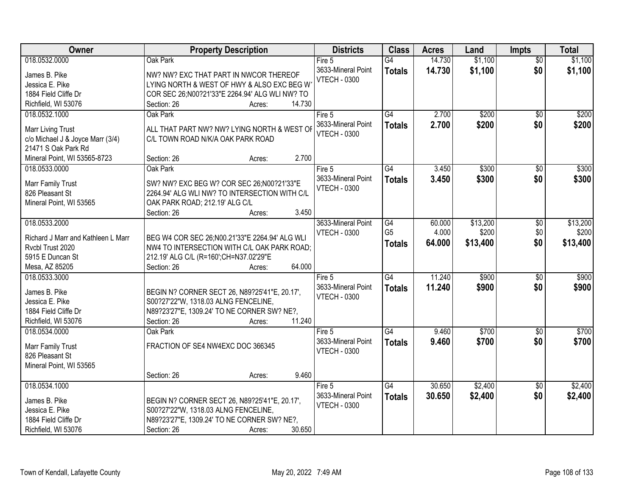| Owner                              | <b>Property Description</b>                                                         | <b>Districts</b>                          | <b>Class</b>    | <b>Acres</b> | Land     | <b>Impts</b>    | <b>Total</b> |
|------------------------------------|-------------------------------------------------------------------------------------|-------------------------------------------|-----------------|--------------|----------|-----------------|--------------|
| 018.0532.0000                      | Oak Park                                                                            | Fire 5                                    | $\overline{G4}$ | 14.730       | \$1,100  | $\overline{50}$ | \$1,100      |
| James B. Pike                      | NW? NW? EXC THAT PART IN NWCOR THEREOF                                              | 3633-Mineral Point                        | <b>Totals</b>   | 14.730       | \$1,100  | \$0             | \$1,100      |
| Jessica E. Pike                    | LYING NORTH & WEST OF HWY & ALSO EXC BEG W                                          | <b>VTECH - 0300</b>                       |                 |              |          |                 |              |
| 1884 Field Cliffe Dr               | COR SEC 26;N00?21'33"E 2264.94' ALG WLI NW? TO                                      |                                           |                 |              |          |                 |              |
| Richfield, WI 53076                | 14.730<br>Section: 26<br>Acres:                                                     |                                           |                 |              |          |                 |              |
| 018.0532.1000                      | Oak Park                                                                            | Fire 5                                    | G4              | 2.700        | \$200    | $\overline{50}$ | \$200        |
|                                    |                                                                                     | 3633-Mineral Point                        | <b>Totals</b>   | 2.700        | \$200    | \$0             | \$200        |
| <b>Marr Living Trust</b>           | ALL THAT PART NW? NW? LYING NORTH & WEST OF                                         | <b>VTECH - 0300</b>                       |                 |              |          |                 |              |
| c/o Michael J & Joyce Marr (3/4)   | C/L TOWN ROAD N/K/A OAK PARK ROAD                                                   |                                           |                 |              |          |                 |              |
| 21471 S Oak Park Rd                | 2.700                                                                               |                                           |                 |              |          |                 |              |
| Mineral Point, WI 53565-8723       | Section: 26<br>Acres:                                                               |                                           |                 |              |          |                 |              |
| 018.0533.0000                      | Oak Park                                                                            | Fire 5                                    | G4              | 3.450        | \$300    | $\overline{50}$ | \$300        |
| Marr Family Trust                  | SW? NW? EXC BEG W? COR SEC 26;N00?21'33"E                                           | 3633-Mineral Point<br><b>VTECH - 0300</b> | <b>Totals</b>   | 3.450        | \$300    | \$0             | \$300        |
| 826 Pleasant St                    | 2264.94' ALG WLI NW? TO INTERSECTION WITH C/L                                       |                                           |                 |              |          |                 |              |
| Mineral Point, WI 53565            | OAK PARK ROAD; 212.19' ALG C/L                                                      |                                           |                 |              |          |                 |              |
|                                    | 3.450<br>Section: 26<br>Acres:                                                      |                                           |                 |              |          |                 |              |
| 018.0533.2000                      |                                                                                     | 3633-Mineral Point                        | G4              | 60.000       | \$13,200 | \$0             | \$13,200     |
| Richard J Marr and Kathleen L Marr | BEG W4 COR SEC 26; N00.21'33"E 2264.94' ALG WLI                                     | <b>VTECH - 0300</b>                       | G <sub>5</sub>  | 4.000        | \$200    | \$0             | \$200        |
| Rvcbl Trust 2020                   | NW4 TO INTERSECTION WITH C/L OAK PARK ROAD;                                         |                                           | <b>Totals</b>   | 64.000       | \$13,400 | \$0             | \$13,400     |
| 5915 E Duncan St                   | 212.19' ALG C/L (R=160';CH=N37.02'29"E                                              |                                           |                 |              |          |                 |              |
| Mesa, AZ 85205                     | 64.000<br>Section: 26<br>Acres:                                                     |                                           |                 |              |          |                 |              |
| 018.0533.3000                      |                                                                                     | Fire 5                                    | $\overline{G4}$ | 11.240       | \$900    | $\overline{30}$ | \$900        |
|                                    |                                                                                     | 3633-Mineral Point                        | <b>Totals</b>   | 11.240       | \$900    | \$0             | \$900        |
| James B. Pike                      | BEGIN N? CORNER SECT 26, N89?25'41"E, 20.17',                                       | <b>VTECH - 0300</b>                       |                 |              |          |                 |              |
| Jessica E. Pike                    | S00?27'22"W, 1318.03 ALNG FENCELINE,                                                |                                           |                 |              |          |                 |              |
| 1884 Field Cliffe Dr               | N89?23'27"E, 1309.24' TO NE CORNER SW? NE?,                                         |                                           |                 |              |          |                 |              |
| Richfield, WI 53076                | 11.240<br>Section: 26<br>Acres:                                                     |                                           |                 |              |          |                 |              |
| 018.0534.0000                      | Oak Park                                                                            | Fire 5                                    | G4              | 9.460        | \$700    | $\sqrt{6}$      | \$700        |
| Marr Family Trust                  | FRACTION OF SE4 NW4EXC DOC 366345                                                   | 3633-Mineral Point                        | <b>Totals</b>   | 9.460        | \$700    | \$0             | \$700        |
| 826 Pleasant St                    |                                                                                     | <b>VTECH - 0300</b>                       |                 |              |          |                 |              |
| Mineral Point, WI 53565            |                                                                                     |                                           |                 |              |          |                 |              |
|                                    | 9.460<br>Section: 26<br>Acres:                                                      |                                           |                 |              |          |                 |              |
| 018.0534.1000                      |                                                                                     | Fire $5$                                  | G4              | 30.650       | \$2,400  | $\overline{30}$ | \$2,400      |
|                                    |                                                                                     | 3633-Mineral Point                        | <b>Totals</b>   | 30.650       | \$2,400  | \$0             | \$2,400      |
| James B. Pike<br>Jessica E. Pike   | BEGIN N? CORNER SECT 26, N89?25'41"E, 20.17',                                       | <b>VTECH - 0300</b>                       |                 |              |          |                 |              |
| 1884 Field Cliffe Dr               | S00?27'22"W, 1318.03 ALNG FENCELINE,<br>N89?23'27"E, 1309.24' TO NE CORNER SW? NE?, |                                           |                 |              |          |                 |              |
|                                    |                                                                                     |                                           |                 |              |          |                 |              |
| Richfield, WI 53076                | 30.650<br>Section: 26<br>Acres:                                                     |                                           |                 |              |          |                 |              |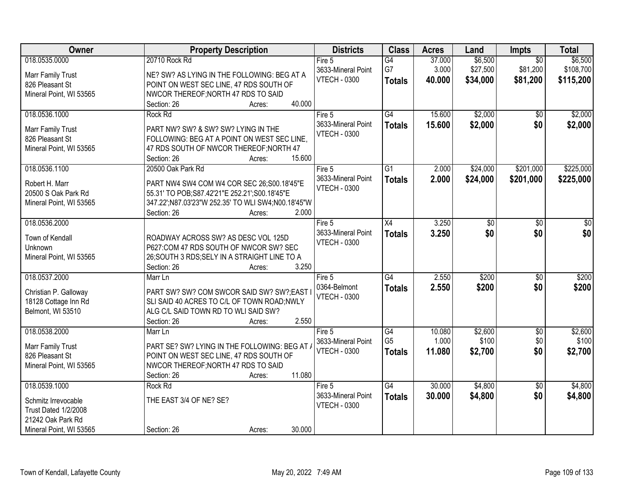| Owner                                                                                                               | <b>Property Description</b>                                                                                                                                                                                    | <b>Districts</b>                                      | <b>Class</b>                          | <b>Acres</b>              | Land                            | Impts                                   | <b>Total</b>                      |
|---------------------------------------------------------------------------------------------------------------------|----------------------------------------------------------------------------------------------------------------------------------------------------------------------------------------------------------------|-------------------------------------------------------|---------------------------------------|---------------------------|---------------------------------|-----------------------------------------|-----------------------------------|
| 018.0535.0000<br>Marr Family Trust<br>826 Pleasant St<br>Mineral Point, WI 53565                                    | 20710 Rock Rd<br>NE? SW? AS LYING IN THE FOLLOWING: BEG AT A<br>POINT ON WEST SEC LINE, 47 RDS SOUTH OF<br>NWCOR THEREOF; NORTH 47 RDS TO SAID                                                                 | Fire 5<br>3633-Mineral Point<br><b>VTECH - 0300</b>   | G4<br>G7<br><b>Totals</b>             | 37.000<br>3.000<br>40.000 | \$6,500<br>\$27,500<br>\$34,000 | $\overline{50}$<br>\$81,200<br>\$81,200 | \$6,500<br>\$108,700<br>\$115,200 |
| 018.0536.1000<br>Marr Family Trust<br>826 Pleasant St<br>Mineral Point, WI 53565                                    | 40.000<br>Section: 26<br>Acres:<br>Rock Rd<br>PART NW? SW? & SW? SW? LYING IN THE<br>FOLLOWING: BEG AT A POINT ON WEST SEC LINE,<br>47 RDS SOUTH OF NWCOR THEREOF; NORTH 47<br>15.600<br>Section: 26<br>Acres: | Fire $5$<br>3633-Mineral Point<br><b>VTECH - 0300</b> | G4<br><b>Totals</b>                   | 15.600<br>15.600          | \$2,000<br>\$2,000              | $\overline{50}$<br>\$0                  | \$2,000<br>\$2,000                |
| 018.0536.1100<br>Robert H. Marr<br>20500 S Oak Park Rd<br>Mineral Point, WI 53565                                   | 20500 Oak Park Rd<br>PART NW4 SW4 COM W4 COR SEC 26;S00.18'45"E<br>55.31' TO POB; S87.42'21" E 252.21'; S00.18'45" E<br>347.22';N87.03'23"W 252.35' TO WLI SW4;N00.18'45"W<br>2.000<br>Section: 26<br>Acres:   | Fire 5<br>3633-Mineral Point<br><b>VTECH - 0300</b>   | G <sub>1</sub><br><b>Totals</b>       | 2.000<br>2.000            | \$24,000<br>\$24,000            | \$201,000<br>\$201,000                  | \$225,000<br>\$225,000            |
| 018.0536.2000<br>Town of Kendall<br>Unknown<br>Mineral Point, WI 53565                                              | ROADWAY ACROSS SW? AS DESC VOL 125D<br>P627:COM 47 RDS SOUTH OF NWCOR SW? SEC<br>26; SOUTH 3 RDS; SELY IN A STRAIGHT LINE TO A<br>3.250<br>Section: 26<br>Acres:                                               | Fire 5<br>3633-Mineral Point<br><b>VTECH - 0300</b>   | X4<br><b>Totals</b>                   | 3.250<br>3.250            | \$0<br>\$0                      | \$0<br>\$0                              | \$0<br>\$0                        |
| 018.0537.2000<br>Christian P. Galloway<br>18128 Cottage Inn Rd<br>Belmont, WI 53510                                 | Marr Ln<br>PART SW? SW? COM SWCOR SAID SW? SW?;EAST<br>SLI SAID 40 ACRES TO C/L OF TOWN ROAD; NWLY<br>ALG C/L SAID TOWN RD TO WLI SAID SW?<br>Section: 26<br>2.550<br>Acres:                                   | Fire 5<br>0364-Belmont<br><b>VTECH - 0300</b>         | $\overline{G4}$<br><b>Totals</b>      | 2.550<br>2.550            | \$200<br>\$200                  | $\overline{50}$<br>\$0                  | \$200<br>\$200                    |
| 018.0538.2000<br>Marr Family Trust<br>826 Pleasant St<br>Mineral Point, WI 53565                                    | Marr Ln<br>PART SE? SW? LYING IN THE FOLLOWING: BEG AT.<br>POINT ON WEST SEC LINE, 47 RDS SOUTH OF<br>NWCOR THEREOF; NORTH 47 RDS TO SAID<br>11.080<br>Section: 26<br>Acres:                                   | Fire 5<br>3633-Mineral Point<br><b>VTECH - 0300</b>   | G4<br>G <sub>5</sub><br><b>Totals</b> | 10.080<br>1.000<br>11.080 | \$2,600<br>\$100<br>\$2,700     | $\overline{50}$<br>\$0<br>\$0           | \$2,600<br>\$100<br>\$2,700       |
| 018.0539.1000<br>Schmitz Irrevocable<br><b>Trust Dated 1/2/2008</b><br>21242 Oak Park Rd<br>Mineral Point, WI 53565 | Rock Rd<br>THE EAST 3/4 OF NE? SE?<br>30.000<br>Section: 26<br>Acres:                                                                                                                                          | Fire 5<br>3633-Mineral Point<br><b>VTECH - 0300</b>   | G4<br><b>Totals</b>                   | 30.000<br>30.000          | \$4,800<br>\$4,800              | $\overline{50}$<br>\$0                  | \$4,800<br>\$4,800                |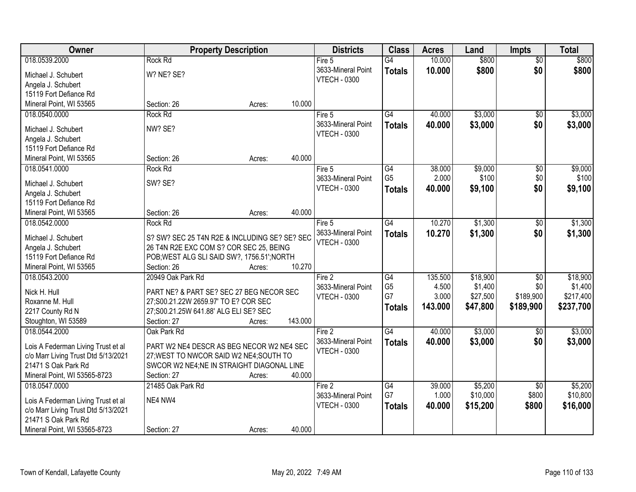| Owner                                     | <b>Property Description</b>                                                              | <b>Districts</b>    | <b>Class</b>    | <b>Acres</b> | Land     | <b>Impts</b>    | <b>Total</b> |
|-------------------------------------------|------------------------------------------------------------------------------------------|---------------------|-----------------|--------------|----------|-----------------|--------------|
| 018.0539.2000                             | Rock Rd                                                                                  | Fire $5$            | G4              | 10.000       | \$800    | $\overline{50}$ | \$800        |
| Michael J. Schubert                       | W? NE? SE?                                                                               | 3633-Mineral Point  | <b>Totals</b>   | 10.000       | \$800    | \$0             | \$800        |
| Angela J. Schubert                        |                                                                                          | <b>VTECH - 0300</b> |                 |              |          |                 |              |
| 15119 Fort Defiance Rd                    |                                                                                          |                     |                 |              |          |                 |              |
| Mineral Point, WI 53565                   | 10.000<br>Section: 26<br>Acres:                                                          |                     |                 |              |          |                 |              |
| 018.0540.0000                             | Rock Rd                                                                                  | Fire $5$            | $\overline{G4}$ | 40.000       | \$3,000  | $\overline{50}$ | \$3,000      |
|                                           |                                                                                          | 3633-Mineral Point  | <b>Totals</b>   | 40.000       | \$3,000  | \$0             | \$3,000      |
| Michael J. Schubert                       | NW? SE?                                                                                  | <b>VTECH - 0300</b> |                 |              |          |                 |              |
| Angela J. Schubert                        |                                                                                          |                     |                 |              |          |                 |              |
| 15119 Fort Defiance Rd                    |                                                                                          |                     |                 |              |          |                 |              |
| Mineral Point, WI 53565                   | 40.000<br>Section: 26<br>Acres:                                                          |                     |                 |              |          |                 |              |
| 018.0541.0000                             | Rock Rd                                                                                  | Fire 5              | G4              | 38.000       | \$9,000  | \$0             | \$9,000      |
| Michael J. Schubert                       | SW? SE?                                                                                  | 3633-Mineral Point  | G <sub>5</sub>  | 2.000        | \$100    | \$0             | \$100        |
| Angela J. Schubert                        |                                                                                          | <b>VTECH - 0300</b> | <b>Totals</b>   | 40.000       | \$9,100  | \$0             | \$9,100      |
| 15119 Fort Defiance Rd                    |                                                                                          |                     |                 |              |          |                 |              |
| Mineral Point, WI 53565                   | 40.000<br>Section: 26<br>Acres:                                                          |                     |                 |              |          |                 |              |
| 018.0542.0000                             | <b>Rock Rd</b>                                                                           | Fire 5              | G4              | 10.270       | \$1,300  | $\sqrt[6]{3}$   | \$1,300      |
|                                           |                                                                                          | 3633-Mineral Point  | <b>Totals</b>   | 10.270       | \$1,300  | \$0             | \$1,300      |
| Michael J. Schubert<br>Angela J. Schubert | S? SW? SEC 25 T4N R2E & INCLUDING SE? SE? SEC<br>26 T4N R2E EXC COM S? COR SEC 25, BEING | <b>VTECH - 0300</b> |                 |              |          |                 |              |
| 15119 Fort Defiance Rd                    | POB; WEST ALG SLISAID SW?, 1756.51; NORTH                                                |                     |                 |              |          |                 |              |
| Mineral Point, WI 53565                   | 10.270<br>Section: 26<br>Acres:                                                          |                     |                 |              |          |                 |              |
| 018.0543.2000                             | 20949 Oak Park Rd                                                                        | Fire 2              | G4              | 135.500      | \$18,900 | $\overline{50}$ | \$18,900     |
|                                           |                                                                                          | 3633-Mineral Point  | G <sub>5</sub>  | 4.500        | \$1,400  | \$0             | \$1,400      |
| Nick H. Hull                              | PART NE? & PART SE? SEC 27 BEG NECOR SEC                                                 | <b>VTECH - 0300</b> | G7              | 3.000        | \$27,500 | \$189,900       | \$217,400    |
| Roxanne M. Hull                           | 27;S00.21.22W 2659.97' TO E? COR SEC                                                     |                     | <b>Totals</b>   | 143.000      | \$47,800 | \$189,900       | \$237,700    |
| 2217 County Rd N                          | 27;S00.21.25W 641.88' ALG ELI SE? SEC                                                    |                     |                 |              |          |                 |              |
| Stoughton, WI 53589                       | 143.000<br>Section: 27<br>Acres:                                                         |                     |                 |              |          |                 |              |
| 018.0544.2000                             | Oak Park Rd                                                                              | Fire 2              | G4              | 40.000       | \$3,000  | $\overline{50}$ | \$3,000      |
| Lois A Federman Living Trust et al        | PART W2 NE4 DESCR AS BEG NECOR W2 NE4 SEC                                                | 3633-Mineral Point  | <b>Totals</b>   | 40.000       | \$3,000  | \$0             | \$3,000      |
| c/o Marr Living Trust Dtd 5/13/2021       | 27; WEST TO NWCOR SAID W2 NE4; SOUTH TO                                                  | <b>VTECH - 0300</b> |                 |              |          |                 |              |
| 21471 S Oak Park Rd                       | SWCOR W2 NE4; NE IN STRAIGHT DIAGONAL LINE                                               |                     |                 |              |          |                 |              |
| Mineral Point, WI 53565-8723              | 40.000<br>Section: 27<br>Acres:                                                          |                     |                 |              |          |                 |              |
| 018.0547.0000                             | 21485 Oak Park Rd                                                                        | Fire 2              | $\overline{G4}$ | 39.000       | \$5,200  | $\overline{50}$ | \$5,200      |
|                                           |                                                                                          | 3633-Mineral Point  | G7              | 1.000        | \$10,000 | \$800           | \$10,800     |
| Lois A Federman Living Trust et al        | NE4 NW4                                                                                  | <b>VTECH - 0300</b> | <b>Totals</b>   | 40.000       | \$15,200 | \$800           | \$16,000     |
| c/o Marr Living Trust Dtd 5/13/2021       |                                                                                          |                     |                 |              |          |                 |              |
| 21471 S Oak Park Rd                       |                                                                                          |                     |                 |              |          |                 |              |
| Mineral Point, WI 53565-8723              | 40.000<br>Section: 27<br>Acres:                                                          |                     |                 |              |          |                 |              |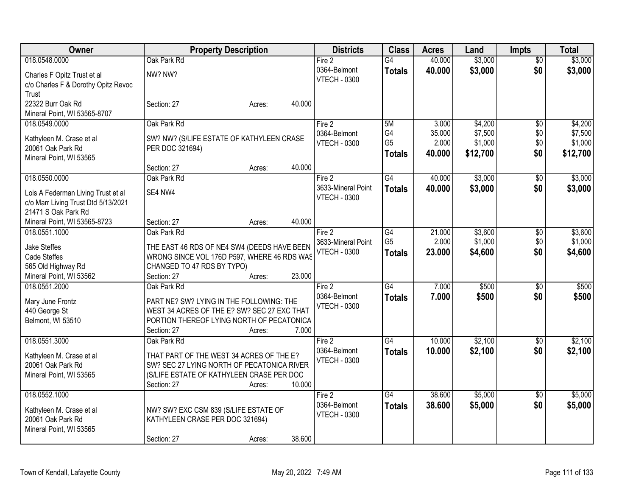| Owner                               | <b>Property Description</b>                                                                |        |        | <b>Districts</b>                    | <b>Class</b>    | <b>Acres</b> | Land     | <b>Impts</b>    | <b>Total</b> |
|-------------------------------------|--------------------------------------------------------------------------------------------|--------|--------|-------------------------------------|-----------------|--------------|----------|-----------------|--------------|
| 018.0548.0000                       | Oak Park Rd                                                                                |        |        | Fire 2                              | G4              | 40.000       | \$3,000  | $\overline{50}$ | \$3,000      |
| Charles F Opitz Trust et al         | NW? NW?                                                                                    |        |        | 0364-Belmont                        | <b>Totals</b>   | 40.000       | \$3,000  | \$0             | \$3,000      |
| c/o Charles F & Dorothy Opitz Revoc |                                                                                            |        |        | <b>VTECH - 0300</b>                 |                 |              |          |                 |              |
| Trust                               |                                                                                            |        |        |                                     |                 |              |          |                 |              |
| 22322 Burr Oak Rd                   | Section: 27                                                                                | Acres: | 40.000 |                                     |                 |              |          |                 |              |
| Mineral Point, WI 53565-8707        |                                                                                            |        |        |                                     |                 |              |          |                 |              |
| 018.0549.0000                       | Oak Park Rd                                                                                |        |        | Fire 2                              | 5M              | 3.000        | \$4,200  | \$0             | \$4,200      |
| Kathyleen M. Crase et al            | SW? NW? (S/LIFE ESTATE OF KATHYLEEN CRASE                                                  |        |        | 0364-Belmont                        | G4              | 35.000       | \$7,500  | \$0             | \$7,500      |
| 20061 Oak Park Rd                   | PER DOC 321694)                                                                            |        |        | <b>VTECH - 0300</b>                 | G <sub>5</sub>  | 2.000        | \$1,000  | \$0             | \$1,000      |
| Mineral Point, WI 53565             |                                                                                            |        |        |                                     | <b>Totals</b>   | 40.000       | \$12,700 | \$0             | \$12,700     |
|                                     | Section: 27                                                                                | Acres: | 40.000 |                                     |                 |              |          |                 |              |
| 018.0550.0000                       | Oak Park Rd                                                                                |        |        | Fire 2                              | G4              | 40.000       | \$3,000  | \$0             | \$3,000      |
| Lois A Federman Living Trust et al  | SE4 NW4                                                                                    |        |        | 3633-Mineral Point                  | <b>Totals</b>   | 40.000       | \$3,000  | \$0             | \$3,000      |
| c/o Marr Living Trust Dtd 5/13/2021 |                                                                                            |        |        | <b>VTECH - 0300</b>                 |                 |              |          |                 |              |
| 21471 S Oak Park Rd                 |                                                                                            |        |        |                                     |                 |              |          |                 |              |
| Mineral Point, WI 53565-8723        | Section: 27                                                                                | Acres: | 40.000 |                                     |                 |              |          |                 |              |
| 018.0551.1000                       | Oak Park Rd                                                                                |        |        | Fire 2                              | G4              | 21.000       | \$3,600  | \$0             | \$3,600      |
|                                     |                                                                                            |        |        | 3633-Mineral Point                  | G <sub>5</sub>  | 2.000        | \$1,000  | \$0             | \$1,000      |
| <b>Jake Steffes</b><br>Cade Steffes | THE EAST 46 RDS OF NE4 SW4 (DEEDS HAVE BEEN<br>WRONG SINCE VOL 176D P597, WHERE 46 RDS WAS |        |        | <b>VTECH - 0300</b>                 | <b>Totals</b>   | 23,000       | \$4,600  | \$0             | \$4,600      |
| 565 Old Highway Rd                  | CHANGED TO 47 RDS BY TYPO)                                                                 |        |        |                                     |                 |              |          |                 |              |
| Mineral Point, WI 53562             | Section: 27                                                                                | Acres: | 23.000 |                                     |                 |              |          |                 |              |
| 018.0551.2000                       | Oak Park Rd                                                                                |        |        | Fire 2                              | $\overline{G4}$ | 7.000        | \$500    | $\sqrt[6]{}$    | \$500        |
|                                     |                                                                                            |        |        | 0364-Belmont                        | <b>Totals</b>   | 7.000        | \$500    | \$0             | \$500        |
| Mary June Frontz                    | PART NE? SW? LYING IN THE FOLLOWING: THE                                                   |        |        | <b>VTECH - 0300</b>                 |                 |              |          |                 |              |
| 440 George St                       | WEST 34 ACRES OF THE E? SW? SEC 27 EXC THAT                                                |        |        |                                     |                 |              |          |                 |              |
| Belmont, WI 53510                   | PORTION THEREOF LYING NORTH OF PECATONICA                                                  |        |        |                                     |                 |              |          |                 |              |
|                                     | Section: 27                                                                                | Acres: | 7.000  |                                     |                 |              |          |                 |              |
| 018.0551.3000                       | Oak Park Rd                                                                                |        |        | Fire 2                              | $\overline{G4}$ | 10.000       | \$2,100  | $\overline{30}$ | \$2,100      |
| Kathyleen M. Crase et al            | THAT PART OF THE WEST 34 ACRES OF THE E?                                                   |        |        | 0364-Belmont<br><b>VTECH - 0300</b> | <b>Totals</b>   | 10.000       | \$2,100  | \$0             | \$2,100      |
| 20061 Oak Park Rd                   | SW? SEC 27 LYING NORTH OF PECATONICA RIVER                                                 |        |        |                                     |                 |              |          |                 |              |
| Mineral Point, WI 53565             | (S/LIFE ESTATE OF KATHYLEEN CRASE PER DOC                                                  |        |        |                                     |                 |              |          |                 |              |
|                                     | Section: 27                                                                                | Acres: | 10.000 |                                     |                 |              |          |                 |              |
| 018.0552.1000                       |                                                                                            |        |        | Fire 2                              | $\overline{G4}$ | 38.600       | \$5,000  | $\overline{50}$ | \$5,000      |
| Kathyleen M. Crase et al            | NW? SW? EXC CSM 839 (S/LIFE ESTATE OF                                                      |        |        | 0364-Belmont                        | <b>Totals</b>   | 38.600       | \$5,000  | \$0             | \$5,000      |
| 20061 Oak Park Rd                   | KATHYLEEN CRASE PER DOC 321694)                                                            |        |        | <b>VTECH - 0300</b>                 |                 |              |          |                 |              |
| Mineral Point, WI 53565             |                                                                                            |        |        |                                     |                 |              |          |                 |              |
|                                     | Section: 27                                                                                | Acres: | 38.600 |                                     |                 |              |          |                 |              |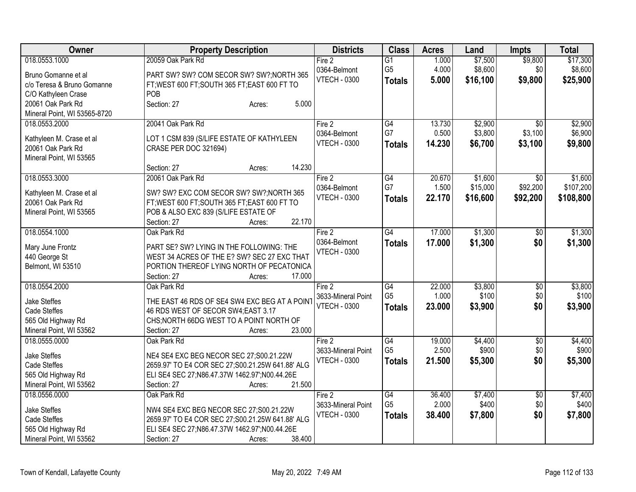| Owner                        | <b>Property Description</b>                      | <b>Districts</b>    | <b>Class</b>    | <b>Acres</b> | Land     | <b>Impts</b>    | <b>Total</b> |
|------------------------------|--------------------------------------------------|---------------------|-----------------|--------------|----------|-----------------|--------------|
| 018.0553.1000                | 20059 Oak Park Rd                                | Fire 2              | $\overline{G1}$ | 1.000        | \$7,500  | \$9,800         | \$17,300     |
| Bruno Gomanne et al          | PART SW? SW? COM SECOR SW? SW?; NORTH 365        | 0364-Belmont        | G <sub>5</sub>  | 4.000        | \$8,600  | \$0             | \$8,600      |
| c/o Teresa & Bruno Gomanne   | FT; WEST 600 FT; SOUTH 365 FT; EAST 600 FT TO    | <b>VTECH - 0300</b> | <b>Totals</b>   | 5.000        | \$16,100 | \$9,800         | \$25,900     |
| C/O Kathyleen Crase          | POB                                              |                     |                 |              |          |                 |              |
| 20061 Oak Park Rd            | 5.000<br>Section: 27<br>Acres:                   |                     |                 |              |          |                 |              |
| Mineral Point, WI 53565-8720 |                                                  |                     |                 |              |          |                 |              |
| 018.0553.2000                | 20041 Oak Park Rd                                | Fire 2              | G4              | 13.730       | \$2,900  | $\overline{50}$ | \$2,900      |
|                              |                                                  | 0364-Belmont        | G7              | 0.500        | \$3,800  | \$3,100         | \$6,900      |
| Kathyleen M. Crase et al     | LOT 1 CSM 839 (S/LIFE ESTATE OF KATHYLEEN        | <b>VTECH - 0300</b> | <b>Totals</b>   | 14.230       | \$6,700  | \$3,100         | \$9,800      |
| 20061 Oak Park Rd            | CRASE PER DOC 321694)                            |                     |                 |              |          |                 |              |
| Mineral Point, WI 53565      |                                                  |                     |                 |              |          |                 |              |
|                              | 14.230<br>Section: 27<br>Acres:                  |                     |                 |              |          |                 |              |
| 018.0553.3000                | 20061 Oak Park Rd                                | Fire 2              | G4              | 20.670       | \$1,600  | $\sqrt{6}$      | \$1,600      |
| Kathyleen M. Crase et al     | SW? SW? EXC COM SECOR SW? SW?; NORTH 365         | 0364-Belmont        | G7              | 1.500        | \$15,000 | \$92,200        | \$107,200    |
| 20061 Oak Park Rd            | FT; WEST 600 FT; SOUTH 365 FT; EAST 600 FT TO    | <b>VTECH - 0300</b> | <b>Totals</b>   | 22.170       | \$16,600 | \$92,200        | \$108,800    |
| Mineral Point, WI 53565      | POB & ALSO EXC 839 (S/LIFE ESTATE OF             |                     |                 |              |          |                 |              |
|                              | 22.170<br>Section: 27<br>Acres:                  |                     |                 |              |          |                 |              |
| 018.0554.1000                | Oak Park Rd                                      | Fire 2              | G4              | 17.000       | \$1,300  | \$0             | \$1,300      |
|                              |                                                  | 0364-Belmont        | <b>Totals</b>   | 17.000       | \$1,300  | \$0             | \$1,300      |
| Mary June Frontz             | PART SE? SW? LYING IN THE FOLLOWING: THE         | <b>VTECH - 0300</b> |                 |              |          |                 |              |
| 440 George St                | WEST 34 ACRES OF THE E? SW? SEC 27 EXC THAT      |                     |                 |              |          |                 |              |
| Belmont, WI 53510            | PORTION THEREOF LYING NORTH OF PECATONICA        |                     |                 |              |          |                 |              |
|                              | 17.000<br>Section: 27<br>Acres:                  |                     |                 |              |          |                 |              |
| 018.0554.2000                | Oak Park Rd                                      | Fire 2              | $\overline{G4}$ | 22.000       | \$3,800  | \$0             | \$3,800      |
| <b>Jake Steffes</b>          | THE EAST 46 RDS OF SE4 SW4 EXC BEG AT A POINT    | 3633-Mineral Point  | G <sub>5</sub>  | 1.000        | \$100    | \$0             | \$100        |
| Cade Steffes                 | 46 RDS WEST OF SECOR SW4;EAST 3.17               | <b>VTECH - 0300</b> | <b>Totals</b>   | 23.000       | \$3,900  | \$0             | \$3,900      |
| 565 Old Highway Rd           | CHS; NORTH 66DG WEST TO A POINT NORTH OF         |                     |                 |              |          |                 |              |
| Mineral Point, WI 53562      | 23.000<br>Section: 27<br>Acres:                  |                     |                 |              |          |                 |              |
| 018.0555.0000                | Oak Park Rd                                      | Fire 2              | G4              | 19.000       | \$4,400  | $\overline{50}$ | \$4,400      |
|                              |                                                  | 3633-Mineral Point  | G <sub>5</sub>  | 2.500        | \$900    | \$0             | \$900        |
| Jake Steffes                 | NE4 SE4 EXC BEG NECOR SEC 27;S00.21.22W          | <b>VTECH - 0300</b> | <b>Totals</b>   | 21.500       | \$5,300  | \$0             | \$5,300      |
| <b>Cade Steffes</b>          | 2659.97' TO E4 COR SEC 27;S00.21.25W 641.88' ALG |                     |                 |              |          |                 |              |
| 565 Old Highway Rd           | ELI SE4 SEC 27;N86.47.37W 1462.97';N00.44.26E    |                     |                 |              |          |                 |              |
| Mineral Point, WI 53562      | 21.500<br>Section: 27<br>Acres:                  |                     |                 |              |          |                 |              |
| 018.0556.0000                | Oak Park Rd                                      | Fire 2              | G4              | 36.400       | \$7,400  | $\overline{50}$ | \$7,400      |
| <b>Jake Steffes</b>          | NW4 SE4 EXC BEG NECOR SEC 27;S00.21.22W          | 3633-Mineral Point  | G <sub>5</sub>  | 2.000        | \$400    | \$0             | \$400        |
| Cade Steffes                 | 2659.97' TO E4 COR SEC 27;S00.21.25W 641.88' ALG | <b>VTECH - 0300</b> | <b>Totals</b>   | 38.400       | \$7,800  | \$0             | \$7,800      |
| 565 Old Highway Rd           | ELI SE4 SEC 27; N86.47.37W 1462.97"; N00.44.26E  |                     |                 |              |          |                 |              |
| Mineral Point, WI 53562      | 38.400<br>Section: 27<br>Acres:                  |                     |                 |              |          |                 |              |
|                              |                                                  |                     |                 |              |          |                 |              |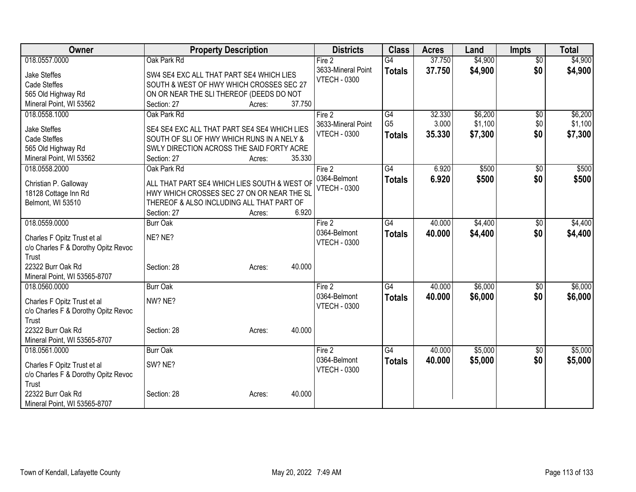| Owner                                         |                                                                                            | <b>Property Description</b> |        | <b>Districts</b>    | <b>Class</b>    | <b>Acres</b> | Land    | <b>Impts</b>    | <b>Total</b> |
|-----------------------------------------------|--------------------------------------------------------------------------------------------|-----------------------------|--------|---------------------|-----------------|--------------|---------|-----------------|--------------|
| 018.0557.0000                                 | Oak Park Rd                                                                                |                             |        | Fire 2              | $\overline{G4}$ | 37.750       | \$4,900 | $\overline{50}$ | \$4,900      |
| <b>Jake Steffes</b>                           | SW4 SE4 EXC ALL THAT PART SE4 WHICH LIES                                                   |                             |        | 3633-Mineral Point  | <b>Totals</b>   | 37.750       | \$4,900 | \$0             | \$4,900      |
| <b>Cade Steffes</b>                           | SOUTH & WEST OF HWY WHICH CROSSES SEC 27                                                   |                             |        | <b>VTECH - 0300</b> |                 |              |         |                 |              |
| 565 Old Highway Rd                            | ON OR NEAR THE SLI THEREOF (DEEDS DO NOT                                                   |                             |        |                     |                 |              |         |                 |              |
| Mineral Point, WI 53562                       | Section: 27                                                                                | Acres:                      | 37.750 |                     |                 |              |         |                 |              |
| 018.0558.1000                                 | Oak Park Rd                                                                                |                             |        | Fire 2              | G4              | 32.330       | \$6,200 | $\overline{50}$ | \$6,200      |
| <b>Jake Steffes</b>                           | SE4 SE4 EXC ALL THAT PART SE4 SE4 WHICH LIES                                               |                             |        | 3633-Mineral Point  | G <sub>5</sub>  | 3.000        | \$1,100 | \$0             | \$1,100      |
| <b>Cade Steffes</b>                           | SOUTH OF SLI OF HWY WHICH RUNS IN A NELY &                                                 |                             |        | <b>VTECH - 0300</b> | <b>Totals</b>   | 35.330       | \$7,300 | \$0             | \$7,300      |
| 565 Old Highway Rd                            | SWLY DIRECTION ACROSS THE SAID FORTY ACRE                                                  |                             |        |                     |                 |              |         |                 |              |
| Mineral Point, WI 53562                       | Section: 27                                                                                | Acres:                      | 35.330 |                     |                 |              |         |                 |              |
| 018.0558.2000                                 | Oak Park Rd                                                                                |                             |        | Fire 2              | G4              | 6.920        | \$500   | $\sqrt{6}$      | \$500        |
|                                               |                                                                                            |                             |        | 0364-Belmont        | <b>Totals</b>   | 6.920        | \$500   | \$0             | \$500        |
| Christian P. Galloway<br>18128 Cottage Inn Rd | ALL THAT PART SE4 WHICH LIES SOUTH & WEST OF<br>HWY WHICH CROSSES SEC 27 ON OR NEAR THE SL |                             |        | <b>VTECH - 0300</b> |                 |              |         |                 |              |
| Belmont, WI 53510                             | THEREOF & ALSO INCLUDING ALL THAT PART OF                                                  |                             |        |                     |                 |              |         |                 |              |
|                                               | Section: 27                                                                                | Acres:                      | 6.920  |                     |                 |              |         |                 |              |
| 018.0559.0000                                 | <b>Burr Oak</b>                                                                            |                             |        | Fire 2              | $\overline{G4}$ | 40.000       | \$4,400 | \$0             | \$4,400      |
|                                               |                                                                                            |                             |        | 0364-Belmont        | <b>Totals</b>   | 40.000       | \$4,400 | \$0             | \$4,400      |
| Charles F Opitz Trust et al                   | NE? NE?                                                                                    |                             |        | <b>VTECH - 0300</b> |                 |              |         |                 |              |
| c/o Charles F & Dorothy Opitz Revoc<br>Trust  |                                                                                            |                             |        |                     |                 |              |         |                 |              |
| 22322 Burr Oak Rd                             | Section: 28                                                                                | Acres:                      | 40.000 |                     |                 |              |         |                 |              |
| Mineral Point, WI 53565-8707                  |                                                                                            |                             |        |                     |                 |              |         |                 |              |
| 018.0560.0000                                 | <b>Burr Oak</b>                                                                            |                             |        | Fire 2              | $\overline{G4}$ | 40.000       | \$6,000 | \$0             | \$6,000      |
|                                               |                                                                                            |                             |        | 0364-Belmont        | <b>Totals</b>   | 40.000       | \$6,000 | \$0             | \$6,000      |
| Charles F Opitz Trust et al                   | NW? NE?                                                                                    |                             |        | <b>VTECH - 0300</b> |                 |              |         |                 |              |
| c/o Charles F & Dorothy Opitz Revoc<br>Trust  |                                                                                            |                             |        |                     |                 |              |         |                 |              |
| 22322 Burr Oak Rd                             | Section: 28                                                                                | Acres:                      | 40.000 |                     |                 |              |         |                 |              |
| Mineral Point, WI 53565-8707                  |                                                                                            |                             |        |                     |                 |              |         |                 |              |
| 018.0561.0000                                 | <b>Burr Oak</b>                                                                            |                             |        | Fire 2              | $\overline{G4}$ | 40.000       | \$5,000 | $\overline{60}$ | \$5,000      |
|                                               |                                                                                            |                             |        | 0364-Belmont        | <b>Totals</b>   | 40.000       | \$5,000 | \$0             | \$5,000      |
| Charles F Opitz Trust et al                   | SW? NE?                                                                                    |                             |        | <b>VTECH - 0300</b> |                 |              |         |                 |              |
| c/o Charles F & Dorothy Opitz Revoc<br>Trust  |                                                                                            |                             |        |                     |                 |              |         |                 |              |
| 22322 Burr Oak Rd                             | Section: 28                                                                                | Acres:                      | 40.000 |                     |                 |              |         |                 |              |
| Mineral Point, WI 53565-8707                  |                                                                                            |                             |        |                     |                 |              |         |                 |              |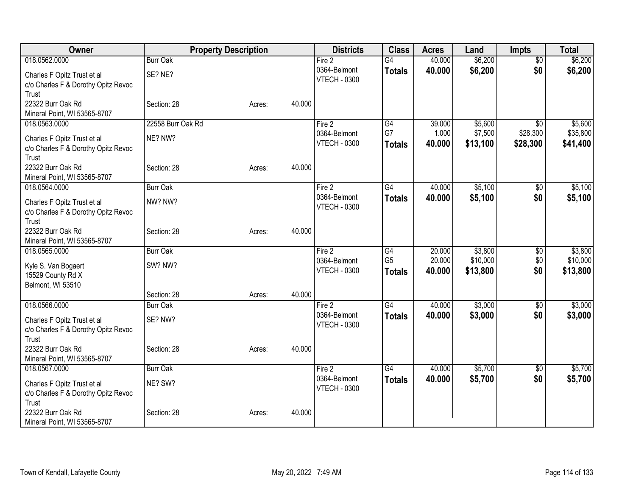| Owner                                             |                   | <b>Property Description</b> |        | <b>Districts</b>                    | <b>Class</b>          | <b>Acres</b>    | Land               | <b>Impts</b>                | <b>Total</b>        |
|---------------------------------------------------|-------------------|-----------------------------|--------|-------------------------------------|-----------------------|-----------------|--------------------|-----------------------------|---------------------|
| 018.0562.0000                                     | <b>Burr Oak</b>   |                             |        | Fire 2                              | $\overline{G4}$       | 40.000          | \$6,200            | $\sqrt{6}$                  | \$6,200             |
| Charles F Opitz Trust et al                       | SE? NE?           |                             |        | 0364-Belmont                        | <b>Totals</b>         | 40.000          | \$6,200            | \$0                         | \$6,200             |
| c/o Charles F & Dorothy Opitz Revoc               |                   |                             |        | <b>VTECH - 0300</b>                 |                       |                 |                    |                             |                     |
| Trust                                             |                   |                             |        |                                     |                       |                 |                    |                             |                     |
| 22322 Burr Oak Rd                                 | Section: 28       | Acres:                      | 40.000 |                                     |                       |                 |                    |                             |                     |
| Mineral Point, WI 53565-8707                      |                   |                             |        |                                     |                       |                 |                    |                             |                     |
| 018.0563.0000                                     | 22558 Burr Oak Rd |                             |        | Fire 2<br>0364-Belmont              | $\overline{G4}$<br>G7 | 39.000<br>1.000 | \$5,600<br>\$7,500 | $\overline{50}$<br>\$28,300 | \$5,600<br>\$35,800 |
| Charles F Opitz Trust et al                       | NE? NW?           |                             |        | <b>VTECH - 0300</b>                 | <b>Totals</b>         | 40.000          | \$13,100           | \$28,300                    | \$41,400            |
| c/o Charles F & Dorothy Opitz Revoc               |                   |                             |        |                                     |                       |                 |                    |                             |                     |
| Trust                                             |                   |                             |        |                                     |                       |                 |                    |                             |                     |
| 22322 Burr Oak Rd<br>Mineral Point, WI 53565-8707 | Section: 28       | Acres:                      | 40.000 |                                     |                       |                 |                    |                             |                     |
| 018.0564.0000                                     | <b>Burr Oak</b>   |                             |        | Fire 2                              | G4                    | 40.000          | \$5,100            | \$0                         | \$5,100             |
|                                                   |                   |                             |        | 0364-Belmont                        | <b>Totals</b>         | 40.000          | \$5,100            | \$0                         | \$5,100             |
| Charles F Opitz Trust et al                       | NW? NW?           |                             |        | <b>VTECH - 0300</b>                 |                       |                 |                    |                             |                     |
| c/o Charles F & Dorothy Opitz Revoc<br>Trust      |                   |                             |        |                                     |                       |                 |                    |                             |                     |
| 22322 Burr Oak Rd                                 | Section: 28       | Acres:                      | 40.000 |                                     |                       |                 |                    |                             |                     |
| Mineral Point, WI 53565-8707                      |                   |                             |        |                                     |                       |                 |                    |                             |                     |
| 018.0565.0000                                     | <b>Burr Oak</b>   |                             |        | Fire 2                              | G4                    | 20.000          | \$3,800            | $\sqrt[6]{30}$              | \$3,800             |
| Kyle S. Van Bogaert                               | SW? NW?           |                             |        | 0364-Belmont                        | G <sub>5</sub>        | 20.000          | \$10,000           | \$0                         | \$10,000            |
| 15529 County Rd X                                 |                   |                             |        | <b>VTECH - 0300</b>                 | <b>Totals</b>         | 40.000          | \$13,800           | \$0                         | \$13,800            |
| Belmont, WI 53510                                 |                   |                             |        |                                     |                       |                 |                    |                             |                     |
|                                                   | Section: 28       | Acres:                      | 40.000 |                                     |                       |                 |                    |                             |                     |
| 018.0566.0000                                     | <b>Burr Oak</b>   |                             |        | Fire 2                              | G4                    | 40.000          | \$3,000            | \$0                         | \$3,000             |
| Charles F Opitz Trust et al                       | SE? NW?           |                             |        | 0364-Belmont                        | <b>Totals</b>         | 40,000          | \$3,000            | \$0                         | \$3,000             |
| c/o Charles F & Dorothy Opitz Revoc               |                   |                             |        | <b>VTECH - 0300</b>                 |                       |                 |                    |                             |                     |
| Trust                                             |                   |                             |        |                                     |                       |                 |                    |                             |                     |
| 22322 Burr Oak Rd                                 | Section: 28       | Acres:                      | 40.000 |                                     |                       |                 |                    |                             |                     |
| Mineral Point, WI 53565-8707                      |                   |                             |        |                                     |                       |                 |                    |                             |                     |
| 018.0567.0000                                     | <b>Burr Oak</b>   |                             |        | Fire $2$                            | G4                    | 40.000          | \$5,700            | $\sqrt[6]{3}$               | \$5,700             |
| Charles F Opitz Trust et al                       | NE? SW?           |                             |        | 0364-Belmont<br><b>VTECH - 0300</b> | <b>Totals</b>         | 40.000          | \$5,700            | \$0                         | \$5,700             |
| c/o Charles F & Dorothy Opitz Revoc               |                   |                             |        |                                     |                       |                 |                    |                             |                     |
| Trust                                             |                   |                             |        |                                     |                       |                 |                    |                             |                     |
| 22322 Burr Oak Rd                                 | Section: 28       | Acres:                      | 40.000 |                                     |                       |                 |                    |                             |                     |
| Mineral Point, WI 53565-8707                      |                   |                             |        |                                     |                       |                 |                    |                             |                     |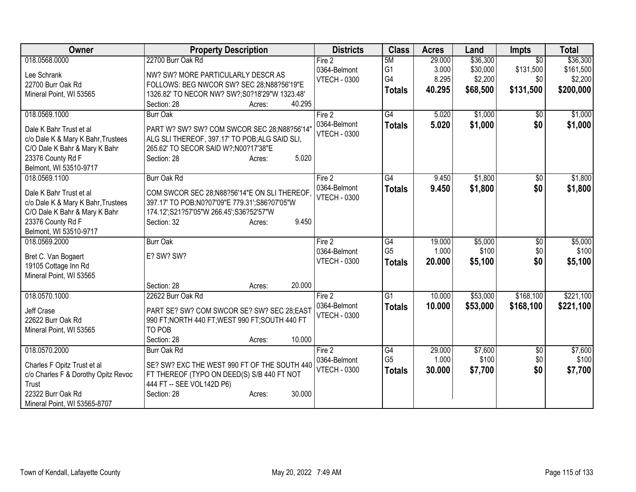| Owner                                                               | <b>Property Description</b>                                                                   | <b>Districts</b>    | <b>Class</b>    | <b>Acres</b> | Land     | <b>Impts</b>    | <b>Total</b> |
|---------------------------------------------------------------------|-----------------------------------------------------------------------------------------------|---------------------|-----------------|--------------|----------|-----------------|--------------|
| 018.0568.0000                                                       | 22700 Burr Oak Rd                                                                             | Fire 2              | 5M              | 29.000       | \$36,300 | $\overline{30}$ | \$36,300     |
| Lee Schrank                                                         | NW? SW? MORE PARTICULARLY DESCR AS                                                            | 0364-Belmont        | G <sub>1</sub>  | 3.000        | \$30,000 | \$131,500       | \$161,500    |
| 22700 Burr Oak Rd                                                   | FOLLOWS: BEG NWCOR SW? SEC 28;N88?56'19"E                                                     | <b>VTECH - 0300</b> | G4              | 8.295        | \$2,200  | \$0             | \$2,200      |
| Mineral Point, WI 53565                                             | 1326.82' TO NECOR NW? SW?;S0?18'29"W 1323.48'                                                 |                     | <b>Totals</b>   | 40.295       | \$68,500 | \$131,500       | \$200,000    |
|                                                                     | 40.295<br>Section: 28<br>Acres:                                                               |                     |                 |              |          |                 |              |
| 018.0569.1000                                                       | <b>Burr Oak</b>                                                                               | Fire 2              | G4              | 5.020        | \$1,000  | $\overline{50}$ | \$1,000      |
|                                                                     |                                                                                               | 0364-Belmont        | <b>Totals</b>   | 5.020        | \$1,000  | \$0             | \$1,000      |
| Dale K Bahr Trust et al                                             | PART W? SW? SW? COM SWCOR SEC 28;N88?56'14"<br>ALG SLI THEREOF, 397.17' TO POB; ALG SAID SLI, | <b>VTECH - 0300</b> |                 |              |          |                 |              |
| c/o Dale K & Mary K Bahr, Trustees<br>C/O Dale K Bahr & Mary K Bahr | 265.62' TO SECOR SAID W?; N00?17'38"E                                                         |                     |                 |              |          |                 |              |
| 23376 County Rd F                                                   | 5.020<br>Section: 28<br>Acres:                                                                |                     |                 |              |          |                 |              |
| Belmont, WI 53510-9717                                              |                                                                                               |                     |                 |              |          |                 |              |
| 018.0569.1100                                                       | <b>Burr Oak Rd</b>                                                                            | Fire 2              | G4              | 9.450        | \$1,800  | $\overline{50}$ | \$1,800      |
|                                                                     |                                                                                               | 0364-Belmont        |                 | 9.450        | \$1,800  | \$0             | \$1,800      |
| Dale K Bahr Trust et al                                             | COM SWCOR SEC 28;N88?56'14"E ON SLI THEREOF                                                   | <b>VTECH - 0300</b> | <b>Totals</b>   |              |          |                 |              |
| c/o Dale K & Mary K Bahr, Trustees                                  | 397.17' TO POB;N0?07'09"E 779.31';S86?07'05"W                                                 |                     |                 |              |          |                 |              |
| C/O Dale K Bahr & Mary K Bahr                                       | 174.12";S21?57'05"W 266.45";S36?52'57"W                                                       |                     |                 |              |          |                 |              |
| 23376 County Rd F                                                   | 9.450<br>Section: 32<br>Acres:                                                                |                     |                 |              |          |                 |              |
| Belmont, WI 53510-9717                                              |                                                                                               |                     |                 |              |          |                 |              |
| 018.0569.2000                                                       | <b>Burr Oak</b>                                                                               | Fire $2$            | G4              | 19.000       | \$5,000  | $\overline{50}$ | \$5,000      |
| Bret C. Van Bogaert                                                 | E? SW? SW?                                                                                    | 0364-Belmont        | G <sub>5</sub>  | 1.000        | \$100    | \$0             | \$100        |
| 19105 Cottage Inn Rd                                                |                                                                                               | <b>VTECH - 0300</b> | <b>Totals</b>   | 20.000       | \$5,100  | \$0             | \$5,100      |
| Mineral Point, WI 53565                                             |                                                                                               |                     |                 |              |          |                 |              |
|                                                                     | Section: 28<br>20.000<br>Acres:                                                               |                     |                 |              |          |                 |              |
| 018.0570.1000                                                       | 22622 Burr Oak Rd                                                                             | Fire 2              | $\overline{G1}$ | 10.000       | \$53,000 | \$168,100       | \$221,100    |
| Jeff Crase                                                          | PART SE? SW? COM SWCOR SE? SW? SEC 28;EAST                                                    | 0364-Belmont        | <b>Totals</b>   | 10.000       | \$53,000 | \$168,100       | \$221,100    |
| 22622 Burr Oak Rd                                                   | 990 FT; NORTH 440 FT; WEST 990 FT; SOUTH 440 FT                                               | <b>VTECH - 0300</b> |                 |              |          |                 |              |
| Mineral Point, WI 53565                                             | TO POB                                                                                        |                     |                 |              |          |                 |              |
|                                                                     | 10.000<br>Section: 28<br>Acres:                                                               |                     |                 |              |          |                 |              |
| 018.0570.2000                                                       | Burr Oak Rd                                                                                   | Fire 2              | G4              | 29.000       | \$7,600  | $\overline{50}$ | \$7,600      |
|                                                                     |                                                                                               | 0364-Belmont        | G <sub>5</sub>  | 1.000        | \$100    | \$0             | \$100        |
| Charles F Opitz Trust et al                                         | SE? SW? EXC THE WEST 990 FT OF THE SOUTH 440                                                  | <b>VTECH - 0300</b> | <b>Totals</b>   | 30.000       | \$7,700  | \$0             | \$7,700      |
| c/o Charles F & Dorothy Opitz Revoc                                 | FT THEREOF (TYPO ON DEED(S) S/B 440 FT NOT                                                    |                     |                 |              |          |                 |              |
| Trust                                                               | 444 FT -- SEE VOL142D P6)                                                                     |                     |                 |              |          |                 |              |
| 22322 Burr Oak Rd                                                   | 30.000<br>Section: 28<br>Acres:                                                               |                     |                 |              |          |                 |              |
| Mineral Point, WI 53565-8707                                        |                                                                                               |                     |                 |              |          |                 |              |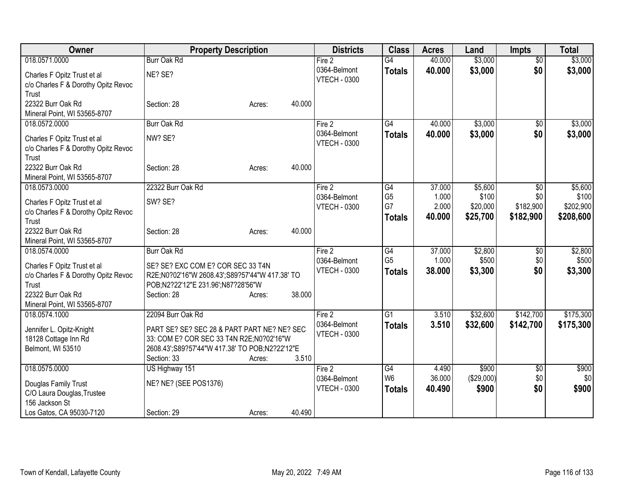| Owner                               | <b>Property Description</b>                    |                  | <b>Districts</b>    | <b>Class</b>    | <b>Acres</b> | Land       | <b>Impts</b>    | <b>Total</b> |
|-------------------------------------|------------------------------------------------|------------------|---------------------|-----------------|--------------|------------|-----------------|--------------|
| 018.0571.0000                       | <b>Burr Oak Rd</b>                             |                  | Fire 2              | $\overline{G4}$ | 40.000       | \$3,000    | $\overline{50}$ | \$3,000      |
| Charles F Opitz Trust et al         | NE? SE?                                        |                  | 0364-Belmont        | <b>Totals</b>   | 40.000       | \$3,000    | \$0             | \$3,000      |
| c/o Charles F & Dorothy Opitz Revoc |                                                |                  | <b>VTECH - 0300</b> |                 |              |            |                 |              |
| Trust                               |                                                |                  |                     |                 |              |            |                 |              |
| 22322 Burr Oak Rd                   | Section: 28                                    | 40.000<br>Acres: |                     |                 |              |            |                 |              |
| Mineral Point, WI 53565-8707        |                                                |                  |                     |                 |              |            |                 |              |
| 018.0572.0000                       | Burr Oak Rd                                    |                  | Fire 2              | G4              | 40.000       | \$3,000    | $\overline{50}$ | \$3,000      |
| Charles F Opitz Trust et al         | NW? SE?                                        |                  | 0364-Belmont        | <b>Totals</b>   | 40.000       | \$3,000    | \$0             | \$3,000      |
| c/o Charles F & Dorothy Opitz Revoc |                                                |                  | <b>VTECH - 0300</b> |                 |              |            |                 |              |
| Trust                               |                                                |                  |                     |                 |              |            |                 |              |
| 22322 Burr Oak Rd                   | Section: 28                                    | 40.000<br>Acres: |                     |                 |              |            |                 |              |
| Mineral Point, WI 53565-8707        |                                                |                  |                     |                 |              |            |                 |              |
| 018.0573.0000                       | 22322 Burr Oak Rd                              |                  | Fire 2              | G4              | 37.000       | \$5,600    | $\overline{50}$ | \$5,600      |
| Charles F Opitz Trust et al         | SW? SE?                                        |                  | 0364-Belmont        | G <sub>5</sub>  | 1.000        | \$100      | \$0             | \$100        |
| c/o Charles F & Dorothy Opitz Revoc |                                                |                  | <b>VTECH - 0300</b> | G7              | 2.000        | \$20,000   | \$182,900       | \$202,900    |
| Trust                               |                                                |                  |                     | <b>Totals</b>   | 40.000       | \$25,700   | \$182,900       | \$208,600    |
| 22322 Burr Oak Rd                   | Section: 28                                    | 40.000<br>Acres: |                     |                 |              |            |                 |              |
| Mineral Point, WI 53565-8707        |                                                |                  |                     |                 |              |            |                 |              |
| 018.0574.0000                       | <b>Burr Oak Rd</b>                             |                  | Fire 2              | $\overline{G4}$ | 37.000       | \$2,800    | $\overline{50}$ | \$2,800      |
| Charles F Opitz Trust et al         | SE? SE? EXC COM E? COR SEC 33 T4N              |                  | 0364-Belmont        | G <sub>5</sub>  | 1.000        | \$500      | \$0             | \$500        |
| c/o Charles F & Dorothy Opitz Revoc | R2E;N0?02'16"W 2608.43';S89?57'44"W 417.38' TO |                  | <b>VTECH - 0300</b> | <b>Totals</b>   | 38.000       | \$3,300    | \$0             | \$3,300      |
| Trust                               | POB;N2?22'12"E 231.96';N87?28'56"W             |                  |                     |                 |              |            |                 |              |
| 22322 Burr Oak Rd                   | Section: 28                                    | 38.000<br>Acres: |                     |                 |              |            |                 |              |
| Mineral Point, WI 53565-8707        |                                                |                  |                     |                 |              |            |                 |              |
| 018.0574.1000                       | 22094 Burr Oak Rd                              |                  | Fire 2              | $\overline{G1}$ | 3.510        | \$32,600   | \$142,700       | \$175,300    |
| Jennifer L. Opitz-Knight            | PART SE? SE? SEC 28 & PART PART NE? NE? SEC    |                  | 0364-Belmont        | <b>Totals</b>   | 3.510        | \$32,600   | \$142,700       | \$175,300    |
| 18128 Cottage Inn Rd                | 33: COM E? COR SEC 33 T4N R2E;N0?02'16"W       |                  | <b>VTECH - 0300</b> |                 |              |            |                 |              |
| Belmont, WI 53510                   | 2608.43';S89?57'44"W 417.38' TO POB;N2?22'12"E |                  |                     |                 |              |            |                 |              |
|                                     | Section: 33                                    | 3.510<br>Acres:  |                     |                 |              |            |                 |              |
| 018.0575.0000                       | US Highway 151                                 |                  | Fire $2$            | $\overline{G4}$ | 4.490        | \$900      | $\sqrt[6]{}$    | \$900        |
| Douglas Family Trust                | NE? NE? (SEE POS1376)                          |                  | 0364-Belmont        | W <sub>6</sub>  | 36.000       | (\$29,000) | \$0             | \$0          |
| C/O Laura Douglas, Trustee          |                                                |                  | <b>VTECH - 0300</b> | <b>Totals</b>   | 40.490       | \$900      | \$0             | \$900        |
| 156 Jackson St                      |                                                |                  |                     |                 |              |            |                 |              |
| Los Gatos, CA 95030-7120            | Section: 29                                    | 40.490<br>Acres: |                     |                 |              |            |                 |              |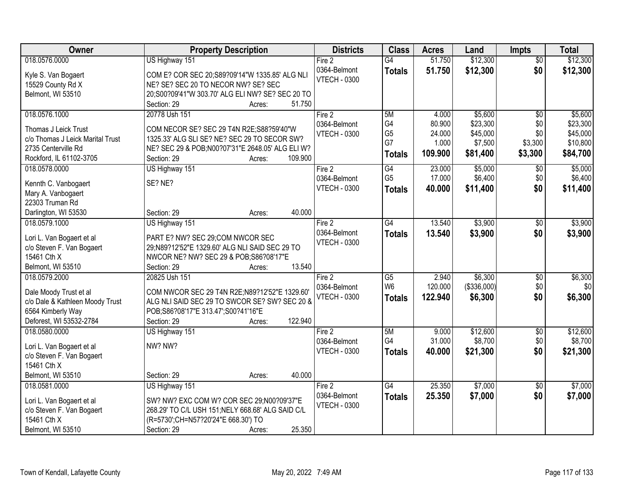| Owner                                                    | <b>Property Description</b>                                                               | <b>Districts</b>    | <b>Class</b>    | <b>Acres</b> | Land        | <b>Impts</b>    | <b>Total</b> |
|----------------------------------------------------------|-------------------------------------------------------------------------------------------|---------------------|-----------------|--------------|-------------|-----------------|--------------|
| 018.0576.0000                                            | US Highway 151                                                                            | Fire 2              | $\overline{G4}$ | 51.750       | \$12,300    | $\overline{50}$ | \$12,300     |
| Kyle S. Van Bogaert                                      | COM E? COR SEC 20;S89?09'14"W 1335.85' ALG NLI                                            | 0364-Belmont        | <b>Totals</b>   | 51.750       | \$12,300    | \$0             | \$12,300     |
| 15529 County Rd X                                        | NE? SE? SEC 20 TO NECOR NW? SE? SEC                                                       | <b>VTECH - 0300</b> |                 |              |             |                 |              |
| Belmont, WI 53510                                        | 20;S00?09'41"W 303.70' ALG ELI NW? SE? SEC 20 TO                                          |                     |                 |              |             |                 |              |
|                                                          | 51.750<br>Section: 29<br>Acres:                                                           |                     |                 |              |             |                 |              |
| 018.0576.1000                                            | 20778 Ush 151                                                                             | Fire 2              | 5M              | 4.000        | \$5,600     | $\overline{50}$ | \$5,600      |
|                                                          |                                                                                           | 0364-Belmont        | G4              | 80.900       | \$23,300    | \$0             | \$23,300     |
| Thomas J Leick Trust<br>c/o Thomas J Leick Marital Trust | COM NECOR SE? SEC 29 T4N R2E; S88?59'40"W<br>1325.33' ALG SLI SE? NE? SEC 29 TO SECOR SW? | <b>VTECH - 0300</b> | G <sub>5</sub>  | 24.000       | \$45,000    | \$0             | \$45,000     |
| 2735 Centerville Rd                                      | NE? SEC 29 & POB;N00?07'31"E 2648.05' ALG ELI W?                                          |                     | G7              | 1.000        | \$7,500     | \$3,300         | \$10,800     |
| Rockford, IL 61102-3705                                  | 109.900<br>Section: 29<br>Acres:                                                          |                     | <b>Totals</b>   | 109.900      | \$81,400    | \$3,300         | \$84,700     |
| 018.0578.0000                                            | US Highway 151                                                                            | Fire 2              | G4              | 23.000       | \$5,000     | $\sqrt[6]{}$    | \$5,000      |
|                                                          |                                                                                           | 0364-Belmont        | G <sub>5</sub>  | 17.000       | \$6,400     | \$0             | \$6,400      |
| Kennth C. Vanbogaert                                     | SE? NE?                                                                                   | <b>VTECH - 0300</b> | <b>Totals</b>   | 40.000       | \$11,400    | \$0             | \$11,400     |
| Mary A. Vanbogaert                                       |                                                                                           |                     |                 |              |             |                 |              |
| 22303 Truman Rd                                          |                                                                                           |                     |                 |              |             |                 |              |
| Darlington, WI 53530                                     | 40.000<br>Section: 29<br>Acres:                                                           |                     |                 |              |             |                 |              |
| 018.0579.1000                                            | US Highway 151                                                                            | Fire 2              | G4              | 13.540       | \$3,900     | $\sqrt{6}$      | \$3,900      |
| Lori L. Van Bogaert et al                                | PART E? NW? SEC 29;COM NWCOR SEC                                                          | 0364-Belmont        | <b>Totals</b>   | 13.540       | \$3,900     | \$0             | \$3,900      |
| c/o Steven F. Van Bogaert                                | 29;N89?12'52"E 1329.60' ALG NLI SAID SEC 29 TO                                            | <b>VTECH - 0300</b> |                 |              |             |                 |              |
| 15461 Cth X                                              | NWCOR NE? NW? SEC 29 & POB; S86? 08'17"E                                                  |                     |                 |              |             |                 |              |
| Belmont, WI 53510                                        | 13.540<br>Section: 29<br>Acres:                                                           |                     |                 |              |             |                 |              |
| 018.0579.2000                                            | 20825 Ush 151                                                                             | Fire 2              | $\overline{G5}$ | 2.940        | \$6,300     | \$0             | \$6,300      |
| Dale Moody Trust et al                                   | COM NWCOR SEC 29 T4N R2E;N89?12'52"E 1329.60'                                             | 0364-Belmont        | W <sub>6</sub>  | 120.000      | (\$336,000) | \$0             | \$0          |
| c/o Dale & Kathleen Moody Trust                          | ALG NLI SAID SEC 29 TO SWCOR SE? SW? SEC 20 &                                             | <b>VTECH - 0300</b> | <b>Totals</b>   | 122.940      | \$6,300     | \$0             | \$6,300      |
| 6564 Kimberly Way                                        | POB;S86?08'17"E 313.47';S00?41'16"E                                                       |                     |                 |              |             |                 |              |
| Deforest, WI 53532-2784                                  | 122.940<br>Section: 29<br>Acres:                                                          |                     |                 |              |             |                 |              |
| 018.0580.0000                                            | US Highway 151                                                                            | Fire 2              | 5M              | 9.000        | \$12,600    | $\sqrt{6}$      | \$12,600     |
|                                                          |                                                                                           | 0364-Belmont        | G4              | 31.000       | \$8,700     | \$0             | \$8,700      |
| Lori L. Van Bogaert et al                                | NW? NW?                                                                                   | <b>VTECH - 0300</b> | <b>Totals</b>   | 40.000       | \$21,300    | \$0             | \$21,300     |
| c/o Steven F. Van Bogaert                                |                                                                                           |                     |                 |              |             |                 |              |
| 15461 Cth X<br>Belmont, WI 53510                         | 40.000<br>Section: 29<br>Acres:                                                           |                     |                 |              |             |                 |              |
| 018.0581.0000                                            | US Highway 151                                                                            | Fire 2              | G4              | 25.350       | \$7,000     | $\overline{60}$ | \$7,000      |
|                                                          |                                                                                           | 0364-Belmont        |                 | 25.350       | \$7,000     | \$0             |              |
| Lori L. Van Bogaert et al                                | SW? NW? EXC COM W? COR SEC 29;N00?09'37"E                                                 | <b>VTECH - 0300</b> | <b>Totals</b>   |              |             |                 | \$7,000      |
| c/o Steven F. Van Bogaert                                | 268.29' TO C/L USH 151; NELY 668.68' ALG SAID C/L                                         |                     |                 |              |             |                 |              |
| 15461 Cth X                                              | (R=5730';CH=N57?20'24"E 668.30') TO                                                       |                     |                 |              |             |                 |              |
| Belmont, WI 53510                                        | 25.350<br>Section: 29<br>Acres:                                                           |                     |                 |              |             |                 |              |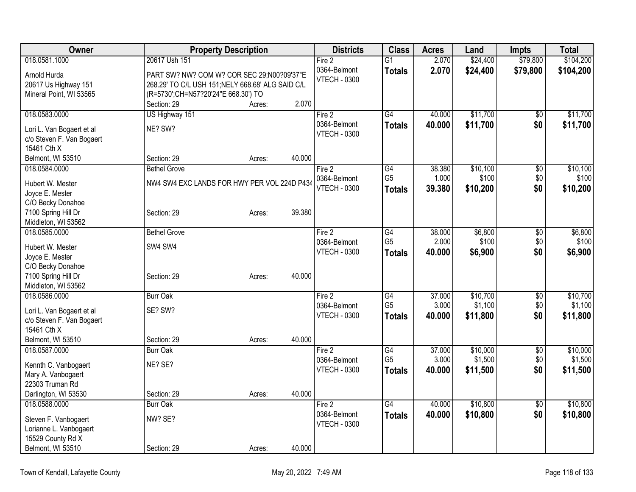| Owner                     |                                                   | <b>Property Description</b> |        | <b>Districts</b>    | <b>Class</b>    | <b>Acres</b> | Land     | <b>Impts</b>    | <b>Total</b> |
|---------------------------|---------------------------------------------------|-----------------------------|--------|---------------------|-----------------|--------------|----------|-----------------|--------------|
| 018.0581.1000             | 20617 Ush 151                                     |                             |        | Fire 2              | $\overline{G1}$ | 2.070        | \$24,400 | \$79,800        | \$104,200    |
| Arnold Hurda              | PART SW? NW? COM W? COR SEC 29;N00?09'37"E        |                             |        | 0364-Belmont        | <b>Totals</b>   | 2.070        | \$24,400 | \$79,800        | \$104,200    |
| 20617 Us Highway 151      | 268.29' TO C/L USH 151; NELY 668.68' ALG SAID C/L |                             |        | <b>VTECH - 0300</b> |                 |              |          |                 |              |
| Mineral Point, WI 53565   | (R=5730';CH=N57?20'24"E 668.30') TO               |                             |        |                     |                 |              |          |                 |              |
|                           | Section: 29                                       | Acres:                      | 2.070  |                     |                 |              |          |                 |              |
| 018.0583.0000             | US Highway 151                                    |                             |        | Fire 2              | G4              | 40.000       | \$11,700 | $\overline{60}$ | \$11,700     |
| Lori L. Van Bogaert et al | NE? SW?                                           |                             |        | 0364-Belmont        | <b>Totals</b>   | 40.000       | \$11,700 | \$0             | \$11,700     |
| c/o Steven F. Van Bogaert |                                                   |                             |        | <b>VTECH - 0300</b> |                 |              |          |                 |              |
| 15461 Cth X               |                                                   |                             |        |                     |                 |              |          |                 |              |
| Belmont, WI 53510         | Section: 29                                       | Acres:                      | 40.000 |                     |                 |              |          |                 |              |
| 018.0584.0000             | <b>Bethel Grove</b>                               |                             |        | Fire 2              | G4              | 38.380       | \$10,100 | $\overline{50}$ | \$10,100     |
| Hubert W. Mester          | NW4 SW4 EXC LANDS FOR HWY PER VOL 224D P434       |                             |        | 0364-Belmont        | G <sub>5</sub>  | 1.000        | \$100    | \$0             | \$100        |
| Joyce E. Mester           |                                                   |                             |        | <b>VTECH - 0300</b> | <b>Totals</b>   | 39.380       | \$10,200 | \$0             | \$10,200     |
| C/O Becky Donahoe         |                                                   |                             |        |                     |                 |              |          |                 |              |
| 7100 Spring Hill Dr       | Section: 29                                       | Acres:                      | 39.380 |                     |                 |              |          |                 |              |
| Middleton, WI 53562       |                                                   |                             |        |                     |                 |              |          |                 |              |
| 018.0585.0000             | <b>Bethel Grove</b>                               |                             |        | Fire 2              | G4              | 38.000       | \$6,800  | \$0             | \$6,800      |
| Hubert W. Mester          | SW4 SW4                                           |                             |        | 0364-Belmont        | G <sub>5</sub>  | 2.000        | \$100    | \$0             | \$100        |
| Joyce E. Mester           |                                                   |                             |        | <b>VTECH - 0300</b> | <b>Totals</b>   | 40.000       | \$6,900  | \$0             | \$6,900      |
| C/O Becky Donahoe         |                                                   |                             |        |                     |                 |              |          |                 |              |
| 7100 Spring Hill Dr       | Section: 29                                       | Acres:                      | 40.000 |                     |                 |              |          |                 |              |
| Middleton, WI 53562       |                                                   |                             |        |                     |                 |              |          |                 |              |
| 018.0586.0000             | <b>Burr Oak</b>                                   |                             |        | Fire 2              | $\overline{G4}$ | 37.000       | \$10,700 | $\overline{50}$ | \$10,700     |
| Lori L. Van Bogaert et al | SE? SW?                                           |                             |        | 0364-Belmont        | G <sub>5</sub>  | 3.000        | \$1,100  | \$0             | \$1,100      |
| c/o Steven F. Van Bogaert |                                                   |                             |        | <b>VTECH - 0300</b> | <b>Totals</b>   | 40.000       | \$11,800 | \$0             | \$11,800     |
| 15461 Cth X               |                                                   |                             |        |                     |                 |              |          |                 |              |
| Belmont, WI 53510         | Section: 29                                       | Acres:                      | 40.000 |                     |                 |              |          |                 |              |
| 018.0587.0000             | <b>Burr Oak</b>                                   |                             |        | Fire 2              | $\overline{G4}$ | 37.000       | \$10,000 | $\overline{50}$ | \$10,000     |
| Kennth C. Vanbogaert      | NE? SE?                                           |                             |        | 0364-Belmont        | G <sub>5</sub>  | 3.000        | \$1,500  | \$0             | \$1,500      |
| Mary A. Vanbogaert        |                                                   |                             |        | <b>VTECH - 0300</b> | <b>Totals</b>   | 40.000       | \$11,500 | \$0             | \$11,500     |
| 22303 Truman Rd           |                                                   |                             |        |                     |                 |              |          |                 |              |
| Darlington, WI 53530      | Section: 29                                       | Acres:                      | 40.000 |                     |                 |              |          |                 |              |
| 018.0588.0000             | <b>Burr Oak</b>                                   |                             |        | Fire 2              | $\overline{G4}$ | 40.000       | \$10,800 | $\overline{50}$ | \$10,800     |
| Steven F. Vanbogaert      | NW? SE?                                           |                             |        | 0364-Belmont        | <b>Totals</b>   | 40.000       | \$10,800 | \$0             | \$10,800     |
| Lorianne L. Vanbogaert    |                                                   |                             |        | <b>VTECH - 0300</b> |                 |              |          |                 |              |
| 15529 County Rd X         |                                                   |                             |        |                     |                 |              |          |                 |              |
| Belmont, WI 53510         | Section: 29                                       | Acres:                      | 40.000 |                     |                 |              |          |                 |              |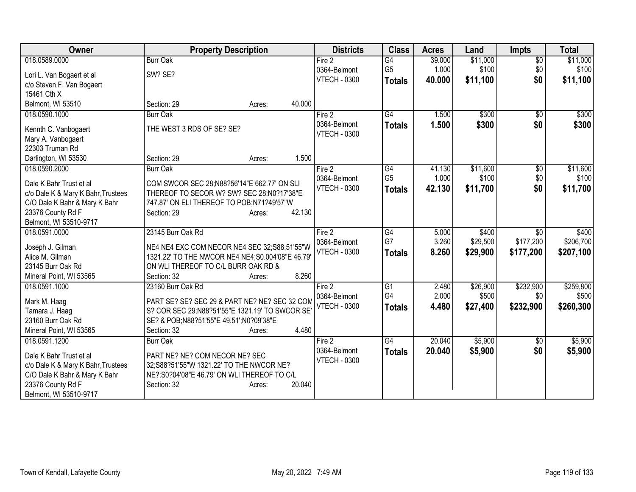| Owner                                 | <b>Property Description</b>                       | <b>Districts</b>                    | <b>Class</b>          | <b>Acres</b>   | Land     | <b>Impts</b>    | <b>Total</b> |
|---------------------------------------|---------------------------------------------------|-------------------------------------|-----------------------|----------------|----------|-----------------|--------------|
| 018.0589.0000                         | <b>Burr Oak</b>                                   | Fire 2                              | $\overline{G4}$       | 39.000         | \$11,000 | $\overline{$0}$ | \$11,000     |
| Lori L. Van Bogaert et al             | SW? SE?                                           | 0364-Belmont                        | G <sub>5</sub>        | 1.000          | \$100    | \$0             | \$100        |
| c/o Steven F. Van Bogaert             |                                                   | <b>VTECH - 0300</b>                 | <b>Totals</b>         | 40.000         | \$11,100 | \$0             | \$11,100     |
| 15461 Cth X                           |                                                   |                                     |                       |                |          |                 |              |
| Belmont, WI 53510                     | 40.000<br>Section: 29<br>Acres:                   |                                     |                       |                |          |                 |              |
| 018.0590.1000                         | <b>Burr Oak</b>                                   | Fire 2                              | G4                    | 1.500          | \$300    | \$0             | \$300        |
|                                       | THE WEST 3 RDS OF SE? SE?                         | 0364-Belmont                        | <b>Totals</b>         | 1.500          | \$300    | \$0             | \$300        |
| Kennth C. Vanbogaert                  |                                                   | <b>VTECH - 0300</b>                 |                       |                |          |                 |              |
| Mary A. Vanbogaert<br>22303 Truman Rd |                                                   |                                     |                       |                |          |                 |              |
| Darlington, WI 53530                  | 1.500<br>Section: 29<br>Acres:                    |                                     |                       |                |          |                 |              |
| 018.0590.2000                         | <b>Burr Oak</b>                                   | Fire $2$                            | G4                    | 41.130         | \$11,600 | $\sqrt[6]{}$    | \$11,600     |
|                                       |                                                   | 0364-Belmont                        | G <sub>5</sub>        | 1.000          | \$100    | \$0             | \$100        |
| Dale K Bahr Trust et al               | COM SWCOR SEC 28;N88?56'14"E 662.77' ON SLI       | <b>VTECH - 0300</b>                 | <b>Totals</b>         | 42.130         | \$11,700 | \$0             | \$11,700     |
| c/o Dale K & Mary K Bahr, Trustees    | THEREOF TO SECOR W? SW? SEC 28;N0?17'38"E         |                                     |                       |                |          |                 |              |
| C/O Dale K Bahr & Mary K Bahr         | 747.87' ON ELI THEREOF TO POB;N71?49'57"W         |                                     |                       |                |          |                 |              |
| 23376 County Rd F                     | 42.130<br>Section: 29<br>Acres:                   |                                     |                       |                |          |                 |              |
| Belmont, WI 53510-9717                |                                                   |                                     |                       |                |          |                 |              |
| 018.0591.0000                         | 23145 Burr Oak Rd                                 | Fire 2                              | $\overline{G4}$<br>G7 | 5.000<br>3.260 | \$400    | \$0             | \$400        |
| Joseph J. Gilman                      | NE4 NE4 EXC COM NECOR NE4 SEC 32;S88.51'55"W      | 0364-Belmont<br><b>VTECH - 0300</b> |                       |                | \$29,500 | \$177,200       | \$206,700    |
| Alice M. Gilman                       | 1321.22' TO THE NWCOR NE4 NE4; S0.004'08"E 46.79' |                                     | <b>Totals</b>         | 8.260          | \$29,900 | \$177,200       | \$207,100    |
| 23145 Burr Oak Rd                     | ON WLI THEREOF TO C/L BURR OAK RD &               |                                     |                       |                |          |                 |              |
| Mineral Point, WI 53565               | 8.260<br>Section: 32<br>Acres:                    |                                     |                       |                |          |                 |              |
| 018.0591.1000                         | 23160 Burr Oak Rd                                 | Fire 2                              | $\overline{G1}$       | 2.480          | \$26,900 | \$232,900       | \$259,800    |
| Mark M. Haag                          | PART SE? SE? SEC 29 & PART NE? NE? SEC 32 COM     | 0364-Belmont                        | G <sub>4</sub>        | 2.000          | \$500    | \$0             | \$500        |
| Tamara J. Haag                        | S? COR SEC 29; N88?51'55"E 1321.19' TO SWCOR SE   | <b>VTECH - 0300</b>                 | <b>Totals</b>         | 4.480          | \$27,400 | \$232,900       | \$260,300    |
| 23160 Burr Oak Rd                     | SE? & POB;N88?51'55"E 49.51';N0?09'38"E           |                                     |                       |                |          |                 |              |
| Mineral Point, WI 53565               | 4.480<br>Section: 32<br>Acres:                    |                                     |                       |                |          |                 |              |
| 018.0591.1200                         | <b>Burr Oak</b>                                   | Fire 2                              | $\overline{G4}$       | 20.040         | \$5,900  | $\overline{50}$ | \$5,900      |
| Dale K Bahr Trust et al               | PART NE? NE? COM NECOR NE? SEC                    | 0364-Belmont                        | <b>Totals</b>         | 20.040         | \$5,900  | \$0             | \$5,900      |
| c/o Dale K & Mary K Bahr, Trustees    | 32;S88?51'55"W 1321.22' TO THE NWCOR NE?          | <b>VTECH - 0300</b>                 |                       |                |          |                 |              |
| C/O Dale K Bahr & Mary K Bahr         | NE?;S0?04'08"E 46.79' ON WLI THEREOF TO C/L       |                                     |                       |                |          |                 |              |
| 23376 County Rd F                     | 20.040<br>Section: 32<br>Acres:                   |                                     |                       |                |          |                 |              |
| Belmont, WI 53510-9717                |                                                   |                                     |                       |                |          |                 |              |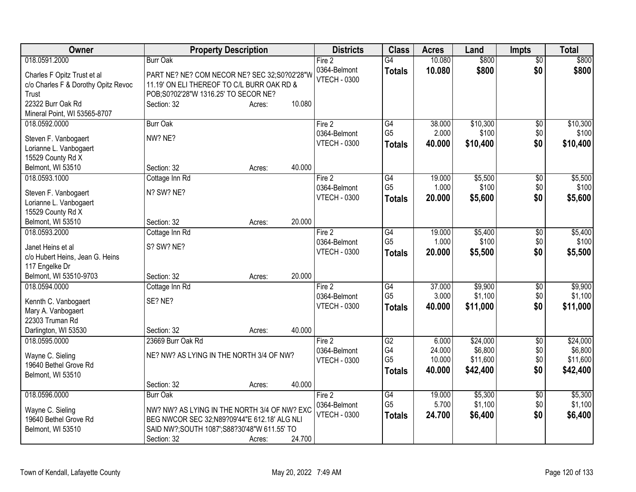| Owner                               | <b>Property Description</b>                   | <b>Districts</b>                    | <b>Class</b>         | <b>Acres</b>     | Land                | <b>Impts</b>    | <b>Total</b>        |
|-------------------------------------|-----------------------------------------------|-------------------------------------|----------------------|------------------|---------------------|-----------------|---------------------|
| 018.0591.2000                       | <b>Burr Oak</b>                               | Fire 2                              | $\overline{G4}$      | 10.080           | \$800               | $\overline{50}$ | \$800               |
| Charles F Opitz Trust et al         | PART NE? NE? COM NECOR NE? SEC 32;S0?02'28"W  | 0364-Belmont<br><b>VTECH - 0300</b> | <b>Totals</b>        | 10.080           | \$800               | \$0             | \$800               |
| c/o Charles F & Dorothy Opitz Revoc | 11.19' ON ELI THEREOF TO C/L BURR OAK RD &    |                                     |                      |                  |                     |                 |                     |
| Trust                               | POB;S0?02'28"W 1316.25' TO SECOR NE?          |                                     |                      |                  |                     |                 |                     |
| 22322 Burr Oak Rd                   | 10.080<br>Section: 32<br>Acres:               |                                     |                      |                  |                     |                 |                     |
| Mineral Point, WI 53565-8707        |                                               |                                     |                      |                  |                     |                 |                     |
| 018.0592.0000                       | <b>Burr Oak</b>                               | Fire 2<br>0364-Belmont              | G4<br>G <sub>5</sub> | 38.000<br>2.000  | \$10,300<br>\$100   | \$0<br>\$0      | \$10,300<br>\$100   |
| Steven F. Vanbogaert                | NW? NE?                                       | <b>VTECH - 0300</b>                 | <b>Totals</b>        | 40.000           | \$10,400            | \$0             | \$10,400            |
| Lorianne L. Vanbogaert              |                                               |                                     |                      |                  |                     |                 |                     |
| 15529 County Rd X                   |                                               |                                     |                      |                  |                     |                 |                     |
| Belmont, WI 53510                   | 40.000<br>Section: 32<br>Acres:               |                                     |                      |                  |                     |                 |                     |
| 018.0593.1000                       | Cottage Inn Rd                                | Fire 2                              | G4<br>G <sub>5</sub> | 19.000<br>1.000  | \$5,500<br>\$100    | $\overline{60}$ | \$5,500<br>\$100    |
| Steven F. Vanbogaert                | N? SW? NE?                                    | 0364-Belmont<br><b>VTECH - 0300</b> | <b>Totals</b>        | 20,000           | \$5,600             | \$0<br>\$0      | \$5,600             |
| Lorianne L. Vanbogaert              |                                               |                                     |                      |                  |                     |                 |                     |
| 15529 County Rd X                   |                                               |                                     |                      |                  |                     |                 |                     |
| Belmont, WI 53510                   | 20.000<br>Section: 32<br>Acres:               |                                     |                      |                  |                     |                 |                     |
| 018.0593.2000                       | Cottage Inn Rd                                | Fire 2                              | G4<br>G <sub>5</sub> | 19.000<br>1.000  | \$5,400             | \$0             | \$5,400<br>\$100    |
| Janet Heins et al                   | S? SW? NE?                                    | 0364-Belmont<br><b>VTECH - 0300</b> |                      | 20.000           | \$100<br>\$5,500    | \$0<br>\$0      | \$5,500             |
| c/o Hubert Heins, Jean G. Heins     |                                               |                                     | <b>Totals</b>        |                  |                     |                 |                     |
| 117 Engelke Dr                      |                                               |                                     |                      |                  |                     |                 |                     |
| Belmont, WI 53510-9703              | 20.000<br>Section: 32<br>Acres:               |                                     |                      |                  |                     |                 |                     |
| 018.0594.0000                       | Cottage Inn Rd                                | Fire 2                              | $\overline{G4}$      | 37.000           | \$9,900             | \$0             | \$9,900             |
| Kennth C. Vanbogaert                | SE? NE?                                       | 0364-Belmont<br><b>VTECH - 0300</b> | G <sub>5</sub>       | 3.000<br>40.000  | \$1,100             | \$0<br>\$0      | \$1,100             |
| Mary A. Vanbogaert                  |                                               |                                     | <b>Totals</b>        |                  | \$11,000            |                 | \$11,000            |
| 22303 Truman Rd                     |                                               |                                     |                      |                  |                     |                 |                     |
| Darlington, WI 53530                | 40.000<br>Section: 32<br>Acres:               |                                     |                      |                  |                     |                 |                     |
| 018.0595.0000                       | 23669 Burr Oak Rd                             | Fire 2                              | G2                   | 6.000            | \$24,000            | $\sqrt{6}$      | \$24,000            |
| Wayne C. Sieling                    | NE? NW? AS LYING IN THE NORTH 3/4 OF NW?      | 0364-Belmont                        | G4<br>G <sub>5</sub> | 24.000<br>10.000 | \$6,800<br>\$11,600 | \$0<br>\$0      | \$6,800<br>\$11,600 |
| 19640 Bethel Grove Rd               |                                               | <b>VTECH - 0300</b>                 | <b>Totals</b>        | 40.000           | \$42,400            | \$0             | \$42,400            |
| Belmont, WI 53510                   |                                               |                                     |                      |                  |                     |                 |                     |
|                                     | 40.000<br>Section: 32<br>Acres:               |                                     |                      |                  |                     |                 |                     |
| 018.0596.0000                       | <b>Burr Oak</b>                               | Fire 2                              | G4                   | 19.000           | \$5,300             | $\overline{50}$ | \$5,300             |
| Wayne C. Sieling                    | NW? NW? AS LYING IN THE NORTH 3/4 OF NW? EXC  | 0364-Belmont                        | G <sub>5</sub>       | 5.700            | \$1,100             | \$0             | \$1,100             |
| 19640 Bethel Grove Rd               | BEG NWCOR SEC 32; N89?09'44"E 612.18' ALG NLI | <b>VTECH - 0300</b>                 | <b>Totals</b>        | 24.700           | \$6,400             | \$0             | \$6,400             |
| Belmont, WI 53510                   | SAID NW?;SOUTH 1087';S88?30'48"W 611.55' TO   |                                     |                      |                  |                     |                 |                     |
|                                     | 24.700<br>Section: 32<br>Acres:               |                                     |                      |                  |                     |                 |                     |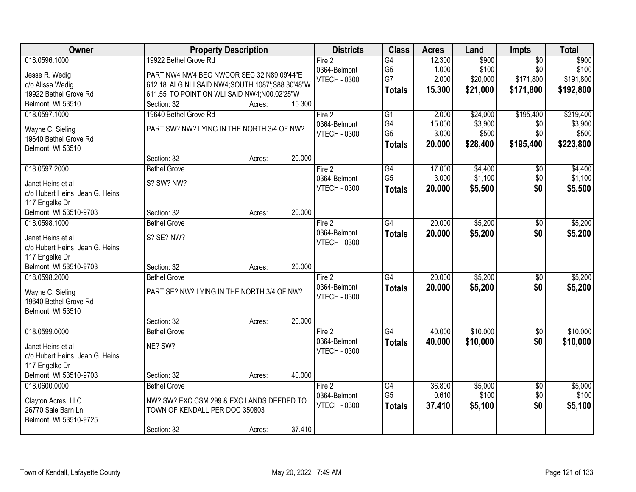| Owner                           |                                                  | <b>Property Description</b> |        | <b>Districts</b>                    | <b>Class</b>    | <b>Acres</b> | Land     | <b>Impts</b>    | <b>Total</b> |
|---------------------------------|--------------------------------------------------|-----------------------------|--------|-------------------------------------|-----------------|--------------|----------|-----------------|--------------|
| 018.0596.1000                   | 19922 Bethel Grove Rd                            |                             |        | Fire 2                              | G4              | 12.300       | \$900    | $\overline{50}$ | \$900        |
| Jesse R. Wedig                  | PART NW4 NW4 BEG NWCOR SEC 32;N89.09'44"E        |                             |        | 0364-Belmont                        | G <sub>5</sub>  | 1.000        | \$100    | \$0             | \$100        |
| c/o Alissa Wedig                | 612.18' ALG NLI SAID NW4;SOUTH 1087';S88.30'48"W |                             |        | <b>VTECH - 0300</b>                 | G7              | 2.000        | \$20,000 | \$171,800       | \$191,800    |
| 19922 Bethel Grove Rd           | 611.55' TO POINT ON WLI SAID NW4;N00.02'25"W     |                             |        |                                     | <b>Totals</b>   | 15.300       | \$21,000 | \$171,800       | \$192,800    |
| Belmont, WI 53510               | Section: 32                                      | Acres:                      | 15.300 |                                     |                 |              |          |                 |              |
| 018.0597.1000                   | 19640 Bethel Grove Rd                            |                             |        | Fire 2                              | $\overline{G1}$ | 2.000        | \$24,000 | \$195,400       | \$219,400    |
|                                 |                                                  |                             |        | 0364-Belmont                        | G4              | 15.000       | \$3,900  | \$0             | \$3,900      |
| Wayne C. Sieling                | PART SW? NW? LYING IN THE NORTH 3/4 OF NW?       |                             |        | <b>VTECH - 0300</b>                 | G <sub>5</sub>  | 3.000        | \$500    | \$0             | \$500        |
| 19640 Bethel Grove Rd           |                                                  |                             |        |                                     | <b>Totals</b>   | 20.000       | \$28,400 | \$195,400       | \$223,800    |
| Belmont, WI 53510               | Section: 32                                      |                             | 20.000 |                                     |                 |              |          |                 |              |
| 018.0597.2000                   | <b>Bethel Grove</b>                              | Acres:                      |        | Fire 2                              | $\overline{G4}$ | 17.000       | \$4,400  | $\overline{50}$ | \$4,400      |
|                                 |                                                  |                             |        | 0364-Belmont                        | G <sub>5</sub>  | 3.000        | \$1,100  | \$0             | \$1,100      |
| Janet Heins et al               | S? SW? NW?                                       |                             |        | <b>VTECH - 0300</b>                 |                 | 20,000       | \$5,500  | \$0             |              |
| c/o Hubert Heins, Jean G. Heins |                                                  |                             |        |                                     | <b>Totals</b>   |              |          |                 | \$5,500      |
| 117 Engelke Dr                  |                                                  |                             |        |                                     |                 |              |          |                 |              |
| Belmont, WI 53510-9703          | Section: 32                                      | Acres:                      | 20.000 |                                     |                 |              |          |                 |              |
| 018.0598.1000                   | <b>Bethel Grove</b>                              |                             |        | Fire 2                              | $\overline{G4}$ | 20.000       | \$5,200  | \$0             | \$5,200      |
| Janet Heins et al               | S? SE? NW?                                       |                             |        | 0364-Belmont                        | <b>Totals</b>   | 20.000       | \$5,200  | \$0             | \$5,200      |
| c/o Hubert Heins, Jean G. Heins |                                                  |                             |        | <b>VTECH - 0300</b>                 |                 |              |          |                 |              |
| 117 Engelke Dr                  |                                                  |                             |        |                                     |                 |              |          |                 |              |
| Belmont, WI 53510-9703          | Section: 32                                      | Acres:                      | 20.000 |                                     |                 |              |          |                 |              |
| 018.0598.2000                   | <b>Bethel Grove</b>                              |                             |        | Fire 2                              | G4              | 20.000       | \$5,200  | $\overline{50}$ | \$5,200      |
|                                 |                                                  |                             |        | 0364-Belmont                        | <b>Totals</b>   | 20,000       | \$5,200  | \$0             | \$5,200      |
| Wayne C. Sieling                | PART SE? NW? LYING IN THE NORTH 3/4 OF NW?       |                             |        | <b>VTECH - 0300</b>                 |                 |              |          |                 |              |
| 19640 Bethel Grove Rd           |                                                  |                             |        |                                     |                 |              |          |                 |              |
| Belmont, WI 53510               |                                                  |                             |        |                                     |                 |              |          |                 |              |
|                                 | Section: 32                                      | Acres:                      | 20.000 |                                     | G4              |              |          |                 |              |
| 018.0599.0000                   | <b>Bethel Grove</b>                              |                             |        | Fire 2                              |                 | 40.000       | \$10,000 | $\sqrt{6}$      | \$10,000     |
| Janet Heins et al               | NE? SW?                                          |                             |        | 0364-Belmont<br><b>VTECH - 0300</b> | <b>Totals</b>   | 40.000       | \$10,000 | \$0             | \$10,000     |
| c/o Hubert Heins, Jean G. Heins |                                                  |                             |        |                                     |                 |              |          |                 |              |
| 117 Engelke Dr                  |                                                  |                             |        |                                     |                 |              |          |                 |              |
| Belmont, WI 53510-9703          | Section: 32                                      | Acres:                      | 40.000 |                                     |                 |              |          |                 |              |
| 018.0600.0000                   | <b>Bethel Grove</b>                              |                             |        | Fire 2                              | G4              | 36.800       | \$5,000  | $\overline{50}$ | \$5,000      |
| Clayton Acres, LLC              | NW? SW? EXC CSM 299 & EXC LANDS DEEDED TO        |                             |        | 0364-Belmont                        | G <sub>5</sub>  | 0.610        | \$100    | \$0             | \$100        |
| 26770 Sale Barn Ln              | TOWN OF KENDALL PER DOC 350803                   |                             |        | <b>VTECH - 0300</b>                 | <b>Totals</b>   | 37.410       | \$5,100  | \$0             | \$5,100      |
| Belmont, WI 53510-9725          |                                                  |                             |        |                                     |                 |              |          |                 |              |
|                                 | Section: 32                                      | Acres:                      | 37.410 |                                     |                 |              |          |                 |              |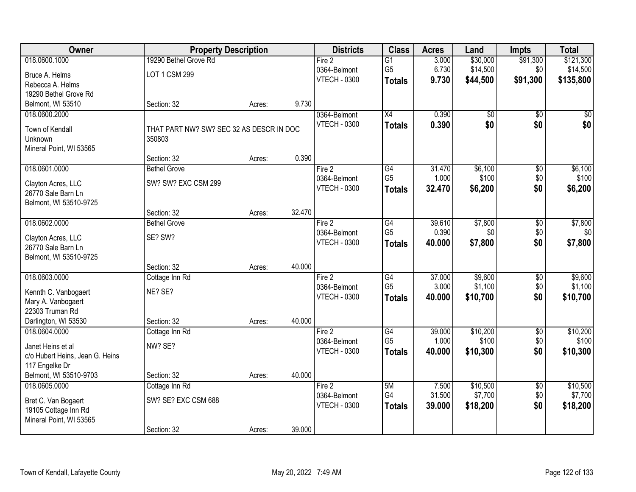| Owner                                             | <b>Property Description</b>              |        |        | <b>Districts</b>    | <b>Class</b>    | <b>Acres</b> | Land            | <b>Impts</b>    | <b>Total</b> |
|---------------------------------------------------|------------------------------------------|--------|--------|---------------------|-----------------|--------------|-----------------|-----------------|--------------|
| 018.0600.1000                                     | 19290 Bethel Grove Rd                    |        |        | Fire 2              | $\overline{G1}$ | 3.000        | \$30,000        | \$91,300        | \$121,300    |
| Bruce A. Helms                                    | LOT 1 CSM 299                            |        |        | 0364-Belmont        | G <sub>5</sub>  | 6.730        | \$14,500        | \$0             | \$14,500     |
| Rebecca A. Helms                                  |                                          |        |        | <b>VTECH - 0300</b> | <b>Totals</b>   | 9.730        | \$44,500        | \$91,300        | \$135,800    |
| 19290 Bethel Grove Rd                             |                                          |        |        |                     |                 |              |                 |                 |              |
| Belmont, WI 53510                                 | Section: 32                              | Acres: | 9.730  |                     |                 |              |                 |                 |              |
| 018.0600.2000                                     |                                          |        |        | 0364-Belmont        | X4              | 0.390        | $\overline{60}$ | $\overline{50}$ | \$0          |
|                                                   |                                          |        |        | <b>VTECH - 0300</b> | <b>Totals</b>   | 0.390        | \$0             | \$0             | \$0          |
| Town of Kendall<br>Unknown                        | THAT PART NW? SW? SEC 32 AS DESCR IN DOC |        |        |                     |                 |              |                 |                 |              |
| Mineral Point, WI 53565                           | 350803                                   |        |        |                     |                 |              |                 |                 |              |
|                                                   | Section: 32                              | Acres: | 0.390  |                     |                 |              |                 |                 |              |
| 018.0601.0000                                     | <b>Bethel Grove</b>                      |        |        | Fire 2              | $\overline{G4}$ | 31.470       | \$6,100         | $\overline{50}$ | \$6,100      |
|                                                   |                                          |        |        | 0364-Belmont        | G <sub>5</sub>  | 1.000        | \$100           | \$0             | \$100        |
| Clayton Acres, LLC                                | SW? SW? EXC CSM 299                      |        |        | <b>VTECH - 0300</b> | <b>Totals</b>   | 32.470       | \$6,200         | \$0             | \$6,200      |
| 26770 Sale Barn Ln                                |                                          |        |        |                     |                 |              |                 |                 |              |
| Belmont, WI 53510-9725                            |                                          |        |        |                     |                 |              |                 |                 |              |
|                                                   | Section: 32                              | Acres: | 32.470 |                     |                 |              |                 |                 |              |
| 018.0602.0000                                     | <b>Bethel Grove</b>                      |        |        | Fire 2              | G4              | 39.610       | \$7,800         | \$0             | \$7,800      |
| Clayton Acres, LLC                                | SE? SW?                                  |        |        | 0364-Belmont        | G <sub>5</sub>  | 0.390        | \$0             | \$0             | \$0          |
| 26770 Sale Barn Ln                                |                                          |        |        | <b>VTECH - 0300</b> | <b>Totals</b>   | 40.000       | \$7,800         | \$0             | \$7,800      |
| Belmont, WI 53510-9725                            |                                          |        |        |                     |                 |              |                 |                 |              |
|                                                   | Section: 32                              | Acres: | 40.000 |                     |                 |              |                 |                 |              |
| 018.0603.0000                                     | Cottage Inn Rd                           |        |        | Fire 2              | $\overline{G4}$ | 37.000       | \$9,600         | $\overline{50}$ | \$9,600      |
| Kennth C. Vanbogaert                              | NE? SE?                                  |        |        | 0364-Belmont        | G <sub>5</sub>  | 3.000        | \$1,100         | \$0             | \$1,100      |
| Mary A. Vanbogaert                                |                                          |        |        | <b>VTECH - 0300</b> | <b>Totals</b>   | 40.000       | \$10,700        | \$0             | \$10,700     |
| 22303 Truman Rd                                   |                                          |        |        |                     |                 |              |                 |                 |              |
| Darlington, WI 53530                              | Section: 32                              | Acres: | 40.000 |                     |                 |              |                 |                 |              |
| 018.0604.0000                                     | Cottage Inn Rd                           |        |        | Fire 2              | G4              | 39.000       | \$10,200        | $\overline{60}$ | \$10,200     |
|                                                   |                                          |        |        | 0364-Belmont        | G <sub>5</sub>  | 1.000        | \$100           | \$0             | \$100        |
| Janet Heins et al                                 | NW? SE?                                  |        |        | <b>VTECH - 0300</b> | <b>Totals</b>   | 40.000       | \$10,300        | \$0             | \$10,300     |
| c/o Hubert Heins, Jean G. Heins<br>117 Engelke Dr |                                          |        |        |                     |                 |              |                 |                 |              |
| Belmont, WI 53510-9703                            | Section: 32                              | Acres: | 40.000 |                     |                 |              |                 |                 |              |
| 018.0605.0000                                     | Cottage Inn Rd                           |        |        | Fire 2              | 5M              | 7.500        | \$10,500        | $\overline{50}$ | \$10,500     |
|                                                   |                                          |        |        | 0364-Belmont        | G4              | 31.500       | \$7,700         | \$0             | \$7,700      |
| Bret C. Van Bogaert                               | SW? SE? EXC CSM 688                      |        |        | <b>VTECH - 0300</b> | <b>Totals</b>   | 39.000       | \$18,200        | \$0             | \$18,200     |
| 19105 Cottage Inn Rd                              |                                          |        |        |                     |                 |              |                 |                 |              |
| Mineral Point, WI 53565                           |                                          |        |        |                     |                 |              |                 |                 |              |
|                                                   | Section: 32                              | Acres: | 39.000 |                     |                 |              |                 |                 |              |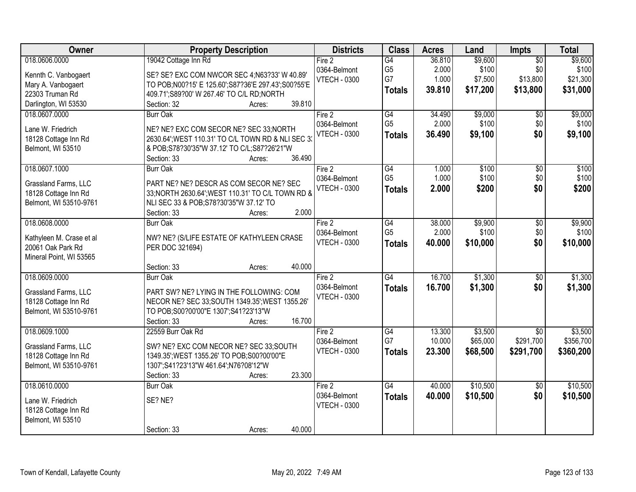| <b>Owner</b>                              | <b>Property Description</b>                                                                  | <b>Districts</b>    | <b>Class</b>    | <b>Acres</b> | Land     | <b>Impts</b>    | <b>Total</b> |
|-------------------------------------------|----------------------------------------------------------------------------------------------|---------------------|-----------------|--------------|----------|-----------------|--------------|
| 018.0606.0000                             | 19042 Cottage Inn Rd                                                                         | Fire 2              | G4              | 36.810       | \$9,600  | $\overline{50}$ | \$9,600      |
| Kennth C. Vanbogaert                      | SE? SE? EXC COM NWCOR SEC 4; N63?33' W 40.89'                                                | 0364-Belmont        | G <sub>5</sub>  | 2.000        | \$100    | \$0             | \$100        |
| Mary A. Vanbogaert                        | TO POB;N00?15' E 125.60';S87?36'E 297.43';S00?55'E                                           | <b>VTECH - 0300</b> | G7              | 1.000        | \$7,500  | \$13,800        | \$21,300     |
| 22303 Truman Rd                           | 409.71';S89?00' W 267.46' TO C/L RD;NORTH                                                    |                     | <b>Totals</b>   | 39.810       | \$17,200 | \$13,800        | \$31,000     |
| Darlington, WI 53530                      | 39.810<br>Section: 32<br>Acres:                                                              |                     |                 |              |          |                 |              |
| 018.0607.0000                             | <b>Burr Oak</b>                                                                              | Fire 2              | G4              | 34.490       | \$9,000  | $\overline{50}$ | \$9,000      |
| Lane W. Friedrich                         |                                                                                              | 0364-Belmont        | G <sub>5</sub>  | 2.000        | \$100    | \$0             | \$100        |
| 18128 Cottage Inn Rd                      | NE? NE? EXC COM SECOR NE? SEC 33; NORTH<br>2630.64'; WEST 110.31' TO C/L TOWN RD & NLI SEC 3 | <b>VTECH - 0300</b> | <b>Totals</b>   | 36.490       | \$9,100  | \$0             | \$9,100      |
| Belmont, WI 53510                         | & POB;S78?30'35"W 37.12' TO C/L;S87?26'21"W                                                  |                     |                 |              |          |                 |              |
|                                           | 36.490<br>Section: 33<br>Acres:                                                              |                     |                 |              |          |                 |              |
| 018.0607.1000                             | <b>Burr Oak</b>                                                                              | Fire $2$            | G4              | 1.000        | \$100    | \$0             | \$100        |
|                                           |                                                                                              | 0364-Belmont        | G <sub>5</sub>  | 1.000        | \$100    | \$0             | \$100        |
| Grassland Farms, LLC                      | PART NE? NE? DESCR AS COM SECOR NE? SEC                                                      | <b>VTECH - 0300</b> | <b>Totals</b>   | 2.000        | \$200    | \$0             | \$200        |
| 18128 Cottage Inn Rd                      | 33; NORTH 2630.64"; WEST 110.31' TO C/L TOWN RD &                                            |                     |                 |              |          |                 |              |
| Belmont, WI 53510-9761                    | NLI SEC 33 & POB;S78?30'35"W 37.12' TO<br>2.000                                              |                     |                 |              |          |                 |              |
| 018.0608.0000                             | Section: 33<br>Acres:                                                                        | Fire 2              | G4              | 38.000       | \$9,900  |                 | \$9,900      |
|                                           | <b>Burr Oak</b>                                                                              | 0364-Belmont        | G <sub>5</sub>  | 2.000        | \$100    | \$0<br>\$0      | \$100        |
| Kathyleen M. Crase et al                  | NW? NE? (S/LIFE ESTATE OF KATHYLEEN CRASE                                                    | <b>VTECH - 0300</b> |                 | 40.000       | \$10,000 | \$0             | \$10,000     |
| 20061 Oak Park Rd                         | PER DOC 321694)                                                                              |                     | <b>Totals</b>   |              |          |                 |              |
| Mineral Point, WI 53565                   |                                                                                              |                     |                 |              |          |                 |              |
|                                           | 40.000<br>Section: 33<br>Acres:                                                              |                     |                 |              |          |                 |              |
| 018.0609.0000                             | <b>Burr Oak</b>                                                                              | Fire 2              | $\overline{G4}$ | 16.700       | \$1,300  | $\overline{50}$ | \$1,300      |
| Grassland Farms, LLC                      | PART SW? NE? LYING IN THE FOLLOWING: COM                                                     | 0364-Belmont        | <b>Totals</b>   | 16.700       | \$1,300  | \$0             | \$1,300      |
| 18128 Cottage Inn Rd                      | NECOR NE? SEC 33; SOUTH 1349.35'; WEST 1355.26'                                              | <b>VTECH - 0300</b> |                 |              |          |                 |              |
| Belmont, WI 53510-9761                    | TO POB;S00?00'00"E 1307';S41?23'13"W                                                         |                     |                 |              |          |                 |              |
|                                           | Section: 33<br>16.700<br>Acres:                                                              |                     |                 |              |          |                 |              |
| 018.0609.1000                             | 22559 Burr Oak Rd                                                                            | Fire 2              | G4              | 13.300       | \$3,500  | $\overline{50}$ | \$3,500      |
| Grassland Farms, LLC                      | SW? NE? EXC COM NECOR NE? SEC 33; SOUTH                                                      | 0364-Belmont        | G7              | 10.000       | \$65,000 | \$291,700       | \$356,700    |
| 18128 Cottage Inn Rd                      | 1349.35'; WEST 1355.26' TO POB; S00?00'00"E                                                  | <b>VTECH - 0300</b> | <b>Totals</b>   | 23,300       | \$68,500 | \$291,700       | \$360,200    |
| Belmont, WI 53510-9761                    | 1307';S41?23'13"W 461.64';N76?08'12"W                                                        |                     |                 |              |          |                 |              |
|                                           | 23.300<br>Section: 33<br>Acres:                                                              |                     |                 |              |          |                 |              |
| 018.0610.0000                             | Burr Oak                                                                                     | Fire 2              | $\overline{G4}$ | 40.000       | \$10,500 | $\overline{50}$ | \$10,500     |
|                                           | SE? NE?                                                                                      | 0364-Belmont        | <b>Totals</b>   | 40.000       | \$10,500 | \$0             | \$10,500     |
| Lane W. Friedrich                         |                                                                                              | <b>VTECH - 0300</b> |                 |              |          |                 |              |
| 18128 Cottage Inn Rd<br>Belmont, WI 53510 |                                                                                              |                     |                 |              |          |                 |              |
|                                           | 40.000<br>Section: 33<br>Acres:                                                              |                     |                 |              |          |                 |              |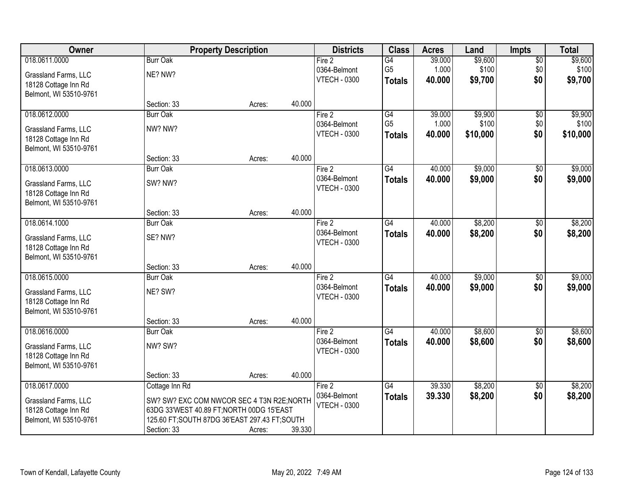| Owner                  |                                                | <b>Property Description</b> |        | <b>Districts</b>                    | <b>Class</b>    | <b>Acres</b> | Land     | <b>Impts</b>           | <b>Total</b> |
|------------------------|------------------------------------------------|-----------------------------|--------|-------------------------------------|-----------------|--------------|----------|------------------------|--------------|
| 018.0611.0000          | <b>Burr Oak</b>                                |                             |        | Fire <sub>2</sub>                   | $\overline{G4}$ | 39.000       | \$9,600  | $\sqrt{$0}$            | \$9,600      |
| Grassland Farms, LLC   | NE? NW?                                        |                             |        | 0364-Belmont                        | G <sub>5</sub>  | 1.000        | \$100    | \$0                    | \$100        |
| 18128 Cottage Inn Rd   |                                                |                             |        | <b>VTECH - 0300</b>                 | <b>Totals</b>   | 40.000       | \$9,700  | \$0                    | \$9,700      |
| Belmont, WI 53510-9761 |                                                |                             |        |                                     |                 |              |          |                        |              |
|                        | Section: 33                                    | Acres:                      | 40.000 |                                     |                 |              |          |                        |              |
| 018.0612.0000          | <b>Burr Oak</b>                                |                             |        | Fire 2                              | G4              | 39.000       | \$9,900  | \$0                    | \$9,900      |
| Grassland Farms, LLC   | NW? NW?                                        |                             |        | 0364-Belmont<br><b>VTECH - 0300</b> | G <sub>5</sub>  | 1.000        | \$100    | \$0<br>\$0             | \$100        |
| 18128 Cottage Inn Rd   |                                                |                             |        |                                     | <b>Totals</b>   | 40.000       | \$10,000 |                        | \$10,000     |
| Belmont, WI 53510-9761 |                                                |                             |        |                                     |                 |              |          |                        |              |
|                        | Section: 33                                    | Acres:                      | 40.000 |                                     |                 |              |          |                        |              |
| 018.0613.0000          | <b>Burr Oak</b>                                |                             |        | Fire 2                              | G4              | 40.000       | \$9,000  | $\sqrt[6]{3}$          | \$9,000      |
| Grassland Farms, LLC   | SW? NW?                                        |                             |        | 0364-Belmont<br><b>VTECH - 0300</b> | <b>Totals</b>   | 40.000       | \$9,000  | \$0                    | \$9,000      |
| 18128 Cottage Inn Rd   |                                                |                             |        |                                     |                 |              |          |                        |              |
| Belmont, WI 53510-9761 |                                                |                             |        |                                     |                 |              |          |                        |              |
|                        | Section: 33                                    | Acres:                      | 40.000 |                                     |                 |              |          |                        |              |
| 018.0614.1000          | <b>Burr Oak</b>                                |                             |        | Fire 2                              | $\overline{G4}$ | 40.000       | \$8,200  | $\frac{1}{20}$         | \$8,200      |
| Grassland Farms, LLC   | SE? NW?                                        |                             |        | 0364-Belmont<br><b>VTECH - 0300</b> | <b>Totals</b>   | 40.000       | \$8,200  | \$0                    | \$8,200      |
| 18128 Cottage Inn Rd   |                                                |                             |        |                                     |                 |              |          |                        |              |
| Belmont, WI 53510-9761 |                                                |                             |        |                                     |                 |              |          |                        |              |
|                        | Section: 33                                    | Acres:                      | 40.000 |                                     |                 |              |          |                        |              |
| 018.0615.0000          | <b>Burr Oak</b>                                |                             |        | Fire 2<br>0364-Belmont              | $\overline{G4}$ | 40.000       | \$9,000  | \$0                    | \$9,000      |
| Grassland Farms, LLC   | NE? SW?                                        |                             |        | <b>VTECH - 0300</b>                 | <b>Totals</b>   | 40.000       | \$9,000  | \$0                    | \$9,000      |
| 18128 Cottage Inn Rd   |                                                |                             |        |                                     |                 |              |          |                        |              |
| Belmont, WI 53510-9761 |                                                |                             |        |                                     |                 |              |          |                        |              |
| 018.0616.0000          | Section: 33                                    | Acres:                      | 40.000 |                                     | $\overline{G4}$ | 40.000       | \$8,600  |                        | \$8,600      |
|                        | <b>Burr Oak</b>                                |                             |        | Fire 2<br>0364-Belmont              |                 | 40,000       | \$8,600  | $\overline{50}$<br>\$0 | \$8,600      |
| Grassland Farms, LLC   | NW? SW?                                        |                             |        | <b>VTECH - 0300</b>                 | <b>Totals</b>   |              |          |                        |              |
| 18128 Cottage Inn Rd   |                                                |                             |        |                                     |                 |              |          |                        |              |
| Belmont, WI 53510-9761 |                                                |                             |        |                                     |                 |              |          |                        |              |
| 018.0617.0000          | Section: 33                                    | Acres:                      | 40.000 |                                     | G4              | 39.330       | \$8,200  |                        | \$8,200      |
|                        | Cottage Inn Rd                                 |                             |        | Fire 2<br>0364-Belmont              | <b>Totals</b>   | 39.330       | \$8,200  | \$0<br>\$0             | \$8,200      |
| Grassland Farms, LLC   | SW? SW? EXC COM NWCOR SEC 4 T3N R2E; NORTH     |                             |        | <b>VTECH - 0300</b>                 |                 |              |          |                        |              |
| 18128 Cottage Inn Rd   | 63DG 33'WEST 40.89 FT; NORTH 00DG 15'EAST      |                             |        |                                     |                 |              |          |                        |              |
| Belmont, WI 53510-9761 | 125.60 FT; SOUTH 87DG 36'EAST 297.43 FT; SOUTH |                             |        |                                     |                 |              |          |                        |              |
|                        | Section: 33                                    | Acres:                      | 39.330 |                                     |                 |              |          |                        |              |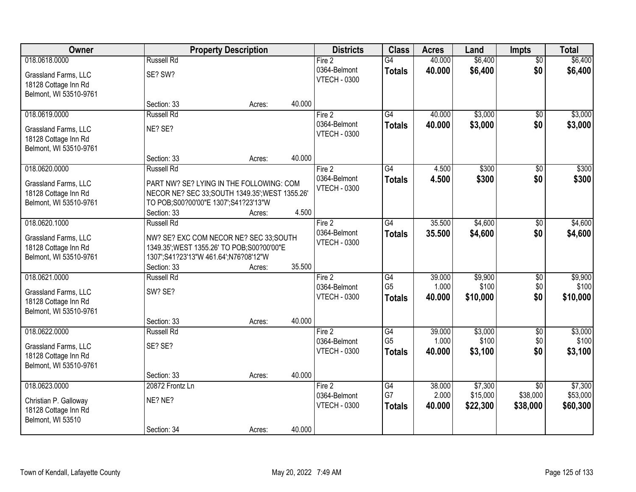| Owner                                        |                                                 | <b>Property Description</b> |        | <b>Districts</b>                    | <b>Class</b>   | <b>Acres</b> | Land     | Impts           | <b>Total</b> |
|----------------------------------------------|-------------------------------------------------|-----------------------------|--------|-------------------------------------|----------------|--------------|----------|-----------------|--------------|
| 018.0618.0000                                | <b>Russell Rd</b>                               |                             |        | Fire 2                              | G4             | 40.000       | \$6,400  | $\overline{50}$ | \$6,400      |
| Grassland Farms, LLC<br>18128 Cottage Inn Rd | SE? SW?                                         |                             |        | 0364-Belmont<br><b>VTECH - 0300</b> | <b>Totals</b>  | 40.000       | \$6,400  | \$0             | \$6,400      |
| Belmont, WI 53510-9761                       |                                                 |                             |        |                                     |                |              |          |                 |              |
|                                              | Section: 33                                     | Acres:                      | 40.000 |                                     |                |              |          |                 |              |
| 018.0619.0000                                | <b>Russell Rd</b>                               |                             |        | Fire 2                              | G4             | 40.000       | \$3,000  | $\overline{50}$ | \$3,000      |
| Grassland Farms, LLC                         | NE? SE?                                         |                             |        | 0364-Belmont                        | <b>Totals</b>  | 40.000       | \$3,000  | \$0             | \$3,000      |
| 18128 Cottage Inn Rd                         |                                                 |                             |        | <b>VTECH - 0300</b>                 |                |              |          |                 |              |
| Belmont, WI 53510-9761                       |                                                 |                             |        |                                     |                |              |          |                 |              |
|                                              | Section: 33                                     | Acres:                      | 40.000 |                                     |                |              |          |                 |              |
| 018.0620.0000                                | <b>Russell Rd</b>                               |                             |        | Fire $2$                            | G4             | 4.500        | \$300    | \$0             | \$300        |
| Grassland Farms, LLC                         | PART NW? SE? LYING IN THE FOLLOWING: COM        |                             |        | 0364-Belmont                        | <b>Totals</b>  | 4.500        | \$300    | \$0             | \$300        |
| 18128 Cottage Inn Rd                         | NECOR NE? SEC 33; SOUTH 1349.35'; WEST 1355.26' |                             |        | <b>VTECH - 0300</b>                 |                |              |          |                 |              |
| Belmont, WI 53510-9761                       | TO POB;S00?00'00"E 1307';S41?23'13"W            |                             |        |                                     |                |              |          |                 |              |
|                                              | Section: 33                                     | Acres:                      | 4.500  |                                     |                |              |          |                 |              |
| 018.0620.1000                                | <b>Russell Rd</b>                               |                             |        | Fire 2                              | G4             | 35.500       | \$4,600  | \$0             | \$4,600      |
| Grassland Farms, LLC                         | NW? SE? EXC COM NECOR NE? SEC 33;SOUTH          |                             |        | 0364-Belmont                        | <b>Totals</b>  | 35,500       | \$4,600  | \$0             | \$4,600      |
| 18128 Cottage Inn Rd                         | 1349.35'; WEST 1355.26' TO POB; S00?00'00"E     |                             |        | <b>VTECH - 0300</b>                 |                |              |          |                 |              |
| Belmont, WI 53510-9761                       | 1307';S41?23'13"W 461.64';N76?08'12"W           |                             |        |                                     |                |              |          |                 |              |
|                                              | Section: 33                                     | Acres:                      | 35.500 |                                     |                |              |          |                 |              |
| 018.0621.0000                                | <b>Russell Rd</b>                               |                             |        | Fire 2                              | G4             | 39.000       | \$9,900  | $\overline{50}$ | \$9,900      |
| Grassland Farms, LLC                         | SW? SE?                                         |                             |        | 0364-Belmont                        | G <sub>5</sub> | 1.000        | \$100    | \$0             | \$100        |
| 18128 Cottage Inn Rd                         |                                                 |                             |        | <b>VTECH - 0300</b>                 | <b>Totals</b>  | 40.000       | \$10,000 | \$0             | \$10,000     |
| Belmont, WI 53510-9761                       |                                                 |                             |        |                                     |                |              |          |                 |              |
|                                              | Section: 33                                     | Acres:                      | 40.000 |                                     |                |              |          |                 |              |
| 018.0622.0000                                | <b>Russell Rd</b>                               |                             |        | Fire 2                              | G4             | 39.000       | \$3,000  | $\overline{50}$ | \$3,000      |
| Grassland Farms, LLC                         | SE? SE?                                         |                             |        | 0364-Belmont                        | G <sub>5</sub> | 1.000        | \$100    | \$0             | \$100        |
| 18128 Cottage Inn Rd                         |                                                 |                             |        | <b>VTECH - 0300</b>                 | <b>Totals</b>  | 40.000       | \$3,100  | \$0             | \$3,100      |
| Belmont, WI 53510-9761                       |                                                 |                             |        |                                     |                |              |          |                 |              |
|                                              | Section: 33                                     | Acres:                      | 40.000 |                                     |                |              |          |                 |              |
| 018.0623.0000                                | 20872 Frontz Ln                                 |                             |        | Fire 2                              | G4             | 38,000       | \$7,300  | $\overline{50}$ | \$7,300      |
| Christian P. Galloway                        | NE? NE?                                         |                             |        | 0364-Belmont                        | G7             | 2.000        | \$15,000 | \$38,000        | \$53,000     |
| 18128 Cottage Inn Rd                         |                                                 |                             |        | <b>VTECH - 0300</b>                 | <b>Totals</b>  | 40.000       | \$22,300 | \$38,000        | \$60,300     |
| Belmont, WI 53510                            |                                                 |                             |        |                                     |                |              |          |                 |              |
|                                              | Section: 34                                     | Acres:                      | 40.000 |                                     |                |              |          |                 |              |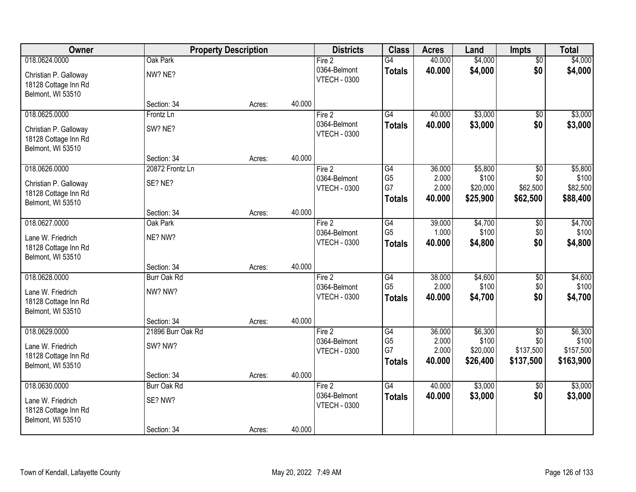| Owner                                                                           | <b>Property Description</b>  |        | <b>Districts</b> | <b>Class</b>                                  | <b>Acres</b>                                             | Land                               | <b>Impts</b>                             | <b>Total</b>                                     |                                            |
|---------------------------------------------------------------------------------|------------------------------|--------|------------------|-----------------------------------------------|----------------------------------------------------------|------------------------------------|------------------------------------------|--------------------------------------------------|--------------------------------------------|
| 018.0624.0000                                                                   | Oak Park                     |        |                  | Fire 2                                        | $\overline{G4}$                                          | 40.000                             | \$4,000                                  | $\overline{50}$                                  | \$4,000                                    |
| Christian P. Galloway<br>18128 Cottage Inn Rd<br>Belmont, WI 53510              | NW? NE?                      |        |                  | 0364-Belmont<br><b>VTECH - 0300</b>           | <b>Totals</b>                                            | 40.000                             | \$4,000                                  | \$0                                              | \$4,000                                    |
|                                                                                 | Section: 34                  | Acres: | 40.000           |                                               |                                                          |                                    |                                          |                                                  |                                            |
| 018.0625.0000                                                                   | Frontz Ln                    |        |                  | Fire 2                                        | $\overline{G4}$                                          | 40.000                             | \$3,000                                  | \$0                                              | \$3,000                                    |
| Christian P. Galloway<br>18128 Cottage Inn Rd<br>Belmont, WI 53510              | SW? NE?                      |        |                  | 0364-Belmont<br><b>VTECH - 0300</b>           | <b>Totals</b>                                            | 40.000                             | \$3,000                                  | \$0                                              | \$3,000                                    |
|                                                                                 | Section: 34                  | Acres: | 40.000           |                                               |                                                          |                                    |                                          |                                                  |                                            |
| 018.0626.0000                                                                   | 20872 Frontz Ln              |        |                  | Fire 2                                        | G4                                                       | 36.000                             | \$5,800                                  | \$0                                              | \$5,800                                    |
| Christian P. Galloway<br>18128 Cottage Inn Rd<br>Belmont, WI 53510              | SE? NE?                      |        |                  | 0364-Belmont<br><b>VTECH - 0300</b>           | G <sub>5</sub><br>G7<br><b>Totals</b>                    | 2.000<br>2.000<br>40.000           | \$100<br>\$20,000<br>\$25,900            | \$0<br>\$62,500<br>\$62,500                      | \$100<br>\$82,500<br>\$88,400              |
|                                                                                 | Section: 34                  | Acres: | 40.000           |                                               |                                                          |                                    |                                          |                                                  |                                            |
| 018.0627.0000                                                                   | Oak Park                     |        |                  | Fire 2                                        | G4                                                       | 39.000                             | \$4,700                                  | $\sqrt[6]{3}$                                    | \$4,700                                    |
| Lane W. Friedrich<br>18128 Cottage Inn Rd<br>Belmont, WI 53510                  | NE? NW?                      |        |                  | 0364-Belmont<br><b>VTECH - 0300</b>           | G <sub>5</sub><br><b>Totals</b>                          | 1.000<br>40.000                    | \$100<br>\$4,800                         | \$0<br>\$0                                       | \$100<br>\$4,800                           |
|                                                                                 | Section: 34                  | Acres: | 40.000           |                                               |                                                          |                                    |                                          |                                                  |                                            |
| 018.0628.0000                                                                   | <b>Burr Oak Rd</b>           |        |                  | Fire 2                                        | G4                                                       | 38.000                             | \$4,600                                  | \$0                                              | \$4,600                                    |
| Lane W. Friedrich<br>18128 Cottage Inn Rd<br>Belmont, WI 53510                  | NW? NW?                      |        |                  | 0364-Belmont<br><b>VTECH - 0300</b>           | G <sub>5</sub><br><b>Totals</b>                          | 2.000<br>40.000                    | \$100<br>\$4,700                         | \$0<br>\$0                                       | \$100<br>\$4,700                           |
|                                                                                 | Section: 34                  | Acres: | 40.000           |                                               |                                                          |                                    |                                          |                                                  |                                            |
| 018.0629.0000<br>Lane W. Friedrich<br>18128 Cottage Inn Rd<br>Belmont, WI 53510 | 21896 Burr Oak Rd<br>SW? NW? |        |                  | Fire 2<br>0364-Belmont<br><b>VTECH - 0300</b> | $\overline{G4}$<br>G <sub>5</sub><br>G7<br><b>Totals</b> | 36.000<br>2.000<br>2.000<br>40.000 | \$6,300<br>\$100<br>\$20,000<br>\$26,400 | $\overline{$0}$<br>\$0<br>\$137,500<br>\$137,500 | \$6,300<br>\$100<br>\$157,500<br>\$163,900 |
|                                                                                 | Section: 34                  | Acres: | 40.000           |                                               |                                                          |                                    |                                          |                                                  |                                            |
| 018.0630.0000<br>Lane W. Friedrich<br>18128 Cottage Inn Rd<br>Belmont, WI 53510 | Burr Oak Rd<br>SE? NW?       |        |                  | Fire 2<br>0364-Belmont<br><b>VTECH - 0300</b> | $\overline{G4}$<br><b>Totals</b>                         | 40.000<br>40.000                   | \$3,000<br>\$3,000                       | $\overline{50}$<br>\$0                           | \$3,000<br>\$3,000                         |
|                                                                                 | Section: 34                  | Acres: | 40.000           |                                               |                                                          |                                    |                                          |                                                  |                                            |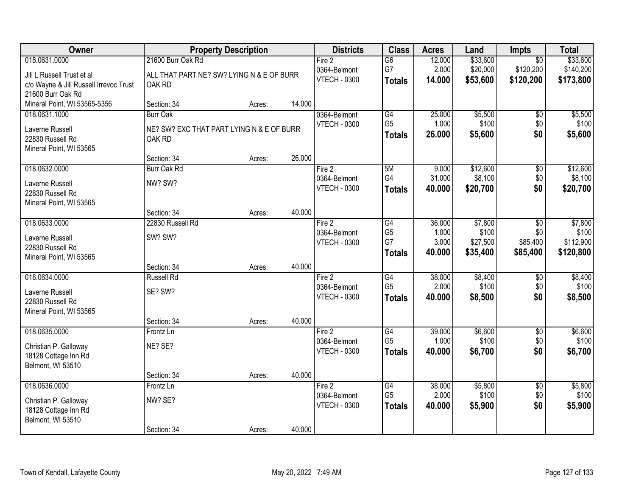| Owner                                  |                                           | <b>Property Description</b> |        | <b>Districts</b>    | <b>Class</b>    | <b>Acres</b> | Land     | Impts           | <b>Total</b> |
|----------------------------------------|-------------------------------------------|-----------------------------|--------|---------------------|-----------------|--------------|----------|-----------------|--------------|
| 018.0631.0000                          | 21600 Burr Oak Rd                         |                             |        | Fire 2              | $\overline{G6}$ | 12.000       | \$33,600 | $\overline{50}$ | \$33,600     |
| Jill L Russell Trust et al             | ALL THAT PART NE? SW? LYING N & E OF BURR |                             |        | 0364-Belmont        | G7              | 2.000        | \$20,000 | \$120,200       | \$140,200    |
| c/o Wayne & Jill Russell Irrevoc Trust | OAK RD                                    |                             |        | <b>VTECH - 0300</b> | <b>Totals</b>   | 14.000       | \$53,600 | \$120,200       | \$173,800    |
| 21600 Burr Oak Rd                      |                                           |                             |        |                     |                 |              |          |                 |              |
| Mineral Point, WI 53565-5356           | Section: 34                               | Acres:                      | 14.000 |                     |                 |              |          |                 |              |
| 018.0631.1000                          | <b>Burr Oak</b>                           |                             |        | 0364-Belmont        | G4              | 25.000       | \$5,500  | $\overline{60}$ | \$5,500      |
| Laverne Russell                        | NE? SW? EXC THAT PART LYING N & E OF BURR |                             |        | <b>VTECH - 0300</b> | G <sub>5</sub>  | 1.000        | \$100    | \$0             | \$100        |
| 22830 Russell Rd                       | OAK RD                                    |                             |        |                     | <b>Totals</b>   | 26.000       | \$5,600  | \$0             | \$5,600      |
| Mineral Point, WI 53565                |                                           |                             |        |                     |                 |              |          |                 |              |
|                                        | Section: 34                               | Acres:                      | 26.000 |                     |                 |              |          |                 |              |
| 018.0632.0000                          | <b>Burr Oak Rd</b>                        |                             |        | Fire 2              | 5M              | 9.000        | \$12,600 | $\overline{50}$ | \$12,600     |
| Laverne Russell                        | NW? SW?                                   |                             |        | 0364-Belmont        | G4              | 31.000       | \$8,100  | \$0             | \$8,100      |
| 22830 Russell Rd                       |                                           |                             |        | <b>VTECH - 0300</b> | <b>Totals</b>   | 40.000       | \$20,700 | \$0             | \$20,700     |
| Mineral Point, WI 53565                |                                           |                             |        |                     |                 |              |          |                 |              |
|                                        | Section: 34                               | Acres:                      | 40.000 |                     |                 |              |          |                 |              |
| 018.0633.0000                          | 22830 Russell Rd                          |                             |        | Fire 2              | G4              | 36.000       | \$7,800  | \$0             | \$7,800      |
| Laverne Russell                        | SW? SW?                                   |                             |        | 0364-Belmont        | G <sub>5</sub>  | 1.000        | \$100    | \$0             | \$100        |
| 22830 Russell Rd                       |                                           |                             |        | <b>VTECH - 0300</b> | G7              | 3.000        | \$27,500 | \$85,400        | \$112,900    |
| Mineral Point, WI 53565                |                                           |                             |        |                     | <b>Totals</b>   | 40.000       | \$35,400 | \$85,400        | \$120,800    |
|                                        | Section: 34                               | Acres:                      | 40.000 |                     |                 |              |          |                 |              |
| 018.0634.0000                          | <b>Russell Rd</b>                         |                             |        | Fire 2              | $\overline{G4}$ | 38.000       | \$8,400  | $\overline{50}$ | \$8,400      |
| Laverne Russell                        | SE? SW?                                   |                             |        | 0364-Belmont        | G <sub>5</sub>  | 2.000        | \$100    | \$0             | \$100        |
| 22830 Russell Rd                       |                                           |                             |        | <b>VTECH - 0300</b> | <b>Totals</b>   | 40.000       | \$8,500  | \$0             | \$8,500      |
| Mineral Point, WI 53565                |                                           |                             |        |                     |                 |              |          |                 |              |
|                                        | Section: 34                               | Acres:                      | 40.000 |                     |                 |              |          |                 |              |
| 018.0635.0000                          | Frontz Ln                                 |                             |        | Fire 2              | G4              | 39.000       | \$6,600  | $\overline{60}$ | \$6,600      |
| Christian P. Galloway                  | NE? SE?                                   |                             |        | 0364-Belmont        | G <sub>5</sub>  | 1.000        | \$100    | \$0             | \$100        |
| 18128 Cottage Inn Rd                   |                                           |                             |        | <b>VTECH - 0300</b> | <b>Totals</b>   | 40.000       | \$6,700  | \$0             | \$6,700      |
| Belmont, WI 53510                      |                                           |                             |        |                     |                 |              |          |                 |              |
|                                        | Section: 34                               | Acres:                      | 40.000 |                     |                 |              |          |                 |              |
| 018.0636.0000                          | Frontz Ln                                 |                             |        | Fire 2              | G4              | 38.000       | \$5,800  | $\overline{50}$ | \$5,800      |
| Christian P. Galloway                  | NW? SE?                                   |                             |        | 0364-Belmont        | G <sub>5</sub>  | 2.000        | \$100    | \$0             | \$100        |
| 18128 Cottage Inn Rd                   |                                           |                             |        | <b>VTECH - 0300</b> | <b>Totals</b>   | 40.000       | \$5,900  | \$0             | \$5,900      |
| Belmont, WI 53510                      |                                           |                             |        |                     |                 |              |          |                 |              |
|                                        | Section: 34                               | Acres:                      | 40.000 |                     |                 |              |          |                 |              |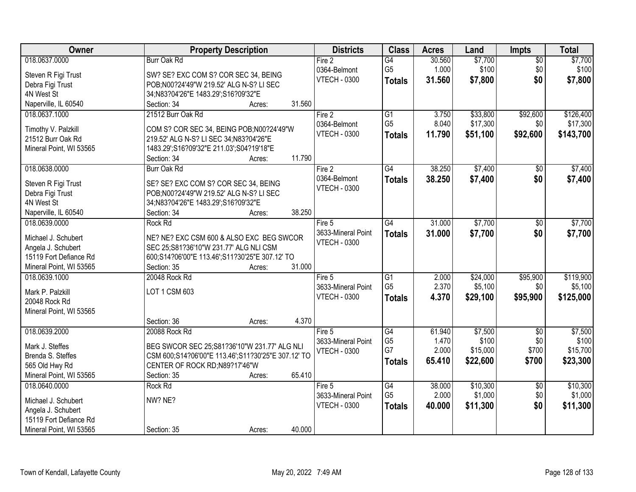| Owner                   | <b>Property Description</b>                        | <b>Districts</b>    | <b>Class</b>    | <b>Acres</b> | Land     | Impts           | <b>Total</b> |
|-------------------------|----------------------------------------------------|---------------------|-----------------|--------------|----------|-----------------|--------------|
| 018.0637.0000           | <b>Burr Oak Rd</b>                                 | Fire 2              | G4              | 30.560       | \$7,700  | $\overline{50}$ | \$7,700      |
| Steven R Figi Trust     | SW? SE? EXC COM S? COR SEC 34, BEING               | 0364-Belmont        | G <sub>5</sub>  | 1.000        | \$100    | \$0             | \$100        |
| Debra Figi Trust        | POB;N00?24'49"W 219.52' ALG N-S? LI SEC            | <b>VTECH - 0300</b> | <b>Totals</b>   | 31.560       | \$7,800  | \$0             | \$7,800      |
| 4N West St              | 34;N83?04'26"E 1483.29';S16?09'32"E                |                     |                 |              |          |                 |              |
| Naperville, IL 60540    | 31.560<br>Section: 34<br>Acres:                    |                     |                 |              |          |                 |              |
| 018.0637.1000           | 21512 Burr Oak Rd                                  | Fire 2              | $\overline{G1}$ | 3.750        | \$33,800 | \$92,600        | \$126,400    |
|                         |                                                    | 0364-Belmont        | G <sub>5</sub>  | 8.040        | \$17,300 | \$0             | \$17,300     |
| Timothy V. Palzkill     | COM S? COR SEC 34, BEING POB; N00?24'49"W          | <b>VTECH - 0300</b> |                 |              |          |                 |              |
| 21512 Burr Oak Rd       | 219.52' ALG N-S? LI SEC 34; N83?04'26"E            |                     | <b>Totals</b>   | 11.790       | \$51,100 | \$92,600        | \$143,700    |
| Mineral Point, WI 53565 | 1483.29';S16?09'32"E 211.03';S04?19'18"E           |                     |                 |              |          |                 |              |
|                         | 11.790<br>Section: 34<br>Acres:                    |                     |                 |              |          |                 |              |
| 018.0638.0000           | Burr Oak Rd                                        | Fire 2              | $\overline{G4}$ | 38.250       | \$7,400  | $\overline{50}$ | \$7,400      |
|                         |                                                    | 0364-Belmont        | <b>Totals</b>   | 38.250       | \$7,400  | \$0             | \$7,400      |
| Steven R Figi Trust     | SE? SE? EXC COM S? COR SEC 34, BEING               | <b>VTECH - 0300</b> |                 |              |          |                 |              |
| Debra Figi Trust        | POB:N00?24'49"W 219.52' ALG N-S? LI SEC            |                     |                 |              |          |                 |              |
| 4N West St              | 34;N83?04'26"E 1483.29';S16?09'32"E                |                     |                 |              |          |                 |              |
| Naperville, IL 60540    | 38.250<br>Section: 34<br>Acres:                    |                     |                 |              |          |                 |              |
| 018.0639.0000           | Rock Rd                                            | Fire 5              | $\overline{G4}$ | 31.000       | \$7,700  | $\overline{50}$ | \$7,700      |
| Michael J. Schubert     | NE? NE? EXC CSM 600 & ALSO EXC BEG SWCOR           | 3633-Mineral Point  | <b>Totals</b>   | 31.000       | \$7,700  | \$0             | \$7,700      |
| Angela J. Schubert      | SEC 25;S81?36'10"W 231.77' ALG NLI CSM             | <b>VTECH - 0300</b> |                 |              |          |                 |              |
| 15119 Fort Defiance Rd  | 600;S14?06'00"E 113.46';S11?30'25"E 307.12' TO     |                     |                 |              |          |                 |              |
| Mineral Point, WI 53565 | 31.000<br>Section: 35<br>Acres:                    |                     |                 |              |          |                 |              |
| 018.0639.1000           | 20048 Rock Rd                                      | Fire 5              | $\overline{G1}$ | 2.000        | \$24,000 | \$95,900        | \$119,900    |
|                         |                                                    | 3633-Mineral Point  | G <sub>5</sub>  | 2.370        | \$5,100  | \$0             | \$5,100      |
| Mark P. Palzkill        | LOT 1 CSM 603                                      | <b>VTECH - 0300</b> | <b>Totals</b>   | 4.370        | \$29,100 | \$95,900        | \$125,000    |
| 20048 Rock Rd           |                                                    |                     |                 |              |          |                 |              |
| Mineral Point, WI 53565 |                                                    |                     |                 |              |          |                 |              |
|                         | 4.370<br>Section: 36<br>Acres:                     |                     |                 |              |          |                 |              |
| 018.0639.2000           | 20088 Rock Rd                                      | Fire 5              | G4              | 61.940       | \$7,500  | $\overline{50}$ | \$7,500      |
| Mark J. Steffes         | BEG SWCOR SEC 25;S81?36'10"W 231.77' ALG NLI       | 3633-Mineral Point  | G <sub>5</sub>  | 1.470        | \$100    | \$0             | \$100        |
| Brenda S. Steffes       | CSM 600;S14?06'00"E 113.46';S11?30'25"E 307.12' TO | <b>VTECH - 0300</b> | G7              | 2.000        | \$15,000 | \$700           | \$15,700     |
| 565 Old Hwy Rd          | CENTER OF ROCK RD;N89?17'46"W                      |                     | <b>Totals</b>   | 65.410       | \$22,600 | \$700           | \$23,300     |
| Mineral Point, WI 53565 | 65.410<br>Section: 35<br>Acres:                    |                     |                 |              |          |                 |              |
| 018.0640.0000           | <b>Rock Rd</b>                                     | Fire 5              | $\overline{G4}$ | 38,000       | \$10,300 | $\overline{50}$ | \$10,300     |
|                         |                                                    | 3633-Mineral Point  | G <sub>5</sub>  | 2.000        | \$1,000  | \$0             | \$1,000      |
| Michael J. Schubert     | NW? NE?                                            | <b>VTECH - 0300</b> |                 | 40.000       | \$11,300 | \$0             | \$11,300     |
| Angela J. Schubert      |                                                    |                     | <b>Totals</b>   |              |          |                 |              |
| 15119 Fort Defiance Rd  |                                                    |                     |                 |              |          |                 |              |
| Mineral Point, WI 53565 | 40.000<br>Section: 35<br>Acres:                    |                     |                 |              |          |                 |              |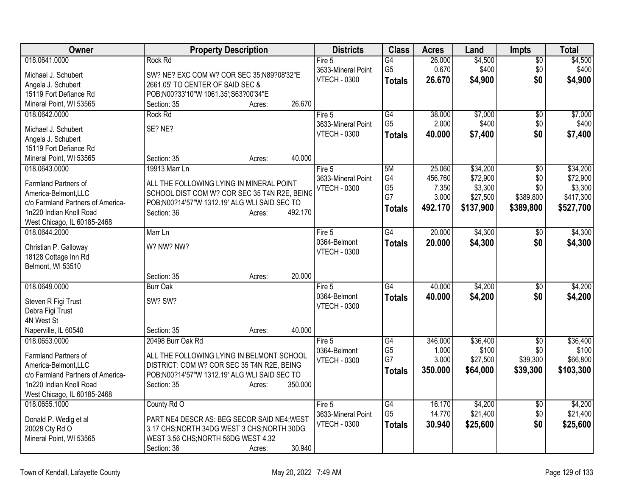| Owner                                        | <b>Property Description</b>                   | <b>Districts</b>    | <b>Class</b>    | <b>Acres</b> | Land      | Impts           | <b>Total</b> |
|----------------------------------------------|-----------------------------------------------|---------------------|-----------------|--------------|-----------|-----------------|--------------|
| 018.0641.0000                                | Rock Rd                                       | Fire 5              | G4              | 26.000       | \$4,500   | $\sqrt{6}$      | \$4,500      |
| Michael J. Schubert                          | SW? NE? EXC COM W? COR SEC 35;N89?08'32"E     | 3633-Mineral Point  | G <sub>5</sub>  | 0.670        | \$400     | \$0             | \$400        |
| Angela J. Schubert                           | 2661.05' TO CENTER OF SAID SEC &              | <b>VTECH - 0300</b> | <b>Totals</b>   | 26.670       | \$4,900   | \$0             | \$4,900      |
| 15119 Fort Defiance Rd                       | POB;N00?33'10"W 1061.35';S63?00'34"E          |                     |                 |              |           |                 |              |
| Mineral Point, WI 53565                      | 26.670<br>Section: 35<br>Acres:               |                     |                 |              |           |                 |              |
| 018.0642.0000                                | <b>Rock Rd</b>                                | Fire 5              | $\overline{G4}$ | 38.000       | \$7,000   | $\overline{60}$ | \$7,000      |
|                                              |                                               | 3633-Mineral Point  | G <sub>5</sub>  | 2.000        | \$400     | \$0             | \$400        |
| Michael J. Schubert                          | SE? NE?                                       | <b>VTECH - 0300</b> | <b>Totals</b>   | 40.000       | \$7,400   | \$0             | \$7,400      |
| Angela J. Schubert<br>15119 Fort Defiance Rd |                                               |                     |                 |              |           |                 |              |
| Mineral Point, WI 53565                      | 40.000<br>Section: 35<br>Acres:               |                     |                 |              |           |                 |              |
| 018.0643.0000                                | 19913 Marr Ln                                 | Fire 5              | 5M              | 25.060       | \$34,200  | $\overline{50}$ | \$34,200     |
|                                              |                                               | 3633-Mineral Point  | G4              | 456.760      | \$72,900  | \$0             | \$72,900     |
| Farmland Partners of                         | ALL THE FOLLOWING LYING IN MINERAL POINT      | <b>VTECH - 0300</b> | G <sub>5</sub>  | 7.350        | \$3,300   | \$0             | \$3,300      |
| America-Belmont, LLC                         | SCHOOL DIST COM W? COR SEC 35 T4N R2E, BEING  |                     | G7              | 3.000        | \$27,500  | \$389,800       | \$417,300    |
| c/o Farmland Partners of America-            | POB;N00?14'57"W 1312.19' ALG WLI SAID SEC TO  |                     | <b>Totals</b>   | 492.170      | \$137,900 | \$389,800       | \$527,700    |
| 1n220 Indian Knoll Road                      | 492.170<br>Section: 36<br>Acres:              |                     |                 |              |           |                 |              |
| West Chicago, IL 60185-2468                  |                                               |                     |                 |              |           |                 |              |
| 018.0644.2000                                | Marr Ln                                       | Fire 5              | G4              | 20.000       | \$4,300   | \$0             | \$4,300      |
| Christian P. Galloway                        | W? NW? NW?                                    | 0364-Belmont        | <b>Totals</b>   | 20.000       | \$4,300   | \$0             | \$4,300      |
| 18128 Cottage Inn Rd                         |                                               | <b>VTECH - 0300</b> |                 |              |           |                 |              |
| Belmont, WI 53510                            |                                               |                     |                 |              |           |                 |              |
|                                              | 20.000<br>Section: 35<br>Acres:               |                     |                 |              |           |                 |              |
| 018.0649.0000                                | <b>Burr Oak</b>                               | Fire 5              | G4              | 40.000       | \$4,200   | \$0             | \$4,200      |
| Steven R Figi Trust                          | SW? SW?                                       | 0364-Belmont        | <b>Totals</b>   | 40.000       | \$4,200   | \$0             | \$4,200      |
| Debra Figi Trust                             |                                               | <b>VTECH - 0300</b> |                 |              |           |                 |              |
| 4N West St                                   |                                               |                     |                 |              |           |                 |              |
| Naperville, IL 60540                         | 40.000<br>Section: 35<br>Acres:               |                     |                 |              |           |                 |              |
| 018.0653.0000                                | 20498 Burr Oak Rd                             | Fire 5              | G4              | 346.000      | \$36,400  | $\overline{50}$ | \$36,400     |
| Farmland Partners of                         | ALL THE FOLLOWING LYING IN BELMONT SCHOOL     | 0364-Belmont        | G <sub>5</sub>  | 1.000        | \$100     | \$0             | \$100        |
| America-Belmont, LLC                         | DISTRICT: COM W? COR SEC 35 T4N R2E, BEING    | <b>VTECH - 0300</b> | G7              | 3.000        | \$27,500  | \$39,300        | \$66,800     |
| c/o Farmland Partners of America-            | POB;N00?14'57"W 1312.19' ALG WLI SAID SEC TO  |                     | <b>Totals</b>   | 350.000      | \$64,000  | \$39,300        | \$103,300    |
| 1n220 Indian Knoll Road                      | 350.000<br>Section: 35<br>Acres:              |                     |                 |              |           |                 |              |
| West Chicago, IL 60185-2468                  |                                               |                     |                 |              |           |                 |              |
| 018.0655.1000                                | County Rd O                                   | Fire $5$            | G4              | 16.170       | \$4,200   | $\sqrt{$0}$     | \$4,200      |
|                                              |                                               | 3633-Mineral Point  | G <sub>5</sub>  | 14.770       | \$21,400  | \$0             | \$21,400     |
| Donald P. Wedig et al                        | PART NE4 DESCR AS: BEG SECOR SAID NE4; WEST   | <b>VTECH - 0300</b> | <b>Totals</b>   | 30.940       | \$25,600  | \$0             | \$25,600     |
| 20028 Cty Rd O                               | 3.17 CHS; NORTH 34DG WEST 3 CHS; NORTH 30DG   |                     |                 |              |           |                 |              |
| Mineral Point, WI 53565                      | WEST 3.56 CHS; NORTH 56DG WEST 4.32<br>30.940 |                     |                 |              |           |                 |              |
|                                              | Section: 36<br>Acres:                         |                     |                 |              |           |                 |              |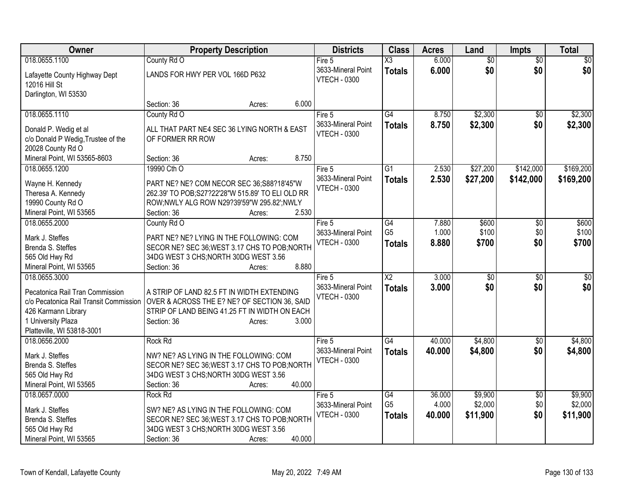| Owner                                                                     | <b>Property Description</b>                                                                | <b>Districts</b>    | <b>Class</b>    | <b>Acres</b> | Land            | <b>Impts</b>    | <b>Total</b> |
|---------------------------------------------------------------------------|--------------------------------------------------------------------------------------------|---------------------|-----------------|--------------|-----------------|-----------------|--------------|
| 018.0655.1100                                                             | County Rd O                                                                                | Fire 5              | X3              | 6.000        | $\overline{50}$ | $\overline{30}$ | $\sqrt{30}$  |
| Lafayette County Highway Dept                                             | LANDS FOR HWY PER VOL 166D P632                                                            | 3633-Mineral Point  | <b>Totals</b>   | 6.000        | \$0             | \$0             | \$0          |
| 12016 Hill St                                                             |                                                                                            | <b>VTECH - 0300</b> |                 |              |                 |                 |              |
| Darlington, WI 53530                                                      |                                                                                            |                     |                 |              |                 |                 |              |
|                                                                           | 6.000<br>Section: 36<br>Acres:                                                             |                     |                 |              |                 |                 |              |
| 018.0655.1110                                                             | County Rd O                                                                                | Fire 5              | G4              | 8.750        | \$2,300         | \$0             | \$2,300      |
| Donald P. Wedig et al                                                     | ALL THAT PART NE4 SEC 36 LYING NORTH & EAST                                                | 3633-Mineral Point  | <b>Totals</b>   | 8.750        | \$2,300         | \$0             | \$2,300      |
| c/o Donald P Wedig, Trustee of the                                        | OF FORMER RR ROW                                                                           | <b>VTECH - 0300</b> |                 |              |                 |                 |              |
| 20028 County Rd O                                                         |                                                                                            |                     |                 |              |                 |                 |              |
| Mineral Point, WI 53565-8603                                              | 8.750<br>Section: 36<br>Acres:                                                             |                     |                 |              |                 |                 |              |
| 018.0655.1200                                                             | 19990 Cth O                                                                                | Fire 5              | $\overline{G1}$ | 2.530        | \$27,200        | \$142,000       | \$169,200    |
|                                                                           |                                                                                            | 3633-Mineral Point  | <b>Totals</b>   | 2.530        | \$27,200        | \$142,000       | \$169,200    |
| Wayne H. Kennedy                                                          | PART NE? NE? COM NECOR SEC 36;S88?18'45"W                                                  | <b>VTECH - 0300</b> |                 |              |                 |                 |              |
| Theresa A. Kennedy                                                        | 262.39' TO POB;S27?22'28"W 515.89' TO ELI OLD RR                                           |                     |                 |              |                 |                 |              |
| 19990 County Rd O                                                         | ROW;NWLY ALG ROW N29?39'59"W 295.82";NWLY                                                  |                     |                 |              |                 |                 |              |
| Mineral Point, WI 53565                                                   | 2.530<br>Section: 36<br>Acres:                                                             |                     |                 |              |                 |                 |              |
| 018.0655.2000                                                             | County Rd O                                                                                | Fire 5              | $\overline{G4}$ | 7.880        | \$600           | \$0             | \$600        |
| Mark J. Steffes                                                           | PART NE? NE? LYING IN THE FOLLOWING: COM                                                   | 3633-Mineral Point  | G <sub>5</sub>  | 1.000        | \$100           | \$0             | \$100        |
| Brenda S. Steffes                                                         | SECOR NE? SEC 36; WEST 3.17 CHS TO POB; NORTH                                              | <b>VTECH - 0300</b> | <b>Totals</b>   | 8.880        | \$700           | \$0             | \$700        |
| 565 Old Hwy Rd                                                            | 34DG WEST 3 CHS; NORTH 30DG WEST 3.56                                                      |                     |                 |              |                 |                 |              |
| Mineral Point, WI 53565                                                   | 8.880<br>Section: 36<br>Acres:                                                             |                     |                 |              |                 |                 |              |
| 018.0655.3000                                                             |                                                                                            | Fire 5              | $\overline{X2}$ | 3.000        | $\overline{30}$ | $\overline{50}$ | \$0          |
|                                                                           |                                                                                            | 3633-Mineral Point  | <b>Totals</b>   | 3.000        | \$0             | \$0             | \$0          |
| Pecatonica Rail Tran Commission<br>c/o Pecatonica Rail Transit Commission | A STRIP OF LAND 82.5 FT IN WIDTH EXTENDING<br>OVER & ACROSS THE E? NE? OF SECTION 36, SAID | <b>VTECH - 0300</b> |                 |              |                 |                 |              |
| 426 Karmann Library                                                       | STRIP OF LAND BEING 41.25 FT IN WIDTH ON EACH                                              |                     |                 |              |                 |                 |              |
| 1 University Plaza                                                        | 3.000<br>Section: 36<br>Acres:                                                             |                     |                 |              |                 |                 |              |
| Platteville, WI 53818-3001                                                |                                                                                            |                     |                 |              |                 |                 |              |
| 018.0656.2000                                                             | Rock Rd                                                                                    | Fire 5              | G4              | 40.000       | \$4,800         | \$0             | \$4,800      |
|                                                                           |                                                                                            | 3633-Mineral Point  | <b>Totals</b>   | 40.000       | \$4,800         | \$0             | \$4,800      |
| Mark J. Steffes                                                           | NW? NE? AS LYING IN THE FOLLOWING: COM                                                     | <b>VTECH - 0300</b> |                 |              |                 |                 |              |
| Brenda S. Steffes                                                         | SECOR NE? SEC 36; WEST 3.17 CHS TO POB; NORTH                                              |                     |                 |              |                 |                 |              |
| 565 Old Hwy Rd                                                            | 34DG WEST 3 CHS; NORTH 30DG WEST 3.56                                                      |                     |                 |              |                 |                 |              |
| Mineral Point, WI 53565                                                   | 40.000<br>Section: 36<br>Acres:                                                            |                     |                 |              |                 |                 |              |
| 018.0657.0000                                                             | Rock Rd                                                                                    | Fire 5              | $\overline{G4}$ | 36.000       | \$9,900         | $\overline{50}$ | \$9,900      |
| Mark J. Steffes                                                           | SW? NE? AS LYING IN THE FOLLOWING: COM                                                     | 3633-Mineral Point  | G <sub>5</sub>  | 4.000        | \$2,000         | \$0             | \$2,000      |
| Brenda S. Steffes                                                         | SECOR NE? SEC 36; WEST 3.17 CHS TO POB; NORTH                                              | <b>VTECH - 0300</b> | <b>Totals</b>   | 40.000       | \$11,900        | \$0             | \$11,900     |
| 565 Old Hwy Rd                                                            | 34DG WEST 3 CHS; NORTH 30DG WEST 3.56                                                      |                     |                 |              |                 |                 |              |
| Mineral Point, WI 53565                                                   | 40.000<br>Section: 36<br>Acres:                                                            |                     |                 |              |                 |                 |              |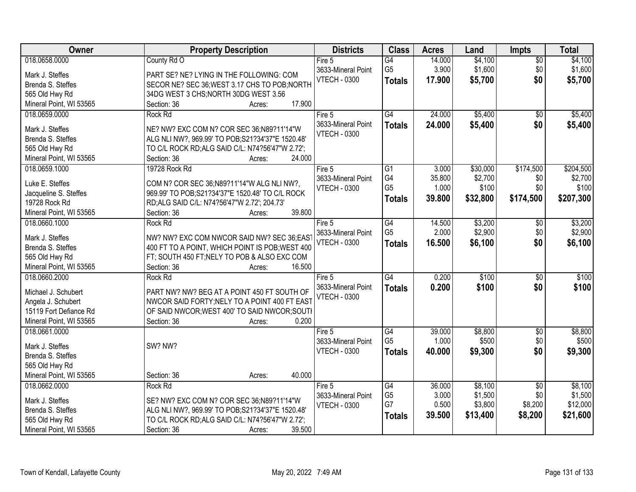| Owner                   | <b>Property Description</b>                       | <b>Districts</b>    | <b>Class</b>    | <b>Acres</b> | Land     | <b>Impts</b>    | <b>Total</b> |
|-------------------------|---------------------------------------------------|---------------------|-----------------|--------------|----------|-----------------|--------------|
| 018.0658.0000           | County Rd O                                       | Fire $5$            | G4              | 14.000       | \$4,100  | $\overline{50}$ | \$4,100      |
| Mark J. Steffes         | PART SE? NE? LYING IN THE FOLLOWING: COM          | 3633-Mineral Point  | G <sub>5</sub>  | 3.900        | \$1,600  | \$0             | \$1,600      |
| Brenda S. Steffes       | SECOR NE? SEC 36; WEST 3.17 CHS TO POB; NORTH     | <b>VTECH - 0300</b> | <b>Totals</b>   | 17.900       | \$5,700  | \$0             | \$5,700      |
| 565 Old Hwy Rd          | 34DG WEST 3 CHS; NORTH 30DG WEST 3.56             |                     |                 |              |          |                 |              |
| Mineral Point, WI 53565 | 17.900<br>Section: 36<br>Acres:                   |                     |                 |              |          |                 |              |
| 018.0659.0000           | Rock Rd                                           | Fire 5              | G4              | 24.000       | \$5,400  | $\overline{50}$ | \$5,400      |
|                         |                                                   | 3633-Mineral Point  | <b>Totals</b>   | 24.000       | \$5,400  | \$0             | \$5,400      |
| Mark J. Steffes         | NE? NW? EXC COM N? COR SEC 36;N89?11'14"W         | <b>VTECH - 0300</b> |                 |              |          |                 |              |
| Brenda S. Steffes       | ALG NLI NW?, 969.99' TO POB;S21?34'37"E 1520.48'  |                     |                 |              |          |                 |              |
| 565 Old Hwy Rd          | TO C/L ROCK RD; ALG SAID C/L: N74?56'47"W 2.72';  |                     |                 |              |          |                 |              |
| Mineral Point, WI 53565 | 24.000<br>Section: 36<br>Acres:                   |                     |                 |              |          |                 |              |
| 018.0659.1000           | 19728 Rock Rd                                     | Fire 5              | G1              | 3.000        | \$30,000 | \$174,500       | \$204,500    |
| Luke E. Steffes         | COM N? COR SEC 36;N89?11'14"W ALG NLI NW?,        | 3633-Mineral Point  | G4              | 35.800       | \$2,700  | \$0             | \$2,700      |
| Jacqueline S. Steffes   | 969.99' TO POB;S21?34'37"E 1520.48' TO C/L ROCK   | <b>VTECH - 0300</b> | G <sub>5</sub>  | 1.000        | \$100    | \$0             | \$100        |
| 19728 Rock Rd           | RD;ALG SAID C/L: N74?56'47"W 2.72'; 204.73'       |                     | <b>Totals</b>   | 39.800       | \$32,800 | \$174,500       | \$207,300    |
| Mineral Point, WI 53565 | 39.800<br>Section: 36<br>Acres:                   |                     |                 |              |          |                 |              |
| 018.0660.1000           | Rock Rd                                           | Fire 5              | G4              | 14.500       | \$3,200  | \$0             | \$3,200      |
|                         |                                                   | 3633-Mineral Point  | G <sub>5</sub>  | 2.000        | \$2,900  | \$0             | \$2,900      |
| Mark J. Steffes         | NW? NW? EXC COM NWCOR SAID NW? SEC 36:EAS         | <b>VTECH - 0300</b> | <b>Totals</b>   | 16.500       | \$6,100  | \$0             | \$6,100      |
| Brenda S. Steffes       | 400 FT TO A POINT, WHICH POINT IS POB; WEST 400   |                     |                 |              |          |                 |              |
| 565 Old Hwy Rd          | FT; SOUTH 450 FT; NELY TO POB & ALSO EXC COM      |                     |                 |              |          |                 |              |
| Mineral Point, WI 53565 | Section: 36<br>16.500<br>Acres:                   |                     |                 |              |          |                 |              |
| 018.0660.2000           | Rock Rd                                           | Fire 5              | $\overline{G4}$ | 0.200        | \$100    | $\overline{30}$ | \$100        |
| Michael J. Schubert     | PART NW? NW? BEG AT A POINT 450 FT SOUTH OF       | 3633-Mineral Point  | <b>Totals</b>   | 0.200        | \$100    | \$0             | \$100        |
| Angela J. Schubert      | NWCOR SAID FORTY; NELY TO A POINT 400 FT EAST     | <b>VTECH - 0300</b> |                 |              |          |                 |              |
| 15119 Fort Defiance Rd  | OF SAID NWCOR; WEST 400' TO SAID NWCOR; SOUTH     |                     |                 |              |          |                 |              |
| Mineral Point, WI 53565 | 0.200<br>Section: 36<br>Acres:                    |                     |                 |              |          |                 |              |
| 018.0661.0000           |                                                   | Fire $5$            | G4              | 39.000       | \$8,800  | $\sqrt{6}$      | \$8,800      |
|                         |                                                   | 3633-Mineral Point  | G <sub>5</sub>  | 1.000        | \$500    | \$0             | \$500        |
| Mark J. Steffes         | SW? NW?                                           | <b>VTECH - 0300</b> | <b>Totals</b>   | 40.000       | \$9,300  | \$0             | \$9,300      |
| Brenda S. Steffes       |                                                   |                     |                 |              |          |                 |              |
| 565 Old Hwy Rd          |                                                   |                     |                 |              |          |                 |              |
| Mineral Point, WI 53565 | 40.000<br>Section: 36<br>Acres:                   |                     |                 |              |          |                 |              |
| 018.0662.0000           | Rock Rd                                           | Fire 5              | G4              | 36.000       | \$8,100  | $\overline{50}$ | \$8,100      |
| Mark J. Steffes         | SE? NW? EXC COM N? COR SEC 36;N89?11'14"W         | 3633-Mineral Point  | G <sub>5</sub>  | 3.000        | \$1,500  | \$0             | \$1,500      |
| Brenda S. Steffes       | ALG NLI NW?, 969.99' TO POB; S21?34'37"E 1520.48' | <b>VTECH - 0300</b> | G7              | 0.500        | \$3,800  | \$8,200         | \$12,000     |
| 565 Old Hwy Rd          | TO C/L ROCK RD; ALG SAID C/L: N74?56'47"W 2.72';  |                     | <b>Totals</b>   | 39.500       | \$13,400 | \$8,200         | \$21,600     |
| Mineral Point, WI 53565 | Section: 36<br>39.500<br>Acres:                   |                     |                 |              |          |                 |              |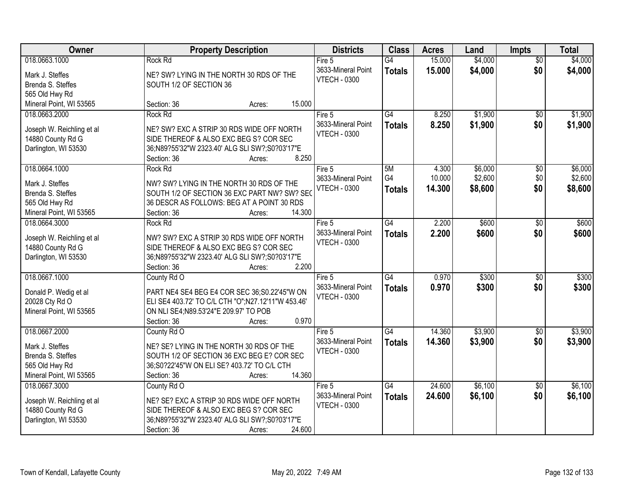| Owner                     | <b>Property Description</b>                        |        |        | <b>Districts</b>    | <b>Class</b>    | <b>Acres</b> | Land    | <b>Impts</b>    | <b>Total</b> |
|---------------------------|----------------------------------------------------|--------|--------|---------------------|-----------------|--------------|---------|-----------------|--------------|
| 018.0663.1000             | Rock Rd                                            |        |        | Fire 5              | $\overline{G4}$ | 15.000       | \$4,000 | $\overline{50}$ | \$4,000      |
| Mark J. Steffes           | NE? SW? LYING IN THE NORTH 30 RDS OF THE           |        |        | 3633-Mineral Point  | <b>Totals</b>   | 15.000       | \$4,000 | \$0             | \$4,000      |
| Brenda S. Steffes         | SOUTH 1/2 OF SECTION 36                            |        |        | <b>VTECH - 0300</b> |                 |              |         |                 |              |
| 565 Old Hwy Rd            |                                                    |        |        |                     |                 |              |         |                 |              |
| Mineral Point, WI 53565   | Section: 36                                        | Acres: | 15.000 |                     |                 |              |         |                 |              |
| 018.0663.2000             | Rock Rd                                            |        |        | Fire 5              | $\overline{G4}$ | 8.250        | \$1,900 | $\overline{50}$ | \$1,900      |
|                           |                                                    |        |        | 3633-Mineral Point  | <b>Totals</b>   | 8.250        | \$1,900 | \$0             | \$1,900      |
| Joseph W. Reichling et al | NE? SW? EXC A STRIP 30 RDS WIDE OFF NORTH          |        |        | <b>VTECH - 0300</b> |                 |              |         |                 |              |
| 14880 County Rd G         | SIDE THEREOF & ALSO EXC BEG S? COR SEC             |        |        |                     |                 |              |         |                 |              |
| Darlington, WI 53530      | 36;N89?55'32"W 2323.40' ALG SLI SW?;S0?03'17"E     |        |        |                     |                 |              |         |                 |              |
|                           | Section: 36                                        | Acres: | 8.250  |                     |                 |              |         |                 |              |
| 018.0664.1000             | Rock Rd                                            |        |        | Fire 5              | 5M              | 4.300        | \$6,000 | $\overline{50}$ | \$6,000      |
| Mark J. Steffes           | NW? SW? LYING IN THE NORTH 30 RDS OF THE           |        |        | 3633-Mineral Point  | G4              | 10.000       | \$2,600 | \$0             | \$2,600      |
| Brenda S. Steffes         | SOUTH 1/2 OF SECTION 36 EXC PART NW? SW? SEC       |        |        | <b>VTECH - 0300</b> | <b>Totals</b>   | 14.300       | \$8,600 | \$0             | \$8,600      |
| 565 Old Hwy Rd            | 36 DESCR AS FOLLOWS: BEG AT A POINT 30 RDS         |        |        |                     |                 |              |         |                 |              |
| Mineral Point, WI 53565   | Section: 36                                        | Acres: | 14.300 |                     |                 |              |         |                 |              |
| 018.0664.3000             | Rock Rd                                            |        |        | Fire 5              | G4              | 2.200        | \$600   | \$0             | \$600        |
|                           |                                                    |        |        | 3633-Mineral Point  | <b>Totals</b>   | 2.200        | \$600   | \$0             | \$600        |
| Joseph W. Reichling et al | NW? SW? EXC A STRIP 30 RDS WIDE OFF NORTH          |        |        | <b>VTECH - 0300</b> |                 |              |         |                 |              |
| 14880 County Rd G         | SIDE THEREOF & ALSO EXC BEG S? COR SEC             |        |        |                     |                 |              |         |                 |              |
| Darlington, WI 53530      | 36;N89?55'32"W 2323.40' ALG SLI SW?;S0?03'17"E     |        |        |                     |                 |              |         |                 |              |
|                           | Section: 36                                        | Acres: | 2.200  |                     |                 |              |         |                 |              |
| 018.0667.1000             | County Rd O                                        |        |        | Fire 5              | $\overline{G4}$ | 0.970        | \$300   | $\overline{30}$ | \$300        |
| Donald P. Wedig et al     | PART NE4 SE4 BEG E4 COR SEC 36:S0.22'45"W ON       |        |        | 3633-Mineral Point  | <b>Totals</b>   | 0.970        | \$300   | \$0             | \$300        |
| 20028 Cty Rd O            | ELI SE4 403.72' TO C/L CTH "O";N27.12'11"W 453.46' |        |        | <b>VTECH - 0300</b> |                 |              |         |                 |              |
| Mineral Point, WI 53565   | ON NLI SE4; N89.53'24" E 209.97' TO POB            |        |        |                     |                 |              |         |                 |              |
|                           | Section: 36                                        | Acres: | 0.970  |                     |                 |              |         |                 |              |
| 018.0667.2000             | County Rd O                                        |        |        | Fire 5              | G4              | 14.360       | \$3,900 | $\overline{50}$ | \$3,900      |
|                           |                                                    |        |        | 3633-Mineral Point  | <b>Totals</b>   | 14.360       | \$3,900 | \$0             | \$3,900      |
| Mark J. Steffes           | NE? SE? LYING IN THE NORTH 30 RDS OF THE           |        |        | <b>VTECH - 0300</b> |                 |              |         |                 |              |
| Brenda S. Steffes         | SOUTH 1/2 OF SECTION 36 EXC BEG E? COR SEC         |        |        |                     |                 |              |         |                 |              |
| 565 Old Hwy Rd            | 36;S0?22'45"W ON ELI SE? 403.72' TO C/L CTH        |        |        |                     |                 |              |         |                 |              |
| Mineral Point, WI 53565   | Section: 36                                        | Acres: | 14.360 |                     |                 |              |         |                 |              |
| 018.0667.3000             | County Rd O                                        |        |        | Fire 5              | G4              | 24.600       | \$6,100 | $\overline{50}$ | \$6,100      |
| Joseph W. Reichling et al | NE? SE? EXC A STRIP 30 RDS WIDE OFF NORTH          |        |        | 3633-Mineral Point  | <b>Totals</b>   | 24.600       | \$6,100 | \$0             | \$6,100      |
| 14880 County Rd G         | SIDE THEREOF & ALSO EXC BEG S? COR SEC             |        |        | <b>VTECH - 0300</b> |                 |              |         |                 |              |
| Darlington, WI 53530      | 36;N89?55'32"W 2323.40' ALG SLI SW?;S0?03'17"E     |        |        |                     |                 |              |         |                 |              |
|                           | Section: 36                                        | Acres: | 24.600 |                     |                 |              |         |                 |              |